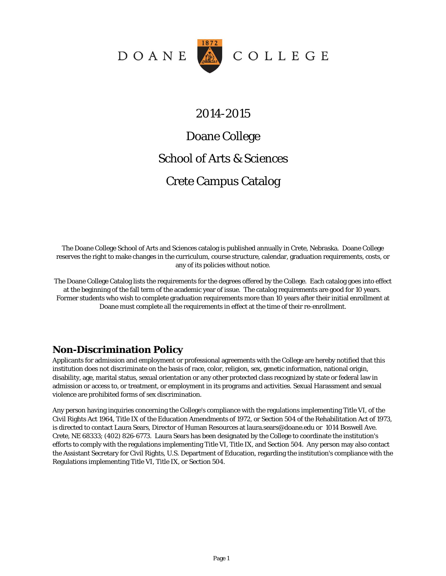

## 2014-2015

# Doane College School of Arts & Sciences Crete Campus Catalog

The Doane College School of Arts and Sciences catalog is published annually in Crete, Nebraska. Doane College reserves the right to make changes in the curriculum, course structure, calendar, graduation requirements, costs, or any of its policies without notice.

The Doane College Catalog lists the requirements for the degrees offered by the College. Each catalog goes into effect at the beginning of the fall term of the academic year of issue. The catalog requirements are good for 10 years. Former students who wish to complete graduation requirements more than 10 years after their initial enrollment at Doane must complete all the requirements in effect at the time of their re-enrollment.

#### **Non-Discrimination Policy**

Applicants for admission and employment or professional agreements with the College are hereby notified that this institution does not discriminate on the basis of race, color, religion, sex, genetic information, national origin, disability, age, marital status, sexual orientation or any other protected class recognized by state or federal law in admission or access to, or treatment, or employment in its programs and activities. Sexual Harassment and sexual violence are prohibited forms of sex discrimination.

Any person having inquiries concerning the College's compliance with the regulations implementing Title VI, of the Civil Rights Act 1964, Title IX of the Education Amendments of 1972, or Section 504 of the Rehabilitation Act of 1973, is directed to contact Laura Sears, Director of Human Resources at laura.sears@doane.edu or 1014 Boswell Ave. Crete, NE 68333; (402) 826-6773. Laura Sears has been designated by the College to coordinate the institution's efforts to comply with the regulations implementing Title VI, Title IX, and Section 504. Any person may also contact the Assistant Secretary for Civil Rights, U.S. Department of Education, regarding the institution's compliance with the Regulations implementing Title VI, Title IX, or Section 504.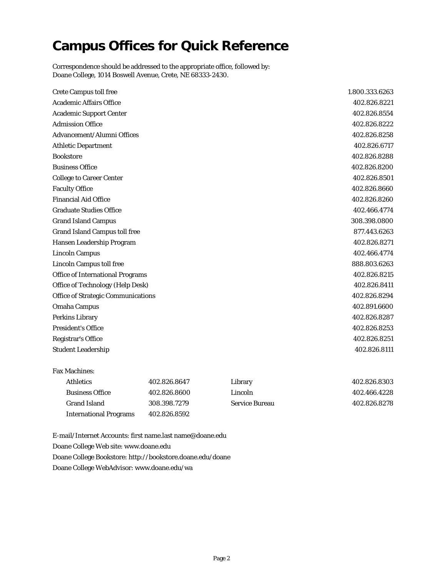# **Campus Offices for Quick Reference**

Correspondence should be addressed to the appropriate office, followed by: Doane College, 1014 Boswell Avenue, Crete, NE 68333-2430.

| <b>Crete Campus toll free</b>             | 1.800.333.6263 |
|-------------------------------------------|----------------|
| <b>Academic Affairs Office</b>            | 402.826.8221   |
| <b>Academic Support Center</b>            | 402.826.8554   |
| <b>Admission Office</b>                   | 402.826.8222   |
| Advancement/Alumni Offices                | 402.826.8258   |
| <b>Athletic Department</b>                | 402.826.6717   |
| <b>Bookstore</b>                          | 402.826.8288   |
| <b>Business Office</b>                    | 402.826.8200   |
| <b>College to Career Center</b>           | 402.826.8501   |
| <b>Faculty Office</b>                     | 402.826.8660   |
| <b>Financial Aid Office</b>               | 402.826.8260   |
| <b>Graduate Studies Office</b>            | 402.466.4774   |
| <b>Grand Island Campus</b>                | 308.398.0800   |
| <b>Grand Island Campus toll free</b>      | 877.443.6263   |
| Hansen Leadership Program                 | 402.826.8271   |
| <b>Lincoln Campus</b>                     | 402.466.4774   |
| <b>Lincoln Campus toll free</b>           | 888.803.6263   |
| <b>Office of International Programs</b>   | 402.826.8215   |
| <b>Office of Technology (Help Desk)</b>   | 402.826.8411   |
| <b>Office of Strategic Communications</b> | 402.826.8294   |
| <b>Omaha Campus</b>                       | 402.891.6600   |
| Perkins Library                           | 402.826.8287   |
| President's Office                        | 402.826.8253   |
| <b>Registrar's Office</b>                 | 402.826.8251   |
| <b>Student Leadership</b>                 | 402.826.8111   |
|                                           |                |

#### Fax Machines:

| <b>Athletics</b>              | 402.826.8647 | Library               | 402.826.8303 |
|-------------------------------|--------------|-----------------------|--------------|
| <b>Business Office</b>        | 402.826.8600 | Lincoln               | 402.466.4228 |
| Grand Island                  | 308.398.7279 | <b>Service Bureau</b> | 402.826.8278 |
| <b>International Programs</b> | 402.826.8592 |                       |              |

E-mail/Internet Accounts: first name.last name@doane.edu Doane College Web site: www.doane.edu Doane College Bookstore: http://bookstore.doane.edu/doane Doane College WebAdvisor: www.doane.edu/wa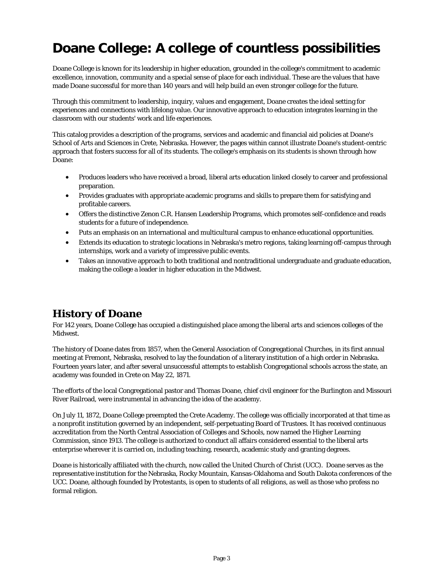# **Doane College: A college of countless possibilities**

Doane College is known for its leadership in higher education, grounded in the college's commitment to academic excellence, innovation, community and a special sense of place for each individual. These are the values that have made Doane successful for more than 140 years and will help build an even stronger college for the future.

Through this commitment to leadership, inquiry, values and engagement, Doane creates the ideal setting for experiences and connections with lifelong value. Our innovative approach to education integrates learning in the classroom with our students' work and life experiences.

This catalog provides a description of the programs, services and academic and financial aid policies at Doane's School of Arts and Sciences in Crete, Nebraska. However, the pages within cannot illustrate Doane's student-centric approach that fosters success for all of its students. The college's emphasis on its students is shown through how Doane:

- Produces leaders who have received a broad, liberal arts education linked closely to career and professional preparation.
- Provides graduates with appropriate academic programs and skills to prepare them for satisfying and profitable careers.
- Offers the distinctive Zenon C.R. Hansen Leadership Programs, which promotes self-confidence and reads students for a future of independence.
- Puts an emphasis on an international and multicultural campus to enhance educational opportunities.
- Extends its education to strategic locations in Nebraska's metro regions, taking learning off-campus through internships, work and a variety of impressive public events.
- Takes an innovative approach to both traditional and nontraditional undergraduate and graduate education, making the college a leader in higher education in the Midwest.

#### **History of Doane**

For 142 years, Doane College has occupied a distinguished place among the liberal arts and sciences colleges of the Midwest.

The history of Doane dates from 1857, when the General Association of Congregational Churches, in its first annual meeting at Fremont, Nebraska, resolved to lay the foundation of a literary institution of a high order in Nebraska. Fourteen years later, and after several unsuccessful attempts to establish Congregational schools across the state, an academy was founded in Crete on May 22, 1871.

The efforts of the local Congregational pastor and Thomas Doane, chief civil engineer for the Burlington and Missouri River Railroad, were instrumental in advancing the idea of the academy.

On July 11, 1872, Doane College preempted the Crete Academy. The college was officially incorporated at that time as a nonprofit institution governed by an independent, self-perpetuating Board of Trustees. It has received continuous accreditation from the North Central Association of Colleges and Schools, now named the Higher Learning Commission, since 1913. The college is authorized to conduct all affairs considered essential to the liberal arts enterprise wherever it is carried on, including teaching, research, academic study and granting degrees.

Doane is historically affiliated with the church, now called the United Church of Christ (UCC). Doane serves as the representative institution for the Nebraska, Rocky Mountain, Kansas-Oklahoma and South Dakota conferences of the UCC. Doane, although founded by Protestants, is open to students of all religions, as well as those who profess no formal religion.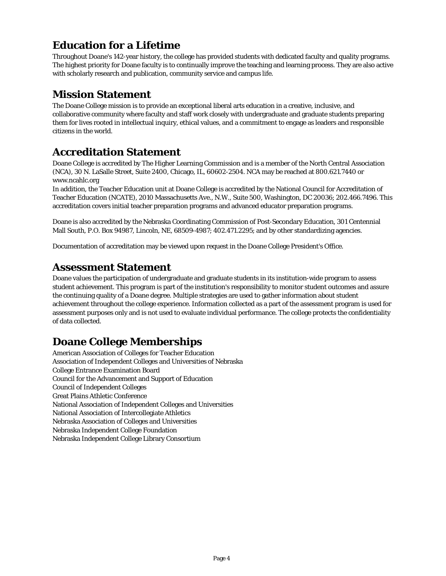## **Education for a Lifetime**

Throughout Doane's 142-year history, the college has provided students with dedicated faculty and quality programs. The highest priority for Doane faculty is to continually improve the teaching and learning process. They are also active with scholarly research and publication, community service and campus life.

### **Mission Statement**

The Doane College mission is to provide an exceptional liberal arts education in a creative, inclusive, and collaborative community where faculty and staff work closely with undergraduate and graduate students preparing them for lives rooted in intellectual inquiry, ethical values, and a commitment to engage as leaders and responsible citizens in the world.

## **Accreditation Statement**

Doane College is accredited by The Higher Learning Commission and is a member of the North Central Association (NCA), 30 N. LaSalle Street, Suite 2400, Chicago, IL, 60602-2504. NCA may be reached at 800.621.7440 or www.ncahlc.org

In addition, the Teacher Education unit at Doane College is accredited by the National Council for Accreditation of Teacher Education (NCATE), 2010 Massachusetts Ave., N.W., Suite 500, Washington, DC 20036; 202.466.7496. This accreditation covers initial teacher preparation programs and advanced educator preparation programs.

Doane is also accredited by the Nebraska Coordinating Commission of Post-Secondary Education, 301 Centennial Mall South, P.O. Box 94987, Lincoln, NE, 68509-4987; 402.471.2295; and by other standardizing agencies.

Documentation of accreditation may be viewed upon request in the Doane College President's Office.

### **Assessment Statement**

Doane values the participation of undergraduate and graduate students in its institution-wide program to assess student achievement. This program is part of the institution's responsibility to monitor student outcomes and assure the continuing quality of a Doane degree. Multiple strategies are used to gather information about student achievement throughout the college experience. Information collected as a part of the assessment program is used for assessment purposes only and is not used to evaluate individual performance. The college protects the confidentiality of data collected.

## **Doane College Memberships**

American Association of Colleges for Teacher Education Association of Independent Colleges and Universities of Nebraska College Entrance Examination Board Council for the Advancement and Support of Education Council of Independent Colleges Great Plains Athletic Conference National Association of Independent Colleges and Universities National Association of Intercollegiate Athletics Nebraska Association of Colleges and Universities Nebraska Independent College Foundation Nebraska Independent College Library Consortium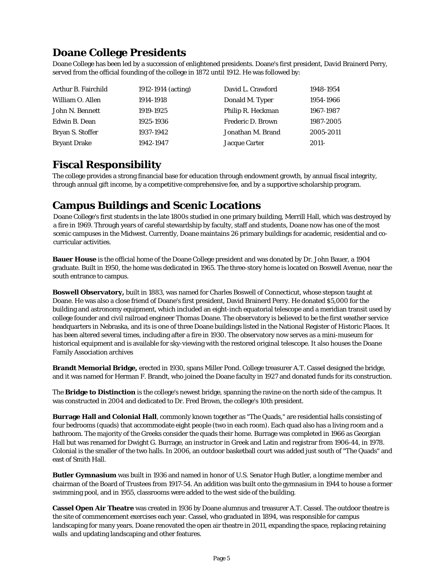## **Doane College Presidents**

Doane College has been led by a succession of enlightened presidents. Doane's first president, David Brainerd Perry, served from the official founding of the college in 1872 until 1912. He was followed by:

| Arthur B. Fairchild | 1912-1914 (acting) | David L. Crawford | 1948-1954 |
|---------------------|--------------------|-------------------|-----------|
| William O. Allen    | 1914-1918          | Donald M. Typer   | 1954-1966 |
| John N. Bennett     | 1919-1925          | Philip R. Heckman | 1967-1987 |
| Edwin B. Dean       | 1925-1936          | Frederic D. Brown | 1987-2005 |
| Bryan S. Stoffer    | 1937-1942          | Jonathan M. Brand | 2005-2011 |
| <b>Bryant Drake</b> | 1942-1947          | Jacque Carter     | 2011-     |

## **Fiscal Responsibility**

The college provides a strong financial base for education through endowment growth, by annual fiscal integrity, through annual gift income, by a competitive comprehensive fee, and by a supportive scholarship program.

## **Campus Buildings and Scenic Locations**

Doane College's first students in the late 1800s studied in one primary building, Merrill Hall, which was destroyed by a fire in 1969. Through years of careful stewardship by faculty, staff and students, Doane now has one of the most scenic campuses in the Midwest. Currently, Doane maintains 26 primary buildings for academic, residential and cocurricular activities.

**Bauer House** is the official home of the Doane College president and was donated by Dr. John Bauer, a 1904 graduate. Built in 1950, the home was dedicated in 1965. The three-story home is located on Boswell Avenue, near the south entrance to campus.

**Boswell Observatory,** built in 1883, was named for Charles Boswell of Connecticut, whose stepson taught at Doane. He was also a close friend of Doane's first president, David Brainerd Perry. He donated \$5,000 for the building and astronomy equipment, which included an eight-inch equatorial telescope and a meridian transit used by college founder and civil railroad engineer Thomas Doane. The observatory is believed to be the first weather service headquarters in Nebraska, and its is one of three Doane buildings listed in the National Register of Historic Places. It has been altered several times, including after a fire in 1930. The observatory now serves as a mini-museum for historical equipment and is available for sky-viewing with the restored original telescope. It also houses the Doane Family Association archives

**Brandt Memorial Bridge,** erected in 1930, spans Miller Pond. College treasurer A.T. Cassel designed the bridge, and it was named for Herman F. Brandt, who joined the Doane faculty in 1927 and donated funds for its construction.

The **Bridge to Distinction** is the college's newest bridge, spanning the ravine on the north side of the campus. It was constructed in 2004 and dedicated to Dr. Fred Brown, the college's 10th president.

**Burrage Hall and Colonial Hall**, commonly known together as "The Quads," are residential halls consisting of four bedrooms (quads) that accommodate eight people (two in each room). Each quad also has a living room and a bathroom. The majority of the Greeks consider the quads their home. Burrage was completed in 1966 as Georgian Hall but was renamed for Dwight G. Burrage, an instructor in Greek and Latin and registrar from 1906-44, in 1978. Colonial is the smaller of the two halls. In 2006, an outdoor basketball court was added just south of "The Quads" and east of Smith Hall.

**Butler Gymnasium** was built in 1936 and named in honor of U.S. Senator Hugh Butler, a longtime member and chairman of the Board of Trustees from 1917-54. An addition was built onto the gymnasium in 1944 to house a former swimming pool, and in 1955, classrooms were added to the west side of the building.

**Cassel Open Air Theatre** was created in 1936 by Doane alumnus and treasurer A.T. Cassel. The outdoor theatre is the site of commencement exercises each year. Cassel, who graduated in 1894, was responsible for campus landscaping for many years. Doane renovated the open air theatre in 2011, expanding the space, replacing retaining walls and updating landscaping and other features.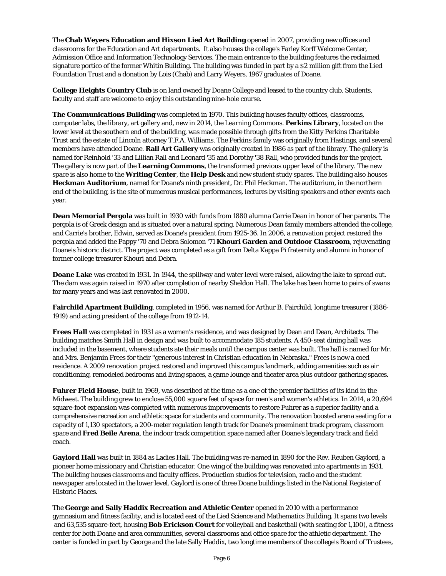The **Chab Weyers Education and Hixson Lied Art Building** opened in 2007, providing new offices and classrooms for the Education and Art departments. It also houses the college's Farley Korff Welcome Center, Admission Office and Information Technology Services. The main entrance to the building features the reclaimed signature portico of the former Whitin Building. The building was funded in part by a \$2 million gift from the Lied Foundation Trust and a donation by Lois (Chab) and Larry Weyers, 1967 graduates of Doane.

**College Heights Country Club** is on land owned by Doane College and leased to the country club. Students, faculty and staff are welcome to enjoy this outstanding nine-hole course.

**The Communications Building** was completed in 1970. This building houses faculty offices, classrooms, computer labs, the library, art gallery and, new in 2014, the Learning Commons. **Perkins Library**, located on the lower level at the southern end of the building, was made possible through gifts from the Kitty Perkins Charitable Trust and the estate of Lincoln attorney T.F.A. Williams. The Perkins family was originally from Hastings, and several members have attended Doane. **Rall Art Gallery** was originally created in 1986 as part of the library. The gallery is named for Reinhold '33 and Lillian Rall and Leonard '35 and Dorothy '38 Rall, who provided funds for the project. The gallery is now part of the **Learning Commons**, the transformed previous upper level of the library. The new space is also home to the **Writing Center**, the **Help Desk** and new student study spaces. The building also houses **Heckman Auditorium**, named for Doane's ninth president, Dr. Phil Heckman. The auditorium, in the northern end of the building, is the site of numerous musical performances, lectures by visiting speakers and other events each year.

**Dean Memorial Pergola** was built in 1930 with funds from 1880 alumna Carrie Dean in honor of her parents. The pergola is of Greek design and is situated over a natural spring. Numerous Dean family members attended the college, and Carrie's brother, Edwin, served as Doane's president from 1925-36. In 2006, a renovation project restored the pergola and added the Pappy '70 and Debra Solomon '71 **Khouri Garden and Outdoor Classroom**, rejuvenating Doane's historic district. The project was completed as a gift from Delta Kappa Pi fraternity and alumni in honor of former college treasurer Khouri and Debra.

**Doane Lake** was created in 1931. In 1944, the spillway and water level were raised, allowing the lake to spread out. The dam was again raised in 1970 after completion of nearby Sheldon Hall. The lake has been home to pairs of swans for many years and was last renovated in 2000.

**Fairchild Apartment Building**, completed in 1956, was named for Arthur B. Fairchild, longtime treasurer (1886- 1919) and acting president of the college from 1912-14.

**Frees Hall** was completed in 1931 as a women's residence, and was designed by Dean and Dean, Architects. The building matches Smith Hall in design and was built to accommodate 185 students. A 450-seat dining hall was included in the basement, where students ate their meals until the campus center was built. The hall is named for Mr. and Mrs. Benjamin Frees for their "generous interest in Christian education in Nebraska." Frees is now a coed residence. A 2009 renovation project restored and improved this campus landmark, adding amenities such as air conditioning, remodeled bedrooms and living spaces, a game lounge and theater area plus outdoor gathering spaces.

**Fuhrer Field House**, built in 1969, was described at the time as a one of the premier facilities of its kind in the Midwest. The building grew to enclose 55,000 square feet of space for men's and women's athletics. In 2014, a 20,694 square-foot expansion was completed with numerous improvements to restore Fuhrer as a superior facility and a comprehensive recreation and athletic space for students and community. The renovation boosted arena seating for a capacity of 1,130 spectators, a 200-meter regulation length track for Doane's preeminent track program, classroom space and **Fred Beile Arena**, the indoor track competition space named after Doane's legendary track and field coach.

**Gaylord Hall** was built in 1884 as Ladies Hall. The building was re-named in 1890 for the Rev. Reuben Gaylord, a pioneer home missionary and Christian educator. One wing of the building was renovated into apartments in 1931. The building houses classrooms and faculty offices. Production studios for television, radio and the student newspaper are located in the lower level. Gaylord is one of three Doane buildings listed in the National Register of Historic Places.

The **George and Sally Haddix Recreation and Athletic Center** opened in 2010 with a performance gymnasium and fitness facility, and is located east of the Lied Science and Mathematics Building. It spans two levels and 63,535 square-feet, housing **Bob Erickson Court** for volleyball and basketball (with seating for 1,100), a fitness center for both Doane and area communities, several classrooms and office space for the athletic department. The center is funded in part by George and the late Sally Haddix, two longtime members of the college's Board of Trustees,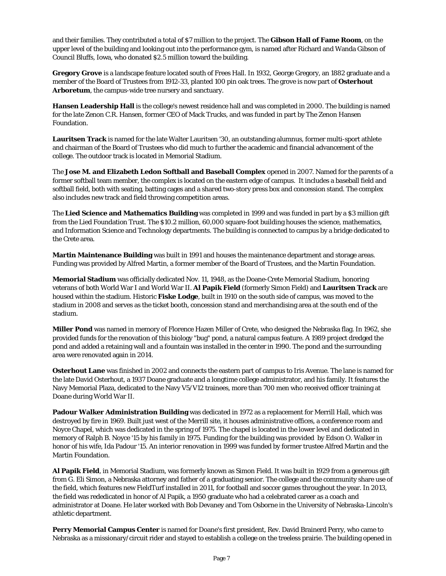and their families. They contributed a total of \$7 million to the project. The **Gibson Hall of Fame Room**, on the upper level of the building and looking out into the performance gym, is named after Richard and Wanda Gibson of Council Bluffs, Iowa, who donated \$2.5 million toward the building.

**Gregory Grove** is a landscape feature located south of Frees Hall. In 1932, George Gregory, an 1882 graduate and a member of the Board of Trustees from 1912-33, planted 100 pin oak trees. The grove is now part of **Osterhout Arboretum**, the campus-wide tree nursery and sanctuary.

**Hansen Leadership Hall** is the college's newest residence hall and was completed in 2000. The building is named for the late Zenon C.R. Hansen, former CEO of Mack Trucks, and was funded in part by The Zenon Hansen Foundation.

**Lauritsen Track** is named for the late Walter Lauritsen '30, an outstanding alumnus, former multi-sport athlete and chairman of the Board of Trustees who did much to further the academic and financial advancement of the college. The outdoor track is located in Memorial Stadium.

The **Jose M. and Elizabeth Ledon Softball and Baseball Complex** opened in 2007. Named for the parents of a former softball team member, the complex is located on the eastern edge of campus. It includes a baseball field and softball field, both with seating, batting cages and a shared two-story press box and concession stand. The complex also includes new track and field throwing competition areas.

The **Lied Science and Mathematics Building** was completed in 1999 and was funded in part by a \$3 million gift from the Lied Foundation Trust. The \$10.2 million, 60,000 square-foot building houses the science, mathematics, and Information Science and Technology departments. The building is connected to campus by a bridge dedicated to the Crete area.

**Martin Maintenance Building** was built in 1991 and houses the maintenance department and storage areas. Funding was provided by Alfred Martin, a former member of the Board of Trustees, and the Martin Foundation.

**Memorial Stadium** was officially dedicated Nov. 11, 1948, as the Doane-Crete Memorial Stadium, honoring veterans of both World War I and World War II. **Al Papik Field** (formerly Simon Field) and **Lauritsen Track** are housed within the stadium. Historic **Fiske Lodge**, built in 1910 on the south side of campus, was moved to the stadium in 2008 and serves as the ticket booth, concession stand and merchandising area at the south end of the stadium.

**Miller Pond** was named in memory of Florence Hazen Miller of Crete, who designed the Nebraska flag. In 1962, she provided funds for the renovation of this biology "bug" pond, a natural campus feature. A 1989 project dredged the pond and added a retaining wall and a fountain was installed in the center in 1990. The pond and the surrounding area were renovated again in 2014.

**Osterhout Lane** was finished in 2002 and connects the eastern part of campus to Iris Avenue. The lane is named for the late David Osterhout, a 1937 Doane graduate and a longtime college administrator, and his family. It features the Navy Memorial Plaza, dedicated to the Navy V5/V12 trainees, more than 700 men who received officer training at Doane during World War II.

**Padour Walker Administration Building** was dedicated in 1972 as a replacement for Merrill Hall, which was destroyed by fire in 1969. Built just west of the Merrill site, it houses administrative offices, a conference room and Noyce Chapel, which was dedicated in the spring of 1975. The chapel is located in the lower level and dedicated in memory of Ralph B. Noyce '15 by his family in 1975. Funding for the building was provided by Edson O. Walker in honor of his wife, Ida Padour '15. An interior renovation in 1999 was funded by former trustee Alfred Martin and the Martin Foundation.

**Al Papik Field**, in Memorial Stadium, was formerly known as Simon Field. It was built in 1929 from a generous gift from G. Eli Simon, a Nebraska attorney and father of a graduating senior. The college and the community share use of the field, which features new FieldTurf installed in 2011, for football and soccer games throughout the year. In 2013, the field was rededicated in honor of Al Papik, a 1950 graduate who had a celebrated career as a coach and administrator at Doane. He later worked with Bob Devaney and Tom Osborne in the University of Nebraska-Lincoln's athletic department.

**Perry Memorial Campus Center** is named for Doane's first president, Rev. David Brainerd Perry, who came to Nebraska as a missionary/circuit rider and stayed to establish a college on the treeless prairie. The building opened in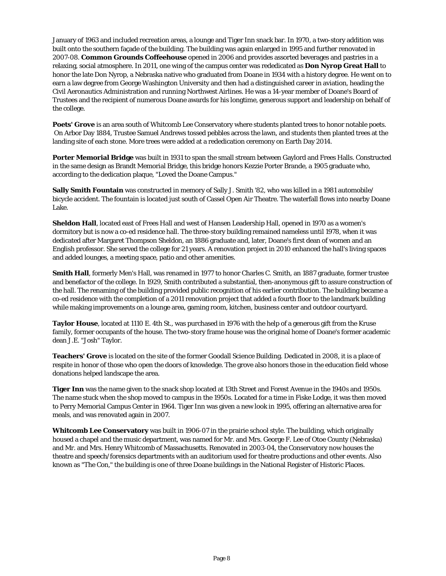January of 1963 and included recreation areas, a lounge and Tiger Inn snack bar. In 1970, a two-story addition was built onto the southern façade of the building. The building was again enlarged in 1995 and further renovated in 2007-08. **Common Grounds Coffeehouse** opened in 2006 and provides assorted beverages and pastries in a relaxing, social atmosphere. In 2011, one wing of the campus center was rededicated as **Don Nyrop Great Hall** to honor the late Don Nyrop, a Nebraska native who graduated from Doane in 1934 with a history degree. He went on to earn a law degree from George Washington University and then had a distinguished career in aviation, heading the Civil Aeronautics Administration and running Northwest Airlines. He was a 14-year member of Doane's Board of Trustees and the recipient of numerous Doane awards for his longtime, generous support and leadership on behalf of the college.

**Poets' Grove** is an area south of Whitcomb Lee Conservatory where students planted trees to honor notable poets. On Arbor Day 1884, Trustee Samuel Andrews tossed pebbles across the lawn, and students then planted trees at the landing site of each stone. More trees were added at a rededication ceremony on Earth Day 2014.

**Porter Memorial Bridge** was built in 1931 to span the small stream between Gaylord and Frees Halls. Constructed in the same design as Brandt Memorial Bridge, this bridge honors Kezzie Porter Brande, a 1905 graduate who, according to the dedication plaque, "Loved the Doane Campus."

**Sally Smith Fountain** was constructed in memory of Sally J. Smith '82, who was killed in a 1981 automobile/ bicycle accident. The fountain is located just south of Cassel Open Air Theatre. The waterfall flows into nearby Doane Lake.

**Sheldon Hall**, located east of Frees Hall and west of Hansen Leadership Hall, opened in 1970 as a women's dormitory but is now a co-ed residence hall. The three-story building remained nameless until 1978, when it was dedicated after Margaret Thompson Sheldon, an 1886 graduate and, later, Doane's first dean of women and an English professor. She served the college for 21 years. A renovation project in 2010 enhanced the hall's living spaces and added lounges, a meeting space, patio and other amenities.

**Smith Hall**, formerly Men's Hall, was renamed in 1977 to honor Charles C. Smith, an 1887 graduate, former trustee and benefactor of the college. In 1929, Smith contributed a substantial, then-anonymous gift to assure construction of the hall. The renaming of the building provided public recognition of his earlier contribution. The building became a co-ed residence with the completion of a 2011 renovation project that added a fourth floor to the landmark building while making improvements on a lounge area, gaming room, kitchen, business center and outdoor courtyard.

**Taylor House**, located at 1110 E. 4th St., was purchased in 1976 with the help of a generous gift from the Kruse family, former occupants of the house. The two-story frame house was the original home of Doane's former academic dean J.E. "Josh" Taylor.

**Teachers' Grove** is located on the site of the former Goodall Science Building. Dedicated in 2008, it is a place of respite in honor of those who open the doors of knowledge. The grove also honors those in the education field whose donations helped landscape the area.

**Tiger Inn** was the name given to the snack shop located at 13th Street and Forest Avenue in the 1940s and 1950s. The name stuck when the shop moved to campus in the 1950s. Located for a time in Fiske Lodge, it was then moved to Perry Memorial Campus Center in 1964. Tiger Inn was given a new look in 1995, offering an alternative area for meals, and was renovated again in 2007.

**Whitcomb Lee Conservatory** was built in 1906-07 in the prairie school style. The building, which originally housed a chapel and the music department, was named for Mr. and Mrs. George F. Lee of Otoe County (Nebraska) and Mr. and Mrs. Henry Whitcomb of Massachusetts. Renovated in 2003-04, the Conservatory now houses the theatre and speech/forensics departments with an auditorium used for theatre productions and other events. Also known as "The Con," the building is one of three Doane buildings in the National Register of Historic Places.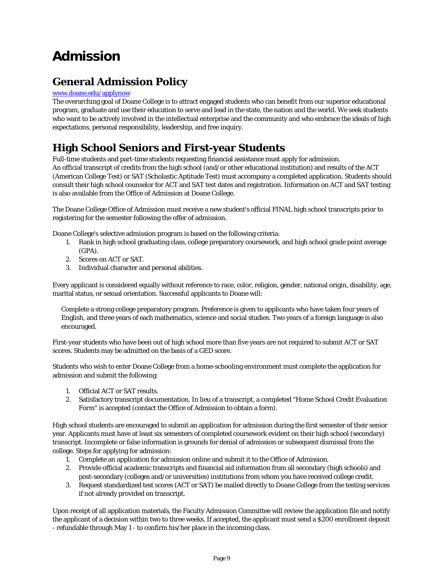# **Admission**

## **General Admission Policy**

#### www.doane.edu/applynow

The overarching goal of Doane College is to attract engaged students who can benefit from our superior educational program, graduate and use their education to serve and lead in the state, the nation and the world. We seek students who want to be actively involved in the intellectual enterprise and the community and who embrace the ideals of high expectations, personal responsibility, leadership, and free inquiry.

## **High School Seniors and First-year Students**

Full-time students and part-time students requesting financial assistance must apply for admission. An official transcript of credits from the high school (and/or other educational institution) and results of the ACT (American College Test) or SAT (Scholastic Aptitude Test) must accompany a completed application. Students should consult their high school counselor for ACT and SAT test dates and registration. Information on ACT and SAT testing is also available from the Office of Admission at Doane College.

The Doane College Office of Admission must receive a new student's official FINAL high school transcripts prior to registering for the semester following the offer of admission.

Doane College's selective admission program is based on the following criteria:

- 1. Rank in high school graduating class, college preparatory coursework, and high school grade point average (GPA).
- 2. Scores on ACT or SAT.
- 3. Individual character and personal abilities.

Every applicant is considered equally without reference to race, color, religion, gender, national origin, disability, age, marital status, or sexual orientation. Successful applicants to Doane will:

Complete a strong college preparatory program. Preference is given to applicants who have taken four years of English, and three years of each mathematics, science and social studies. Two years of a foreign language is also encouraged.

First-year students who have been out of high school more than five years are not required to submit ACT or SAT scores. Students may be admitted on the basis of a GED score.

Students who wish to enter Doane College from a home-schooling environment must complete the application for admission and submit the following:

- 1. Official ACT or SAT results.
- 2. Satisfactory transcript documentation. In lieu of a transcript, a completed "Home School Credit Evaluation Form" is accepted (contact the Office of Admission to obtain a form).

High school students are encouraged to submit an application for admission during the first semester of their senior year. Applicants must have at least six semesters of completed coursework evident on their high school (secondary) transcript. Incomplete or false information is grounds for denial of admission or subsequent dismissal from the college. Steps for applying for admission:

- 1. Complete an application for admission online and submit it to the Office of Admission.
- 2. Provide official academic transcripts and financial aid information from all secondary (high schools) and post-secondary (colleges and/or universities) institutions from whom you have received college credit.
- 3. Request standardized test scores (ACT or SAT) be mailed directly to Doane College from the testing services if not already provided on transcript.

Upon receipt of all application materials, the Faculty Admission Committee will review the application file and notify the applicant of a decision within two to three weeks. If accepted, the applicant must send a \$200 enrollment deposit - refundable through May 1 - to confirm his/her place in the incoming class.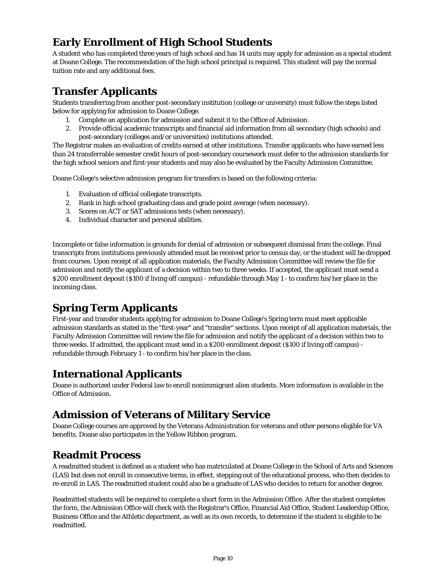## **Early Enrollment of High School Students**

A student who has completed three years of high school and has 14 units may apply for admission as a special student at Doane College. The recommendation of the high school principal is required. This student will pay the normal tuition rate and any additional fees.

## **Transfer Applicants**

Students transferring from another post-secondary institution (college or university) must follow the steps listed below for applying for admission to Doane College.

- 1. Complete an application for admission and submit it to the Office of Admission.
- 2. Provide official academic transcripts and financial aid information from all secondary (high schools) and post-secondary (colleges and/or universities) institutions attended.

The Registrar makes an evaluation of credits earned at other institutions. Transfer applicants who have earned less than 24 transferrable semester credit hours of post-secondary coursework must defer to the admission standards for the high school seniors and first-year students and may also be evaluated by the Faculty Admission Committee.

Doane College's selective admission program for transfers is based on the following criteria:

- 1. Evaluation of official collegiate transcripts.
- 2. Rank in high school graduating class and grade point average (when necessary).
- 3. Scores on ACT or SAT admissions tests (when necessary).
- 4. Individual character and personal abilities.

Incomplete or false information is grounds for denial of admission or subsequent dismissal from the college. Final transcripts from institutions previously attended must be received prior to census day, or the student will be dropped from courses. Upon receipt of all application materials, the Faculty Admission Committee will review the file for admission and notify the applicant of a decision within two to three weeks. If accepted, the applicant must send a \$200 enrollment deposit (\$100 if living off campus) - refundable through May 1 - to confirm his/her place in the incoming class.

## **Spring Term Applicants**

First-year and transfer students applying for admission to Doane College's Spring term must meet applicable admission standards as stated in the "first-year" and "transfer" sections. Upon receipt of all application materials, the Faculty Admission Committee will review the file for admission and notify the applicant of a decision within two to three weeks. If admitted, the applicant must send in a \$200 enrollment deposit (\$100 if living off campus) refundable through February 1 - to confirm his/her place in the class.

### **International Applicants**

Doane is authorized under Federal law to enroll nonimmigrant alien students. More information is available in the Office of Admission.

## **Admission of Veterans of Military Service**

Doane College courses are approved by the Veterans Administration for veterans and other persons eligible for VA benefits. Doane also participates in the Yellow Ribbon program.

## **Readmit Process**

A readmitted student is defined as a student who has matriculated at Doane College in the School of Arts and Sciences (LAS) but does not enroll in consecutive terms, in effect, stepping out of the educational process, who then decides to re-enroll in LAS. The readmitted student could also be a graduate of LAS who decides to return for another degree.

Readmitted students will be required to complete a short form in the Admission Office. After the student completes the form, the Admission Office will check with the Registrar's Office, Financial Aid Office, Student Leadership Office, Business Office and the Athletic department, as well as its own records, to determine if the student is eligible to be readmitted.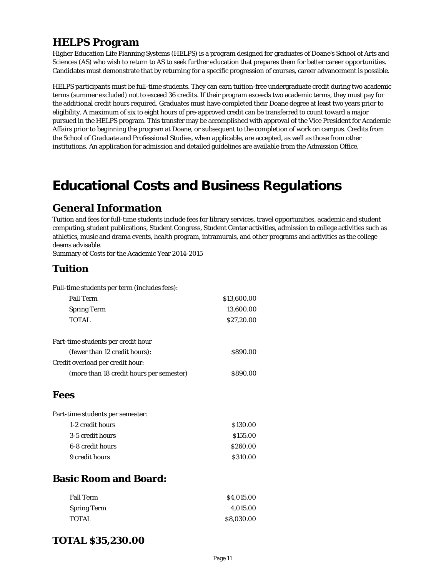## **HELPS Program**

Higher Education Life Planning Systems (HELPS) is a program designed for graduates of Doane's School of Arts and Sciences (AS) who wish to return to AS to seek further education that prepares them for better career opportunities. Candidates must demonstrate that by returning for a specific progression of courses, career advancement is possible.

HELPS participants must be full-time students. They can earn tuition-free undergraduate credit during two academic terms (summer excluded) not to exceed 36 credits. If their program exceeds two academic terms, they must pay for the additional credit hours required. Graduates must have completed their Doane degree at least two years prior to eligibility. A maximum of six to eight hours of pre-approved credit can be transferred to count toward a major pursued in the HELPS program. This transfer may be accomplished with approval of the Vice President for Academic Affairs prior to beginning the program at Doane, or subsequent to the completion of work on campus. Credits from the School of Graduate and Professional Studies, when applicable, are accepted, as well as those from other institutions. An application for admission and detailed guidelines are available from the Admission Office.

## **Educational Costs and Business Regulations**

## **General Information**

Tuition and fees for full-time students include fees for library services, travel opportunities, academic and student computing, student publications, Student Congress, Student Center activities, admission to college activities such as athletics, music and drama events, health program, intramurals, and other programs and activities as the college deems advisable.

Summary of Costs for the Academic Year 2014-2015

#### **Tuition**

| Full-time students per term (includes fees): |             |
|----------------------------------------------|-------------|
| <b>Fall Term</b>                             | \$13,600.00 |
| <b>Spring Term</b>                           | 13,600.00   |
| TOTAL.                                       | \$27,20.00  |
| Part-time students per credit hour           |             |
| (fewer than 12 credit hours):                | \$890.00    |
| Credit overload per credit hour:             |             |
| (more than 18 credit hours per semester)     | \$890.00    |
|                                              |             |
|                                              |             |

### **Fees**

| Part-time students per semester: |          |
|----------------------------------|----------|
| 1-2 credit hours                 | \$130.00 |
| 3-5 credit hours                 | \$155.00 |
| 6-8 credit hours                 | \$260.00 |
| 9 credit hours                   | \$310.00 |

#### **Basic Room and Board:**

| <b>Fall Term</b>   | \$4,015.00 |
|--------------------|------------|
| <b>Spring Term</b> | 4.015.00   |
| <b>TOTAL</b>       | \$8,030.00 |

#### **TOTAL \$35,230.00**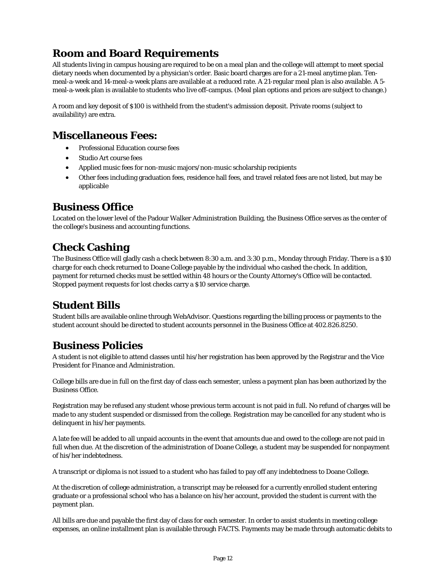## **Room and Board Requirements**

All students living in campus housing are required to be on a meal plan and the college will attempt to meet special dietary needs when documented by a physician's order. Basic board charges are for a 21-meal anytime plan. Tenmeal-a-week and 14-meal-a-week plans are available at a reduced rate. A 21-regular meal plan is also available. A 5 meal-a-week plan is available to students who live off-campus. (Meal plan options and prices are subject to change.)

A room and key deposit of \$100 is withheld from the student's admission deposit. Private rooms (subject to availability) are extra.

#### **Miscellaneous Fees:**

- Professional Education course fees
- Studio Art course fees
- Applied music fees for non-music majors/non-music scholarship recipients
- Other fees including graduation fees, residence hall fees, and travel related fees are not listed, but may be applicable

## **Business Office**

Located on the lower level of the Padour Walker Administration Building, the Business Office serves as the center of the college's business and accounting functions.

## **Check Cashing**

The Business Office will gladly cash a check between 8:30 a.m. and 3:30 p.m., Monday through Friday. There is a \$10 charge for each check returned to Doane College payable by the individual who cashed the check. In addition, payment for returned checks must be settled within 48 hours or the County Attorney's Office will be contacted. Stopped payment requests for lost checks carry a \$10 service charge.

## **Student Bills**

Student bills are available online through WebAdvisor. Questions regarding the billing process or payments to the student account should be directed to student accounts personnel in the Business Office at 402.826.8250.

### **Business Policies**

A student is not eligible to attend classes until his/her registration has been approved by the Registrar and the Vice President for Finance and Administration.

College bills are due in full on the first day of class each semester, unless a payment plan has been authorized by the Business Office.

Registration may be refused any student whose previous term account is not paid in full. No refund of charges will be made to any student suspended or dismissed from the college. Registration may be cancelled for any student who is delinquent in his/her payments.

A late fee will be added to all unpaid accounts in the event that amounts due and owed to the college are not paid in full when due. At the discretion of the administration of Doane College, a student may be suspended for nonpayment of his/her indebtedness.

A transcript or diploma is not issued to a student who has failed to pay off any indebtedness to Doane College.

At the discretion of college administration, a transcript may be released for a currently enrolled student entering graduate or a professional school who has a balance on his/her account, provided the student is current with the payment plan.

All bills are due and payable the first day of class for each semester. In order to assist students in meeting college expenses, an online installment plan is available through FACTS. Payments may be made through automatic debits to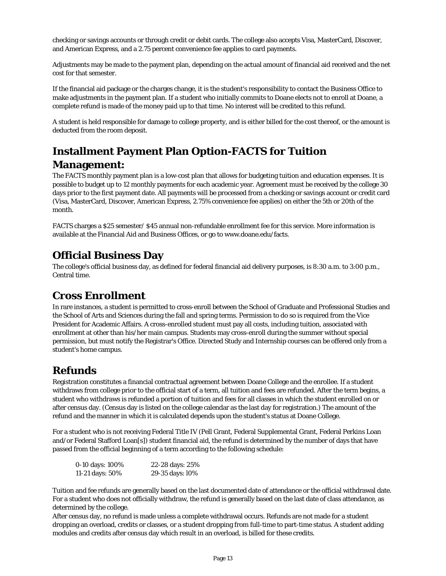checking or savings accounts or through credit or debit cards. The college also accepts Visa, MasterCard, Discover, and American Express, and a 2.75 percent convenience fee applies to card payments.

Adjustments may be made to the payment plan, depending on the actual amount of financial aid received and the net cost for that semester.

If the financial aid package or the charges change, it is the student's responsibility to contact the Business Office to make adjustments in the payment plan. If a student who initially commits to Doane elects not to enroll at Doane, a complete refund is made of the money paid up to that time. No interest will be credited to this refund.

A student is held responsible for damage to college property, and is either billed for the cost thereof, or the amount is deducted from the room deposit.

## **Installment Payment Plan Option-FACTS for Tuition Management:**

The FACTS monthly payment plan is a low-cost plan that allows for budgeting tuition and education expenses. It is possible to budget up to 12 monthly payments for each academic year. Agreement must be received by the college 30 days prior to the first payment date. All payments will be processed from a checking or savings account or credit card (Visa, MasterCard, Discover, American Express, 2.75% convenience fee applies) on either the 5th or 20th of the month.

FACTS charges a \$25 semester/ \$45 annual non-refundable enrollment fee for this service. More information is available at the Financial Aid and Business Offices, or go to www.doane.edu/facts.

### **Official Business Day**

The college's official business day, as defined for federal financial aid delivery purposes, is 8:30 a.m. to 3:00 p.m., Central time.

### **Cross Enrollment**

In rare instances, a student is permitted to cross-enroll between the School of Graduate and Professional Studies and the School of Arts and Sciences during the fall and spring terms. Permission to do so is required from the Vice President for Academic Affairs. A cross-enrolled student must pay all costs, including tuition, associated with enrollment at other than his/her main campus. Students may cross-enroll during the summer without special permission, but must notify the Registrar's Office. Directed Study and Internship courses can be offered only from a student's home campus.

## **Refunds**

Registration constitutes a financial contractual agreement between Doane College and the enrollee. If a student withdraws from college prior to the official start of a term, all tuition and fees are refunded. After the term begins, a student who withdraws is refunded a portion of tuition and fees for all classes in which the student enrolled on or after census day. (Census day is listed on the college calendar as the last day for registration.) The amount of the refund and the manner in which it is calculated depends upon the student's status at Doane College.

For a student who is not receiving Federal Title IV (Pell Grant, Federal Supplemental Grant, Federal Perkins Loan and/or Federal Stafford Loan[s]) student financial aid, the refund is determined by the number of days that have passed from the official beginning of a term according to the following schedule:

| 0-10 days: 100% | 22-28 days: 25% |
|-----------------|-----------------|
| 11-21 days: 50% | 29-35 days: 10% |

Tuition and fee refunds are generally based on the last documented date of attendance or the official withdrawal date. For a student who does not officially withdraw, the refund is generally based on the last date of class attendance, as determined by the college.

After census day, no refund is made unless a complete withdrawal occurs. Refunds are not made for a student dropping an overload, credits or classes, or a student dropping from full-time to part-time status. A student adding modules and credits after census day which result in an overload, is billed for these credits.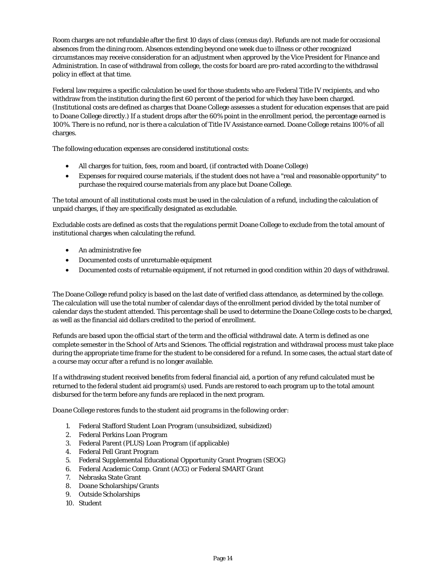Room charges are not refundable after the first 10 days of class (census day). Refunds are not made for occasional absences from the dining room. Absences extending beyond one week due to illness or other recognized circumstances may receive consideration for an adjustment when approved by the Vice President for Finance and Administration. In case of withdrawal from college, the costs for board are pro-rated according to the withdrawal policy in effect at that time.

Federal law requires a specific calculation be used for those students who are Federal Title IV recipients, and who withdraw from the institution during the first 60 percent of the period for which they have been charged. (Institutional costs are defined as charges that Doane College assesses a student for education expenses that are paid to Doane College directly.) If a student drops after the 60% point in the enrollment period, the percentage earned is 100%. There is no refund, nor is there a calculation of Title IV Assistance earned. Doane College retains 100% of all charges.

The following education expenses are considered institutional costs:

- All charges for tuition, fees, room and board, (if contracted with Doane College)
- Expenses for required course materials, if the student does not have a "real and reasonable opportunity" to purchase the required course materials from any place but Doane College.

The total amount of all institutional costs must be used in the calculation of a refund, including the calculation of unpaid charges, if they are specifically designated as excludable.

Excludable costs are defined as costs that the regulations permit Doane College to exclude from the total amount of institutional charges when calculating the refund.

- An administrative fee
- Documented costs of unreturnable equipment
- Documented costs of returnable equipment, if not returned in good condition within 20 days of withdrawal.

The Doane College refund policy is based on the last date of verified class attendance, as determined by the college. The calculation will use the total number of calendar days of the enrollment period divided by the total number of calendar days the student attended. This percentage shall be used to determine the Doane College costs to be charged, as well as the financial aid dollars credited to the period of enrollment.

Refunds are based upon the official start of the term and the official withdrawal date. A term is defined as one complete semester in the School of Arts and Sciences. The official registration and withdrawal process must take place during the appropriate time frame for the student to be considered for a refund. In some cases, the actual start date of a course may occur after a refund is no longer available.

If a withdrawing student received benefits from federal financial aid, a portion of any refund calculated must be returned to the federal student aid program(s) used. Funds are restored to each program up to the total amount disbursed for the term before any funds are replaced in the next program.

*Doane College restores funds to the student aid programs in the following order:*

- 1. Federal Stafford Student Loan Program (unsubsidized, subsidized)
- 2. Federal Perkins Loan Program
- 3. Federal Parent (PLUS) Loan Program (if applicable)
- 4. Federal Pell Grant Program
- 5. Federal Supplemental Educational Opportunity Grant Program (SEOG)
- 6. Federal Academic Comp. Grant (ACG) or Federal SMART Grant
- 7. Nebraska State Grant
- 8. Doane Scholarships/Grants
- 9. Outside Scholarships
- 10. Student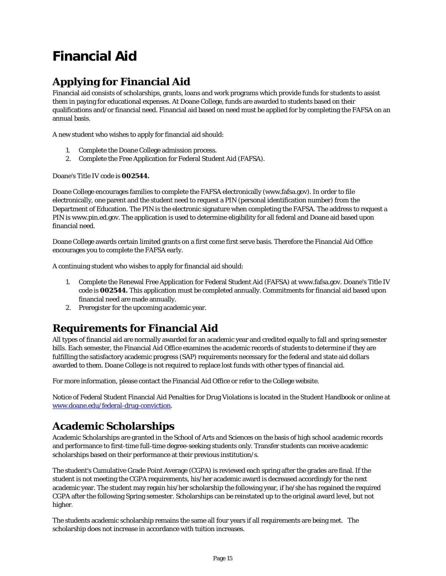# **Financial Aid**

## **Applying for Financial Aid**

Financial aid consists of scholarships, grants, loans and work programs which provide funds for students to assist them in paying for educational expenses. At Doane College, funds are awarded to students based on their qualifications and/or financial need. Financial aid based on need must be applied for by completing the FAFSA on an annual basis.

A new student who wishes to apply for financial aid should:

- 1. Complete the Doane College admission process.
- 2. Complete the Free Application for Federal Student Aid (FAFSA).

Doane's Title IV code is **002544.**

Doane College encourages families to complete the FAFSA electronically (www.fafsa.gov). In order to file electronically, one parent and the student need to request a PIN (personal identification number) from the Department of Education. The PIN is the electronic signature when completing the FAFSA. The address to request a PIN is www.pin.ed.gov. The application is used to determine eligibility for all federal and Doane aid based upon financial need.

Doane College awards certain limited grants on a first come first serve basis. Therefore the Financial Aid Office encourages you to complete the FAFSA early.

A continuing student who wishes to apply for financial aid should:

- 1. Complete the Renewal Free Application for Federal Student Aid (FAFSA) at www.fafsa.gov. Doane's Title IV code is **002544.** This application must be completed annually. Commitments for financial aid based upon financial need are made annually.
- 2. Preregister for the upcoming academic year.

## **Requirements for Financial Aid**

All types of financial aid are normally awarded for an academic year and credited equally to fall and spring semester bills. Each semester, the Financial Aid Office examines the academic records of students to determine if they are fulfilling the satisfactory academic progress (SAP) requirements necessary for the federal and state aid dollars awarded to them. Doane College is not required to replace lost funds with other types of financial aid.

For more information, please contact the Financial Aid Office or refer to the College website.

Notice of Federal Student Financial Aid Penalties for Drug Violations is located in the Student Handbook or online at www.doane.edu/federal-drug-conviction.

## **Academic Scholarships**

Academic Scholarships are granted in the School of Arts and Sciences on the basis of high school academic records and performance to first-time full-time degree-seeking students only. Transfer students can receive academic scholarships based on their performance at their previous institution/s.

The student's Cumulative Grade Point Average (CGPA) is reviewed each spring after the grades are final. If the student is not meeting the CGPA requirements, his/her academic award is decreased accordingly for the next academic year. The student may regain his/her scholarship the following year, if he/she has regained the required CGPA after the following Spring semester. Scholarships can be reinstated up to the original award level, but not higher.

The students academic scholarship remains the same all four years if all requirements are being met. The scholarship does not increase in accordance with tuition increases.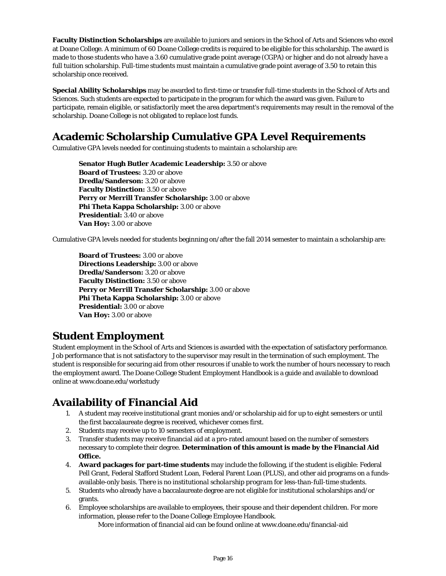**Faculty Distinction Scholarships** are available to juniors and seniors in the School of Arts and Sciences who excel at Doane College. A minimum of 60 Doane College credits is required to be eligible for this scholarship. The award is made to those students who have a 3.60 cumulative grade point average (CGPA) or higher and do not already have a full tuition scholarship. Full-time students must maintain a cumulative grade point average of 3.50 to retain this scholarship once received.

**Special Ability Scholarships** may be awarded to first-time or transfer full-time students in the School of Arts and Sciences. Such students are expected to participate in the program for which the award was given. Failure to participate, remain eligible, or satisfactorily meet the area department's requirements may result in the removal of the scholarship. Doane College is not obligated to replace lost funds.

## **Academic Scholarship Cumulative GPA Level Requirements**

Cumulative GPA levels needed for continuing students to maintain a scholarship are:

**Senator Hugh Butler Academic Leadership:** 3.50 or above **Board of Trustees:** 3.20 or above **Dredla/Sanderson:** 3.20 or above **Faculty Distinction:** 3.50 or above **Perry or Merrill Transfer Scholarship:** 3.00 or above **Phi Theta Kappa Scholarship:** 3.00 or above **Presidential:** 3.40 or above **Van Hoy:** 3.00 or above

Cumulative GPA levels needed for students beginning on/after the fall 2014 semester to maintain a scholarship are:

**Board of Trustees:** 3.00 or above **Directions Leadership:** 3.00 or above **Dredla/Sanderson:** 3.20 or above **Faculty Distinction:** 3.50 or above **Perry or Merrill Transfer Scholarship:** 3.00 or above **Phi Theta Kappa Scholarship:** 3.00 or above **Presidential:** 3.00 or above **Van Hoy:** 3.00 or above

### **Student Employment**

Student employment in the School of Arts and Sciences is awarded with the expectation of satisfactory performance. Job performance that is not satisfactory to the supervisor may result in the termination of such employment. The student is responsible for securing aid from other resources if unable to work the number of hours necessary to reach the employment award. The Doane College Student Employment Handbook is a guide and available to download online at www.doane.edu/workstudy

## **Availability of Financial Aid**

- 1. A student may receive institutional grant monies and/or scholarship aid for up to eight semesters or until the first baccalaureate degree is received, whichever comes first.
- 2. Students may receive up to 10 semesters of employment.
- 3. Transfer students may receive financial aid at a pro-rated amount based on the number of semesters necessary to complete their degree. **Determination of this amount is made by the Financial Aid Office.**
- 4. **Award packages for part-time students** may include the following, if the student is eligible: Federal Pell Grant, Federal Stafford Student Loan, Federal Parent Loan (PLUS), and other aid programs on a fundsavailable-only basis. *There is no institutional scholarship program for less-than-full-time students.*
- 5. Students who already have a baccalaureate degree are not eligible for institutional scholarships and/or grants.
- 6. Employee scholarships are available to employees, their spouse and their dependent children. For more information, please refer to the Doane College Employee Handbook.

More information of financial aid can be found online at www.doane.edu/financial-aid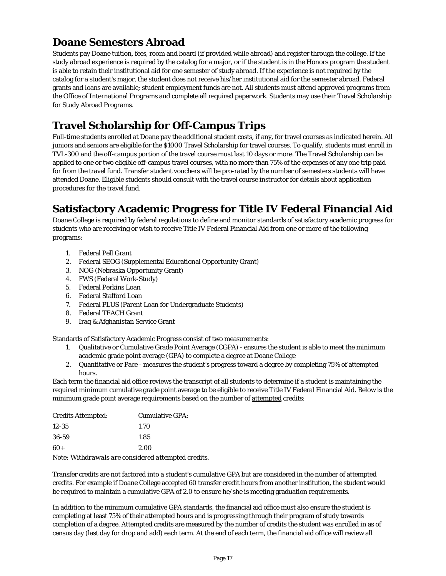## **Doane Semesters Abroad**

Students pay Doane tuition, fees, room and board (if provided while abroad) and register through the college. If the study abroad experience is required by the catalog for a major, or if the student is in the Honors program the student is able to retain their institutional aid for one semester of study abroad. If the experience is not required by the catalog for a student's major, the student does not receive his/her institutional aid for the semester abroad. Federal grants and loans are available; student employment funds are not. All students must attend approved programs from the Office of International Programs and complete all required paperwork. Students may use their Travel Scholarship for Study Abroad Programs.

## **Travel Scholarship for Off-Campus Trips**

Full-time students enrolled at Doane pay the additional student costs, if any, for travel courses as indicated herein. All juniors and seniors are eligible for the \$1000 Travel Scholarship for travel courses. To qualify, students must enroll in TVL-300 and the off-campus portion of the travel course must last 10 days or more. The Travel Scholarship can be applied to one or two eligible off-campus travel courses, with no more than 75% of the expenses of any one trip paid for from the travel fund. Transfer student vouchers will be pro-rated by the number of semesters students will have attended Doane. Eligible students should consult with the travel course instructor for details about application procedures for the travel fund.

## **Satisfactory Academic Progress for Title IV Federal Financial Aid**

Doane College is required by federal regulations to define and monitor standards of satisfactory academic progress for students who are receiving or wish to receive Title IV Federal Financial Aid from one or more of the following programs:

- 1. Federal Pell Grant
- 2. Federal SEOG (Supplemental Educational Opportunity Grant)
- 3. NOG (Nebraska Opportunity Grant)
- 4. FWS (Federal Work-Study)
- 5. Federal Perkins Loan
- 6. Federal Stafford Loan
- 7. Federal PLUS (Parent Loan for Undergraduate Students)
- 8. Federal TEACH Grant
- 9. Iraq & Afghanistan Service Grant

Standards of Satisfactory Academic Progress consist of two measurements:

- 1. Qualitative or Cumulative Grade Point Average (CGPA) ensures the student is able to meet the minimum academic grade point average (GPA) to complete a degree at Doane College
- 2. Quantitative or Pace measures the student's progress toward a degree by completing 75% of attempted hours.

Each term the financial aid office reviews the transcript of all students to determine if a student is maintaining the required minimum cumulative grade point average to be eligible to receive Title IV Federal Financial Aid. Below is the minimum grade point average requirements based on the number of attempted credits:

| Credits Attempted: | <b>Cumulative GPA:</b> |
|--------------------|------------------------|
| $12 - 35$          | 1.70                   |
| $36 - 59$          | 1.85                   |
| $60+$              | 2.00                   |
| .                  |                        |

*Note: Withdrawals are considered attempted credits.*

Transfer credits are not factored into a student's cumulative GPA but are considered in the number of attempted credits. For example if Doane College accepted 60 transfer credit hours from another institution, the student would be required to maintain a cumulative GPA of 2.0 to ensure he/she is meeting graduation requirements.

In addition to the minimum cumulative GPA standards, the financial aid office must also ensure the student is completing at least 75% of their attempted hours and is progressing through their program of study towards completion of a degree. Attempted credits are measured by the number of credits the student was enrolled in as of census day (last day for drop and add) each term. At the end of each term, the financial aid office will review all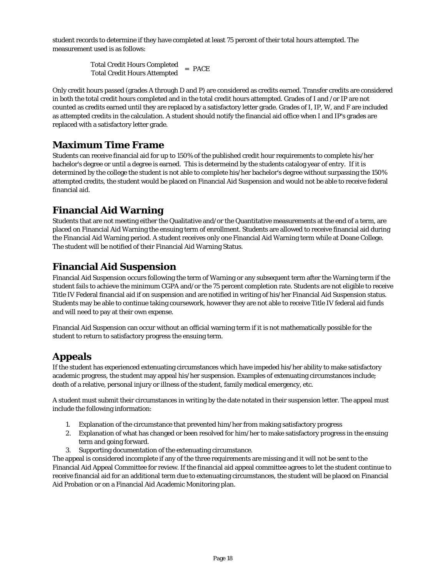student records to determine if they have completed at least 75 percent of their total hours attempted. The measurement used is as follows:

Total Credit Hours Completed <sup>=</sup> PACE Total Credit Hours Attempted

Only credit hours passed (grades A through D and P) are considered as credits earned. Transfer credits are considered in both the total credit hours completed and in the total credit hours attempted. Grades of I and /or IP are not counted as credits earned until they are replaced by a satisfactory letter grade. Grades of I, IP, W, and F are included as attempted credits in the calculation. A student should notify the financial aid office when I and IP's grades are replaced with a satisfactory letter grade.

#### **Maximum Time Frame**

Students can receive financial aid for up to 150% of the published credit hour requirements to complete his/her bachelor's degree or until a degree is earned. This is determeind by the students catalog year of entry. If it is determined by the college the student is not able to complete his/her bachelor's degree without surpassing the 150% attempted credits, the student would be placed on Financial Aid Suspension and would not be able to receive federal financial aid.

#### **Financial Aid Warning**

Students that are not meeting either the Qualitative and/or the Quantitative measurements at the end of a term, are placed on Financial Aid Warning the ensuing term of enrollment. Students are allowed to receive financial aid during the Financial Aid Warning period. A student receives only one Financial Aid Warning term while at Doane College. The student will be notified of their Financial Aid Warning Status.

#### **Financial Aid Suspension**

Financial Aid Suspension occurs following the term of Warning or any subsequent term after the Warning term if the student fails to achieve the minimum CGPA and/or the 75 percent completion rate. Students are not eligible to receive Title IV Federal financial aid if on suspension and are notified in writing of his/her Financial Aid Suspension status. Students may be able to continue taking coursework, however they are not able to receive Title IV federal aid funds and will need to pay at their own expense.

Financial Aid Suspension can occur without an official warning term if it is not mathematically possible for the student to return to satisfactory progress the ensuing term.

## **Appeals**

If the student has experienced extenuating circumstances which have impeded his/her ability to make satisfactory academic progress, the student may appeal his/her suspension. Examples of extenuating circumstances include; death of a relative, personal injury or illness of the student, family medical emergency, etc.

A student must submit their circumstances in writing by the date notated in their suspension letter. The appeal must include the following information:

- 1. Explanation of the circumstance that prevented him/her from making satisfactory progress
- 2. Explanation of what has changed or been resolved for him/her to make satisfactory progress in the ensuing term and going forward.
- 3. Supporting documentation of the extenuating circumstance.

The appeal is considered incomplete if any of the three requirements are missing and it will not be sent to the Financial Aid Appeal Committee for review. If the financial aid appeal committee agrees to let the student continue to receive financial aid for an additional term due to extenuating circumstances, the student will be placed on Financial Aid Probation or on a Financial Aid Academic Monitoring plan.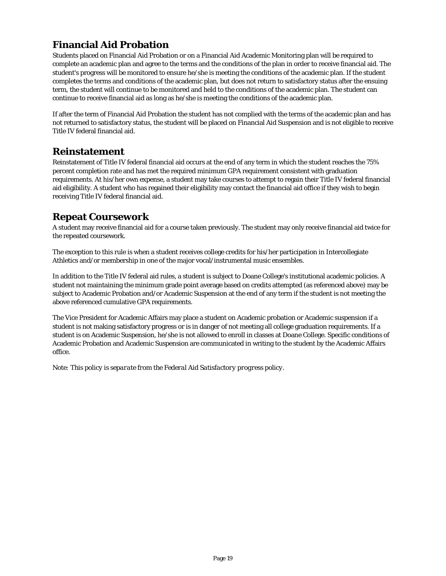## **Financial Aid Probation**

Students placed on Financial Aid Probation or on a Financial Aid Academic Monitoring plan will be required to complete an academic plan and agree to the terms and the conditions of the plan in order to receive financial aid. The student's progress will be monitored to ensure he/she is meeting the conditions of the academic plan. If the student completes the terms and conditions of the academic plan, but does not return to satisfactory status after the ensuing term, the student will continue to be monitored and held to the conditions of the academic plan. The student can continue to receive financial aid as long as he/she is meeting the conditions of the academic plan.

If after the term of Financial Aid Probation the student has not complied with the terms of the academic plan and has not returned to satisfactory status, the student will be placed on Financial Aid Suspension and is not eligible to receive Title IV federal financial aid.

#### **Reinstatement**

Reinstatement of Title IV federal financial aid occurs at the end of any term in which the student reaches the 75% percent completion rate and has met the required minimum GPA requirement consistent with graduation requirements. At his/her own expense, a student may take courses to attempt to regain their Title IV federal financial aid eligibility. A student who has regained their eligibility may contact the financial aid office if they wish to begin receiving Title IV federal financial aid.

#### **Repeat Coursework**

A student may receive financial aid for a course taken previously. The student may only receive financial aid twice for the repeated coursework.

The exception to this rule is when a student receives college credits for his/her participation in Intercollegiate Athletics and/or membership in one of the major vocal/instrumental music ensembles.

In addition to the Title IV federal aid rules, a student is subject to Doane College's institutional academic policies. A student not maintaining the minimum grade point average based on credits attempted (as referenced above) may be subject to Academic Probation and/or Academic Suspension at the end of any term if the student is not meeting the above referenced cumulative GPA requirements.

The Vice President for Academic Affairs may place a student on Academic probation or Academic suspension if a student is not making satisfactory progress or is in danger of not meeting all college graduation requirements. If a student is on Academic Suspension, he/she is not allowed to enroll in classes at Doane College. Specific conditions of Academic Probation and Academic Suspension are communicated in writing to the student by the Academic Affairs office.

*Note: This policy is separate from the Federal Aid Satisfactory progress policy.*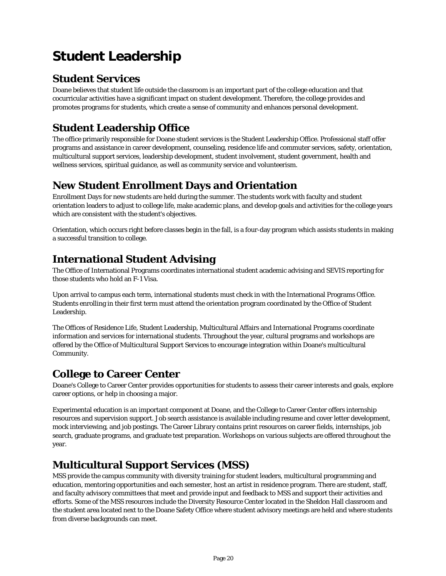# **Student Leadership**

## **Student Services**

Doane believes that student life outside the classroom is an important part of the college education and that cocurricular activities have a significant impact on student development. Therefore, the college provides and promotes programs for students, which create a sense of community and enhances personal development.

## **Student Leadership Office**

The office primarily responsible for Doane student services is the Student Leadership Office. Professional staff offer programs and assistance in career development, counseling, residence life and commuter services, safety, orientation, multicultural support services, leadership development, student involvement, student government, health and wellness services, spiritual guidance, as well as community service and volunteerism.

## **New Student Enrollment Days and Orientation**

Enrollment Days for new students are held during the summer. The students work with faculty and student orientation leaders to adjust to college life, make academic plans, and develop goals and activities for the college years which are consistent with the student's objectives.

Orientation, which occurs right before classes begin in the fall, is a four-day program which assists students in making a successful transition to college.

## **International Student Advising**

The Office of International Programs coordinates international student academic advising and SEVIS reporting for those students who hold an F-1 Visa.

Upon arrival to campus each term, international students must check in with the International Programs Office. Students enrolling in their first term must attend the orientation program coordinated by the Office of Student Leadership.

The Offices of Residence Life, Student Leadership, Multicultural Affairs and International Programs coordinate information and services for international students. Throughout the year, cultural programs and workshops are offered by the Office of Multicultural Support Services to encourage integration within Doane's multicultural Community.

### **College to Career Center**

Doane's College to Career Center provides opportunities for students to assess their career interests and goals, explore career options, or help in choosing a major.

Experimental education is an important component at Doane, and the College to Career Center offers internship resources and supervision support. Job search assistance is available including resume and cover letter development, mock interviewing, and job postings. The Career Library contains print resources on career fields, internships, job search, graduate programs, and graduate test preparation. Workshops on various subjects are offered throughout the year.

## **Multicultural Support Services (MSS)**

MSS provide the campus community with diversity training for student leaders, multicultural programming and education, mentoring opportunities and each semester, host an artist in residence program. There are student, staff, and faculty advisory committees that meet and provide input and feedback to MSS and support their activities and efforts. Some of the MSS resources include the Diversity Resource Center located in the Sheldon Hall classroom and the student area located next to the Doane Safety Office where student advisory meetings are held and where students from diverse backgrounds can meet.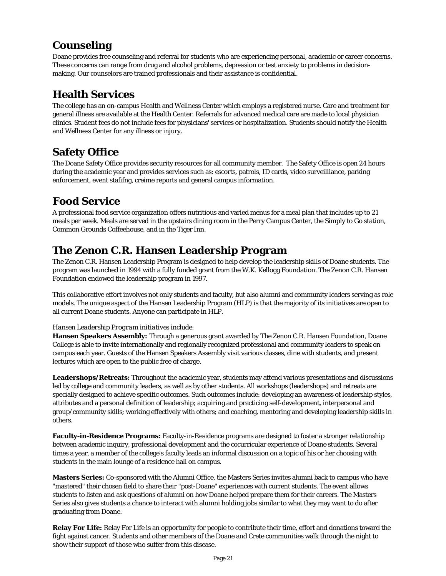## **Counseling**

Doane provides free counseling and referral for students who are experiencing personal, academic or career concerns. These concerns can range from drug and alcohol problems, depression or test anxiety to problems in decisionmaking. Our counselors are trained professionals and their assistance is confidential.

## **Health Services**

The college has an on-campus Health and Wellness Center which employs a registered nurse. Care and treatment for general illness are available at the Health Center. Referrals for advanced medical care are made to local physician clinics. Student fees do not include fees for physicians' services or hospitalization. Students should notify the Health and Wellness Center for any illness or injury.

## **Safety Office**

The Doane Safety Office provides security resources for all community member. The Safety Office is open 24 hours during the academic year and provides services such as: escorts, patrols, ID cards, video surveilliance, parking enforcement, event stafifng, creime reports and general campus information.

## **Food Service**

A professional food service organization offers nutritious and varied menus for a meal plan that includes up to 21 meals per week. Meals are served in the upstairs dining room in the Perry Campus Center, the Simply to Go station, Common Grounds Coffeehouse, and in the Tiger Inn.

## **The Zenon C.R. Hansen Leadership Program**

The Zenon C.R. Hansen Leadership Program is designed to help develop the leadership skills of Doane students. The program was launched in 1994 with a fully funded grant from the W.K. Kellogg Foundation. The Zenon C.R. Hansen Foundation endowed the leadership program in 1997.

This collaborative effort involves not only students and faculty, but also alumni and community leaders serving as role models. The unique aspect of the Hansen Leadership Program (HLP) is that the majority of its initiatives are open to all current Doane students. Anyone can participate in HLP.

#### *Hansen Leadership Program initiatives include:*

**Hansen Speakers Assembly:** Through a generous grant awarded by The Zenon C.R. Hansen Foundation, Doane College is able to invite internationally and regionally recognized professional and community leaders to speak on campus each year. Guests of the Hansen Speakers Assembly visit various classes, dine with students, and present lectures which are open to the public free of charge.

**Leadershops/Retreats:** Throughout the academic year, students may attend various presentations and discussions led by college and community leaders, as well as by other students. All workshops (leadershops) and retreats are specially designed to achieve specific outcomes. Such outcomes include: developing an awareness of leadership styles, attributes and a personal definition of leadership; acquiring and practicing self-development, interpersonal and group/community skills; working effectively with others; and coaching, mentoring and developing leadership skills in others.

**Faculty-in-Residence Programs:** Faculty-in-Residence programs are designed to foster a stronger relationship between academic inquiry, professional development and the cocurricular experience of Doane students. Several times a year, a member of the college's faculty leads an informal discussion on a topic of his or her choosing with students in the main lounge of a residence hall on campus.

**Masters Series:** Co-sponsored with the Alumni Office, the Masters Series invites alumni back to campus who have "mastered" their chosen field to share their "post-Doane" experiences with current students. The event allows students to listen and ask questions of alumni on how Doane helped prepare them for their careers. The Masters Series also gives students a chance to interact with alumni holding jobs similar to what they may want to do after graduating from Doane.

**Relay For Life:** Relay For Life is an opportunity for people to contribute their time, effort and donations toward the fight against cancer. Students and other members of the Doane and Crete communities walk through the night to show their support of those who suffer from this disease.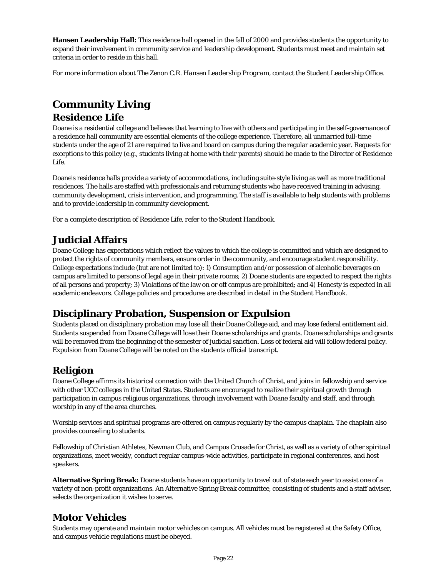**Hansen Leadership Hall:** This residence hall opened in the fall of 2000 and provides students the opportunity to expand their involvement in community service and leadership development. Students must meet and maintain set criteria in order to reside in this hall.

*For more information about The Zenon C.R. Hansen Leadership Program, contact the Student Leadership Office.*

## **Community Living Residence Life**

Doane is a residential college and believes that learning to live with others and participating in the self-governance of a residence hall community are essential elements of the college experience. Therefore, all unmarried full-time students under the age of 21 are required to live and board on campus during the regular academic year. Requests for exceptions to this policy (e.g., students living at home with their parents) should be made to the Director of Residence Life.

Doane's residence halls provide a variety of accommodations, including suite-style living as well as more traditional residences. The halls are staffed with professionals and returning students who have received training in advising, community development, crisis intervention, and programming. The staff is available to help students with problems and to provide leadership in community development.

*For a complete description of Residence Life, refer to the* Student Handbook*.*

#### **Judicial Affairs**

Doane College has expectations which reflect the values to which the college is committed and which are designed to protect the rights of community members, ensure order in the community, and encourage student responsibility. College expectations include (but are not limited to): 1) Consumption and/or possession of alcoholic beverages on campus are limited to persons of legal age in their private rooms; 2) Doane students are expected to respect the rights of all persons and property; 3) Violations of the law on or off campus are prohibited; and 4) Honesty is expected in all academic endeavors. College policies and procedures are described in detail in the Student Handbook.

#### **Disciplinary Probation, Suspension or Expulsion**

Students placed on disciplinary probation may lose all their Doane College aid, and may lose federal entitlement aid. Students suspended from Doane College will lose their Doane scholarships and grants. Doane scholarships and grants will be removed from the beginning of the semester of judicial sanction. Loss of federal aid will follow federal policy. Expulsion from Doane College will be noted on the students official transcript.

### **Religion**

Doane College affirms its historical connection with the United Church of Christ, and joins in fellowship and service with other UCC colleges in the United States. Students are encouraged to realize their spiritual growth through participation in campus religious organizations, through involvement with Doane faculty and staff, and through worship in any of the area churches.

Worship services and spiritual programs are offered on campus regularly by the campus chaplain. The chaplain also provides counseling to students.

Fellowship of Christian Athletes, Newman Club, and Campus Crusade for Christ, as well as a variety of other spiritual organizations, meet weekly, conduct regular campus-wide activities, participate in regional conferences, and host speakers.

**Alternative Spring Break:** Doane students have an opportunity to travel out of state each year to assist one of a variety of non-profit organizations. An Alternative Spring Break committee, consisting of students and a staff adviser, selects the organization it wishes to serve.

#### **Motor Vehicles**

Students may operate and maintain motor vehicles on campus. All vehicles must be registered at the Safety Office, and campus vehicle regulations must be obeyed.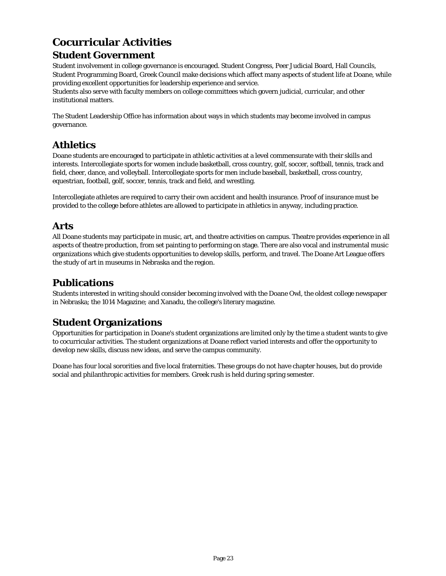## **Cocurricular Activities**

#### **Student Government**

Student involvement in college governance is encouraged. Student Congress, Peer Judicial Board, Hall Councils, Student Programming Board, Greek Council make decisions which affect many aspects of student life at Doane, while providing excellent opportunities for leadership experience and service.

Students also serve with faculty members on college committees which govern judicial, curricular, and other institutional matters.

The Student Leadership Office has information about ways in which students may become involved in campus governance.

#### **Athletics**

Doane students are encouraged to participate in athletic activities at a level commensurate with their skills and interests. Intercollegiate sports for women include basketball, cross country, golf, soccer, softball, tennis, track and field, cheer, dance, and volleyball. Intercollegiate sports for men include baseball, basketball, cross country, equestrian, football, golf, soccer, tennis, track and field, and wrestling.

Intercollegiate athletes are required to carry their own accident and health insurance. Proof of insurance must be provided to the college before athletes are allowed to participate in athletics in anyway, including practice.

#### **Arts**

All Doane students may participate in music, art, and theatre activities on campus. Theatre provides experience in all aspects of theatre production, from set painting to performing on stage. There are also vocal and instrumental music organizations which give students opportunities to develop skills, perform, and travel. The Doane Art League offers the study of art in museums in Nebraska and the region.

#### **Publications**

Students interested in writing should consider becoming involved with the Doane Owl, the oldest college newspaper in Nebraska; the 1014 Magazine; and Xanadu, the college's literary magazine.

#### **Student Organizations**

Opportunities for participation in Doane's student organizations are limited only by the time a student wants to give to cocurricular activities. The student organizations at Doane reflect varied interests and offer the opportunity to develop new skills, discuss new ideas, and serve the campus community.

Doane has four local sororities and five local fraternities. These groups do not have chapter houses, but do provide social and philanthropic activities for members. Greek rush is held during spring semester.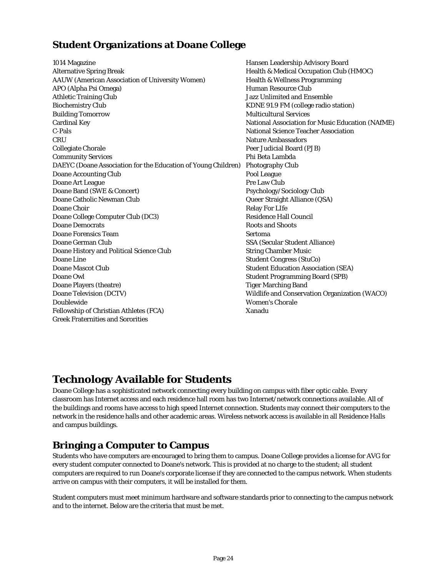#### **Student Organizations at Doane College**

1014 Magazine Alternative Spring Break AAUW (American Association of University Women) APO (Alpha Psi Omega) Athletic Training Club Biochemistry Club Building Tomorrow Cardinal Key C-Pals **CRU** Collegiate Chorale Community Services DAEYC (Doane Association for the Education of Young Children) Photography Club Doane Accounting Club Doane Art League Doane Band (SWE & Concert) Doane Catholic Newman Club Doane Choir Doane College Computer Club (DC3) Doane Democrats Doane Forensics Team Doane German Club Doane History and Political Science Club Doane Line Doane Mascot Club Doane Owl Doane Players (theatre) Doane Television (DCTV) Doublewide Fellowship of Christian Athletes (FCA) Greek Fraternities and Sororities

Hansen Leadership Advisory Board Health & Medical Occupation Club (HMOC) Health & Wellness Programming Human Resource Club Jazz Unlimited and Ensemble KDNE 91.9 FM (college radio station) Multicultural Services National Association for Music Education (NAfME) National Science Teacher Association Nature Ambassadors Peer Judicial Board (PJB) Phi Beta Lambda Pool League Pre Law Club Psychology/Sociology Club Queer Straight Alliance (QSA) Relay For LIfe Residence Hall Council Roots and Shoots Sertoma SSA (Secular Student Alliance) String Chamber Music Student Congress (StuCo) Student Education Association (SEA) Student Programming Board (SPB) Tiger Marching Band Wildlife and Conservation Organization (WACO) Women's Chorale Xanadu

## **Technology Available for Students**

Doane College has a sophisticated network connecting every building on campus with fiber optic cable. Every classroom has Internet access and each residence hall room has two Internet/network connections available. All of the buildings and rooms have access to high speed Internet connection. Students may connect their computers to the network in the residence halls and other academic areas. Wireless network access is available in all Residence Halls and campus buildings.

### **Bringing a Computer to Campus**

Students who have computers are encouraged to bring them to campus. Doane College provides a license for AVG for every student computer connected to Doane's network. This is provided at no charge to the student; all student computers are required to run Doane's corporate license if they are connected to the campus network. When students arrive on campus with their computers, it will be installed for them.

Student computers must meet minimum hardware and software standards prior to connecting to the campus network and to the internet. Below are the criteria that must be met.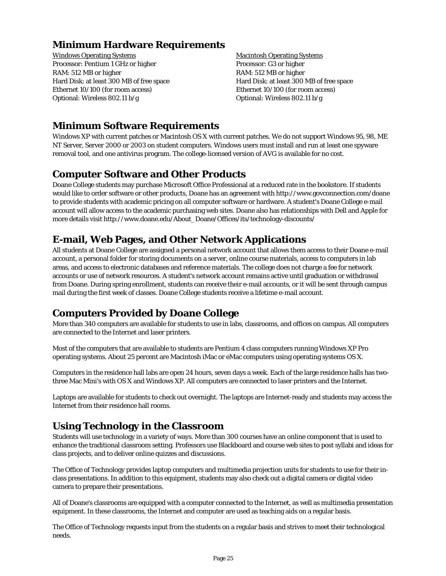#### **Minimum Hardware Requirements**

Windows Operating Systems Processor: Pentium 1 GHz or higher RAM: 512 MB or higher Hard Disk: at least 300 MB of free space Ethernet 10/100 (for room access) Optional: Wireless 802.11 b/g

Macintosh Operating Systems Processor: G3 or higher RAM: 512 MB or higher Hard Disk: at least 300 MB of free space Ethernet 10/100 (for room access) Optional: Wireless 802.11 b/g

### **Minimum Software Requirements**

Windows XP with current patches or Macintosh OS X with current patches. We do not support Windows 95, 98, ME NT Server, Server 2000 or 2003 on student computers. Windows users must install and run at least one spyware removal tool, and one antivirus program. The college-licensed version of AVG is available for no cost.

#### **Computer Software and Other Products**

Doane College students may purchase Microsoft Office Professional at a reduced rate in the bookstore. If students would like to order software or other products, Doane has an agreement with http://www.govconnection.com/doane to provide students with academic pricing on all computer software or hardware. A student's Doane College e-mail account will allow access to the academic purchasing web sites. Doane also has relationships with Dell and Apple for more details visit http://www.doane.edu/About\_Doane/Offices/its/technology-discounts/

## **E-mail, Web Pages, and Other Network Applications**

All students at Doane College are assigned a personal network account that allows them access to their Doane e-mail account, a personal folder for storing documents on a server, online course materials, access to computers in lab areas, and access to electronic databases and reference materials. The college does not charge a fee for network accounts or use of network resources. A student's network account remains active until graduation or withdrawal from Doane. During spring enrollment, students can receive their e-mail accounts, or it will be sent through campus mail during the first week of classes. Doane College students receive a lifetime e-mail account.

### **Computers Provided by Doane College**

More than 340 computers are available for students to use in labs, classrooms, and offices on campus. All computers are connected to the Internet and laser printers.

Most of the computers that are available to students are Pentium 4 class computers running Windows XP Pro operating systems. About 25 percent are Macintosh iMac or eMac computers using operating systems OS X.

Computers in the residence hall labs are open 24 hours, seven days a week. Each of the large residence halls has twothree Mac Mini's with OS X and Windows XP. All computers are connected to laser printers and the Internet.

Laptops are available for students to check out overnight. The laptops are Internet-ready and students may access the Internet from their residence hall rooms.

### **Using Technology in the Classroom**

Students will use technology in a variety of ways. More than 300 courses have an online component that is used to enhance the traditional classroom setting. Professors use Blackboard and course web sites to post syllabi and ideas for class projects, and to deliver online quizzes and discussions.

The Office of Technology provides laptop computers and multimedia projection units for students to use for their inclass presentations. In addition to this equipment, students may also check out a digital camera or digital video camera to prepare their presentations.

All of Doane's classrooms are equipped with a computer connected to the Internet, as well as multimedia presentation equipment. In these classrooms, the Internet and computer are used as teaching aids on a regular basis.

The Office of Technology requests input from the students on a regular basis and strives to meet their technological needs.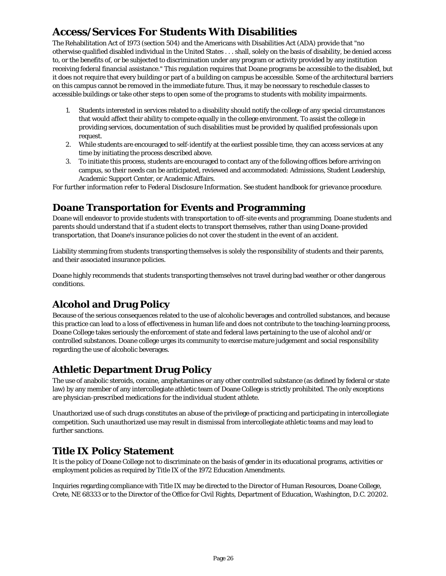## **Access/Services For Students With Disabilities**

The Rehabilitation Act of 1973 (section 504) and the Americans with Disabilities Act (ADA) provide that "no otherwise qualified disabled individual in the United States . . . shall, solely on the basis of disability, be denied access to, or the benefits of, or be subjected to discrimination under any program or activity provided by any institution receiving federal financial assistance." This regulation requires that Doane programs be accessible to the disabled, but it does not require that every building or part of a building on campus be accessible. Some of the architectural barriers on this campus cannot be removed in the immediate future. Thus, it may be necessary to reschedule classes to accessible buildings or take other steps to open some of the programs to students with mobility impairments.

- 1. Students interested in services related to a disability should notify the college of any special circumstances that would affect their ability to compete equally in the college environment. To assist the college in providing services, documentation of such disabilities must be provided by qualified professionals upon request.
- 2. While students are encouraged to self-identify at the earliest possible time, they can access services at any time by initiating the process described above.
- 3. To initiate this process, students are encouraged to contact any of the following offices before arriving on campus, so their needs can be anticipated, reviewed and accommodated: Admissions, Student Leadership, Academic Support Center, or Academic Affairs.

*For further information refer to Federal Disclosure Information. See student handbook for grievance procedure.*

#### **Doane Transportation for Events and Programming**

Doane will endeavor to provide students with transportation to off-site events and programming. Doane students and parents should understand that if a student elects to transport themselves, rather than using Doane-provided transportation, that Doane's insurance policies do not cover the student in the event of an accident.

Liability stemming from students transporting themselves is solely the responsibility of students and their parents, and their associated insurance policies.

Doane highly recommends that students transporting themselves not travel during bad weather or other dangerous conditions.

## **Alcohol and Drug Policy**

Because of the serious consequences related to the use of alcoholic beverages and controlled substances, and because this practice can lead to a loss of effectiveness in human life and does not contribute to the teaching-learning process, Doane College takes seriously the enforcement of state and federal laws pertaining to the use of alcohol and/or controlled substances. Doane college urges its community to exercise mature judgement and social responsibility regarding the use of alcoholic beverages.

### **Athletic Department Drug Policy**

The use of anabolic steroids, cocaine, amphetamines or any other controlled substance (as defined by federal or state law) by any member of any intercollegiate athletic team of Doane College is strictly prohibited. The only exceptions are physician-prescribed medications for the individual student athlete.

Unauthorized use of such drugs constitutes an abuse of the privilege of practicing and participating in intercollegiate competition. Such unauthorized use may result in dismissal from intercollegiate athletic teams and may lead to further sanctions.

#### **Title IX Policy Statement**

It is the policy of Doane College not to discriminate on the basis of gender in its educational programs, activities or employment policies as required by Title IX of the 1972 Education Amendments.

Inquiries regarding compliance with Title IX may be directed to the Director of Human Resources, Doane College, Crete, NE 68333 or to the Director of the Office for Civil Rights, Department of Education, Washington, D.C. 20202.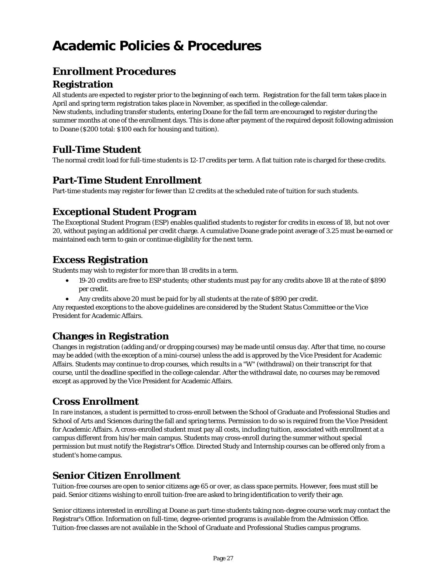# **Academic Policies & Procedures**

## **Enrollment Procedures**

#### **Registration**

All students are expected to register prior to the beginning of each term. Registration for the fall term takes place in April and spring term registration takes place in November, as specified in the college calendar.

New students, including transfer students, entering Doane for the fall term are encouraged to register during the summer months at one of the enrollment days. This is done after payment of the required deposit following admission to Doane (\$200 total: \$100 each for housing and tuition).

### **Full-Time Student**

The normal credit load for full-time students is 12-17 credits per term. A flat tuition rate is charged for these credits.

#### **Part-Time Student Enrollment**

Part-time students may register for fewer than 12 credits at the scheduled rate of tuition for such students.

### **Exceptional Student Program**

The Exceptional Student Program (ESP) enables qualified students to register for credits in excess of 18, but not over 20, without paying an additional per credit charge. A cumulative Doane grade point average of 3.25 must be earned or maintained each term to gain or continue eligibility for the next term.

#### **Excess Registration**

Students may wish to register for more than 18 credits in a term.

- 19-20 credits are free to ESP students; other students must pay for any credits above 18 at the rate of \$890 per credit.
- Any credits above 20 must be paid for by all students at the rate of \$890 per credit.

Any requested exceptions to the above guidelines are considered by the Student Status Committee or the Vice President for Academic Affairs.

#### **Changes in Registration**

Changes in registration (adding and/or dropping courses) may be made until census day. After that time, no course may be added (with the exception of a mini-course) unless the add is approved by the Vice President for Academic Affairs. Students may continue to drop courses, which results in a "W" (withdrawal) on their transcript for that course, until the deadline specified in the college calendar. After the withdrawal date, no courses may be removed except as approved by the Vice President for Academic Affairs.

### **Cross Enrollment**

In rare instances, a student is permitted to cross-enroll between the School of Graduate and Professional Studies and School of Arts and Sciences during the fall and spring terms. Permission to do so is required from the Vice President for Academic Affairs. A cross-enrolled student must pay all costs, including tuition, associated with enrollment at a campus different from his/her main campus. Students may cross-enroll during the summer without special permission but must notify the Registrar's Office. Directed Study and Internship courses can be offered only from a student's home campus.

#### **Senior Citizen Enrollment**

Tuition-free courses are open to senior citizens age 65 or over, as class space permits. However, fees must still be paid. Senior citizens wishing to enroll tuition-free are asked to bring identification to verify their age.

Senior citizens interested in enrolling at Doane as part-time students taking non-degree course work may contact the Registrar's Office. Information on full-time, degree-oriented programs is available from the Admission Office. Tuition-free classes are not available in the School of Graduate and Professional Studies campus programs.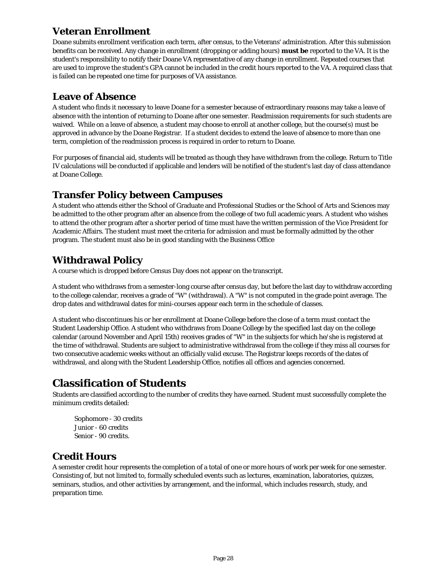#### **Veteran Enrollment**

Doane submits enrollment verification each term, after census, to the Veterans' administration. After this submission benefits can be received. Any change in enrollment (dropping or adding hours) **must be** reported to the VA. It is the student's responsibility to notify their Doane VA representative of any change in enrollment. Repeated courses that are used to improve the student's GPA cannot be included in the credit hours reported to the VA. A required class that is failed can be repeated one time for purposes of VA assistance.

#### **Leave of Absence**

A student who finds it necessary to leave Doane for a semester because of extraordinary reasons may take a leave of absence with the intention of returning to Doane after one semester. Readmission requirements for such students are waived. While on a leave of absence, a student may choose to enroll at another college, but the course(s) must be approved in advance by the Doane Registrar. If a student decides to extend the leave of absence to more than one term, completion of the readmission process is required in order to return to Doane.

For purposes of financial aid, students will be treated as though they have withdrawn from the college. Return to Title IV calculations will be conducted if applicable and lenders will be notified of the student's last day of class attendance at Doane College.

### **Transfer Policy between Campuses**

A student who attends either the School of Graduate and Professional Studies or the School of Arts and Sciences may be admitted to the other program after an absence from the college of two full academic years. A student who wishes to attend the other program after a shorter period of time must have the written permission of the Vice President for Academic Affairs. The student must meet the criteria for admission and must be formally admitted by the other program. The student must also be in good standing with the Business Office

## **Withdrawal Policy**

A course which is dropped before Census Day does not appear on the transcript.

A student who withdraws from a semester-long course after census day, but before the last day to withdraw according to the college calendar, receives a grade of "W" (withdrawal). A "W" is not computed in the grade point average. The drop dates and withdrawal dates for mini-courses appear each term in the schedule of classes.

A student who discontinues his or her enrollment at Doane College before the close of a term must contact the Student Leadership Office. A student who withdraws from Doane College by the specified last day on the college calendar (around November and April 15th) receives grades of "W" in the subjects for which he/she is registered at the time of withdrawal. Students are subject to administrative withdrawal from the college if they miss all courses for two consecutive academic weeks without an officially valid excuse. The Registrar keeps records of the dates of withdrawal, and along with the Student Leadership Office, notifies all offices and agencies concerned.

## **Classification of Students**

Students are classified according to the number of credits they have earned. Student must successfully complete the minimum credits detailed:

Sophomore - 30 credits Junior - 60 credits Senior - 90 credits.

#### **Credit Hours**

A semester credit hour represents the completion of a total of one or more hours of work per week for one semester. Consisting of, but not limited to, formally scheduled events such as lectures, examination, laboratories, quizzes, seminars, studios, and other activities by arrangement, and the informal, which includes research, study, and preparation time.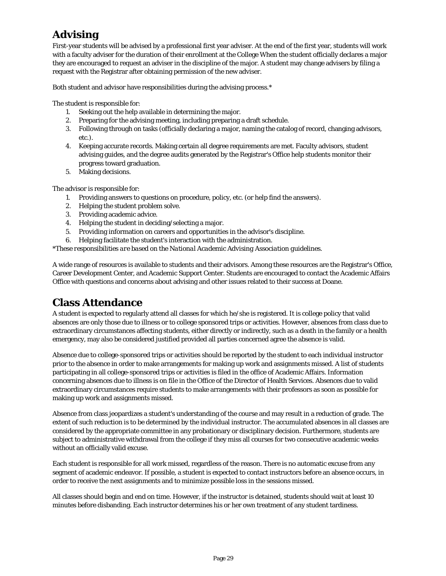## **Advising**

First-year students will be advised by a professional first year adviser. At the end of the first year, students will work with a faculty adviser for the duration of their enrollment at the College When the student officially declares a major they are encouraged to request an adviser in the discipline of the major. A student may change advisers by filing a request with the Registrar after obtaining permission of the new adviser.

Both student and advisor have responsibilities during the advising process.\*

The student is responsible for:

- 1. Seeking out the help available in determining the major.
- 2. Preparing for the advising meeting, including preparing a draft schedule.
- 3. Following through on tasks (officially declaring a major, naming the catalog of record, changing advisors, etc.).
- 4. Keeping accurate records. Making certain all degree requirements are met. Faculty advisors, student advising guides, and the degree audits generated by the Registrar's Office help students monitor their progress toward graduation.
- 5. Making decisions.

The advisor is responsible for:

- 1. Providing answers to questions on procedure, policy, etc. (or help find the answers).
- 2. Helping the student problem solve.
- 3. Providing academic advice.
- 4. Helping the student in deciding/selecting a major.
- 5. Providing information on careers and opportunities in the advisor's discipline.
- 6. Helping facilitate the student's interaction with the administration.

*\*These responsibilities are based on the National Academic Advising Association guidelines.*

A wide range of resources is available to students and their advisors. Among these resources are the Registrar's Office, Career Development Center, and Academic Support Center. Students are encouraged to contact the Academic Affairs Office with questions and concerns about advising and other issues related to their success at Doane.

## **Class Attendance**

A student is expected to regularly attend all classes for which he/she is registered. It is college policy that valid absences are only those due to illness or to college sponsored trips or activities. However, absences from class due to extraordinary circumstances affecting students, either directly or indirectly, such as a death in the family or a health emergency, may also be considered justified provided all parties concerned agree the absence is valid.

Absence due to college-sponsored trips or activities should be reported by the student to each individual instructor prior to the absence in order to make arrangements for making up work and assignments missed. A list of students participating in all college-sponsored trips or activities is filed in the office of Academic Affairs. Information concerning absences due to illness is on file in the Office of the Director of Health Services. Absences due to valid extraordinary circumstances require students to make arrangements with their professors as soon as possible for making up work and assignments missed.

Absence from class jeopardizes a student's understanding of the course and may result in a reduction of grade. The extent of such reduction is to be determined by the individual instructor. The accumulated absences in all classes are considered by the appropriate committee in any probationary or disciplinary decision. Furthermore, students are subject to administrative withdrawal from the college if they miss all courses for two consecutive academic weeks without an officially valid excuse.

Each student is responsible for all work missed, regardless of the reason. There is no automatic excuse from any segment of academic endeavor. If possible, a student is expected to contact instructors before an absence occurs, in order to receive the next assignments and to minimize possible loss in the sessions missed.

All classes should begin and end on time. However, if the instructor is detained, students should wait at least 10 minutes before disbanding. Each instructor determines his or her own treatment of any student tardiness.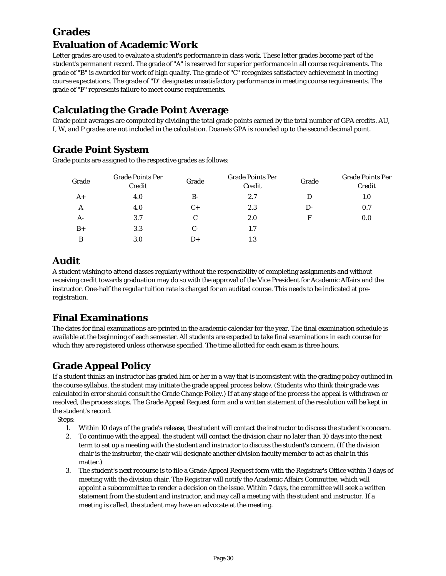### **Grades Evaluation of Academic Work**

Letter grades are used to evaluate a student's performance in class work. These letter grades become part of the student's permanent record. The grade of "A" is reserved for superior performance in all course requirements. The grade of "B" is awarded for work of high quality. The grade of "C" recognizes satisfactory achievement in meeting course expectations. The grade of "D" designates unsatisfactory performance in meeting course requirements. The grade of "F" represents failure to meet course requirements.

#### **Calculating the Grade Point Average**

Grade point averages are computed by dividing the total grade points earned by the total number of GPA credits. AU, I, W, and P grades are not included in the calculation. Doane's GPA is rounded up to the second decimal point.

#### **Grade Point System**

Grade points are assigned to the respective grades as follows:

| Grade | <b>Grade Points Per</b><br>Credit | Grade | <b>Grade Points Per</b><br>Credit | Grade | <b>Grade Points Per</b><br>Credit |
|-------|-----------------------------------|-------|-----------------------------------|-------|-----------------------------------|
| $A+$  | 4.0                               | $B -$ | 2.7                               | D     | 1.0                               |
| A     | 4.0                               | C+    | 2.3                               | D-    | 0.7                               |
| A-    | 3.7                               | C     | 2.0                               | F     | 0.0                               |
| $B+$  | 3.3                               | $C-$  | 1.7                               |       |                                   |
| B     | 3.0                               | D+    | 1.3                               |       |                                   |

#### **Audit**

A student wishing to attend classes regularly without the responsibility of completing assignments and without receiving credit towards graduation may do so with the approval of the Vice President for Academic Affairs and the instructor. One-half the regular tuition rate is charged for an audited course. This needs to be indicated at preregistration.

### **Final Examinations**

The dates for final examinations are printed in the academic calendar for the year. The final examination schedule is available at the beginning of each semester. All students are expected to take final examinations in each course for which they are registered unless otherwise specified. The time allotted for each exam is three hours.

## **Grade Appeal Policy**

If a student thinks an instructor has graded him or her in a way that is inconsistent with the grading policy outlined in the course syllabus, the student may initiate the grade appeal process below. (Students who think their grade was calculated in error should consult the Grade Change Policy.) If at any stage of the process the appeal is withdrawn or resolved, the process stops. The Grade Appeal Request form and a written statement of the resolution will be kept in the student's record.

Steps:

- 1. Within 10 days of the grade's release, the student will contact the instructor to discuss the student's concern.
- 2. To continue with the appeal, the student will contact the division chair no later than 10 days into the next term to set up a meeting with the student and instructor to discuss the student's concern. (If the division chair is the instructor, the chair will designate another division faculty member to act as chair in this matter.)
- 3. The student's next recourse is to file a Grade Appeal Request form with the Registrar's Office within 3 days of meeting with the division chair. The Registrar will notify the Academic Affairs Committee, which will appoint a subcommittee to render a decision on the issue. Within 7 days, the committee will seek a written statement from the student and instructor, and may call a meeting with the student and instructor. If a meeting is called, the student may have an advocate at the meeting.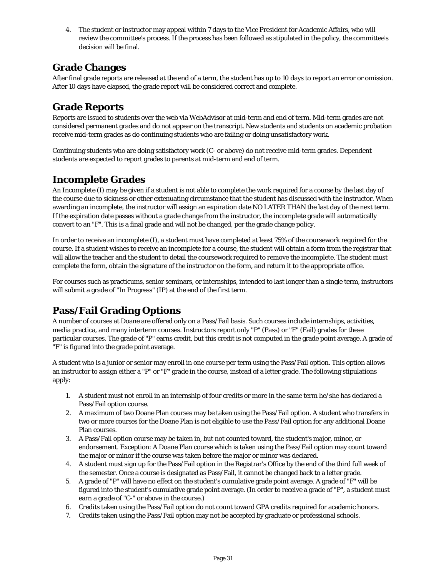4. The student or instructor may appeal within 7 days to the Vice President for Academic Affairs, who will review the committee's process. If the process has been followed as stipulated in the policy, the committee's decision will be final.

#### **Grade Changes**

After final grade reports are released at the end of a term, the student has up to 10 days to report an error or omission. After 10 days have elapsed, the grade report will be considered correct and complete.

#### **Grade Reports**

Reports are issued to students over the web via WebAdvisor at mid-term and end of term. Mid-term grades are not considered permanent grades and do not appear on the transcript. New students and students on academic probation receive mid-term grades as do continuing students who are failing or doing unsatisfactory work.

Continuing students who are doing satisfactory work (C- or above) do not receive mid-term grades. Dependent students are expected to report grades to parents at mid-term and end of term.

#### **Incomplete Grades**

An Incomplete (I) may be given if a student is not able to complete the work required for a course by the last day of the course due to sickness or other extenuating circumstance that the student has discussed with the instructor. When awarding an incomplete, the instructor will assign an expiration date NO LATER THAN the last day of the next term. If the expiration date passes without a grade change from the instructor, the incomplete grade will automatically convert to an "F". This is a final grade and will not be changed, per the grade change policy.

In order to receive an incomplete (I), a student must have completed at least 75% of the coursework required for the course. If a student wishes to receive an incomplete for a course, the student will obtain a form from the registrar that will allow the teacher and the student to detail the coursework required to remove the incomplete. The student must complete the form, obtain the signature of the instructor on the form, and return it to the appropriate office.

For courses such as practicums, senior seminars, or internships, intended to last longer than a single term, instructors will submit a grade of "In Progress" (IP) at the end of the first term.

### **Pass/Fail Grading Options**

A number of courses at Doane are offered only on a Pass/Fail basis. Such courses include internships, activities, media practica, and many interterm courses. Instructors report only "P" (Pass) or "F" (Fail) grades for these particular courses. The grade of "P" earns credit, but this credit is not computed in the grade point average. A grade of "F" is figured into the grade point average.

A student who is a junior or senior may enroll in one course per term using the Pass/Fail option. This option allows an instructor to assign either a "P" or "F" grade in the course, instead of a letter grade. The following stipulations apply:

- 1. A student must not enroll in an internship of four credits or more in the same term he/she has declared a Pass/Fail option course.
- 2. A maximum of two Doane Plan courses may be taken using the Pass/Fail option. A student who transfers in two or more courses for the Doane Plan is not eligible to use the Pass/Fail option for any additional Doane Plan courses.
- 3. A Pass/Fail option course may be taken in, but not counted toward, the student's major, minor, or endorsement. Exception: A Doane Plan course which is taken using the Pass/Fail option may count toward the major or minor if the course was taken before the major or minor was declared.
- 4. A student must sign up for the Pass/Fail option in the Registrar's Office by the end of the third full week of the semester. Once a course is designated as Pass/Fail, it cannot be changed back to a letter grade.
- 5. A grade of "P" will have no effect on the student's cumulative grade point average. A grade of "F" will be figured into the student's cumulative grade point average. (In order to receive a grade of "P", a student must earn a grade of "C-" or above in the course.)
- 6. Credits taken using the Pass/Fail option do not count toward GPA credits required for academic honors.
- 7. Credits taken using the Pass/Fail option may not be accepted by graduate or professional schools.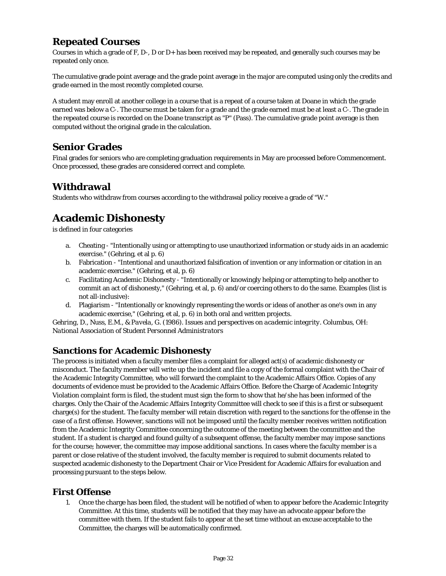#### **Repeated Courses**

Courses in which a grade of F, D-, D or D+ has been received may be repeated, and generally such courses may be repeated only once.

The cumulative grade point average and the grade point average in the major are computed using only the credits and grade earned in the most recently completed course.

A student may enroll at another college in a course that is a repeat of a course taken at Doane in which the grade earned was below a C-. The course must be taken for a grade and the grade earned must be at least a C-. The grade in the repeated course is recorded on the Doane transcript as "P" (Pass). The cumulative grade point average is then computed without the original grade in the calculation.

#### **Senior Grades**

Final grades for seniors who are completing graduation requirements in May are processed before Commencement. Once processed, these grades are considered correct and complete.

#### **Withdrawal**

Students who withdraw from courses according to the withdrawal policy receive a grade of "W."

## **Academic Dishonesty**

is defined in four categories

- a. Cheating "Intentionally using or attempting to use unauthorized information or study aids in an academic exercise." (Gehring, et al p. 6)
- b. Fabrication "Intentional and unauthorized falsification of invention or any information or citation in an academic exercise." (Gehring, et al, p. 6)
- c. Facilitating Academic Dishonesty "Intentionally or knowingly helping or attempting to help another to commit an act of dishonesty," (Gehring, et al, p. 6) and/or coercing others to do the same. Examples (list is not all-inclusive):
- d. Plagiarism "Intentionally or knowingly representing the words or ideas of another as one's own in any academic exercise," (Gehring, et al, p. 6) in both oral and written projects.

*Gehring, D., Nuss, E.M., & Pavela, G. (1986). Issues and perspectives on academic integrity. Columbus, OH: National Association of Student Personnel Administrators*

#### **Sanctions for Academic Dishonesty**

The process is initiated when a faculty member files a complaint for alleged act(s) of academic dishonesty or misconduct. The faculty member will write up the incident and file a copy of the formal complaint with the Chair of the Academic Integrity Committee, who will forward the complaint to the Academic Affairs Office. Copies of any documents of evidence must be provided to the Academic Affairs Office. Before the Charge of Academic Integrity Violation complaint form is filed, the student must sign the form to show that he/she has been informed of the charges. Only the Chair of the Academic Affairs Integrity Committee will check to see if this is a first or subsequent charge(s) for the student. The faculty member will retain discretion with regard to the sanctions for the offense in the case of a first offense. However, sanctions will not be imposed until the faculty member receives written notification from the Academic Integrity Committee concerning the outcome of the meeting between the committee and the student. If a student is charged and found guilty of a subsequent offense, the faculty member may impose sanctions for the course; however, the committee may impose additional sanctions. In cases where the faculty member is a parent or close relative of the student involved, the faculty member is required to submit documents related to suspected academic dishonesty to the Department Chair or Vice President for Academic Affairs for evaluation and processing pursuant to the steps below.

#### **First Offense**

1. Once the charge has been filed, the student will be notified of when to appear before the Academic Integrity Committee. At this time, students will be notified that they may have an advocate appear before the committee with them. If the student fails to appear at the set time without an excuse acceptable to the Committee, the charges will be automatically confirmed.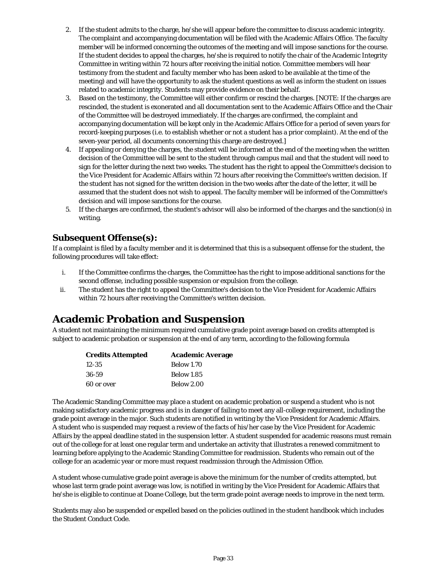- 2. If the student admits to the charge, he/she will appear before the committee to discuss academic integrity. The complaint and accompanying documentation will be filed with the Academic Affairs Office. The faculty member will be informed concerning the outcomes of the meeting and will impose sanctions for the course. If the student decides to appeal the charges, he/she is required to notify the chair of the Academic Integrity Committee in writing within 72 hours after receiving the initial notice. Committee members will hear testimony from the student and faculty member who has been asked to be available at the time of the meeting) and will have the opportunity to ask the student questions as well as inform the student on issues related to academic integrity. Students may provide evidence on their behalf.
- 3. Based on the testimony, the Committee will either confirm or rescind the charges. [NOTE: If the charges are rescinded, the student is exonerated and all documentation sent to the Academic Affairs Office and the Chair of the Committee will be destroyed immediately. If the charges are confirmed, the complaint and accompanying documentation will be kept only in the Academic Affairs Office for a period of seven years for record-keeping purposes (i.e. to establish whether or not a student has a prior complaint). At the end of the seven-year period, all documents concerning this charge are destroyed.]
- 4. If appealing or denying the charges, the student will be informed at the end of the meeting when the written decision of the Committee will be sent to the student through campus mail and that the student will need to sign for the letter during the next two weeks. The student has the right to appeal the Committee's decision to the Vice President for Academic Affairs within 72 hours after receiving the Committee's written decision. If the student has not signed for the written decision in the two weeks after the date of the letter, it will be assumed that the student does not wish to appeal. The faculty member will be informed of the Committee's decision and will impose sanctions for the course.
- 5. If the charges are confirmed, the student's advisor will also be informed of the charges and the sanction(s) in writing.

#### **Subsequent Offense(s):**

If a complaint is filed by a faculty member and it is determined that this is a subsequent offense for the student, the following procedures will take effect:

- i. If the Committee confirms the charges, the Committee has the right to impose additional sanctions for the second offense, including possible suspension or expulsion from the college.
- ii. The student has the right to appeal the Committee's decision to the Vice President for Academic Affairs within 72 hours after receiving the Committee's written decision.

## **Academic Probation and Suspension**

A student not maintaining the minimum required cumulative grade point average based on credits attempted is subject to academic probation or suspension at the end of any term, according to the following formula

| <b>Credits Attempted</b> | <b>Academic Average</b> |
|--------------------------|-------------------------|
| $12 - 35$                | <b>Below 1.70</b>       |
| 36-59                    | <b>Below 1.85</b>       |
| 60 or over               | <b>Below 2.00</b>       |

The Academic Standing Committee may place a student on academic probation or suspend a student who is not making satisfactory academic progress and is in danger of failing to meet any all-college requirement, including the grade point average in the major. Such students are notified in writing by the Vice President for Academic Affairs. A student who is suspended may request a review of the facts of his/her case by the Vice President for Academic Affairs by the appeal deadline stated in the suspension letter. A student suspended for academic reasons must remain out of the college for at least one regular term and undertake an activity that illustrates a renewed commitment to learning before applying to the Academic Standing Committee for readmission. Students who remain out of the college for an academic year or more must request readmission through the Admission Office.

A student whose cumulative grade point average is above the minimum for the number of credits attempted, but whose last term grade point average was low, is notified in writing by the Vice President for Academic Affairs that he/she is eligible to continue at Doane College, but the term grade point average needs to improve in the next term.

Students may also be suspended or expelled based on the policies outlined in the student handbook which includes the Student Conduct Code.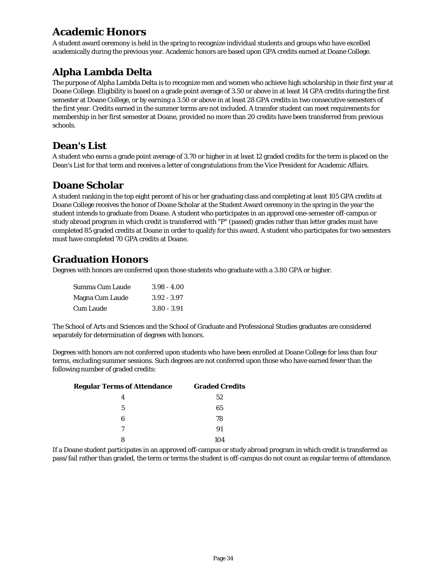## **Academic Honors**

A student award ceremony is held in the spring to recognize individual students and groups who have excelled academically during the previous year. Academic honors are based upon GPA credits earned at Doane College.

## **Alpha Lambda Delta**

The purpose of Alpha Lambda Delta is to recognize men and women who achieve high scholarship in their first year at Doane College. Eligibility is based on a grade point average of 3.50 or above in at least 14 GPA credits during the first semester at Doane College, or by earning a 3.50 or above in at least 28 GPA credits in two consecutive semesters of the first year. Credits earned in the summer terms are not included. A transfer student can meet requirements for membership in her first semester at Doane, provided no more than 20 credits have been transferred from previous schools.

#### **Dean's List**

A student who earns a grade point average of 3.70 or higher in at least 12 graded credits for the term is placed on the Dean's List for that term and receives a letter of congratulations from the Vice President for Academic Affairs.

#### **Doane Scholar**

A student ranking in the top eight percent of his or her graduating class and completing at least 105 GPA credits at Doane College receives the honor of Doane Scholar at the Student Award ceremony in the spring in the year the student intends to graduate from Doane. A student who participates in an approved one-semester off-campus or study abroad program in which credit is transferred with "P" (passed) grades rather than letter grades must have completed 85 graded credits at Doane in order to qualify for this award. A student who participates for two semesters must have completed 70 GPA credits at Doane.

### **Graduation Honors**

Degrees with honors are conferred upon those students who graduate with a 3.80 GPA or higher.

| Summa Cum Laude | $3.98 - 4.00$ |
|-----------------|---------------|
| Magna Cum Laude | $3.92 - 3.97$ |
| Cum Laude       | $3.80 - 3.91$ |

The School of Arts and Sciences and the School of Graduate and Professional Studies graduates are considered separately for determination of degrees with honors.

Degrees with honors are not conferred upon students who have been enrolled at Doane College for less than four terms, excluding summer sessions. Such degrees are not conferred upon those who have earned fewer than the following number of graded credits:

| <b>Regular Terms of Attendance</b> | <b>Graded Credits</b> |  |
|------------------------------------|-----------------------|--|
|                                    | 52                    |  |
| 5                                  | 65                    |  |
| 6                                  | 78                    |  |
|                                    | 91                    |  |
|                                    | 104                   |  |

If a Doane student participates in an approved off-campus or study abroad program in which credit is transferred as pass/fail rather than graded, the term or terms the student is off-campus do not count as regular terms of attendance.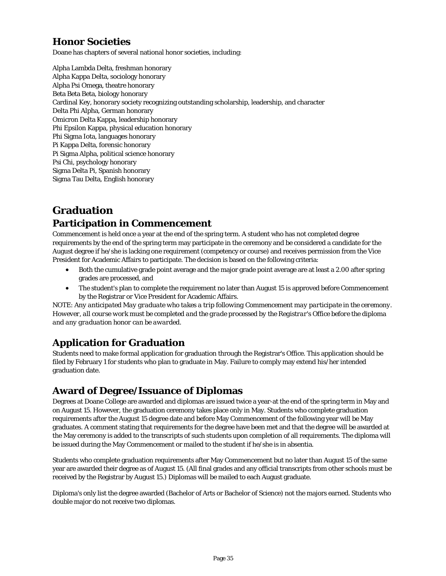#### **Honor Societies**

Doane has chapters of several national honor societies, including:

Alpha Lambda Delta, freshman honorary Alpha Kappa Delta, sociology honorary Alpha Psi Omega, theatre honorary Beta Beta Beta, biology honorary Cardinal Key, honorary society recognizing outstanding scholarship, leadership, and character Delta Phi Alpha, German honorary Omicron Delta Kappa, leadership honorary Phi Epsilon Kappa, physical education honorary Phi Sigma Iota, languages honorary Pi Kappa Delta, forensic honorary Pi Sigma Alpha, political science honorary Psi Chi, psychology honorary Sigma Delta Pi, Spanish honorary Sigma Tau Delta, English honorary

## **Graduation Participation in Commencement**

Commencement is held once a year at the end of the spring term. A student who has not completed degree requirements by the end of the spring term may participate in the ceremony and be considered a candidate for the August degree if he/she is lacking one requirement (competency or course) and receives permission from the Vice President for Academic Affairs to participate. The decision is based on the following criteria:

- Both the cumulative grade point average and the major grade point average are at least a 2.00 after spring grades are processed, and
- The student's plan to complete the requirement no later than August 15 is approved before Commencement by the Registrar or Vice President for Academic Affairs.

NOTE: *Any anticipated May graduate who takes a trip following Commencement may participate in the ceremony. However, all course work must be completed and the grade processed by the Registrar's Office before the diploma and any graduation honor can be awarded.*

### **Application for Graduation**

Students need to make formal application for graduation through the Registrar's Office. This application should be filed by February 1 for students who plan to graduate in May. Failure to comply may extend his/her intended graduation date.

#### **Award of Degree/Issuance of Diplomas**

Degrees at Doane College are awarded and diplomas are issued twice a year-at the end of the spring term in May and on August 15. However, the graduation ceremony takes place only in May. Students who complete graduation requirements after the August 15 degree date and before May Commencement of the following year will be May graduates. A comment stating that requirements for the degree have been met and that the degree will be awarded at the May ceremony is added to the transcripts of such students upon completion of all requirements. The diploma will be issued during the May Commencement or mailed to the student if he/she is in absentia.

Students who complete graduation requirements after May Commencement but no later than August 15 of the same year are awarded their degree as of August 15. (All final grades and any official transcripts from other schools must be received by the Registrar by August 15.) Diplomas will be mailed to each August graduate.

Diploma's only list the degree awarded (Bachelor of Arts or Bachelor of Science) not the majors earned. Students who double major do not receive two diplomas.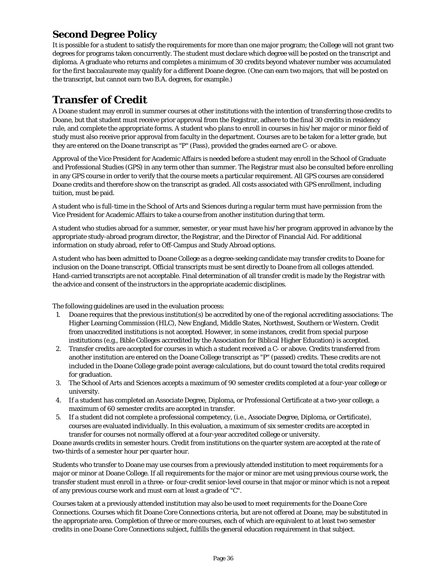#### **Second Degree Policy**

It is possible for a student to satisfy the requirements for more than one major program; the College will not grant two degrees for programs taken concurrently. The student must declare which degree will be posted on the transcript and diploma. A graduate who returns and completes a minimum of 30 credits beyond whatever number was accumulated for the first baccalaureate may qualify for a different Doane degree. (One can earn two majors, that will be posted on the transcript, but cannot earn two B.A. degrees, for example.)

## **Transfer of Credit**

A Doane student may enroll in summer courses at other institutions with the intention of transferring those credits to Doane, but that student must receive prior approval from the Registrar, adhere to the final 30 credits in residency rule, and complete the appropriate forms. A student who plans to enroll in courses in his/her major or minor field of study must also receive prior approval from faculty in the department. Courses are to be taken for a letter grade, but they are entered on the Doane transcript as "P" (Pass), provided the grades earned are C- or above.

Approval of the Vice President for Academic Affairs is needed before a student may enroll in the School of Graduate and Professional Studies (GPS) in any term other than summer. The Registrar must also be consulted before enrolling in any GPS course in order to verify that the course meets a particular requirement. All GPS courses are considered Doane credits and therefore show on the transcript as graded. All costs associated with GPS enrollment, including tuition, must be paid.

A student who is full-time in the School of Arts and Sciences during a regular term must have permission from the Vice President for Academic Affairs to take a course from another institution during that term.

A student who studies abroad for a summer, semester, or year must have his/her program approved in advance by the appropriate study-abroad program director, the Registrar, and the Director of Financial Aid. For additional information on study abroad, refer to Off-Campus and Study Abroad options.

A student who has been admitted to Doane College as a degree-seeking candidate may transfer credits to Doane for inclusion on the Doane transcript. Official transcripts must be sent directly to Doane from all colleges attended. Hand-carried transcripts are not acceptable. Final determination of all transfer credit is made by the Registrar with the advice and consent of the instructors in the appropriate academic disciplines.

The following guidelines are used in the evaluation process:

- 1. Doane requires that the previous institution(s) be accredited by one of the regional accrediting associations: The Higher Learning Commission (HLC), New England, Middle States, Northwest, Southern or Western. Credit from unaccredited institutions is not accepted. However, in some instances, credit from special purpose institutions (e.g., Bible Colleges accredited by the Association for Biblical Higher Education) is accepted.
- 2. Transfer credits are accepted for courses in which a student received a C- or above. Credits transferred from another institution are entered on the Doane College transcript as "P" (passed) credits. These credits are not included in the Doane College grade point average calculations, but do count toward the total credits required for graduation.
- 3. The School of Arts and Sciences accepts a maximum of 90 semester credits completed at a four-year college or university.
- 4. If a student has completed an Associate Degree, Diploma, or Professional Certificate at a two-year college, a maximum of 60 semester credits are accepted in transfer.
- 5. If a student did not complete a professional competency, (i.e., Associate Degree, Diploma, or Certificate), courses are evaluated individually. In this evaluation, a maximum of six semester credits are accepted in transfer for courses not normally offered at a four-year accredited college or university.

Doane awards credits in semester hours. Credit from institutions on the quarter system are accepted at the rate of two-thirds of a semester hour per quarter hour.

Students who transfer to Doane may use courses from a previously attended institution to meet requirements for a major or minor at Doane College. If all requirements for the major or minor are met using previous course work, the transfer student must enroll in a three- or four-credit senior-level course in that major or minor which is not a repeat of any previous course work and must earn at least a grade of "C".

Courses taken at a previously attended institution may also be used to meet requirements for the Doane Core Connections. Courses which fit Doane Core Connections criteria, but are not offered at Doane, may be substituted in the appropriate area. Completion of three or more courses, each of which are equivalent to at least two semester credits in one Doane Core Connections subject, fulfills the general education requirement in that subject.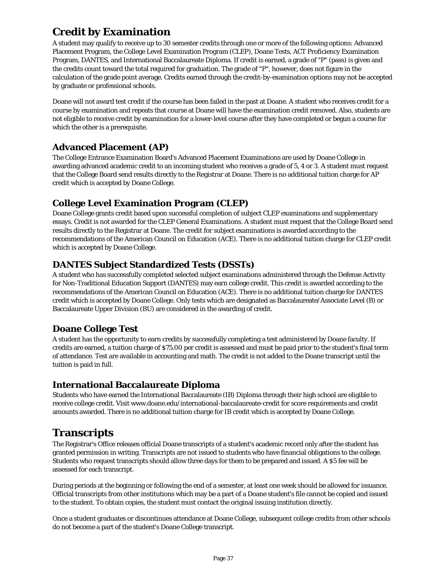## **Credit by Examination**

A student may qualify to receive up to 30 semester credits through one or more of the following options: Advanced Placement Program, the College Level Examination Program (CLEP), Doane Tests, ACT Proficiency Examination Program, DANTES, and International Baccalaureate Diploma. If credit is earned, a grade of "P" (pass) is given and the credits count toward the total required for graduation. The grade of "P", however, does not figure in the calculation of the grade point average. Credits earned through the credit-by-examination options may not be accepted by graduate or professional schools.

Doane will not award test credit if the course has been failed in the past at Doane. A student who receives credit for a course by examination and repeats that course at Doane will have the examination credit removed. Also, students are not eligible to receive credit by examination for a lower-level course after they have completed or begun a course for which the other is a prerequisite.

### **Advanced Placement (AP)**

The College Entrance Examination Board's Advanced Placement Examinations are used by Doane College in awarding advanced academic credit to an incoming student who receives a grade of 5, 4 or 3. A student must request that the College Board send results directly to the Registrar at Doane. There is no additional tuition charge for AP credit which is accepted by Doane College.

### **College Level Examination Program (CLEP)**

Doane College grants credit based upon successful completion of subject CLEP examinations and supplementary essays. Credit is not awarded for the CLEP General Examinations. A student must request that the College Board send results directly to the Registrar at Doane. The credit for subject examinations is awarded according to the recommendations of the American Council on Education (ACE). There is no additional tuition charge for CLEP credit which is accepted by Doane College.

### **DANTES Subject Standardized Tests (DSSTs)**

A student who has successfully completed selected subject examinations administered through the Defense Activity for Non-Traditional Education Support (DANTES) may earn college credit. This credit is awarded according to the recommendations of the American Council on Education (ACE). There is no additional tuition charge for DANTES credit which is accepted by Doane College. Only tests which are designated as Baccalaureate/Associate Level (B) or Baccalaureate Upper Division (BU) are considered in the awarding of credit.

### **Doane College Test**

A student has the opportunity to earn credits by successfully completing a test administered by Doane faculty. If credits are earned, a tuition charge of \$75.00 per credit is assessed and must be paid prior to the student's final term of attendance. Test are available in accounting and math. The credit is not added to the Doane transcript until the tuition is paid in full.

### **International Baccalaureate Diploma**

Students who have earned the International Baccalaureate (IB) Diploma through their high school are eligible to receive college credit. Visit www.doane.edu/international-baccalaureate-credit for score requirements and credit amounts awarded. There is no additional tuition charge for IB credit which is accepted by Doane College.

### **Transcripts**

The Registrar's Office releases official Doane transcripts of a student's academic record only after the student has granted permission in writing. Transcripts are not issued to students who have financial obligations to the college. Students who request transcripts should allow three days for them to be prepared and issued. A \$5 fee will be assessed for each transcript.

During periods at the beginning or following the end of a semester, at least one week should be allowed for issuance. Official transcripts from other institutions which may be a part of a Doane student's file cannot be copied and issued to the student. To obtain copies, the student must contact the original issuing institution directly.

Once a student graduates or discontinues attendance at Doane College, subsequent college credits from other schools do not become a part of the student's Doane College transcript.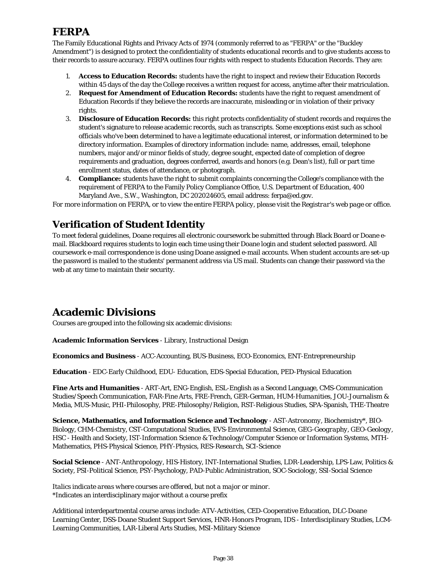### **FERPA**

The Family Educational Rights and Privacy Acts of 1974 (commonly referred to as "FERPA" or the "Buckley Amendment") is designed to protect the confidentiality of students educational records and to give students access to their records to assure accuracy. FERPA outlines four rights with respect to students Education Records. They are:

- 1. **Access to Education Records:** students have the right to inspect and review their Education Records within 45 days of the day the College receives a written request for access, anytime after their matriculation.
- 2. **Request for Amendment of Education Records:** students have the right to request amendment of Education Records if they believe the records are inaccurate, misleading or in violation of their privacy rights.
- 3. **Disclosure of Education Records:** this right protects confidentiality of student records and requires the student's signature to release academic records, such as transcripts. Some exceptions exist such as school officials who've been determined to have a legitimate educational interest, or information determined to be directory information. Examples of directory information include: name, addresses, email, telephone numbers, major and/or minor fields of study, degree sought, expected date of completion of degree requirements and graduation, degrees conferred, awards and honors (e.g. Dean's list), full or part time enrollment status, dates of attendance, or photograph.
- 4. **Compliance:** students have the right to submit complaints concerning the College's compliance with the requirement of FERPA to the Family Policy Compliance Office, U.S. Department of Education, 400 Maryland Ave., S.W., Washington, DC 202024605, email address: ferpa@ed.gov.

*For more information on FERPA, or to view the entire FERPA policy, please visit the Registrar's web page or office.*

### **Verification of Student Identity**

To meet federal guidelines, Doane requires all electronic coursework be submitted through Black Board or Doane email. Blackboard requires students to login each time using their Doane login and student selected password. All coursework e-mail correspondence is done using Doane assigned e-mail accounts. When student accounts are set-up the password is mailed to the students' permanent address via US mail. Students can change their password via the web at any time to maintain their security.

# **Academic Divisions**

Courses are grouped into the following six academic divisions:

**Academic Information Services** - Library, Instructional Design

**Economics and Business** - ACC-Accounting, BUS-Business, ECO-Economics, ENT-Entrepreneurship

**Education** - EDC-Early Childhood, EDU- Education, EDS-Special Education, PED-Physical Education

**Fine Arts and Humanities** - ART-Art, ENG-English, ESL-English as a Second Language, CMS-Communication Studies/Speech Communication, FAR-*Fine Arts*, FRE-French, GER-German, HUM-*Humanities*, JOU-Journalism & Media, MUS-Music, PHI-Philosophy, PRE-*Philosophy/Religion*, RST-Religious Studies, SPA-Spanish, THE-Theatre

**Science, Mathematics, and Information Science and Technology** - AST-*Astronomy*, Biochemistry\*, BIO-Biology, CHM-Chemistry, CST-Computational Studies, EVS-Environmental Science, GEG-*Geography*, GEO-*Geology*, HSC - Health and Society, IST-Information Science & Technology/Computer Science or Information Systems, MTH-Mathematics, PHS-Physical Science, PHY-Physics, RES-*Research,* SCI*-*Science

**Social Science** - ANT-*Anthropology*, HIS-History, INT-International Studies, LDR-Leadership, LPS-Law, Politics & Society, PSI-Political Science, PSY-Psychology, PAD-Public Administration, SOC-Sociology, SSI-Social Science

*Italics indicate areas where courses are offered, but not a major or minor.* \*Indicates an interdisciplinary major without a course prefix

Additional interdepartmental course areas include: ATV-Activities, CED-Cooperative Education, DLC-Doane Learning Center, DSS-Doane Student Support Services, HNR-Honors Program, IDS - Interdisciplinary Studies, LCM-Learning Communities, LAR-Liberal Arts Studies, MSI-Military Science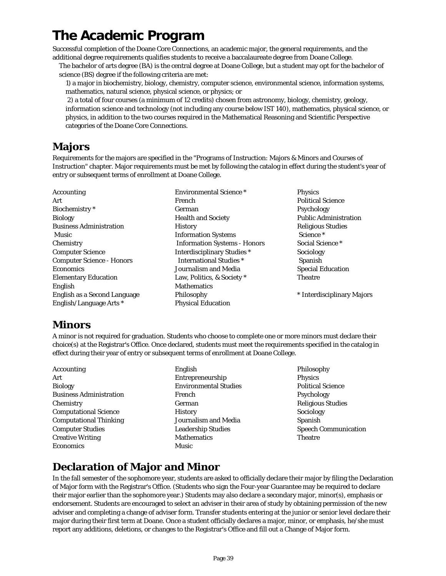# **The Academic Program**

Successful completion of the Doane Core Connections, an academic major, the general requirements, and the additional degree requirements qualifies students to receive a baccalaureate degree from Doane College.

The bachelor of arts degree (BA) is the central degree at Doane College, but a student may opt for the bachelor of science (BS) degree if the following criteria are met:

1) a major in biochemistry, biology, chemistry, computer science, environmental science, information systems, mathematics, natural science, physical science, or physics; or

 2) a total of four courses (a minimum of 12 credits) chosen from astronomy, biology, chemistry, geology, information science and technology (not including any course below IST 140), mathematics, physical science, or physics, in addition to the two courses required in the Mathematical Reasoning and Scientific Perspective categories of the Doane Core Connections.

# **Majors**

Requirements for the majors are specified in the "Programs of Instruction: Majors & Minors and Courses of Instruction" chapter. Major requirements must be met by following the catalog in effect during the student's year of entry or subsequent terms of enrollment at Doane College.

Environmental Science \*

Accounting Art Biochemistry \* Biology Business Administration Music Chemistry Computer Science Computer Science - Honors Economics Elementary Education English English as a Second Language English/Language Arts \*

- French German Health and Society **History** Information Systems Information Systems - Honors Interdisciplinary Studies \* International Studies \* Journalism and Media Law, Politics, & Society \* Mathematics Philosophy Physical Education
- Physics Political Science Psychology Public Administration Religious Studies Science \* Social Science \* Sociology Spanish Special Education Theatre

\* Interdisciplinary Majors

# **Minors**

A minor is not required for graduation. Students who choose to complete one or more minors must declare their choice(s) at the Registrar's Office. Once declared, students must meet the requirements specified in the catalog in effect during their year of entry or subsequent terms of enrollment at Doane College.

- Accounting Art Biology Business Administration Chemistry Computational Science Computational Thinking Computer Studies Creative Writing **Economics**
- English Entrepreneurship Environmental Studies French German History Journalism and Media Leadership Studies **Mathematics** Music
- Philosophy Physics Political Science Psychology Religious Studies Sociology Spanish Speech Communication **Theatre**

# **Declaration of Major and Minor**

In the fall semester of the sophomore year, students are asked to officially declare their major by filing the Declaration of Major form with the Registrar's Office. (Students who sign the Four-year Guarantee may be required to declare their major earlier than the sophomore year.) Students may also declare a secondary major, minor(s), emphasis or endorsement. Students are encouraged to select an adviser in their area of study by obtaining permission of the new adviser and completing a change of adviser form. Transfer students entering at the junior or senior level declare their major during their first term at Doane. Once a student officially declares a major, minor, or emphasis, he/she must report any additions, deletions, or changes to the Registrar's Office and fill out a Change of Major form.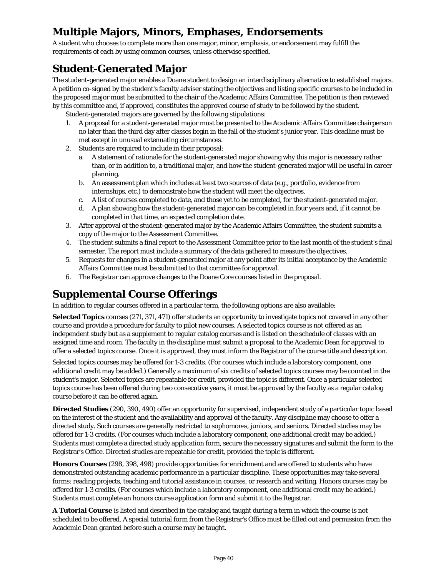# **Multiple Majors, Minors, Emphases, Endorsements**

A student who chooses to complete more than one major, minor, emphasis, or endorsement may fulfill the requirements of each by using common courses, unless otherwise specified.

### **Student-Generated Major**

The student-generated major enables a Doane student to design an interdisciplinary alternative to established majors. A petition co-signed by the student's faculty adviser stating the objectives and listing specific courses to be included in the proposed major must be submitted to the chair of the Academic Affairs Committee. The petition is then reviewed by this committee and, if approved, constitutes the approved course of study to be followed by the student.

Student-generated majors are governed by the following stipulations:

- 1. A proposal for a student-generated major must be presented to the Academic Affairs Committee chairperson no later than the third day after classes begin in the fall of the student's junior year. This deadline must be met except in unusual extenuating circumstances.
- 2. Students are required to include in their proposal:
	- a. A statement of rationale for the student-generated major showing why this major is necessary rather than, or in addition to, a traditional major, and how the student-generated major will be useful in career planning.
	- b. An assessment plan which includes at least two sources of data (e.g., portfolio, evidence from internships, etc.) to demonstrate how the student will meet the objectives.
	- c. A list of courses completed to date, and those yet to be completed, for the student-generated major.
	- d. A plan showing how the student-generated major can be completed in four years and, if it cannot be completed in that time, an expected completion date.
- 3. After approval of the student-generated major by the Academic Affairs Committee, the student submits a copy of the major to the Assessment Committee.
- 4. The student submits a final report to the Assessment Committee prior to the last month of the student's final semester. The report must include a summary of the data gathered to measure the objectives.
- 5. Requests for changes in a student-generated major at any point after its initial acceptance by the Academic Affairs Committee must be submitted to that committee for approval.
- 6. The Registrar can approve changes to the Doane Core courses listed in the proposal.

## **Supplemental Course Offerings**

In addition to regular courses offered in a particular term, the following options are also available:

**Selected Topics** courses (271, 371, 471) offer students an opportunity to investigate topics not covered in any other course and provide a procedure for faculty to pilot new courses. A selected topics course is not offered as an independent study but as a supplement to regular catalog courses and is listed on the schedule of classes with an assigned time and room. The faculty in the discipline must submit a proposal to the Academic Dean for approval to offer a selected topics course. Once it is approved, they must inform the Registrar of the course title and description.

Selected topics courses may be offered for 1-3 credits. (For courses which include a laboratory component, one additional credit may be added.) Generally a maximum of six credits of selected topics courses may be counted in the student's major. Selected topics are repeatable for credit, provided the topic is different. Once a particular selected topics course has been offered during two consecutive years, it must be approved by the faculty as a regular catalog course before it can be offered again.

**Directed Studies** (290, 390, 490) offer an opportunity for supervised, independent study of a particular topic based on the interest of the student and the availability and approval of the faculty. Any discipline may choose to offer a directed study. Such courses are generally restricted to sophomores, juniors, and seniors. Directed studies may be offered for 1-3 credits. (For courses which include a laboratory component, one additional credit may be added.) Students must complete a directed study application form, secure the necessary signatures and submit the form to the Registrar's Office. Directed studies are repeatable for credit, provided the topic is different.

**Honors Courses** (298, 398, 498) provide opportunities for enrichment and are offered to students who have demonstrated outstanding academic performance in a particular discipline. These opportunities may take several forms: reading projects, teaching and tutorial assistance in courses, or research and writing. Honors courses may be offered for 1-3 credits. (For courses which include a laboratory component, one additional credit may be added.) Students must complete an honors course application form and submit it to the Registrar.

**A Tutorial Course** is listed and described in the catalog and taught during a term in which the course is not scheduled to be offered. A special tutorial form from the Registrar's Office must be filled out and permission from the Academic Dean granted before such a course may be taught.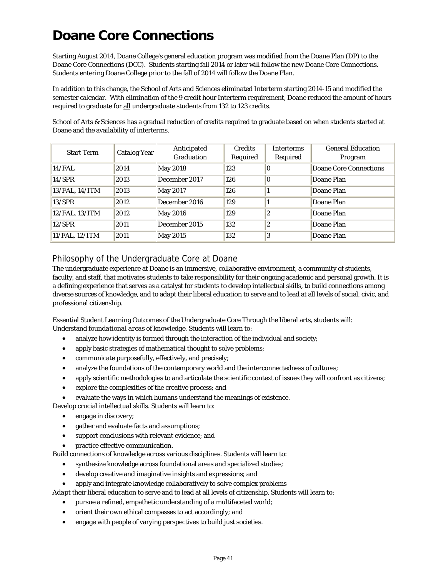# **Doane Core Connections**

Starting August 2014, Doane College's general education program was modified from the Doane Plan (DP) to the Doane Core Connections (DCC). Students starting fall 2014 or later will follow the new Doane Core Connections. Students entering Doane College prior to the fall of 2014 will follow the Doane Plan.

In addition to this change, the School of Arts and Sciences eliminated Interterm starting 2014-15 and modified the semester calendar. With elimination of the 9 credit hour Interterm requirement, Doane reduced the amount of hours required to graduate for all undergraduate students from 132 to 123 credits.

School of Arts & Sciences has a gradual reduction of credits required to graduate based on when students started at Doane and the availability of interterms.

| <b>Start Term</b>    | <b>Catalog Year</b> | Anticipated<br>Graduation | <b>Credits</b><br>Required | <b>Interterms</b><br>Required | <b>General Education</b><br>Program |
|----------------------|---------------------|---------------------------|----------------------------|-------------------------------|-------------------------------------|
| $14$ /FAL            | 2014                | <b>May 2018</b>           | 123                        |                               | Doane Core Connections              |
| 14/SPR               | 2013                | December 2017             | 126                        | $\overline{0}$                | Doane Plan                          |
| 13/FAL, 14/ITM       | 2013                | <b>May 2017</b>           | 126                        |                               | Doane Plan                          |
| 13/SPR               | 2012                | December 2016             | 129                        |                               | Doane Plan                          |
| $12$ /FAL, $13$ /ITM | 2012                | <b>May 2016</b>           | 129                        | $\overline{c}$                | Doane Plan                          |
| 12/SPR               | 2011                | December 2015             | 132                        | $\overline{c}$                | Doane Plan                          |
| 11/FAL, 12/ITM       | 2011                | <b>May 2015</b>           | 132                        | 3                             | Doane Plan                          |

### Philosophy of the Undergraduate Core at Doane

The undergraduate experience at Doane is an immersive, collaborative environment, a community of students, faculty, and staff, that motivates students to take responsibility for their ongoing academic and personal growth. It is a defining experience that serves as a catalyst for students to develop intellectual skills, to build connections among diverse sources of knowledge, and to adapt their liberal education to serve and to lead at all levels of social, civic, and professional citizenship.

Essential Student Learning Outcomes of the Undergraduate Core Through the liberal arts, students will: Understand *foundational areas of knowledge*. Students will learn to:

- analyze how identity is formed through the interaction of the individual and society;
- apply basic strategies of mathematical thought to solve problems;
- communicate purposefully, effectively, and precisely;
- analyze the foundations of the contemporary world and the interconnectedness of cultures;
- apply scientific methodologies to and articulate the scientific context of issues they will confront as citizens;
- explore the complexities of the creative process; and
- evaluate the ways in which humans understand the meanings of existence.

Develop crucial *intellectual skills*. Students will learn to:

- engage in discovery;
- gather and evaluate facts and assumptions;
- support conclusions with relevant evidence; and
- practice effective communication.

Build *connections of knowledge* across various disciplines. Students will learn to:

- synthesize knowledge across foundational areas and specialized studies;
- develop creative and imaginative insights and expressions; and
- apply and integrate knowledge collaboratively to solve complex problems

*Adapt* their liberal education to serve and to lead at all levels of citizenship. Students will learn to:

- pursue a refined, empathetic understanding of a multifaceted world;
- orient their own ethical compasses to act accordingly; and
- engage with people of varying perspectives to build just societies.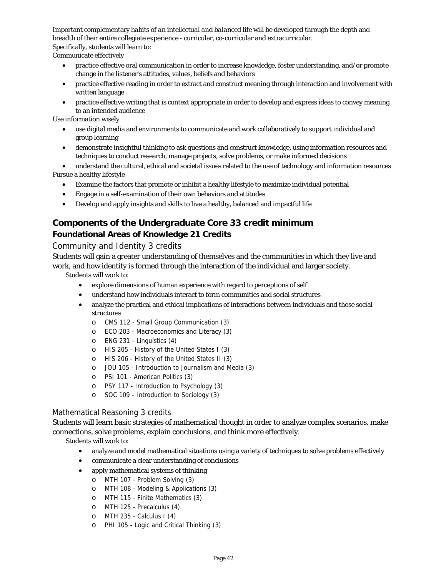Important complementary *habits of an intellectual and balanced life* will be developed through the depth and breadth of their entire collegiate experience - curricular, co-curricular and extracurricular. Specifically, students will learn to:

Communicate effectively

- practice effective oral communication in order to increase knowledge, foster understanding, and/or promote change in the listener's attitudes, values, beliefs and behaviors
- practice effective reading in order to extract and construct meaning through interaction and involvement with written language
- practice effective writing that is context appropriate in order to develop and express ideas to convey meaning to an intended audience

Use information wisely

- use digital media and environments to communicate and work collaboratively to support individual and group learning
- demonstrate insightful thinking to ask questions and construct knowledge, using information resources and techniques to conduct research, manage projects, solve problems, or make informed decisions
- understand the cultural, ethical and societal issues related to the use of technology and information resources Pursue a healthy lifestyle
	- Examine the factors that promote or inhibit a healthy lifestyle to maximize individual potential
	- Engage in a self-examination of their own behaviors and attitudes
	- Develop and apply insights and skills to live a healthy, balanced and impactful life

### **Components of the Undergraduate Core 33 credit minimum Foundational Areas of Knowledge 21 Credits**

#### Community and Identity 3 credits

Students will gain a greater understanding of themselves and the communities in which they live and work, and how identity is formed through the interaction of the individual and larger society.

Students will work to:

- explore dimensions of human experience with regard to perceptions of self
- understand how individuals interact to form communities and social structures
- analyze the practical and ethical implications of interactions between individuals and those social structures
	- o CMS 112 Small Group Communication (3)
	- o ECO 203 Macroeconomics and Literacy (3)
	- o ENG 231 Linguistics (4)
	- o HIS 205 History of the United States I (3)
	- o HIS 206 History of the United States II (3)
	- o JOU 105 Introduction to Journalism and Media (3)
	- o PSI 101 American Politics (3)
	- o PSY 117 Introduction to Psychology (3)
	- o SOC 109 Introduction to Sociology (3)

#### Mathematical Reasoning 3 credits

Students will learn basic strategies of mathematical thought in order to analyze complex scenarios, make connections, solve problems, explain conclusions, and think more effectively.

Students will work to:

- analyze and model mathematical situations using a variety of techniques to solve problems effectively
- communicate a clear understanding of conclusions
- apply mathematical systems of thinking
	- o MTH 107 Problem Solving (3)
	- o MTH 108 Modeling & Applications (3)
	- o MTH 115 Finite Mathematics (3)
	- o MTH 125 Precalculus (4)
	- $O$  MTH 235 Calculus I (4)
	- o PHI 105 Logic and Critical Thinking (3)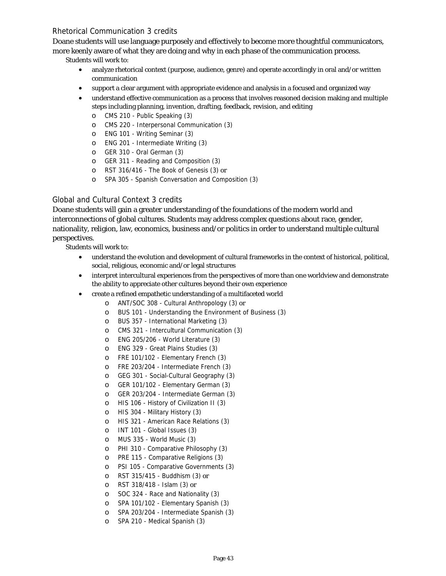#### Rhetorical Communication 3 credits

Doane students will use language purposely and effectively to become more thoughtful communicators, more keenly aware of what they are doing and why in each phase of the communication process.

Students will work to:

- analyze rhetorical context (purpose, audience, genre) and operate accordingly in oral and/or written communication
- support a clear argument with appropriate evidence and analysis in a focused and organized way
- understand effective communication as a process that involves reasoned decision making and multiple steps including planning, invention, drafting, feedback, revision, and editing
	- o CMS 210 Public Speaking (3)
	- o CMS 220 Interpersonal Communication (3)
	- o ENG 101 Writing Seminar (3)
	- o ENG 201 Intermediate Writing (3)
	- o GER 310 Oral German (3)
	- o GER 311 Reading and Composition (3)
	- o RST 316/416 The Book of Genesis (3) or
	- o SPA 305 Spanish Conversation and Composition (3)

#### Global and Cultural Context 3 credits

Doane students will gain a greater understanding of the foundations of the modern world and interconnections of global cultures. Students may address complex questions about race, gender, nationality, religion, law, economics, business and/or politics in order to understand multiple cultural perspectives.

Students will work to:

- understand the evolution and development of cultural frameworks in the context of historical, political, social, religious, economic and/or legal structures
- interpret intercultural experiences from the perspectives of more than one worldview and demonstrate the ability to appreciate other cultures beyond their own experience
- create a refined empathetic understanding of a multifaceted world
	- o ANT/SOC 308 Cultural Anthropology (3) or
	- o BUS 101 Understanding the Environment of Business (3)
	- o BUS 357 International Marketing (3)
	- o CMS 321 Intercultural Communication (3)
	- o ENG 205/206 World Literature (3)
	- o ENG 329 Great Plains Studies (3)
	- o FRE 101/102 Elementary French (3)
	- o FRE 203/204 Intermediate French (3)
	- o GEG 301 Social-Cultural Geography (3)
	- o GER 101/102 Elementary German (3)
	- o GER 203/204 Intermediate German (3)
	- o HIS 106 History of Civilization II (3)
	- o HIS 304 Military History (3)
	- o HIS 321 American Race Relations (3)
	- o INT 101 Global Issues (3)
	- o MUS 335 World Music (3)
	- o PHI 310 Comparative Philosophy (3)
	- o PRE 115 Comparative Religions (3)
	- o PSI 105 Comparative Governments (3)
	- o RST 315/415 Buddhism (3) or
	- o RST 318/418 Islam (3) or
	- o SOC 324 Race and Nationality (3)
	- o SPA 101/102 Elementary Spanish (3)
	- o SPA 203/204 Intermediate Spanish (3)
	- o SPA 210 Medical Spanish (3)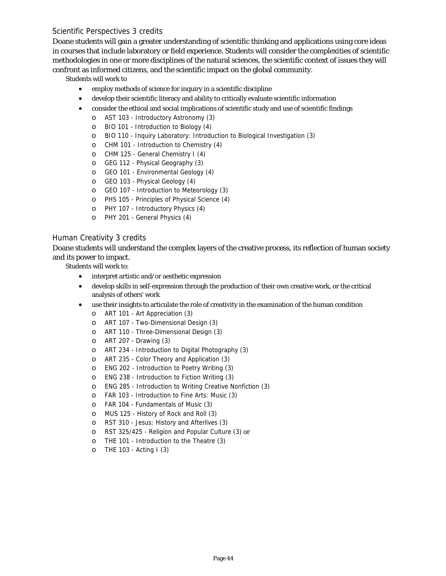#### Scientific Perspectives 3 credits

Doane students will gain a greater understanding of scientific thinking and applications using core ideas in courses that include laboratory or field experience. Students will consider the complexities of scientific methodologies in one or more disciplines of the natural sciences, the scientific context of issues they will confront as informed citizens, and the scientific impact on the global community.

Students will work to

- employ methods of science for inquiry in a scientific discipline
- develop their scientific literacy and ability to critically evaluate scientific information
- consider the ethical and social implications of scientific study and use of scientific findings
	- o AST 103 Introductory Astronomy (3)
	- o BIO 101 Introduction to Biology (4)
	- o BIO 110 Inquiry Laboratory: Introduction to Biological Investigation (3)
	- o CHM 101 Introduction to Chemistry (4)
	- o CHM 125 General Chemistry I (4)
	- o GEG 112 Physical Geography (3)
	- o GEO 101 Environmental Geology (4)
	- o GEO 103 Physical Geology (4)
	- o GEO 107 Introduction to Meteorology (3)
	- o PHS 105 Principles of Physical Science (4)
	- o PHY 107 Introductory Physics (4)
	- o PHY 201 General Physics (4)

#### Human Creativity 3 credits

Doane students will understand the complex layers of the creative process, its reflection of human society and its power to impact.

Students will work to:

- interpret artistic and/or aesthetic expression
- develop skills in self-expression through the production of their own creative work, or the critical analysis of others' work
- use their insights to articulate the role of creativity in the examination of the human condition
	- o ART 101 Art Appreciation (3)
	- o ART 107 Two-Dimensional Design (3)
	- o ART 110 Three-Dimensional Design (3)
	- o ART 207 Drawing (3)
	- o ART 234 Introduction to Digital Photography (3)
	- o ART 235 Color Theory and Application (3)
	- o ENG 202 Introduction to Poetry Writing (3)
	- o ENG 238 Introduction to Fiction Writing (3)
	- o ENG 285 Introduction to Writing Creative Nonfiction (3)
	- o FAR 103 Introduction to Fine Arts: Music (3)
	- o FAR 104 Fundamentals of Music (3)
	- o MUS 125 History of Rock and Roll (3)
	- o RST 310 Jesus: History and Afterlives (3)
	- o RST 325/425 Religion and Popular Culture (3) or
	- o THE 101 Introduction to the Theatre (3)
	- o THE 103 Acting I (3)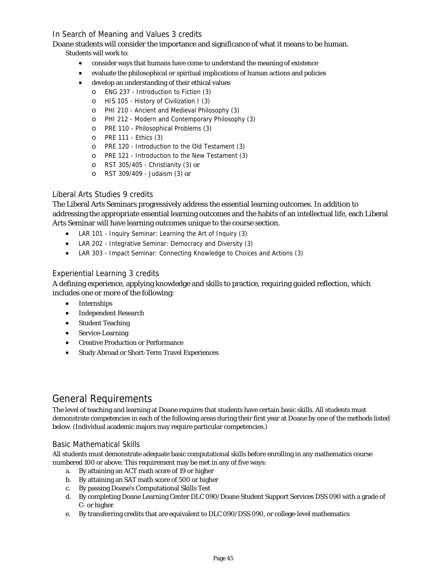#### In Search of Meaning and Values 3 credits

Doane students will consider the importance and significance of what it means to be human.

Students will work to:

- consider ways that humans have come to understand the meaning of existence
- evaluate the philosophical or spiritual implications of human actions and policies
- develop an understanding of their ethical values
	- o ENG 237 Introduction to Fiction (3)
	- o HIS 105 History of Civilization I (3)
	- o PHI 210 Ancient and Medieval Philosophy (3)
	- o PHI 212 Modern and Contemporary Philosophy (3)
	- o PRE 110 Philosophical Problems (3)
	- o PRE 111 Ethics (3)
	- o PRE 120 Introduction to the Old Testament (3)
	- o PRE 121 Introduction to the New Testament (3)
	- o RST 305/405 Christianity (3) or
	- o RST 309/409 Judaism (3) or

#### Liberal Arts Studies 9 credits

The Liberal Arts Seminars progressively address the essential learning outcomes. In addition to addressing the appropriate essential learning outcomes and the habits of an intellectual life, each Liberal Arts Seminar will have learning outcomes unique to the course section.

- LAR 101 Inquiry Seminar: Learning the Art of Inquiry (3)
- LAR 202 Integrative Seminar: Democracy and Diversity (3)
- LAR 303 Impact Seminar: Connecting Knowledge to Choices and Actions (3)

#### Experiential Learning 3 credits

A defining experience, applying knowledge and skills to practice, requiring guided reflection, which includes one or more of the following:

- Internships
- Independent Research
- Student Teaching
- Service-Learning
- Creative Production or Performance
- Study Abroad or Short-Term Travel Experiences

### General Requirements

The level of teaching and learning at Doane requires that students have certain basic skills. All students must demonstrate competencies in each of the following areas during their first year at Doane by one of the methods listed below. (Individual academic majors may require particular competencies.)

#### Basic Mathematical Skills

All students must demonstrate adequate basic computational skills before enrolling in any mathematics course numbered 100 or above. This requirement may be met in any of five ways:

- a. By attaining an ACT math score of 19 or higher
- b. By attaining an SAT math score of 500 or higher
- c. By passing Doane's Computational Skills Test
- d. By completing Doane Learning Center DLC 090/Doane Student Support Services DSS 090 with a grade of C- or higher
- e. By transferring credits that are equivalent to DLC 090/DSS 090, or college-level mathematics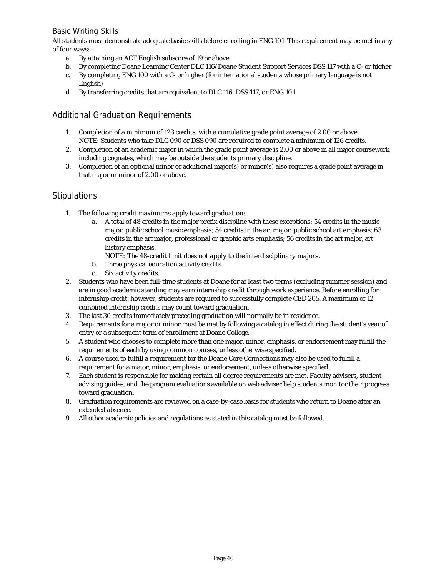#### Basic Writing Skills

All students must demonstrate adequate basic skills before enrolling in ENG 101. This requirement may be met in any of four ways:

- a. By attaining an ACT English subscore of 19 or above
- b. By completing Doane Learning Center DLC 116/Doane Student Support Services DSS 117 with a C- or higher
- c. By completing ENG 100 with a C- or higher (for international students whose primary language is not English)
- d. By transferring credits that are equivalent to DLC 116, DSS 117, or ENG 101

#### Additional Graduation Requirements

- 1. Completion of a minimum of 123 credits, with a cumulative grade point average of 2.00 or above. NOTE: Students who take DLC 090 or DSS 090 are required to complete a minimum of 126 credits.
- 2. Completion of an academic major in which the grade point average is 2.00 or above in all major coursework including cognates, which may be outside the students primary discipline.
- 3. Completion of an optional minor or additional major(s) or minor(s) also requires a grade point average in that major or minor of 2.00 or above.

#### **Stipulations**

- 1. The following credit maximums apply toward graduation:
	- a. A total of 48 credits in the major prefix discipline with these exceptions: 54 credits in the music major, public school music emphasis; 54 credits in the art major, public school art emphasis; 63 credits in the art major, professional or graphic arts emphasis; 56 credits in the art major, art history emphasis.
		- *NOTE: The 48-credit limit does not apply to the interdisciplinary majors.*
	- b. Three physical education activity credits.
	- c. Six activity credits.
- 2. Students who have been full-time students at Doane for at least two terms (excluding summer session) and are in good academic standing may earn internship credit through work experience. Before enrolling for internship credit, however, students are required to successfully complete CED 205. A maximum of 12 combined internship credits may count toward graduation.
- 3. The last 30 credits immediately preceding graduation will normally be in residence.
- 4. Requirements for a major or minor must be met by following a catalog in effect during the student's year of entry or a subsequent term of enrollment at Doane College.
- 5. A student who chooses to complete more than one major, minor, emphasis, or endorsement may fulfill the requirements of each by using common courses, unless otherwise specified.
- 6. A course used to fulfill a requirement for the Doane Core Connections may also be used to fulfill a requirement for a major, minor, emphasis, or endorsement, unless otherwise specified.
- 7. Each student is responsible for making certain all degree requirements are met. Faculty advisers, student advising guides, and the program evaluations available on web adviser help students monitor their progress toward graduation.
- 8. Graduation requirements are reviewed on a case-by-case basis for students who return to Doane after an extended absence.
- 9. All other academic policies and regulations as stated in this catalog must be followed.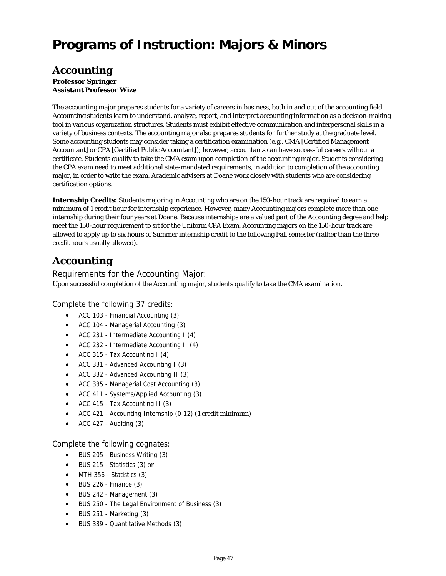# **Programs of Instruction: Majors & Minors**

### **Accounting**

**Professor Springer Assistant Professor Wize**

The accounting major prepares students for a variety of careers in business, both in and out of the accounting field. Accounting students learn to understand, analyze, report, and interpret accounting information as a decision-making tool in various organization structures. Students must exhibit effective communication and interpersonal skills in a variety of business contexts. The accounting major also prepares students for further study at the graduate level. Some accounting students may consider taking a certification examination (e.g., CMA [Certified Management Accountant] or CPA [Certified Public Accountant]); however, accountants can have successful careers without a certificate. Students qualify to take the CMA exam upon completion of the accounting major. Students considering the CPA exam need to meet additional state-mandated requirements, in addition to completion of the accounting major, in order to write the exam. Academic advisers at Doane work closely with students who are considering certification options.

**Internship Credits:** Students majoring in Accounting who are on the 150-hour track are required to earn a minimum of 1 credit hour for internship experience. However, many Accounting majors complete more than one internship during their four years at Doane. Because internships are a valued part of the Accounting degree and help meet the 150-hour requirement to sit for the Uniform CPA Exam, Accounting majors on the 150-hour track are allowed to apply up to six hours of Summer internship credit to the following Fall semester (rather than the three credit hours usually allowed).

# **Accounting**

Requirements for the Accounting Major: Upon successful completion of the Accounting major, students qualify to take the CMA examination.

Complete the following 37 credits:

- ACC 103 Financial Accounting (3)
- ACC 104 Managerial Accounting (3)
- ACC 231 Intermediate Accounting I (4)
- ACC 232 Intermediate Accounting II (4)
- ACC 315 Tax Accounting I (4)
- ACC 331 Advanced Accounting I (3)
- ACC 332 Advanced Accounting II (3)
- ACC 335 Managerial Cost Accounting (3)
- ACC 411 Systems/Applied Accounting (3)
- ACC 415 Tax Accounting II (3)
- ACC 421 Accounting Internship (0-12) (1 credit minimum)
- $\bullet$  ACC 427 Auditing (3)

Complete the following cognates:

- BUS 205 Business Writing (3)
- BUS 215 Statistics (3) or
- $\bullet$  MTH 356 Statistics (3)
- $\bullet$  BUS 226 Finance (3)
- BUS 242 Management (3)
- BUS 250 The Legal Environment of Business (3)
- BUS 251 Marketing (3)
- BUS 339 Quantitative Methods (3)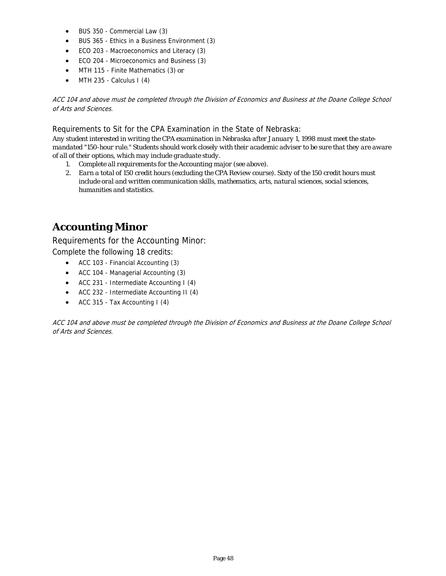- BUS 350 Commercial Law (3)
- BUS 365 Ethics in a Business Environment (3)
- ECO 203 Macroeconomics and Literacy (3)
- ECO 204 Microeconomics and Business (3)
- MTH 115 Finite Mathematics (3) or
- $\bullet$  MTH 235 Calculus I (4)

ACC 104 and above must be completed through the Division of Economics and Business at the Doane College School of Arts and Sciences.

#### Requirements to Sit for the CPA Examination in the State of Nebraska:

*Any student interested in writing the CPA examination in Nebraska after January 1, 1998 must meet the statemandated "150-hour rule." Students should work closely with their academic adviser to be sure that they are aware of all of their options, which may include graduate study.*

- 1. *Complete all requirements for the Accounting major (see above).*
- 2. *Earn a total of 150 credit hours (excluding the CPA Review course). Sixty of the 150 credit hours must include oral and written communication skills, mathematics, arts, natural sciences, social sciences, humanities and statistics.*

# **Accounting Minor**

Requirements for the Accounting Minor:

Complete the following 18 credits:

- ACC 103 Financial Accounting (3)
- ACC 104 Managerial Accounting (3)
- ACC 231 Intermediate Accounting I (4)
- ACC 232 Intermediate Accounting II (4)
- ACC 315 Tax Accounting I (4)

ACC 104 and above must be completed through the Division of Economics and Business at the Doane College School of Arts and Sciences.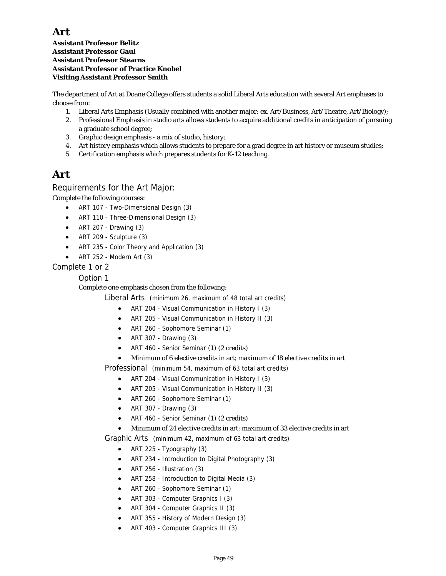### **Art**

**Assistant Professor Belitz Assistant Professor Gaul Assistant Professor Stearns Assistant Professor of Practice Knobel Visiting Assistant Professor Smith**

The department of Art at Doane College offers students a solid Liberal Arts education with several Art emphases to choose from:

- 1. Liberal Arts Emphasis (Usually combined with another major: ex. Art/Business, Art/Theatre, Art/Biology);
- 2. Professional Emphasis in studio arts allows students to acquire additional credits in anticipation of pursuing a graduate school degree;
- 3. Graphic design emphasis a mix of studio, history;
- 4. Art history emphasis which allows students to prepare for a grad degree in art history or museum studies;
- 5. Certification emphasis which prepares students for K-12 teaching.

### **Art**

Requirements for the Art Major:

Complete the following courses:

- ART 107 Two-Dimensional Design (3)
- ART 110 Three-Dimensional Design (3)
- $\bullet$  ART 207 Drawing (3)
- $\bullet$  ART 209 Sculpture (3)
- ART 235 Color Theory and Application (3)
- ART 252 Modern Art (3)

Complete 1 or 2

Option 1

Complete one emphasis chosen from the following:

Liberal Arts (minimum 26, maximum of 48 total art credits)

- ART 204 Visual Communication in History I (3)
- ART 205 Visual Communication in History II (3)
- ART 260 Sophomore Seminar (1)
- $\bullet$  ART 307 Drawing (3)
- ART 460 Senior Seminar (1) (2 credits)
- Minimum of 6 elective credits in art; maximum of 18 elective credits in art

Professional (minimum 54, maximum of 63 total art credits)

- ART 204 Visual Communication in History I (3)
- ART 205 Visual Communication in History II (3)
- ART 260 Sophomore Seminar (1)
- $\bullet$  ART 307 Drawing (3)
- ART 460 Senior Seminar (1) (2 credits)
- Minimum of 24 elective credits in art; maximum of 33 elective credits in art

Graphic Arts (minimum 42, maximum of 63 total art credits)

- $\bullet$  ART 225 Typography (3)
- ART 234 Introduction to Digital Photography (3)
- ART 256 Illustration (3)
- ART 258 Introduction to Digital Media (3)
- ART 260 Sophomore Seminar (1)
- ART 303 Computer Graphics I (3)
- ART 304 Computer Graphics II (3)
- ART 355 History of Modern Design (3)
- ART 403 Computer Graphics III (3)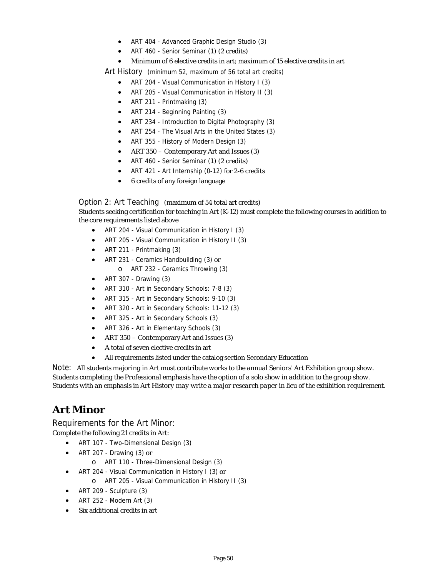- ART 404 Advanced Graphic Design Studio (3)
- ART 460 Senior Seminar (1) (2 credits)
- Minimum of 6 elective credits in art; maximum of 15 elective credits in art

Art History (minimum 52, maximum of 56 total art credits)

- ART 204 Visual Communication in History I (3)
- ART 205 Visual Communication in History II (3)
- ART 211 Printmaking (3)
- ART 214 Beginning Painting (3)
- ART 234 Introduction to Digital Photography (3)
- ART 254 The Visual Arts in the United States (3)
- ART 355 History of Modern Design (3)
- ART 350 Contemporary Art and Issues (3)
- ART 460 Senior Seminar (1) (2 credits)
- ART 421 Art Internship (0-12) for 2-6 credits
- 6 credits of any foreign language

#### Option 2: Art Teaching (maximum of 54 total art credits)

Students seeking certification for teaching in Art (K-12) must complete the following courses in addition to the core requirements listed above

- ART 204 Visual Communication in History I (3)
- ART 205 Visual Communication in History II (3)
- ART 211 Printmaking (3)
- ART 231 Ceramics Handbuilding (3) or
	- o ART 232 Ceramics Throwing (3)
- $\bullet$  ART 307 Drawing (3)
- ART 310 Art in Secondary Schools: 7-8 (3)
- ART 315 Art in Secondary Schools: 9-10 (3)
- ART 320 Art in Secondary Schools: 11-12 (3)
- ART 325 Art in Secondary Schools (3)
- ART 326 Art in Elementary Schools (3)
- ART 350 Contemporary Art and Issues (3)
- A total of seven elective credits in art
- All requirements listed under the catalog section Secondary Education

Note: *All students majoring in Art must contribute works to the annual Seniors' Art Exhibition group show. Students completing the Professional emphasis have the option of a solo show in addition to the group show. Students with an emphasis in Art History may write a major research paper in lieu of the exhibition requirement.*

### **Art Minor**

Requirements for the Art Minor: Complete the following 21 credits in Art:

- ART 107 Two-Dimensional Design (3)
- ART 207 Drawing (3) or
	- o ART 110 Three-Dimensional Design (3)
- ART 204 Visual Communication in History I (3) or
	- o ART 205 Visual Communication in History II (3)
- ART 209 Sculpture (3)
- ART 252 Modern Art (3)
- Six additional credits in art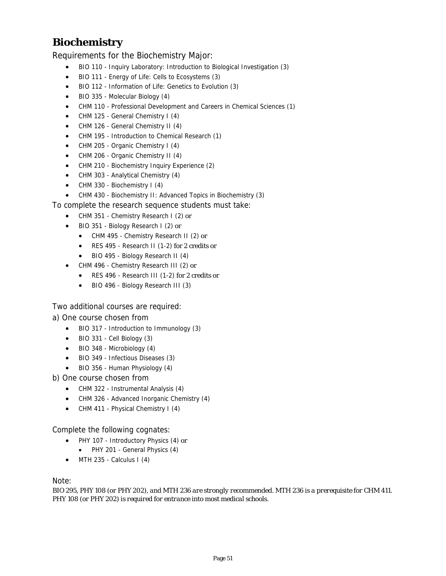### **Biochemistry**

Requirements for the Biochemistry Major:

- BIO 110 Inquiry Laboratory: Introduction to Biological Investigation (3)
- BIO 111 Energy of Life: Cells to Ecosystems (3)
- BIO 112 Information of Life: Genetics to Evolution (3)
- BIO 335 Molecular Biology (4)
- CHM 110 Professional Development and Careers in Chemical Sciences (1)
- CHM 125 General Chemistry I (4)
- CHM 126 General Chemistry II (4)
- CHM 195 Introduction to Chemical Research (1)
- CHM 205 Organic Chemistry I (4)
- CHM 206 Organic Chemistry II (4)
- CHM 210 Biochemistry Inquiry Experience (2)
- CHM 303 Analytical Chemistry (4)
- CHM 330 Biochemistry I (4)
- CHM 430 Biochemistry II: Advanced Topics in Biochemistry (3)

To complete the research sequence students must take:

- CHM 351 Chemistry Research I (2) or
- BIO 351 Biology Research I (2) or
	- CHM 495 Chemistry Research II (2) or
	- RES 495 Research II (1-2) for 2 credits or
	- BIO 495 Biology Research II (4)
- CHM 496 Chemistry Research III (2) or
	- RES 496 Research III (1-2) for 2 credits or
	- BIO 496 Biology Research III (3)

Two additional courses are required:

a) One course chosen from

- BIO 317 Introduction to Immunology (3)
- BIO 331 Cell Biology (3)
- BIO 348 Microbiology (4)
- BIO 349 Infectious Diseases (3)
- BIO 356 Human Physiology (4)

b) One course chosen from

- CHM 322 Instrumental Analysis (4)
- CHM 326 Advanced Inorganic Chemistry (4)
- CHM 411 Physical Chemistry I (4)

Complete the following cognates:

- PHY 107 Introductory Physics (4) or
	- PHY 201 General Physics (4)
- $\bullet$  MTH 235 Calculus I (4)

Note:

*BIO 295, PHY 108 (or PHY 202), and MTH 236 are strongly recommended. MTH 236 is a prerequisite for CHM 411. PHY 108 (or PHY 202) is required for entrance into most medical schools.*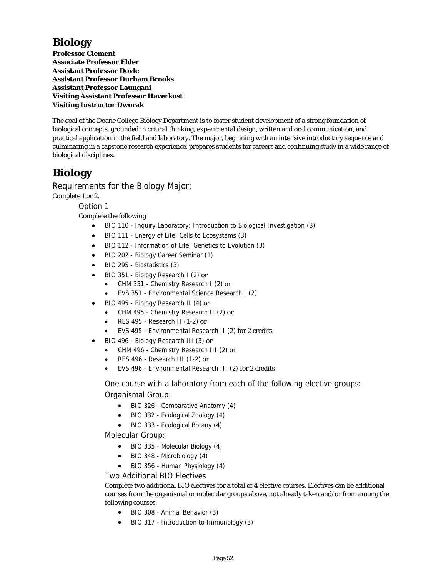### **Biology**

**Professor Clement Associate Professor Elder Assistant Professor Doyle Assistant Professor Durham Brooks Assistant Professor Laungani Visiting Assistant Professor Haverkost Visiting Instructor Dworak**

The goal of the Doane College Biology Department is to foster student development of a strong foundation of biological concepts, grounded in critical thinking, experimental design, written and oral communication, and practical application in the field and laboratory. The major, beginning with an intensive introductory sequence and culminating in a capstone research experience, prepares students for careers and continuing study in a wide range of biological disciplines.

### **Biology**

Requirements for the Biology Major:

Complete 1 or 2.

Option 1

Complete the following

- BIO 110 Inquiry Laboratory: Introduction to Biological Investigation (3)
- BIO 111 Energy of Life: Cells to Ecosystems (3)
- BIO 112 Information of Life: Genetics to Evolution (3)
- BIO 202 Biology Career Seminar (1)
- BIO 295 Biostatistics (3)
- BIO 351 Biology Research I (2) or
	- CHM 351 Chemistry Research I (2) or
	- EVS 351 Environmental Science Research I (2)
- BIO 495 Biology Research II (4) or
	- CHM 495 Chemistry Research II (2) or
	- RES 495 Research II (1-2) or
	- EVS 495 Environmental Research II (2) for 2 credits
- BIO 496 Biology Research III (3) or
	- CHM 496 Chemistry Research III (2) or
	- RES 496 Research III (1-2) or
	- EVS 496 Environmental Research III (2) for 2 credits

One course with a laboratory from each of the following elective groups:

Organismal Group:

- BIO 326 Comparative Anatomy (4)
- BIO 332 Ecological Zoology (4)
- BIO 333 Ecological Botany (4)

Molecular Group:

- BIO 335 Molecular Biology (4)
- BIO 348 Microbiology (4)
- BIO 356 Human Physiology (4)

Two Additional BIO Electives

Complete two additional BIO electives for a total of 4 elective courses. Electives can be additional courses from the organismal or molecular groups above, not already taken and/or from among the following courses:

- BIO 308 Animal Behavior (3)
- BIO 317 Introduction to Immunology (3)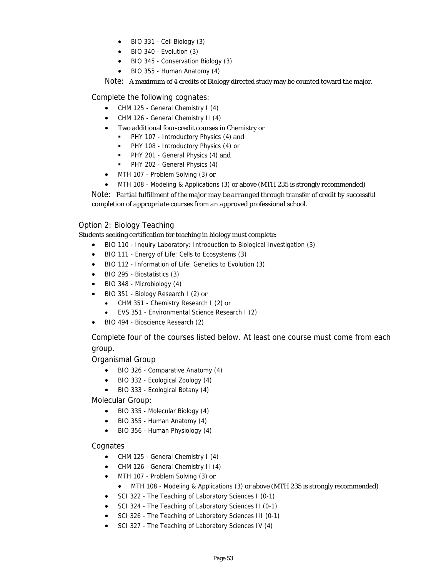- $\bullet$  BIO 331 Cell Biology (3)
- BIO 340 Evolution (3)
- BIO 345 Conservation Biology (3)
- BIO 355 Human Anatomy (4)

Note: A maximum of 4 credits of Biology directed study may be counted toward the major.

#### Complete the following cognates:

- CHM 125 General Chemistry I (4)
- CHM 126 General Chemistry II (4)
- Two additional four-credit courses in Chemistry or
	- PHY 107 Introductory Physics (4) and
	- PHY 108 Introductory Physics (4) or
	- PHY 201 General Physics (4) and
	- PHY 202 General Physics (4)
- MTH 107 Problem Solving (3) or
- MTH 108 Modeling & Applications (3) or above (MTH 235 is strongly recommended)

Note: *Partial fulfillment of the major may be arranged through transfer of credit by successful completion of appropriate courses from an approved professional school.*

#### Option 2: Biology Teaching

Students seeking certification for teaching in biology must complete:

- BIO 110 Inquiry Laboratory: Introduction to Biological Investigation (3)
- BIO 111 Energy of Life: Cells to Ecosystems (3)
- BIO 112 Information of Life: Genetics to Evolution (3)
- BIO 295 Biostatistics (3)
- BIO 348 Microbiology (4)
- BIO 351 Biology Research I (2) or
	- CHM 351 Chemistry Research I (2) or
	- EVS 351 Environmental Science Research I (2)
- BIO 494 Bioscience Research (2)

Complete four of the courses listed below. At least one course must come from each group.

Organismal Group

- BIO 326 Comparative Anatomy (4)
- BIO 332 Ecological Zoology (4)
- BIO 333 Ecological Botany (4)

Molecular Group:

- BIO 335 Molecular Biology (4)
- BIO 355 Human Anatomy (4)
- BIO 356 Human Physiology (4)

**Cognates** 

- CHM 125 General Chemistry I (4)
- CHM 126 General Chemistry II (4)
- MTH 107 Problem Solving (3) or
	- MTH 108 Modeling & Applications (3) or above (MTH 235 is strongly recommended)
- SCI 322 The Teaching of Laboratory Sciences I (0-1)
- SCI 324 The Teaching of Laboratory Sciences II (0-1)
- SCI 326 The Teaching of Laboratory Sciences III (0-1)
- SCI 327 The Teaching of Laboratory Sciences IV (4)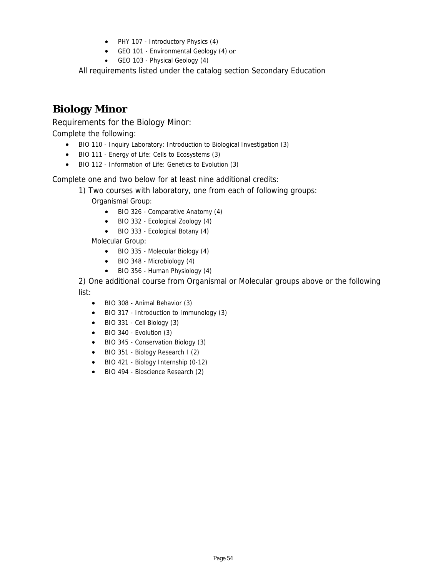- PHY 107 Introductory Physics (4)
- GEO 101 Environmental Geology (4) or
- GEO 103 Physical Geology (4)

All requirements listed under the catalog section Secondary Education

### **Biology Minor**

Requirements for the Biology Minor:

Complete the following:

- BIO 110 Inquiry Laboratory: Introduction to Biological Investigation (3)
- BIO 111 Energy of Life: Cells to Ecosystems (3)
- BIO 112 Information of Life: Genetics to Evolution (3)

Complete one and two below for at least nine additional credits:

1) Two courses with laboratory, one from each of following groups:

Organismal Group:

- BIO 326 Comparative Anatomy (4)
- BIO 332 Ecological Zoology (4)
- BIO 333 Ecological Botany (4)

Molecular Group:

- BIO 335 Molecular Biology (4)
- $\bullet$  BIO 348 Microbiology (4)
- BIO 356 Human Physiology (4)

2) One additional course from Organismal or Molecular groups above or the following list:

- BIO 308 Animal Behavior (3)
- BIO 317 Introduction to Immunology (3)
- BIO 331 Cell Biology (3)
- BIO 340 Evolution (3)
- BIO 345 Conservation Biology (3)
- BIO 351 Biology Research I (2)
- BIO 421 Biology Internship (0-12)
- BIO 494 Bioscience Research (2)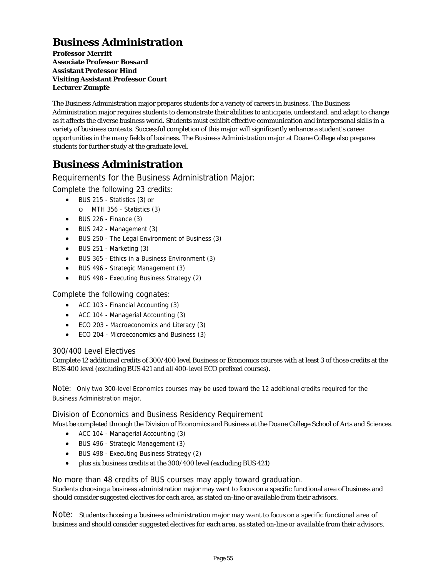### **Business Administration**

**Professor Merritt Associate Professor Bossard Assistant Professor Hind Visiting Assistant Professor Court Lecturer Zumpfe**

The Business Administration major prepares students for a variety of careers in business. The Business Administration major requires students to demonstrate their abilities to anticipate, understand, and adapt to change as it affects the diverse business world. Students must exhibit effective communication and interpersonal skills in a variety of business contexts. Successful completion of this major will significantly enhance a student's career opportunities in the many fields of business. The Business Administration major at Doane College also prepares students for further study at the graduate level.

# **Business Administration**

Requirements for the Business Administration Major:

Complete the following 23 credits:

- BUS 215 Statistics (3) or
	- o MTH 356 Statistics (3)
- $\bullet$  BUS 226 Finance (3)
- BUS 242 Management (3)
- BUS 250 The Legal Environment of Business (3)
- BUS 251 Marketing (3)
- BUS 365 Ethics in a Business Environment (3)
- BUS 496 Strategic Management (3)
- BUS 498 Executing Business Strategy (2)

Complete the following cognates:

- ACC 103 Financial Accounting (3)
- ACC 104 Managerial Accounting (3)
- ECO 203 Macroeconomics and Literacy (3)
- ECO 204 Microeconomics and Business (3)

#### 300/400 Level Electives

Complete 12 additional credits of 300/400 level Business or Economics courses with at least 3 of those credits at the BUS 400 level (excluding BUS 421 and all 400-level ECO prefixed courses).

Note: Only two 300-level Economics courses may be used toward the 12 additional credits required for the Business Administration major.

#### Division of Economics and Business Residency Requirement

Must be completed through the Division of Economics and Business at the Doane College School of Arts and Sciences.

- ACC 104 Managerial Accounting (3)
- BUS 496 Strategic Management (3)
- BUS 498 Executing Business Strategy (2)
- plus six business credits at the 300/400 level (excluding BUS 421)

No more than 48 credits of BUS courses may apply toward graduation.

Students choosing a business administration major may want to focus on a specific functional area of business and should consider suggested electives for each area, as stated on-line or available from their advisors.

Note: *Students choosing a business administration major may want to focus on a specific functional area of business and should consider suggested electives for each area, as stated on-line or available from their advisors.*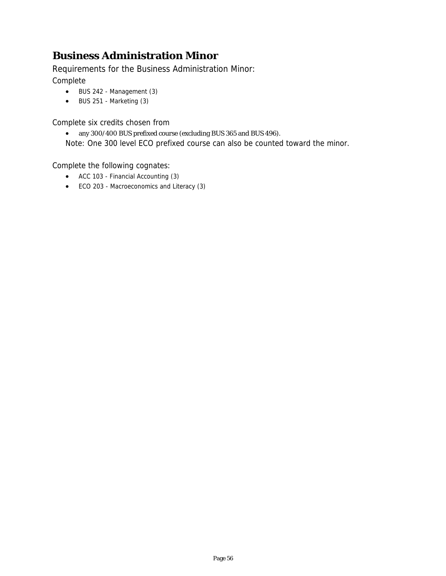### **Business Administration Minor**

Requirements for the Business Administration Minor:

Complete

- BUS 242 Management (3)
- BUS 251 Marketing (3)

Complete six credits chosen from

any 300/400 BUS prefixed course (excluding BUS 365 and BUS 496).

Note: One 300 level ECO prefixed course can also be counted toward the minor.

Complete the following cognates:

- ACC 103 Financial Accounting (3)
- ECO 203 Macroeconomics and Literacy (3)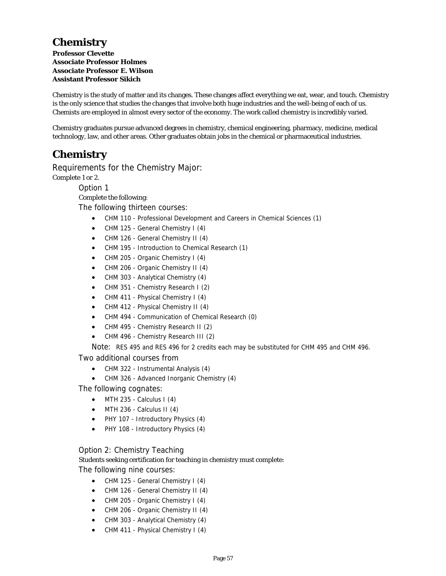### **Chemistry**

**Professor Clevette Associate Professor Holmes Associate Professor E. Wilson Assistant Professor Sikich**

Chemistry is the study of matter and its changes. These changes affect everything we eat, wear, and touch. Chemistry is the only science that studies the changes that involve both huge industries and the well-being of each of us. Chemists are employed in almost every sector of the economy. The work called chemistry is incredibly varied.

Chemistry graduates pursue advanced degrees in chemistry, chemical engineering, pharmacy, medicine, medical technology, law, and other areas. Other graduates obtain jobs in the chemical or pharmaceutical industries.

### **Chemistry**

Requirements for the Chemistry Major:

Complete 1 or 2.

Option 1

Complete the following:

The following thirteen courses:

- CHM 110 Professional Development and Careers in Chemical Sciences (1)
- CHM 125 General Chemistry I (4)
- CHM 126 General Chemistry II (4)
- CHM 195 Introduction to Chemical Research (1)
- CHM 205 Organic Chemistry I (4)
- CHM 206 Organic Chemistry II (4)
- CHM 303 Analytical Chemistry (4)
- CHM 351 Chemistry Research I (2)
- CHM 411 Physical Chemistry I (4)
- CHM 412 Physical Chemistry II (4)
- CHM 494 Communication of Chemical Research (0)
- CHM 495 Chemistry Research II (2)
- CHM 496 Chemistry Research III (2)

Note: RES 495 and RES 496 for 2 credits each may be substituted for CHM 495 and CHM 496.

Two additional courses from

- CHM 322 Instrumental Analysis (4)
- CHM 326 Advanced Inorganic Chemistry (4)

The following cognates:

- $\bullet$  MTH 235 Calculus I (4)
- $\bullet$  MTH 236 Calculus II (4)
- PHY 107 Introductory Physics (4)
- PHY 108 Introductory Physics (4)

#### Option 2: Chemistry Teaching

#### Students seeking certification for teaching in chemistry must complete:

The following nine courses:

- CHM 125 General Chemistry I (4)
- CHM 126 General Chemistry II (4)
- CHM 205 Organic Chemistry I (4)
- CHM 206 Organic Chemistry II (4)
- CHM 303 Analytical Chemistry (4)
- CHM 411 Physical Chemistry I (4)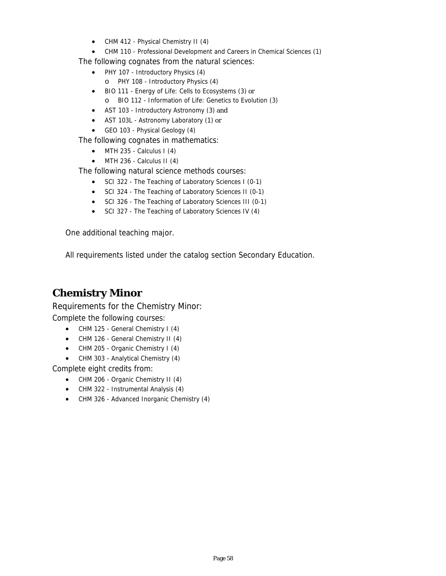- CHM 412 Physical Chemistry II (4)
- CHM 110 Professional Development and Careers in Chemical Sciences (1)

The following cognates from the natural sciences:

- PHY 107 Introductory Physics (4)
- o PHY 108 Introductory Physics (4)
- BIO 111 Energy of Life: Cells to Ecosystems (3) or o BIO 112 - Information of Life: Genetics to Evolution (3)
- AST 103 Introductory Astronomy (3) and
- AST 103L Astronomy Laboratory (1) or
- GEO 103 Physical Geology (4)

The following cognates in mathematics:

- $\bullet$  MTH 235 Calculus I (4)
- $\bullet$  MTH 236 Calculus II (4)

The following natural science methods courses:

- SCI 322 The Teaching of Laboratory Sciences I (0-1)
- SCI 324 The Teaching of Laboratory Sciences II (0-1)
- SCI 326 The Teaching of Laboratory Sciences III (0-1)
- SCI 327 The Teaching of Laboratory Sciences IV (4)

One additional teaching major.

All requirements listed under the catalog section Secondary Education.

### **Chemistry Minor**

Requirements for the Chemistry Minor: Complete the following courses:

- CHM 125 General Chemistry I (4)
- CHM 126 General Chemistry II (4)
- CHM 205 Organic Chemistry I (4)
- CHM 303 Analytical Chemistry (4)

Complete eight credits from:

- CHM 206 Organic Chemistry II (4)
- CHM 322 Instrumental Analysis (4)
- CHM 326 Advanced Inorganic Chemistry (4)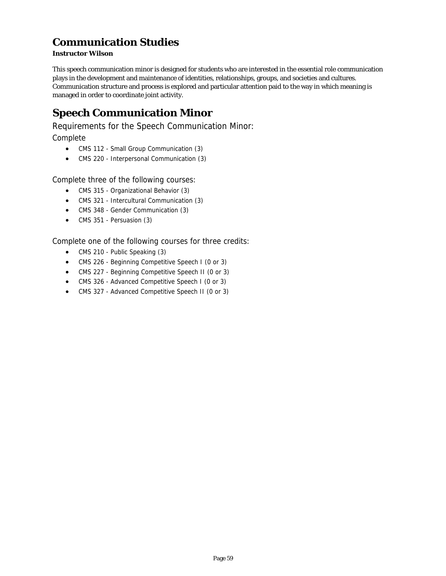### **Communication Studies**

#### **Instructor Wilson**

This speech communication minor is designed for students who are interested in the essential role communication plays in the development and maintenance of identities, relationships, groups, and societies and cultures. Communication structure and process is explored and particular attention paid to the way in which meaning is managed in order to coordinate joint activity.

## **Speech Communication Minor**

Requirements for the Speech Communication Minor:

Complete

- CMS 112 Small Group Communication (3)
- CMS 220 Interpersonal Communication (3)

Complete three of the following courses:

- CMS 315 Organizational Behavior (3)
- CMS 321 Intercultural Communication (3)
- CMS 348 Gender Communication (3)
- CMS 351 Persuasion (3)

Complete one of the following courses for three credits:

- CMS 210 Public Speaking (3)
- CMS 226 Beginning Competitive Speech I (0 or 3)
- CMS 227 Beginning Competitive Speech II (0 or 3)
- CMS 326 Advanced Competitive Speech I (0 or 3)
- CMS 327 Advanced Competitive Speech II (0 or 3)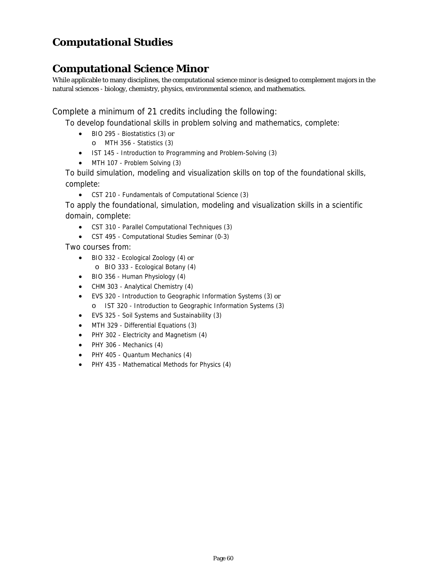# **Computational Studies**

### **Computational Science Minor**

While applicable to many disciplines, the computational science minor is designed to complement majors in the natural sciences - biology, chemistry, physics, environmental science, and mathematics.

Complete a minimum of 21 credits including the following:

To develop foundational skills in problem solving and mathematics, complete:

- BIO 295 Biostatistics (3) or
	- o MTH 356 Statistics (3)
- IST 145 Introduction to Programming and Problem-Solving (3)
- MTH 107 Problem Solving (3)

To build simulation, modeling and visualization skills on top of the foundational skills, complete:

CST 210 - Fundamentals of Computational Science (3)

To apply the foundational, simulation, modeling and visualization skills in a scientific domain, complete:

- CST 310 Parallel Computational Techniques (3)
- CST 495 Computational Studies Seminar (0-3)

Two courses from:

- BIO 332 Ecological Zoology (4) or
	- o BIO 333 Ecological Botany (4)
- BIO 356 Human Physiology (4)
- CHM 303 Analytical Chemistry (4)
- EVS 320 Introduction to Geographic Information Systems (3) or o IST 320 - Introduction to Geographic Information Systems (3)
- EVS 325 Soil Systems and Sustainability (3)
- MTH 329 Differential Equations (3)
- PHY 302 Electricity and Magnetism (4)
- $\bullet$  PHY 306 Mechanics (4)
- PHY 405 Quantum Mechanics (4)
- PHY 435 Mathematical Methods for Physics (4)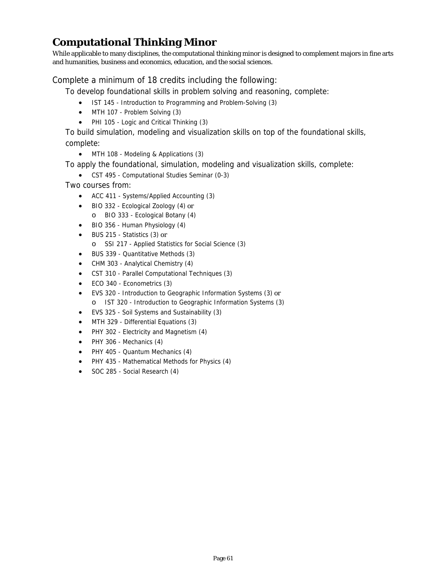### **Computational Thinking Minor**

While applicable to many disciplines, the computational thinking minor is designed to complement majors in fine arts and humanities, business and economics, education, and the social sciences.

Complete a minimum of 18 credits including the following:

To develop foundational skills in problem solving and reasoning, complete:

- IST 145 Introduction to Programming and Problem-Solving (3)
- MTH 107 Problem Solving (3)
- PHI 105 Logic and Critical Thinking (3)

To build simulation, modeling and visualization skills on top of the foundational skills, complete:

• MTH 108 - Modeling & Applications (3)

To apply the foundational, simulation, modeling and visualization skills, complete:

CST 495 - Computational Studies Seminar (0-3)

Two courses from:

- ACC 411 Systems/Applied Accounting (3)
- BIO 332 Ecological Zoology (4) or
	- o BIO 333 Ecological Botany (4)
- BIO 356 Human Physiology (4)
- BUS 215 Statistics (3) or
	- o SSI 217 Applied Statistics for Social Science (3)
- BUS 339 Quantitative Methods (3)
- CHM 303 Analytical Chemistry (4)
- CST 310 Parallel Computational Techniques (3)
- ECO 340 Econometrics (3)
- EVS 320 Introduction to Geographic Information Systems (3) or o IST 320 - Introduction to Geographic Information Systems (3)
- EVS 325 Soil Systems and Sustainability (3)
- MTH 329 Differential Equations (3)
- PHY 302 Electricity and Magnetism (4)
- $\bullet$  PHY 306 Mechanics (4)
- PHY 405 Quantum Mechanics (4)
- PHY 435 Mathematical Methods for Physics (4)
- SOC 285 Social Research (4)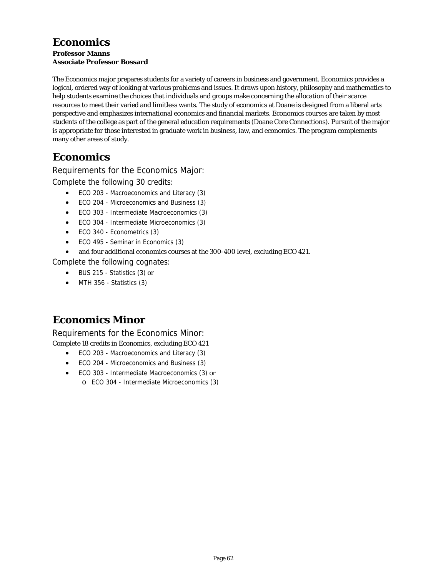### **Economics**

#### **Professor Manns Associate Professor Bossard**

The Economics major prepares students for a variety of careers in business and government. Economics provides a logical, ordered way of looking at various problems and issues. It draws upon history, philosophy and mathematics to help students examine the choices that individuals and groups make concerning the allocation of their scarce resources to meet their varied and limitless wants. The study of economics at Doane is designed from a liberal arts perspective and emphasizes international economics and financial markets. Economics courses are taken by most students of the college as part of the general education requirements (Doane Core Connections). Pursuit of the major is appropriate for those interested in graduate work in business, law, and economics. The program complements many other areas of study.

### **Economics**

Requirements for the Economics Major:

Complete the following 30 credits:

- ECO 203 Macroeconomics and Literacy (3)
- ECO 204 Microeconomics and Business (3)
- ECO 303 Intermediate Macroeconomics (3)
- ECO 304 Intermediate Microeconomics (3)
- ECO 340 Econometrics (3)
- ECO 495 Seminar in Economics (3)

and four additional economics courses at the 300-400 level, excluding ECO 421.

Complete the following cognates:

- BUS 215 Statistics (3) or
- MTH 356 Statistics (3)

### **Economics Minor**

Requirements for the Economics Minor: Complete 18 credits in Economics, excluding ECO 421

- ECO 203 Macroeconomics and Literacy (3)
- ECO 204 Microeconomics and Business (3)
- ECO 303 Intermediate Macroeconomics (3) or o ECO 304 - Intermediate Microeconomics (3)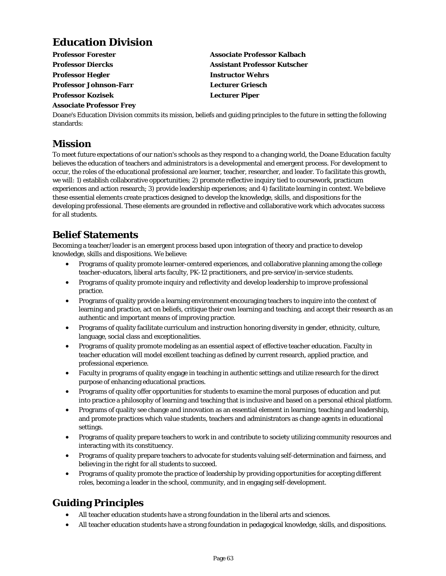## **Education Division**

**Professor Hegler Instructor Wehrs Professor Johnson-Farr Lecturer Griesch Professor Kozisek Lecturer Piper Associate Professor Frey**

**Professor Forester Associate Professor Kalbach Professor Diercks Assistant Professor Kutscher**

Doane's Education Division commits its mission, beliefs and guiding principles to the future in setting the following standards:

### **Mission**

To meet future expectations of our nation's schools as they respond to a changing world, the Doane Education faculty believes the education of teachers and administrators is a developmental and emergent process. For development to occur, the roles of the educational professional are learner, teacher, researcher, and leader. To facilitate this growth, we will: 1) establish collaborative opportunities; 2) promote reflective inquiry tied to coursework, practicum experiences and action research; 3) provide leadership experiences; and 4) facilitate learning in context. We believe these essential elements create practices designed to develop the knowledge, skills, and dispositions for the developing professional. These elements are grounded in reflective and collaborative work which advocates success for all students.

### **Belief Statements**

Becoming a teacher/leader is an emergent process based upon integration of theory and practice to develop knowledge, skills and dispositions. We believe:

- Programs of quality promote learner-centered experiences, and collaborative planning among the college teacher-educators, liberal arts faculty, PK-12 practitioners, and pre-service/in-service students.
- Programs of quality promote inquiry and reflectivity and develop leadership to improve professional practice.
- Programs of quality provide a learning environment encouraging teachers to inquire into the context of learning and practice, act on beliefs, critique their own learning and teaching, and accept their research as an authentic and important means of improving practice.
- Programs of quality facilitate curriculum and instruction honoring diversity in gender, ethnicity, culture, language, social class and exceptionalities.
- Programs of quality promote modeling as an essential aspect of effective teacher education. Faculty in teacher education will model excellent teaching as defined by current research, applied practice, and professional experience.
- Faculty in programs of quality engage in teaching in authentic settings and utilize research for the direct purpose of enhancing educational practices.
- Programs of quality offer opportunities for students to examine the moral purposes of education and put into practice a philosophy of learning and teaching that is inclusive and based on a personal ethical platform.
- Programs of quality see change and innovation as an essential element in learning, teaching and leadership, and promote practices which value students, teachers and administrators as change agents in educational settings.
- Programs of quality prepare teachers to work in and contribute to society utilizing community resources and interacting with its constituency.
- Programs of quality prepare teachers to advocate for students valuing self-determination and fairness, and believing in the right for all students to succeed.
- Programs of quality promote the practice of leadership by providing opportunities for accepting different roles, becoming a leader in the school, community, and in engaging self-development.

### **Guiding Principles**

- All teacher education students have a strong foundation in the liberal arts and sciences.
- All teacher education students have a strong foundation in pedagogical knowledge, skills, and dispositions.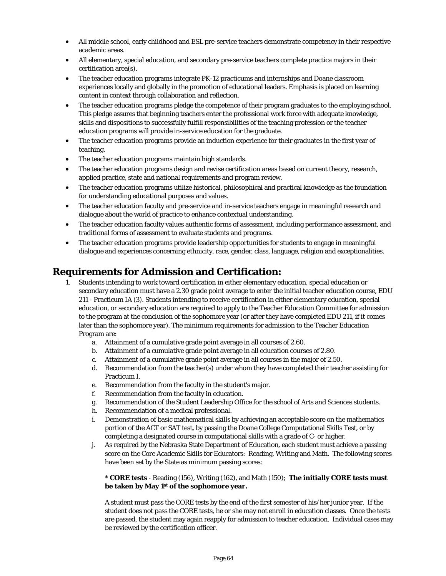- All middle school, early childhood and ESL pre-service teachers demonstrate competency in their respective academic areas.
- All elementary, special education, and secondary pre-service teachers complete practica majors in their certification area(s).
- The teacher education programs integrate PK-12 practicums and internships and Doane classroom experiences locally and globally in the promotion of educational leaders. Emphasis is placed on learning content in context through collaboration and reflection.
- The teacher education programs pledge the competence of their program graduates to the employing school. This pledge assures that beginning teachers enter the professional work force with adequate knowledge, skills and dispositions to successfully fulfill responsibilities of the teaching profession or the teacher education programs will provide in-service education for the graduate.
- The teacher education programs provide an induction experience for their graduates in the first year of teaching.
- The teacher education programs maintain high standards.
- The teacher education programs design and revise certification areas based on current theory, research, applied practice, state and national requirements and program review.
- The teacher education programs utilize historical, philosophical and practical knowledge as the foundation for understanding educational purposes and values.
- The teacher education faculty and pre-service and in-service teachers engage in meaningful research and dialogue about the world of practice to enhance contextual understanding.
- The teacher education faculty values authentic forms of assessment, including performance assessment, and traditional forms of assessment to evaluate students and programs.
- The teacher education programs provide leadership opportunities for students to engage in meaningful dialogue and experiences concerning ethnicity, race, gender, class, language, religion and exceptionalities.

### **Requirements for Admission and Certification:**

- 1. Students intending to work toward certification in either elementary education, special education or secondary education must have a 2.30 grade point average to enter the initial teacher education course, EDU 211 - Practicum IA (3). Students intending to receive certification in either elementary education, special education, or secondary education are required to apply to the Teacher Education Committee for admission to the program at the conclusion of the sophomore year (or after they have completed EDU 211, if it comes later than the sophomore year). The minimum requirements for admission to the Teacher Education Program are:
	- a. Attainment of a cumulative grade point average in all courses of 2.60.
	- b. Attainment of a cumulative grade point average in all education courses of 2.80.
	- c. Attainment of a cumulative grade point average in all courses in the major of 2.50.
	- d. Recommendation from the teacher(s) under whom they have completed their teacher assisting for Practicum I.
	- e. Recommendation from the faculty in the student's major.
	- f. Recommendation from the faculty in education.
	- g. Recommendation of the Student Leadership Office for the school of Arts and Sciences students.
	- h. Recommendation of a medical professional.
	- i. Demonstration of basic mathematical skills by achieving an acceptable score on the mathematics portion of the ACT or SAT test, by passing the Doane College Computational Skills Test, or by completing a designated course in computational skills with a grade of C- or higher.
	- j. As required by the Nebraska State Department of Education, each student must achieve a passing score on the Core Academic Skills for Educators: Reading, Writing and Math. The following scores have been set by the State as minimum passing scores:

#### **\* CORE tests** - Reading (156), Writing (162), and Math (150); **The initially CORE tests must be taken by May 1st of the sophomore year.**

A student must pass the CORE tests by the end of the first semester of his/her junior year. If the student does not pass the CORE tests, he or she may not enroll in education classes. Once the tests are passed, the student may again reapply for admission to teacher education. Individual cases may be reviewed by the certification officer.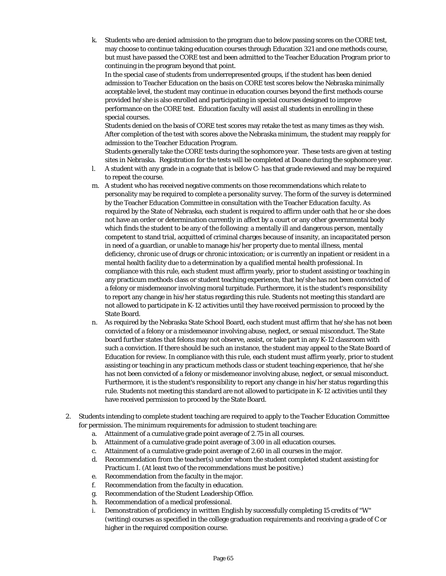k. Students who are denied admission to the program due to below passing scores on the CORE test, may choose to continue taking education courses through Education 321 and one methods course, but must have passed the CORE test and been admitted to the Teacher Education Program prior to continuing in the program beyond that point.

In the special case of students from underrepresented groups, if the student has been denied admission to Teacher Education on the basis on CORE test scores below the Nebraska minimally acceptable level, the student may continue in education courses beyond the first methods course provided he/she is also enrolled and participating in special courses designed to improve performance on the CORE test. Education faculty will assist all students in enrolling in these special courses.

Students denied on the basis of CORE test scores may retake the test as many times as they wish. After completion of the test with scores above the Nebraska minimum, the student may reapply for admission to the Teacher Education Program.

Students generally take the CORE tests during the sophomore year. These tests are given at testing sites in Nebraska. Registration for the tests will be completed at Doane during the sophomore year.

- l. A student with any grade in a cognate that is below C- has that grade reviewed and may be required to repeat the course.
- m. A student who has received negative comments on those recommendations which relate to personality may be required to complete a personality survey. The form of the survey is determined by the Teacher Education Committee in consultation with the Teacher Education faculty. As required by the State of Nebraska, each student is required to affirm under oath that he or she does not have an order or determination currently in affect by a court or any other governmental body which finds the student to be any of the following: a mentally ill and dangerous person, mentally competent to stand trial, acquitted of criminal charges because of insanity, an incapacitated person in need of a guardian, or unable to manage his/her property due to mental illness, mental deficiency, chronic use of drugs or chronic intoxication; or is currently an inpatient or resident in a mental health facility due to a determination by a qualified mental health professional. In compliance with this rule, each student must affirm yearly, prior to student assisting or teaching in any practicum methods class or student teaching experience, that he/she has not been convicted of a felony or misdemeanor involving moral turpitude. Furthermore, it is the student's responsibility to report any change in his/her status regarding this rule. Students not meeting this standard are not allowed to participate in K-12 activities until they have received permission to proceed by the State Board.
- n. As required by the Nebraska State School Board, each student must affirm that he/she has not been convicted of a felony or a misdemeanor involving abuse, neglect, or sexual misconduct. The State board further states that felons may not observe, assist, or take part in any K-12 classroom with such a conviction. If there should be such an instance, the student may appeal to the State Board of Education for review. In compliance with this rule, each student must affirm yearly, prior to student assisting or teaching in any practicum methods class or student teaching experience, that he/she has not been convicted of a felony or misdemeanor involving abuse, neglect, or sexual misconduct. Furthermore, it is the student's responsibility to report any change in his/her status regarding this rule. Students not meeting this standard are not allowed to participate in K-12 activities until they have received permission to proceed by the State Board.
- 2. Students intending to complete student teaching are required to apply to the Teacher Education Committee for permission. The minimum requirements for admission to student teaching are:
	- a. Attainment of a cumulative grade point average of 2.75 in all courses.
	- b. Attainment of a cumulative grade point average of 3.00 in all education courses.
	- c. Attainment of a cumulative grade point average of 2.60 in all courses in the major.
	- d. Recommendation from the teacher(s) under whom the student completed student assisting for Practicum I. (At least two of the recommendations must be positive.)
	- e. Recommendation from the faculty in the major.
	- f. Recommendation from the faculty in education.
	- g. Recommendation of the Student Leadership Office.
	- h. Recommendation of a medical professional.
	- i. Demonstration of proficiency in written English by successfully completing 15 credits of "W" (writing) courses as specified in the college graduation requirements and receiving a grade of C or higher in the required composition course.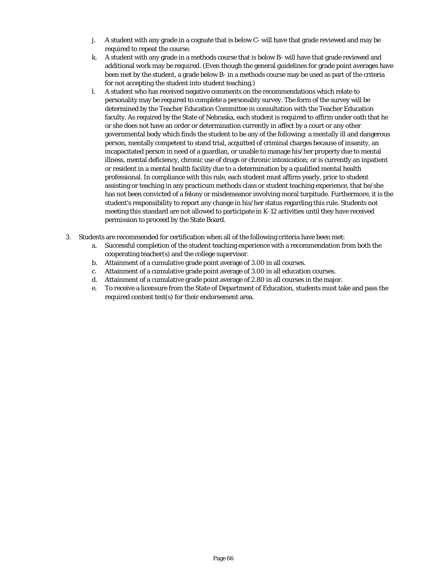- j. A student with any grade in a cognate that is below C- will have that grade reviewed and may be required to repeat the course.
- k. A student with any grade in a methods course that is below B- will have that grade reviewed and additional work may be required. (Even though the general guidelines for grade point averages have been met by the student, a grade below B- in a methods course may be used as part of the criteria for not accepting the student into student teaching.)
- l. A student who has received negative comments on the recommendations which relate to personality may be required to complete a personality survey. The form of the survey will be determined by the Teacher Education Committee in consultation with the Teacher Education faculty. As required by the State of Nebraska, each student is required to affirm under oath that he or she does not have an order or determination currently in affect by a court or any other governmental body which finds the student to be any of the following: a mentally ill and dangerous person, mentally competent to stand trial, acquitted of criminal charges because of insanity, an incapacitated person in need of a guardian, or unable to manage his/her property due to mental illness, mental deficiency, chronic use of drugs or chronic intoxication; or is currently an inpatient or resident in a mental health facility due to a determination by a qualified mental health professional. In compliance with this rule, each student must affirm yearly, prior to student assisting or teaching in any practicum methods class or student teaching experience, that he/she has not been convicted of a felony or misdemeanor involving moral turpitude. Furthermore, it is the student's responsibility to report any change in his/her status regarding this rule. Students not meeting this standard are not allowed to participate in K-12 activities until they have received permission to proceed by the State Board.
- 3. Students are recommended for certification when all of the following criteria have been met:
	- a. Successful completion of the student teaching experience with a recommendation from both the cooperating teacher(s) and the college supervisor.
	- b. Attainment of a cumulative grade point average of 3.00 in all courses.
	- c. Attainment of a cumulative grade point average of 3.00 in all education courses.
	- d. Attainment of a cumulative grade point average of 2.80 in all courses in the major.
	- e. To receive a licensure from the State of Department of Education, students must take and pass the required content test(s) for their endorsement area.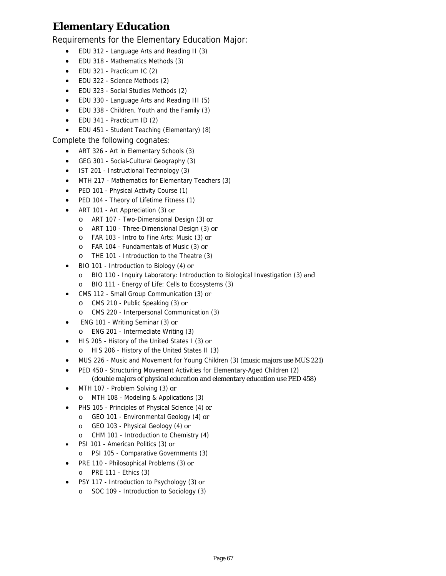### **Elementary Education**

Requirements for the Elementary Education Major:

- EDU 312 Language Arts and Reading II (3)
- EDU 318 Mathematics Methods (3)
- EDU 321 Practicum IC (2)
- EDU 322 Science Methods (2)
- EDU 323 Social Studies Methods (2)
- EDU 330 Language Arts and Reading III (5)
- EDU 338 Children, Youth and the Family (3)
- EDU 341 Practicum ID (2)
- EDU 451 Student Teaching (Elementary) (8)

Complete the following cognates:

- ART 326 Art in Elementary Schools (3)
- GEG 301 Social-Cultural Geography (3)
- IST 201 Instructional Technology (3)
- MTH 217 Mathematics for Elementary Teachers (3)
- PED 101 Physical Activity Course (1)
- PED 104 Theory of Lifetime Fitness (1)
- ART 101 Art Appreciation (3) or
	- o ART 107 Two-Dimensional Design (3) or
	- o ART 110 Three-Dimensional Design (3) or
	- o FAR 103 Intro to Fine Arts: Music (3) or
	- o FAR 104 Fundamentals of Music (3) or
	- o THE 101 Introduction to the Theatre (3)
- BIO 101 Introduction to Biology (4) or
	- o BIO 110 Inquiry Laboratory: Introduction to Biological Investigation (3) and
	- o BIO 111 Energy of Life: Cells to Ecosystems (3)
- CMS 112 Small Group Communication (3) or
	- o CMS 210 Public Speaking (3) or
	- o CMS 220 Interpersonal Communication (3)
- ENG 101 Writing Seminar (3) or
	- o ENG 201 Intermediate Writing (3)
- HIS 205 History of the United States I (3) or
	- o HIS 206 History of the United States II (3)
- MUS 226 Music and Movement for Young Children (3) (music majors use MUS 221)
- PED 450 Structuring Movement Activities for Elementary-Aged Children (2) (double majors of physical education and elementary education use PED 458)
- MTH 107 Problem Solving (3) or
	- o MTH 108 Modeling & Applications (3)
- PHS 105 Principles of Physical Science (4) or
	- o GEO 101 Environmental Geology (4) or
		- o GEO 103 Physical Geology (4) or
		- o CHM 101 Introduction to Chemistry (4)
- PSI 101 American Politics (3) or
	- o PSI 105 Comparative Governments (3)
- PRE 110 Philosophical Problems (3) or
	- o PRE 111 Ethics (3)
- PSY 117 Introduction to Psychology (3) or
	- o SOC 109 Introduction to Sociology (3)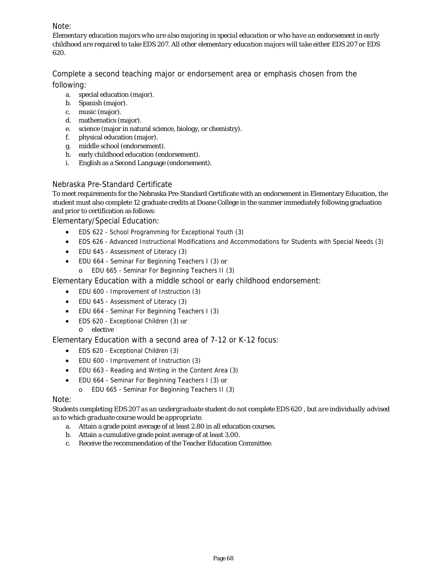Note:

*Elementary education majors who are also majoring in special education or who have an endorsement in early childhood are required to take EDS 207. All other elementary education majors will take either EDS 207 or EDS 620.*

Complete a second teaching major or endorsement area or emphasis chosen from the following:

- a. special education (major).
- b. Spanish (major).
- c. music (major).
- d. mathematics (major).
- e. science (major in natural science, biology, or chemistry).
- f. physical education (major).
- g. middle school (endorsement).
- h. early childhood education (endorsement).
- i. English as a Second Language (endorsement).

#### Nebraska Pre-Standard Certificate

To meet requirements for the Nebraska Pre-Standard Certificate with an endorsement in Elementary Education, the student must also complete 12 graduate credits at Doane College in the summer immediately following graduation and prior to certification as follows:

Elementary/Special Education:

- EDS 622 School Programming for Exceptional Youth (3)
- EDS 626 Advanced Instructional Modifications and Accommodations for Students with Special Needs (3)
- EDU 645 Assessment of Literacy (3)
- EDU 664 Seminar For Beginning Teachers I (3) or
	- o EDU 665 Seminar For Beginning Teachers II (3)

Elementary Education with a middle school or early childhood endorsement:

- EDU 600 Improvement of Instruction (3)
- EDU 645 Assessment of Literacy (3)
- EDU 664 Seminar For Beginning Teachers I (3)
- EDS 620 Exceptional Children (3) or
	- o elective

Elementary Education with a second area of 7-12 or K-12 focus:

- EDS 620 Exceptional Children (3)
- EDU 600 Improvement of Instruction (3)
- EDU 663 Reading and Writing in the Content Area (3)
- EDU 664 Seminar For Beginning Teachers I (3) or
	- o EDU 665 Seminar For Beginning Teachers II (3)

#### Note:

*Students completing EDS 207 as an undergraduate student do not complete EDS 620 , but are individually advised as to which graduate course would be appropriate.*

- a. Attain a grade point average of at least 2.80 in all education courses.
- b. Attain a cumulative grade point average of at least 3.00.
- c. Receive the recommendation of the Teacher Education Committee.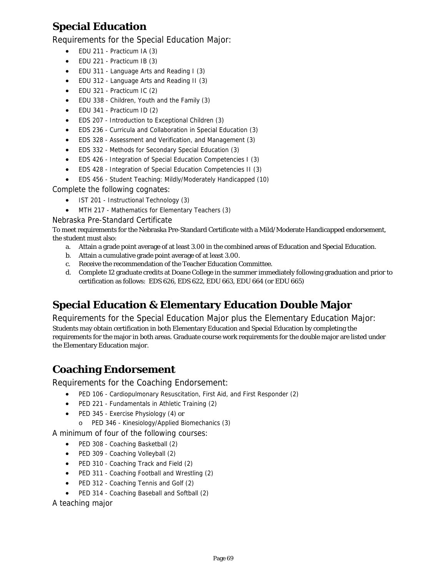# **Special Education**

Requirements for the Special Education Major:

- EDU 211 Practicum IA (3)
- EDU 221 Practicum IB (3)
- EDU 311 Language Arts and Reading I (3)
- EDU 312 Language Arts and Reading II (3)
- EDU 321 Practicum IC (2)
- EDU 338 Children, Youth and the Family (3)
- EDU 341 Practicum ID (2)
- EDS 207 Introduction to Exceptional Children (3)
- EDS 236 Curricula and Collaboration in Special Education (3)
- EDS 328 Assessment and Verification, and Management (3)
- EDS 332 Methods for Secondary Special Education (3)
- EDS 426 Integration of Special Education Competencies I (3)
- EDS 428 Integration of Special Education Competencies II (3)
- EDS 456 Student Teaching: Mildly/Moderately Handicapped (10)

Complete the following cognates:

- IST 201 Instructional Technology (3)
- MTH 217 Mathematics for Elementary Teachers (3)

Nebraska Pre-Standard Certificate

To meet requirements for the Nebraska Pre-Standard Certificate with a Mild/Moderate Handicapped endorsement, the student must also:

- a. Attain a grade point average of at least 3.00 in the combined areas of Education and Special Education.
- b. Attain a cumulative grade point average of at least 3.00.
- c. Receive the recommendation of the Teacher Education Committee.
- d. Complete 12 graduate credits at Doane College in the summer immediately following graduation and prior to certification as follows: EDS 626, EDS 622, EDU 663, EDU 664 (or EDU 665)

# **Special Education & Elementary Education Double Major**

Requirements for the Special Education Major plus the Elementary Education Major: Students may obtain certification in both Elementary Education and Special Education by completing the requirements for the major in both areas. Graduate course work requirements for the double major are listed under the Elementary Education major.

### **Coaching Endorsement**

Requirements for the Coaching Endorsement:

- PED 106 Cardiopulmonary Resuscitation, First Aid, and First Responder (2)
- PED 221 Fundamentals in Athletic Training (2)
- PED 345 Exercise Physiology (4) or
	- o PED 346 Kinesiology/Applied Biomechanics (3)

A minimum of four of the following courses:

- PED 308 Coaching Basketball (2)
- PED 309 Coaching Volleyball (2)
- PED 310 Coaching Track and Field (2)
- PED 311 Coaching Football and Wrestling (2)
- PED 312 Coaching Tennis and Golf (2)
- PED 314 Coaching Baseball and Softball (2)

A teaching major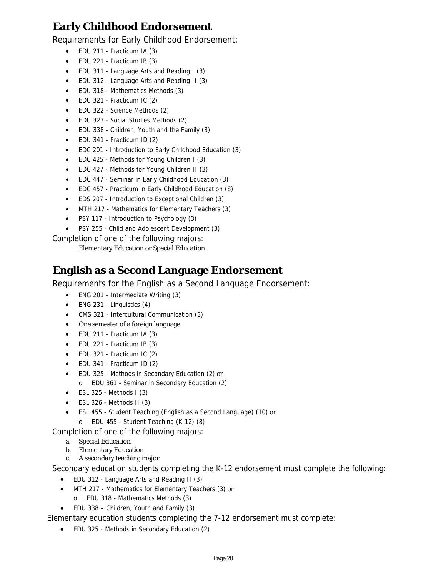# **Early Childhood Endorsement**

Requirements for Early Childhood Endorsement:

- EDU 211 Practicum IA (3)
- EDU 221 Practicum IB (3)
- EDU 311 Language Arts and Reading I (3)
- EDU 312 Language Arts and Reading II (3)
- EDU 318 Mathematics Methods (3)
- EDU 321 Practicum IC (2)
- EDU 322 Science Methods (2)
- EDU 323 Social Studies Methods (2)
- EDU 338 Children, Youth and the Family (3)
- EDU 341 Practicum ID (2)
- EDC 201 Introduction to Early Childhood Education (3)
- EDC 425 Methods for Young Children I (3)
- EDC 427 Methods for Young Children II (3)
- EDC 447 Seminar in Early Childhood Education (3)
- EDC 457 Practicum in Early Childhood Education (8)
- EDS 207 Introduction to Exceptional Children (3)
- MTH 217 Mathematics for Elementary Teachers (3)
- PSY 117 Introduction to Psychology (3)
- PSY 255 Child and Adolescent Development (3)

Completion of one of the following majors:

Elementary Education or Special Education.

### **English as a Second Language Endorsement**

Requirements for the English as a Second Language Endorsement:

- ENG 201 Intermediate Writing (3)
- $\bullet$  ENG 231 Linguistics (4)
- CMS 321 Intercultural Communication (3)
- One semester of a foreign language
- EDU 211 Practicum IA (3)
- EDU 221 Practicum IB (3)
- EDU 321 Practicum IC (2)
- EDU 341 Practicum ID (2)
- EDU 325 Methods in Secondary Education (2) or
	- o EDU 361 Seminar in Secondary Education (2)
- $\bullet$  ESL 325 Methods I (3)
- $\bullet$  ESL 326 Methods II (3)
- ESL 455 Student Teaching (English as a Second Language) (10) or
	- o EDU 455 Student Teaching (K-12) (8)

Completion of one of the following majors:

- a. Special Education
- b. Elementary Education
- c. A secondary teaching major

Secondary education students completing the K-12 endorsement must complete the following:

- EDU 312 Language Arts and Reading II (3)
- MTH 217 Mathematics for Elementary Teachers (3) or
	- o EDU 318 Mathematics Methods (3)
- EDU 338 Children, Youth and Family (3)

Elementary education students completing the 7-12 endorsement must complete:

EDU 325 - Methods in Secondary Education (2)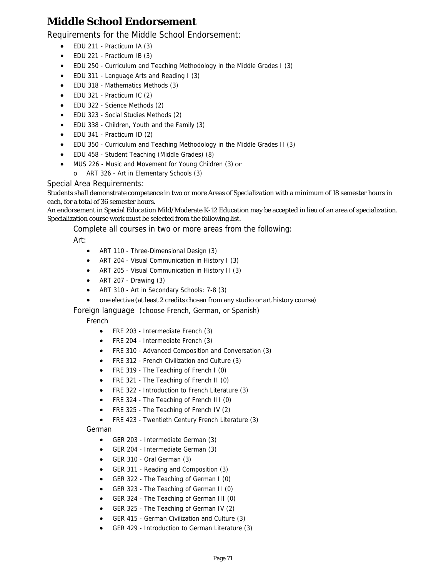# **Middle School Endorsement**

Requirements for the Middle School Endorsement:

- EDU 211 Practicum IA (3)
- EDU 221 Practicum IB (3)
- EDU 250 Curriculum and Teaching Methodology in the Middle Grades I (3)
- EDU 311 Language Arts and Reading I (3)
- EDU 318 Mathematics Methods (3)
- EDU 321 Practicum IC (2)
- EDU 322 Science Methods (2)
- EDU 323 Social Studies Methods (2)
- EDU 338 Children, Youth and the Family (3)
- EDU 341 Practicum ID (2)
- EDU 350 Curriculum and Teaching Methodology in the Middle Grades II (3)
- EDU 458 Student Teaching (Middle Grades) (8)
- MUS 226 Music and Movement for Young Children (3) or
	- o ART 326 Art in Elementary Schools (3)

Special Area Requirements:

Students shall demonstrate competence in two or more Areas of Specialization with a minimum of 18 semester hours in each, for a total of 36 semester hours.

An endorsement in Special Education Mild/Moderate K-12 Education may be accepted in lieu of an area of specialization. Specialization course work must be selected from the following list.

Complete all courses in two or more areas from the following:

Art:

- ART 110 Three-Dimensional Design (3)
- ART 204 Visual Communication in History I (3)
- ART 205 Visual Communication in History II (3)
- ART 207 Drawing (3)
- ART 310 Art in Secondary Schools: 7-8 (3)
- one elective (at least 2 credits chosen from any studio or art history course)

Foreign language (choose French, German, or Spanish)

French

- FRE 203 Intermediate French (3)
- FRE 204 Intermediate French (3)
- FRE 310 Advanced Composition and Conversation (3)
- FRE 312 French Civilization and Culture (3)
- FRE 319 The Teaching of French I (0)
- FRE 321 The Teaching of French II (0)
- FRE 322 Introduction to French Literature (3)
- FRE 324 The Teaching of French III (0)
- FRE 325 The Teaching of French IV (2)
- FRE 423 Twentieth Century French Literature (3)

German

- GER 203 Intermediate German (3)
- GER 204 Intermediate German (3)
- GER 310 Oral German (3)
- GER 311 Reading and Composition (3)
- GER 322 The Teaching of German I (0)
- GER 323 The Teaching of German II (0)
- GER 324 The Teaching of German III (0)
- GER 325 The Teaching of German IV (2)
- GER 415 German Civilization and Culture (3)
- GER 429 Introduction to German Literature (3)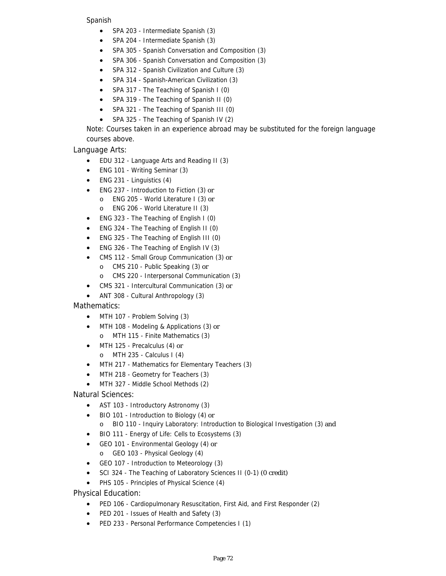#### Spanish

- SPA 203 Intermediate Spanish (3)
- SPA 204 Intermediate Spanish (3)
- SPA 305 Spanish Conversation and Composition (3)
- SPA 306 Spanish Conversation and Composition (3)
- SPA 312 Spanish Civilization and Culture (3)
- SPA 314 Spanish-American Civilization (3)
- SPA 317 The Teaching of Spanish I (0)
- SPA 319 The Teaching of Spanish II (0)
- SPA 321 The Teaching of Spanish III (0)
- SPA 325 The Teaching of Spanish IV (2)

Note: Courses taken in an experience abroad may be substituted for the foreign language courses above.

Language Arts:

- EDU 312 Language Arts and Reading II (3)
- ENG 101 Writing Seminar (3)
- ENG 231 Linguistics (4)
- ENG 237 Introduction to Fiction (3) or
	- o ENG 205 World Literature I (3) or
	- o ENG 206 World Literature II (3)
- ENG 323 The Teaching of English I (0)
- ENG 324 The Teaching of English II (0)
- ENG 325 The Teaching of English III (0)
- ENG 326 The Teaching of English IV (3)
- CMS 112 Small Group Communication (3) or
	- o CMS 210 Public Speaking (3) or
	- o CMS 220 Interpersonal Communication (3)
- CMS 321 Intercultural Communication (3) or
- ANT 308 Cultural Anthropology (3)

Mathematics:

- MTH 107 Problem Solving (3)
- MTH 108 Modeling & Applications (3) or o MTH 115 - Finite Mathematics (3)
	- MTH 125 Precalculus (4) or
	- o MTH 235 Calculus I (4)
- MTH 217 Mathematics for Elementary Teachers (3)
- MTH 218 Geometry for Teachers (3)
- MTH 327 Middle School Methods (2)

Natural Sciences:

- AST 103 Introductory Astronomy (3)
- BIO 101 Introduction to Biology (4) or
	- o BIO 110 Inquiry Laboratory: Introduction to Biological Investigation (3) and
- BIO 111 Energy of Life: Cells to Ecosystems (3)
- GEO 101 Environmental Geology (4) or
- o GEO 103 Physical Geology (4)
- GEO 107 Introduction to Meteorology (3)
- SCI 324 The Teaching of Laboratory Sciences II (0-1) (0 credit)
- PHS 105 Principles of Physical Science (4)

Physical Education:

- PED 106 Cardiopulmonary Resuscitation, First Aid, and First Responder (2)
- PED 201 Issues of Health and Safety (3)
- PED 233 Personal Performance Competencies I (1)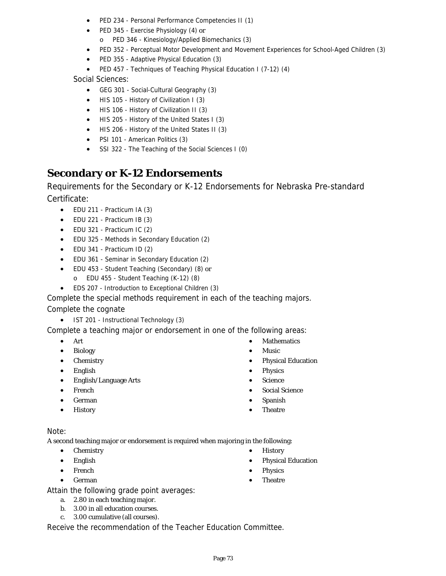- PED 234 Personal Performance Competencies II (1)
- PED 345 Exercise Physiology (4) or
	- o PED 346 Kinesiology/Applied Biomechanics (3)
- PED 352 Perceptual Motor Development and Movement Experiences for School-Aged Children (3)
- PED 355 Adaptive Physical Education (3)
- PED 457 Techniques of Teaching Physical Education I (7-12) (4)

Social Sciences:

- GEG 301 Social-Cultural Geography (3)
- HIS 105 History of Civilization I (3)
- HIS 106 History of Civilization II (3)
- HIS 205 History of the United States I (3)
- HIS 206 History of the United States II (3)
- PSI 101 American Politics (3)
- SSI 322 The Teaching of the Social Sciences I (0)

### **Secondary or K-12 Endorsements**

Requirements for the Secondary or K-12 Endorsements for Nebraska Pre-standard Certificate:

- EDU 211 Practicum IA (3)
- EDU 221 Practicum IB (3)
- EDU 321 Practicum IC (2)
- EDU 325 Methods in Secondary Education (2)
- EDU 341 Practicum ID (2)
- EDU 361 Seminar in Secondary Education (2)
- EDU 453 Student Teaching (Secondary) (8) or
	- o EDU 455 Student Teaching (K-12) (8)
- EDS 207 Introduction to Exceptional Children (3)

Complete the special methods requirement in each of the teaching majors. Complete the cognate

• IST 201 - Instructional Technology (3)

Complete a teaching major or endorsement in one of the following areas:

- Art
- Biology
- Chemistry
- English
- English/Language Arts
- French
- German
- History
- **Mathematics**
- Music
- Physical Education
- Physics
- Science
- Social Science
- Spanish
- **Theatre**

### Note:

A second teaching major or endorsement is required when majoring in the following:

- Chemistry
- English
- French
- German

Attain the following grade point averages:

- a. 2.80 in each teaching major.
- b. 3.00 in all education courses.
- c. 3.00 cumulative (all courses).

Receive the recommendation of the Teacher Education Committee.

- **History**
- Physical Education
- Physics
- **Theatre**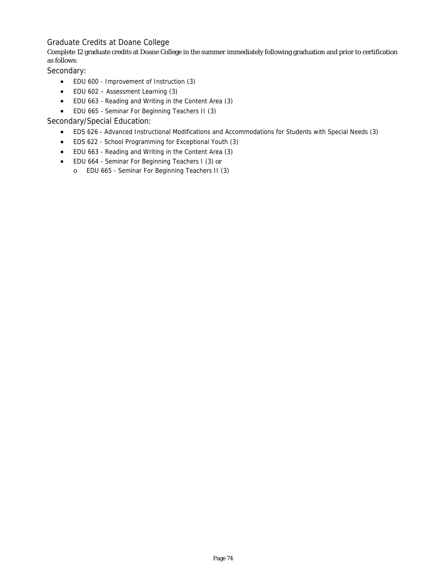### Graduate Credits at Doane College

Complete 12 graduate credits at Doane College in the summer immediately following graduation and prior to certification as follows:

Secondary:

- EDU 600 Improvement of Instruction (3)
- EDU 602 Assessment Learning (3)
- EDU 663 Reading and Writing in the Content Area (3)
- EDU 665 Seminar For Beginning Teachers II (3)

Secondary/Special Education:

- EDS 626 Advanced Instructional Modifications and Accommodations for Students with Special Needs (3)
- EDS 622 School Programming for Exceptional Youth (3)
- EDU 663 Reading and Writing in the Content Area (3)
- EDU 664 Seminar For Beginning Teachers I (3) or
	- o EDU 665 Seminar For Beginning Teachers II (3)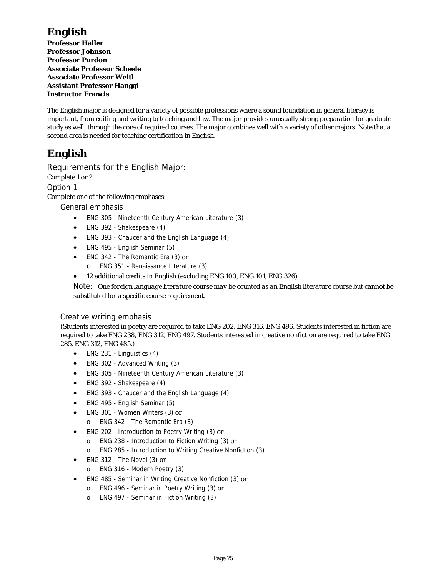## **English**

**Professor Haller Professor Johnson Professor Purdon Associate Professor Scheele Associate Professor Weitl Assistant Professor Hanggi Instructor Francis**

The English major is designed for a variety of possible professions where a sound foundation in general literacy is important, from editing and writing to teaching and law. The major provides unusually strong preparation for graduate study as well, through the core of required courses. The major combines well with a variety of other majors. Note that a second area is needed for teaching certification in English.

# **English**

Requirements for the English Major:

Complete 1 or 2.

Option 1

Complete one of the following emphases:

General emphasis

- ENG 305 Nineteenth Century American Literature (3)
- ENG 392 Shakespeare (4)
- ENG 393 Chaucer and the English Language (4)
- ENG 495 English Seminar (5)
- ENG 342 The Romantic Era (3) or
	- o ENG 351 Renaissance Literature (3)
- 12 additional credits in English (excluding ENG 100, ENG 101, ENG 326)

Note: *One foreign language literature course may be counted as an English literature course but cannot be substituted for a specific course requirement.*

### Creative writing emphasis

(Students interested in poetry are required to take ENG 202, ENG 316, ENG 496. Students interested in fiction are required to take ENG 238, ENG 312, ENG 497. Students interested in creative nonfiction are required to take ENG 285, ENG 312, ENG 485.)

- ENG 231 Linguistics (4)
- ENG 302 Advanced Writing (3)
- ENG 305 Nineteenth Century American Literature (3)
- ENG 392 Shakespeare (4)
- ENG 393 Chaucer and the English Language (4)
- ENG 495 English Seminar (5)
- ENG 301 Women Writers (3) or
	- o ENG 342 The Romantic Era (3)
- ENG 202 Introduction to Poetry Writing (3) or
	- o ENG 238 Introduction to Fiction Writing (3) or
	- o ENG 285 Introduction to Writing Creative Nonfiction (3)
- ENG 312 The Novel (3) or
	- o ENG 316 Modern Poetry (3)
- ENG 485 Seminar in Writing Creative Nonfiction (3) or
	- o ENG 496 Seminar in Poetry Writing (3) or
	- o ENG 497 Seminar in Fiction Writing (3)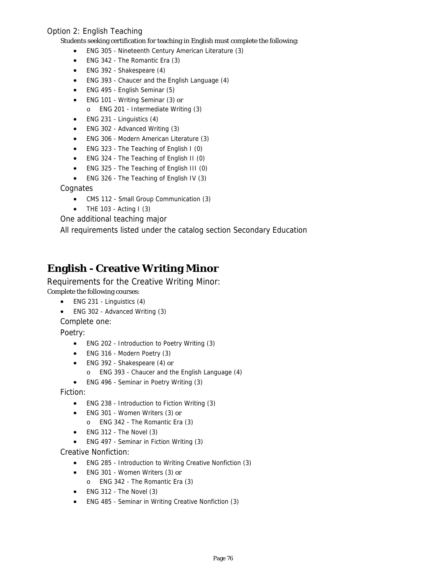### Option 2: English Teaching

Students seeking certification for teaching in English must complete the following:

- ENG 305 Nineteenth Century American Literature (3)
- ENG 342 The Romantic Era (3)
- ENG 392 Shakespeare (4)
- ENG 393 Chaucer and the English Language (4)
- ENG 495 English Seminar (5)
- ENG 101 Writing Seminar (3) or
	- o ENG 201 Intermediate Writing (3)
- ENG 231 Linguistics (4)
- ENG 302 Advanced Writing (3)
- ENG 306 Modern American Literature (3)
- ENG 323 The Teaching of English I (0)
- ENG 324 The Teaching of English II (0)
- ENG 325 The Teaching of English III (0)
- ENG 326 The Teaching of English IV (3)

**Cognates** 

- CMS 112 Small Group Communication (3)
- $\bullet$  THE 103 Acting I (3)

One additional teaching major

All requirements listed under the catalog section Secondary Education

## **English - Creative Writing Minor**

Requirements for the Creative Writing Minor: Complete the following courses:

- $\bullet$  ENG 231 Linguistics (4)
- ENG 302 Advanced Writing (3)

Complete one:

Poetry:

- ENG 202 Introduction to Poetry Writing (3)
- ENG 316 Modern Poetry (3)
- ENG 392 Shakespeare (4) or
	- o ENG 393 Chaucer and the English Language (4)

ENG 496 - Seminar in Poetry Writing (3)

Fiction:

- ENG 238 Introduction to Fiction Writing (3)
- ENG 301 Women Writers (3) or
	- o ENG 342 The Romantic Era (3)
- $\bullet$  ENG 312 The Novel (3)
- ENG 497 Seminar in Fiction Writing (3)

Creative Nonfiction:

- ENG 285 Introduction to Writing Creative Nonfiction (3)
- ENG 301 Women Writers (3) or
	- o ENG 342 The Romantic Era (3)
- $\bullet$  ENG 312 The Novel (3)
- ENG 485 Seminar in Writing Creative Nonfiction (3)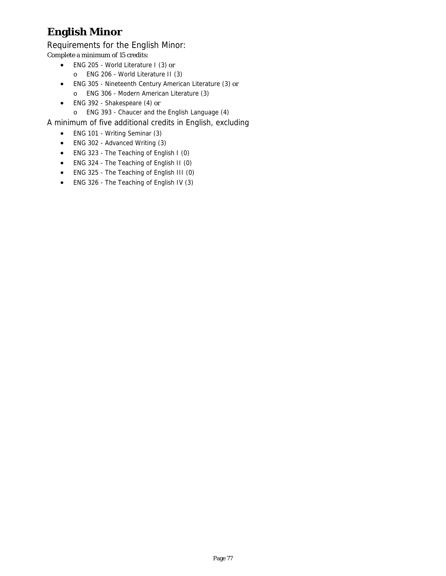# **English Minor**

Requirements for the English Minor:

Complete a minimum of 15 credits:

- ENG 205 World Literature I (3) or o ENG 206 - World Literature II (3)
- ENG 305 Nineteenth Century American Literature (3) or o ENG 306 - Modern American Literature (3)
- ENG 392 Shakespeare (4) or
	- o ENG 393 Chaucer and the English Language (4)

A minimum of five additional credits in English, excluding

- ENG 101 Writing Seminar (3)
- ENG 302 Advanced Writing (3)
- ENG 323 The Teaching of English I (0)
- ENG 324 The Teaching of English II (0)
- ENG 325 The Teaching of English III (0)
- ENG 326 The Teaching of English IV (3)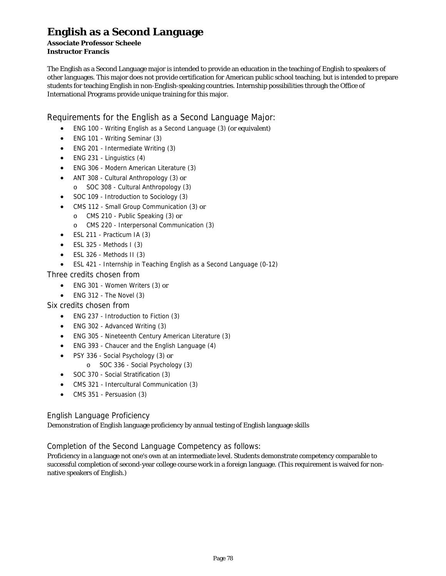### **English as a Second Language**

#### **Associate Professor Scheele Instructor Francis**

The English as a Second Language major is intended to provide an education in the teaching of English to speakers of other languages. This major does not provide certification for American public school teaching, but is intended to prepare students for teaching English in non-English-speaking countries. Internship possibilities through the Office of International Programs provide unique training for this major.

Requirements for the English as a Second Language Major:

- ENG 100 Writing English as a Second Language (3) (or equivalent)
- ENG 101 Writing Seminar (3)
- ENG 201 Intermediate Writing (3)
- ENG 231 Linguistics (4)
- ENG 306 Modern American Literature (3)
- ANT 308 Cultural Anthropology (3) or
	- o SOC 308 Cultural Anthropology (3)
- SOC 109 Introduction to Sociology (3)
- CMS 112 Small Group Communication (3) or
	- o CMS 210 Public Speaking (3) or
		- o CMS 220 Interpersonal Communication (3)
- ESL 211 Practicum IA (3)
- $\bullet$  ESL 325 Methods I (3)
- $\bullet$  ESL 326 Methods II (3)
- ESL 421 Internship in Teaching English as a Second Language (0-12)

Three credits chosen from

- ENG 301 Women Writers (3) or
- $\bullet$  ENG 312 The Novel (3)

Six credits chosen from

- ENG 237 Introduction to Fiction (3)
- ENG 302 Advanced Writing (3)
- ENG 305 Nineteenth Century American Literature (3)
- ENG 393 Chaucer and the English Language (4)
- PSY 336 Social Psychology (3) or
	- o SOC 336 Social Psychology (3)
- SOC 370 Social Stratification (3)
- CMS 321 Intercultural Communication (3)
- CMS 351 Persuasion (3)

### English Language Proficiency

Demonstration of English language proficiency by annual testing of English language skills

### Completion of the Second Language Competency as follows:

Proficiency in a language not one's own at an intermediate level. Students demonstrate competency comparable to successful completion of second-year college course work in a foreign language. (This requirement is waived for nonnative speakers of English.)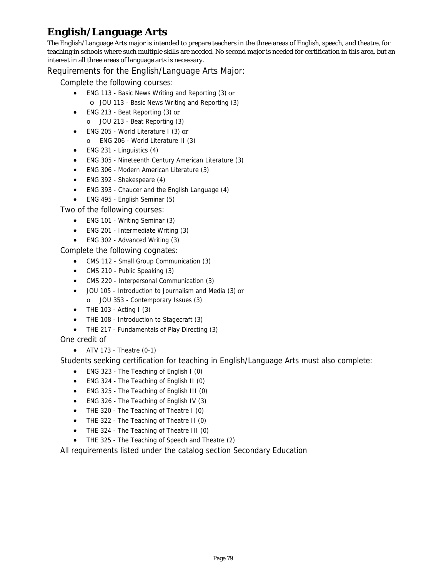## **English/Language Arts**

The English/Language Arts major is intended to prepare teachers in the three areas of English, speech, and theatre, for teaching in schools where such multiple skills are needed. No second major is needed for certification in this area, but an interest in all three areas of language arts is necessary.

Requirements for the English/Language Arts Major:

Complete the following courses:

- ENG 113 Basic News Writing and Reporting (3) or
	- o JOU 113 Basic News Writing and Reporting (3)
- ENG 213 Beat Reporting (3) or o JOU 213 - Beat Reporting (3)
- ENG 205 World Literature I (3) or
- o ENG 206 World Literature II (3)
- ENG 231 Linguistics (4)
- ENG 305 Nineteenth Century American Literature (3)
- ENG 306 Modern American Literature (3)
- ENG 392 Shakespeare (4)
- ENG 393 Chaucer and the English Language (4)
- ENG 495 English Seminar (5)

Two of the following courses:

- ENG 101 Writing Seminar (3)
- ENG 201 Intermediate Writing (3)
- ENG 302 Advanced Writing (3)

Complete the following cognates:

- CMS 112 Small Group Communication (3)
- CMS 210 Public Speaking (3)
- CMS 220 Interpersonal Communication (3)
- JOU 105 Introduction to Journalism and Media (3) or o JOU 353 - Contemporary Issues (3)
- $\bullet$  THE 103 Acting I (3)
- THE 108 Introduction to Stagecraft (3)
- THE 217 Fundamentals of Play Directing (3)

One credit of

 $\bullet$  ATV 173 - Theatre (0-1)

Students seeking certification for teaching in English/Language Arts must also complete:

- ENG 323 The Teaching of English I (0)
- ENG 324 The Teaching of English II (0)
- ENG 325 The Teaching of English III (0)
- ENG 326 The Teaching of English IV (3)
- THE 320 The Teaching of Theatre I (0)
- THE 322 The Teaching of Theatre II (0)
- THE 324 The Teaching of Theatre III (0)
- THE 325 The Teaching of Speech and Theatre (2)

All requirements listed under the catalog section Secondary Education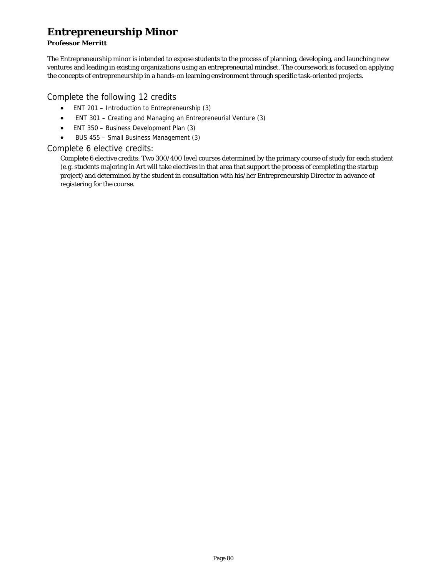## **Entrepreneurship Minor**

### **Professor Merritt**

The Entrepreneurship minor is intended to expose students to the process of planning, developing, and launching new ventures and leading in existing organizations using an entrepreneurial mindset. The coursework is focused on applying the concepts of entrepreneurship in a hands-on learning environment through specific task-oriented projects.

### Complete the following 12 credits

- ENT 201 Introduction to Entrepreneurship (3)
- ENT 301 Creating and Managing an Entrepreneurial Venture (3)
- ENT 350 Business Development Plan (3)
- BUS 455 Small Business Management (3)

### Complete 6 elective credits:

Complete 6 elective credits: Two 300/400 level courses determined by the primary course of study for each student (e.g. students majoring in Art will take electives in that area that support the process of completing the startup project) and determined by the student in consultation with his/her Entrepreneurship Director in advance of registering for the course.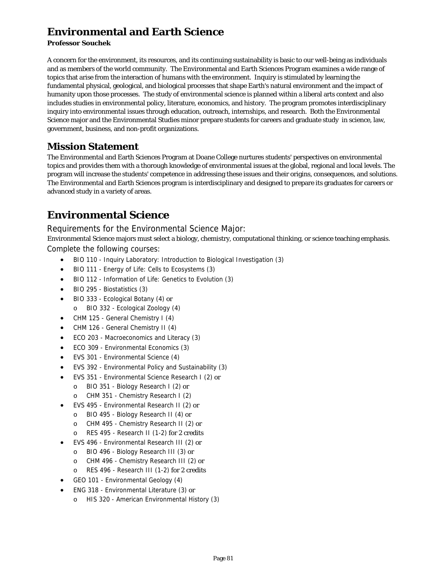## **Environmental and Earth Science**

#### **Professor Souchek**

A concern for the environment, its resources, and its continuing sustainability is basic to our well-being as individuals and as members of the world community. The Environmental and Earth Sciences Program examines a wide range of topics that arise from the interaction of humans with the environment. Inquiry is stimulated by learning the fundamental physical, geological, and biological processes that shape Earth's natural environment and the impact of humanity upon those processes. The study of environmental science is planned within a liberal arts context and also includes studies in environmental policy, literature, economics, and history. The program promotes interdisciplinary inquiry into environmental issues through education, outreach, internships, and research. Both the Environmental Science major and the Environmental Studies minor prepare students for careers and graduate study in science, law, government, business, and non-profit organizations.

### **Mission Statement**

The Environmental and Earth Sciences Program at Doane College nurtures students' perspectives on environmental topics and provides them with a thorough knowledge of environmental issues at the global, regional and local levels. The program will increase the students' competence in addressing these issues and their origins, consequences, and solutions. The Environmental and Earth Sciences program is interdisciplinary and designed to prepare its graduates for careers or advanced study in a variety of areas.

## **Environmental Science**

Requirements for the Environmental Science Major:

Environmental Science majors must select a biology, chemistry, computational thinking, or science teaching emphasis. Complete the following courses:

- BIO 110 Inquiry Laboratory: Introduction to Biological Investigation (3)
- BIO 111 Energy of Life: Cells to Ecosystems (3)
- BIO 112 Information of Life: Genetics to Evolution (3)
- BIO 295 Biostatistics (3)
- BIO 333 Ecological Botany (4) or
	- o BIO 332 Ecological Zoology (4)
- CHM 125 General Chemistry I (4)
- CHM 126 General Chemistry II (4)
- ECO 203 Macroeconomics and Literacy (3)
- ECO 309 Environmental Economics (3)
- EVS 301 Environmental Science (4)
- EVS 392 Environmental Policy and Sustainability (3)
- EVS 351 Environmental Science Research I (2) or
	- o BIO 351 Biology Research I (2) or
	- o CHM 351 Chemistry Research I (2)
- EVS 495 Environmental Research II (2) or
	- o BIO 495 Biology Research II (4) or
	- o CHM 495 Chemistry Research II (2) or
	- o RES 495 Research II (1-2) for 2 credits
- EVS 496 Environmental Research III (2) or
	- o BIO 496 Biology Research III (3) or
	- o CHM 496 Chemistry Research III (2) or
	- o RES 496 Research III (1-2) for 2 credits
- GEO 101 Environmental Geology (4)
- ENG 318 Environmental Literature (3) or
	- o HIS 320 American Environmental History (3)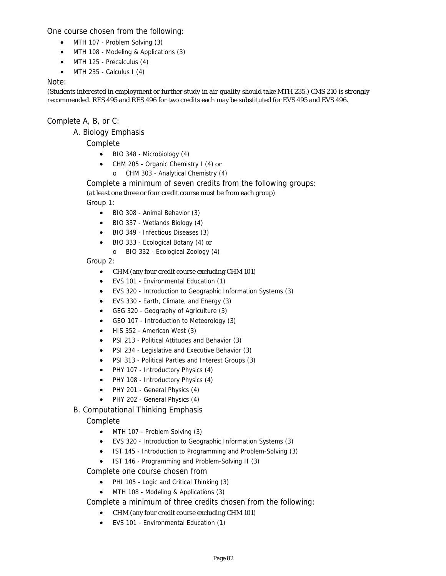One course chosen from the following:

- MTH 107 Problem Solving (3)
- MTH 108 Modeling & Applications (3)
- MTH 125 Precalculus (4)
- $\bullet$  MTH 235 Calculus I (4)

### Note:

*(Students interested in employment or further study in air quality should take MTH 235.) CMS 210 is strongly recommended.* RES 495 and RES 496 for two credits each may be substituted for EVS 495 and EVS 496.

### Complete A, B, or C:

A. Biology Emphasis

Complete

- BIO 348 Microbiology (4)
- CHM 205 Organic Chemistry I (4) or
	- o CHM 303 Analytical Chemistry (4)

Complete a minimum of seven credits from the following groups: (at least one three or four credit course must be from each group) Group 1:

- BIO 308 Animal Behavior (3)
- BIO 337 Wetlands Biology (4)
- BIO 349 Infectious Diseases (3)
- BIO 333 Ecological Botany (4) or
- o BIO 332 Ecological Zoology (4)

Group 2:

- CHM (any four credit course excluding CHM 101)
- EVS 101 Environmental Education (1)
- EVS 320 Introduction to Geographic Information Systems (3)
- EVS 330 Earth, Climate, and Energy (3)
- GEG 320 Geography of Agriculture (3)
- GEO 107 Introduction to Meteorology (3)
- HIS 352 American West (3)
- PSI 213 Political Attitudes and Behavior (3)
- PSI 234 Legislative and Executive Behavior (3)
- PSI 313 Political Parties and Interest Groups (3)
- PHY 107 Introductory Physics (4)
- PHY 108 Introductory Physics (4)
- PHY 201 General Physics (4)
- PHY 202 General Physics (4)
- B. Computational Thinking Emphasis

Complete

- MTH 107 Problem Solving (3)
- EVS 320 Introduction to Geographic Information Systems (3)
- IST 145 Introduction to Programming and Problem-Solving (3)
- IST 146 Programming and Problem-Solving II (3)

Complete one course chosen from

- PHI 105 Logic and Critical Thinking (3)
- MTH 108 Modeling & Applications (3)
- Complete a minimum of three credits chosen from the following:
	- CHM (any four credit course excluding CHM 101)
	- EVS 101 Environmental Education (1)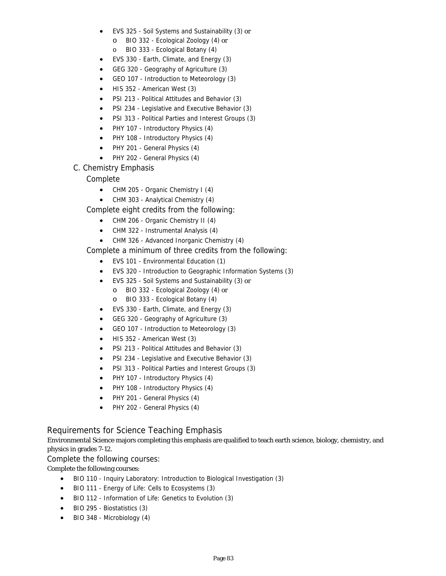- EVS 325 Soil Systems and Sustainability (3) or
	- o BIO 332 Ecological Zoology (4) or
	- o BIO 333 Ecological Botany (4)
- EVS 330 Earth, Climate, and Energy (3)
- GEG 320 Geography of Agriculture (3)
- GEO 107 Introduction to Meteorology (3)
- HIS 352 American West (3)
- PSI 213 Political Attitudes and Behavior (3)
- PSI 234 Legislative and Executive Behavior (3)
- PSI 313 Political Parties and Interest Groups (3)
- PHY 107 Introductory Physics (4)
- PHY 108 Introductory Physics (4)
- PHY 201 General Physics (4)
- PHY 202 General Physics (4)
- C. Chemistry Emphasis

### Complete

- CHM 205 Organic Chemistry I (4)
- CHM 303 Analytical Chemistry (4)
- Complete eight credits from the following:
	- CHM 206 Organic Chemistry II (4)
	- CHM 322 Instrumental Analysis (4)
	- CHM 326 Advanced Inorganic Chemistry (4)

Complete a minimum of three credits from the following:

- EVS 101 Environmental Education (1)
- EVS 320 Introduction to Geographic Information Systems (3)
- EVS 325 Soil Systems and Sustainability (3) or
	- o BIO 332 Ecological Zoology (4) or
	- o BIO 333 Ecological Botany (4)
- EVS 330 Earth, Climate, and Energy (3)
- GEG 320 Geography of Agriculture (3)
- GEO 107 Introduction to Meteorology (3)
- HIS 352 American West (3)
- PSI 213 Political Attitudes and Behavior (3)
- PSI 234 Legislative and Executive Behavior (3)
- PSI 313 Political Parties and Interest Groups (3)
- PHY 107 Introductory Physics (4)
- PHY 108 Introductory Physics (4)
- PHY 201 General Physics (4)
- PHY 202 General Physics (4)

### Requirements for Science Teaching Emphasis

Environmental Science majors completing this emphasis are qualified to teach earth science, biology, chemistry, and physics in grades 7-12.

### Complete the following courses:

Complete the following courses:

- BIO 110 Inquiry Laboratory: Introduction to Biological Investigation (3)
- BIO 111 Energy of Life: Cells to Ecosystems (3)
- BIO 112 Information of Life: Genetics to Evolution (3)
- BIO 295 Biostatistics (3)
- BIO 348 Microbiology (4)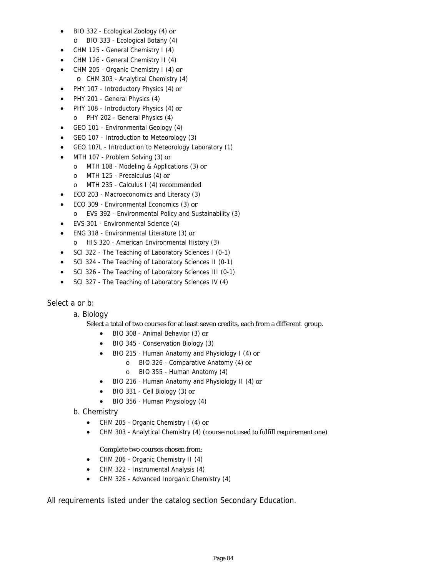- BIO 332 Ecological Zoology (4) or
	- o BIO 333 Ecological Botany (4)
- CHM 125 General Chemistry I (4)
- CHM 126 General Chemistry II (4)
- CHM 205 Organic Chemistry I (4) or o CHM 303 - Analytical Chemistry (4)
- PHY 107 Introductory Physics (4) or
- PHY 201 General Physics (4)
- PHY 108 Introductory Physics (4) or o PHY 202 - General Physics (4)
- GEO 101 Environmental Geology (4)
- GEO 107 Introduction to Meteorology (3)
- GEO 107L Introduction to Meteorology Laboratory (1)
- MTH 107 Problem Solving (3) or
	- o MTH 108 Modeling & Applications (3) or
		- o MTH 125 Precalculus (4) or
		- o MTH 235 Calculus I (4) recommended
- ECO 203 Macroeconomics and Literacy (3)
- ECO 309 Environmental Economics (3) or o EVS 392 - Environmental Policy and Sustainability (3)
- EVS 301 Environmental Science (4)
- ENG 318 Environmental Literature (3) or
	- o HIS 320 American Environmental History (3)
- SCI 322 The Teaching of Laboratory Sciences I (0-1)
- SCI 324 The Teaching of Laboratory Sciences II (0-1)
- SCI 326 The Teaching of Laboratory Sciences III (0-1)
- SCI 327 The Teaching of Laboratory Sciences IV (4)

### Select a or b:

### a. Biology

Select a total of two courses for at least seven credits, each from a different group.

- BIO 308 Animal Behavior (3) or
- BIO 345 Conservation Biology (3)
- BIO 215 Human Anatomy and Physiology I (4) or
	- o BIO 326 Comparative Anatomy (4) or
	- o BIO 355 Human Anatomy (4)
- BIO 216 Human Anatomy and Physiology II (4) or
- BIO 331 Cell Biology (3) or
- BIO 356 Human Physiology (4)
- b. Chemistry
	- CHM 205 Organic Chemistry I (4) or
	- CHM 303 Analytical Chemistry (4) (course not used to fulfill requirement one)

### Complete two courses chosen from:

- CHM 206 Organic Chemistry II (4)
- CHM 322 Instrumental Analysis (4)
- CHM 326 Advanced Inorganic Chemistry (4)

All requirements listed under the catalog section Secondary Education.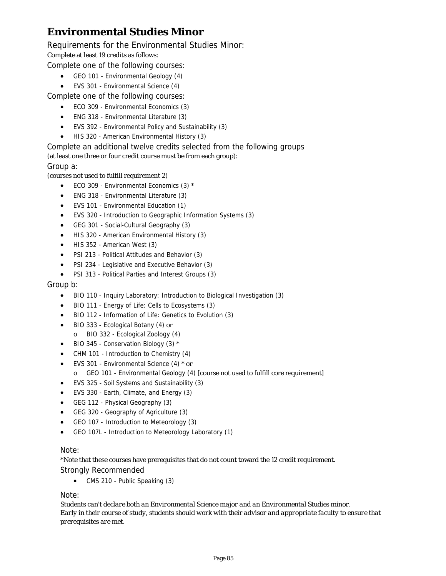## **Environmental Studies Minor**

Requirements for the Environmental Studies Minor:

Complete at least 19 credits as follows:

Complete one of the following courses:

- GEO 101 Environmental Geology (4)
- EVS 301 Environmental Science (4)

Complete one of the following courses:

- ECO 309 Environmental Economics (3)
- ENG 318 Environmental Literature (3)
- EVS 392 Environmental Policy and Sustainability (3)
- HIS 320 American Environmental History (3)

Complete an additional twelve credits selected from the following groups

(at least one three or four credit course must be from each group):

Group a:

(courses not used to fulfill requirement 2)

- ECO 309 Environmental Economics (3) \*
- ENG 318 Environmental Literature (3)
- EVS 101 Environmental Education (1)
- EVS 320 Introduction to Geographic Information Systems (3)
- GEG 301 Social-Cultural Geography (3)
- HIS 320 American Environmental History (3)
- HIS 352 American West (3)
- PSI 213 Political Attitudes and Behavior (3)
- PSI 234 Legislative and Executive Behavior (3)
- PSI 313 Political Parties and Interest Groups (3)

Group b:

- BIO 110 Inquiry Laboratory: Introduction to Biological Investigation (3)
- BIO 111 Energy of Life: Cells to Ecosystems (3)
- BIO 112 Information of Life: Genetics to Evolution (3)
- BIO 333 Ecological Botany (4) or
- o BIO 332 Ecological Zoology (4)
- BIO 345 Conservation Biology (3) \*
- CHM 101 Introduction to Chemistry (4)
- EVS 301 Environmental Science (4) \* or
	- o GEO 101 Environmental Geology (4) [course not used to fulfill core requirement]
- EVS 325 Soil Systems and Sustainability (3)
- EVS 330 Earth, Climate, and Energy (3)
- GEG 112 Physical Geography (3)
- GEG 320 Geography of Agriculture (3)
- GEO 107 Introduction to Meteorology (3)
- GEO 107L Introduction to Meteorology Laboratory (1)

### Note:

\*Note that these courses have prerequisites that do not count toward the 12 credit requirement. Strongly Recommended

• CMS 210 - Public Speaking (3)

### Note:

*Students can't declare both an Environmental Science major and an Environmental Studies minor. Early in their course of study, students should work with their advisor and appropriate faculty to ensure that prerequisites are met.*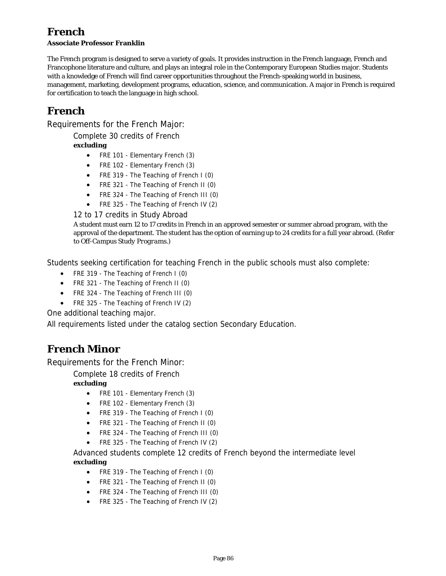## **French**

### **Associate Professor Franklin**

The French program is designed to serve a variety of goals. It provides instruction in the French language, French and Francophone literature and culture, and plays an integral role in the Contemporary European Studies major. Students with a knowledge of French will find career opportunities throughout the French-speaking world in business, management, marketing, development programs, education, science, and communication. A major in French is required for certification to teach the language in high school.

# **French**

Requirements for the French Major:

Complete 30 credits of French

### *excluding*

- FRE 101 Elementary French (3)
- FRE 102 Elementary French (3)
- FRE 319 The Teaching of French I (0)
- FRE 321 The Teaching of French II (0)
- FRE 324 The Teaching of French III (0)
- FRE 325 The Teaching of French IV (2)

12 to 17 credits in Study Abroad

A student must earn 12 to 17 credits in French in an approved semester or summer abroad program, with the approval of the department. The student has the option of earning up to 24 credits for a full year abroad. *(Refer to Off-Campus Study Programs.)*

Students seeking certification for teaching French in the public schools must also complete:

- FRE 319 The Teaching of French I (0)
- FRE 321 The Teaching of French II (0)
- FRE 324 The Teaching of French III (0)
- FRE 325 The Teaching of French IV (2)

One additional teaching major.

All requirements listed under the catalog section Secondary Education.

## **French Minor**

Requirements for the French Minor:

Complete 18 credits of French

### *excluding*

- FRE 101 Elementary French (3)
- FRE 102 Elementary French (3)
- FRE 319 The Teaching of French I (0)
- FRE 321 The Teaching of French II (0)
- FRE 324 The Teaching of French III (0)
- FRE 325 The Teaching of French IV (2)

Advanced students complete 12 credits of French beyond the intermediate level *excluding* 

- FRE 319 The Teaching of French I (0)
- FRE 321 The Teaching of French II (0)
- FRE 324 The Teaching of French III (0)
- FRE 325 The Teaching of French IV (2)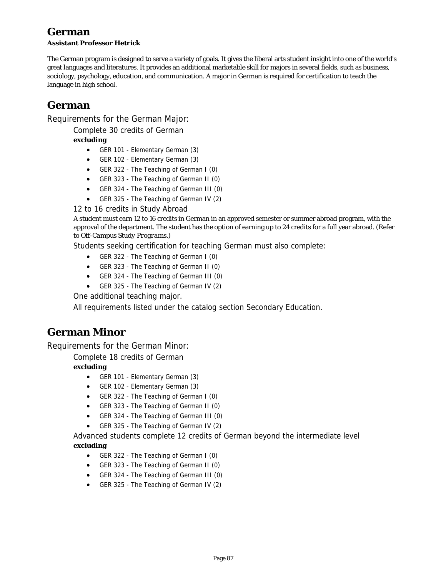### **German**

### **Assistant Professor Hetrick**

The German program is designed to serve a variety of goals. It gives the liberal arts student insight into one of the world's great languages and literatures. It provides an additional marketable skill for majors in several fields, such as business, sociology, psychology, education, and communication. A major in German is required for certification to teach the language in high school.

## **German**

Requirements for the German Major:

### Complete 30 credits of German

### *excluding*

- GER 101 Elementary German (3)
- GER 102 Elementary German (3)
- GER 322 The Teaching of German I (0)
- GER 323 The Teaching of German II (0)
- GER 324 The Teaching of German III (0)
- GER 325 The Teaching of German IV (2)

12 to 16 credits in Study Abroad

A student must earn 12 to 16 credits in German in an approved semester or summer abroad program, with the approval of the department. The student has the option of earning up to 24 credits for a full year abroad. *(Refer to Off-Campus Study Programs.)*

Students seeking certification for teaching German must also complete:

- GER 322 The Teaching of German I (0)
- GER 323 The Teaching of German II (0)
- GER 324 The Teaching of German III (0)
- GER 325 The Teaching of German IV (2)

One additional teaching major.

All requirements listed under the catalog section Secondary Education.

## **German Minor**

Requirements for the German Minor:

Complete 18 credits of German

### *excluding*

- GER 101 Elementary German (3)
- GER 102 Elementary German (3)
- GER 322 The Teaching of German I (0)
- GER 323 The Teaching of German II (0)
- GER 324 The Teaching of German III (0)
- GER 325 The Teaching of German IV (2)

Advanced students complete 12 credits of German beyond the intermediate level *excluding* 

- GER 322 The Teaching of German I (0)
- GER 323 The Teaching of German II (0)
- GER 324 The Teaching of German III (0)
- GER 325 The Teaching of German IV (2)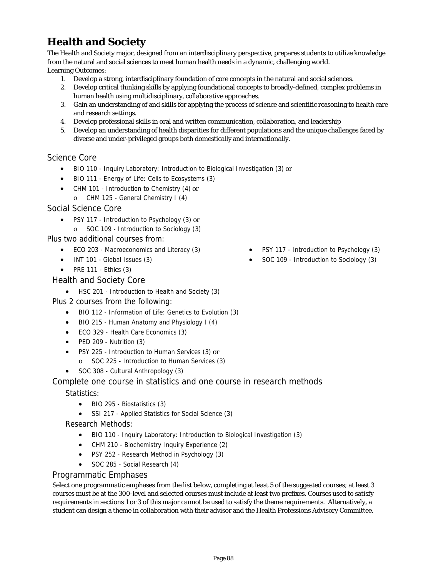# **Health and Society**

The Health and Society major, designed from an interdisciplinary perspective, prepares students to utilize knowledge from the natural and social sciences to meet human health needs in a dynamic, challenging world. Learning Outcomes:

- 1. Develop a strong, interdisciplinary foundation of core concepts in the natural and social sciences.
- 2. Develop critical thinking skills by applying foundational concepts to broadly-defined, complex problems in human health using multidisciplinary, collaborative approaches.
- 3. Gain an understanding of and skills for applying the process of science and scientific reasoning to health care and research settings.
- 4. Develop professional skills in oral and written communication, collaboration, and leadership
- 5. Develop an understanding of health disparities for different populations and the unique challenges faced by diverse and under-privileged groups both domestically and internationally.

### Science Core

- BIO 110 Inquiry Laboratory: Introduction to Biological Investigation (3) or
- BIO 111 Energy of Life: Cells to Ecosystems (3)
- CHM 101 Introduction to Chemistry (4) or
	- o CHM 125 General Chemistry I (4)

### Social Science Core

- PSY 117 Introduction to Psychology (3) or
	- o SOC 109 Introduction to Sociology (3)

Plus two additional courses from:

- ECO 203 Macroeconomics and Literacy (3)
- INT 101 Global Issues (3)
- $\bullet$  PRE 111 Ethics (3)

### Health and Society Core

HSC 201 - Introduction to Health and Society (3)

Plus 2 courses from the following:

- BIO 112 Information of Life: Genetics to Evolution (3)
- BIO 215 Human Anatomy and Physiology I (4)
- ECO 329 Health Care Economics (3)
- $\bullet$  PED 209 Nutrition (3)
- PSY 225 Introduction to Human Services (3) or
	- o SOC 225 Introduction to Human Services (3)
- SOC 308 Cultural Anthropology (3)

### Complete one course in statistics and one course in research methods

Statistics:

- BIO 295 Biostatistics (3)
- SSI 217 Applied Statistics for Social Science (3)

Research Methods:

- BIO 110 Inquiry Laboratory: Introduction to Biological Investigation (3)
- CHM 210 Biochemistry Inquiry Experience (2)
- PSY 252 Research Method in Psychology (3)
- SOC 285 Social Research (4)

### Programmatic Emphases

Select one programmatic emphases from the list below, completing at least 5 of the suggested courses; at least 3 courses must be at the 300-level and selected courses must include at least two prefixes. Courses used to satisfy requirements in sections 1 or 3 of this major cannot be used to satisfy the theme requirements. Alternatively, a student can design a theme in collaboration with their advisor and the Health Professions Advisory Committee.

- PSY 117 Introduction to Psychology (3)
- SOC 109 Introduction to Sociology (3)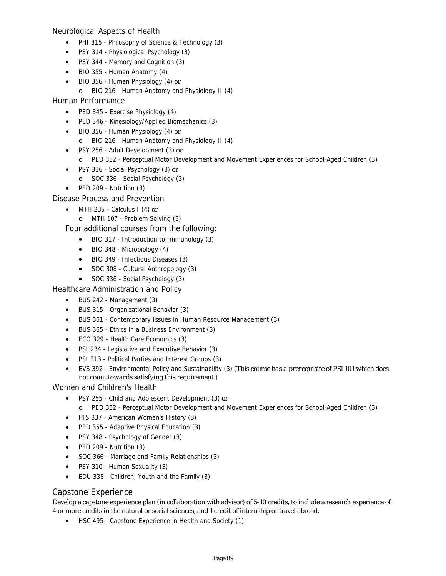### Neurological Aspects of Health

- PHI 315 Philosophy of Science & Technology (3)
- PSY 314 Physiological Psychology (3)
- PSY 344 Memory and Cognition (3)
- BIO 355 Human Anatomy (4)
- BIO 356 Human Physiology (4) or
	- o BIO 216 Human Anatomy and Physiology II (4)

Human Performance

- PED 345 Exercise Physiology (4)
- PED 346 Kinesiology/Applied Biomechanics (3)
- BIO 356 Human Physiology (4) or
	- o BIO 216 Human Anatomy and Physiology II (4)
- PSY 256 Adult Development (3) or
	- o PED 352 Perceptual Motor Development and Movement Experiences for School-Aged Children (3)
- PSY 336 Social Psychology (3) or
	- o SOC 336 Social Psychology (3)
- $\bullet$  PED 209 Nutrition (3)

### Disease Process and Prevention

- $\bullet$  MTH 235 Calculus I (4) or
	- o MTH 107 Problem Solving (3)

Four additional courses from the following:

- BIO 317 Introduction to Immunology (3)
- BIO 348 Microbiology (4)
- BIO 349 Infectious Diseases (3)
- SOC 308 Cultural Anthropology (3)
- SOC 336 Social Psychology (3)

### Healthcare Administration and Policy

- BUS 242 Management (3)
- BUS 315 Organizational Behavior (3)
- BUS 361 Contemporary Issues in Human Resource Management (3)
- BUS 365 Ethics in a Business Environment (3)
- ECO 329 Health Care Economics (3)
- PSI 234 Legislative and Executive Behavior (3)
- PSI 313 Political Parties and Interest Groups (3)
- EVS 392 Environmental Policy and Sustainability (3) (*This course has a prerequisite of PSI 101 which does not count towards satisfying this requirement.*)

### Women and Children's Health

- PSY 255 Child and Adolescent Development (3) or
	- o PED 352 Perceptual Motor Development and Movement Experiences for School-Aged Children (3)
- HIS 337 American Women's History (3)
- PED 355 Adaptive Physical Education (3)
- PSY 348 Psychology of Gender (3)
- $\bullet$  PED 209 Nutrition (3)
- SOC 366 Marriage and Family Relationships (3)
- PSY 310 Human Sexuality (3)
- EDU 338 Children, Youth and the Family (3)

### Capstone Experience

Develop a capstone experience plan (in collaboration with advisor) of 5-10 credits, to include a research experience of 4 or more credits in the natural or social sciences, and 1 credit of internship or travel abroad.

HSC 495 - Capstone Experience in Health and Society (1)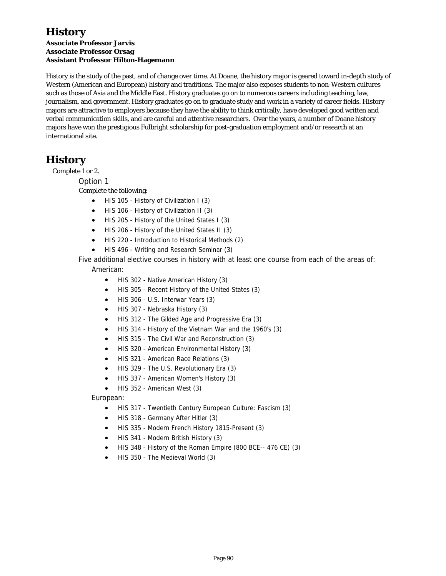## **History**

### **Associate Professor Jarvis Associate Professor Orsag Assistant Professor Hilton-Hagemann**

History is the study of the past, and of change over time. At Doane, the history major is geared toward in-depth study of Western (American and European) history and traditions. The major also exposes students to non-Western cultures such as those of Asia and the Middle East. History graduates go on to numerous careers including teaching, law, journalism, and government. History graduates go on to graduate study and work in a variety of career fields. History majors are attractive to employers because they have the ability to think critically, have developed good written and verbal communication skills, and are careful and attentive researchers. Over the years, a number of Doane history majors have won the prestigious Fulbright scholarship for post-graduation employment and/or research at an international site.

### **History**

Complete 1 or 2.

Option 1

Complete the following:

- HIS 105 History of Civilization I (3)
- HIS 106 History of Civilization II (3)
- HIS 205 History of the United States I (3)
- HIS 206 History of the United States II (3)
- HIS 220 Introduction to Historical Methods (2)
- HIS 496 Writing and Research Seminar (3)

Five additional elective courses in history with at least one course from each of the areas of: American:

- HIS 302 Native American History (3)
- HIS 305 Recent History of the United States (3)
- HIS 306 U.S. Interwar Years (3)
- HIS 307 Nebraska History (3)
- HIS 312 The Gilded Age and Progressive Era (3)
- HIS 314 History of the Vietnam War and the 1960's (3)
- HIS 315 The Civil War and Reconstruction (3)
- HIS 320 American Environmental History (3)
- HIS 321 American Race Relations (3)
- HIS 329 The U.S. Revolutionary Era (3)
- HIS 337 American Women's History (3)
- HIS 352 American West (3)

European:

- HIS 317 Twentieth Century European Culture: Fascism (3)
- HIS 318 Germany After Hitler (3)
- HIS 335 Modern French History 1815-Present (3)
- HIS 341 Modern British History (3)
- HIS 348 History of the Roman Empire (800 BCE-- 476 CE) (3)
- HIS 350 The Medieval World (3)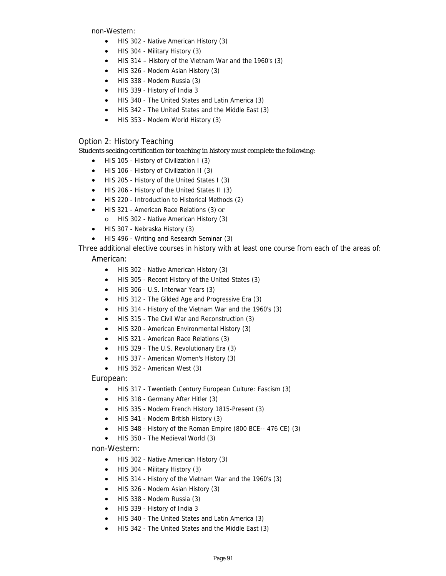non-Western:

- HIS 302 Native American History (3)
- HIS 304 Military History (3)
- HIS 314 History of the Vietnam War and the 1960's (3)
- HIS 326 Modern Asian History (3)
- HIS 338 Modern Russia (3)
- HIS 339 History of India 3
- HIS 340 The United States and Latin America (3)
- HIS 342 The United States and the Middle East (3)
- HIS 353 Modern World History (3)

#### Option 2: History Teaching

Students seeking certification for teaching in history must complete the following:

- HIS 105 History of Civilization I (3)
- HIS 106 History of Civilization II (3)
- HIS 205 History of the United States I (3)
- HIS 206 History of the United States II (3)
- HIS 220 Introduction to Historical Methods (2)
- HIS 321 American Race Relations (3) or
	- o HIS 302 Native American History (3)
- HIS 307 Nebraska History (3)
- HIS 496 Writing and Research Seminar (3)

Three additional elective courses in history with at least one course from each of the areas of: American:

- HIS 302 Native American History (3)
- HIS 305 Recent History of the United States (3)
- HIS 306 U.S. Interwar Years (3)
- HIS 312 The Gilded Age and Progressive Era (3)
- HIS 314 History of the Vietnam War and the 1960's (3)
- HIS 315 The Civil War and Reconstruction (3)
- HIS 320 American Environmental History (3)
- HIS 321 American Race Relations (3)
- HIS 329 The U.S. Revolutionary Era (3)
- HIS 337 American Women's History (3)
- HIS 352 American West (3)

European:

- HIS 317 Twentieth Century European Culture: Fascism (3)
- HIS 318 Germany After Hitler (3)
- HIS 335 Modern French History 1815-Present (3)
- HIS 341 Modern British History (3)
- HIS 348 History of the Roman Empire (800 BCE-- 476 CE) (3)
- HIS 350 The Medieval World (3)

non-Western:

- HIS 302 Native American History (3)
- HIS 304 Military History (3)
- HIS 314 History of the Vietnam War and the 1960's (3)
- HIS 326 Modern Asian History (3)
- HIS 338 Modern Russia (3)
- HIS 339 History of India 3
- HIS 340 The United States and Latin America (3)
- HIS 342 The United States and the Middle East (3)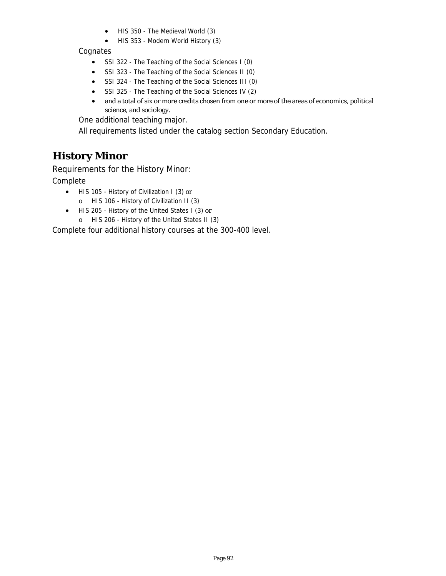- HIS 350 The Medieval World (3)
- HIS 353 Modern World History (3)

**Cognates** 

- SSI 322 The Teaching of the Social Sciences I (0)
- SSI 323 The Teaching of the Social Sciences II (0)
- SSI 324 The Teaching of the Social Sciences III (0)
- SSI 325 The Teaching of the Social Sciences IV (2)
- and a total of six or more credits chosen from one or more of the areas of economics, political science, and sociology.

One additional teaching major.

All requirements listed under the catalog section Secondary Education.

### **History Minor**

Requirements for the History Minor:

Complete

- HIS 105 History of Civilization I (3) or
	- o HIS 106 History of Civilization II (3)
- HIS 205 History of the United States I (3) or
	- o HIS 206 History of the United States II (3)

Complete four additional history courses at the 300-400 level.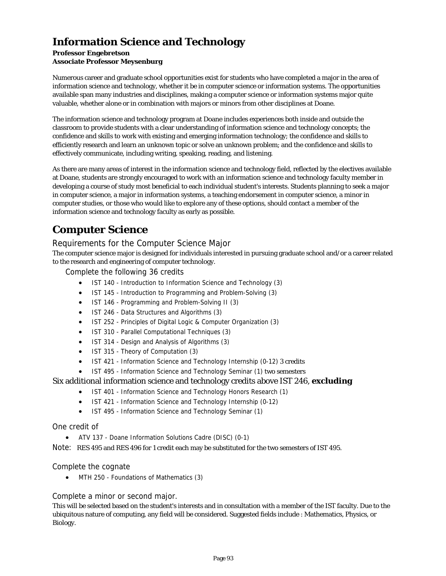## **Information Science and Technology**

### **Professor Engebretson Associate Professor Meysenburg**

Numerous career and graduate school opportunities exist for students who have completed a major in the area of information science and technology, whether it be in computer science or information systems. The opportunities available span many industries and disciplines, making a computer science or information systems major quite valuable, whether alone or in combination with majors or minors from other disciplines at Doane.

The information science and technology program at Doane includes experiences both inside and outside the classroom to provide students with a clear understanding of information science and technology concepts; the confidence and skills to work with existing and emerging information technology; the confidence and skills to efficiently research and learn an unknown topic or solve an unknown problem; and the confidence and skills to effectively communicate, including writing, speaking, reading, and listening.

As there are many areas of interest in the information science and technology field, reflected by the electives available at Doane, students are strongly encouraged to work with an information science and technology faculty member in developing a course of study most beneficial to each individual student's interests. Students planning to seek a major in computer science, a major in information systems, a teaching endorsement in computer science, a minor in computer studies, or those who would like to explore any of these options, should contact a member of the information science and technology faculty as early as possible.

## **Computer Science**

### Requirements for the Computer Science Major

The computer science major is designed for individuals interested in pursuing graduate school and/or a career related to the research and engineering of computer technology.

Complete the following 36 credits

- IST 140 Introduction to Information Science and Technology (3)
- IST 145 Introduction to Programming and Problem-Solving (3)
- IST 146 Programming and Problem-Solving II (3)
- IST 246 Data Structures and Algorithms (3)
- IST 252 Principles of Digital Logic & Computer Organization (3)
- IST 310 Parallel Computational Techniques (3)
- IST 314 Design and Analysis of Algorithms (3)
- IST 315 Theory of Computation (3)
- IST 421 Information Science and Technology Internship (0-12) 3 credits

### IST 495 - Information Science and Technology Seminar (1) two semesters

### Six additional information science and technology credits above IST 246, *excluding*

- IST 401 Information Science and Technology Honors Research (1)
- IST 421 Information Science and Technology Internship (0-12)
- IST 495 Information Science and Technology Seminar (1)

### One credit of

ATV 137 - Doane Information Solutions Cadre (DISC) (0-1)

Note: RES 495 and RES 496 for 1 credit each may be substituted for the two semesters of IST 495.

### Complete the cognate

• MTH 250 - Foundations of Mathematics (3)

### Complete a minor or second major.

This will be selected based on the student's interests and in consultation with a member of the IST faculty. Due to the ubiquitous nature of computing, any field will be considered. Suggested fields include : Mathematics, Physics, or Biology.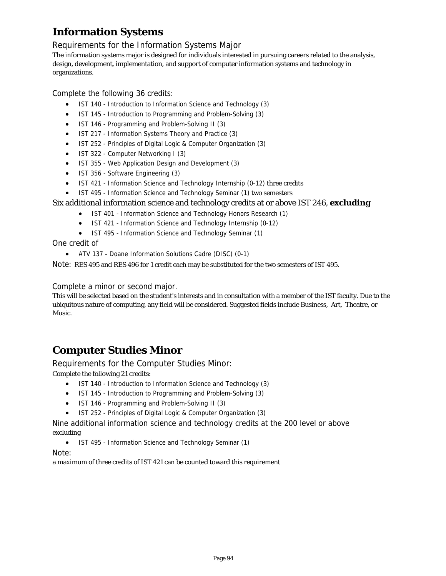## **Information Systems**

Requirements for the Information Systems Major

The information systems major is designed for individuals interested in pursuing careers related to the analysis, design, development, implementation, and support of computer information systems and technology in organizations.

Complete the following 36 credits:

- IST 140 Introduction to Information Science and Technology (3)
- IST 145 Introduction to Programming and Problem-Solving (3)
- IST 146 Programming and Problem-Solving II (3)
- IST 217 Information Systems Theory and Practice (3)
- IST 252 Principles of Digital Logic & Computer Organization (3)
- IST 322 Computer Networking I (3)
- IST 355 Web Application Design and Development (3)
- IST 356 Software Engineering (3)
- IST 421 Information Science and Technology Internship (0-12) three credits
- IST 495 Information Science and Technology Seminar (1) two semesters

### Six additional information science and technology credits at or above IST 246, *excluding*

- IST 401 Information Science and Technology Honors Research (1)
- IST 421 Information Science and Technology Internship (0-12)
- IST 495 Information Science and Technology Seminar (1)

### One credit of

ATV 137 - Doane Information Solutions Cadre (DISC) (0-1)

Note: RES 495 and RES 496 for 1 credit each may be substituted for the two semesters of IST 495.

Complete a minor or second major.

This will be selected based on the student's interests and in consultation with a member of the IST faculty. Due to the ubiquitous nature of computing, any field will be considered. Suggested fields include Business, Art, Theatre, or Music.

## **Computer Studies Minor**

Requirements for the Computer Studies Minor: Complete the following 21 credits:

- IST 140 Introduction to Information Science and Technology (3)
- IST 145 Introduction to Programming and Problem-Solving (3)
- IST 146 Programming and Problem-Solving II (3)
- IST 252 Principles of Digital Logic & Computer Organization (3)

Nine additional information science and technology credits at the 200 level or above excluding

• IST 495 - Information Science and Technology Seminar (1)

Note:

a maximum of three credits of IST 421 can be counted toward this requirement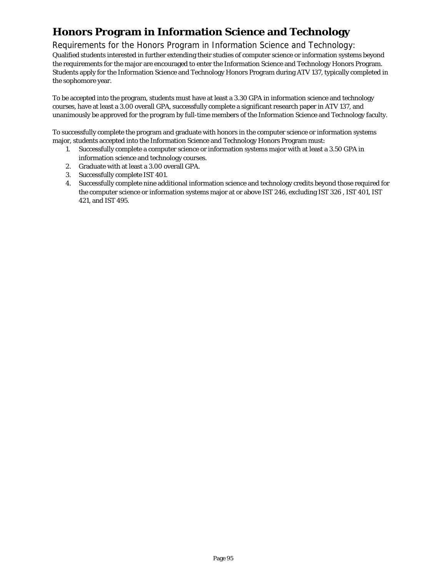# **Honors Program in Information Science and Technology**

Requirements for the Honors Program in Information Science and Technology:

Qualified students interested in further extending their studies of computer science or information systems beyond the requirements for the major are encouraged to enter the Information Science and Technology Honors Program. Students apply for the Information Science and Technology Honors Program during ATV 137, typically completed in the sophomore year.

To be accepted into the program, students must have at least a 3.30 GPA in information science and technology courses, have at least a 3.00 overall GPA, successfully complete a significant research paper in ATV 137, and unanimously be approved for the program by full-time members of the Information Science and Technology faculty.

To successfully complete the program and graduate with honors in the computer science or information systems major, students accepted into the Information Science and Technology Honors Program must:

- 1. Successfully complete a computer science or information systems major with at least a 3.50 GPA in information science and technology courses.
- 2. Graduate with at least a 3.00 overall GPA.
- 3. Successfully complete IST 401.
- 4. Successfully complete nine additional information science and technology credits beyond those required for the computer science or information systems major at or above IST 246, excluding IST 326 , IST 401, IST 421, and IST 495.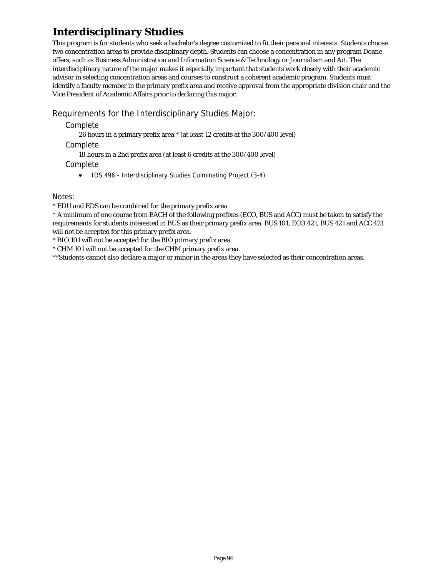## **Interdisciplinary Studies**

This program is for students who seek a bachelor's degree customized to fit their personal interests. Students choose two concentration areas to provide disciplinary depth. Students can choose a concentration in any program Doane offers, such as Business Administration and Information Science & Technology or Journalism and Art. The interdisciplinary nature of the major makes it especially important that students work closely with their academic advisor in selecting concentration areas and courses to construct a coherent academic program. Students must identify a faculty member in the primary prefix area and receive approval from the appropriate division chair and the Vice President of Academic Affairs prior to declaring this major.

Requirements for the Interdisciplinary Studies Major:

Complete

26 hours in a primary prefix area \* (at least 12 credits at the 300/400 level)

Complete

18 hours in a 2nd prefix area (at least 6 credits at the 300/400 level)

Complete

IDS 496 - Interdisciplinary Studies Culminating Project (3-4)

### Notes:

\* EDU and EDS can be combined for the primary prefix area

\* A minimum of one course from EACH of the following prefixes (ECO, BUS and ACC) must be taken to satisfy the requirements for students interested in BUS as their primary prefix area. BUS 101, ECO 421, BUS 421 and ACC 421 will not be accepted for this primary prefix area.

\* BIO 101 will not be accepted for the BIO primary prefix area.

\* CHM 101 will not be accepted for the CHM primary prefix area.

\*\*Students cannot also declare a major or minor in the areas they have selected as their concentration areas.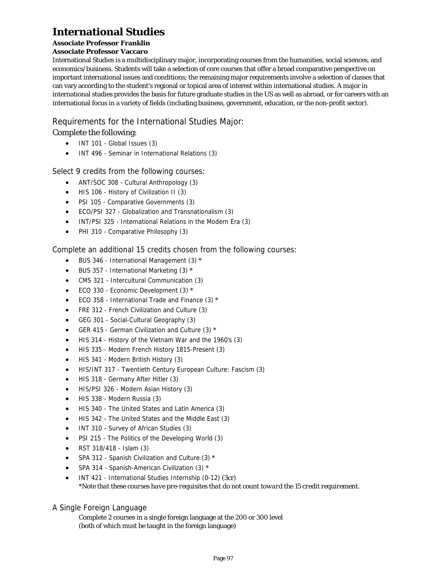### **International Studies**

### **Associate Professor Franklin**

### **Associate Professor Vaccaro**

International Studies is a multidisciplinary major, incorporating courses from the humanities, social sciences, and economics/business. Students will take a selection of core courses that offer a broad comparative perspective on important international issues and conditions; the remaining major requirements involve a selection of classes that can vary according to the student's regional or topical area of interest within international studies. A major in international studies provides the basis for future graduate studies in the US as well as abroad, or for careers with an international focus in a variety of fields (including business, government, education, or the non-profit sector).

### Requirements for the International Studies Major: Complete the following:

- INT 101 Global Issues (3)
- INT 496 Seminar in International Relations (3)

### Select 9 credits from the following courses:

- ANT/SOC 308 Cultural Anthropology (3)
- HIS 106 History of Civilization II (3)
- PSI 105 Comparative Governments (3)
- ECO/PSI 327 Globalization and Transnationalism (3)
- INT/PSI 325 International Relations in the Modern Era (3)
- PHI 310 Comparative Philosophy (3)

Complete an additional 15 credits chosen from the following courses:

- BUS 346 International Management (3) \*
- BUS 357 International Marketing (3) \*
- CMS 321 Intercultural Communication (3)
- ECO 330 Economic Development (3) \*
- ECO 358 International Trade and Finance (3) \*
- FRE 312 French Civilization and Culture (3)
- GEG 301 Social-Cultural Geography (3)
- GER 415 German Civilization and Culture (3) \*
- HIS 314 History of the Vietnam War and the 1960's (3)
- HIS 335 Modern French History 1815-Present (3)
- HIS 341 Modern British History (3)
- HIS/INT 317 Twentieth Century European Culture: Fascism (3)
- HIS 318 Germany After Hitler (3)
- HIS/PSI 326 Modern Asian History (3)
- HIS 338 Modern Russia (3)
- HIS 340 The United States and Latin America (3)
- HIS 342 The United States and the Middle East (3)
- INT 310 Survey of African Studies (3)
- PSI 215 The Politics of the Developing World (3)
- RST 318/418 Islam (3)
- SPA 312 Spanish Civilization and Culture (3) \*
- SPA 314 Spanish-American Civilization (3) \*
- INT 421 International Studies Internship (0-12) (3cr) *\*Note that these courses have pre-requisites that do not count toward the 15 credit requirement.*

### A Single Foreign Language

Complete 2 courses in a single foreign language at the 200 or 300 level (both of which must be taught in the foreign language)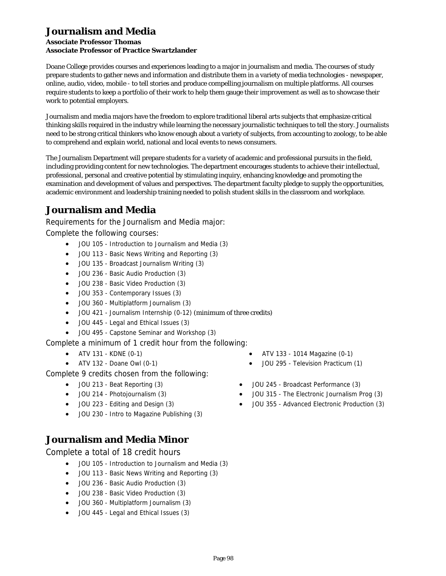### **Journalism and Media**

### **Associate Professor Thomas Associate Professor of Practice Swartzlander**

Doane College provides courses and experiences leading to a major in journalism and media. The courses of study prepare students to gather news and information and distribute them in a variety of media technologies - newspaper, online, audio, video, mobile - to tell stories and produce compelling journalism on multiple platforms. All courses require students to keep a portfolio of their work to help them gauge their improvement as well as to showcase their work to potential employers.

Journalism and media majors have the freedom to explore traditional liberal arts subjects that emphasize critical thinking skills required in the industry while learning the necessary journalistic techniques to tell the story. Journalists need to be strong critical thinkers who know enough about a variety of subjects, from accounting to zoology, to be able to comprehend and explain world, national and local events to news consumers.

The Journalism Department will prepare students for a variety of academic and professional pursuits in the field, including providing content for new technologies. The department encourages students to achieve their intellectual, professional, personal and creative potential by stimulating inquiry, enhancing knowledge and promoting the examination and development of values and perspectives. The department faculty pledge to supply the opportunities, academic environment and leadership training needed to polish student skills in the classroom and workplace.

### **Journalism and Media**

Requirements for the Journalism and Media major:

Complete the following courses:

- JOU 105 Introduction to Journalism and Media (3)
- JOU 113 Basic News Writing and Reporting (3)
- JOU 135 Broadcast Journalism Writing (3)
- JOU 236 Basic Audio Production (3)
- JOU 238 Basic Video Production (3)
- JOU 353 Contemporary Issues (3)
- JOU 360 Multiplatform Journalism (3)
- JOU 421 Journalism Internship (0-12) (minimum of three credits)
- JOU 445 Legal and Ethical Issues (3)
- JOU 495 Capstone Seminar and Workshop (3)

Complete a minimum of 1 credit hour from the following:

- ATV 131 KDNE (0-1)
- ATV 132 Doane Owl (0-1)

Complete 9 credits chosen from the following:

- JOU 213 Beat Reporting (3)
- JOU 214 Photojournalism (3)
- JOU 223 Editing and Design (3)
- JOU 230 Intro to Magazine Publishing (3)

### **Journalism and Media Minor**

Complete a total of 18 credit hours

- JOU 105 Introduction to Journalism and Media (3)
- JOU 113 Basic News Writing and Reporting (3)
- JOU 236 Basic Audio Production (3)
- JOU 238 Basic Video Production (3)
- JOU 360 Multiplatform Journalism (3)
- JOU 445 Legal and Ethical Issues (3)
- ATV 133 1014 Magazine (0-1)
- JOU 295 Television Practicum (1)
- JOU 245 Broadcast Performance (3)
- JOU 315 The Electronic Journalism Prog (3)
- JOU 355 Advanced Electronic Production (3)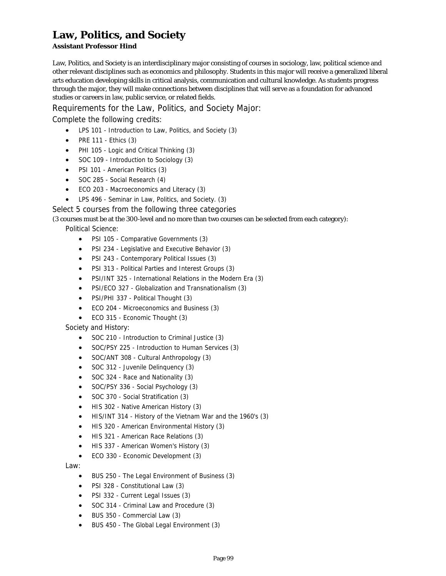## **Law, Politics, and Society**

#### **Assistant Professor Hind**

Law, Politics, and Society is an interdisciplinary major consisting of courses in sociology, law, political science and other relevant disciplines such as economics and philosophy. Students in this major will receive a generalized liberal arts education developing skills in critical analysis, communication and cultural knowledge. As students progress through the major, they will make connections between disciplines that will serve as a foundation for advanced studies or careers in law, public service, or related fields.

Requirements for the Law, Politics, and Society Major: Complete the following credits:

- LPS 101 Introduction to Law, Politics, and Society (3)
- $\bullet$  PRE 111 Ethics (3)
- PHI 105 Logic and Critical Thinking (3)
- SOC 109 Introduction to Sociology (3)
- PSI 101 American Politics (3)
- SOC 285 Social Research (4)
- ECO 203 Macroeconomics and Literacy (3)
- LPS 496 Seminar in Law, Politics, and Society. (3)

#### Select 5 courses from the following three categories

(3 courses must be at the 300-level and no more than two courses can be selected from each category):

Political Science:

- PSI 105 Comparative Governments (3)
- PSI 234 Legislative and Executive Behavior (3)
- PSI 243 Contemporary Political Issues (3)
- PSI 313 Political Parties and Interest Groups (3)
- PSI/INT 325 International Relations in the Modern Era (3)
- PSI/ECO 327 Globalization and Transnationalism (3)
- PSI/PHI 337 Political Thought (3)
- ECO 204 Microeconomics and Business (3)
- ECO 315 Economic Thought (3)

Society and History:

- SOC 210 Introduction to Criminal Justice (3)
- SOC/PSY 225 Introduction to Human Services (3)
- SOC/ANT 308 Cultural Anthropology (3)
- SOC 312 Juvenile Delinquency (3)
- SOC 324 Race and Nationality (3)
- SOC/PSY 336 Social Psychology (3)
- SOC 370 Social Stratification (3)
- HIS 302 Native American History (3)
- HIS/INT 314 History of the Vietnam War and the 1960's (3)
- HIS 320 American Environmental History (3)
- HIS 321 American Race Relations (3)
- HIS 337 American Women's History (3)
- ECO 330 Economic Development (3)

Law:

- BUS 250 The Legal Environment of Business (3)
- PSI 328 Constitutional Law (3)
- PSI 332 Current Legal Issues (3)
- SOC 314 Criminal Law and Procedure (3)
- BUS 350 Commercial Law (3)
- BUS 450 The Global Legal Environment (3)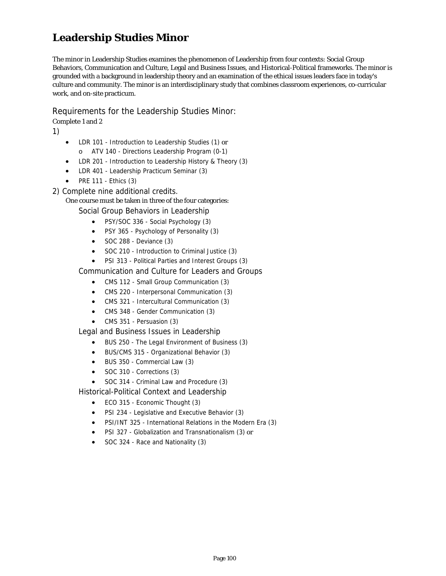# **Leadership Studies Minor**

The minor in Leadership Studies examines the phenomenon of Leadership from four contexts: Social Group Behaviors, Communication and Culture, Legal and Business Issues, and Historical-Political frameworks. The minor is grounded with a background in leadership theory and an examination of the ethical issues leaders face in today's culture and community. The minor is an interdisciplinary study that combines classroom experiences, co-curricular work, and on-site practicum.

Requirements for the Leadership Studies Minor: Complete 1 and 2

- 1)
- LDR 101 Introduction to Leadership Studies (1) or o ATV 140 - Directions Leadership Program (0-1)
- LDR 201 Introduction to Leadership History & Theory (3)
- LDR 401 Leadership Practicum Seminar (3)
- PRE 111 Ethics (3)
- 2) Complete nine additional credits.

One course must be taken in three of the four categories:

Social Group Behaviors in Leadership

- PSY/SOC 336 Social Psychology (3)
- PSY 365 Psychology of Personality (3)
- SOC 288 Deviance (3)
- SOC 210 Introduction to Criminal Justice (3)
- PSI 313 Political Parties and Interest Groups (3)

Communication and Culture for Leaders and Groups

- CMS 112 Small Group Communication (3)
- CMS 220 Interpersonal Communication (3)
- CMS 321 Intercultural Communication (3)
- CMS 348 Gender Communication (3)
- CMS 351 Persuasion (3)

Legal and Business Issues in Leadership

- BUS 250 The Legal Environment of Business (3)
- BUS/CMS 315 Organizational Behavior (3)
- BUS 350 Commercial Law (3)
- SOC 310 Corrections (3)
- SOC 314 Criminal Law and Procedure (3)

Historical-Political Context and Leadership

- ECO 315 Economic Thought (3)
- PSI 234 Legislative and Executive Behavior (3)
- PSI/INT 325 International Relations in the Modern Era (3)
- PSI 327 Globalization and Transnationalism (3) or
- SOC 324 Race and Nationality (3)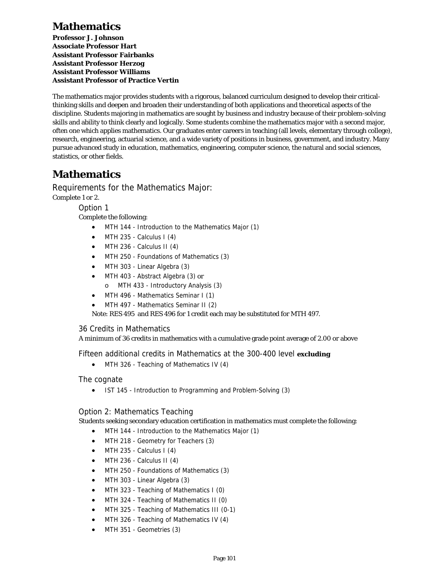### **Mathematics**

**Professor J. Johnson Associate Professor Hart Assistant Professor Fairbanks Assistant Professor Herzog Assistant Professor Williams Assistant Professor of Practice Vertin**

The mathematics major provides students with a rigorous, balanced curriculum designed to develop their criticalthinking skills and deepen and broaden their understanding of both applications and theoretical aspects of the discipline. Students majoring in mathematics are sought by business and industry because of their problem-solving skills and ability to think clearly and logically. Some students combine the mathematics major with a second major, often one which applies mathematics. Our graduates enter careers in teaching (all levels, elementary through college), research, engineering, actuarial science, and a wide variety of positions in business, government, and industry. Many pursue advanced study in education, mathematics, engineering, computer science, the natural and social sciences, statistics, or other fields.

## **Mathematics**

Requirements for the Mathematics Major: Complete 1 or 2.

Option 1

Complete the following:

- MTH 144 Introduction to the Mathematics Major (1)
- $\bullet$  MTH 235 Calculus I (4)
- $\bullet$  MTH 236 Calculus II (4)
- MTH 250 Foundations of Mathematics (3)
- MTH 303 Linear Algebra (3)
- MTH 403 Abstract Algebra (3) or o MTH 433 - Introductory Analysis (3)
- MTH 496 Mathematics Seminar I (1)
- MTH 497 Mathematics Seminar II (2)

Note: RES 495 and RES 496 for 1 credit each may be substituted for MTH 497.

### 36 Credits in Mathematics

A minimum of 36 credits in mathematics with a cumulative grade point average of 2.00 or above

Fifteen additional credits in Mathematics at the 300-400 level *excluding* 

• MTH 326 - Teaching of Mathematics IV (4)

The cognate

IST 145 - Introduction to Programming and Problem-Solving (3)

### Option 2: Mathematics Teaching

Students seeking secondary education certification in mathematics must complete the following:

- MTH 144 Introduction to the Mathematics Major (1)
- MTH 218 Geometry for Teachers (3)
- $\bullet$  MTH 235 Calculus I (4)
- MTH 236 Calculus II (4)
- MTH 250 Foundations of Mathematics (3)
- MTH 303 Linear Algebra (3)
- MTH 323 Teaching of Mathematics I (0)
- MTH 324 Teaching of Mathematics II (0)
- MTH 325 Teaching of Mathematics III (0-1)
- MTH 326 Teaching of Mathematics IV (4)
- MTH 351 Geometries (3)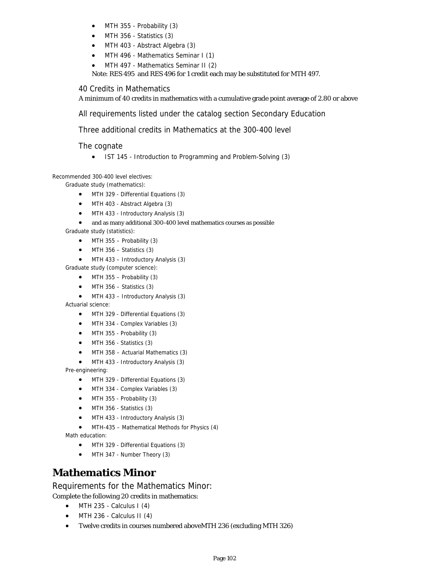- MTH 355 Probability (3)
- MTH 356 Statistics (3)
- MTH 403 Abstract Algebra (3)
- MTH 496 Mathematics Seminar I (1)

MTH 497 - Mathematics Seminar II (2)

Note: RES 495 and RES 496 for 1 credit each may be substituted for MTH 497.

40 Credits in Mathematics

A minimum of 40 credits in mathematics with a cumulative grade point average of 2.80 or above

All requirements listed under the catalog section Secondary Education

Three additional credits in Mathematics at the 300-400 level

The cognate

IST 145 - Introduction to Programming and Problem-Solving (3)

Recommended 300-400 level electives:

Graduate study (mathematics):

- MTH 329 Differential Equations (3)
- MTH 403 Abstract Algebra (3)
- MTH 433 Introductory Analysis (3)
- and as many additional 300-400 level mathematics courses as possible

Graduate study (statistics):

- $\bullet$  MTH 355 Probability (3)
- $\bullet$  MTH 356 Statistics (3)
- MTH 433 Introductory Analysis (3)

Graduate study (computer science):

- $\bullet$  MTH 355 Probability (3)
- $\bullet$  MTH 356 Statistics (3)
- MTH 433 Introductory Analysis (3)

Actuarial science:

- MTH 329 Differential Equations (3)
- MTH 334 Complex Variables (3)
- MTH 355 Probability (3)
- MTH 356 Statistics (3)
- MTH 358 Actuarial Mathematics (3)
- MTH 433 Introductory Analysis (3)

Pre-engineering:

- MTH 329 Differential Equations (3)
- MTH 334 Complex Variables (3)
- MTH 355 Probability (3)
- MTH 356 Statistics (3)
- MTH 433 Introductory Analysis (3)
- MTH-435 Mathematical Methods for Physics (4)

Math education:

- MTH 329 Differential Equations (3)
- MTH 347 Number Theory (3)

### **Mathematics Minor**

Requirements for the Mathematics Minor: Complete the following 20 credits in mathematics:

- $\bullet$  MTH 235 Calculus I (4)
- $\bullet$  MTH 236 Calculus II (4)
- Twelve credits in courses numbered aboveMTH 236 (excluding MTH 326)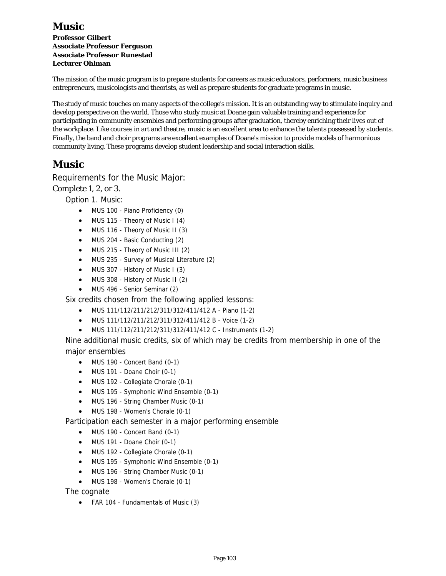## **Music**

#### **Professor Gilbert Associate Professor Ferguson Associate Professor Runestad Lecturer Ohlman**

The mission of the music program is to prepare students for careers as music educators, performers, music business entrepreneurs, musicologists and theorists, as well as prepare students for graduate programs in music.

The study of music touches on many aspects of the college's mission. It is an outstanding way to stimulate inquiry and develop perspective on the world. Those who study music at Doane gain valuable training and experience for participating in community ensembles and performing groups after graduation, thereby enriching their lives out of the workplace. Like courses in art and theatre, music is an excellent area to enhance the talents possessed by students. Finally, the band and choir programs are excellent examples of Doane's mission to provide models of harmonious community living. These programs develop student leadership and social interaction skills.

### **Music**

Requirements for the Music Major:

Complete 1, 2, or 3.

Option 1. Music:

- MUS 100 Piano Proficiency (0)
- MUS 115 Theory of Music I (4)
- MUS 116 Theory of Music II (3)
- MUS 204 Basic Conducting (2)
- MUS 215 Theory of Music III (2)
- MUS 235 Survey of Musical Literature (2)
- MUS 307 History of Music I (3)
- MUS 308 History of Music II (2)
- MUS 496 Senior Seminar (2)

Six credits chosen from the following applied lessons:

- MUS 111/112/211/212/311/312/411/412 A Piano (1-2)
- MUS 111/112/211/212/311/312/411/412 B Voice (1-2)
- MUS 111/112/211/212/311/312/411/412 C Instruments (1-2)

Nine additional music credits, six of which may be credits from membership in one of the major ensembles

- MUS 190 Concert Band (0-1)
- MUS 191 Doane Choir (0-1)
- MUS 192 Collegiate Chorale (0-1)
- MUS 195 Symphonic Wind Ensemble (0-1)
- MUS 196 String Chamber Music (0-1)
- MUS 198 Women's Chorale (0-1)

Participation each semester in a major performing ensemble

- MUS 190 Concert Band (0-1)
- MUS 191 Doane Choir (0-1)
- MUS 192 Collegiate Chorale (0-1)
- MUS 195 Symphonic Wind Ensemble (0-1)
- MUS 196 String Chamber Music (0-1)
- MUS 198 Women's Chorale (0-1)

The cognate

• FAR 104 - Fundamentals of Music (3)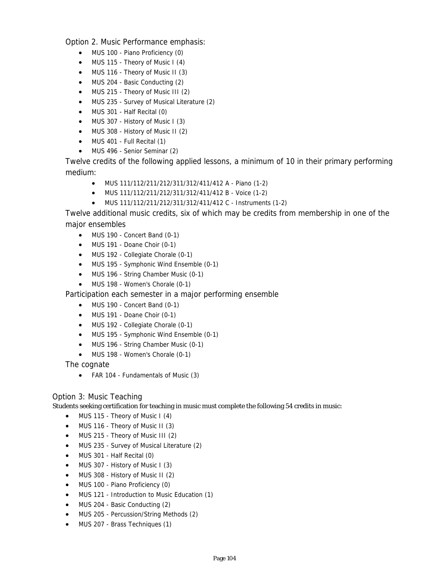Option 2. Music Performance emphasis:

- MUS 100 Piano Proficiency (0)
- MUS 115 Theory of Music I (4)
- MUS 116 Theory of Music II (3)
- MUS 204 Basic Conducting (2)
- MUS 215 Theory of Music III (2)
- MUS 235 Survey of Musical Literature (2)
- MUS 301 Half Recital (0)
- MUS 307 History of Music I (3)
- MUS 308 History of Music II (2)
- MUS 401 Full Recital (1)
- MUS 496 Senior Seminar (2)

Twelve credits of the following applied lessons, a minimum of 10 in their primary performing medium:

- MUS 111/112/211/212/311/312/411/412 A Piano (1-2)
- MUS 111/112/211/212/311/312/411/412 B Voice (1-2)
- MUS 111/112/211/212/311/312/411/412 C Instruments (1-2)

Twelve additional music credits, six of which may be credits from membership in one of the major ensembles

- MUS 190 Concert Band (0-1)
- MUS 191 Doane Choir (0-1)
- MUS 192 Collegiate Chorale (0-1)
- MUS 195 Symphonic Wind Ensemble (0-1)
- MUS 196 String Chamber Music (0-1)
- MUS 198 Women's Chorale (0-1)

### Participation each semester in a major performing ensemble

- MUS 190 Concert Band (0-1)
- MUS 191 Doane Choir (0-1)
- MUS 192 Collegiate Chorale (0-1)
- MUS 195 Symphonic Wind Ensemble (0-1)
- MUS 196 String Chamber Music (0-1)
- MUS 198 Women's Chorale (0-1)

The cognate

FAR 104 - Fundamentals of Music (3)

### Option 3: Music Teaching

Students seeking certification for teaching in music must complete the following 54 credits in music:

- MUS 115 Theory of Music I (4)
- MUS 116 Theory of Music II (3)
- MUS 215 Theory of Music III (2)
- MUS 235 Survey of Musical Literature (2)
- MUS 301 Half Recital (0)
- MUS 307 History of Music I (3)
- MUS 308 History of Music II (2)
- MUS 100 Piano Proficiency (0)
- MUS 121 Introduction to Music Education (1)
- MUS 204 Basic Conducting (2)
- MUS 205 Percussion/String Methods (2)
- MUS 207 Brass Techniques (1)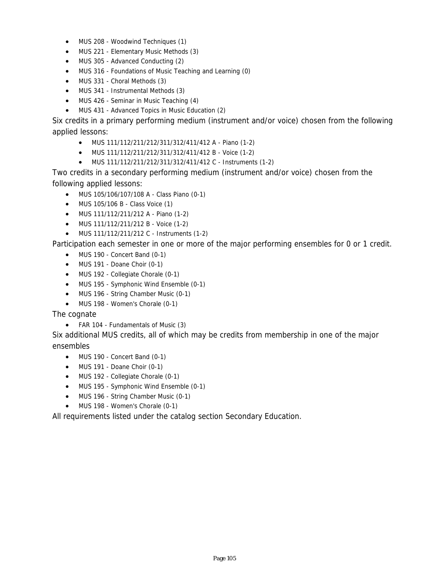- MUS 208 Woodwind Techniques (1)
- MUS 221 Elementary Music Methods (3)
- MUS 305 Advanced Conducting (2)
- MUS 316 Foundations of Music Teaching and Learning (0)
- MUS 331 Choral Methods (3)
- MUS 341 Instrumental Methods (3)
- MUS 426 Seminar in Music Teaching (4)
- MUS 431 Advanced Topics in Music Education (2)

Six credits in a primary performing medium (instrument and/or voice) chosen from the following applied lessons:

- MUS 111/112/211/212/311/312/411/412 A Piano (1-2)
- MUS 111/112/211/212/311/312/411/412 B Voice (1-2)
- MUS 111/112/211/212/311/312/411/412 C Instruments (1-2)

Two credits in a secondary performing medium (instrument and/or voice) chosen from the following applied lessons:

- MUS 105/106/107/108 A Class Piano (0-1)
- MUS 105/106 B Class Voice (1)
- MUS 111/112/211/212 A Piano (1-2)
- MUS 111/112/211/212 B Voice (1-2)
- MUS 111/112/211/212 C Instruments (1-2)

Participation each semester in one or more of the major performing ensembles for 0 or 1 credit.

- MUS 190 Concert Band (0-1)
- MUS 191 Doane Choir (0-1)
- MUS 192 Collegiate Chorale (0-1)
- MUS 195 Symphonic Wind Ensemble (0-1)
- MUS 196 String Chamber Music (0-1)
- MUS 198 Women's Chorale (0-1)

The cognate

• FAR 104 - Fundamentals of Music (3)

Six additional MUS credits, all of which may be credits from membership in one of the major ensembles

- MUS 190 Concert Band (0-1)
- MUS 191 Doane Choir (0-1)
- MUS 192 Collegiate Chorale (0-1)
- MUS 195 Symphonic Wind Ensemble (0-1)
- MUS 196 String Chamber Music (0-1)
- MUS 198 Women's Chorale (0-1)

All requirements listed under the catalog section Secondary Education.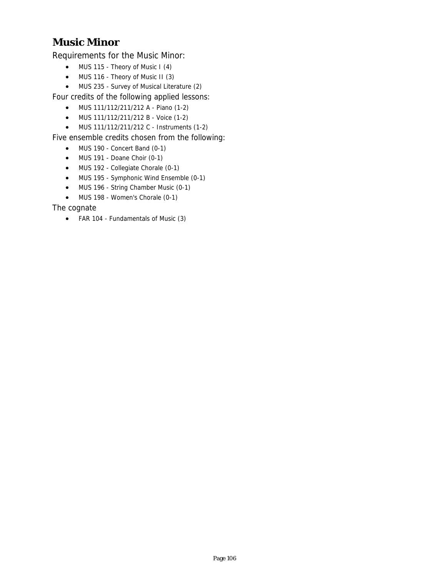## **Music Minor**

Requirements for the Music Minor:

- MUS 115 Theory of Music I (4)
- MUS 116 Theory of Music II (3)
- MUS 235 Survey of Musical Literature (2)

Four credits of the following applied lessons:

- MUS 111/112/211/212 A Piano (1-2)
- MUS 111/112/211/212 B Voice (1-2)
- MUS 111/112/211/212 C Instruments (1-2)

Five ensemble credits chosen from the following:

- MUS 190 Concert Band (0-1)
- MUS 191 Doane Choir (0-1)
- MUS 192 Collegiate Chorale (0-1)
- MUS 195 Symphonic Wind Ensemble (0-1)
- MUS 196 String Chamber Music (0-1)
- MUS 198 Women's Chorale (0-1)

The cognate

FAR 104 - Fundamentals of Music (3)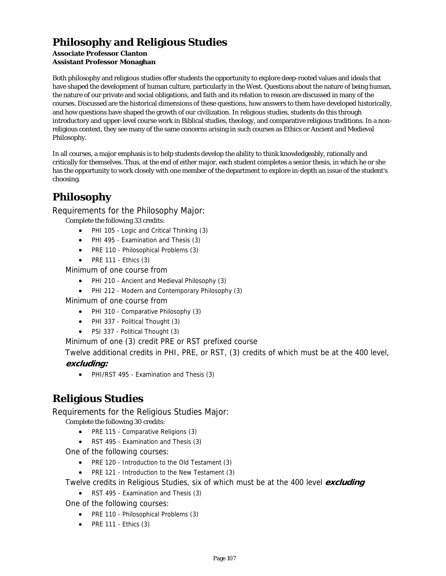# **Philosophy and Religious Studies**

### **Associate Professor Clanton Assistant Professor Monaghan**

Both philosophy and religious studies offer students the opportunity to explore deep-rooted values and ideals that have shaped the development of human culture, particularly in the West. Questions about the nature of being human, the nature of our private and social obligations, and faith and its relation to reason are discussed in many of the courses. Discussed are the historical dimensions of these questions, how answers to them have developed historically, and how questions have shaped the growth of our civilization. In religious studies, students do this through introductory and upper-level course work in Biblical studies, theology, and comparative religious traditions. In a nonreligious context, they see many of the same concerns arising in such courses as Ethics or Ancient and Medieval Philosophy.

In all courses, a major emphasis is to help students develop the ability to think knowledgeably, rationally and critically for themselves. Thus, at the end of either major, each student completes a senior thesis, in which he or she has the opportunity to work closely with one member of the department to explore in-depth an issue of the student's choosing.

# **Philosophy**

Requirements for the Philosophy Major:

Complete the following 33 credits:

- PHI 105 Logic and Critical Thinking (3)
- PHI 495 Examination and Thesis (3)
- PRE 110 Philosophical Problems (3)
- $\bullet$  PRE 111 Ethics (3)

Minimum of one course from

- PHI 210 Ancient and Medieval Philosophy (3)
- PHI 212 Modern and Contemporary Philosophy (3)

Minimum of one course from

- PHI 310 Comparative Philosophy (3)
- PHI 337 Political Thought (3)
- PSI 337 Political Thought (3)

Minimum of one (3) credit PRE or RST prefixed course

Twelve additional credits in PHI, PRE, or RST, (3) credits of which must be at the 400 level, **excluding:** 

• PHI/RST 495 - Examination and Thesis (3)

## **Religious Studies**

Requirements for the Religious Studies Major:

Complete the following 30 credits:

- PRE 115 Comparative Religions (3)
- RST 495 Examination and Thesis (3)

One of the following courses:

- PRE 120 Introduction to the Old Testament (3)
- PRE 121 Introduction to the New Testament (3)

Twelve credits in Religious Studies, six of which must be at the 400 level **excluding**

• RST 495 - Examination and Thesis (3)

One of the following courses:

- PRE 110 Philosophical Problems (3)
- $\bullet$  PRE 111 Ethics (3)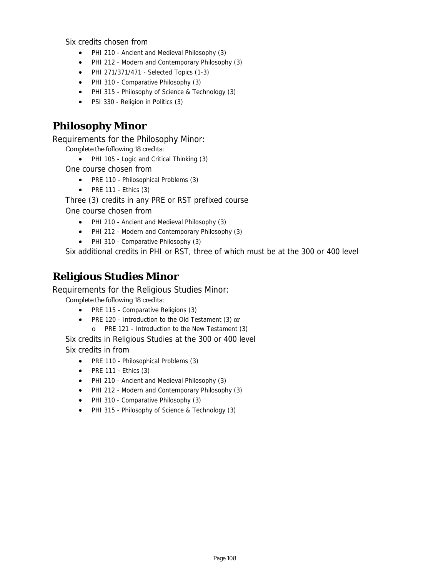Six credits chosen from

- PHI 210 Ancient and Medieval Philosophy (3)
- PHI 212 Modern and Contemporary Philosophy (3)
- PHI 271/371/471 Selected Topics (1-3)
- PHI 310 Comparative Philosophy (3)
- PHI 315 Philosophy of Science & Technology (3)
- PSI 330 Religion in Politics (3)

## **Philosophy Minor**

Requirements for the Philosophy Minor:

Complete the following 18 credits:

• PHI 105 - Logic and Critical Thinking (3)

One course chosen from

- PRE 110 Philosophical Problems (3)
- $\bullet$  PRE 111 Ethics (3)

Three (3) credits in any PRE or RST prefixed course One course chosen from

- - PHI 210 Ancient and Medieval Philosophy (3)
	- PHI 212 Modern and Contemporary Philosophy (3)
	- PHI 310 Comparative Philosophy (3)

Six additional credits in PHI or RST, three of which must be at the 300 or 400 level

### **Religious Studies Minor**

Requirements for the Religious Studies Minor: Complete the following 18 credits:

- PRE 115 Comparative Religions (3)
- PRE 120 Introduction to the Old Testament (3) or
	- o PRE 121 Introduction to the New Testament (3)

Six credits in Religious Studies at the 300 or 400 level Six credits in from

- PRE 110 Philosophical Problems (3)
- $\bullet$  PRE 111 Ethics (3)
- PHI 210 Ancient and Medieval Philosophy (3)
- PHI 212 Modern and Contemporary Philosophy (3)
- PHI 310 Comparative Philosophy (3)
- PHI 315 Philosophy of Science & Technology (3)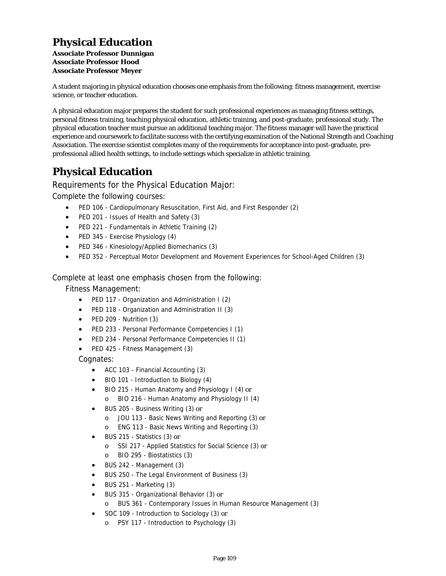# **Physical Education**

**Associate Professor Dunnigan Associate Professor Hood Associate Professor Meyer**

A student majoring in physical education chooses one emphasis from the following: fitness management, exercise science, or teacher education.

A physical education major prepares the student for such professional experiences as managing fitness settings, personal fitness training, teaching physical education, athletic training, and post-graduate, professional study. The physical education teacher must pursue an additional teaching major. The fitness manager will have the practical experience and coursework to facilitate success with the certifying examination of the National Strength and Coaching Association. The exercise scientist completes many of the requirements for acceptance into post-graduate, preprofessional allied health settings, to include settings which specialize in athletic training.

# **Physical Education**

Requirements for the Physical Education Major:

Complete the following courses:

- PED 106 Cardiopulmonary Resuscitation, First Aid, and First Responder (2)
- PED 201 Issues of Health and Safety (3)
- PED 221 Fundamentals in Athletic Training (2)
- PED 345 Exercise Physiology (4)
- PED 346 Kinesiology/Applied Biomechanics (3)
- PED 352 Perceptual Motor Development and Movement Experiences for School-Aged Children (3)

Complete at least one emphasis chosen from the following:

Fitness Management:

- PED 117 Organization and Administration I (2)
- PED 118 Organization and Administration II (3)
- $\bullet$  PED 209 Nutrition (3)
- PED 233 Personal Performance Competencies I (1)
- PED 234 Personal Performance Competencies II (1)
- PED 425 Fitness Management (3)

Cognates:

- ACC 103 Financial Accounting (3)
- BIO 101 Introduction to Biology (4)
- BIO 215 Human Anatomy and Physiology I (4) or o BIO 216 - Human Anatomy and Physiology II (4)
- BUS 205 Business Writing (3) or
	- o JOU 113 Basic News Writing and Reporting (3) or
	- o ENG 113 Basic News Writing and Reporting (3)
- BUS 215 Statistics (3) or
	- o SSI 217 Applied Statistics for Social Science (3) or
	- o BIO 295 Biostatistics (3)
- BUS 242 Management (3)
- BUS 250 The Legal Environment of Business (3)
- BUS 251 Marketing (3)
- BUS 315 Organizational Behavior (3) or
	- o BUS 361 Contemporary Issues in Human Resource Management (3)
- SOC 109 Introduction to Sociology (3) or
	- o PSY 117 Introduction to Psychology (3)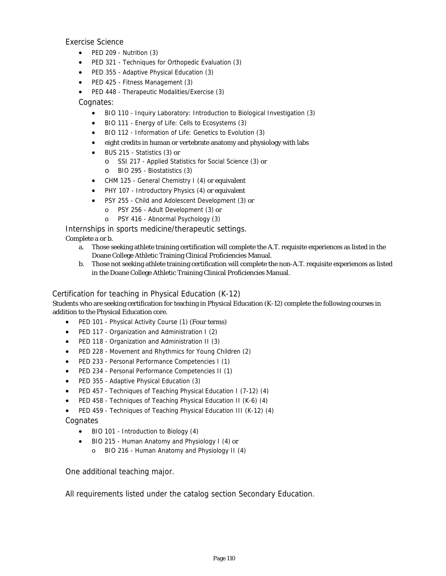Exercise Science

- $\bullet$  PED 209 Nutrition (3)
- PED 321 Techniques for Orthopedic Evaluation (3)
- PED 355 Adaptive Physical Education (3)
- PED 425 Fitness Management (3)
- PED 448 Therapeutic Modalities/Exercise (3)

Cognates:

- BIO 110 Inquiry Laboratory: Introduction to Biological Investigation (3)
- BIO 111 Energy of Life: Cells to Ecosystems (3)
- BIO 112 Information of Life: Genetics to Evolution (3)
- eight credits in human or vertebrate anatomy and physiology with labs
- BUS 215 Statistics (3) or
	- o SSI 217 Applied Statistics for Social Science (3) or
	- o BIO 295 Biostatistics (3)
- CHM 125 General Chemistry I (4) or equivalent
- PHY 107 Introductory Physics (4) or equivalent
- PSY 255 Child and Adolescent Development (3) or
	- o PSY 256 Adult Development (3) or
	- o PSY 416 Abnormal Psychology (3)

Internships in sports medicine/therapeutic settings.

Complete a or b.

- a. Those seeking athlete training certification will complete the A.T. requisite experiences as listed in the Doane College Athletic Training Clinical Proficiencies Manual.
- b. Those not seeking athlete training certification will complete the non-A.T. requisite experiences as listed in the Doane College Athletic Training Clinical Proficiencies Manual.

#### Certification for teaching in Physical Education (K-12)

Students who are seeking certification for teaching in Physical Education (K-12) complete the following courses in addition to the Physical Education core.

- PED 101 Physical Activity Course (1) (Four terms)
- PED 117 Organization and Administration I (2)
- PED 118 Organization and Administration II (3)
- PED 228 Movement and Rhythmics for Young Children (2)
- PED 233 Personal Performance Competencies I (1)
- PED 234 Personal Performance Competencies II (1)
- PED 355 Adaptive Physical Education (3)
- PED 457 Techniques of Teaching Physical Education I (7-12) (4)
- PED 458 Techniques of Teaching Physical Education II (K-6) (4)
- PED 459 Techniques of Teaching Physical Education III (K-12) (4)
- **Cognates** 
	- BIO 101 Introduction to Biology (4)
	- BIO 215 Human Anatomy and Physiology I (4) or
		- o BIO 216 Human Anatomy and Physiology II (4)

One additional teaching major.

All requirements listed under the catalog section Secondary Education.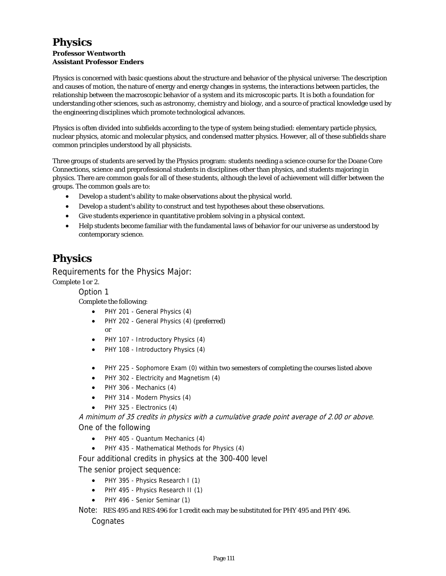# **Physics Professor Wentworth Assistant Professor Enders**

Physics is concerned with basic questions about the structure and behavior of the physical universe: The description and causes of motion, the nature of energy and energy changes in systems, the interactions between particles, the relationship between the macroscopic behavior of a system and its microscopic parts. It is both a foundation for understanding other sciences, such as astronomy, chemistry and biology, and a source of practical knowledge used by the engineering disciplines which promote technological advances.

Physics is often divided into subfields according to the type of system being studied: elementary particle physics, nuclear physics, atomic and molecular physics, and condensed matter physics. However, all of these subfields share common principles understood by all physicists.

Three groups of students are served by the Physics program: students needing a science course for the Doane Core Connections, science and preprofessional students in disciplines other than physics, and students majoring in physics. There are common goals for all of these students, although the level of achievement will differ between the groups. The common goals are to:

- Develop a student's ability to make observations about the physical world.
- Develop a student's ability to construct and test hypotheses about these observations.
- Give students experience in quantitative problem solving in a physical context.
- Help students become familiar with the fundamental laws of behavior for our universe as understood by contemporary science.

# **Physics**

Requirements for the Physics Major: Complete 1 or 2.

Option 1

Complete the following:

- PHY 201 General Physics (4)
- PHY 202 General Physics (4) (preferred) or
- PHY 107 Introductory Physics (4)
- PHY 108 Introductory Physics (4)
- PHY 225 Sophomore Exam (0) within two semesters of completing the courses listed above
- PHY 302 Electricity and Magnetism (4)
- $\bullet$  PHY 306 Mechanics (4)
- PHY 314 Modern Physics (4)
- PHY 325 Electronics (4)

A minimum of 35 credits in physics with a cumulative grade point average of 2.00 or above. One of the following

- PHY 405 Quantum Mechanics (4)
- PHY 435 Mathematical Methods for Physics (4)

Four additional credits in physics at the 300-400 level

The senior project sequence:

- PHY 395 Physics Research I (1)
- PHY 495 Physics Research II (1)
- PHY 496 Senior Seminar (1)
- Note: RES 495 and RES 496 for 1 credit each may be substituted for PHY 495 and PHY 496.

**Cognates**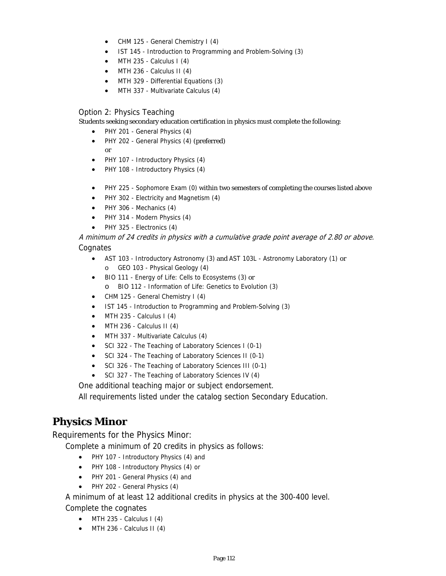- CHM 125 General Chemistry I (4)
- IST 145 Introduction to Programming and Problem-Solving (3)
- $\bullet$  MTH 235 Calculus I (4)
- $\bullet$  MTH 236 Calculus II (4)
- MTH 329 Differential Equations (3)
- MTH 337 Multivariate Calculus (4)

#### Option 2: Physics Teaching

Students seeking secondary education certification in physics must complete the following:

- PHY 201 General Physics (4)
- PHY 202 General Physics (4) (preferred)
- or
- PHY 107 Introductory Physics (4)
- PHY 108 Introductory Physics (4)
- PHY 225 Sophomore Exam (0) within two semesters of completing the courses listed above
- PHY 302 Electricity and Magnetism (4)
- $\bullet$  PHY 306 Mechanics (4)
- PHY 314 Modern Physics (4)
- PHY 325 Electronics (4)

A minimum of 24 credits in physics with a cumulative grade point average of 2.80 or above. **Cognates** 

- AST 103 Introductory Astronomy (3) and AST 103L Astronomy Laboratory (1) or o GEO 103 - Physical Geology (4)
- BIO 111 Energy of Life: Cells to Ecosystems (3) or o BIO 112 - Information of Life: Genetics to Evolution (3)
- CHM 125 General Chemistry I (4)
- IST 145 Introduction to Programming and Problem-Solving (3)
- $\bullet$  MTH 235 Calculus I (4)
- $\bullet$  MTH 236 Calculus II (4)
- MTH 337 Multivariate Calculus (4)
- SCI 322 The Teaching of Laboratory Sciences I (0-1)
- SCI 324 The Teaching of Laboratory Sciences II (0-1)
- SCI 326 The Teaching of Laboratory Sciences III (0-1)
- SCI 327 The Teaching of Laboratory Sciences IV (4)

One additional teaching major or subject endorsement.

All requirements listed under the catalog section Secondary Education.

# **Physics Minor**

Requirements for the Physics Minor:

Complete a minimum of 20 credits in physics as follows:

- PHY 107 Introductory Physics (4) and
- PHY 108 Introductory Physics (4) or
- PHY 201 General Physics (4) and
- PHY 202 General Physics (4)

A minimum of at least 12 additional credits in physics at the 300-400 level. Complete the cognates

- $\bullet$  MTH 235 Calculus I (4)
- $\bullet$  MTH 236 Calculus II (4)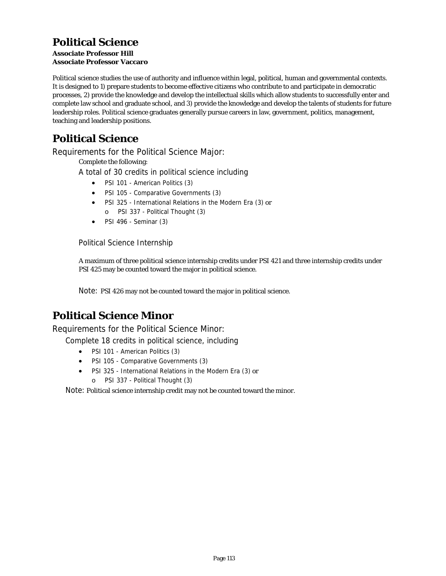# **Political Science**

#### **Associate Professor Hill Associate Professor Vaccaro**

Political science studies the use of authority and influence within legal, political, human and governmental contexts. It is designed to 1) prepare students to become effective citizens who contribute to and participate in democratic processes, 2) provide the knowledge and develop the intellectual skills which allow students to successfully enter and complete law school and graduate school, and 3) provide the knowledge and develop the talents of students for future leadership roles. Political science graduates generally pursue careers in law, government, politics, management, teaching and leadership positions.

# **Political Science**

Requirements for the Political Science Major:

Complete the following:

A total of 30 credits in political science including

- PSI 101 American Politics (3)
- PSI 105 Comparative Governments (3)
- PSI 325 International Relations in the Modern Era (3) or o PSI 337 - Political Thought (3)
- $\bullet$  PSI 496 Seminar (3)

Political Science Internship

A maximum of three political science internship credits under PSI 421 and three internship credits under PSI 425 may be counted toward the major in political science.

Note: PSI 426 may not be counted toward the major in political science.

# **Political Science Minor**

Requirements for the Political Science Minor:

Complete 18 credits in political science, including

- PSI 101 American Politics (3)
- PSI 105 Comparative Governments (3)
- PSI 325 International Relations in the Modern Era (3) or o PSI 337 - Political Thought (3)

Note: Political science internship credit may not be counted toward the minor.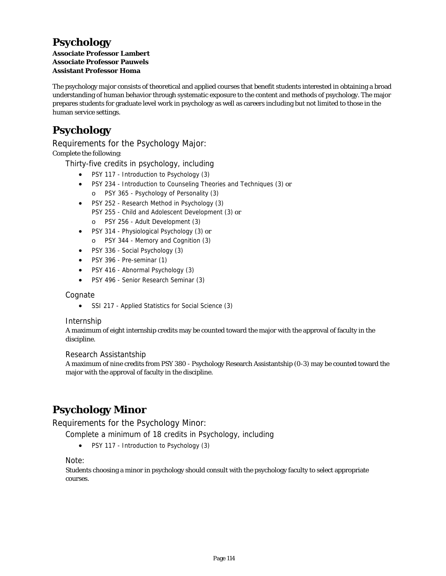# **Psychology**

**Associate Professor Lambert Associate Professor Pauwels Assistant Professor Homa**

The psychology major consists of theoretical and applied courses that benefit students interested in obtaining a broad understanding of human behavior through systematic exposure to the content and methods of psychology. The major prepares students for graduate level work in psychology as well as careers including but not limited to those in the human service settings.

# **Psychology**

Requirements for the Psychology Major:

Complete the following:

Thirty-five credits in psychology, including

- PSY 117 Introduction to Psychology (3)
- PSY 234 Introduction to Counseling Theories and Techniques (3) or o PSY 365 - Psychology of Personality (3)
- PSY 252 Research Method in Psychology (3) PSY 255 - Child and Adolescent Development (3) or o PSY 256 - Adult Development (3)
- PSY 314 Physiological Psychology (3) or o PSY 344 - Memory and Cognition (3)
- PSY 336 Social Psychology (3)
- PSY 396 Pre-seminar (1)
- PSY 416 Abnormal Psychology (3)
- PSY 496 Senior Research Seminar (3)

#### **Cognate**

• SSI 217 - Applied Statistics for Social Science (3)

#### Internship

A maximum of eight internship credits may be counted toward the major with the approval of faculty in the discipline.

#### Research Assistantship

A maximum of nine credits from PSY 380 - Psychology Research Assistantship (0-3) may be counted toward the major with the approval of faculty in the discipline.

# **Psychology Minor**

Requirements for the Psychology Minor:

Complete a minimum of 18 credits in Psychology, including

• PSY 117 - Introduction to Psychology (3)

#### Note:

Students choosing a minor in psychology should consult with the psychology faculty to select appropriate courses.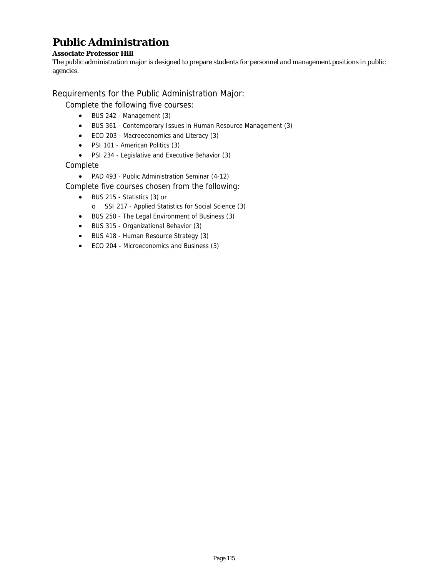# **Public Administration**

#### **Associate Professor Hill**

The public administration major is designed to prepare students for personnel and management positions in public agencies.

### Requirements for the Public Administration Major:

Complete the following five courses:

- BUS 242 Management (3)
- BUS 361 Contemporary Issues in Human Resource Management (3)
- ECO 203 Macroeconomics and Literacy (3)
- PSI 101 American Politics (3)
- PSI 234 Legislative and Executive Behavior (3)

Complete

PAD 493 - Public Administration Seminar (4-12)

Complete five courses chosen from the following:

- BUS 215 Statistics (3) or
	- o SSI 217 Applied Statistics for Social Science (3)
- BUS 250 The Legal Environment of Business (3)
- BUS 315 Organizational Behavior (3)
- BUS 418 Human Resource Strategy (3)
- ECO 204 Microeconomics and Business (3)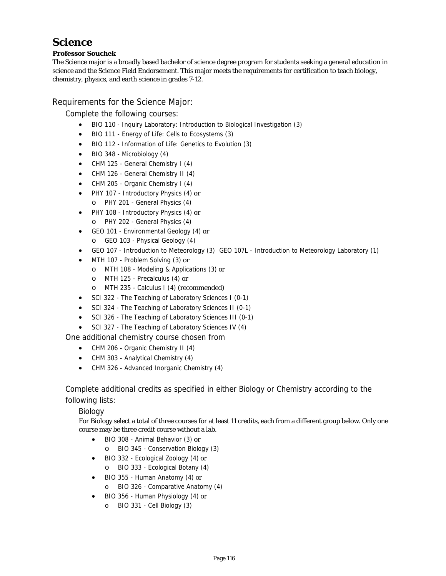# **Science**

#### **Professor Souchek**

The Science major is a broadly based bachelor of science degree program for students seeking a general education in science and the Science Field Endorsement. This major meets the requirements for certification to teach biology, chemistry, physics, and earth science in grades 7-12.

## Requirements for the Science Major:

Complete the following courses:

- BIO 110 Inquiry Laboratory: Introduction to Biological Investigation (3)
- BIO 111 Energy of Life: Cells to Ecosystems (3)
- BIO 112 Information of Life: Genetics to Evolution (3)
- BIO 348 Microbiology (4)
- CHM 125 General Chemistry I (4)
- CHM 126 General Chemistry II (4)
- CHM 205 Organic Chemistry I (4)
- PHY 107 Introductory Physics (4) or o PHY 201 - General Physics (4)
- PHY 108 Introductory Physics (4) or
	- o PHY 202 General Physics (4)
- GEO 101 Environmental Geology (4) or o GEO 103 - Physical Geology (4)
- GEO 107 Introduction to Meteorology (3) GEO 107L Introduction to Meteorology Laboratory (1)
- MTH 107 Problem Solving (3) or
	- o MTH 108 Modeling & Applications (3) or
	- o MTH 125 Precalculus (4) or
	- o MTH 235 Calculus I (4) (recommended)
- SCI 322 The Teaching of Laboratory Sciences I (0-1)
- SCI 324 The Teaching of Laboratory Sciences II (0-1)
- SCI 326 The Teaching of Laboratory Sciences III (0-1)
- SCI 327 The Teaching of Laboratory Sciences IV (4)

One additional chemistry course chosen from

- CHM 206 Organic Chemistry II (4)
- CHM 303 Analytical Chemistry (4)
- CHM 326 Advanced Inorganic Chemistry (4)

Complete additional credits as specified in either Biology or Chemistry according to the following lists:

Biology

For Biology select a total of three courses for at least 11 credits, each from a different group below. Only one course may be three credit course without a lab.

- BIO 308 Animal Behavior (3) or
	- o BIO 345 Conservation Biology (3)
- BIO 332 Ecological Zoology (4) or o BIO 333 - Ecological Botany (4)
- BIO 355 Human Anatomy (4) or
	- o BIO 326 Comparative Anatomy (4)
- BIO 356 Human Physiology (4) or
	- o BIO 331 Cell Biology (3)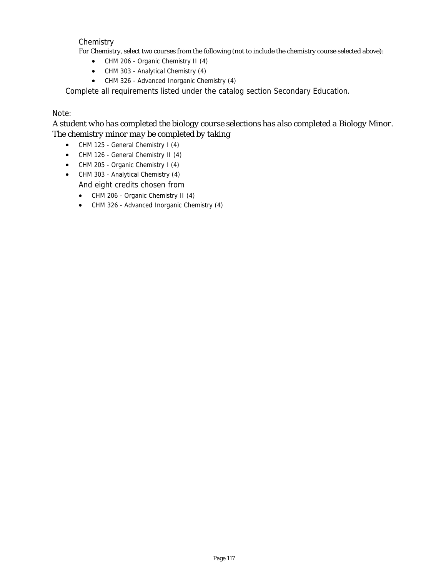#### **Chemistry**

For Chemistry, select two courses from the following (not to include the chemistry course selected above):

- CHM 206 Organic Chemistry II (4)
- CHM 303 Analytical Chemistry (4)
- CHM 326 Advanced Inorganic Chemistry (4)

Complete all requirements listed under the catalog section Secondary Education.

#### Note:

# *A student who has completed the biology course selections has also completed a Biology Minor. The chemistry minor may be completed by taking*

- CHM 125 General Chemistry I (4)
- CHM 126 General Chemistry II (4)
- CHM 205 Organic Chemistry I (4)
- CHM 303 Analytical Chemistry (4) And eight credits chosen from
	- CHM 206 Organic Chemistry II (4)
	- CHM 326 Advanced Inorganic Chemistry (4)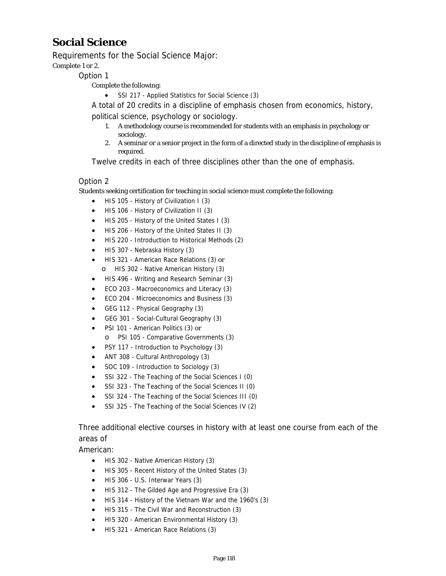# **Social Science**

Requirements for the Social Science Major:

Complete 1 or 2.

Option 1

Complete the following:

SSI 217 - Applied Statistics for Social Science (3)

A total of 20 credits in a discipline of emphasis chosen from economics, history,

political science, psychology or sociology.

- 1. A methodology course is recommended for students with an emphasis in psychology or sociology.
- 2. A seminar or a senior project in the form of a directed study in the discipline of emphasis is required.

Twelve credits in each of three disciplines other than the one of emphasis.

### Option 2

Students seeking certification for teaching in social science must complete the following:

- HIS 105 History of Civilization I (3)
- HIS 106 History of Civilization II (3)
- HIS 205 History of the United States I (3)
- HIS 206 History of the United States II (3)
- HIS 220 Introduction to Historical Methods (2)
- HIS 307 Nebraska History (3)
- HIS 321 American Race Relations (3) or o HIS 302 - Native American History (3)
- HIS 496 Writing and Research Seminar (3)
- ECO 203 Macroeconomics and Literacy (3)
- ECO 204 Microeconomics and Business (3)
- GEG 112 Physical Geography (3)
- GEG 301 Social-Cultural Geography (3)
- PSI 101 American Politics (3) or PSI 105 - Comparative Governments (3)
- PSY 117 Introduction to Psychology (3)
- ANT 308 Cultural Anthropology (3)
- SOC 109 Introduction to Sociology (3)
- SSI 322 The Teaching of the Social Sciences I (0)
- SSI 323 The Teaching of the Social Sciences II (0)
- SSI 324 The Teaching of the Social Sciences III (0)
- SSI 325 The Teaching of the Social Sciences IV (2)

Three additional elective courses in history with at least one course from each of the areas of

American:

- HIS 302 Native American History (3)
- HIS 305 Recent History of the United States (3)
- HIS 306 U.S. Interwar Years (3)
- HIS 312 The Gilded Age and Progressive Era (3)
- HIS 314 History of the Vietnam War and the 1960's (3)
- HIS 315 The Civil War and Reconstruction (3)
- HIS 320 American Environmental History (3)
- HIS 321 American Race Relations (3)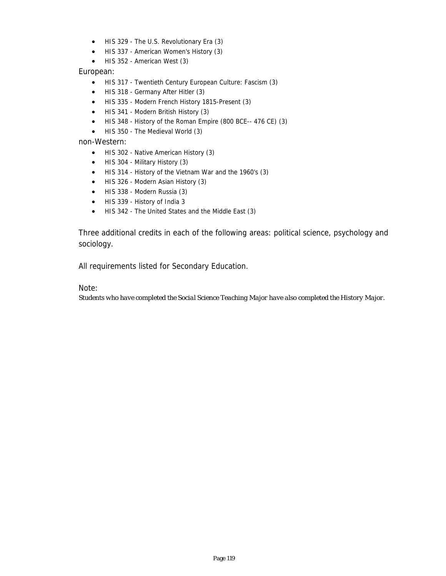- HIS 329 The U.S. Revolutionary Era (3)
- HIS 337 American Women's History (3)
- HIS 352 American West (3)

#### European:

- HIS 317 Twentieth Century European Culture: Fascism (3)
- HIS 318 Germany After Hitler (3)
- HIS 335 Modern French History 1815-Present (3)
- HIS 341 Modern British History (3)
- HIS 348 History of the Roman Empire (800 BCE-- 476 CE) (3)
- HIS 350 The Medieval World (3)

#### non-Western:

- HIS 302 Native American History (3)
- HIS 304 Military History (3)
- HIS 314 History of the Vietnam War and the 1960's (3)
- HIS 326 Modern Asian History (3)
- HIS 338 Modern Russia (3)
- HIS 339 History of India 3
- HIS 342 The United States and the Middle East (3)

Three additional credits in each of the following areas: political science, psychology and sociology.

All requirements listed for Secondary Education.

#### Note:

*Students who have completed the Social Science Teaching Major have also completed the History Major.*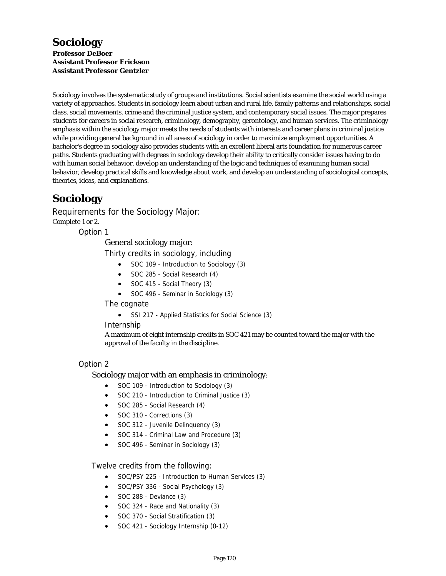# **Sociology Professor DeBoer Assistant Professor Erickson Assistant Professor Gentzler**

Sociology involves the systematic study of groups and institutions. Social scientists examine the social world using a variety of approaches. Students in sociology learn about urban and rural life, family patterns and relationships, social class, social movements, crime and the criminal justice system, and contemporary social issues. The major prepares students for careers in social research, criminology, demography, gerontology, and human services. The criminology emphasis within the sociology major meets the needs of students with interests and career plans in criminal justice while providing general background in all areas of sociology in order to maximize employment opportunities. A bachelor's degree in sociology also provides students with an excellent liberal arts foundation for numerous career paths. Students graduating with degrees in sociology develop their ability to critically consider issues having to do with human social behavior, develop an understanding of the logic and techniques of examining human social behavior, develop practical skills and knowledge about work, and develop an understanding of sociological concepts, theories, ideas, and explanations.

# **Sociology**

Requirements for the Sociology Major: Complete 1 or 2.

Option 1

### General sociology major:

Thirty credits in sociology, including

- SOC 109 Introduction to Sociology (3)
- SOC 285 Social Research (4)
- SOC 415 Social Theory (3)
- SOC 496 Seminar in Sociology (3)

The cognate

SSI 217 - Applied Statistics for Social Science (3)

### Internship

A maximum of eight internship credits in SOC 421 may be counted toward the major with the approval of the faculty in the discipline.

### Option 2

#### Sociology major with an emphasis in criminology:

- SOC 109 Introduction to Sociology (3)
- SOC 210 Introduction to Criminal Justice (3)
- SOC 285 Social Research (4)
- SOC 310 Corrections (3)
- SOC 312 Juvenile Delinquency (3)
- SOC 314 Criminal Law and Procedure (3)
- SOC 496 Seminar in Sociology (3)

#### Twelve credits from the following:

- SOC/PSY 225 Introduction to Human Services (3)
- SOC/PSY 336 Social Psychology (3)
- SOC 288 Deviance (3)
- SOC 324 Race and Nationality (3)
- SOC 370 Social Stratification (3)
- SOC 421 Sociology Internship (0-12)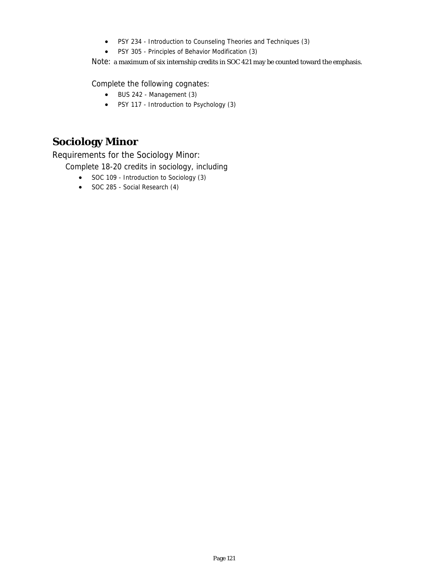- PSY 234 Introduction to Counseling Theories and Techniques (3)
- PSY 305 Principles of Behavior Modification (3)

Note: a maximum of six internship credits in SOC 421 may be counted toward the emphasis.

Complete the following cognates:

- BUS 242 Management (3)
- PSY 117 Introduction to Psychology (3)

# **Sociology Minor**

Requirements for the Sociology Minor:

Complete 18-20 credits in sociology, including

- SOC 109 Introduction to Sociology (3)
- SOC 285 Social Research (4)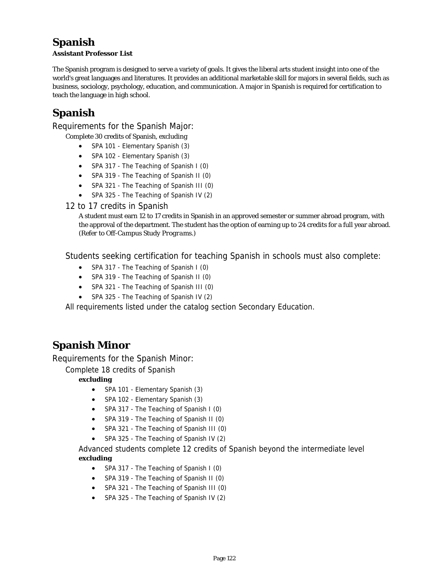# **Spanish**

#### **Assistant Professor List**

The Spanish program is designed to serve a variety of goals. It gives the liberal arts student insight into one of the world's great languages and literatures. It provides an additional marketable skill for majors in several fields, such as business, sociology, psychology, education, and communication. A major in Spanish is required for certification to teach the language in high school.

# **Spanish**

Requirements for the Spanish Major:

Complete 30 credits of Spanish, excluding

- SPA 101 Elementary Spanish (3)
- SPA 102 Elementary Spanish (3)
- SPA 317 The Teaching of Spanish I (0)
- SPA 319 The Teaching of Spanish II (0)
- SPA 321 The Teaching of Spanish III (0)
- SPA 325 The Teaching of Spanish IV (2)

### 12 to 17 credits in Spanish

A student must earn 12 to 17 credits in Spanish in an approved semester or summer abroad program, with the approval of the department. The student has the option of earning up to 24 credits for a full year abroad. *(Refer to Off-Campus Study Programs.)*

Students seeking certification for teaching Spanish in schools must also complete:

- SPA 317 The Teaching of Spanish I (0)
- SPA 319 The Teaching of Spanish II (0)
- SPA 321 The Teaching of Spanish III (0)
- SPA 325 The Teaching of Spanish IV (2)

All requirements listed under the catalog section Secondary Education.

# **Spanish Minor**

Requirements for the Spanish Minor:

Complete 18 credits of Spanish

#### *excluding*

- SPA 101 Elementary Spanish (3)
- SPA 102 Elementary Spanish (3)
- SPA 317 The Teaching of Spanish I (0)
- SPA 319 The Teaching of Spanish II (0)
- SPA 321 The Teaching of Spanish III (0)
- SPA 325 The Teaching of Spanish IV (2)

Advanced students complete 12 credits of Spanish beyond the intermediate level *excluding* 

- SPA 317 The Teaching of Spanish I (0)
- SPA 319 The Teaching of Spanish II (0)
- SPA 321 The Teaching of Spanish III (0)
- SPA 325 The Teaching of Spanish IV (2)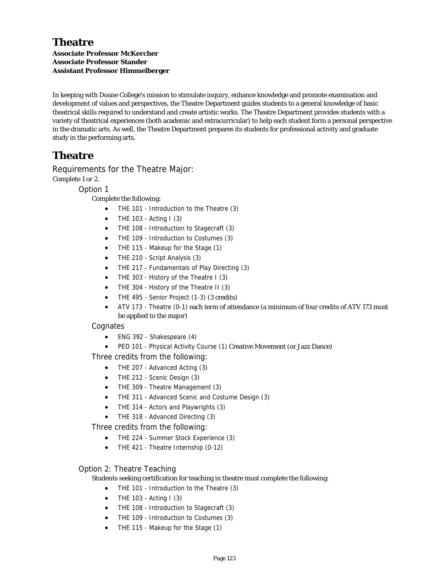# **Theatre**

**Associate Professor McKercher Associate Professor Stander Assistant Professor Himmelberger**

In keeping with Doane College's mission to stimulate inquiry, enhance knowledge and promote examination and development of values and perspectives, the Theatre Department guides students to a general knowledge of basic theatrical skills required to understand and create artistic works. The Theatre Department provides students with a variety of theatrical experiences (both academic and extracurricular) to help each student form a personal perspective in the dramatic arts. As well, the Theatre Department prepares its students for professional activity and graduate study in the performing arts.

# **Theatre**

Requirements for the Theatre Major:

Complete 1 or 2.

Option 1

Complete the following:

- THE 101 Introduction to the Theatre (3)
- $\bullet$  THE 103 Acting I (3)
- THE 108 Introduction to Stagecraft (3)
- THE 109 Introduction to Costumes (3)
- THE 115 Makeup for the Stage (1)
- THE 210 Script Analysis (3)
- THE 217 Fundamentals of Play Directing (3)
- THE 303 History of the Theatre I (3)
- THE 304 History of the Theatre II (3)
- THE 495 Senior Project (1-3) (3 credits)
- ATV 173 Theatre (0-1) each term of attendance (a minimum of four credits of ATV 173 must be applied to the major)

#### **Cognates**

- ENG 392 Shakespeare (4)
- PED 101 Physical Activity Course (1) Creative Movement (or Jazz Dance)

Three credits from the following:

- THE 207 Advanced Acting (3)
- THE 212 Scenic Design (3)
- THE 309 Theatre Management (3)
- THE 311 Advanced Scenic and Costume Design (3)
- THE 314 Actors and Playwrights (3)
- THE 318 Advanced Directing (3)

Three credits from the following:

- THE 224 Summer Stock Experience (3)
- THE 421 Theatre Internship (0-12)

#### Option 2: Theatre Teaching

Students seeking certification for teaching in theatre must complete the following:

- THE 101 Introduction to the Theatre (3)
- $\bullet$  THE 103 Acting I (3)
- THE 108 Introduction to Stagecraft (3)
- THE 109 Introduction to Costumes (3)
- THE 115 Makeup for the Stage (1)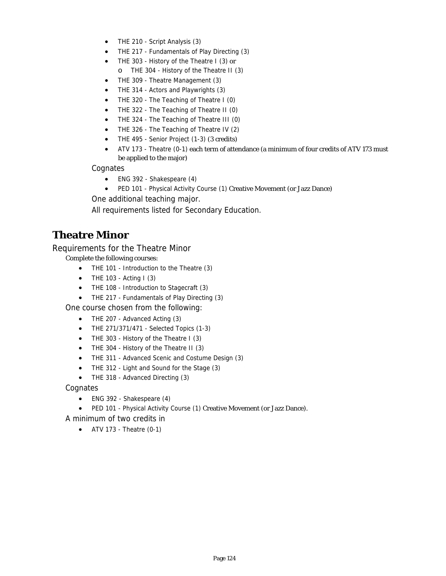- THE 210 Script Analysis (3)
- THE 217 Fundamentals of Play Directing (3)
- THE 303 History of the Theatre I (3) or
	- o THE 304 History of the Theatre II (3)
- THE 309 Theatre Management (3)
- THE 314 Actors and Playwrights (3)
- THE 320 The Teaching of Theatre I (0)
- THE 322 The Teaching of Theatre II (0)
- THE 324 The Teaching of Theatre III (0)
- THE 326 The Teaching of Theatre IV (2)
- THE 495 Senior Project (1-3) (3 credits)
- ATV 173 Theatre (0-1) each term of attendance (a minimum of four credits of ATV 173 must be applied to the major)

#### **Cognates**

- ENG 392 Shakespeare (4)
- PED 101 Physical Activity Course (1) Creative Movement (or Jazz Dance)

One additional teaching major.

All requirements listed for Secondary Education.

# **Theatre Minor**

Requirements for the Theatre Minor

Complete the following courses:

- THE 101 Introduction to the Theatre (3)
- $\bullet$  THE 103 Acting I (3)
- THE 108 Introduction to Stagecraft (3)
- THE 217 Fundamentals of Play Directing (3)

One course chosen from the following:

- THE 207 Advanced Acting (3)
- THE 271/371/471 Selected Topics (1-3)
- THE 303 History of the Theatre I (3)
- THE 304 History of the Theatre II (3)
- THE 311 Advanced Scenic and Costume Design (3)
- THE 312 Light and Sound for the Stage (3)
- THE 318 Advanced Directing (3)

**Cognates** 

- ENG 392 Shakespeare (4)
- PED 101 Physical Activity Course (1) Creative Movement (or Jazz Dance).

A minimum of two credits in

 $\bullet$  ATV 173 - Theatre (0-1)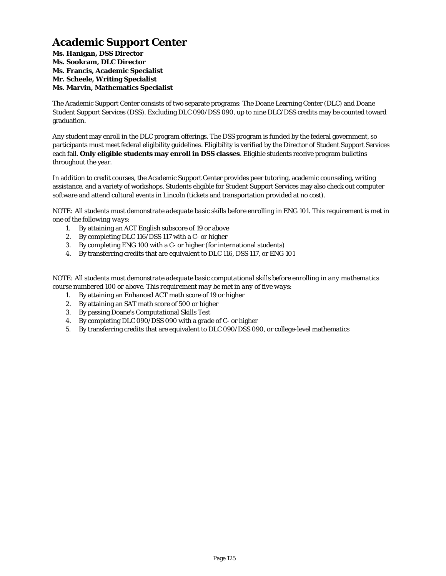# **Academic Support Center**

**Ms. Hanigan, DSS Director Ms. Sookram, DLC Director Ms. Francis, Academic Specialist Mr. Scheele, Writing Specialist Ms. Marvin, Mathematics Specialist**

The Academic Support Center consists of two separate programs: The Doane Learning Center (DLC) and Doane Student Support Services (DSS). Excluding DLC 090/DSS 090, up to nine DLC/DSS credits may be counted toward graduation.

Any student may enroll in the DLC program offerings. The DSS program is funded by the federal government, so participants must meet federal eligibility guidelines. Eligibility is verified by the Director of Student Support Services each fall. **Only eligible students may enroll in DSS classes**. Eligible students receive program bulletins throughout the year.

In addition to credit courses, the Academic Support Center provides peer tutoring, academic counseling, writing assistance, and a variety of workshops. Students eligible for Student Support Services may also check out computer software and attend cultural events in Lincoln (tickets and transportation provided at no cost).

*NOTE: All students must demonstrate adequate basic skills before enrolling in ENG 101. This requirement is met in one of the following ways:*

- 1. By attaining an ACT English subscore of 19 or above
- 2. By completing DLC 116/DSS 117 with a C- or higher
- 3. By completing ENG 100 with a C- or higher (for international students)
- 4. By transferring credits that are equivalent to DLC 116, DSS 117, or ENG 101

*NOTE: All students must demonstrate adequate basic computational skills before enrolling in any mathematics course numbered 100 or above. This requirement may be met in any of five ways:*

- 1. By attaining an Enhanced ACT math score of 19 or higher
- 2. By attaining an SAT math score of 500 or higher
- 3. By passing Doane's Computational Skills Test
- 4. By completing DLC 090/DSS 090 with a grade of C- or higher
- 5. By transferring credits that are equivalent to DLC 090/DSS 090, or college-level mathematics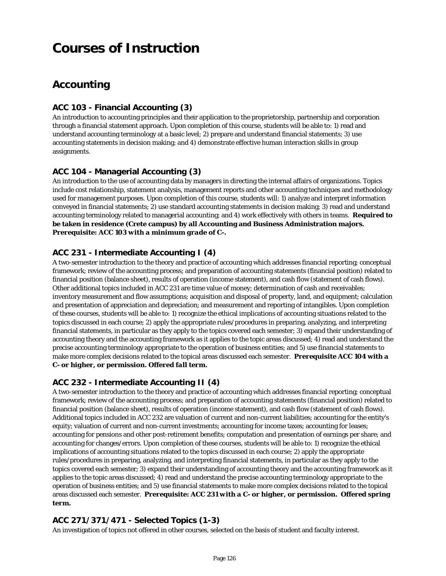# **Courses of Instruction**

# **Accounting**

## **ACC 103 - Financial Accounting (3)**

An introduction to accounting principles and their application to the proprietorship, partnership and corporation through a financial statement approach. Upon completion of this course, students will be able to: 1) read and understand accounting terminology at a basic level; 2) prepare and understand financial statements; 3) use accounting statements in decision making; and 4) demonstrate effective human interaction skills in group assignments.

### **ACC 104 - Managerial Accounting (3)**

An introduction to the use of accounting data by managers in directing the internal affairs of organizations. Topics include cost relationship, statement analysis, management reports and other accounting techniques and methodology used for management purposes. Upon completion of this course, students will: 1) analyze and interpret information conveyed in financial statements; 2) use standard accounting statements in decision making; 3) read and understand accounting terminology related to managerial accounting; and 4) work effectively with others in teams. **Required to be taken in residence (Crete campus) by all Accounting and Business Administration majors.**  *Prerequisite: ACC 103 with a minimum grade of C-.*

### **ACC 231 - Intermediate Accounting I (4)**

A two-semester introduction to the theory and practice of accounting which addresses financial reporting; conceptual framework; review of the accounting process; and preparation of accounting statements (financial position) related to financial position (balance sheet), results of operation (income statement), and cash flow (statement of cash flows). Other additional topics included in ACC 231 are time value of money; determination of cash and receivables; inventory measurement and flow assumptions; acquisition and disposal of property, land, and equipment; calculation and presentation of appreciation and depreciation; and measurement and reporting of intangibles. Upon completion of these courses, students will be able to: 1) recognize the ethical implications of accounting situations related to the topics discussed in each course; 2) apply the appropriate rules/procedures in preparing, analyzing, and interpreting financial statements, in particular as they apply to the topics covered each semester; 3) expand their understanding of accounting theory and the accounting framework as it applies to the topic areas discussed; 4) read and understand the precise accounting terminology appropriate to the operation of business entities; and 5) use financial statements to make more complex decisions related to the topical areas discussed each semester. *Prerequisite ACC 104* **with a**  *C- or higher, or permission. Offered fall term.*

### **ACC 232 - Intermediate Accounting II (4)**

A two-semester introduction to the theory and practice of accounting which addresses financial reporting; conceptual framework; review of the accounting process; and preparation of accounting statements (financial position) related to financial position (balance sheet), results of operation (income statement), and cash flow (statement of cash flows). Additional topics included in ACC 232 are valuation of current and non-current liabilities; accounting for the entity's equity; valuation of current and non-current investments; accounting for income taxes; accounting for leases; accounting for pensions and other post-retirement benefits; computation and presentation of earnings per share; and accounting for changes/errors. Upon completion of these courses, students will be able to: 1) recognize the ethical implications of accounting situations related to the topics discussed in each course; 2) apply the appropriate rules/procedures in preparing, analyzing, and interpreting financial statements, in particular as they apply to the topics covered each semester; 3) expand their understanding of accounting theory and the accounting framework as it applies to the topic areas discussed; 4) read and understand the precise accounting terminology appropriate to the operation of business entities; and 5) use financial statements to make more complex decisions related to the topical areas discussed each semester. *Prerequisite:* **ACC 231** *with a C- or higher, or permission. Offered spring term.*

# **ACC 271/371/471 - Selected Topics (1-3)**

An investigation of topics not offered in other courses, selected on the basis of student and faculty interest.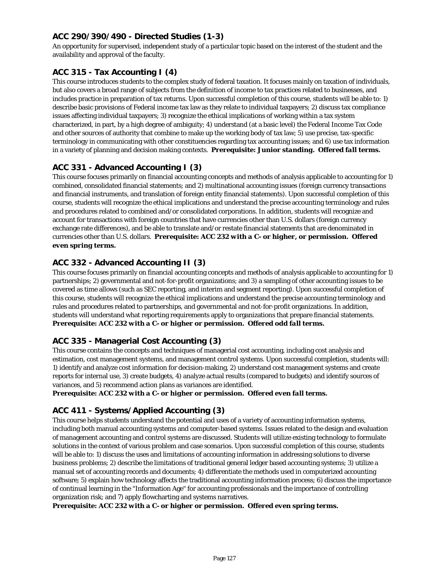# **ACC 290/390/490 - Directed Studies (1-3)**

An opportunity for supervised, independent study of a particular topic based on the interest of the student and the availability and approval of the faculty.

## **ACC 315 - Tax Accounting I (4)**

This course introduces students to the complex study of federal taxation. It focuses mainly on taxation of individuals, but also covers a broad range of subjects from the definition of income to tax practices related to businesses, and includes practice in preparation of tax returns. Upon successful completion of this course, students will be able to: 1) describe basic provisions of Federal income tax law as they relate to individual taxpayers; 2) discuss tax compliance issues affecting individual taxpayers; 3) recognize the ethical implications of working within a tax system characterized, in part, by a high degree of ambiguity; 4) understand (at a basic level) the Federal Income Tax Code and other sources of authority that combine to make up the working body of tax law; 5) use precise, tax-specific terminology in communicating with other constituencies regarding tax accounting issues; and 6) use tax information in a variety of planning and decision making contexts. *Prerequisite: Junior standing. Offered fall terms.*

# **ACC 331 - Advanced Accounting I (3)**

This course focuses primarily on financial accounting concepts and methods of analysis applicable to accounting for 1) combined, consolidated financial statements; and 2) multinational accounting issues (foreign currency transactions and financial instruments, and translation of foreign entity financial statements). Upon successful completion of this course, students will recognize the ethical implications and understand the precise accounting terminology and rules and procedures related to combined and/or consolidated corporations. In addition, students will recognize and account for transactions with foreign countries that have currencies other than U.S. dollars (foreign currency exchange rate differences), and be able to translate and/or restate financial statements that are denominated in currencies other than U.S. dollars. *Prerequisite: ACC 232 with a C- or higher, or permission. Offered even spring terms.*

# **ACC 332 - Advanced Accounting II (3)**

This course focuses primarily on financial accounting concepts and methods of analysis applicable to accounting for 1) partnerships; 2) governmental and not-for-profit organizations; and 3) a sampling of other accounting issues to be covered as time allows (such as SEC reporting, and interim and segment reporting). Upon successful completion of this course, students will recognize the ethical implications and understand the precise accounting terminology and rules and procedures related to partnerships, and governmental and not-for-profit organizations. In addition, students will understand what reporting requirements apply to organizations that prepare financial statements. *Prerequisite: ACC 232 with a C- or higher or permission. Offered odd fall terms.*

### **ACC 335 - Managerial Cost Accounting (3)**

This course contains the concepts and techniques of managerial cost accounting, including cost analysis and estimation, cost management systems, and management control systems. Upon successful completion, students will: 1) identify and analyze cost information for decision-making, 2) understand cost management systems and create reports for internal use, 3) create budgets, 4) analyze actual results (compared to budgets) and identify sources of variances, and 5) recommend action plans as variances are identified.

*Prerequisite: ACC 232 with a C- or higher or permission. Offered even fall terms.*

# **ACC 411 - Systems/Applied Accounting (3)**

This course helps students understand the potential and uses of a variety of accounting information systems, including both manual accounting systems and computer-based systems. Issues related to the design and evaluation of management accounting and control systems are discussed. Students will utilize existing technology to formulate solutions in the context of various problem and case scenarios. Upon successful completion of this course, students will be able to: 1) discuss the uses and limitations of accounting information in addressing solutions to diverse business problems; 2) describe the limitations of traditional general ledger based accounting systems; 3) utilize a manual set of accounting records and documents; 4) differentiate the methods used in computerized accounting software; 5) explain how technology affects the traditional accounting information process; 6) discuss the importance of continual learning in the "Information Age" for accounting professionals and the importance of controlling organization risk; and 7) apply flowcharting and systems narratives.

*Prerequisite: ACC 232 with a C- or higher or permission. Offered even spring terms.*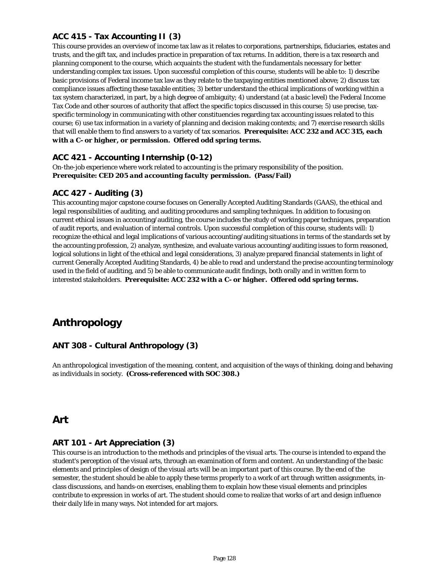# **ACC 415 - Tax Accounting II (3)**

This course provides an overview of income tax law as it relates to corporations, partnerships, fiduciaries, estates and trusts, and the gift tax, and includes practice in preparation of tax returns. In addition, there is a tax research and planning component to the course, which acquaints the student with the fundamentals necessary for better understanding complex tax issues. Upon successful completion of this course, students will be able to: 1) describe basic provisions of Federal income tax law as they relate to the taxpaying entities mentioned above; 2) discuss tax compliance issues affecting these taxable entities; 3) better understand the ethical implications of working within a tax system characterized, in part, by a high degree of ambiguity; 4) understand (at a basic level) the Federal Income Tax Code and other sources of authority that affect the specific topics discussed in this course; 5) use precise, taxspecific terminology in communicating with other constituencies regarding tax accounting issues related to this course; 6) use tax information in a variety of planning and decision making contexts; and 7) exercise research skills that will enable them to find answers to a variety of tax scenarios. *Prerequisite: ACC 232 and ACC 315, each with a C- or higher, or permission. Offered odd spring terms.*

#### **ACC 421 - Accounting Internship (0-12)**

On-the-job experience where work related to accounting is the primary responsibility of the position. *Prerequisite: CED 205 and accounting faculty permission***. (Pass/Fail)**

#### **ACC 427 - Auditing (3)**

This accounting major capstone course focuses on Generally Accepted Auditing Standards (GAAS), the ethical and legal responsibilities of auditing, and auditing procedures and sampling techniques. In addition to focusing on current ethical issues in accounting/auditing, the course includes the study of working paper techniques, preparation of audit reports, and evaluation of internal controls. Upon successful completion of this course, students will: 1) recognize the ethical and legal implications of various accounting/auditing situations in terms of the standards set by the accounting profession, 2) analyze, synthesize, and evaluate various accounting/auditing issues to form reasoned, logical solutions in light of the ethical and legal considerations, 3) analyze prepared financial statements in light of current Generally Accepted Auditing Standards, 4) be able to read and understand the precise accounting terminology used in the field of auditing, and 5) be able to communicate audit findings, both orally and in written form to interested stakeholders. *Prerequisite: ACC 232 with a C- or higher. Offered odd spring terms.*

# **Anthropology**

### **ANT 308 - Cultural Anthropology (3)**

An anthropological investigation of the meaning, content, and acquisition of the ways of thinking, doing and behaving as individuals in society. **(Cross-referenced with SOC 308.)**

# **Art**

### **ART 101 - Art Appreciation (3)**

This course is an introduction to the methods and principles of the visual arts. The course is intended to expand the student's perception of the visual arts, through an examination of form and content. An understanding of the basic elements and principles of design of the visual arts will be an important part of this course. By the end of the semester, the student should be able to apply these terms properly to a work of art through written assignments, inclass discussions, and hands-on exercises, enabling them to explain how these visual elements and principles contribute to expression in works of art. The student should come to realize that works of art and design influence their daily life in many ways. Not intended for art majors.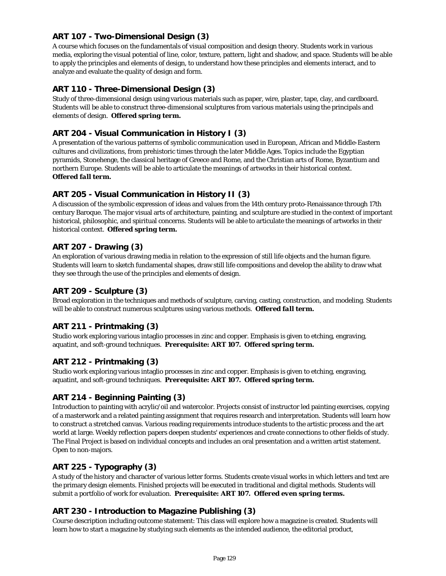# **ART 107 - Two-Dimensional Design (3)**

A course which focuses on the fundamentals of visual composition and design theory. Students work in various media, exploring the visual potential of line, color, texture, pattern, light and shadow, and space. Students will be able to apply the principles and elements of design, to understand how these principles and elements interact, and to analyze and evaluate the quality of design and form.

## **ART 110 - Three-Dimensional Design (3)**

Study of three-dimensional design using various materials such as paper, wire, plaster, tape, clay, and cardboard. Students will be able to construct three-dimensional sculptures from various materials using the principals and elements of design. *Offered spring term.*

## **ART 204 - Visual Communication in History I (3)**

A presentation of the various patterns of symbolic communication used in European, African and Middle-Eastern cultures and civilizations, from prehistoric times through the later Middle Ages. Topics include the Egyptian pyramids, Stonehenge, the classical heritage of Greece and Rome, and the Christian arts of Rome, Byzantium and northern Europe. Students will be able to articulate the meanings of artworks in their historical context. *Offered fall term.*

# **ART 205 - Visual Communication in History II (3)**

A discussion of the symbolic expression of ideas and values from the 14th century proto-Renaissance through 17th century Baroque. The major visual arts of architecture, painting, and sculpture are studied in the context of important historical, philosophic, and spiritual concerns. Students will be able to articulate the meanings of artworks in their historical context. *Offered spring term.*

### **ART 207 - Drawing (3)**

An exploration of various drawing media in relation to the expression of still life objects and the human figure. Students will learn to sketch fundamental shapes, draw still life compositions and develop the ability to draw what they see through the use of the principles and elements of design.

### **ART 209 - Sculpture (3)**

Broad exploration in the techniques and methods of sculpture, carving, casting, construction, and modeling. Students will be able to construct numerous sculptures using various methods. *Offered fall term.*

### **ART 211 - Printmaking (3)**

Studio work exploring various intaglio processes in zinc and copper. Emphasis is given to etching, engraving, aquatint, and soft-ground techniques. *Prerequisite: ART 107. Offered spring term.*

### **ART 212 - Printmaking (3)**

Studio work exploring various intaglio processes in zinc and copper. Emphasis is given to etching, engraving, aquatint, and soft-ground techniques. *Prerequisite: ART 107. Offered spring term.*

### **ART 214 - Beginning Painting (3)**

Introduction to painting with acrylic/oil and watercolor. Projects consist of instructor led painting exercises, copying of a masterwork and a related painting assignment that requires research and interpretation. Students will learn how to construct a stretched canvas. Various reading requirements introduce students to the artistic process and the art world at large. Weekly reflection papers deepen students' experiences and create connections to other fields of study. The Final Project is based on individual concepts and includes an oral presentation and a written artist statement. Open to non-majors.

### **ART 225 - Typography (3)**

A study of the history and character of various letter forms. Students create visual works in which letters and text are the primary design elements. Finished projects will be executed in traditional and digital methods. Students will submit a portfolio of work for evaluation. *Prerequisite: ART 107. Offered even spring terms.*

### **ART 230 - Introduction to Magazine Publishing (3)**

Course description including outcome statement: This class will explore how a magazine is created. Students will learn how to start a magazine by studying such elements as the intended audience, the editorial product,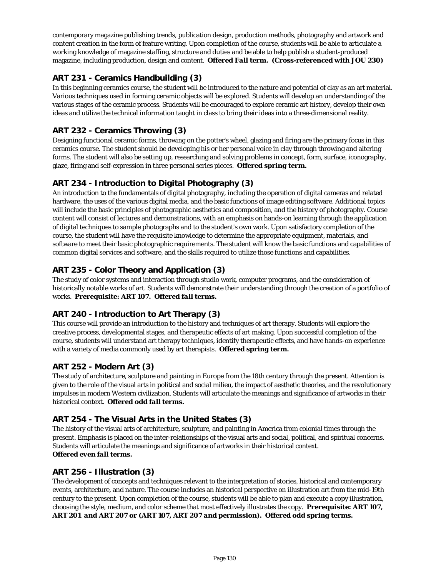contemporary magazine publishing trends, publication design, production methods, photography and artwork and content creation in the form of feature writing. Upon completion of the course, students will be able to articulate a working knowledge of magazine staffing, structure and duties and be able to help publish a student-produced magazine, including production, design and content. *Offered Fall term.* **(Cross-referenced with JOU 230)**

# **ART 231 - Ceramics Handbuilding (3)**

In this beginning ceramics course, the student will be introduced to the nature and potential of clay as an art material. Various techniques used in forming ceramic objects will be explored. Students will develop an understanding of the various stages of the ceramic process. Students will be encouraged to explore ceramic art history, develop their own ideas and utilize the technical information taught in class to bring their ideas into a three-dimensional reality.

# **ART 232 - Ceramics Throwing (3)**

Designing functional ceramic forms, throwing on the potter's wheel, glazing and firing are the primary focus in this ceramics course. The student should be developing his or her personal voice in clay through throwing and altering forms. The student will also be setting up, researching and solving problems in concept, form, surface, iconography, glaze, firing and self-expression in three personal series pieces. *Offered spring term.*

#### **ART 234 - Introduction to Digital Photography (3)**

An introduction to the fundamentals of digital photography, including the operation of digital cameras and related hardware, the uses of the various digital media, and the basic functions of image editing software. Additional topics will include the basic principles of photographic aesthetics and composition, and the history of photography. Course content will consist of lectures and demonstrations, with an emphasis on hands-on learning through the application of digital techniques to sample photographs and to the student's own work. Upon satisfactory completion of the course, the student will have the requisite knowledge to determine the appropriate equipment, materials, and software to meet their basic photographic requirements. The student will know the basic functions and capabilities of common digital services and software, and the skills required to utilize those functions and capabilities.

# **ART 235 - Color Theory and Application (3)**

The study of color systems and interaction through studio work, computer programs, and the consideration of historically notable works of art. Students will demonstrate their understanding through the creation of a portfolio of works. *Prerequisite: ART 107. Offered fall terms.*

### **ART 240 - Introduction to Art Therapy (3)**

This course will provide an introduction to the history and techniques of art therapy. Students will explore the creative process, developmental stages, and therapeutic effects of art making. Upon successful completion of the course, students will understand art therapy techniques, identify therapeutic effects, and have hands-on experience with a variety of media commonly used by art therapists. *Offered spring term.*

### **ART 252 - Modern Art (3)**

The study of architecture, sculpture and painting in Europe from the 18th century through the present. Attention is given to the role of the visual arts in political and social milieu, the impact of aesthetic theories, and the revolutionary impulses in modern Western civilization. Students will articulate the meanings and significance of artworks in their historical context. *Offered odd fall terms.*

#### **ART 254 - The Visual Arts in the United States (3)**

The history of the visual arts of architecture, sculpture, and painting in America from colonial times through the present. Emphasis is placed on the inter-relationships of the visual arts and social, political, and spiritual concerns. Students will articulate the meanings and significance of artworks in their historical context. *Offered even fall terms.*

#### **ART 256 - Illustration (3)**

The development of concepts and techniques relevant to the interpretation of stories, historical and contemporary events, architecture, and nature. The course includes an historical perspective on illustration art from the mid-19th century to the present. Upon completion of the course, students will be able to plan and execute a copy illustration, choosing the style, medium, and color scheme that most effectively illustrates the copy. *Prerequisite: ART 107, ART 201 and ART 207 or (ART 107, ART 207 and permission). Offered odd spring terms.*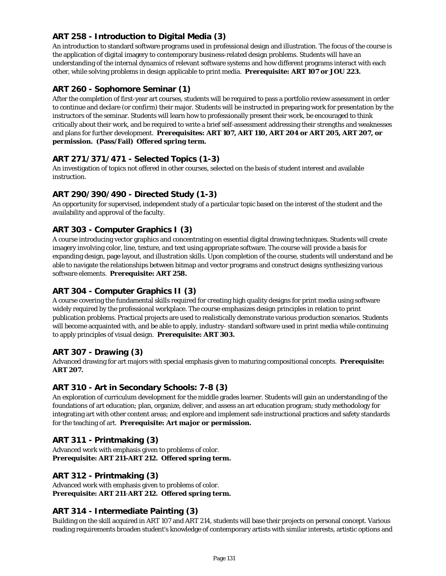# **ART 258 - Introduction to Digital Media (3)**

An introduction to standard software programs used in professional design and illustration. The focus of the course is the application of digital imagery to contemporary business-related design problems. Students will have an understanding of the internal dynamics of relevant software systems and how different programs interact with each other, while solving problems in design applicable to print media. *Prerequisite: ART 107 or JOU 223.*

# **ART 260 - Sophomore Seminar (1)**

After the completion of first-year art courses, students will be required to pass a portfolio review assessment in order to continue and declare (or confirm) their major. Students will be instructed in preparing work for presentation by the instructors of the seminar. Students will learn how to professionally present their work, be encouraged to think critically about their work, and be required to write a brief self-assessment addressing their strengths and weaknesses and plans for further development. *Prerequisites: ART 107, ART 110, ART 204 or ART 205, ART 207, or permission.* **(Pass/Fail)** *Offered spring term.*

### **ART 271/371/471 - Selected Topics (1-3)**

An investigation of topics not offered in other courses, selected on the basis of student interest and available instruction.

# **ART 290/390/490 - Directed Study (1-3)**

An opportunity for supervised, independent study of a particular topic based on the interest of the student and the availability and approval of the faculty.

### **ART 303 - Computer Graphics I (3)**

A course introducing vector graphics and concentrating on essential digital drawing techniques. Students will create imagery involving color, line, texture, and text using appropriate software. The course will provide a basis for expanding design, page layout, and illustration skills. Upon completion of the course, students will understand and be able to navigate the relationships between bitmap and vector programs and construct designs synthesizing various software elements. *Prerequisite: ART 258.*

### **ART 304 - Computer Graphics II (3)**

A course covering the fundamental skills required for creating high quality designs for print media using software widely required by the professional workplace. The course emphasizes design principles in relation to print publication problems. Practical projects are used to realistically demonstrate various production scenarios. Students will become acquainted with, and be able to apply, industry- standard software used in print media while continuing to apply principles of visual design. *Prerequisite: ART 303.*

### **ART 307 - Drawing (3)**

Advanced drawing for art majors with special emphasis given to maturing compositional concepts. *Prerequisite: ART 207.*

### **ART 310 - Art in Secondary Schools: 7-8 (3)**

An exploration of curriculum development for the middle grades learner. Students will gain an understanding of the foundations of art education; plan, organize, deliver, and assess an art education program; study methodology for integrating art with other content areas; and explore and implement safe instructional practices and safety standards for the teaching of art. *Prerequisite: Art major or permission.*

### **ART 311 - Printmaking (3)**

Advanced work with emphasis given to problems of color. *Prerequisite: ART 211-ART 212. Offered spring term.*

#### **ART 312 - Printmaking (3)**

Advanced work with emphasis given to problems of color. *Prerequisite: ART 211*-*ART 212. Offered spring term.*

#### **ART 314 - Intermediate Painting (3)**

Building on the skill acquired in ART 107 and ART 214, students will base their projects on personal concept. Various reading requirements broaden student's knowledge of contemporary artists with similar interests, artistic options and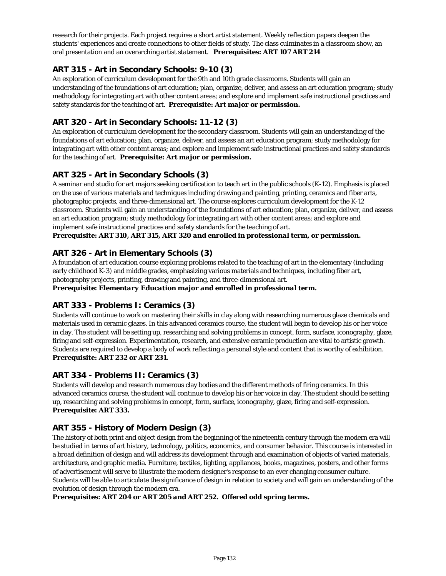research for their projects. Each project requires a short artist statement. Weekly reflection papers deepen the students' experiences and create connections to other fields of study. The class culminates in a classroom show, an oral presentation and an overarching artist statement. *Prerequisites: ART 107 ART 214* 

# **ART 315 - Art in Secondary Schools: 9-10 (3)**

An exploration of curriculum development for the 9th and 10th grade classrooms. Students will gain an understanding of the foundations of art education; plan, organize, deliver, and assess an art education program; study methodology for integrating art with other content areas; and explore and implement safe instructional practices and safety standards for the teaching of art. *Prerequisite: Art major or permission.*

### **ART 320 - Art in Secondary Schools: 11-12 (3)**

An exploration of curriculum development for the secondary classroom. Students will gain an understanding of the foundations of art education; plan, organize, deliver, and assess an art education program; study methodology for integrating art with other content areas; and explore and implement safe instructional practices and safety standards for the teaching of art. *Prerequisite: Art major or permission.*

### **ART 325 - Art in Secondary Schools (3)**

A seminar and studio for art majors seeking certification to teach art in the public schools (K-12). Emphasis is placed on the use of various materials and techniques including drawing and painting, printing, ceramics and fiber arts, photographic projects, and three-dimensional art. The course explores curriculum development for the K-12 classroom. Students will gain an understanding of the foundations of art education; plan, organize, deliver, and assess an art education program; study methodology for integrating art with other content areas; and explore and implement safe instructional practices and safety standards for the teaching of art.

#### *Prerequisite: ART 310, ART 315, ART 320 and enrolled in professional term, or permission.*

### **ART 326 - Art in Elementary Schools (3)**

A foundation of art education course exploring problems related to the teaching of art in the elementary (including early childhood K-3) and middle grades, emphasizing various materials and techniques, including fiber art, photography projects, printing, drawing and painting, and three-dimensional art.

*Prerequisite: Elementary Education major and enrolled in professional term.*

### **ART 333 - Problems I: Ceramics (3)**

Students will continue to work on mastering their skills in clay along with researching numerous glaze chemicals and materials used in ceramic glazes. In this advanced ceramics course, the student will begin to develop his or her voice in clay. The student will be setting up, researching and solving problems in concept, form, surface, iconography, glaze, firing and self-expression. Experimentation, research, and extensive ceramic production are vital to artistic growth. Students are required to develop a body of work reflecting a personal style and content that is worthy of exhibition. *Prerequisite: ART 232 or ART 231.*

### **ART 334 - Problems II: Ceramics (3)**

Students will develop and research numerous clay bodies and the different methods of firing ceramics. In this advanced ceramics course, the student will continue to develop his or her voice in clay. The student should be setting up, researching and solving problems in concept, form, surface, iconography, glaze, firing and self-expression. *Prerequisite: ART 333.*

### **ART 355 - History of Modern Design (3)**

The history of both print and object design from the beginning of the nineteenth century through the modern era will be studied in terms of art history, technology, politics, economics, and consumer behavior. This course is interested in a broad definition of design and will address its development through and examination of objects of varied materials, architecture, and graphic media. Furniture, textiles, lighting, appliances, books, magazines, posters, and other forms of advertisement will serve to illustrate the modern designer's response to an ever changing consumer culture. Students will be able to articulate the significance of design in relation to society and will gain an understanding of the evolution of design through the modern era.

*Prerequisites: ART 204 or ART 205 and ART 252. Offered odd spring terms.*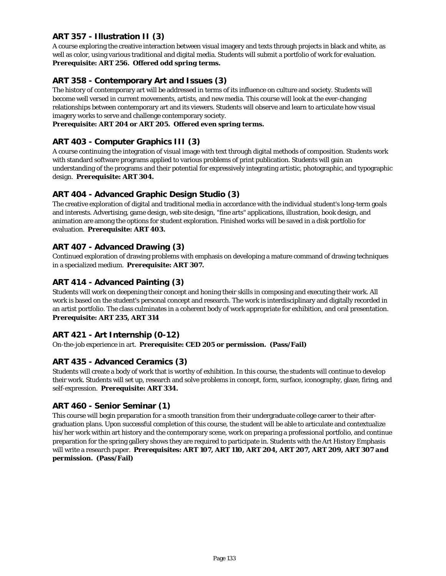# **ART 357 - Illustration II (3)**

A course exploring the creative interaction between visual imagery and texts through projects in black and white, as well as color, using various traditional and digital media. Students will submit a portfolio of work for evaluation. *Prerequisite: ART 256. Offered odd spring terms.*

## **ART 358 - Contemporary Art and Issues (3)**

The history of contemporary art will be addressed in terms of its influence on culture and society. Students will become well versed in current movements, artists, and new media. This course will look at the ever-changing relationships between contemporary art and its viewers. Students will observe and learn to articulate how visual imagery works to serve and challenge contemporary society.

#### *Prerequisite: ART 204 or ART 205. Offered even spring terms.*

#### **ART 403 - Computer Graphics III (3)**

A course continuing the integration of visual image with text through digital methods of composition. Students work with standard software programs applied to various problems of print publication. Students will gain an understanding of the programs and their potential for expressively integrating artistic, photographic, and typographic design. *Prerequisite: ART 304.*

### **ART 404 - Advanced Graphic Design Studio (3)**

The creative exploration of digital and traditional media in accordance with the individual student's long-term goals and interests. Advertising, game design, web site design, "fine arts" applications, illustration, book design, and animation are among the options for student exploration. Finished works will be saved in a disk portfolio for evaluation. *Prerequisite: ART 403.*

#### **ART 407 - Advanced Drawing (3)**

Continued exploration of drawing problems with emphasis on developing a mature command of drawing techniques in a specialized medium. *Prerequisite: ART 307.*

#### **ART 414 - Advanced Painting (3)**

Students will work on deepening their concept and honing their skills in composing and executing their work. All work is based on the student's personal concept and research. The work is interdisciplinary and digitally recorded in an artist portfolio. The class culminates in a coherent body of work appropriate for exhibition, and oral presentation. *Prerequisite: ART 235, ART 314* 

#### **ART 421 - Art Internship (0-12)**

On-the-job experience in art. *Prerequisite: CED 205 or permission***. (Pass/Fail)**

#### **ART 435 - Advanced Ceramics (3)**

Students will create a body of work that is worthy of exhibition. In this course, the students will continue to develop their work. Students will set up, research and solve problems in concept, form, surface, iconography, glaze, firing, and self-expression. *Prerequisite: ART 334.*

#### **ART 460 - Senior Seminar (1)**

This course will begin preparation for a smooth transition from their undergraduate college career to their aftergraduation plans. Upon successful completion of this course, the student will be able to articulate and contextualize his/her work within art history and the contemporary scene, work on preparing a professional portfolio, and continue preparation for the spring gallery shows they are required to participate in. Students with the Art History Emphasis will write a research paper. *Prerequisites: ART 107, ART 110, ART 204, ART 207, ART 209, ART 307 and permission.* **(Pass/Fail)**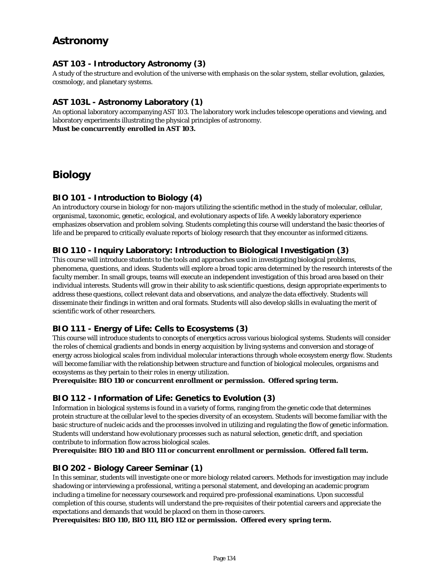# **Astronomy**

### **AST 103 - Introductory Astronomy (3)**

A study of the structure and evolution of the universe with emphasis on the solar system, stellar evolution, galaxies, cosmology, and planetary systems.

### **AST 103L - Astronomy Laboratory (1)**

An optional laboratory accompanying AST 103. The laboratory work includes telescope operations and viewing, and laboratory experiments illustrating the physical principles of astronomy. *Must be concurrently enrolled in AST 103.*

# **Biology**

#### **BIO 101 - Introduction to Biology (4)**

An introductory course in biology for non-majors utilizing the scientific method in the study of molecular, cellular, organismal, taxonomic, genetic, ecological, and evolutionary aspects of life. A weekly laboratory experience emphasizes observation and problem solving. Students completing this course will understand the basic theories of life and be prepared to critically evaluate reports of biology research that they encounter as informed citizens.

### **BIO 110 - Inquiry Laboratory: Introduction to Biological Investigation (3)**

This course will introduce students to the tools and approaches used in investigating biological problems, phenomena, questions, and ideas. Students will explore a broad topic area determined by the research interests of the faculty member. In small groups, teams will execute an independent investigation of this broad area based on their individual interests. Students will grow in their ability to ask scientific questions, design appropriate experiments to address these questions, collect relevant data and observations, and analyze the data effectively. Students will disseminate their findings in written and oral formats. Students will also develop skills in evaluating the merit of scientific work of other researchers.

### **BIO 111 - Energy of Life: Cells to Ecosystems (3)**

This course will introduce students to concepts of energetics across various biological systems. Students will consider the roles of chemical gradients and bonds in energy acquisition by living systems and conversion and storage of energy across biological scales from individual molecular interactions through whole ecosystem energy flow. Students will become familiar with the relationship between structure and function of biological molecules, organisms and ecosystems as they pertain to their roles in energy utilization.

*Prerequisite: BIO 110 or concurrent enrollment or permission. Offered spring term.*

### **BIO 112 - Information of Life: Genetics to Evolution (3)**

Information in biological systems is found in a variety of forms, ranging from the genetic code that determines protein structure at the cellular level to the species diversity of an ecosystem. Students will become familiar with the basic structure of nucleic acids and the processes involved in utilizing and regulating the flow of genetic information. Students will understand how evolutionary processes such as natural selection, genetic drift, and speciation contribute to information flow across biological scales.

*Prerequisite: BIO 110 and BIO 111 or concurrent enrollment or permission. Offered fall term.*

### **BIO 202 - Biology Career Seminar (1)**

In this seminar, students will investigate one or more biology related careers. Methods for investigation may include shadowing or interviewing a professional, writing a personal statement, and developing an academic program including a timeline for necessary coursework and required pre-professional examinations. Upon successful completion of this course, students will understand the pre-requisites of their potential careers and appreciate the expectations and demands that would be placed on them in those careers.

*Prerequisites: BIO 110, BIO 111, BIO 112 or permission. Offered every spring term.*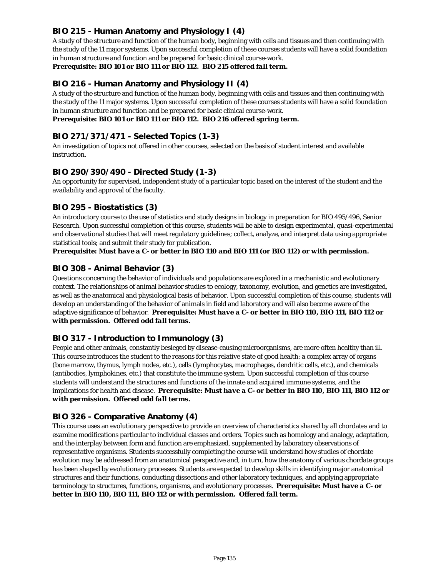# **BIO 215 - Human Anatomy and Physiology I (4)**

A study of the structure and function of the human body, beginning with cells and tissues and then continuing with the study of the 11 major systems. Upon successful completion of these courses students will have a solid foundation in human structure and function and be prepared for basic clinical course-work. *Prerequisite: BIO 101 or BIO 111 or BIO 112. BIO 215 offered fall term.*

## **BIO 216 - Human Anatomy and Physiology II (4)**

A study of the structure and function of the human body, beginning with cells and tissues and then continuing with the study of the 11 major systems. Upon successful completion of these courses students will have a solid foundation in human structure and function and be prepared for basic clinical course-work.

#### *Prerequisite: BIO 101 or BIO 111 or BIO 112. BIO 216 offered spring term.*

### **BIO 271/371/471 - Selected Topics (1-3)**

An investigation of topics not offered in other courses, selected on the basis of student interest and available instruction.

### **BIO 290/390/490 - Directed Study (1-3)**

An opportunity for supervised, independent study of a particular topic based on the interest of the student and the availability and approval of the faculty.

### **BIO 295 - Biostatistics (3)**

An introductory course to the use of statistics and study designs in biology in preparation for BIO 495/496, Senior Research. Upon successful completion of this course, students will be able to design experimental, quasi-experimental and observational studies that will meet regulatory guidelines; collect, analyze, and interpret data using appropriate statistical tools; and submit their study for publication.

#### *Prerequisite: Must have a C- or better in BIO 110 and BIO 111 (or BIO 112) or with permission.*

#### **BIO 308 - Animal Behavior (3)**

Questions concerning the behavior of individuals and populations are explored in a mechanistic and evolutionary context. The relationships of animal behavior studies to ecology, taxonomy, evolution, and genetics are investigated, as well as the anatomical and physiological basis of behavior. Upon successful completion of this course, students will develop an understanding of the behavior of animals in field and laboratory and will also become aware of the adaptive significance of behavior. *Prerequisite: Must have a C- or better in BIO 110, BIO 111, BIO 112 or with permission. Offered odd fall terms.*

### **BIO 317 - Introduction to Immunology (3)**

People and other animals, constantly besieged by disease-causing microorganisms, are more often healthy than ill. This course introduces the student to the reasons for this relative state of good health: a complex array of organs (bone marrow, thymus, lymph nodes, etc.), cells (lymphocytes, macrophages, dendritic cells, etc.), and chemicals (antibodies, lymphokines, etc.) that constitute the immune system. Upon successful completion of this course students will understand the structures and functions of the innate and acquired immune systems, and the implications for health and disease. *Prerequisite: Must have a C- or better in BIO 110, BIO 111, BIO 112 or with permission. Offered odd fall terms.*

#### **BIO 326 - Comparative Anatomy (4)**

This course uses an evolutionary perspective to provide an overview of characteristics shared by all chordates and to examine modifications particular to individual classes and orders. Topics such as homology and analogy, adaptation, and the interplay between form and function are emphasized, supplemented by laboratory observations of representative organisms. Students successfully completing the course will understand how studies of chordate evolution may be addressed from an anatomical perspective and, in turn, how the anatomy of various chordate groups has been shaped by evolutionary processes. Students are expected to develop skills in identifying major anatomical structures and their functions, conducting dissections and other laboratory techniques, and applying appropriate terminology to structures, functions, organisms, and evolutionary processes. *Prerequisite: Must have a C- or better in BIO 110, BIO 111, BIO 112 or with permission. Offered fall term.*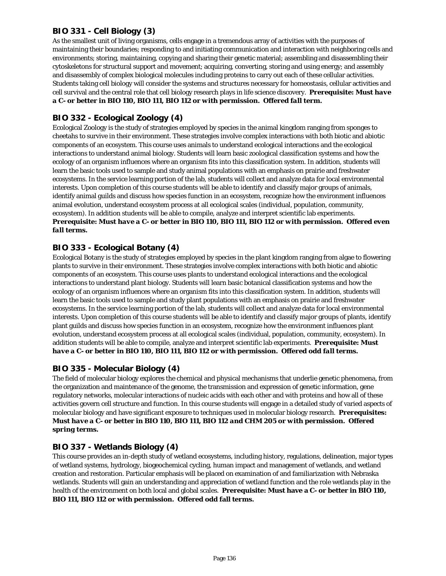# **BIO 331 - Cell Biology (3)**

As the smallest unit of living organisms, cells engage in a tremendous array of activities with the purposes of maintaining their boundaries; responding to and initiating communication and interaction with neighboring cells and environments; storing, maintaining, copying and sharing their genetic material; assembling and disassembling their cytoskeletons for structural support and movement; acquiring, converting, storing and using energy; and assembly and disassembly of complex biological molecules including proteins to carry out each of these cellular activities. Students taking cell biology will consider the systems and structures necessary for homeostasis, cellular activities and cell survival and the central role that cell biology research plays in life science discovery. *Prerequisite: Must have a C- or better in BIO 110, BIO 111, BIO 112 or with permission. Offered fall term.*

## **BIO 332 - Ecological Zoology (4)**

Ecological Zoology is the study of strategies employed by species in the animal kingdom ranging from sponges to cheetahs to survive in their environment. These strategies involve complex interactions with both biotic and abiotic components of an ecosystem. This course uses animals to understand ecological interactions and the ecological interactions to understand animal biology. Students will learn basic zoological classification systems and how the ecology of an organism influences where an organism fits into this classification system. In addition, students will learn the basic tools used to sample and study animal populations with an emphasis on prairie and freshwater ecosystems. In the service learning portion of the lab, students will collect and analyze data for local environmental interests. Upon completion of this course students will be able to identify and classify major groups of animals, identify animal guilds and discuss how species function in an ecosystem, recognize how the environment influences animal evolution, understand ecosystem process at all ecological scales (individual, population, community, ecosystem). In addition students will be able to compile, analyze and interpret scientific lab experiments. *Prerequisite: Must have a C- or better in BIO 110, BIO 111, BIO 112 or with permission. Offered even fall terms.*

### **BIO 333 - Ecological Botany (4)**

Ecological Botany is the study of strategies employed by species in the plant kingdom ranging from algae to flowering plants to survive in their environment. These strategies involve complex interactions with both biotic and abiotic components of an ecosystem. This course uses plants to understand ecological interactions and the ecological interactions to understand plant biology. Students will learn basic botanical classification systems and how the ecology of an organism influences where an organism fits into this classification system. In addition, students will learn the basic tools used to sample and study plant populations with an emphasis on prairie and freshwater ecosystems. In the service learning portion of the lab, students will collect and analyze data for local environmental interests. Upon completion of this course students will be able to identify and classify major groups of plants, identify plant guilds and discuss how species function in an ecosystem, recognize how the environment influences plant evolution, understand ecosystem process at all ecological scales (individual, population, community, ecosystem). In addition students will be able to compile, analyze and interpret scientific lab experiments. *Prerequisite: Must have a C- or better in BIO 110, BIO 111, BIO 112 or with permission. Offered odd fall terms.*

### **BIO 335 - Molecular Biology (4)**

The field of molecular biology explores the chemical and physical mechanisms that underlie genetic phenomena, from the organization and maintenance of the genome, the transmission and expression of genetic information, gene regulatory networks, molecular interactions of nucleic acids with each other and with proteins and how all of these activities govern cell structure and function. In this course students will engage in a detailed study of varied aspects of molecular biology and have significant exposure to techniques used in molecular biology research. *Prerequisites: Must have a C- or better in BIO 110, BIO 111, BIO 112 and CHM 205 or with permission. Offered spring terms.*

### **BIO 337 - Wetlands Biology (4)**

This course provides an in-depth study of wetland ecosystems, including history, regulations, delineation, major types of wetland systems, hydrology, biogeochemical cycling, human impact and management of wetlands, and wetland creation and restoration. Particular emphasis will be placed on examination of and familiarization with Nebraska wetlands. Students will gain an understanding and appreciation of wetland function and the role wetlands play in the health of the environment on both local and global scales. **Prerequisite: Must have a C- or better in BIO 110, BIO 111, BIO 112 or with permission. Offered odd fall terms.**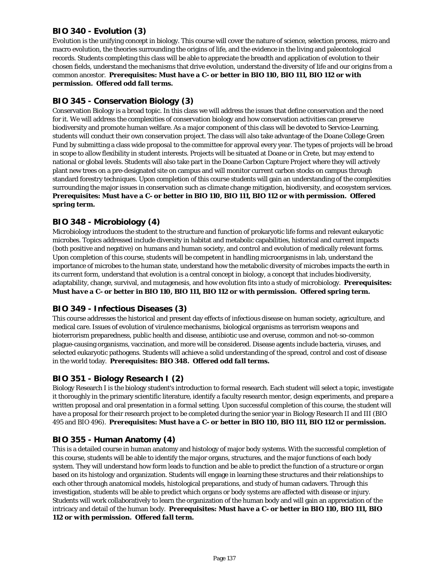# **BIO 340 - Evolution (3)**

Evolution is the unifying concept in biology. This course will cover the nature of science, selection process, micro and macro evolution, the theories surrounding the origins of life, and the evidence in the living and paleontological records. Students completing this class will be able to appreciate the breadth and application of evolution to their chosen fields, understand the mechanisms that drive evolution, understand the diversity of life and our origins from a common ancestor. *Prerequisites: Must have a C- or better in BIO 110, BIO 111, BIO 112 or with permission. Offered odd fall terms.*

# **BIO 345 - Conservation Biology (3)**

Conservation Biology is a broad topic. In this class we will address the issues that define conservation and the need for it. We will address the complexities of conservation biology and how conservation activities can preserve biodiversity and promote human welfare. As a major component of this class will be devoted to Service-Learning, students will conduct their own conservation project. The class will also take advantage of the Doane College Green Fund by submitting a class wide proposal to the committee for approval every year. The types of projects will be broad in scope to allow flexibility in student interests. Projects will be situated at Doane or in Crete, but may extend to national or global levels. Students will also take part in the Doane Carbon Capture Project where they will actively plant new trees on a pre-designated site on campus and will monitor current carbon stocks on campus through standard forestry techniques. Upon completion of this course students will gain an understanding of the complexities surrounding the major issues in conservation such as climate change mitigation, biodiversity, and ecosystem services. *Prerequisites: Must have a C- or better in BIO 110, BIO 111, BIO 112 or with permission. Offered spring term.*

### **BIO 348 - Microbiology (4)**

Microbiology introduces the student to the structure and function of prokaryotic life forms and relevant eukaryotic microbes. Topics addressed include diversity in habitat and metabolic capabilities, historical and current impacts (both positive and negative) on humans and human society, and control and evolution of medically relevant forms. Upon completion of this course, students will be competent in handling microorganisms in lab, understand the importance of microbes to the human state, understand how the metabolic diversity of microbes impacts the earth in its current form, understand that evolution is a central concept in biology, a concept that includes biodiversity, adaptability, change, survival, and mutagenesis, and how evolution fits into a study of microbiology. *Prerequisites: Must have a C- or better in BIO 110, BIO 111, BIO 112 or with permission. Offered spring term.*

### **BIO 349 - Infectious Diseases (3)**

This course addresses the historical and present day effects of infectious disease on human society, agriculture, and medical care. Issues of evolution of virulence mechanisms, biological organisms as terrorism weapons and bioterrorism preparedness, public health and disease, antibiotic use and overuse, common and not-so-common plague-causing organisms, vaccination, and more will be considered. Disease agents include bacteria, viruses, and selected eukaryotic pathogens. Students will achieve a solid understanding of the spread, control and cost of disease in the world today. *Prerequisites: BIO 348. Offered odd fall terms.*

### **BIO 351 - Biology Research I (2)**

Biology Research I is the biology student's introduction to formal research. Each student will select a topic, investigate it thoroughly in the primary scientific literature, identify a faculty research mentor, design experiments, and prepare a written proposal and oral presentation in a formal setting. Upon successful completion of this course, the student will have a proposal for their research project to be completed during the senior year in Biology Research II and III (BIO 495 and BIO 496). *Prerequisites: Must have a C- or better in BIO 110, BIO 111, BIO 112 or permission.*

#### **BIO 355 - Human Anatomy (4)**

This is a detailed course in human anatomy and histology of major body systems. With the successful completion of this course, students will be able to identify the major organs, structures, and the major functions of each body system. They will understand how form leads to function and be able to predict the function of a structure or organ based on its histology and organization. Students will engage in learning these structures and their relationships to each other through anatomical models, histological preparations, and study of human cadavers. Through this investigation, students will be able to predict which organs or body systems are affected with disease or injury. Students will work collaboratively to learn the organization of the human body and will gain an appreciation of the intricacy and detail of the human body. *Prerequisites: Must have a C- or better in BIO 110, BIO 111, BIO 112 or with permission. Offered fall term.*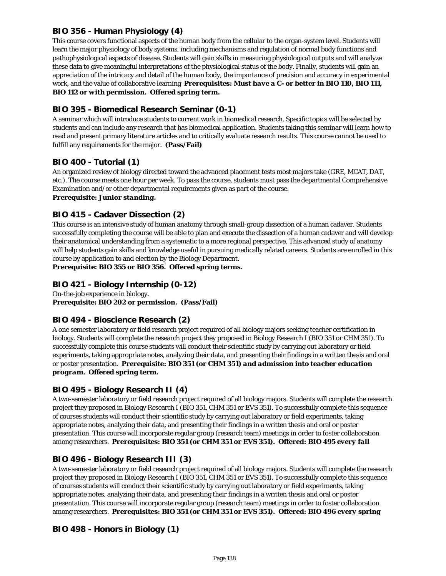# **BIO 356 - Human Physiology (4)**

This course covers functional aspects of the human body from the cellular to the organ-system level. Students will learn the major physiology of body systems, including mechanisms and regulation of normal body functions and pathophysiological aspects of disease. Students will gain skills in measuring physiological outputs and will analyze these data to give meaningful interpretations of the physiological status of the body. Finally, students will gain an appreciation of the intricacy and detail of the human body, the importance of precision and accuracy in experimental work, and the value of collaborative learning *Prerequisites: Must have a C- or better in BIO 110, BIO 111, BIO 112 or with permission. Offered spring term.*

# **BIO 395 - Biomedical Research Seminar (0-1)**

A seminar which will introduce students to current work in biomedical research. Specific topics will be selected by students and can include any research that has biomedical application. Students taking this seminar will learn how to read and present primary literature articles and to critically evaluate research results. This course cannot be used to fulfill any requirements for the major. **(Pass/Fail)**

# **BIO 400 - Tutorial (1)**

An organized review of biology directed toward the advanced placement tests most majors take (GRE, MCAT, DAT, etc.). The course meets one hour per week. To pass the course, students must pass the departmental Comprehensive Examination and/or other departmental requirements given as part of the course. *Prerequisite: Junior standing.*

#### **BIO 415 - Cadaver Dissection (2)**

This course is an intensive study of human anatomy through small-group dissection of a human cadaver. Students successfully completing the course will be able to plan and execute the dissection of a human cadaver and will develop their anatomical understanding from a systematic to a more regional perspective. This advanced study of anatomy will help students gain skills and knowledge useful in pursuing medically related careers. Students are enrolled in this course by application to and election by the Biology Department.

*Prerequisite: BIO 355 or BIO 356. Offered spring terms.*

#### **BIO 421 - Biology Internship (0-12)**

On-the-job experience in biology. **Prerequisite: BIO 202 or permission. (Pass/Fail)**

### **BIO 494 - Bioscience Research (2)**

A one semester laboratory or field research project required of all biology majors seeking teacher certification in biology. Students will complete the research project they proposed in Biology Research I (BIO 351 or CHM 351). To successfully complete this course students will conduct their scientific study by carrying out laboratory or field experiments, taking appropriate notes, analyzing their data, and presenting their findings in a written thesis and oral or poster presentation. *Prerequisite: BIO 351 (or CHM 351) and admission into teacher education program. Offered spring term.*

### **BIO 495 - Biology Research II (4)**

A two-semester laboratory or field research project required of all biology majors. Students will complete the research project they proposed in Biology Research I (BIO 351, CHM 351 or EVS 351). To successfully complete this sequence of courses students will conduct their scientific study by carrying out laboratory or field experiments, taking appropriate notes, analyzing their data, and presenting their findings in a written thesis and oral or poster presentation. This course will incorporate regular group (research team) meetings in order to foster collaboration among researchers. *Prerequisites: BIO 351 (or CHM 351 or EVS 351). Offered: BIO 495 every fall*

### **BIO 496 - Biology Research III (3)**

A two-semester laboratory or field research project required of all biology majors. Students will complete the research project they proposed in Biology Research I (BIO 351, CHM 351 or EVS 351). To successfully complete this sequence of courses students will conduct their scientific study by carrying out laboratory or field experiments, taking appropriate notes, analyzing their data, and presenting their findings in a written thesis and oral or poster presentation. This course will incorporate regular group (research team) meetings in order to foster collaboration among researchers. *Prerequisites: BIO 351 (or CHM 351 or EVS 351). Offered: BIO 496 every spring*

#### **BIO 498 - Honors in Biology (1)**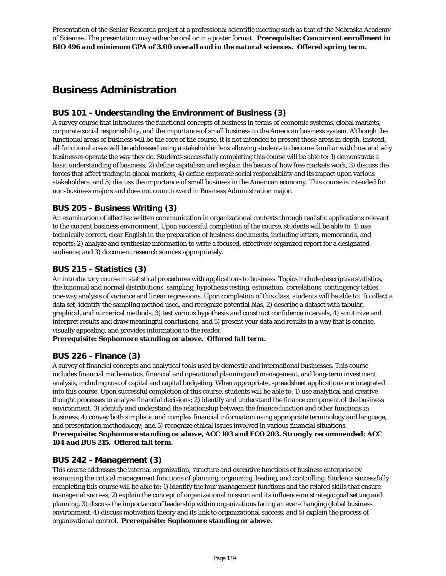Presentation of the Senior Research project at a professional scientific meeting such as that of the Nebraska Academy of Sciences. The presentation may either be oral or in a poster format. *Prerequisite: Concurrent enrollment in BIO 496 and minimum GPA of 3.00 overall and in the natural sciences. Offered spring term.*

# **Business Administration**

### **BUS 101 - Understanding the Environment of Business (3)**

A survey course that introduces the functional concepts of business in terms of economic systems, global markets, corporate social responsibility, and the importance of small business to the American business system. Although the functional areas of business will be the core of the course, it is not intended to present those areas in depth. Instead, all functional areas will be addressed using a stakeholder lens allowing students to become familiar with how and why businesses operate the way they do. Students successfully completing this course will be able to: 1) demonstrate a basic understanding of business, 2) define capitalism and explain the basics of how free markets work, 3) discuss the forces that affect trading in global markets, 4) define corporate social responsibility and its impact upon various stakeholders, and 5) discuss the importance of small business in the American economy. This course is intended for non-business majors and does not count toward in Business Administration major.

#### **BUS 205 - Business Writing (3)**

An examination of effective written communication in organizational contexts through realistic applications relevant to the current business environment. Upon successful completion of the course, students will be able to: 1) use technically correct, clear English in the preparation of business documents, including letters, memoranda, and reports; 2) analyze and synthesize information to write a focused, effectively organized report for a designated audience; and 3) document research sources appropriately.

#### **BUS 215 - Statistics (3)**

An introductory course in statistical procedures with applications to business. Topics include descriptive statistics, the binomial and normal distributions, sampling, hypothesis testing, estimation, correlations, contingency tables, one-way analysis of variance and linear regressions. Upon completion of this class, students will be able to: 1) collect a data set, identify the sampling method used, and recognize potential bias, 2) describe a dataset with tabular, graphical, and numerical methods, 3) test various hypothesis and construct confidence intervals, 4) scrutinize and interpret results and draw meaningful conclusions, and 5) present your data and results in a way that is concise, visually appealing, and provides information to the reader.

#### *Prerequisite: Sophomore standing or above. Offered fall term.*

#### **BUS 226 - Finance (3)**

A survey of financial concepts and analytical tools used by domestic and international businesses. This course includes financial mathematics, financial and operational planning and management, and long-term investment analysis, including cost of capital and capital budgeting. When appropriate, spreadsheet applications are integrated into this course. Upon successful completion of this course, students will be able to: 1) use analytical and creative thought processes to analyze financial decisions; 2) identify and understand the finance component of the business environment; 3) identify and understand the relationship between the finance function and other functions in business; 4) convey both simplistic and complex financial information using appropriate terminology and language, and presentation methodology; and 5) recognize ethical issues involved in various financial situations. *Prerequisite: Sophomore standing or above, ACC 103 and ECO 203. Strongly recommended: ACC 104 and BUS 215. Offered fall term.*

#### **BUS 242 - Management (3)**

This course addresses the internal organization, structure and executive functions of business enterprise by examining the critical management functions of planning, organizing, leading, and controlling. Students successfully completing this course will be able to: 1) identify the four management functions and the related skills that ensure managerial success, 2) explain the concept of organizational mission and its influence on strategic goal setting and planning, 3) discuss the importance of leadership within organizations facing an ever-changing global business environment, 4) discuss motivation theory and its link to organizational success, and 5) explain the process of organizational control. *Prerequisite: Sophomore standing or above.*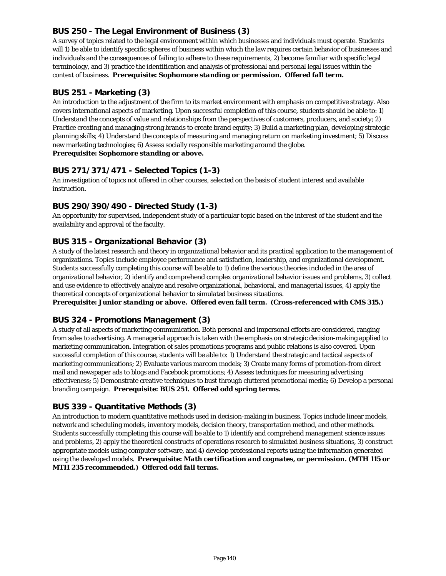# **BUS 250 - The Legal Environment of Business (3)**

A survey of topics related to the legal environment within which businesses and individuals must operate. Students will 1) be able to identify specific spheres of business within which the law requires certain behavior of businesses and individuals and the consequences of failing to adhere to these requirements, 2) become familiar with specific legal terminology, and 3) practice the identification and analysis of professional and personal legal issues within the context of business. *Prerequisite: Sophomore standing or permission. Offered fall term.*

#### **BUS 251 - Marketing (3)**

An introduction to the adjustment of the firm to its market environment with emphasis on competitive strategy. Also covers international aspects of marketing. Upon successful completion of this course, students should be able to: 1) Understand the concepts of value and relationships from the perspectives of customers, producers, and society; 2) Practice creating and managing strong brands to create brand equity; 3) Build a marketing plan, developing strategic planning skills; 4) Understand the concepts of measuring and managing return on marketing investment; 5) Discuss new marketing technologies; 6) Assess socially responsible marketing around the globe. *Prerequisite: Sophomore standing or above.*

#### **BUS 271/371/471 - Selected Topics (1-3)**

An investigation of topics not offered in other courses, selected on the basis of student interest and available instruction.

#### **BUS 290/390/490 - Directed Study (1-3)**

An opportunity for supervised, independent study of a particular topic based on the interest of the student and the availability and approval of the faculty.

#### **BUS 315 - Organizational Behavior (3)**

A study of the latest research and theory in organizational behavior and its practical application to the management of organizations. Topics include employee performance and satisfaction, leadership, and organizational development. Students successfully completing this course will be able to 1) define the various theories included in the area of organizational behavior, 2) identify and comprehend complex organizational behavior issues and problems, 3) collect and use evidence to effectively analyze and resolve organizational, behavioral, and managerial issues, 4) apply the theoretical concepts of organizational behavior to simulated business situations.

*Prerequisite: Junior standing or above. Offered even fall term.* **(Cross-referenced with CMS 315.)**

#### **BUS 324 - Promotions Management (3)**

A study of all aspects of marketing communication. Both personal and impersonal efforts are considered, ranging from sales to advertising. A managerial approach is taken with the emphasis on strategic decision-making applied to marketing communication. Integration of sales promotions programs and public relations is also covered. Upon successful completion of this course, students will be able to: 1) Understand the strategic and tactical aspects of marketing communications; 2) Evaluate various marcom models; 3) Create many forms of promotion-from direct mail and newspaper ads to blogs and Facebook promotions; 4) Assess techniques for measuring advertising effectiveness; 5) Demonstrate creative techniques to bust through cluttered promotional media; 6) Develop a personal branding campaign. *Prerequisite: BUS 251. Offered odd spring terms.*

#### **BUS 339 - Quantitative Methods (3)**

An introduction to modern quantitative methods used in decision-making in business. Topics include linear models, network and scheduling models, inventory models, decision theory, transportation method, and other methods. Students successfully completing this course will be able to 1) identify and comprehend management science issues and problems, 2) apply the theoretical constructs of operations research to simulated business situations, 3) construct appropriate models using computer software, and 4) develop professional reports using the information generated using the developed models. *Prerequisite: Math certification and cognates, or permission. (MTH 115 or MTH 235 recommended.) Offered odd fall terms.*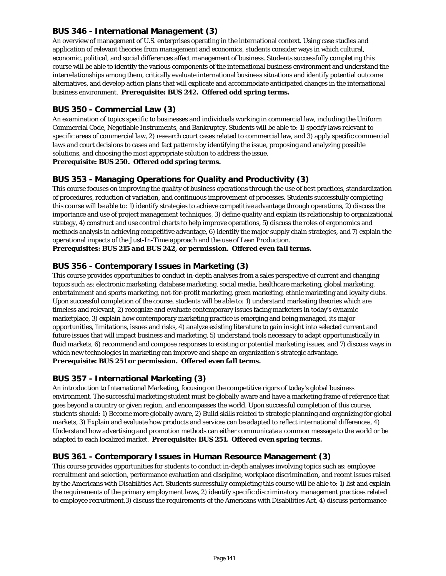# **BUS 346 - International Management (3)**

An overview of management of U.S. enterprises operating in the international context. Using case studies and application of relevant theories from management and economics, students consider ways in which cultural, economic, political, and social differences affect management of business. Students successfully completing this course will be able to identify the various components of the international business environment and understand the interrelationships among them, critically evaluate international business situations and identify potential outcome alternatives, and develop action plans that will explicate and accommodate anticipated changes in the international business environment. *Prerequisite: BUS 242. Offered odd spring terms.*

### **BUS 350 - Commercial Law (3)**

An examination of topics specific to businesses and individuals working in commercial law, including the Uniform Commercial Code, Negotiable Instruments, and Bankruptcy. Students will be able to: 1) specify laws relevant to specific areas of commercial law, 2) research court cases related to commercial law, and 3) apply specific commercial laws and court decisions to cases and fact patterns by identifying the issue, proposing and analyzing possible solutions, and choosing the most appropriate solution to address the issue.

#### *Prerequisite: BUS 250. Offered odd spring terms.*

### **BUS 353 - Managing Operations for Quality and Productivity (3)**

This course focuses on improving the quality of business operations through the use of best practices, standardization of procedures, reduction of variation, and continuous improvement of processes. Students successfully completing this course will be able to: 1) identify strategies to achieve competitive advantage through operations, 2) discuss the importance and use of project management techniques, 3) define quality and explain its relationship to organizational strategy, 4) construct and use control charts to help improve operations, 5) discuss the roles of ergonomics and methods analysis in achieving competitive advantage, 6) identify the major supply chain strategies, and 7) explain the operational impacts of the Just-In-Time approach and the use of Lean Production.

*Prerequisites: BUS 215 and BUS 242, or permission. Offered even fall terms.*

# **BUS 356 - Contemporary Issues in Marketing (3)**

This course provides opportunities to conduct in-depth analyses from a sales perspective of current and changing topics such as: electronic marketing, database marketing, social media, healthcare marketing, global marketing, entertainment and sports marketing, not-for-profit marketing, green marketing, ethnic marketing and loyalty clubs. Upon successful completion of the course, students will be able to: 1) understand marketing theories which are timeless and relevant, 2) recognize and evaluate contemporary issues facing marketers in today's dynamic marketplace, 3) explain how contemporary marketing practice is emerging and being managed, its major opportunities, limitations, issues and risks, 4) analyze existing literature to gain insight into selected current and future issues that will impact business and marketing, 5) understand tools necessary to adapt opportunistically in fluid markets, 6) recommend and compose responses to existing or potential marketing issues, and 7) discuss ways in which new technologies in marketing can improve and shape an organization's strategic advantage. *Prerequisite: BUS 251 or permission. Offered even fall terms.*

### **BUS 357 - International Marketing (3)**

An introduction to International Marketing, focusing on the competitive rigors of today's global business environment. The successful marketing student must be globally aware and have a marketing frame of reference that goes beyond a country or given region, and encompasses the world. Upon successful completion of this course, students should: 1) Become more globally aware, 2) Build skills related to strategic planning and organizing for global markets, 3) Explain and evaluate how products and services can be adapted to reflect international differences, 4) Understand how advertising and promotion methods can either communicate a common message to the world or be adapted to each localized market. *Prerequisite: BUS 251. Offered even spring terms.*

#### **BUS 361 - Contemporary Issues in Human Resource Management (3)**

This course provides opportunities for students to conduct in-depth analyses involving topics such as: employee recruitment and selection, performance evaluation and discipline, workplace discrimination, and recent issues raised by the Americans with Disabilities Act. Students successfully completing this course will be able to: 1) list and explain the requirements of the primary employment laws, 2) identify specific discriminatory management practices related to employee recruitment,3) discuss the requirements of the Americans with Disabilities Act, 4) discuss performance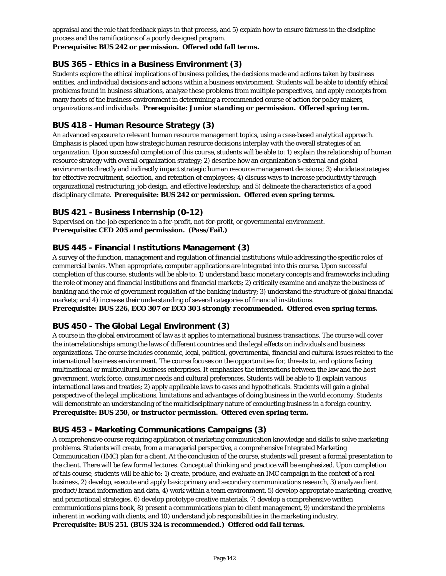appraisal and the role that feedback plays in that process, and 5) explain how to ensure fairness in the discipline process and the ramifications of a poorly designed program.

*Prerequisite: BUS 242 or permission. Offered odd fall terms.*

# **BUS 365 - Ethics in a Business Environment (3)**

Students explore the ethical implications of business policies, the decisions made and actions taken by business entities, and individual decisions and actions within a business environment. Students will be able to identify ethical problems found in business situations, analyze these problems from multiple perspectives, and apply concepts from many facets of the business environment in determining a recommended course of action for policy makers, organizations and individuals. *Prerequisite: Junior standing or permission. Offered spring term.*

# **BUS 418 - Human Resource Strategy (3)**

An advanced exposure to relevant human resource management topics, using a case-based analytical approach. Emphasis is placed upon how strategic human resource decisions interplay with the overall strategies of an organization. Upon successful completion of this course, students will be able to: 1) explain the relationship of human resource strategy with overall organization strategy; 2) describe how an organization's external and global environments directly and indirectly impact strategic human resource management decisions; 3) elucidate strategies for effective recruitment, selection, and retention of employees; 4) discuss ways to increase productivity through organizational restructuring, job design, and effective leadership; and 5) delineate the characteristics of a good disciplinary climate. *Prerequisite: BUS 242 or permission. Offered even spring terms.*

# **BUS 421 - Business Internship (0-12)**

Supervised on-the-job experience in a for-profit, not-for-profit, or governmental environment. *Prerequisite: CED 205 and permission.* **(Pass/Fail.)**

# **BUS 445 - Financial Institutions Management (3)**

A survey of the function, management and regulation of financial institutions while addressing the specific roles of commercial banks. When appropriate, computer applications are integrated into this course. Upon successful completion of this course, students will be able to: 1) understand basic monetary concepts and frameworks including the role of money and financial institutions and financial markets; 2) critically examine and analyze the business of banking and the role of government regulation of the banking industry; 3) understand the structure of global financial markets; and 4) increase their understanding of several categories of financial institutions.

# *Prerequisite: BUS 226, ECO 307 or ECO 303 strongly recommended. Offered even spring terms.*

### **BUS 450 - The Global Legal Environment (3)**

A course in the global environment of law as it applies to international business transactions. The course will cover the interrelationships among the laws of different countries and the legal effects on individuals and business organizations. The course includes economic, legal, political, governmental, financial and cultural issues related to the international business environment. The course focuses on the opportunities for, threats to, and options facing multinational or multicultural business enterprises. It emphasizes the interactions between the law and the host government, work force, consumer needs and cultural preferences. Students will be able to 1) explain various international laws and treaties; 2) apply applicable laws to cases and hypotheticals. Students will gain a global perspective of the legal implications, limitations and advantages of doing business in the world economy. Students will demonstrate an understanding of the multidisciplinary nature of conducting business in a foreign country. *Prerequisite: BUS 250, or instructor permission. Offered even spring term.*

### **BUS 453 - Marketing Communications Campaigns (3)**

A comprehensive course requiring application of marketing communication knowledge and skills to solve marketing problems. Students will create, from a managerial perspective, a comprehensive Integrated Marketing Communication (IMC) plan for a client. At the conclusion of the course, students will present a formal presentation to the client. There will be few formal lectures. Conceptual thinking and practice will be emphasized. Upon completion of this course, students will be able to: 1) create, produce, and evaluate an IMC campaign in the context of a real business, 2) develop, execute and apply basic primary and secondary communications research, 3) analyze client product/brand information and data, 4) work within a team environment, 5) develop appropriate marketing, creative, and promotional strategies, 6) develop prototype creative materials, 7) develop a comprehensive written communications plans book, 8) present a communications plan to client management, 9) understand the problems inherent in working with clients, and 10) understand job responsibilities in the marketing industry. *Prerequisite: BUS 251. (BUS 324 is recommended.) Offered odd fall terms.*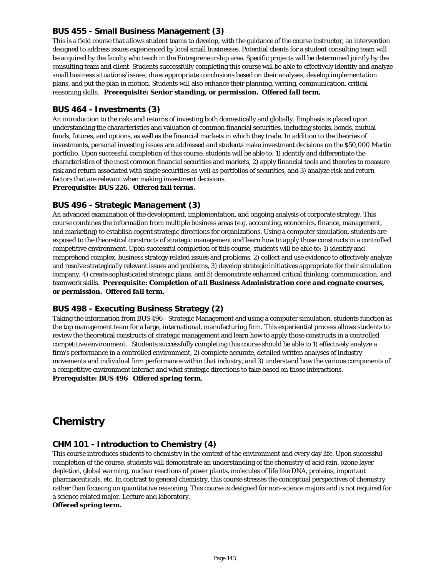### **BUS 455 - Small Business Management (3)**

This is a field course that allows student teams to develop, with the guidance of the course instructor, an intervention designed to address issues experienced by local small businesses. Potential clients for a student consulting team will be acquired by the faculty who teach in the Entrepreneurship area. Specific projects will be determined jointly by the consulting team and client. Students successfully completing this course will be able to effectively identify and analyze small business situations/issues, draw appropriate conclusions based on their analyses, develop implementation plans, and put the plan in motion. Students will also enhance their planning, writing, communication, critical reasoning skills. *Prerequisite: Senior standing, or permission. Offered fall term.*

#### **BUS 464 - Investments (3)**

An introduction to the risks and returns of investing both domestically and globally. Emphasis is placed upon understanding the characteristics and valuation of common financial securities, including stocks, bonds, mutual funds, futures, and options, as well as the financial markets in which they trade. In addition to the theories of investments, personal investing issues are addressed and students make investment decisions on the \$50,000 Martin portfolio. Upon successful completion of this course, students will be able to: 1) identify and differentiate the characteristics of the most common financial securities and markets, 2) apply financial tools and theories to measure risk and return associated with single securities as well as portfolios of securities, and 3) analyze risk and return factors that are relevant when making investment decisions.

*Prerequisite: BUS 226. Offered fall terms.*

#### **BUS 496 - Strategic Management (3)**

An advanced examination of the development, implementation, and ongoing analysis of corporate strategy. This course combines the information from multiple business areas (e.g. accounting, economics, finance, management, and marketing) to establish cogent strategic directions for organizations. Using a computer simulation, students are exposed to the theoretical constructs of strategic management and learn how to apply those constructs in a controlled competitive environment. Upon successful completion of this course, students will be able to: 1) identify and comprehend complex, business strategy related issues and problems, 2) collect and use evidence to effectively analyze and resolve strategically relevant issues and problems, 3) develop strategic initiatives appropriate for their simulation company, 4) create sophisticated strategic plans, and 5) demonstrate enhanced critical thinking, communication, and teamwork skills. *Prerequisite: Completion of all Business Administration core and cognate courses, or permission. Offered fall term.*

#### **BUS 498 - Executing Business Strategy (2)**

Taking the information from BUS 496 - Strategic Management and using a computer simulation, students function as the top management team for a large, international, manufacturing firm. This experiential process allows students to review the theoretical constructs of strategic management and learn how to apply those constructs in a controlled competitive environment. Students successfully completing this course should be able to 1) effectively analyze a firm's performance in a controlled environment, 2) complete accurate, detailed written analyses of industry movements and individual firm performance within that industry, and 3) understand how the various components of a competitive environment interact and what strategic directions to take based on those interactions. *Prerequisite: BUS 496 Offered spring term.*

# **Chemistry**

#### **CHM 101 - Introduction to Chemistry (4)**

This course introduces students to chemistry in the context of the environment and every day life. Upon successful completion of the course, students will demonstrate an understanding of the chemistry of acid rain, ozone layer depletion, global warming, nuclear reactions of power plants, molecules of life like DNA, proteins, important pharmaceuticals, etc. In contrast to general chemistry, this course stresses the conceptual perspectives of chemistry rather than focusing on quantitative reasoning. This course is designed for non-science majors and is not required for a science related major. Lecture and laboratory.

**Offered spring term.**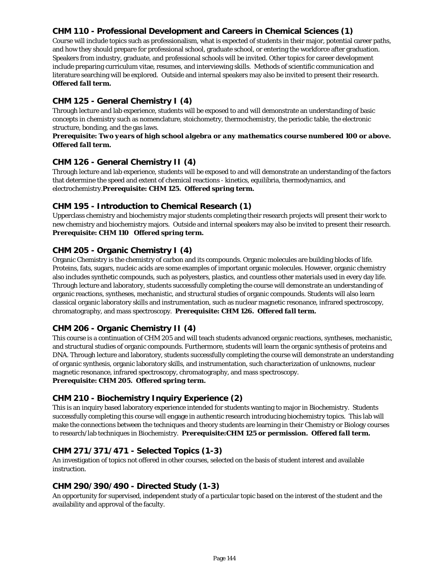# **CHM 110 - Professional Development and Careers in Chemical Sciences (1)**

Course will include topics such as professionalism, what is expected of students in their major, potential career paths, and how they should prepare for professional school, graduate school, or entering the workforce after graduation. Speakers from industry, graduate, and professional schools will be invited. Other topics for career development include preparing curriculum vitae, resumes, and interviewing skills. Methods of scientific communication and literature searching will be explored. Outside and internal speakers may also be invited to present their research. *Offered fall term.*

# **CHM 125 - General Chemistry I (4)**

Through lecture and lab experience, students will be exposed to and will demonstrate an understanding of basic concepts in chemistry such as nomenclature, stoichometry, thermochemistry, the periodic table, the electronic structure, bonding, and the gas laws.

#### *Prerequisite: Two years of high school algebra or any mathematics course numbered 100 or above. Offered fall term.*

### **CHM 126 - General Chemistry II (4)**

Through lecture and lab experience, students will be exposed to and will demonstrate an understanding of the factors that determine the speed and extent of chemical reactions - kinetics, equilibria, thermodynamics, and electrochemistry.*Prerequisite: CHM 125. Offered spring term.*

# **CHM 195 - Introduction to Chemical Research (1)**

Upperclass chemistry and biochemistry major students completing their research projects will present their work to new chemistry and biochemistry majors. Outside and internal speakers may also be invited to present their research. *Prerequisite: CHM 110 Offered spring term.*

# **CHM 205 - Organic Chemistry I (4)**

Organic Chemistry is the chemistry of carbon and its compounds. Organic molecules are building blocks of life. Proteins, fats, sugars, nucleic acids are some examples of important organic molecules. However, organic chemistry also includes synthetic compounds, such as polyesters, plastics, and countless other materials used in every day life. Through lecture and laboratory, students successfully completing the course will demonstrate an understanding of organic reactions, syntheses, mechanistic, and structural studies of organic compounds. Students will also learn classical organic laboratory skills and instrumentation, such as nuclear magnetic resonance, infrared spectroscopy, chromatography, and mass spectroscopy. *Prerequisite: CHM 126. Offered fall term.*

# **CHM 206 - Organic Chemistry II (4)**

This course is a continuation of CHM 205 and will teach students advanced organic reactions, syntheses, mechanistic, and structural studies of organic compounds. Furthermore, students will learn the organic synthesis of proteins and DNA. Through lecture and laboratory, students successfully completing the course will demonstrate an understanding of organic synthesis, organic laboratory skills, and instrumentation, such characterization of unknowns, nuclear magnetic resonance, infrared spectroscopy, chromatography, and mass spectroscopy. *Prerequisite: CHM 205. Offered spring term.*

### **CHM 210 - Biochemistry Inquiry Experience (2)**

This is an inquiry based laboratory experience intended for students wanting to major in Biochemistry. Students successfully completing this course will engage in authentic research introducing biochemistry topics. This lab will make the connections between the techniques and theory students are learning in their Chemistry or Biology courses to research/lab techniques in Biochemistry. *Prerequisite:CHM 125 or permission. Offered fall term.*

### **CHM 271/371/471 - Selected Topics (1-3)**

An investigation of topics not offered in other courses, selected on the basis of student interest and available instruction.

#### **CHM 290/390/490 - Directed Study (1-3)**

An opportunity for supervised, independent study of a particular topic based on the interest of the student and the availability and approval of the faculty.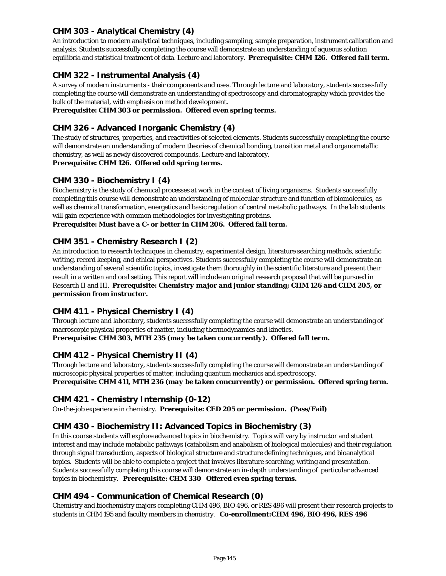# **CHM 303 - Analytical Chemistry (4)**

An introduction to modern analytical techniques, including sampling, sample preparation, instrument calibration and analysis. Students successfully completing the course will demonstrate an understanding of aqueous solution equilibria and statistical treatment of data. Lecture and laboratory. *Prerequisite: CHM 126. Offered fall term.*

#### **CHM 322 - Instrumental Analysis (4)**

A survey of modern instruments - their components and uses. Through lecture and laboratory, students successfully completing the course will demonstrate an understanding of spectroscopy and chromatography which provides the bulk of the material, with emphasis on method development.

*Prerequisite: CHM 303 or permission. Offered even spring terms.*

#### **CHM 326 - Advanced Inorganic Chemistry (4)**

The study of structures, properties, and reactivities of selected elements. Students successfully completing the course will demonstrate an understanding of modern theories of chemical bonding, transition metal and organometallic chemistry, as well as newly discovered compounds. Lecture and laboratory. *Prerequisite: CHM 126. Offered odd spring terms.*

# **CHM 330 - Biochemistry I (4)**

Biochemistry is the study of chemical processes at work in the context of living organisms. Students successfully completing this course will demonstrate an understanding of molecular structure and function of biomolecules, as well as chemical transformation, energetics and basic regulation of central metabolic pathways. In the lab students will gain experience with common methodologies for investigating proteins.

*Prerequisite: Must have a C- or better in CHM 206. Offered fall term.*

#### **CHM 351 - Chemistry Research I (2)**

An introduction to research techniques in chemistry, experimental design, literature searching methods, scientific writing, record keeping, and ethical perspectives. Students successfully completing the course will demonstrate an understanding of several scientific topics, investigate them thoroughly in the scientific literature and present their result in a written and oral setting. This report will include an original research proposal that will be pursued in Research II and III. *Prerequisite: Chemistry major and junior standing; CHM 126 and CHM 205, or permission from instructor.*

#### **CHM 411 - Physical Chemistry I (4)**

Through lecture and laboratory, students successfully completing the course will demonstrate an understanding of macroscopic physical properties of matter, including thermodynamics and kinetics. *Prerequisite: CHM 303, MTH 235 (may be taken concurrently). Offered fall term.*

#### **CHM 412 - Physical Chemistry II (4)**

Through lecture and laboratory, students successfully completing the course will demonstrate an understanding of microscopic physical properties of matter, including quantum mechanics and spectroscopy. *Prerequisite: CHM 411, MTH 236 (may be taken concurrently) or permission. Offered spring term.*

# **CHM 421 - Chemistry Internship (0-12)**

On-the-job experience in chemistry. *Prerequisite: CED 205 or permission.* **(Pass/Fail)**

#### **CHM 430 - Biochemistry II: Advanced Topics in Biochemistry (3)**

In this course students will explore advanced topics in biochemistry. Topics will vary by instructor and student interest and may include metabolic pathways (catabolism and anabolism of biological molecules) and their regulation through signal transduction, aspects of biological structure and structure defining techniques, and bioanalytical topics. Students will be able to complete a project that involves literature searching, writing and presentation. Students successfully completing this course will demonstrate an in-depth understanding of particular advanced topics in biochemistry. *Prerequisite: CHM 330 Offered even spring terms.*

#### **CHM 494 - Communication of Chemical Research (0)**

Chemistry and biochemistry majors completing CHM 496, BIO 496, or RES 496 will present their research projects to students in CHM 195 and faculty members in chemistry. *Co-enrollment:CHM 496, BIO 496, RES 496*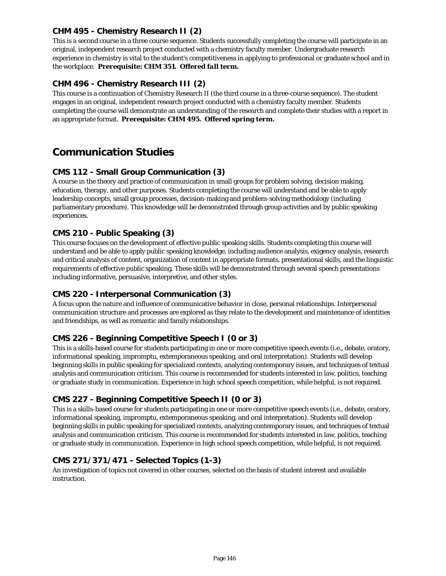#### **CHM 495 - Chemistry Research II (2)**

This is a second course in a three course sequence. Students successfully completing the course will participate in an original, independent research project conducted with a chemistry faculty member. Undergraduate research experience in chemistry is vital to the student's competitiveness in applying to professional or graduate school and in the workplace. *Prerequisite: CHM 351. Offered fall term.*

#### **CHM 496 - Chemistry Research III (2)**

This course is a continuation of Chemistry Research II (the third course in a three-course sequence). The student engages in an original, independent research project conducted with a chemistry faculty member. Students completing the course will demonstrate an understanding of the research and complete their studies with a report in an appropriate format. *Prerequisite: CHM 495. Offered spring term.*

# **Communication Studies**

#### **CMS 112 - Small Group Communication (3)**

A course in the theory and practice of communication in small groups for problem solving, decision making, education, therapy, and other purposes. Students completing the course will understand and be able to apply leadership concepts, small group processes, decision-making and problem-solving methodology (including parliamentary procedure). This knowledge will be demonstrated through group activities and by public speaking experiences.

#### **CMS 210 - Public Speaking (3)**

This course focuses on the development of effective public speaking skills. Students completing this course will understand and be able to apply public speaking knowledge, including audience analysis, exigency analysis, research and critical analysis of content, organization of content in appropriate formats, presentational skills, and the linguistic requirements of effective public speaking. These skills will be demonstrated through several speech presentations including informative, persuasive, interpretive, and other styles.

#### **CMS 220 - Interpersonal Communication (3)**

A focus upon the nature and influence of communicative behavior in close, personal relationships. Interpersonal communication structure and processes are explored as they relate to the development and maintenance of identities and friendships, as well as romantic and family relationships.

#### **CMS 226 - Beginning Competitive Speech I (0 or 3)**

This is a skills-based course for students participating in one or more competitive speech events (i.e., debate, oratory, informational speaking, impromptu, extemporaneous speaking, and oral interpretation). Students will develop beginning skills in public speaking for specialized contexts, analyzing contemporary issues, and techniques of textual analysis and communication criticism. This course is recommended for students interested in law, politics, teaching or graduate study in communication. Experience in high school speech competition, while helpful, is not required.

#### **CMS 227 - Beginning Competitive Speech II (0 or 3)**

This is a skills-based course for students participating in one or more competitive speech events (i.e., debate, oratory, informational speaking, impromptu, extemporaneous speaking, and oral interpretation). Students will develop beginning skills in public speaking for specialized contexts, analyzing contemporary issues, and techniques of textual analysis and communication criticism. This course is recommended for students interested in law, politics, teaching or graduate study in communication. Experience in high school speech competition, while helpful, is not required.

#### **CMS 271/371/471 - Selected Topics (1-3)**

An investigation of topics not covered in other courses, selected on the basis of student interest and available instruction.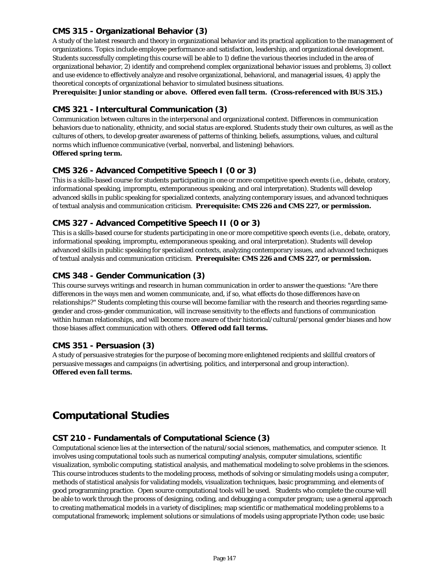# **CMS 315 - Organizational Behavior (3)**

A study of the latest research and theory in organizational behavior and its practical application to the management of organizations. Topics include employee performance and satisfaction, leadership, and organizational development. Students successfully completing this course will be able to 1) define the various theories included in the area of organizational behavior, 2) identify and comprehend complex organizational behavior issues and problems, 3) collect and use evidence to effectively analyze and resolve organizational, behavioral, and managerial issues, 4) apply the theoretical concepts of organizational behavior to simulated business situations.

*Prerequisite: Junior standing or above. Offered even fall term.* **(Cross-referenced with BUS 315.)**

#### **CMS 321 - Intercultural Communication (3)**

Communication between cultures in the interpersonal and organizational context. Differences in communication behaviors due to nationality, ethnicity, and social status are explored. Students study their own cultures, as well as the cultures of others, to develop greater awareness of patterns of thinking, beliefs, assumptions, values, and cultural norms which influence communicative (verbal, nonverbal, and listening) behaviors. *Offered spring term.*

#### **CMS 326 - Advanced Competitive Speech I (0 or 3)**

This is a skills-based course for students participating in one or more competitive speech events (i.e., debate, oratory, informational speaking, impromptu, extemporaneous speaking, and oral interpretation). Students will develop advanced skills in public speaking for specialized contexts, analyzing contemporary issues, and advanced techniques of textual analysis and communication criticism. *Prerequisite: CMS 226 and CMS 227, or permission***.**

#### **CMS 327 - Advanced Competitive Speech II (0 or 3)**

This is a skills-based course for students participating in one or more competitive speech events (i.e., debate, oratory, informational speaking, impromptu, extemporaneous speaking, and oral interpretation). Students will develop advanced skills in public speaking for specialized contexts, analyzing contemporary issues, and advanced techniques of textual analysis and communication criticism. *Prerequisite: CMS 226 and CMS 227, or permission.*

#### **CMS 348 - Gender Communication (3)**

This course surveys writings and research in human communication in order to answer the questions: "Are there differences in the ways men and women communicate, and, if so, what effects do those differences have on relationships?" Students completing this course will become familiar with the research and theories regarding samegender and cross-gender communication, will increase sensitivity to the effects and functions of communication within human relationships, and will become more aware of their historical/cultural/personal gender biases and how those biases affect communication with others. *Offered odd fall terms.*

#### **CMS 351 - Persuasion (3)**

A study of persuasive strategies for the purpose of becoming more enlightened recipients and skillful creators of persuasive messages and campaigns (in advertising, politics, and interpersonal and group interaction). *Offered even fall terms.*

# **Computational Studies**

#### **CST 210 - Fundamentals of Computational Science (3)**

Computational science lies at the intersection of the natural/social sciences, mathematics, and computer science. It involves using computational tools such as numerical computing/analysis, computer simulations, scientific visualization, symbolic computing, statistical analysis, and mathematical modeling to solve problems in the sciences. This course introduces students to the modeling process, methods of solving or simulating models using a computer, methods of statistical analysis for validating models, visualization techniques, basic programming, and elements of good programming practice. Open source computational tools will be used. Students who complete the course will be able to work through the process of designing, coding, and debugging a computer program; use a general approach to creating mathematical models in a variety of disciplines; map scientific or mathematical modeling problems to a computational framework; implement solutions or simulations of models using appropriate Python code; use basic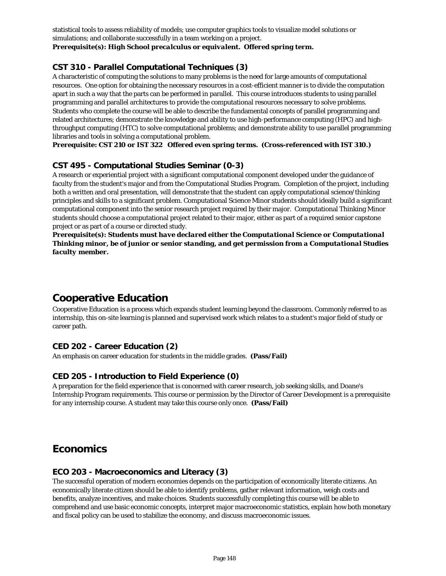statistical tools to assess reliability of models; use computer graphics tools to visualize model solutions or simulations; and collaborate successfully in a team working on a project. *Prerequisite(s): High School precalculus or equivalent. Offered spring term.*

### **CST 310 - Parallel Computational Techniques (3)**

A characteristic of computing the solutions to many problems is the need for large amounts of computational resources. One option for obtaining the necessary resources in a cost-efficient manner is to divide the computation apart in such a way that the parts can be performed in parallel. This course introduces students to using parallel programming and parallel architectures to provide the computational resources necessary to solve problems. Students who complete the course will be able to describe the fundamental concepts of parallel programming and related architectures; demonstrate the knowledge and ability to use high-performance computing (HPC) and highthroughput computing (HTC) to solve computational problems; and demonstrate ability to use parallel programming libraries and tools in solving a computational problem.

*Prerequisite: CST 210 or IST 322 Offered even spring terms.* **(Cross-referenced with IST 310.)**

#### **CST 495 - Computational Studies Seminar (0-3)**

A research or experiential project with a significant computational component developed under the guidance of faculty from the student's major and from the Computational Studies Program. Completion of the project, including both a written and oral presentation, will demonstrate that the student can apply computational science/thinking principles and skills to a significant problem. Computational Science Minor students should ideally build a significant computational component into the senior research project required by their major. Computational Thinking Minor students should choose a computational project related to their major, either as part of a required senior capstone project or as part of a course or directed study.

*Prerequisite(s): Students must have declared either the Computational Science or Computational Thinking minor, be of junior or senior standing, and get permission from a Computational Studies faculty member.*

# **Cooperative Education**

Cooperative Education is a process which expands student learning beyond the classroom. Commonly referred to as internship, this on-site learning is planned and supervised work which relates to a student's major field of study or career path.

#### **CED 202 - Career Education (2)**

An emphasis on career education for students in the middle grades. **(Pass/Fail)**

#### **CED 205 - Introduction to Field Experience (0)**

A preparation for the field experience that is concerned with career research, job seeking skills, and Doane's Internship Program requirements. This course or permission by the Director of Career Development is a prerequisite for any internship course. A student may take this course only once. **(Pass/Fail)**

# **Economics**

#### **ECO 203 - Macroeconomics and Literacy (3)**

The successful operation of modern economies depends on the participation of economically literate citizens. An economically literate citizen should be able to identify problems, gather relevant information, weigh costs and benefits, analyze incentives, and make choices. Students successfully completing this course will be able to comprehend and use basic economic concepts, interpret major macroeconomic statistics, explain how both monetary and fiscal policy can be used to stabilize the economy, and discuss macroeconomic issues.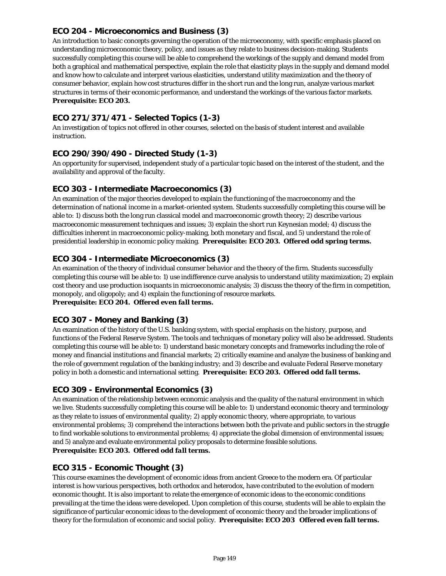# **ECO 204 - Microeconomics and Business (3)**

An introduction to basic concepts governing the operation of the microeconomy, with specific emphasis placed on understanding microeconomic theory, policy, and issues as they relate to business decision-making. Students successfully completing this course will be able to comprehend the workings of the supply and demand model from both a graphical and mathematical perspective, explain the role that elasticity plays in the supply and demand model and know how to calculate and interpret various elasticities, understand utility maximization and the theory of consumer behavior, explain how cost structures differ in the short run and the long run, analyze various market structures in terms of their economic performance, and understand the workings of the various factor markets. *Prerequisite: ECO 203.*

#### **ECO 271/371/471 - Selected Topics (1-3)**

An investigation of topics not offered in other courses, selected on the basis of student interest and available instruction.

#### **ECO 290/390/490 - Directed Study (1-3)**

An opportunity for supervised, independent study of a particular topic based on the interest of the student, and the availability and approval of the faculty.

#### **ECO 303 - Intermediate Macroeconomics (3)**

An examination of the major theories developed to explain the functioning of the macroeconomy and the determination of national income in a market-oriented system. Students successfully completing this course will be able to: 1) discuss both the long run classical model and macroeconomic growth theory; 2) describe various macroeconomic measurement techniques and issues; 3) explain the short run Keynesian model; 4) discuss the difficulties inherent in macroeconomic policy-making, both monetary and fiscal, and 5) understand the role of presidential leadership in economic policy making. *Prerequisite: ECO 203. Offered odd spring terms.*

#### **ECO 304 - Intermediate Microeconomics (3)**

An examination of the theory of individual consumer behavior and the theory of the firm. Students successfully completing this course will be able to: 1) use indifference curve analysis to understand utility maximization; 2) explain cost theory and use production isoquants in microeconomic analysis; 3) discuss the theory of the firm in competition, monopoly, and oligopoly; and 4) explain the functioning of resource markets. *Prerequisite: ECO 204. Offered even fall terms.*

#### **ECO 307 - Money and Banking (3)**

An examination of the history of the U.S. banking system, with special emphasis on the history, purpose, and functions of the Federal Reserve System. The tools and techniques of monetary policy will also be addressed. Students completing this course will be able to: 1) understand basic monetary concepts and frameworks including the role of money and financial institutions and financial markets; 2) critically examine and analyze the business of banking and the role of government regulation of the banking industry; and 3) describe and evaluate Federal Reserve monetary policy in both a domestic and international setting. *Prerequisite: ECO 203. Offered odd fall terms.*

#### **ECO 309 - Environmental Economics (3)**

An examination of the relationship between economic analysis and the quality of the natural environment in which we live. Students successfully completing this course will be able to: 1) understand economic theory and terminology as they relate to issues of environmental quality; 2) apply economic theory, where appropriate, to various environmental problems; 3) comprehend the interactions between both the private and public sectors in the struggle to find workable solutions to environmental problems; 4) appreciate the global dimension of environmental issues; and 5) analyze and evaluate environmental policy proposals to determine feasible solutions. *Prerequisite: ECO 203. Offered odd fall terms.*

#### **ECO 315 - Economic Thought (3)**

This course examines the development of economic ideas from ancient Greece to the modern era. Of particular interest is how various perspectives, both orthodox and heterodox, have contributed to the evolution of modern economic thought. It is also important to relate the emergence of economic ideas to the economic conditions prevailing at the time the ideas were developed. Upon completion of this course, students will be able to explain the significance of particular economic ideas to the development of economic theory and the broader implications of theory for the formulation of economic and social policy. *Prerequisite: ECO 203 Offered even fall terms.*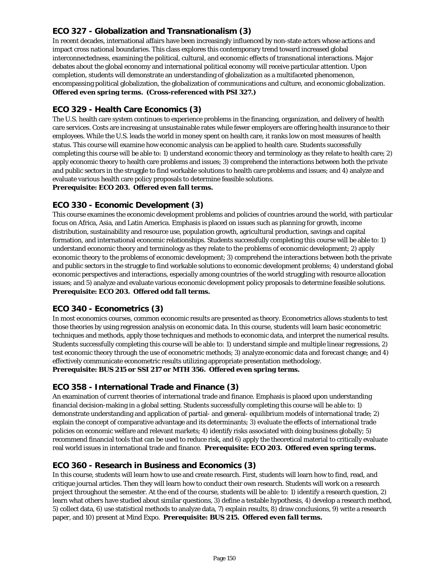# **ECO 327 - Globalization and Transnationalism (3)**

In recent decades, international affairs have been increasingly influenced by non-state actors whose actions and impact cross national boundaries. This class explores this contemporary trend toward increased global interconnectedness, examining the political, cultural, and economic effects of transnational interactions. Major debates about the global economy and international political economy will receive particular attention. Upon completion, students will demonstrate an understanding of globalization as a multifaceted phenomenon, encompassing political globalization, the globalization of communications and culture, and economic globalization. *Offered even spring terms.* **(Cross-referenced with PSI 327.)**

#### **ECO 329 - Health Care Economics (3)**

The U.S. health care system continues to experience problems in the financing, organization, and delivery of health care services. Costs are increasing at unsustainable rates while fewer employers are offering health insurance to their employees. While the U.S. leads the world in money spent on health care, it ranks low on most measures of health status. This course will examine how economic analysis can be applied to health care. Students successfully completing this course will be able to: 1) understand economic theory and terminology as they relate to health care; 2) apply economic theory to health care problems and issues; 3) comprehend the interactions between both the private and public sectors in the struggle to find workable solutions to health care problems and issues; and 4) analyze and evaluate various health care policy proposals to determine feasible solutions.

#### *Prerequisite: ECO 203. Offered even fall terms.*

#### **ECO 330 - Economic Development (3)**

This course examines the economic development problems and policies of countries around the world, with particular focus on Africa, Asia, and Latin America. Emphasis is placed on issues such as planning for growth, income distribution, sustainability and resource use, population growth, agricultural production, savings and capital formation, and international economic relationships. Students successfully completing this course will be able to: 1) understand economic theory and terminology as they relate to the problems of economic development; 2) apply economic theory to the problems of economic development; 3) comprehend the interactions between both the private and public sectors in the struggle to find workable solutions to economic development problems; 4) understand global economic perspectives and interactions, especially among countries of the world struggling with resource allocation issues; and 5) analyze and evaluate various economic development policy proposals to determine feasible solutions. *Prerequisite: ECO 203. Offered odd fall terms.*

#### **ECO 340 - Econometrics (3)**

In most economics courses, common economic results are presented as theory. Econometrics allows students to test those theories by using regression analysis on economic data. In this course, students will learn basic econometric techniques and methods, apply those techniques and methods to economic data, and interpret the numerical results. Students successfully completing this course will be able to: 1) understand simple and multiple linear regressions, 2) test economic theory through the use of econometric methods; 3) analyze economic data and forecast change; and 4) effectively communicate econometric results utilizing appropriate presentation methodology. *Prerequisite: BUS 215 or SSI 217 or MTH 356. Offered even spring terms.*

#### **ECO 358 - International Trade and Finance (3)**

An examination of current theories of international trade and finance. Emphasis is placed upon understanding financial decision-making in a global setting. Students successfully completing this course will be able to: 1) demonstrate understanding and application of partial- and general- equilibrium models of international trade; 2) explain the concept of comparative advantage and its determinants; 3) evaluate the effects of international trade policies on economic welfare and relevant markets; 4) identify risks associated with doing business globally; 5) recommend financial tools that can be used to reduce risk, and 6) apply the theoretical material to critically evaluate real world issues in international trade and finance. *Prerequisite: ECO 203. Offered even spring terms.*

#### **ECO 360 - Research in Business and Economics (3)**

In this course, students will learn how to use and create research. First, students will learn how to find, read, and critique journal articles. Then they will learn how to conduct their own research. Students will work on a research project throughout the semester. At the end of the course, students will be able to: 1) identify a research question, 2) learn what others have studied about similar questions, 3) define a testable hypothesis, 4) develop a research method, 5) collect data, 6) use statistical methods to analyze data, 7) explain results, 8) draw conclusions, 9) write a research paper, and 10) present at Mind Expo. *Prerequisite: BUS 215. Offered even fall terms.*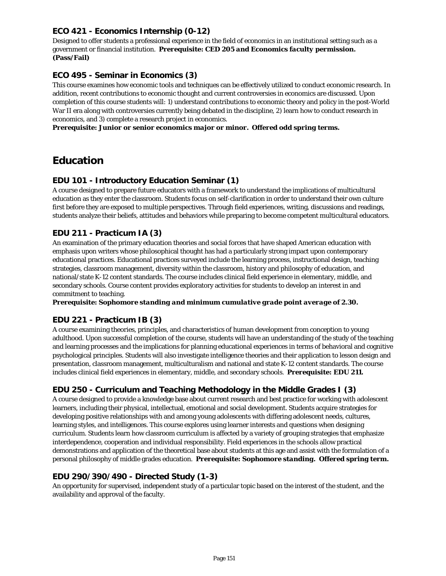# **ECO 421 - Economics Internship (0-12)**

Designed to offer students a professional experience in the field of economics in an institutional setting such as a government or financial institution. *Prerequisite: CED 205 and Economics faculty permission.*  **(Pass/Fail)**

#### **ECO 495 - Seminar in Economics (3)**

This course examines how economic tools and techniques can be effectively utilized to conduct economic research. In addition, recent contributions to economic thought and current controversies in economics are discussed. Upon completion of this course students will: 1) understand contributions to economic theory and policy in the post-World War II era along with controversies currently being debated in the discipline, 2) learn how to conduct research in economics, and 3) complete a research project in economics.

*Prerequisite: Junior or senior economics major or minor. Offered odd spring terms.*

# **Education**

#### **EDU 101 - Introductory Education Seminar (1)**

A course designed to prepare future educators with a framework to understand the implications of multicultural education as they enter the classroom. Students focus on self-clarification in order to understand their own culture first before they are exposed to multiple perspectives. Through field experiences, writing, discussions and readings, students analyze their beliefs, attitudes and behaviors while preparing to become competent multicultural educators.

#### **EDU 211 - Practicum IA (3)**

An examination of the primary education theories and social forces that have shaped American education with emphasis upon writers whose philosophical thought has had a particularly strong impact upon contemporary educational practices. Educational practices surveyed include the learning process, instructional design, teaching strategies, classroom management, diversity within the classroom, history and philosophy of education, and national/state K-12 content standards. The course includes clinical field experience in elementary, middle, and secondary schools. Course content provides exploratory activities for students to develop an interest in and commitment to teaching.

*Prerequisite: Sophomore standing and minimum cumulative grade point average of 2.30.*

#### **EDU 221 - Practicum IB (3)**

A course examining theories, principles, and characteristics of human development from conception to young adulthood. Upon successful completion of the course, students will have an understanding of the study of the teaching and learning processes and the implications for planning educational experiences in terms of behavioral and cognitive psychological principles. Students will also investigate intelligence theories and their application to lesson design and presentation, classroom management, multiculturalism and national and state K-12 content standards. The course includes clinical field experiences in elementary, middle, and secondary schools. *Prerequisite: EDU 211.*

# **EDU 250 - Curriculum and Teaching Methodology in the Middle Grades I (3)**

A course designed to provide a knowledge base about current research and best practice for working with adolescent learners, including their physical, intellectual, emotional and social development. Students acquire strategies for developing positive relationships with and among young adolescents with differing adolescent needs, cultures, learning styles, and intelligences. This course explores using learner interests and questions when designing curriculum. Students learn how classroom curriculum is affected by a variety of grouping strategies that emphasize interdependence, cooperation and individual responsibility. Field experiences in the schools allow practical demonstrations and application of the theoretical base about students at this age and assist with the formulation of a personal philosophy of middle grades education. *Prerequisite: Sophomore standing. Offered spring term.*

#### **EDU 290/390/490 - Directed Study (1-3)**

An opportunity for supervised, independent study of a particular topic based on the interest of the student, and the availability and approval of the faculty.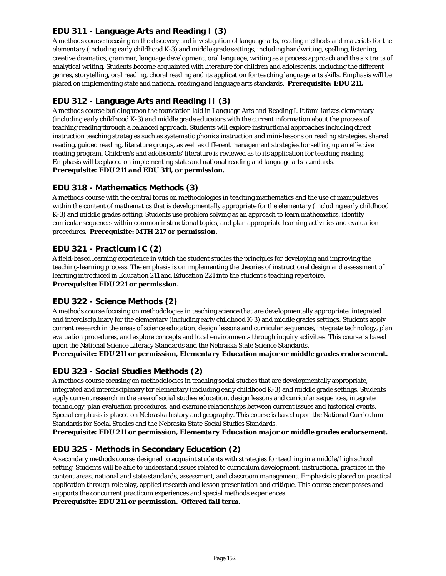# **EDU 311 - Language Arts and Reading I (3)**

A methods course focusing on the discovery and investigation of language arts, reading methods and materials for the elementary (including early childhood K-3) and middle grade settings, including handwriting, spelling, listening, creative dramatics, grammar, language development, oral language, writing as a process approach and the six traits of analytical writing. Students become acquainted with literature for children and adolescents, including the different genres, storytelling, oral reading, choral reading and its application for teaching language arts skills. Emphasis will be placed on implementing state and national reading and language arts standards. *Prerequisite: EDU 211.*

## **EDU 312 - Language Arts and Reading II (3)**

A methods course building upon the foundation laid in Language Arts and Reading I. It familiarizes elementary (including early childhood K-3) and middle grade educators with the current information about the process of teaching reading through a balanced approach. Students will explore instructional approaches including direct instruction teaching strategies such as systematic phonics instruction and mini-lessons on reading strategies, shared reading, guided reading, literature groups, as well as different management strategies for setting up an effective reading program. Children's and adolescents' literature is reviewed as to its application for teaching reading. Emphasis will be placed on implementing state and national reading and language arts standards. *Prerequisite: EDU 211 and EDU 311, or permission.*

#### **EDU 318 - Mathematics Methods (3)**

A methods course with the central focus on methodologies in teaching mathematics and the use of manipulatives within the content of mathematics that is developmentally appropriate for the elementary (including early childhood K-3) and middle grades setting. Students use problem solving as an approach to learn mathematics, identify curricular sequences within common instructional topics, and plan appropriate learning activities and evaluation procedures. *Prerequisite: MTH 217 or permission.*

#### **EDU 321 - Practicum IC (2)**

A field-based learning experience in which the student studies the principles for developing and improving the teaching-learning process. The emphasis is on implementing the theories of instructional design and assessment of learning introduced in Education 211 and Education 221 into the student's teaching repertoire. *Prerequisite: EDU 221 or permission.*

#### **EDU 322 - Science Methods (2)**

A methods course focusing on methodologies in teaching science that are developmentally appropriate, integrated and interdisciplinary for the elementary (including early childhood K-3) and middle grades settings. Students apply current research in the areas of science education, design lessons and curricular sequences, integrate technology, plan evaluation procedures, and explore concepts and local environments through inquiry activities. This course is based upon the National Science Literacy Standards and the Nebraska State Science Standards.

#### *Prerequisite: EDU 211 or permission, Elementary Education major or middle grades endorsement.*

#### **EDU 323 - Social Studies Methods (2)**

A methods course focusing on methodologies in teaching social studies that are developmentally appropriate, integrated and interdisciplinary for elementary (including early childhood K-3) and middle grade settings. Students apply current research in the area of social studies education, design lessons and curricular sequences, integrate technology, plan evaluation procedures, and examine relationships between current issues and historical events. Special emphasis is placed on Nebraska history and geography. This course is based upon the National Curriculum Standards for Social Studies and the Nebraska State Social Studies Standards.

*Prerequisite: EDU 211 or permission, Elementary Education major or middle grades endorsement.*

# **EDU 325 - Methods in Secondary Education (2)**

A secondary methods course designed to acquaint students with strategies for teaching in a middle/high school setting. Students will be able to understand issues related to curriculum development, instructional practices in the content areas, national and state standards, assessment, and classroom management. Emphasis is placed on practical application through role play, applied research and lesson presentation and critique. This course encompasses and supports the concurrent practicum experiences and special methods experiences.

*Prerequisite: EDU 211 or permission. Offered fall term.*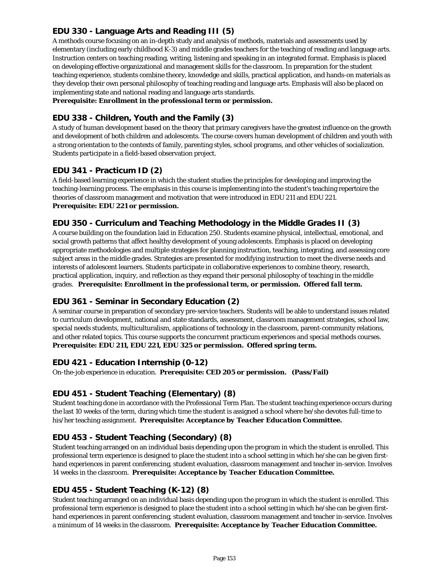# **EDU 330 - Language Arts and Reading III (5)**

A methods course focusing on an in-depth study and analysis of methods, materials and assessments used by elementary (including early childhood K-3) and middle grades teachers for the teaching of reading and language arts. Instruction centers on teaching reading, writing, listening and speaking in an integrated format. Emphasis is placed on developing effective organizational and management skills for the classroom. In preparation for the student teaching experience, students combine theory, knowledge and skills, practical application, and hands-on materials as they develop their own personal philosophy of teaching reading and language arts. Emphasis will also be placed on implementing state and national reading and language arts standards.

*Prerequisite: Enrollment in the professional term or permission.*

#### **EDU 338 - Children, Youth and the Family (3)**

A study of human development based on the theory that primary caregivers have the greatest influence on the growth and development of both children and adolescents. The course covers human development of children and youth with a strong orientation to the contexts of family, parenting styles, school programs, and other vehicles of socialization. Students participate in a field-based observation project.

#### **EDU 341 - Practicum ID (2)**

A field-based learning experience in which the student studies the principles for developing and improving the teaching-learning process. The emphasis in this course is implementing into the student's teaching repertoire the theories of classroom management and motivation that were introduced in EDU 211 and EDU 221. *Prerequisite: EDU 221 or permission.*

#### **EDU 350 - Curriculum and Teaching Methodology in the Middle Grades II (3)**

A course building on the foundation laid in Education 250. Students examine physical, intellectual, emotional, and social growth patterns that affect healthy development of young adolescents. Emphasis is placed on developing appropriate methodologies and multiple strategies for planning instruction, teaching, integrating, and assessing core subject areas in the middle grades. Strategies are presented for modifying instruction to meet the diverse needs and interests of adolescent learners. Students participate in collaborative experiences to combine theory, research, practical application, inquiry, and reflection as they expand their personal philosophy of teaching in the middle grades. *Prerequisite: Enrollment in the professional term, or permission. Offered fall term.*

#### **EDU 361 - Seminar in Secondary Education (2)**

A seminar course in preparation of secondary pre-service teachers. Students will be able to understand issues related to curriculum development, national and state standards, assessment, classroom management strategies, school law, special needs students, multiculturalism, applications of technology in the classroom, parent-community relations, and other related topics. This course supports the concurrent practicum experiences and special methods courses. *Prerequisite: EDU 211, EDU 221, EDU 325 or permission. Offered spring term.*

#### **EDU 421 - Education Internship (0-12)**

On-the-job experience in education. *Prerequisite: CED 205 or permission.* **(Pass/Fail)**

#### **EDU 451 - Student Teaching (Elementary) (8)**

Student teaching done in accordance with the Professional Term Plan. The student teaching experience occurs during the last 10 weeks of the term, during which time the student is assigned a school where he/she devotes full-time to his/her teaching assignment. *Prerequisite: Acceptance by Teacher Education Committee.*

#### **EDU 453 - Student Teaching (Secondary) (8)**

Student teaching arranged on an individual basis depending upon the program in which the student is enrolled. This professional term experience is designed to place the student into a school setting in which he/she can be given firsthand experiences in parent conferencing, student evaluation, classroom management and teacher in-service. Involves 14 weeks in the classroom. *Prerequisite: Acceptance by Teacher Education Committee.*

#### **EDU 455 - Student Teaching (K-12) (8)**

Student teaching arranged on an individual basis depending upon the program in which the student is enrolled. This professional term experience is designed to place the student into a school setting in which he/she can be given firsthand experiences in parent conferencing, student evaluation, classroom management and teacher in-service. Involves a minimum of 14 weeks in the classroom. *Prerequisite: Acceptance by Teacher Education Committee.*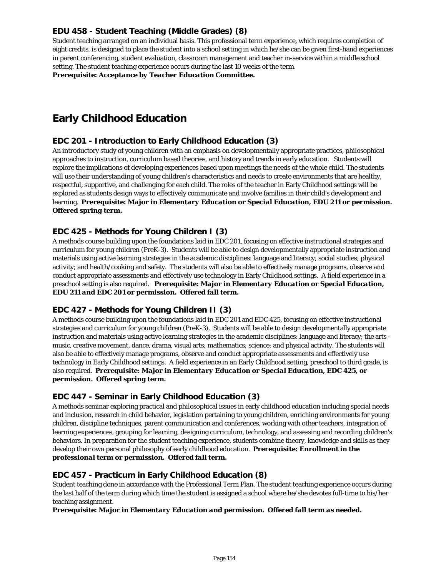## **EDU 458 - Student Teaching (Middle Grades) (8)**

Student teaching arranged on an individual basis. This professional term experience, which requires completion of eight credits, is designed to place the student into a school setting in which he/she can be given first-hand experiences in parent conferencing, student evaluation, classroom management and teacher in-service within a middle school setting. The student teaching experience occurs during the last 10 weeks of the term.

*Prerequisite: Acceptance by Teacher Education Committee.*

# **Early Childhood Education**

#### **EDC 201 - Introduction to Early Childhood Education (3)**

An introductory study of young children with an emphasis on developmentally appropriate practices, philosophical approaches to instruction, curriculum based theories, and history and trends in early education. Students will explore the implications of developing experiences based upon meetings the needs of the whole child. The students will use their understanding of young children's characteristics and needs to create environments that are healthy, respectful, supportive, and challenging for each child. The roles of the teacher in Early Childhood settings will be explored as students design ways to effectively communicate and involve families in their child's development and learning. *Prerequisite: Major in Elementary Education or Special Education, EDU 211 or permission. Offered spring term.* 

#### **EDC 425 - Methods for Young Children I (3)**

A methods course building upon the foundations laid in EDC 201, focusing on effective instructional strategies and curriculum for young children (PreK-3). Students will be able to design developmentally appropriate instruction and materials using active learning strategies in the academic disciplines: language and literacy; social studies; physical activity; and health/cooking and safety. The students will also be able to effectively manage programs, observe and conduct appropriate assessments and effectively use technology in Early Childhood settings. A field experience in a preschool setting is also required. *Prerequisite: Major in Elementary Education or Special Education, EDU 211 and EDC 201 or permission. Offered fall term.*

#### **EDC 427 - Methods for Young Children II (3)**

A methods course building upon the foundations laid in EDC 201 and EDC 425, focusing on effective instructional strategies and curriculum for young children (PreK-3). Students will be able to design developmentally appropriate instruction and materials using active learning strategies in the academic disciplines: language and literacy; the arts music, creative movement, dance, drama, visual arts; mathematics; science; and physical activity. The students will also be able to effectively manage programs, observe and conduct appropriate assessments and effectively use technology in Early Childhood settings. A field experience in an Early Childhood setting, preschool to third grade, is also required. *Prerequisite: Major in Elementary Education or Special Education, EDC 425, or permission. Offered spring term.*

#### **EDC 447 - Seminar in Early Childhood Education (3)**

A methods seminar exploring practical and philosophical issues in early childhood education including special needs and inclusion, research in child behavior, legislation pertaining to young children, enriching environments for young children, discipline techniques, parent communication and conferences, working with other teachers, integration of learning experiences, grouping for learning, designing curriculum, technology, and assessing and recording children's behaviors. In preparation for the student teaching experience, students combine theory, knowledge and skills as they develop their own personal philosophy of early childhood education. *Prerequisite: Enrollment in the professional term or permission. Offered fall term.*

#### **EDC 457 - Practicum in Early Childhood Education (8)**

Student teaching done in accordance with the Professional Term Plan. The student teaching experience occurs during the last half of the term during which time the student is assigned a school where he/she devotes full-time to his/her teaching assignment.

#### *Prerequisite: Major in Elementary Education and permission. Offered fall term as needed.*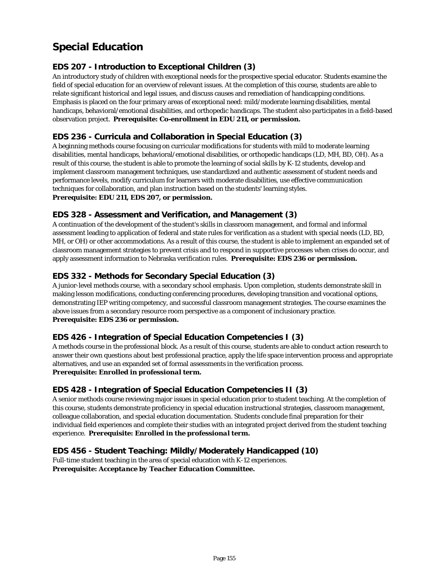# **Special Education**

#### **EDS 207 - Introduction to Exceptional Children (3)**

An introductory study of children with exceptional needs for the prospective special educator. Students examine the field of special education for an overview of relevant issues. At the completion of this course, students are able to relate significant historical and legal issues, and discuss causes and remediation of handicapping conditions. Emphasis is placed on the four primary areas of exceptional need: mild/moderate learning disabilities, mental handicaps, behavioral/emotional disabilities, and orthopedic handicaps. The student also participates in a field-based observation project. *Prerequisite: Co-enrollment in EDU 211, or permission.*

#### **EDS 236 - Curricula and Collaboration in Special Education (3)**

A beginning methods course focusing on curricular modifications for students with mild to moderate learning disabilities, mental handicaps, behavioral/emotional disabilities, or orthopedic handicaps (LD, MH, BD, OH). As a result of this course, the student is able to promote the learning of social skills by K-12 students, develop and implement classroom management techniques, use standardized and authentic assessment of student needs and performance levels, modify curriculum for learners with moderate disabilities, use effective communication techniques for collaboration, and plan instruction based on the students' learning styles. *Prerequisite: EDU 211, EDS 207, or permission.*

#### **EDS 328 - Assessment and Verification, and Management (3)**

A continuation of the development of the student's skills in classroom management, and formal and informal assessment leading to application of federal and state rules for verification as a student with special needs (LD, BD, MH, or OH) or other accommodations. As a result of this course, the student is able to implement an expanded set of classroom management strategies to prevent crisis and to respond in supportive processes when crises do occur, and apply assessment information to Nebraska verification rules. *Prerequisite: EDS 236 or permission.*

#### **EDS 332 - Methods for Secondary Special Education (3)**

A junior-level methods course, with a secondary school emphasis. Upon completion, students demonstrate skill in making lesson modifications, conducting conferencing procedures, developing transition and vocational options, demonstrating IEP writing competency, and successful classroom management strategies. The course examines the above issues from a secondary resource room perspective as a component of inclusionary practice. *Prerequisite: EDS 236 or permission.*

#### **EDS 426 - Integration of Special Education Competencies I (3)**

A methods course in the professional block. As a result of this course, students are able to conduct action research to answer their own questions about best professional practice, apply the life space intervention process and appropriate alternatives, and use an expanded set of formal assessments in the verification process. *Prerequisite: Enrolled in professional term.*

#### **EDS 428 - Integration of Special Education Competencies II (3)**

A senior methods course reviewing major issues in special education prior to student teaching. At the completion of this course, students demonstrate proficiency in special education instructional strategies, classroom management, colleague collaboration, and special education documentation. Students conclude final preparation for their individual field experiences and complete their studies with an integrated project derived from the student teaching experience. *Prerequisite: Enrolled in the professional term.*

#### **EDS 456 - Student Teaching: Mildly/Moderately Handicapped (10)**

Full-time student teaching in the area of special education with K-12 experiences. *Prerequisite: Acceptance by Teacher Education Committee.*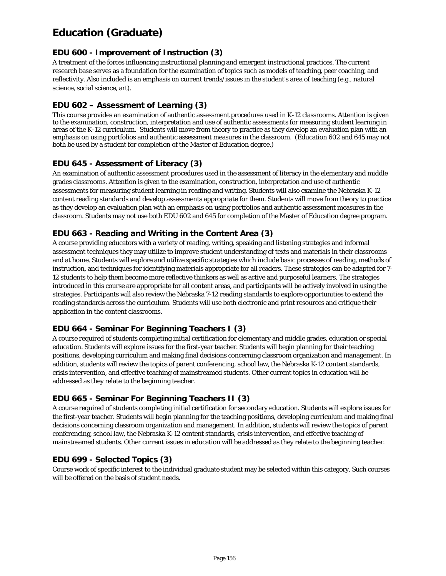# **Education (Graduate)**

#### **EDU 600 - Improvement of Instruction (3)**

A treatment of the forces influencing instructional planning and emergent instructional practices. The current research base serves as a foundation for the examination of topics such as models of teaching, peer coaching, and reflectivity. Also included is an emphasis on current trends/issues in the student's area of teaching (e.g., natural science, social science, art).

#### **EDU 602 – Assessment of Learning (3)**

This course provides an examination of authentic assessment procedures used in K-12 classrooms. Attention is given to the examination, construction, interpretation and use of authentic assessments for measuring student learning in areas of the K-12 curriculum. Students will move from theory to practice as they develop an evaluation plan with an emphasis on using portfolios and authentic assessment measures in the classroom. (Education 602 and 645 may not both be used by a student for completion of the Master of Education degree.)

#### **EDU 645 - Assessment of Literacy (3)**

An examination of authentic assessment procedures used in the assessment of literacy in the elementary and middle grades classrooms. Attention is given to the examination, construction, interpretation and use of authentic assessments for measuring student learning in reading and writing. Students will also examine the Nebraska K-12 content reading standards and develop assessments appropriate for them. Students will move from theory to practice as they develop an evaluation plan with an emphasis on using portfolios and authentic assessment measures in the classroom. Students may not use both EDU 602 and 645 for completion of the Master of Education degree program.

#### **EDU 663 - Reading and Writing in the Content Area (3)**

A course providing educators with a variety of reading, writing, speaking and listening strategies and informal assessment techniques they may utilize to improve student understanding of texts and materials in their classrooms and at home. Students will explore and utilize specific strategies which include basic processes of reading, methods of instruction, and techniques for identifying materials appropriate for all readers. These strategies can be adapted for 7- 12 students to help them become more reflective thinkers as well as active and purposeful learners. The strategies introduced in this course are appropriate for all content areas, and participants will be actively involved in using the strategies. Participants will also review the Nebraska 7-12 reading standards to explore opportunities to extend the reading standards across the curriculum. Students will use both electronic and print resources and critique their application in the content classrooms.

#### **EDU 664 - Seminar For Beginning Teachers I (3)**

A course required of students completing initial certification for elementary and middle grades, education or special education. Students will explore issues for the first-year teacher. Students will begin planning for their teaching positions, developing curriculum and making final decisions concerning classroom organization and management. In addition, students will review the topics of parent conferencing, school law, the Nebraska K-12 content standards, crisis intervention, and effective teaching of mainstreamed students. Other current topics in education will be addressed as they relate to the beginning teacher.

#### **EDU 665 - Seminar For Beginning Teachers II (3)**

A course required of students completing initial certification for secondary education. Students will explore issues for the first-year teacher. Students will begin planning for the teaching positions, developing curriculum and making final decisions concerning classroom organization and management. In addition, students will review the topics of parent conferencing, school law, the Nebraska K-12 content standards, crisis intervention, and effective teaching of mainstreamed students. Other current issues in education will be addressed as they relate to the beginning teacher.

#### **EDU 699 - Selected Topics (3)**

Course work of specific interest to the individual graduate student may be selected within this category. Such courses will be offered on the basis of student needs.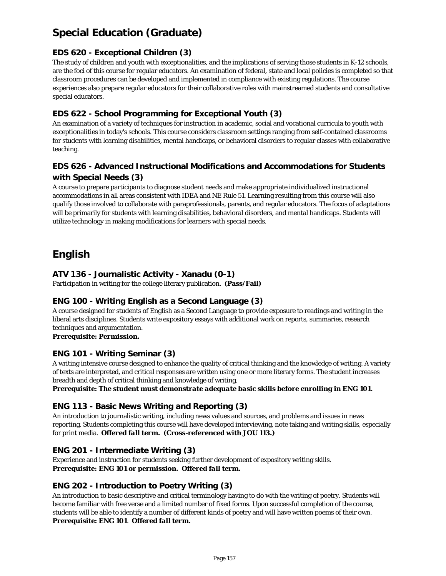# **Special Education (Graduate)**

#### **EDS 620 - Exceptional Children (3)**

The study of children and youth with exceptionalities, and the implications of serving those students in K-12 schools, are the foci of this course for regular educators. An examination of federal, state and local policies is completed so that classroom procedures can be developed and implemented in compliance with existing regulations. The course experiences also prepare regular educators for their collaborative roles with mainstreamed students and consultative special educators.

## **EDS 622 - School Programming for Exceptional Youth (3)**

An examination of a variety of techniques for instruction in academic, social and vocational curricula to youth with exceptionalities in today's schools. This course considers classroom settings ranging from self-contained classrooms for students with learning disabilities, mental handicaps, or behavioral disorders to regular classes with collaborative teaching.

## **EDS 626 - Advanced Instructional Modifications and Accommodations for Students with Special Needs (3)**

A course to prepare participants to diagnose student needs and make appropriate individualized instructional accommodations in all areas consistent with IDEA and NE Rule 51. Learning resulting from this course will also qualify those involved to collaborate with paraprofessionals, parents, and regular educators. The focus of adaptations will be primarily for students with learning disabilities, behavioral disorders, and mental handicaps. Students will utilize technology in making modifications for learners with special needs.

# **English**

## **ATV 136 - Journalistic Activity - Xanadu (0-1)**

Participation in writing for the college literary publication. **(Pass/Fail)**

#### **ENG 100 - Writing English as a Second Language (3)**

A course designed for students of English as a Second Language to provide exposure to readings and writing in the liberal arts disciplines. Students write expository essays with additional work on reports, summaries, research techniques and argumentation.

#### *Prerequisite: Permission.*

#### **ENG 101 - Writing Seminar (3)**

A writing intensive course designed to enhance the quality of critical thinking and the knowledge of writing. A variety of texts are interpreted, and critical responses are written using one or more literary forms. The student increases breadth and depth of critical thinking and knowledge of writing.

*Prerequisite: The student must demonstrate adequate basic skills before enrolling in ENG 101.*

#### **ENG 113 - Basic News Writing and Reporting (3)**

An introduction to journalistic writing, including news values and sources, and problems and issues in news reporting. Students completing this course will have developed interviewing, note taking and writing skills, especially for print media. *Offered fall term.* **(Cross-referenced with JOU 113.)**

#### **ENG 201 - Intermediate Writing (3)**

Experience and instruction for students seeking further development of expository writing skills. *Prerequisite: ENG 101 or permission. Offered fall term.*

#### **ENG 202 - Introduction to Poetry Writing (3)**

An introduction to basic descriptive and critical terminology having to do with the writing of poetry. Students will become familiar with free verse and a limited number of fixed forms. Upon successful completion of the course, students will be able to identify a number of different kinds of poetry and will have written poems of their own. *Prerequisite: ENG 101. Offered fall term.*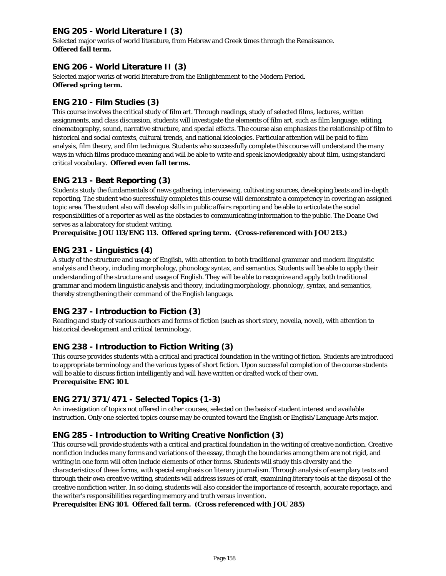## **ENG 205 - World Literature I (3)**

Selected major works of world literature, from Hebrew and Greek times through the Renaissance. *Offered fall term.*

#### **ENG 206 - World Literature II (3)**

Selected major works of world literature from the Enlightenment to the Modern Period. *Offered spring term.*

#### **ENG 210 - Film Studies (3)**

This course involves the critical study of film art. Through readings, study of selected films, lectures, written assignments, and class discussion, students will investigate the elements of film art, such as film language, editing, cinematography, sound, narrative structure, and special effects. The course also emphasizes the relationship of film to historical and social contexts, cultural trends, and national ideologies. Particular attention will be paid to film analysis, film theory, and film technique. Students who successfully complete this course will understand the many ways in which films produce meaning and will be able to write and speak knowledgeably about film, using standard critical vocabulary. *Offered even fall terms.*

#### **ENG 213 - Beat Reporting (3)**

Students study the fundamentals of news gathering, interviewing, cultivating sources, developing beats and in-depth reporting. The student who successfully completes this course will demonstrate a competency in covering an assigned topic area. The student also will develop skills in public affairs reporting and be able to articulate the social responsibilities of a reporter as well as the obstacles to communicating information to the public. The Doane Owl serves as a laboratory for student writing.

#### *Prerequisite: JOU 113/ENG 113. Offered spring term.* **(Cross-referenced with JOU 213.)**

#### **ENG 231 - Linguistics (4)**

A study of the structure and usage of English, with attention to both traditional grammar and modern linguistic analysis and theory, including morphology, phonology syntax, and semantics. Students will be able to apply their understanding of the structure and usage of English. They will be able to recognize and apply both traditional grammar and modern linguistic analysis and theory, including morphology, phonology, syntax, and semantics, thereby strengthening their command of the English language.

#### **ENG 237 - Introduction to Fiction (3)**

Reading and study of various authors and forms of fiction (such as short story, novella, novel), with attention to historical development and critical terminology.

#### **ENG 238 - Introduction to Fiction Writing (3)**

This course provides students with a critical and practical foundation in the writing of fiction. Students are introduced to appropriate terminology and the various types of short fiction. Upon successful completion of the course students will be able to discuss fiction intelligently and will have written or drafted work of their own. *Prerequisite: ENG 101.*

#### **ENG 271/371/471 - Selected Topics (1-3)**

An investigation of topics not offered in other courses, selected on the basis of student interest and available instruction. Only one selected topics course may be counted toward the English or English/Language Arts major.

#### **ENG 285 - Introduction to Writing Creative Nonfiction (3)**

This course will provide students with a critical and practical foundation in the writing of creative nonfiction. Creative nonfiction includes many forms and variations of the essay, though the boundaries among them are not rigid, and writing in one form will often include elements of other forms. Students will study this diversity and the characteristics of these forms, with special emphasis on literary journalism. Through analysis of exemplary texts and through their own creative writing, students will address issues of craft, examining literary tools at the disposal of the creative nonfiction writer. In so doing, students will also consider the importance of research, accurate reportage, and the writer's responsibilities regarding memory and truth versus invention.

#### *Prerequisite: ENG 101. Offered fall term***. (Cross referenced with JOU 285)**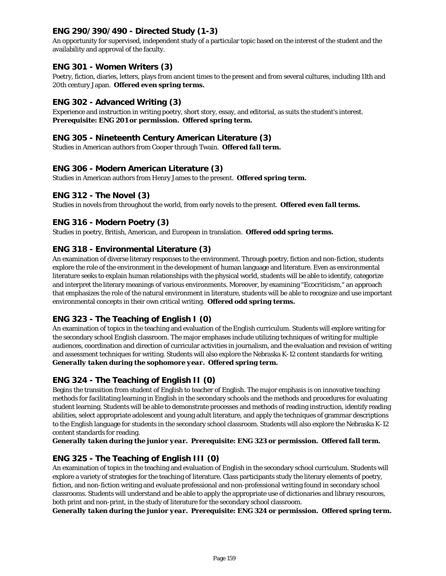## **ENG 290/390/490 - Directed Study (1-3)**

An opportunity for supervised, independent study of a particular topic based on the interest of the student and the availability and approval of the faculty.

#### **ENG 301 - Women Writers (3)**

Poetry, fiction, diaries, letters, plays from ancient times to the present and from several cultures, including 11th and 20th century Japan. *Offered even spring terms.*

#### **ENG 302 - Advanced Writing (3)**

Experience and instruction in writing poetry, short story, essay, and editorial, as suits the student's interest. *Prerequisite: ENG 201 or permission. Offered spring term.*

#### **ENG 305 - Nineteenth Century American Literature (3)**

Studies in American authors from Cooper through Twain. *Offered fall term.*

#### **ENG 306 - Modern American Literature (3)**

Studies in American authors from Henry James to the present. *Offered spring term.*

#### **ENG 312 - The Novel (3)**

Studies in novels from throughout the world, from early novels to the present. *Offered even fall terms.*

#### **ENG 316 - Modern Poetry (3)**

Studies in poetry, British, American, and European in translation. *Offered odd spring terms.*

#### **ENG 318 - Environmental Literature (3)**

An examination of diverse literary responses to the environment. Through poetry, fiction and non-fiction, students explore the role of the environment in the development of human language and literature. Even as environmental literature seeks to explain human relationships with the physical world, students will be able to identify, categorize and interpret the literary meanings of various environments. Moreover, by examining "Ecocriticism," an approach that emphasizes the role of the natural environment in literature, students will be able to recognize and use important environmental concepts in their own critical writing. *Offered odd spring terms.*

#### **ENG 323 - The Teaching of English I (0)**

An examination of topics in the teaching and evaluation of the English curriculum. Students will explore writing for the secondary school English classroom. The major emphases include utilizing techniques of writing for multiple audiences, coordination and direction of curricular activities in journalism, and the evaluation and revision of writing and assessment techniques for writing. Students will also explore the Nebraska K-12 content standards for writing. *Generally taken during the sophomore year. Offered spring term.*

#### **ENG 324 - The Teaching of English II (0)**

Begins the transition from student of English to teacher of English. The major emphasis is on innovative teaching methods for facilitating learning in English in the secondary schools and the methods and procedures for evaluating student learning. Students will be able to demonstrate processes and methods of reading instruction, identify reading abilities, select appropriate adolescent and young adult literature, and apply the techniques of grammar descriptions to the English language for students in the secondary school classroom. Students will also explore the Nebraska K-12 content standards for reading.

#### *Generally taken during the junior year. Prerequisite: ENG 323 or permission. Offered fall term.*

#### **ENG 325 - The Teaching of English III (0)**

An examination of topics in the teaching and evaluation of English in the secondary school curriculum. Students will explore a variety of strategies for the teaching of literature. Class participants study the literary elements of poetry, fiction, and non-fiction writing and evaluate professional and non-professional writing found in secondary school classrooms. Students will understand and be able to apply the appropriate use of dictionaries and library resources, both print and non-print, in the study of literature for the secondary school classroom.

*Generally taken during the junior year. Prerequisite: ENG 324 or permission. Offered spring term.*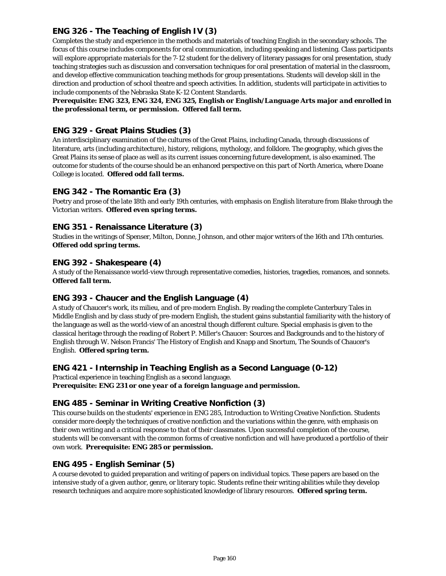# **ENG 326 - The Teaching of English IV (3)**

Completes the study and experience in the methods and materials of teaching English in the secondary schools. The focus of this course includes components for oral communication, including speaking and listening. Class participants will explore appropriate materials for the 7-12 student for the delivery of literary passages for oral presentation, study teaching strategies such as discussion and conversation techniques for oral presentation of material in the classroom, and develop effective communication teaching methods for group presentations. Students will develop skill in the direction and production of school theatre and speech activities. In addition, students will participate in activities to include components of the Nebraska State K-12 Content Standards.

*Prerequisite: ENG 323, ENG 324, ENG 325, English or English/Language Arts major and enrolled in the professional term, or permission. Offered fall term.*

#### **ENG 329 - Great Plains Studies (3)**

An interdisciplinary examination of the cultures of the Great Plains, including Canada, through discussions of literature, arts (including architecture), history, religions, mythology, and folklore. The geography, which gives the Great Plains its sense of place as well as its current issues concerning future development, is also examined. The outcome for students of the course should be an enhanced perspective on this part of North America, where Doane College is located. *Offered odd fall terms.*

#### **ENG 342 - The Romantic Era (3)**

Poetry and prose of the late 18th and early 19th centuries, with emphasis on English literature from Blake through the Victorian writers. *Offered even spring terms.*

#### **ENG 351 - Renaissance Literature (3)**

Studies in the writings of Spenser, Milton, Donne, Johnson, and other major writers of the 16th and 17th centuries. *Offered odd spring terms.*

#### **ENG 392 - Shakespeare (4)**

A study of the Renaissance world-view through representative comedies, histories, tragedies, romances, and sonnets. *Offered fall term.*

#### **ENG 393 - Chaucer and the English Language (4)**

A study of Chaucer's work, its milieu, and of pre-modern English. By reading the complete Canterbury Tales in Middle English and by class study of pre-modern English, the student gains substantial familiarity with the history of the language as well as the world-view of an ancestral though different culture. Special emphasis is given to the classical heritage through the reading of Robert P. Miller's Chaucer: Sources and Backgrounds and to the history of English through W. Nelson Francis' The History of English and Knapp and Snortum, The Sounds of Chaucer's English. *Offered spring term.*

#### **ENG 421 - Internship in Teaching English as a Second Language (0-12)**

Practical experience in teaching English as a second language. *Prerequisite: ENG 231 or one year of a foreign language and permission.*

#### **ENG 485 - Seminar in Writing Creative Nonfiction (3)**

This course builds on the students' experience in ENG 285, Introduction to Writing Creative Nonfiction. Students consider more deeply the techniques of creative nonfiction and the variations within the genre, with emphasis on their own writing and a critical response to that of their classmates. Upon successful completion of the course, students will be conversant with the common forms of creative nonfiction and will have produced a portfolio of their own work. *Prerequisite: ENG 285 or permission.*

#### **ENG 495 - English Seminar (5)**

A course devoted to guided preparation and writing of papers on individual topics. These papers are based on the intensive study of a given author, genre, or literary topic. Students refine their writing abilities while they develop research techniques and acquire more sophisticated knowledge of library resources. *Offered spring term.*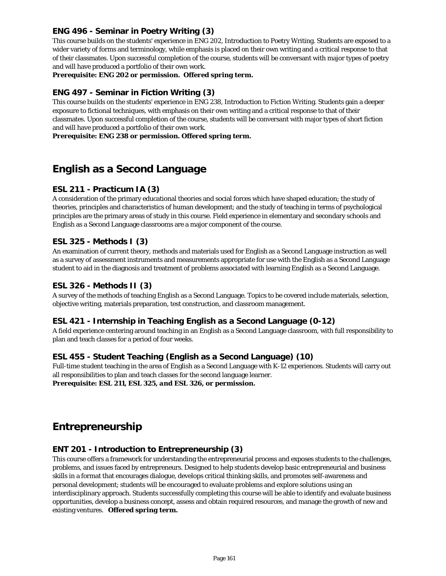#### **ENG 496 - Seminar in Poetry Writing (3)**

This course builds on the students' experience in ENG 202, Introduction to Poetry Writing. Students are exposed to a wider variety of forms and terminology, while emphasis is placed on their own writing and a critical response to that of their classmates. Upon successful completion of the course, students will be conversant with major types of poetry and will have produced a portfolio of their own work.

#### *Prerequisite: ENG 202 or permission. Offered spring term.*

#### **ENG 497 - Seminar in Fiction Writing (3)**

This course builds on the students' experience in ENG 238, Introduction to Fiction Writing. Students gain a deeper exposure to fictional techniques, with emphasis on their own writing and a critical response to that of their classmates. Upon successful completion of the course, students will be conversant with major types of short fiction and will have produced a portfolio of their own work.

*Prerequisite: ENG 238 or permission. Offered spring term.*

# **English as a Second Language**

#### **ESL 211 - Practicum IA (3)**

A consideration of the primary educational theories and social forces which have shaped education; the study of theories, principles and characteristics of human development; and the study of teaching in terms of psychological principles are the primary areas of study in this course. Field experience in elementary and secondary schools and English as a Second Language classrooms are a major component of the course.

#### **ESL 325 - Methods I (3)**

An examination of current theory, methods and materials used for English as a Second Language instruction as well as a survey of assessment instruments and measurements appropriate for use with the English as a Second Language student to aid in the diagnosis and treatment of problems associated with learning English as a Second Language.

#### **ESL 326 - Methods II (3)**

A survey of the methods of teaching English as a Second Language. Topics to be covered include materials, selection, objective writing, materials preparation, test construction, and classroom management.

#### **ESL 421 - Internship in Teaching English as a Second Language (0-12)**

A field experience centering around teaching in an English as a Second Language classroom, with full responsibility to plan and teach classes for a period of four weeks.

#### **ESL 455 - Student Teaching (English as a Second Language) (10)**

Full-time student teaching in the area of English as a Second Language with K-12 experiences. Students will carry out all responsibilities to plan and teach classes for the second language learner. *Prerequisite: ESL 211, ESL 325, and ESL 326, or permission.*

# **Entrepreneurship**

#### **ENT 201 - Introduction to Entrepreneurship (3)**

This course offers a framework for understanding the entrepreneurial process and exposes students to the challenges, problems, and issues faced by entrepreneurs. Designed to help students develop basic entrepreneurial and business skills in a format that encourages dialogue, develops critical thinking skills, and promotes self-awareness and personal development; students will be encouraged to evaluate problems and explore solutions using an interdisciplinary approach. Students successfully completing this course will be able to identify and evaluate business opportunities, develop a business concept, assess and obtain required resources, and manage the growth of new and existing ventures. *Offered spring term.*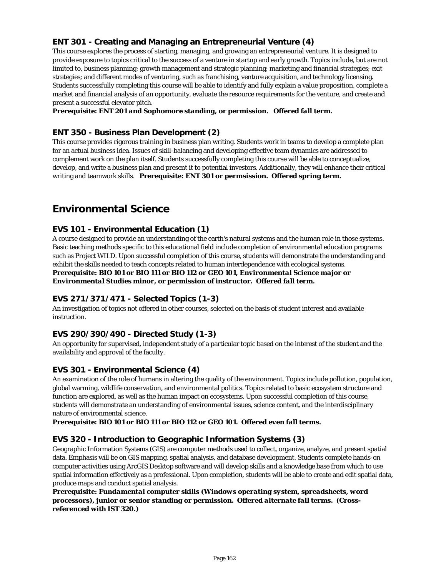## **ENT 301 - Creating and Managing an Entrepreneurial Venture (4)**

This course explores the process of starting, managing, and growing an entrepreneurial venture. It is designed to provide exposure to topics critical to the success of a venture in startup and early growth. Topics include, but are not limited to, business planning; growth management and strategic planning; marketing and financial strategies; exit strategies; and different modes of venturing, such as franchising, venture acquisition, and technology licensing. Students successfully completing this course will be able to identify and fully explain a value proposition, complete a market and financial analysis of an opportunity, evaluate the resource requirements for the venture, and create and present a successful elevator pitch.

*Prerequisite: ENT 201 and Sophomore standing, or permission. Offered fall term.*

#### **ENT 350 - Business Plan Development (2)**

This course provides rigorous training in business plan writing. Students work in teams to develop a complete plan for an actual business idea. Issues of skill-balancing and developing effective team dynamics are addressed to complement work on the plan itself. Students successfully completing this course will be able to conceptualize, develop, and write a business plan and present it to potential investors. Additionally, they will enhance their critical writing and teamwork skills. **Prerequisite: ENT 301 or permsission.** *Offered spring term.*

# **Environmental Science**

#### **EVS 101 - Environmental Education (1)**

A course designed to provide an understanding of the earth's natural systems and the human role in those systems. Basic teaching methods specific to this educational field include completion of environmental education programs such as Project WILD. Upon successful completion of this course, students will demonstrate the understanding and exhibit the skills needed to teach concepts related to human interdependence with ecological systems.

*Prerequisite: BIO 101 or BIO 111 or BIO 112 or GEO 101, Environmental Science major or Environmental Studies minor, or permission of instructor. Offered fall term.*

#### **EVS 271/371/471 - Selected Topics (1-3)**

An investigation of topics not offered in other courses, selected on the basis of student interest and available instruction.

#### **EVS 290/390/490 - Directed Study (1-3)**

An opportunity for supervised, independent study of a particular topic based on the interest of the student and the availability and approval of the faculty.

#### **EVS 301 - Environmental Science (4)**

An examination of the role of humans in altering the quality of the environment. Topics include pollution, population, global warming, wildlife conservation, and environmental politics. Topics related to basic ecosystem structure and function are explored, as well as the human impact on ecosystems. Upon successful completion of this course, students will demonstrate an understanding of environmental issues, science content, and the interdisciplinary nature of environmental science.

*Prerequisite: BIO 101 or BIO 111 or BIO 112 or GEO 101. Offered even fall terms.*

#### **EVS 320 - Introduction to Geographic Information Systems (3)**

Geographic Information Systems (GIS) are computer methods used to collect, organize, analyze, and present spatial data. Emphasis will be on GIS mapping, spatial analysis, and database development. Students complete hands-on computer activities using ArcGIS Desktop software and will develop skills and a knowledge base from which to use spatial information effectively as a professional. Upon completion, students will be able to create and edit spatial data, produce maps and conduct spatial analysis.

#### *Prerequisite: Fundamental computer skills (Windows operating system, spreadsheets, word processors), junior or senior standing or permission. Offered alternate fall terms.* **(Crossreferenced with IST 320.)**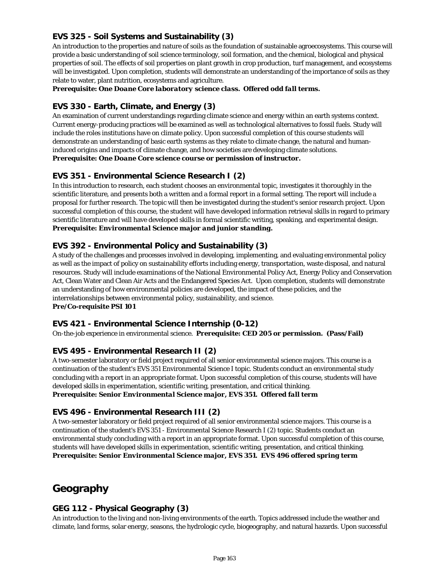# **EVS 325 - Soil Systems and Sustainability (3)**

An introduction to the properties and nature of soils as the foundation of sustainable agroecosystems. This course will provide a basic understanding of soil science terminology, soil formation, and the chemical, biological and physical properties of soil. The effects of soil properties on plant growth in crop production, turf management, and ecosystems will be investigated. Upon completion, students will demonstrate an understanding of the importance of soils as they relate to water, plant nutrition, ecosystems and agriculture.

*Prerequisite: One Doane Core laboratory science class. Offered odd fall terms.*

# **EVS 330 - Earth, Climate, and Energy (3)**

An examination of current understandings regarding climate science and energy within an earth systems context. Current energy-producing practices will be examined as well as technological alternatives to fossil fuels. Study will include the roles institutions have on climate policy. Upon successful completion of this course students will demonstrate an understanding of basic earth systems as they relate to climate change, the natural and humaninduced origins and impacts of climate change, and how societies are developing climate solutions. *Prerequisite: One Doane Core science course or permission of instructor.*

## **EVS 351 - Environmental Science Research I (2)**

In this introduction to research, each student chooses an environmental topic, investigates it thoroughly in the scientific literature, and presents both a written and a formal report in a formal setting. The report will include a proposal for further research. The topic will then be investigated during the student's senior research project. Upon successful completion of this course, the student will have developed information retrieval skills in regard to primary scientific literature and will have developed skills in formal scientific writing, speaking, and experimental design. *Prerequisite: Environmental Science major and junior standing.*

#### **EVS 392 - Environmental Policy and Sustainability (3)**

A study of the challenges and processes involved in developing, implementing, and evaluating environmental policy as well as the impact of policy on sustainability efforts including energy, transportation, waste disposal, and natural resources. Study will include examinations of the National Environmental Policy Act, Energy Policy and Conservation Act, Clean Water and Clean Air Acts and the Endangered Species Act. Upon completion, students will demonstrate an understanding of how environmental policies are developed, the impact of these policies, and the interrelationships between environmental policy, sustainability, and science.

#### *Pre/Co-requisite PSI 101*

#### **EVS 421 - Environmental Science Internship (0-12)**

On-the-job experience in environmental science. *Prerequisite: CED 205 or permission.* **(Pass/Fail)**

#### **EVS 495 - Environmental Research II (2)**

A two-semester laboratory or field project required of all senior environmental science majors. This course is a continuation of the student's EVS 351 Environmental Science I topic. Students conduct an environmental study concluding with a report in an appropriate format. Upon successful completion of this course, students will have developed skills in experimentation, scientific writing, presentation, and critical thinking. *Prerequisite: Senior Environmental Science major, EVS 351. Offered fall term*

## **EVS 496 - Environmental Research III (2)**

A two-semester laboratory or field project required of all senior environmental science majors. This course is a continuation of the student's EVS 351 - Environmental Science Research I (2) topic. Students conduct an environmental study concluding with a report in an appropriate format. Upon successful completion of this course, students will have developed skills in experimentation, scientific writing, presentation, and critical thinking. *Prerequisite: Senior Environmental Science major, EVS 351. EVS 496 offered spring term*

# **Geography**

#### **GEG 112 - Physical Geography (3)**

An introduction to the living and non-living environments of the earth. Topics addressed include the weather and climate, land forms, solar energy, seasons, the hydrologic cycle, biogeography, and natural hazards. Upon successful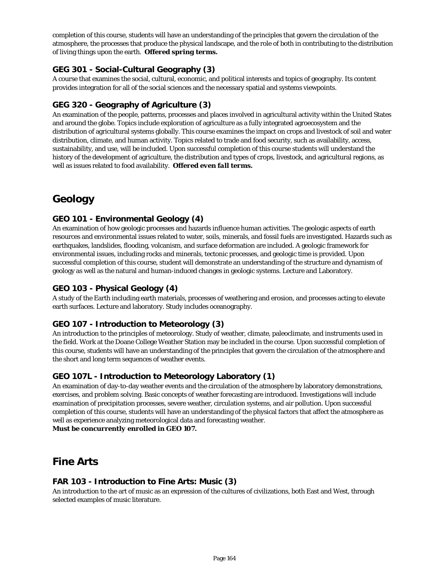completion of this course, students will have an understanding of the principles that govern the circulation of the atmosphere, the processes that produce the physical landscape, and the role of both in contributing to the distribution of living things upon the earth. *Offered spring terms.*

#### **GEG 301 - Social-Cultural Geography (3)**

A course that examines the social, cultural, economic, and political interests and topics of geography. Its content provides integration for all of the social sciences and the necessary spatial and systems viewpoints.

#### **GEG 320 - Geography of Agriculture (3)**

An examination of the people, patterns, processes and places involved in agricultural activity within the United States and around the globe. Topics include exploration of agriculture as a fully integrated agroecosystem and the distribution of agricultural systems globally. This course examines the impact on crops and livestock of soil and water distribution, climate, and human activity. Topics related to trade and food security, such as availability, access, sustainability, and use, will be included. Upon successful completion of this course students will understand the history of the development of agriculture, the distribution and types of crops, livestock, and agricultural regions, as well as issues related to food availability. *Offered even fall terms.*

# **Geology**

#### **GEO 101 - Environmental Geology (4)**

An examination of how geologic processes and hazards influence human activities. The geologic aspects of earth resources and environmental issues related to water, soils, minerals, and fossil fuels are investigated. Hazards such as earthquakes, landslides, flooding, volcanism, and surface deformation are included. A geologic framework for environmental issues, including rocks and minerals, tectonic processes, and geologic time is provided. Upon successful completion of this course, student will demonstrate an understanding of the structure and dynamism of geology as well as the natural and human-induced changes in geologic systems. Lecture and Laboratory.

#### **GEO 103 - Physical Geology (4)**

A study of the Earth including earth materials, processes of weathering and erosion, and processes acting to elevate earth surfaces. Lecture and laboratory. Study includes oceanography.

#### **GEO 107 - Introduction to Meteorology (3)**

An introduction to the principles of meteorology. Study of weather, climate, paleoclimate, and instruments used in the field. Work at the Doane College Weather Station may be included in the course. Upon successful completion of this course, students will have an understanding of the principles that govern the circulation of the atmosphere and the short and long term sequences of weather events.

#### **GEO 107L - Introduction to Meteorology Laboratory (1)**

An examination of day-to-day weather events and the circulation of the atmosphere by laboratory demonstrations, exercises, and problem solving. Basic concepts of weather forecasting are introduced. Investigations will include examination of precipitation processes, severe weather, circulation systems, and air pollution. Upon successful completion of this course, students will have an understanding of the physical factors that affect the atmosphere as well as experience analyzing meteorological data and forecasting weather. *Must be concurrently enrolled in GEO 107.*

# **Fine Arts**

#### **FAR 103 - Introduction to Fine Arts: Music (3)**

An introduction to the art of music as an expression of the cultures of civilizations, both East and West, through selected examples of music literature.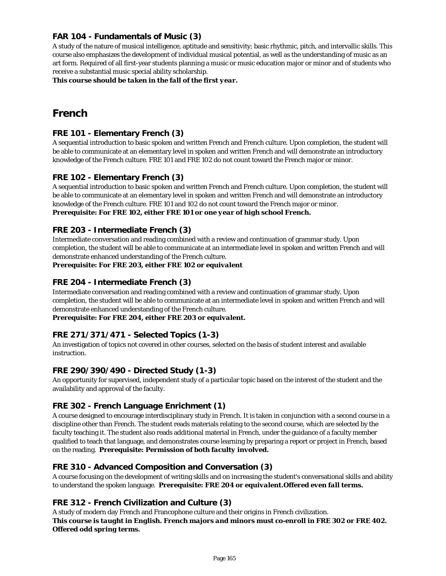### **FAR 104 - Fundamentals of Music (3)**

A study of the nature of musical intelligence, aptitude and sensitivity; basic rhythmic, pitch, and intervallic skills. This course also emphasizes the development of individual musical potential, as well as the understanding of music as an art form. Required of all first-year students planning a music or music education major or minor and of students who receive a substantial music special ability scholarship.

*This course should be taken in the fall of the first year.*

# **French**

#### **FRE 101 - Elementary French (3)**

A sequential introduction to basic spoken and written French and French culture. Upon completion, the student will be able to communicate at an elementary level in spoken and written French and will demonstrate an introductory knowledge of the French culture. FRE 101 and FRE 102 do not count toward the French major or minor.

#### **FRE 102 - Elementary French (3)**

A sequential introduction to basic spoken and written French and French culture. Upon completion, the student will be able to communicate at an elementary level in spoken and written French and will demonstrate an introductory knowledge of the French culture. FRE 101 and 102 do not count toward the French major or minor. *Prerequisite: For FRE 102, either FRE 101 or one year of high school French.*

#### **FRE 203 - Intermediate French (3)**

Intermediate conversation and reading combined with a review and continuation of grammar study. Upon completion, the student will be able to communicate at an intermediate level in spoken and written French and will demonstrate enhanced understanding of the French culture.

*Prerequisite: For FRE 203, either FRE 102 or equivalent*

#### **FRE 204 - Intermediate French (3)**

Intermediate conversation and reading combined with a review and continuation of grammar study. Upon completion, the student will be able to communicate at an intermediate level in spoken and written French and will demonstrate enhanced understanding of the French culture.

*Prerequisite: For FRE 204, either FRE 203 or equivalent.*

#### **FRE 271/371/471 - Selected Topics (1-3)**

An investigation of topics not covered in other courses, selected on the basis of student interest and available instruction.

#### **FRE 290/390/490 - Directed Study (1-3)**

An opportunity for supervised, independent study of a particular topic based on the interest of the student and the availability and approval of the faculty.

#### **FRE 302 - French Language Enrichment (1)**

A course designed to encourage interdisciplinary study in French. It is taken in conjunction with a second course in a discipline other than French. The student reads materials relating to the second course, which are selected by the faculty teaching it. The student also reads additional material in French, under the guidance of a faculty member qualified to teach that language, and demonstrates course learning by preparing a report or project in French, based on the reading. *Prerequisite: Permission of both faculty involved.*

#### **FRE 310 - Advanced Composition and Conversation (3)**

A course focusing on the development of writing skills and on increasing the student's conversational skills and ability to understand the spoken language. *Prerequisite: FRE 204 or equivalent.Offered even fall terms.*

#### **FRE 312 - French Civilization and Culture (3)**

A study of modern day French and Francophone culture and their origins in French civilization. *This course is taught in English. French majors and minors must co-enroll in FRE 302 or FRE 402. Offered odd spring terms.*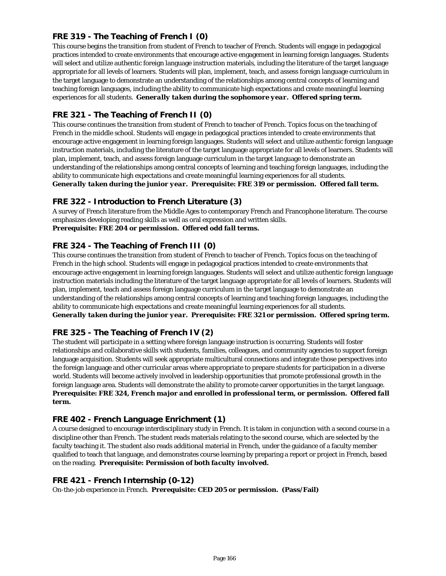# **FRE 319 - The Teaching of French I (0)**

This course begins the transition from student of French to teacher of French. Students will engage in pedagogical practices intended to create environments that encourage active engagement in learning foreign languages. Students will select and utilize authentic foreign language instruction materials, including the literature of the target language appropriate for all levels of learners. Students will plan, implement, teach, and assess foreign language curriculum in the target language to demonstrate an understanding of the relationships among central concepts of learning and teaching foreign languages, including the ability to communicate high expectations and create meaningful learning experiences for all students. *Generally taken during the sophomore year. Offered spring term.*

#### **FRE 321 - The Teaching of French II (0)**

This course continues the transition from student of French to teacher of French. Topics focus on the teaching of French in the middle school. Students will engage in pedagogical practices intended to create environments that encourage active engagement in learning foreign languages. Students will select and utilize authentic foreign language instruction materials, including the literature of the target language appropriate for all levels of learners. Students will plan, implement, teach, and assess foreign language curriculum in the target language to demonstrate an understanding of the relationships among central concepts of learning and teaching foreign languages, including the ability to communicate high expectations and create meaningful learning experiences for all students. *Generally taken during the junior year. Prerequisite: FRE 319 or permission. Offered fall term.*

#### **FRE 322 - Introduction to French Literature (3)**

A survey of French literature from the Middle Ages to contemporary French and Francophone literature. The course emphasizes developing reading skills as well as oral expression and written skills. *Prerequisite: FRE 204 or permission. Offered odd fall terms.*

#### **FRE 324 - The Teaching of French III (0)**

This course continues the transition from student of French to teacher of French. Topics focus on the teaching of French in the high school. Students will engage in pedagogical practices intended to create environments that encourage active engagement in learning foreign languages. Students will select and utilize authentic foreign language instruction materials including the literature of the target language appropriate for all levels of learners. Students will plan, implement, teach and assess foreign language curriculum in the target language to demonstrate an understanding of the relationships among central concepts of learning and teaching foreign languages, including the ability to communicate high expectations and create meaningful learning experiences for all students. *Generally taken during the junior year. Prerequisite: FRE 321 or permission. Offered spring term.*

#### **FRE 325 - The Teaching of French IV (2)**

The student will participate in a setting where foreign language instruction is occurring. Students will foster relationships and collaborative skills with students, families, colleagues, and community agencies to support foreign language acquisition. Students will seek appropriate multicultural connections and integrate those perspectives into the foreign language and other curricular areas where appropriate to prepare students for participation in a diverse world. Students will become actively involved in leadership opportunities that promote professional growth in the foreign language area. Students will demonstrate the ability to promote career opportunities in the target language. *Prerequisite: FRE 324, French major and enrolled in professional term, or permission. Offered fall term.*

#### **FRE 402 - French Language Enrichment (1)**

A course designed to encourage interdisciplinary study in French. It is taken in conjunction with a second course in a discipline other than French. The student reads materials relating to the second course, which are selected by the faculty teaching it. The student also reads additional material in French, under the guidance of a faculty member qualified to teach that language, and demonstrates course learning by preparing a report or project in French, based on the reading. *Prerequisite: Permission of both faculty involved.*

#### **FRE 421 - French Internship (0-12)**

On-the-job experience in French. *Prerequisite: CED 205 or permission.* **(Pass/Fail)**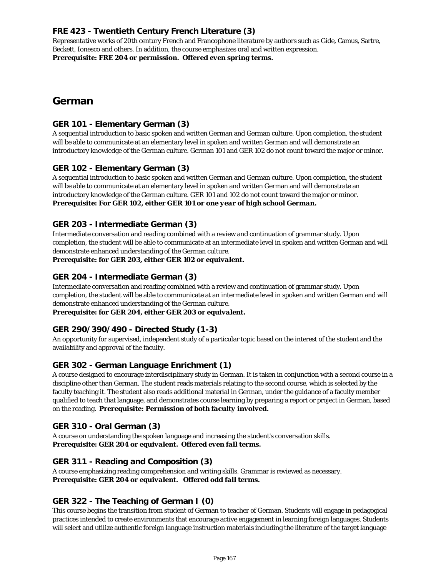# **FRE 423 - Twentieth Century French Literature (3)**

Representative works of 20th century French and Francophone literature by authors such as Gide, Camus, Sartre, Beckett, Ionesco and others. In addition, the course emphasizes oral and written expression. *Prerequisite: FRE 204 or permission. Offered even spring terms.*

# **German**

#### **GER 101 - Elementary German (3)**

A sequential introduction to basic spoken and written German and German culture. Upon completion, the student will be able to communicate at an elementary level in spoken and written German and will demonstrate an introductory knowledge of the German culture. German 101 and GER 102 do not count toward the major or minor.

#### **GER 102 - Elementary German (3)**

A sequential introduction to basic spoken and written German and German culture. Upon completion, the student will be able to communicate at an elementary level in spoken and written German and will demonstrate an introductory knowledge of the German culture. GER 101 and 102 do not count toward the major or minor. *Prerequisite: For GER 102, either GER 101 or one year of high school German.*

#### **GER 203 - Intermediate German (3)**

Intermediate conversation and reading combined with a review and continuation of grammar study. Upon completion, the student will be able to communicate at an intermediate level in spoken and written German and will demonstrate enhanced understanding of the German culture.

*Prerequisite: for GER 203, either GER 102 or equivalent.*

#### **GER 204 - Intermediate German (3)**

Intermediate conversation and reading combined with a review and continuation of grammar study. Upon completion, the student will be able to communicate at an intermediate level in spoken and written German and will demonstrate enhanced understanding of the German culture.

*Prerequisite: for GER 204, either GER 203 or equivalent.*

#### **GER 290/390/490 - Directed Study (1-3)**

An opportunity for supervised, independent study of a particular topic based on the interest of the student and the availability and approval of the faculty.

#### **GER 302 - German Language Enrichment (1)**

A course designed to encourage interdisciplinary study in German. It is taken in conjunction with a second course in a discipline other than German. The student reads materials relating to the second course, which is selected by the faculty teaching it. The student also reads additional material in German, under the guidance of a faculty member qualified to teach that language, and demonstrates course learning by preparing a report or project in German, based on the reading. *Prerequisite: Permission of both faculty involved.*

#### **GER 310 - Oral German (3)**

A course on understanding the spoken language and increasing the student's conversation skills. *Prerequisite: GER 204 or equivalent. Offered even fall terms.*

#### **GER 311 - Reading and Composition (3)**

A course emphasizing reading comprehension and writing skills. Grammar is reviewed as necessary. *Prerequisite: GER 204 or equivalent. Offered odd fall terms.*

#### **GER 322 - The Teaching of German I (0)**

This course begins the transition from student of German to teacher of German. Students will engage in pedagogical practices intended to create environments that encourage active engagement in learning foreign languages. Students will select and utilize authentic foreign language instruction materials including the literature of the target language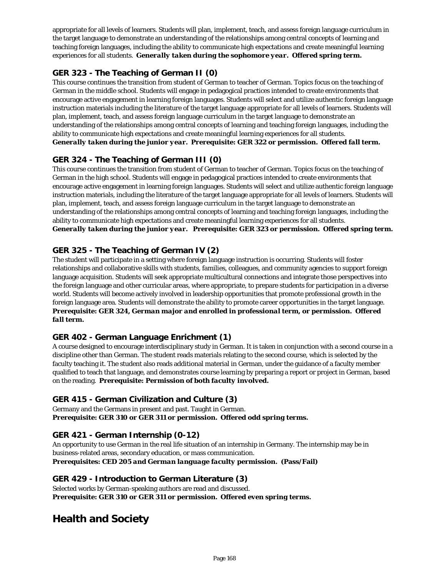appropriate for all levels of learners. Students will plan, implement, teach, and assess foreign language curriculum in the target language to demonstrate an understanding of the relationships among central concepts of learning and teaching foreign languages, including the ability to communicate high expectations and create meaningful learning experiences for all students. *Generally taken during the sophomore year. Offered spring term.*

# **GER 323 - The Teaching of German II (0)**

This course continues the transition from student of German to teacher of German. Topics focus on the teaching of German in the middle school. Students will engage in pedagogical practices intended to create environments that encourage active engagement in learning foreign languages. Students will select and utilize authentic foreign language instruction materials including the literature of the target language appropriate for all levels of learners. Students will plan, implement, teach, and assess foreign language curriculum in the target language to demonstrate an understanding of the relationships among central concepts of learning and teaching foreign languages, including the ability to communicate high expectations and create meaningful learning experiences for all students. *Generally taken during the junior year. Prerequisite: GER 322 or permission. Offered fall term.*

#### **GER 324 - The Teaching of German III (0)**

This course continues the transition from student of German to teacher of German. Topics focus on the teaching of German in the high school. Students will engage in pedagogical practices intended to create environments that encourage active engagement in learning foreign languages. Students will select and utilize authentic foreign language instruction materials, including the literature of the target language appropriate for all levels of learners. Students will plan, implement, teach, and assess foreign language curriculum in the target language to demonstrate an understanding of the relationships among central concepts of learning and teaching foreign languages, including the ability to communicate high expectations and create meaningful learning experiences for all students. *Generally taken during the junior year. Prerequisite: GER 323 or permission. Offered spring term.*

## **GER 325 - The Teaching of German IV (2)**

The student will participate in a setting where foreign language instruction is occurring. Students will foster relationships and collaborative skills with students, families, colleagues, and community agencies to support foreign language acquisition. Students will seek appropriate multicultural connections and integrate those perspectives into the foreign language and other curricular areas, where appropriate, to prepare students for participation in a diverse world. Students will become actively involved in leadership opportunities that promote professional growth in the foreign language area. Students will demonstrate the ability to promote career opportunities in the target language. *Prerequisite: GER 324, German major and enrolled in professional term, or permission. Offered fall term.*

#### **GER 402 - German Language Enrichment (1)**

A course designed to encourage interdisciplinary study in German. It is taken in conjunction with a second course in a discipline other than German. The student reads materials relating to the second course, which is selected by the faculty teaching it. The student also reads additional material in German, under the guidance of a faculty member qualified to teach that language, and demonstrates course learning by preparing a report or project in German, based on the reading. *Prerequisite: Permission of both faculty involved.* 

#### **GER 415 - German Civilization and Culture (3)**

Germany and the Germans in present and past. Taught in German. *Prerequisite: GER 310 or GER 311 or permission. Offered odd spring terms.*

#### **GER 421 - German Internship (0-12)**

An opportunity to use German in the real life situation of an internship in Germany. The internship may be in business-related areas, secondary education, or mass communication. *Prerequisites: CED 205 and German language faculty permission.* **(Pass/Fail)**

#### **GER 429 - Introduction to German Literature (3)**

Selected works by German-speaking authors are read and discussed. *Prerequisite: GER 310 or GER 311 or permission. Offered even spring terms.*

# **Health and Society**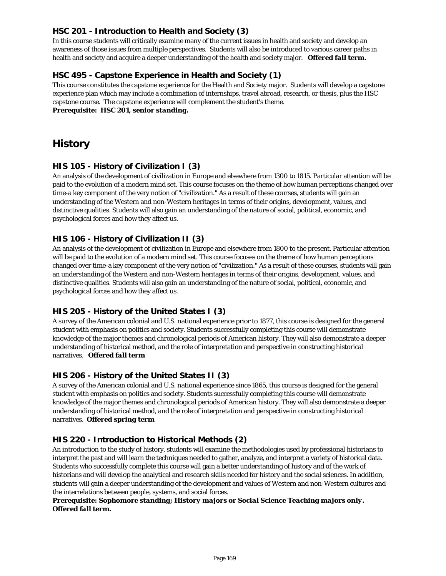## **HSC 201 - Introduction to Health and Society (3)**

In this course students will critically examine many of the current issues in health and society and develop an awareness of those issues from multiple perspectives. Students will also be introduced to various career paths in health and society and acquire a deeper understanding of the health and society major. *Offered fall term.*

#### **HSC 495 - Capstone Experience in Health and Society (1)**

This course constitutes the capstone experience for the Health and Society major. Students will develop a capstone experience plan which may include a combination of internships, travel abroad, research, or thesis, plus the HSC capstone course. The capstone experience will complement the student's theme. *Prerequisite: HSC 201, senior standing.* 

# **History**

#### **HIS 105 - History of Civilization I (3)**

An analysis of the development of civilization in Europe and elsewhere from 1300 to 1815. Particular attention will be paid to the evolution of a modern mind set. This course focuses on the theme of how human perceptions changed over time-a key component of the very notion of "civilization." As a result of these courses, students will gain an understanding of the Western and non-Western heritages in terms of their origins, development, values, and distinctive qualities. Students will also gain an understanding of the nature of social, political, economic, and psychological forces and how they affect us.

#### **HIS 106 - History of Civilization II (3)**

An analysis of the development of civilization in Europe and elsewhere from 1800 to the present. Particular attention will be paid to the evolution of a modern mind set. This course focuses on the theme of how human perceptions changed over time-a key component of the very notion of "civilization." As a result of these courses, students will gain an understanding of the Western and non-Western heritages in terms of their origins, development, values, and distinctive qualities. Students will also gain an understanding of the nature of social, political, economic, and psychological forces and how they affect us.

#### **HIS 205 - History of the United States I (3)**

A survey of the American colonial and U.S. national experience prior to 1877, this course is designed for the general student with emphasis on politics and society. Students successfully completing this course will demonstrate knowledge of the major themes and chronological periods of American history. They will also demonstrate a deeper understanding of historical method, and the role of interpretation and perspective in constructing historical narratives. *Offered fall term*

#### **HIS 206 - History of the United States II (3)**

A survey of the American colonial and U.S. national experience since 1865, this course is designed for the general student with emphasis on politics and society. Students successfully completing this course will demonstrate knowledge of the major themes and chronological periods of American history. They will also demonstrate a deeper understanding of historical method, and the role of interpretation and perspective in constructing historical narratives. *Offered spring term*

#### **HIS 220 - Introduction to Historical Methods (2)**

An introduction to the study of history, students will examine the methodologies used by professional historians to interpret the past and will learn the techniques needed to gather, analyze, and interpret a variety of historical data. Students who successfully complete this course will gain a better understanding of history and of the work of historians and will develop the analytical and research skills needed for history and the social sciences. In addition, students will gain a deeper understanding of the development and values of Western and non-Western cultures and the interrelations between people, systems, and social forces.

#### *Prerequisite: Sophomore standing; History majors or Social Science Teaching majors only. Offered fall term.*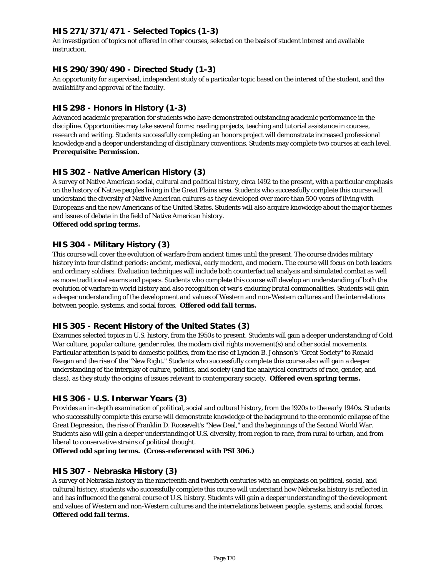## **HIS 271/371/471 - Selected Topics (1-3)**

An investigation of topics not offered in other courses, selected on the basis of student interest and available instruction.

#### **HIS 290/390/490 - Directed Study (1-3)**

An opportunity for supervised, independent study of a particular topic based on the interest of the student, and the availability and approval of the faculty.

#### **HIS 298 - Honors in History (1-3)**

Advanced academic preparation for students who have demonstrated outstanding academic performance in the discipline. Opportunities may take several forms: reading projects, teaching and tutorial assistance in courses, research and writing. Students successfully completing an honors project will demonstrate increased professional knowledge and a deeper understanding of disciplinary conventions. Students may complete two courses at each level. *Prerequisite: Permission.*

#### **HIS 302 - Native American History (3)**

A survey of Native American social, cultural and political history, circa 1492 to the present, with a particular emphasis on the history of Native peoples living in the Great Plains area. Students who successfully complete this course will understand the diversity of Native American cultures as they developed over more than 500 years of living with Europeans and the new Americans of the United States. Students will also acquire knowledge about the major themes and issues of debate in the field of Native American history.

*Offered odd spring terms.*

#### **HIS 304 - Military History (3)**

This course will cover the evolution of warfare from ancient times until the present. The course divides military history into four distinct periods: ancient, medieval, early modern, and modern. The course will focus on both leaders and ordinary soldiers. Evaluation techniques will include both counterfactual analysis and simulated combat as well as more traditional exams and papers. Students who complete this course will develop an understanding of both the evolution of warfare in world history and also recognition of war's enduring brutal commonalities. Students will gain a deeper understanding of the development and values of Western and non-Western cultures and the interrelations between people, systems, and social forces. *Offered odd fall terms.*

#### **HIS 305 - Recent History of the United States (3)**

Examines selected topics in U.S. history, from the 1950s to present. Students will gain a deeper understanding of Cold War culture, popular culture, gender roles, the modern civil rights movement(s) and other social movements. Particular attention is paid to domestic politics, from the rise of Lyndon B. Johnson's "Great Society" to Ronald Reagan and the rise of the "New Right." Students who successfully complete this course also will gain a deeper understanding of the interplay of culture, politics, and society (and the analytical constructs of race, gender, and class), as they study the origins of issues relevant to contemporary society. *Offered even spring terms.*

#### **HIS 306 - U.S. Interwar Years (3)**

Provides an in-depth examination of political, social and cultural history, from the 1920s to the early 1940s. Students who successfully complete this course will demonstrate knowledge of the background to the economic collapse of the Great Depression, the rise of Franklin D. Roosevelt's "New Deal," and the beginnings of the Second World War. Students also will gain a deeper understanding of U.S. diversity, from region to race, from rural to urban, and from liberal to conservative strains of political thought.

#### *Offered odd spring terms.* **(Cross-referenced with PSI 306.)**

#### **HIS 307 - Nebraska History (3)**

A survey of Nebraska history in the nineteenth and twentieth centuries with an emphasis on political, social, and cultural history, students who successfully complete this course will understand how Nebraska history is reflected in and has influenced the general course of U.S. history. Students will gain a deeper understanding of the development and values of Western and non-Western cultures and the interrelations between people, systems, and social forces. *Offered odd fall terms.*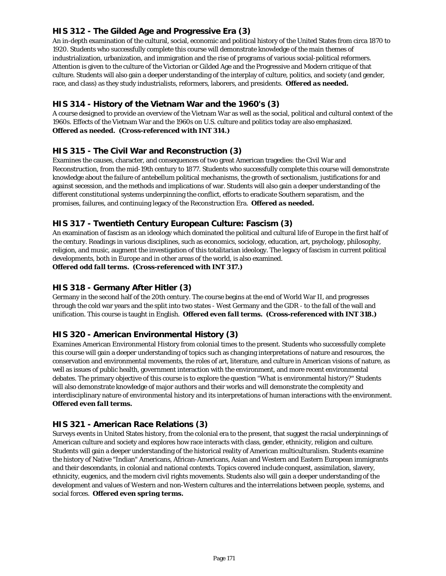# **HIS 312 - The Gilded Age and Progressive Era (3)**

An in-depth examination of the cultural, social, economic and political history of the United States from circa 1870 to 1920. Students who successfully complete this course will demonstrate knowledge of the main themes of industrialization, urbanization, and immigration and the rise of programs of various social-political reformers. Attention is given to the culture of the Victorian or Gilded Age and the Progressive and Modern critique of that culture. Students will also gain a deeper understanding of the interplay of culture, politics, and society (and gender, race, and class) as they study industrialists, reformers, laborers, and presidents. *Offered as needed.*

## **HIS 314 - History of the Vietnam War and the 1960's (3)**

A course designed to provide an overview of the Vietnam War as well as the social, political and cultural context of the 1960s. Effects of the Vietnam War and the 1960s on U.S. culture and politics today are also emphasized. *Offered as needed. (Cross-referenced with INT 314.)*

#### **HIS 315 - The Civil War and Reconstruction (3)**

Examines the causes, character, and consequences of two great American tragedies: the Civil War and Reconstruction, from the mid-19th century to 1877. Students who successfully complete this course will demonstrate knowledge about the failure of antebellum political mechanisms, the growth of sectionalism, justifications for and against secession, and the methods and implications of war. Students will also gain a deeper understanding of the different constitutional systems underpinning the conflict, efforts to eradicate Southern separatism, and the promises, failures, and continuing legacy of the Reconstruction Era. *Offered as needed.* 

#### **HIS 317 - Twentieth Century European Culture: Fascism (3)**

An examination of fascism as an ideology which dominated the political and cultural life of Europe in the first half of the century. Readings in various disciplines, such as economics, sociology, education, art, psychology, philosophy, religion, and music, augment the investigation of this totalitarian ideology. The legacy of fascism in current political developments, both in Europe and in other areas of the world, is also examined.

*Offered odd fall terms.* **(Cross-referenced with INT 317.)**

#### **HIS 318 - Germany After Hitler (3)**

Germany in the second half of the 20th century. The course begins at the end of World War II, and progresses through the cold war years and the split into two states - West Germany and the GDR - to the fall of the wall and unification. This course is taught in English. *Offered even fall terms.* **(Cross-referenced with INT 318.)**

#### **HIS 320 - American Environmental History (3)**

Examines American Environmental History from colonial times to the present. Students who successfully complete this course will gain a deeper understanding of topics such as changing interpretations of nature and resources, the conservation and environmental movements, the roles of art, literature, and culture in American visions of nature, as well as issues of public health, government interaction with the environment, and more recent environmental debates. The primary objective of this course is to explore the question "What is environmental history?" Students will also demonstrate knowledge of major authors and their works and will demonstrate the complexity and interdisciplinary nature of environmental history and its interpretations of human interactions with the environment. *Offered even fall terms.*

#### **HIS 321 - American Race Relations (3)**

Surveys events in United States history, from the colonial era to the present, that suggest the racial underpinnings of American culture and society and explores how race interacts with class, gender, ethnicity, religion and culture. Students will gain a deeper understanding of the historical reality of American multiculturalism. Students examine the history of Native "Indian" Americans, African-Americans, Asian and Western and Eastern European immigrants and their descendants, in colonial and national contexts. Topics covered include conquest, assimilation, slavery, ethnicity, eugenics, and the modern civil rights movements. Students also will gain a deeper understanding of the development and values of Western and non-Western cultures and the interrelations between people, systems, and social forces. *Offered even spring terms.*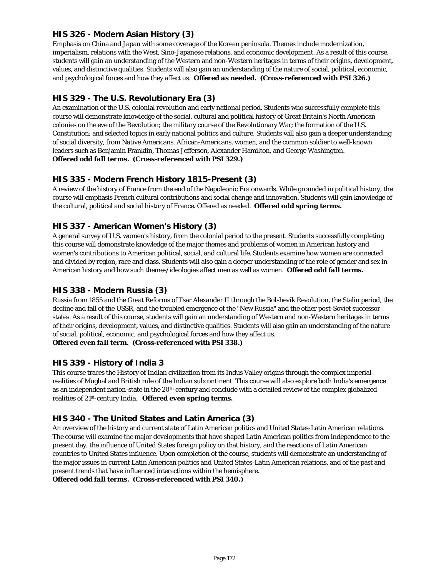## **HIS 326 - Modern Asian History (3)**

Emphasis on China and Japan with some coverage of the Korean peninsula. Themes include modernization, imperialism, relations with the West, Sino-Japanese relations, and economic development. As a result of this course, students will gain an understanding of the Western and non-Western heritages in terms of their origins, development, values, and distinctive qualities. Students will also gain an understanding of the nature of social, political, economic, and psychological forces and how they affect us. *Offered as needed. (***Cross-referenced with PSI 326.)**

## **HIS 329 - The U.S. Revolutionary Era (3)**

An examination of the U.S. colonial revolution and early national period. Students who successfully complete this course will demonstrate knowledge of the social, cultural and political history of Great Britain's North American colonies on the eve of the Revolution; the military course of the Revolutionary War; the formation of the U.S. Constitution; and selected topics in early national politics and culture. Students will also gain a deeper understanding of social diversity, from Native Americans, African-Americans, women, and the common soldier to well-known leaders such as Benjamin Franklin, Thomas Jefferson, Alexander Hamilton, and George Washington. *Offered odd fall terms.* **(Cross-referenced with PSI 329.)**

#### **HIS 335 - Modern French History 1815-Present (3)**

A review of the history of France from the end of the Napoleonic Era onwards. While grounded in political history, the course will emphasis French cultural contributions and social change and innovation. Students will gain knowledge of the cultural, political and social history of France. Offered as needed. *Offered odd spring terms.* 

#### **HIS 337 - American Women's History (3)**

A general survey of U.S. women's history, from the colonial period to the present. Students successfully completing this course will demonstrate knowledge of the major themes and problems of women in American history and women's contributions to American political, social, and cultural life. Students examine how women are connected and divided by region, race and class. Students will also gain a deeper understanding of the role of gender and sex in American history and how such themes/ideologies affect men as well as women. *Offered odd fall terms.*

#### **HIS 338 - Modern Russia (3)**

Russia from 1855 and the Great Reforms of Tsar Alexander II through the Bolshevik Revolution, the Stalin period, the decline and fall of the USSR, and the troubled emergence of the "New Russia" and the other post-Soviet successor states. As a result of this course, students will gain an understanding of Western and non-Western heritages in terms of their origins, development, values, and distinctive qualities. Students will also gain an understanding of the nature of social, political, economic, and psychological forces and how they affect us.

#### *Offered even fall term.* **(Cross-referenced with PSI 338.)**

#### **HIS 339 - History of India 3**

This course traces the History of Indian civilization from its Indus Valley origins through the complex imperial realities of Mughal and British rule of the Indian subcontinent. This course will also explore both India's emergence as an independent nation-state in the 20th century and conclude with a detailed review of the complex globalized realities of 21st-century India. *Offered even spring terms.* 

#### **HIS 340 - The United States and Latin America (3)**

An overview of the history and current state of Latin American politics and United States-Latin American relations. The course will examine the major developments that have shaped Latin American politics from independence to the present day, the influence of United States foreign policy on that history, and the reactions of Latin American countries to United States influence. Upon completion of the course, students will demonstrate an understanding of the major issues in current Latin American politics and United States-Latin American relations, and of the past and present trends that have influenced interactions within the hemisphere.

*Offered odd fall terms.* **(Cross-referenced with PSI 340.)**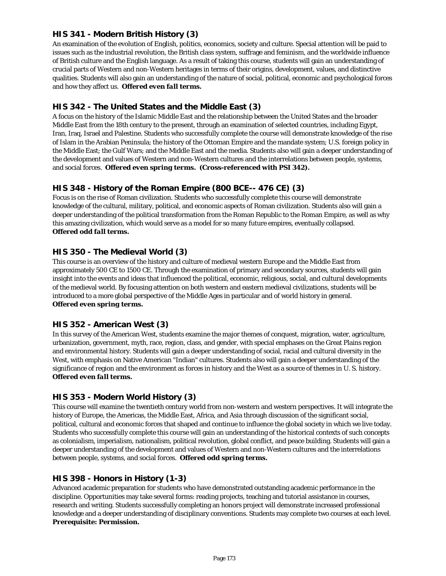## **HIS 341 - Modern British History (3)**

An examination of the evolution of English, politics, economics, society and culture. Special attention will be paid to issues such as the industrial revolution, the British class system, suffrage and feminism, and the worldwide influence of British culture and the English language. As a result of taking this course, students will gain an understanding of crucial parts of Western and non-Western heritages in terms of their origins, development, values, and distinctive qualities. Students will also gain an understanding of the nature of social, political, economic and psychological forces and how they affect us. *Offered even fall terms.*

#### **HIS 342 - The United States and the Middle East (3)**

A focus on the history of the Islamic Middle East and the relationship between the United States and the broader Middle East from the 18th century to the present, through an examination of selected countries, including Egypt, Iran, Iraq, Israel and Palestine. Students who successfully complete the course will demonstrate knowledge of the rise of Islam in the Arabian Peninsula; the history of the Ottoman Empire and the mandate system; U.S. foreign policy in the Middle East; the Gulf Wars; and the Middle East and the media. Students also will gain a deeper understanding of the development and values of Western and non-Western cultures and the interrelations between people, systems, and social forces. *Offered even spring terms.* **(Cross-referenced with PSI 342).**

## **HIS 348 - History of the Roman Empire (800 BCE-- 476 CE) (3)**

Focus is on the rise of Roman civilization. Students who successfully complete this course will demonstrate knowledge of the cultural, military, political, and economic aspects of Roman civilization. Students also will gain a deeper understanding of the political transformation from the Roman Republic to the Roman Empire, as well as why this amazing civilization, which would serve as a model for so many future empires, eventually collapsed. *Offered odd fall terms.*

#### **HIS 350 - The Medieval World (3)**

This course is an overview of the history and culture of medieval western Europe and the Middle East from approximately 500 CE to 1500 CE. Through the examination of primary and secondary sources, students will gain insight into the events and ideas that influenced the political, economic, religious, social, and cultural developments of the medieval world. By focusing attention on both western and eastern medieval civilizations, students will be introduced to a more global perspective of the Middle Ages in particular and of world history in general. *Offered even spring terms***.**

#### **HIS 352 - American West (3)**

In this survey of the American West, students examine the major themes of conquest, migration, water, agriculture, urbanization, government, myth, race, region, class, and gender, with special emphases on the Great Plains region and environmental history. Students will gain a deeper understanding of social, racial and cultural diversity in the West, with emphasis on Native American "Indian" cultures. Students also will gain a deeper understanding of the significance of region and the environment as forces in history and the West as a source of themes in U. S. history. *Offered even fall terms.*

#### **HIS 353 - Modern World History (3)**

This course will examine the twentieth century world from non-western and western perspectives. It will integrate the history of Europe, the Americas, the Middle East, Africa, and Asia through discussion of the significant social, political, cultural and economic forces that shaped and continue to influence the global society in which we live today. Students who successfully complete this course will gain an understanding of the historical contexts of such concepts as colonialism, imperialism, nationalism, political revolution, global conflict, and peace building. Students will gain a deeper understanding of the development and values of Western and non-Western cultures and the interrelations between people, systems, and social forces. *Offered odd spring terms.*

#### **HIS 398 - Honors in History (1-3)**

Advanced academic preparation for students who have demonstrated outstanding academic performance in the discipline. Opportunities may take several forms: reading projects, teaching and tutorial assistance in courses, research and writing. Students successfully completing an honors project will demonstrate increased professional knowledge and a deeper understanding of disciplinary conventions. Students may complete two courses at each level. *Prerequisite: Permission.*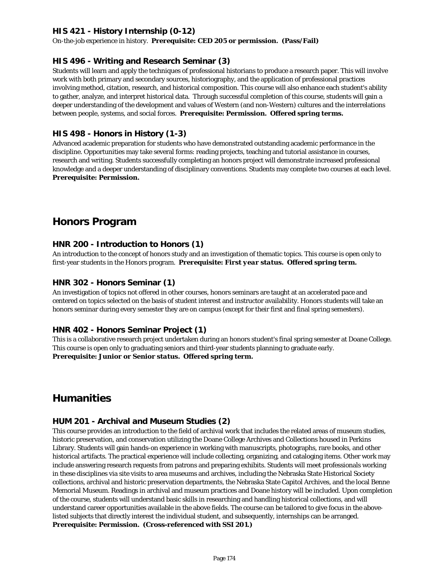#### **HIS 421 - History Internship (0-12)**

On-the-job experience in history. *Prerequisite: CED 205 or permission.* **(Pass/Fail)**

#### **HIS 496 - Writing and Research Seminar (3)**

Students will learn and apply the techniques of professional historians to produce a research paper. This will involve work with both primary and secondary sources, historiography, and the application of professional practices involving method, citation, research, and historical composition. This course will also enhance each student's ability to gather, analyze, and interpret historical data. Through successful completion of this course, students will gain a deeper understanding of the development and values of Western (and non-Western) cultures and the interrelations between people, systems, and social forces. *Prerequisite: Permission. Offered spring terms.*

#### **HIS 498 - Honors in History (1-3)**

Advanced academic preparation for students who have demonstrated outstanding academic performance in the discipline. Opportunities may take several forms: reading projects, teaching and tutorial assistance in courses, research and writing. Students successfully completing an honors project will demonstrate increased professional knowledge and a deeper understanding of disciplinary conventions. Students may complete two courses at each level. *Prerequisite: Permission.*

# **Honors Program**

#### **HNR 200 - Introduction to Honors (1)**

An introduction to the concept of honors study and an investigation of thematic topics. This course is open only to first-year students in the Honors program. *Prerequisite: First year status. Offered spring term.*

#### **HNR 302 - Honors Seminar (1)**

An investigation of topics not offered in other courses, honors seminars are taught at an accelerated pace and centered on topics selected on the basis of student interest and instructor availability. Honors students will take an honors seminar during every semester they are on campus (except for their first and final spring semesters).

#### **HNR 402 - Honors Seminar Project (1)**

This is a collaborative research project undertaken during an honors student's final spring semester at Doane College. This course is open only to graduating seniors and third-year students planning to graduate early. *Prerequisite: Junior or Senior status. Offered spring term.*

# **Humanities**

#### **HUM 201 - Archival and Museum Studies (2)**

This course provides an introduction to the field of archival work that includes the related areas of museum studies, historic preservation, and conservation utilizing the Doane College Archives and Collections housed in Perkins Library. Students will gain hands-on experience in working with manuscripts, photographs, rare books, and other historical artifacts. The practical experience will include collecting, organizing, and cataloging items. Other work may include answering research requests from patrons and preparing exhibits. Students will meet professionals working in these disciplines via site visits to area museums and archives, including the Nebraska State Historical Society collections, archival and historic preservation departments, the Nebraska State Capitol Archives, and the local Benne Memorial Museum. Readings in archival and museum practices and Doane history will be included. Upon completion of the course, students will understand basic skills in researching and handling historical collections, and will understand career opportunities available in the above fields. The course can be tailored to give focus in the abovelisted subjects that directly interest the individual student, and subsequently, internships can be arranged. *Prerequisite: Permission.* **(Cross-referenced with SSI 201.)**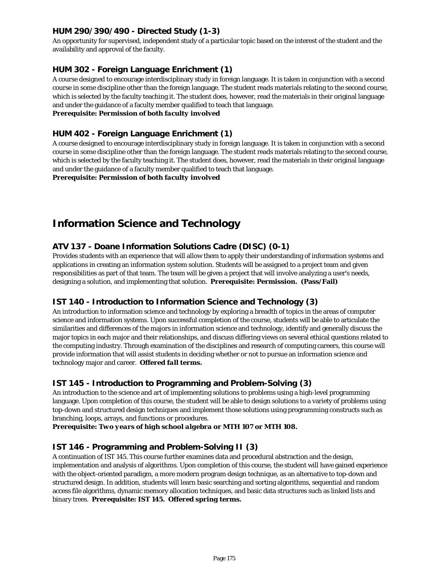#### **HUM 290/390/490 - Directed Study (1-3)**

An opportunity for supervised, independent study of a particular topic based on the interest of the student and the availability and approval of the faculty.

#### **HUM 302 - Foreign Language Enrichment (1)**

A course designed to encourage interdisciplinary study in foreign language. It is taken in conjunction with a second course in some discipline other than the foreign language. The student reads materials relating to the second course, which is selected by the faculty teaching it. The student does, however, read the materials in their original language and under the guidance of a faculty member qualified to teach that language. *Prerequisite: Permission of both faculty involved*

# **HUM 402 - Foreign Language Enrichment (1)**

A course designed to encourage interdisciplinary study in foreign language. It is taken in conjunction with a second course in some discipline other than the foreign language. The student reads materials relating to the second course, which is selected by the faculty teaching it. The student does, however, read the materials in their original language and under the guidance of a faculty member qualified to teach that language.

*Prerequisite: Permission of both faculty involved*

# **Information Science and Technology**

#### **ATV 137 - Doane Information Solutions Cadre (DISC) (0-1)**

Provides students with an experience that will allow them to apply their understanding of information systems and applications in creating an information system solution. Students will be assigned to a project team and given responsibilities as part of that team. The team will be given a project that will involve analyzing a user's needs, designing a solution, and implementing that solution. *Prerequisite: Permission.* **(Pass/Fail)**

#### **IST 140 - Introduction to Information Science and Technology (3)**

An introduction to information science and technology by exploring a breadth of topics in the areas of computer science and information systems. Upon successful completion of the course, students will be able to articulate the similarities and differences of the majors in information science and technology, identify and generally discuss the major topics in each major and their relationships, and discuss differing views on several ethical questions related to the computing industry. Through examination of the disciplines and research of computing careers, this course will provide information that will assist students in deciding whether or not to pursue an information science and technology major and career. *Offered fall terms.*

#### **IST 145 - Introduction to Programming and Problem-Solving (3)**

An introduction to the science and art of implementing solutions to problems using a high-level programming language. Upon completion of this course, the student will be able to design solutions to a variety of problems using top-down and structured design techniques and implement those solutions using programming constructs such as branching, loops, arrays, and functions or procedures.

*Prerequisite: Two years of high school algebra or MTH 107 or MTH 108.*

#### **IST 146 - Programming and Problem-Solving II (3)**

A continuation of IST 145. This course further examines data and procedural abstraction and the design, implementation and analysis of algorithms. Upon completion of this course, the student will have gained experience with the object-oriented paradigm, a more modern program design technique, as an alternative to top-down and structured design. In addition, students will learn basic searching and sorting algorithms, sequential and random access file algorithms, dynamic memory allocation techniques, and basic data structures such as linked lists and binary trees. *Prerequisite: IST 145. Offered spring terms.*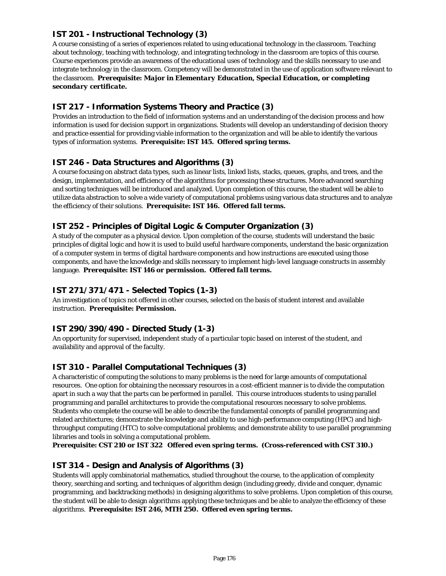## **IST 201 - Instructional Technology (3)**

A course consisting of a series of experiences related to using educational technology in the classroom. Teaching about technology, teaching with technology, and integrating technology in the classroom are topics of this course. Course experiences provide an awareness of the educational uses of technology and the skills necessary to use and integrate technology in the classroom. Competency will be demonstrated in the use of application software relevant to the classroom. *Prerequisite: Major in Elementary Education, Special Education, or completing secondary certificate.*

#### **IST 217 - Information Systems Theory and Practice (3)**

Provides an introduction to the field of information systems and an understanding of the decision process and how information is used for decision support in organizations. Students will develop an understanding of decision theory and practice essential for providing viable information to the organization and will be able to identify the various types of information systems. *Prerequisite: IST 145. Offered spring terms.*

#### **IST 246 - Data Structures and Algorithms (3)**

A course focusing on abstract data types, such as linear lists, linked lists, stacks, queues, graphs, and trees, and the design, implementation, and efficiency of the algorithms for processing these structures. More advanced searching and sorting techniques will be introduced and analyzed. Upon completion of this course, the student will be able to utilize data abstraction to solve a wide variety of computational problems using various data structures and to analyze the efficiency of their solutions. *Prerequisite: IST 146. Offered fall terms.*

#### **IST 252 - Principles of Digital Logic & Computer Organization (3)**

A study of the computer as a physical device. Upon completion of the course, students will understand the basic principles of digital logic and how it is used to build useful hardware components, understand the basic organization of a computer system in terms of digital hardware components and how instructions are executed using those components, and have the knowledge and skills necessary to implement high-level language constructs in assembly language. *Prerequisite: IST 146 or permission. Offered fall terms.*

#### **IST 271/371/471 - Selected Topics (1-3)**

An investigation of topics not offered in other courses, selected on the basis of student interest and available instruction. *Prerequisite: Permission.*

#### **IST 290/390/490 - Directed Study (1-3)**

An opportunity for supervised, independent study of a particular topic based on interest of the student, and availability and approval of the faculty.

#### **IST 310 - Parallel Computational Techniques (3)**

A characteristic of computing the solutions to many problems is the need for large amounts of computational resources. One option for obtaining the necessary resources in a cost-efficient manner is to divide the computation apart in such a way that the parts can be performed in parallel. This course introduces students to using parallel programming and parallel architectures to provide the computational resources necessary to solve problems. Students who complete the course will be able to describe the fundamental concepts of parallel programming and related architectures; demonstrate the knowledge and ability to use high-performance computing (HPC) and highthroughput computing (HTC) to solve computational problems; and demonstrate ability to use parallel programming libraries and tools in solving a computational problem.

*Prerequisite: CST 210 or IST 322 Offered even spring terms.* **(Cross-referenced with CST 310.)**

#### **IST 314 - Design and Analysis of Algorithms (3)**

Students will apply combinatorial mathematics, studied throughout the course, to the application of complexity theory, searching and sorting, and techniques of algorithm design (including greedy, divide and conquer, dynamic programming, and backtracking methods) in designing algorithms to solve problems. Upon completion of this course, the student will be able to design algorithms applying these techniques and be able to analyze the efficiency of these algorithms. *Prerequisite: IST 246, MTH 250. Offered even spring terms.*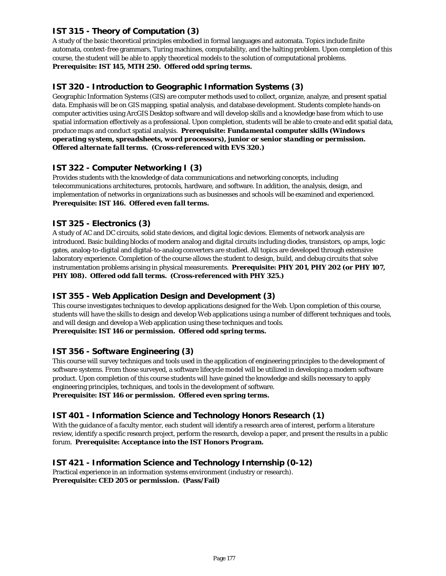# **IST 315 - Theory of Computation (3)**

A study of the basic theoretical principles embodied in formal languages and automata. Topics include finite automata, context-free grammars, Turing machines, computability, and the halting problem. Upon completion of this course, the student will be able to apply theoretical models to the solution of computational problems. *Prerequisite: IST 145, MTH 250. Offered odd spring terms.*

## **IST 320 - Introduction to Geographic Information Systems (3)**

Geographic Information Systems (GIS) are computer methods used to collect, organize, analyze, and present spatial data. Emphasis will be on GIS mapping, spatial analysis, and database development. Students complete hands-on computer activities using ArcGIS Desktop software and will develop skills and a knowledge base from which to use spatial information effectively as a professional. Upon completion, students will be able to create and edit spatial data, produce maps and conduct spatial analysis. *Prerequisite: Fundamental computer skills (Windows operating system, spreadsheets, word processors), junior or senior standing or permission. Offered alternate fall terms.* **(Cross-referenced with EVS 320.)**

## **IST 322 - Computer Networking I (3)**

Provides students with the knowledge of data communications and networking concepts, including telecommunications architectures, protocols, hardware, and software. In addition, the analysis, design, and implementation of networks in organizations such as businesses and schools will be examined and experienced. *Prerequisite: IST 146. Offered even fall terms.*

#### **IST 325 - Electronics (3)**

A study of AC and DC circuits, solid state devices, and digital logic devices. Elements of network analysis are introduced. Basic building blocks of modern analog and digital circuits including diodes, transistors, op amps, logic gates, analog-to-digital and digital-to-analog converters are studied. All topics are developed through extensive laboratory experience. Completion of the course allows the student to design, build, and debug circuits that solve instrumentation problems arising in physical measurements. *Prerequisite: PHY 201, PHY 202 (or PHY 107, PHY 108). Offered odd fall terms. (***Cross-referenced with PHY 325.)**

#### **IST 355 - Web Application Design and Development (3)**

This course investigates techniques to develop applications designed for the Web. Upon completion of this course, students will have the skills to design and develop Web applications using a number of different techniques and tools, and will design and develop a Web application using these techniques and tools.

*Prerequisite: IST 146 or permission. Offered odd spring terms.*

#### **IST 356 - Software Engineering (3)**

This course will survey techniques and tools used in the application of engineering principles to the development of software systems. From those surveyed, a software lifecycle model will be utilized in developing a modern software product. Upon completion of this course students will have gained the knowledge and skills necessary to apply engineering principles, techniques, and tools in the development of software.

*Prerequisite: IST 146 or permission. Offered even spring terms.*

#### **IST 401 - Information Science and Technology Honors Research (1)**

With the guidance of a faculty mentor, each student will identify a research area of interest, perform a literature review, identify a specific research project, perform the research, develop a paper, and present the results in a public forum. *Prerequisite: Acceptance into the IST Honors Program.*

#### **IST 421 - Information Science and Technology Internship (0-12)**

Practical experience in an information systems environment (industry or research). *Prerequisite: CED 205 or permission.* **(Pass/Fail)**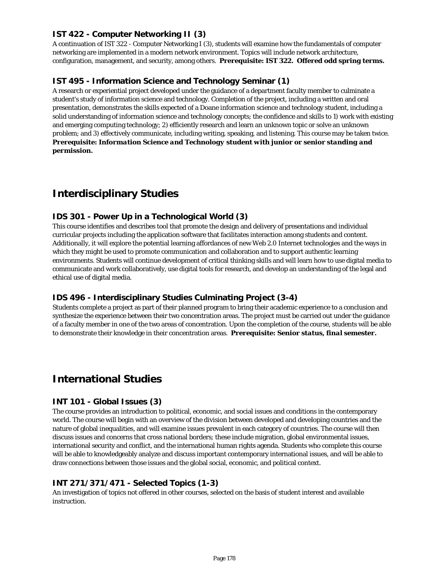### **IST 422 - Computer Networking II (3)**

A continuation of IST 322 - Computer Networking I (3), students will examine how the fundamentals of computer networking are implemented in a modern network environment. Topics will include network architecture, configuration, management, and security, among others. *Prerequisite: IST 322. Offered odd spring terms.*

## **IST 495 - Information Science and Technology Seminar (1)**

A research or experiential project developed under the guidance of a department faculty member to culminate a student's study of information science and technology. Completion of the project, including a written and oral presentation, demonstrates the skills expected of a Doane information science and technology student, including a solid understanding of information science and technology concepts; the confidence and skills to 1) work with existing and emerging computing technology; 2) efficiently research and learn an unknown topic or solve an unknown problem; and 3) effectively communicate, including writing, speaking, and listening. This course may be taken twice. *Prerequisite: Information Science and Technology student with junior or senior standing and permission.*

# **Interdisciplinary Studies**

#### **IDS 301 - Power Up in a Technological World (3)**

This course identifies and describes tool that promote the design and delivery of presentations and individual curricular projects including the application software that facilitates interaction among students and content. Additionally, it will explore the potential learning affordances of new Web 2.0 Internet technologies and the ways in which they might be used to promote communication and collaboration and to support authentic learning environments. Students will continue development of critical thinking skills and will learn how to use digital media to communicate and work collaboratively, use digital tools for research, and develop an understanding of the legal and ethical use of digital media.

#### **IDS 496 - Interdisciplinary Studies Culminating Project (3-4)**

Students complete a project as part of their planned program to bring their academic experience to a conclusion and synthesize the experience between their two concentration areas. The project must be carried out under the guidance of a faculty member in one of the two areas of concentration. Upon the completion of the course, students will be able to demonstrate their knowledge in their concentration areas. *Prerequisite: Senior status, final semester.*

# **International Studies**

#### **INT 101 - Global Issues (3)**

The course provides an introduction to political, economic, and social issues and conditions in the contemporary world. The course will begin with an overview of the division between developed and developing countries and the nature of global inequalities, and will examine issues prevalent in each category of countries. The course will then discuss issues and concerns that cross national borders; these include migration, global environmental issues, international security and conflict, and the international human rights agenda. Students who complete this course will be able to knowledgeably analyze and discuss important contemporary international issues, and will be able to draw connections between those issues and the global social, economic, and political context.

#### **INT 271/371/471 - Selected Topics (1-3)**

An investigation of topics not offered in other courses, selected on the basis of student interest and available instruction.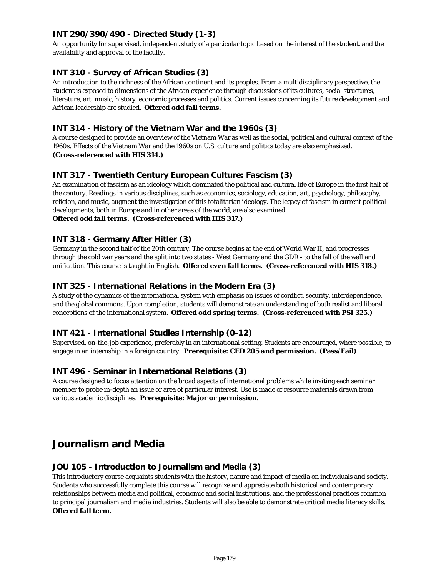#### **INT 290/390/490 - Directed Study (1-3)**

An opportunity for supervised, independent study of a particular topic based on the interest of the student, and the availability and approval of the faculty.

#### **INT 310 - Survey of African Studies (3)**

An introduction to the richness of the African continent and its peoples. From a multidisciplinary perspective, the student is exposed to dimensions of the African experience through discussions of its cultures, social structures, literature, art, music, history, economic processes and politics. Current issues concerning its future development and African leadership are studied. *Offered odd fall terms.*

#### **INT 314 - History of the Vietnam War and the 1960s (3)**

A course designed to provide an overview of the Vietnam War as well as the social, political and cultural context of the 1960s. Effects of the Vietnam War and the 1960s on U.S. culture and politics today are also emphasized. **(Cross-referenced with HIS 314.)**

#### **INT 317 - Twentieth Century European Culture: Fascism (3)**

An examination of fascism as an ideology which dominated the political and cultural life of Europe in the first half of the century. Readings in various disciplines, such as economics, sociology, education, art, psychology, philosophy, religion, and music, augment the investigation of this totalitarian ideology. The legacy of fascism in current political developments, both in Europe and in other areas of the world, are also examined. *Offered odd fall terms.* **(Cross-referenced with HIS 317.)**

#### **INT 318 - Germany After Hitler (3)**

Germany in the second half of the 20th century. The course begins at the end of World War II, and progresses through the cold war years and the split into two states - West Germany and the GDR - to the fall of the wall and unification. This course is taught in English. *Offered even fall terms.* **(Cross-referenced with HIS 318.)**

#### **INT 325 - International Relations in the Modern Era (3)**

A study of the dynamics of the international system with emphasis on issues of conflict, security, interdependence, and the global commons. Upon completion, students will demonstrate an understanding of both realist and liberal conceptions of the international system. *Offered odd spring terms.* **(Cross-referenced with PSI 325.)**

#### **INT 421 - International Studies Internship (0-12)**

Supervised, on-the-job experience, preferably in an international setting. Students are encouraged, where possible, to engage in an internship in a foreign country. *Prerequisite: CED 205 and permission.* **(Pass/Fail)**

#### **INT 496 - Seminar in International Relations (3)**

A course designed to focus attention on the broad aspects of international problems while inviting each seminar member to probe in-depth an issue or area of particular interest. Use is made of resource materials drawn from various academic disciplines. *Prerequisite: Major or permission.*

# **Journalism and Media**

#### **JOU 105 - Introduction to Journalism and Media (3)**

This introductory course acquaints students with the history, nature and impact of media on individuals and society. Students who successfully complete this course will recognize and appreciate both historical and contemporary relationships between media and political, economic and social institutions, and the professional practices common to principal journalism and media industries. Students will also be able to demonstrate critical media literacy skills. *Offered fall term.*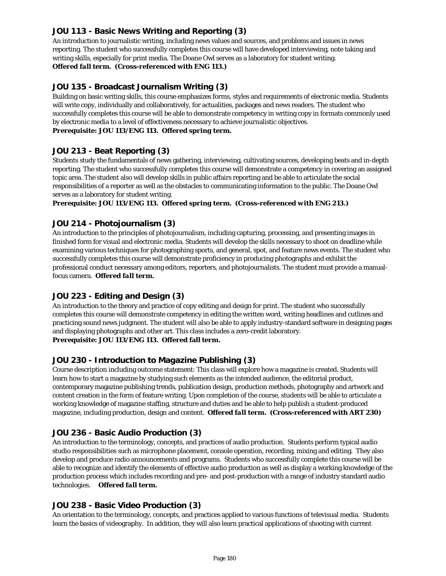# **JOU 113 - Basic News Writing and Reporting (3)**

An introduction to journalistic writing, including news values and sources, and problems and issues in news reporting. The student who successfully completes this course will have developed interviewing, note taking and writing skills, especially for print media. The Doane Owl serves as a laboratory for student writing. *Offered fall term.* **(Cross-referenced with ENG 113.)**

#### **JOU 135 - Broadcast Journalism Writing (3)**

Building on basic writing skills, this course emphasizes forms, styles and requirements of electronic media. Students will write copy, individually and collaboratively, for actualities, packages and news readers. The student who successfully completes this course will be able to demonstrate competency in writing copy in formats commonly used by electronic media to a level of effectiveness necessary to achieve journalistic objectives.

#### *Prerequisite: JOU 113/ENG 113. Offered spring term.*

#### **JOU 213 - Beat Reporting (3)**

Students study the fundamentals of news gathering, interviewing, cultivating sources, developing beats and in-depth reporting. The student who successfully completes this course will demonstrate a competency in covering an assigned topic area. The student also will develop skills in public affairs reporting and be able to articulate the social responsibilities of a reporter as well as the obstacles to communicating information to the public. The Doane Owl serves as a laboratory for student writing.

*Prerequisite: JOU 113/ENG 113. Offered spring term. (Cross-referenced with ENG 213.)*

#### **JOU 214 - Photojournalism (3)**

An introduction to the principles of photojournalism, including capturing, processing, and presenting images in finished form for visual and electronic media. Students will develop the skills necessary to shoot on deadline while examining various techniques for photographing sports, and general, spot, and feature news events. The student who successfully completes this course will demonstrate proficiency in producing photographs and exhibit the professional conduct necessary among editors, reporters, and photojournalists. The student must provide a manualfocus camera. *Offered fall term.*

#### **JOU 223 - Editing and Design (3)**

An introduction to the theory and practice of copy editing and design for print. The student who successfully completes this course will demonstrate competency in editing the written word, writing headlines and cutlines and practicing sound news judgment. The student will also be able to apply industry-standard software in designing pages and displaying photographs and other art. This class includes a zero-credit laboratory. *Prerequisite: JOU 113/ENG 113.* **Offered fall term.**

#### **JOU 230 - Introduction to Magazine Publishing (3)**

Course description including outcome statement: This class will explore how a magazine is created. Students will learn how to start a magazine by studying such elements as the intended audience, the editorial product, contemporary magazine publishing trends, publication design, production methods, photography and artwork and content creation in the form of feature writing. Upon completion of the course, students will be able to articulate a working knowledge of magazine staffing, structure and duties and be able to help publish a student-produced magazine, including production, design and content. *Offered fall term. (***Cross-referenced with ART 230)**

#### **JOU 236 - Basic Audio Production (3)**

An introduction to the terminology, concepts, and practices of audio production. Students perform typical audio studio responsibilities such as microphone placement, console operation, recording, mixing and editing. They also develop and produce radio announcements and programs. Students who successfully complete this course will be able to recognize and identify the elements of effective audio production as well as display a working knowledge of the production process which includes recording and pre- and post-production with a range of industry standard audio technologies. *Offered fall term.*

#### **JOU 238 - Basic Video Production (3)**

An orientation to the terminology, concepts, and practices applied to various functions of televisual media. Students learn the basics of videography. In addition, they will also learn practical applications of shooting with current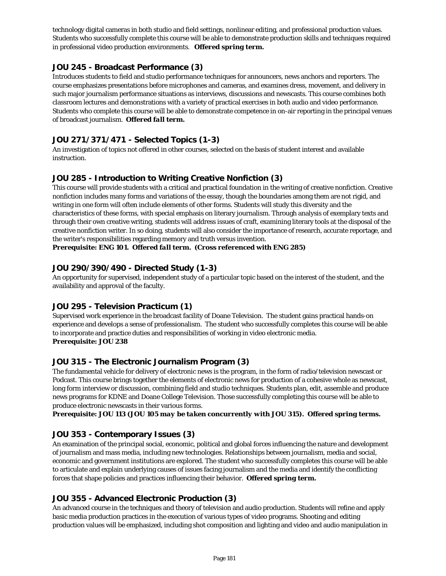technology digital cameras in both studio and field settings, nonlinear editing, and professional production values. Students who successfully complete this course will be able to demonstrate production skills and techniques required in professional video production environments. *Offered spring term.*

## **JOU 245 - Broadcast Performance (3)**

Introduces students to field and studio performance techniques for announcers, news anchors and reporters. The course emphasizes presentations before microphones and cameras, and examines dress, movement, and delivery in such major journalism performance situations as interviews, discussions and newscasts. This course combines both classroom lectures and demonstrations with a variety of practical exercises in both audio and video performance. Students who complete this course will be able to demonstrate competence in on-air reporting in the principal venues of broadcast journalism. *Offered fall term.*

## **JOU 271/371/471 - Selected Topics (1-3)**

An investigation of topics not offered in other courses, selected on the basis of student interest and available instruction.

## **JOU 285 - Introduction to Writing Creative Nonfiction (3)**

This course will provide students with a critical and practical foundation in the writing of creative nonfiction. Creative nonfiction includes many forms and variations of the essay, though the boundaries among them are not rigid, and writing in one form will often include elements of other forms. Students will study this diversity and the characteristics of these forms, with special emphasis on literary journalism. Through analysis of exemplary texts and through their own creative writing, students will address issues of craft, examining literary tools at the disposal of the creative nonfiction writer. In so doing, students will also consider the importance of research, accurate reportage, and the writer's responsibilities regarding memory and truth versus invention.

#### *Prerequisite: ENG 101. Offered fall term.* **(Cross referenced with ENG 285)**

### **JOU 290/390/490 - Directed Study (1-3)**

An opportunity for supervised, independent study of a particular topic based on the interest of the student, and the availability and approval of the faculty.

## **JOU 295 - Television Practicum (1)**

Supervised work experience in the broadcast facility of Doane Television. The student gains practical hands-on experience and develops a sense of professionalism. The student who successfully completes this course will be able to incorporate and practice duties and responsibilities of working in video electronic media. *Prerequisite: JOU 238* 

#### **JOU 315 - The Electronic Journalism Program (3)**

The fundamental vehicle for delivery of electronic news is the program, in the form of radio/television newscast or Podcast. This course brings together the elements of electronic news for production of a cohesive whole as newscast, long form interview or discussion, combining field and studio techniques. Students plan, edit, assemble and produce news programs for KDNE and Doane College Television. Those successfully completing this course will be able to produce electronic newscasts in their various forms.

*Prerequisite: JOU 113 (JOU 105 may be taken concurrently with JOU 315). Offered spring terms.*

#### **JOU 353 - Contemporary Issues (3)**

An examination of the principal social, economic, political and global forces influencing the nature and development of journalism and mass media, including new technologies. Relationships between journalism, media and social, economic and government institutions are explored. The student who successfully completes this course will be able to articulate and explain underlying causes of issues facing journalism and the media and identify the conflicting forces that shape policies and practices influencing their behavior. *Offered spring term.*

## **JOU 355 - Advanced Electronic Production (3)**

An advanced course in the techniques and theory of television and audio production. Students will refine and apply basic media production practices in the execution of various types of video programs. Shooting and editing production values will be emphasized, including shot composition and lighting and video and audio manipulation in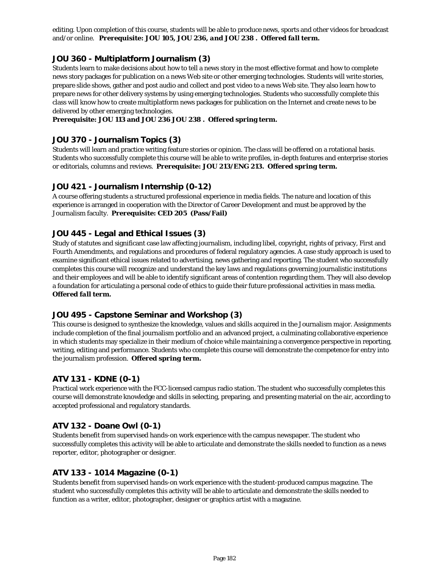editing. Upon completion of this course, students will be able to produce news, sports and other videos for broadcast and/or online. *Prerequisite: JOU 105, JOU 236, and JOU 238 . Offered fall term.*

### **JOU 360 - Multiplatform Journalism (3)**

Students learn to make decisions about how to tell a news story in the most effective format and how to complete news story packages for publication on a news Web site or other emerging technologies. Students will write stories, prepare slide shows, gather and post audio and collect and post video to a news Web site. They also learn how to prepare news for other delivery systems by using emerging technologies. Students who successfully complete this class will know how to create multiplatform news packages for publication on the Internet and create news to be delivered by other emerging technologies.

**Prerequisite: JOU 113 and JOU 236 JOU 238 . Offered spring term.**

## **JOU 370 - Journalism Topics (3)**

Students will learn and practice writing feature stories or opinion. The class will be offered on a rotational basis. Students who successfully complete this course will be able to write profiles, in-depth features and enterprise stories or editorials, columns and reviews. *Prerequisite: JOU 213/ENG 213. Offered spring term.*

#### **JOU 421 - Journalism Internship (0-12)**

A course offering students a structured professional experience in media fields. The nature and location of this experience is arranged in cooperation with the Director of Career Development and must be approved by the Journalism faculty. *Prerequisite: CED 205* **(Pass/Fail)**

### **JOU 445 - Legal and Ethical Issues (3)**

Study of statutes and significant case law affecting journalism, including libel, copyright, rights of privacy, First and Fourth Amendments, and regulations and procedures of federal regulatory agencies. A case study approach is used to examine significant ethical issues related to advertising, news gathering and reporting. The student who successfully completes this course will recognize and understand the key laws and regulations governing journalistic institutions and their employees and will be able to identify significant areas of contention regarding them. They will also develop a foundation for articulating a personal code of ethics to guide their future professional activities in mass media. *Offered fall term.*

#### **JOU 495 - Capstone Seminar and Workshop (3)**

This course is designed to synthesize the knowledge, values and skills acquired in the Journalism major. Assignments include completion of the final journalism portfolio and an advanced project, a culminating collaborative experience in which students may specialize in their medium of choice while maintaining a convergence perspective in reporting, writing, editing and performance. Students who complete this course will demonstrate the competence for entry into the journalism profession. *Offered spring term.*

#### **ATV 131 - KDNE (0-1)**

Practical work experience with the FCC-licensed campus radio station. The student who successfully completes this course will demonstrate knowledge and skills in selecting, preparing, and presenting material on the air, according to accepted professional and regulatory standards.

#### **ATV 132 - Doane Owl (0-1)**

Students benefit from supervised hands-on work experience with the campus newspaper. The student who successfully completes this activity will be able to articulate and demonstrate the skills needed to function as a news reporter, editor, photographer or designer.

#### **ATV 133 - 1014 Magazine (0-1)**

Students benefit from supervised hands-on work experience with the student-produced campus magazine. The student who successfully completes this activity will be able to articulate and demonstrate the skills needed to function as a writer, editor, photographer, designer or graphics artist with a magazine.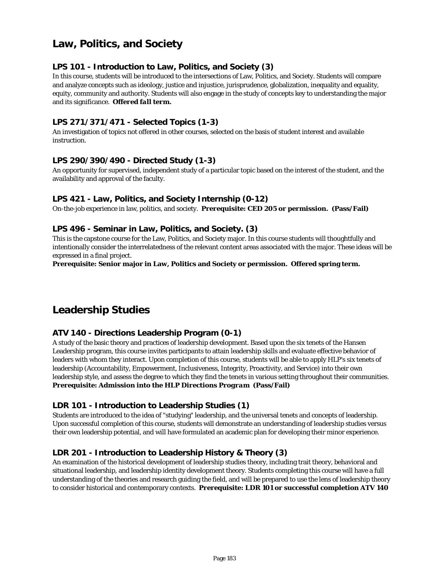## **Law, Politics, and Society**

#### **LPS 101 - Introduction to Law, Politics, and Society (3)**

In this course, students will be introduced to the intersections of Law, Politics, and Society. Students will compare and analyze concepts such as ideology, justice and injustice, jurisprudence, globalization, inequality and equality, equity, community and authority. Students will also engage in the study of concepts key to understanding the major and its significance. *Offered fall term.*

#### **LPS 271/371/471 - Selected Topics (1-3)**

An investigation of topics not offered in other courses, selected on the basis of student interest and available instruction.

#### **LPS 290/390/490 - Directed Study (1-3)**

An opportunity for supervised, independent study of a particular topic based on the interest of the student, and the availability and approval of the faculty.

#### **LPS 421 - Law, Politics, and Society Internship (0-12)**

On-the-job experience in law, politics, and society. *Prerequisite: CED 205 or permission.* **(Pass/Fail)**

#### **LPS 496 - Seminar in Law, Politics, and Society. (3)**

This is the capstone course for the Law, Politics, and Society major. In this course students will thoughtfully and intentionally consider the interrelatedness of the relevant content areas associated with the major. These ideas will be expressed in a final project.

**Prerequisite: Senior major in Law, Politics and Society or permission. Offered spring term.**

## **Leadership Studies**

#### **ATV 140 - Directions Leadership Program (0-1)**

A study of the basic theory and practices of leadership development. Based upon the six tenets of the Hansen Leadership program, this course invites participants to attain leadership skills and evaluate effective behavior of leaders with whom they interact. Upon completion of this course, students will be able to apply HLP's six tenets of leadership (Accountability, Empowerment, Inclusiveness, Integrity, Proactivity, and Service) into their own leadership style, and assess the degree to which they find the tenets in various setting throughout their communities. *Prerequisite: Admission into the HLP Directions Program* **(Pass/Fail)**

#### **LDR 101 - Introduction to Leadership Studies (1)**

Students are introduced to the idea of "studying" leadership, and the universal tenets and concepts of leadership. Upon successful completion of this course, students will demonstrate an understanding of leadership studies versus their own leadership potential, and will have formulated an academic plan for developing their minor experience.

## **LDR 201 - Introduction to Leadership History & Theory (3)**

An examination of the historical development of leadership studies theory, including trait theory, behavioral and situational leadership, and leadership identity development theory. Students completing this course will have a full understanding of the theories and research guiding the field, and will be prepared to use the lens of leadership theory to consider historical and contemporary contexts. *Prerequisite: LDR 101 or successful completion ATV 140*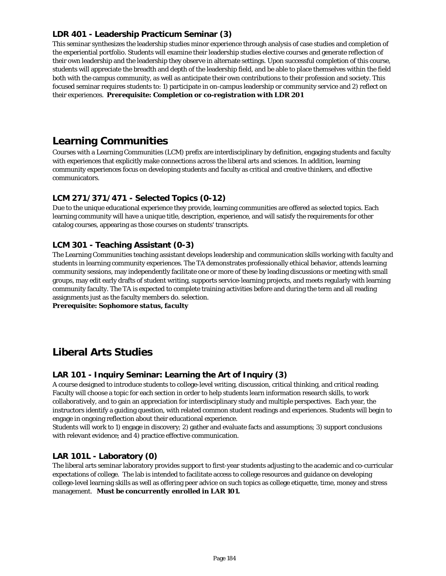## **LDR 401 - Leadership Practicum Seminar (3)**

This seminar synthesizes the leadership studies minor experience through analysis of case studies and completion of the experiential portfolio. Students will examine their leadership studies elective courses and generate reflection of their own leadership and the leadership they observe in alternate settings. Upon successful completion of this course, students will appreciate the breadth and depth of the leadership field, and be able to place themselves within the field both with the campus community, as well as anticipate their own contributions to their profession and society. This focused seminar requires students to: 1) participate in on-campus leadership or community service and 2) reflect on their experiences. *Prerequisite: Completion or co-registration with LDR 201* 

## **Learning Communities**

Courses with a Learning Communities (LCM) prefix are interdisciplinary by definition, engaging students and faculty with experiences that explicitly make connections across the liberal arts and sciences. In addition, learning community experiences focus on developing students and faculty as critical and creative thinkers, and effective communicators.

### **LCM 271/371/471 - Selected Topics (0-12)**

Due to the unique educational experience they provide, learning communities are offered as selected topics. Each learning community will have a unique title, description, experience, and will satisfy the requirements for other catalog courses, appearing as those courses on students' transcripts.

### **LCM 301 - Teaching Assistant (0-3)**

The Learning Communities teaching assistant develops leadership and communication skills working with faculty and students in learning community experiences. The TA demonstrates professionally ethical behavior, attends learning community sessions, may independently facilitate one or more of these by leading discussions or meeting with small groups, may edit early drafts of student writing, supports service-learning projects, and meets regularly with learning community faculty. The TA is expected to complete training activities before and during the term and all reading assignments just as the faculty members do. selection.

*Prerequisite: Sophomore status, faculty*

## **Liberal Arts Studies**

#### **LAR 101 - Inquiry Seminar: Learning the Art of Inquiry (3)**

A course designed to introduce students to college-level writing, discussion, critical thinking, and critical reading. Faculty will choose a topic for each section in order to help students learn information research skills, to work collaboratively, and to gain an appreciation for interdisciplinary study and multiple perspectives. Each year, the instructors identify a guiding question, with related common student readings and experiences. Students will begin to engage in ongoing reflection about their educational experience.

Students will work to 1) engage in discovery; 2) gather and evaluate facts and assumptions; 3) support conclusions with relevant evidence; and 4) practice effective communication.

#### **LAR 101L - Laboratory (0)**

The liberal arts seminar laboratory provides support to first-year students adjusting to the academic and co-curricular expectations of college. The lab is intended to facilitate access to college resources and guidance on developing college-level learning skills as well as offering peer advice on such topics as college etiquette, time, money and stress management. *Must be concurrently enrolled in LAR 101.*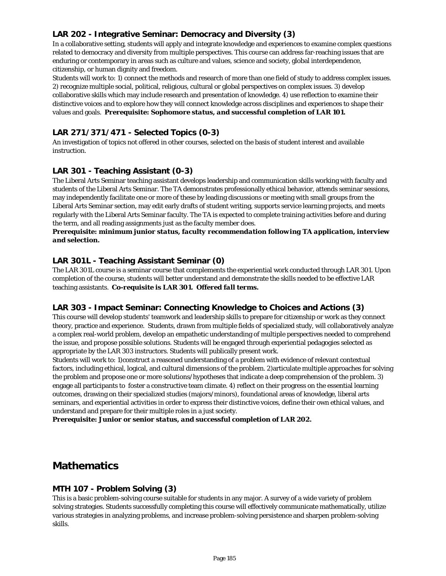## **LAR 202 - Integrative Seminar: Democracy and Diversity (3)**

In a collaborative setting, students will apply and integrate knowledge and experiences to examine complex questions related to democracy and diversity from multiple perspectives. This course can address far-reaching issues that are enduring or contemporary in areas such as culture and values, science and society, global interdependence, citizenship, or human dignity and freedom.

Students will work to: 1) connect the methods and research of more than one field of study to address complex issues. 2) recognize multiple social, political, religious, cultural or global perspectives on complex issues. 3) develop collaborative skills which may include research and presentation of knowledge. 4) use reflection to examine their distinctive voices and to explore how they will connect knowledge across disciplines and experiences to shape their values and goals. *Prerequisite: Sophomore status, and successful completion of LAR 101.*

### **LAR 271/371/471 - Selected Topics (0-3)**

An investigation of topics not offered in other courses, selected on the basis of student interest and available instruction.

### **LAR 301 - Teaching Assistant (0-3)**

The Liberal Arts Seminar teaching assistant develops leadership and communication skills working with faculty and students of the Liberal Arts Seminar. The TA demonstrates professionally ethical behavior, attends seminar sessions, may independently facilitate one or more of these by leading discussions or meeting with small groups from the Liberal Arts Seminar section, may edit early drafts of student writing, supports service learning projects, and meets regularly with the Liberal Arts Seminar faculty. The TA is expected to complete training activities before and during the term, and all reading assignments just as the faculty member does.

#### *Prerequisite: minimum junior status, faculty recommendation following TA application, interview and selection.*

### **LAR 301L - Teaching Assistant Seminar (0)**

The LAR 301L course is a seminar course that complements the experiential work conducted through LAR 301. Upon completion of the course, students will better understand and demonstrate the skills needed to be effective LAR teaching assistants. *Co-requisite is LAR 301. Offered fall terms.*

#### **LAR 303 - Impact Seminar: Connecting Knowledge to Choices and Actions (3)**

This course will develop students' teamwork and leadership skills to prepare for citizenship or work as they connect theory, practice and experience. Students, drawn from multiple fields of specialized study, will collaboratively analyze a complex real-world problem, develop an empathetic understanding of multiple perspectives needed to comprehend the issue, and propose possible solutions. Students will be engaged through experiential pedagogies selected as appropriate by the LAR 303 instructors. Students will publically present work.

Students will work to: 1)construct a reasoned understanding of a problem with evidence of relevant contextual factors, including ethical, logical, and cultural dimensions of the problem. 2)articulate multiple approaches for solving the problem and propose one or more solutions/hypotheses that indicate a deep comprehension of the problem. 3) engage all participants to foster a constructive team climate. 4) reflect on their progress on the essential learning outcomes, drawing on their specialized studies (majors/minors), foundational areas of knowledge, liberal arts seminars, and experiential activities in order to express their distinctive voices, define their own ethical values, and understand and prepare for their multiple roles in a just society.

*Prerequisite: Junior or senior status, and successful completion of LAR 202.*

## **Mathematics**

#### **MTH 107 - Problem Solving (3)**

This is a basic problem-solving course suitable for students in any major. A survey of a wide variety of problem solving strategies. Students successfully completing this course will effectively communicate mathematically, utilize various strategies in analyzing problems, and increase problem-solving persistence and sharpen problem-solving skills.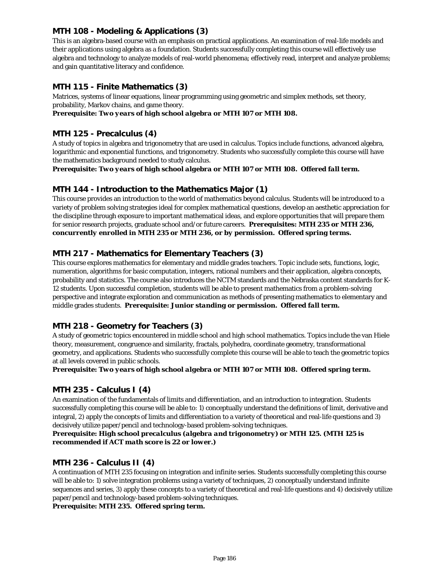## **MTH 108 - Modeling & Applications (3)**

This is an algebra-based course with an emphasis on practical applications. An examination of real-life models and their applications using algebra as a foundation. Students successfully completing this course will effectively use algebra and technology to analyze models of real-world phenomena; effectively read, interpret and analyze problems; and gain quantitative literacy and confidence.

## **MTH 115 - Finite Mathematics (3)**

Matrices, systems of linear equations, linear programming using geometric and simplex methods, set theory, probability, Markov chains, and game theory.

*Prerequisite: Two years of high school algebra or MTH 107 or MTH 108.*

## **MTH 125 - Precalculus (4)**

A study of topics in algebra and trigonometry that are used in calculus. Topics include functions, advanced algebra, logarithmic and exponential functions, and trigonometry. Students who successfully complete this course will have the mathematics background needed to study calculus.

*Prerequisite: Two years of high school algebra or MTH 107 or MTH 108. Offered fall term.*

## **MTH 144 - Introduction to the Mathematics Major (1)**

This course provides an introduction to the world of mathematics beyond calculus. Students will be introduced to a variety of problem solving strategies ideal for complex mathematical questions, develop an aesthetic appreciation for the discipline through exposure to important mathematical ideas, and explore opportunities that will prepare them for senior research projects, graduate school and/or future careers. *Prerequisites: MTH 235 or MTH 236, concurrently enrolled in MTH 235 or MTH 236, or by permission. Offered spring terms.*

## **MTH 217 - Mathematics for Elementary Teachers (3)**

This course explores mathematics for elementary and middle grades teachers. Topic include sets, functions, logic, numeration, algorithms for basic computation, integers, rational numbers and their application, algebra concepts, probability and statistics. The course also introduces the NCTM standards and the Nebraska content standards for K-12 students. Upon successful completion, students will be able to present mathematics from a problem-solving perspective and integrate exploration and communication as methods of presenting mathematics to elementary and middle grades students. *Prerequisite: Junior standing or permission. Offered fall term.*

## **MTH 218 - Geometry for Teachers (3)**

A study of geometric topics encountered in middle school and high school mathematics. Topics include the van Hiele theory, measurement, congruence and similarity, fractals, polyhedra, coordinate geometry, transformational geometry, and applications. Students who successfully complete this course will be able to teach the geometric topics at all levels covered in public schools.

#### *Prerequisite: Two years of high school algebra or MTH 107 or MTH 108. Offered spring term.*

## **MTH 235 - Calculus I (4)**

An examination of the fundamentals of limits and differentiation, and an introduction to integration. Students successfully completing this course will be able to: 1) conceptually understand the definitions of limit, derivative and integral, 2) apply the concepts of limits and differentiation to a variety of theoretical and real-life questions and 3) decisively utilize paper/pencil and technology-based problem-solving techniques.

#### *Prerequisite: High school precalculus (algebra and trigonometry) or MTH 125. (MTH 125 is recommended if ACT math score is 22 or lower.)*

## **MTH 236 - Calculus II (4)**

A continuation of MTH 235 focusing on integration and infinite series. Students successfully completing this course will be able to: 1) solve integration problems using a variety of techniques, 2) conceptually understand infinite sequences and series, 3) apply these concepts to a variety of theoretical and real-life questions and 4) decisively utilize paper/pencil and technology-based problem-solving techniques.

*Prerequisite: MTH 235. Offered spring term.*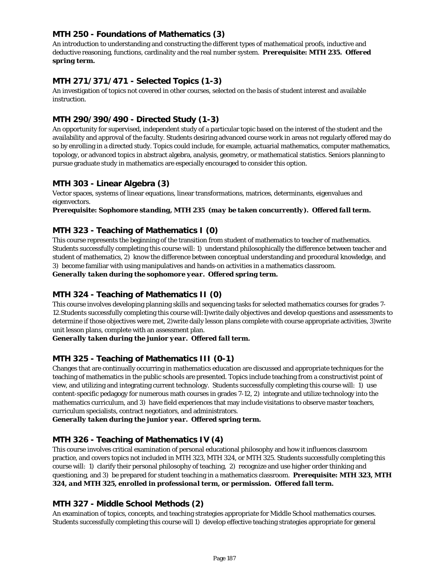## **MTH 250 - Foundations of Mathematics (3)**

An introduction to understanding and constructing the different types of mathematical proofs, inductive and deductive reasoning, functions, cardinality and the real number system. *Prerequisite: MTH 235. Offered spring term.*

## **MTH 271/371/471 - Selected Topics (1-3)**

An investigation of topics not covered in other courses, selected on the basis of student interest and available instruction.

## **MTH 290/390/490 - Directed Study (1-3)**

An opportunity for supervised, independent study of a particular topic based on the interest of the student and the availability and approval of the faculty. Students desiring advanced course work in areas not regularly offered may do so by enrolling in a directed study. Topics could include, for example, actuarial mathematics, computer mathematics, topology, or advanced topics in abstract algebra, analysis, geometry, or mathematical statistics. Seniors planning to pursue graduate study in mathematics are especially encouraged to consider this option.

### **MTH 303 - Linear Algebra (3)**

Vector spaces, systems of linear equations, linear transformations, matrices, determinants, eigenvalues and eigenvectors.

*Prerequisite: Sophomore standing, MTH 235 (may be taken concurrently). Offered fall term.*

### **MTH 323 - Teaching of Mathematics I (0)**

This course represents the beginning of the transition from student of mathematics to teacher of mathematics. Students successfully completing this course will: 1) understand philosophically the difference between teacher and student of mathematics, 2) know the difference between conceptual understanding and procedural knowledge, and 3) become familiar with using manipulatives and hands-on activities in a mathematics classroom.

*Generally taken during the sophomore year. Offered spring term.*

## **MTH 324 - Teaching of Mathematics II (0)**

This course involves developing planning skills and sequencing tasks for selected mathematics courses for grades 7- 12.Students successfully completing this course will:1)write daily objectives and develop questions and assessments to determine if those objectives were met, 2)write daily lesson plans complete with course appropriate activities, 3)write unit lesson plans, complete with an assessment plan.

#### *Generally taken during the junior year. Offered fall term.*

#### **MTH 325 - Teaching of Mathematics III (0-1)**

Changes that are continually occurring in mathematics education are discussed and appropriate techniques for the teaching of mathematics in the public schools are presented. Topics include teaching from a constructivist point of view, and utilizing and integrating current technology. Students successfully completing this course will: 1) use content-specific pedagogy for numerous math courses in grades 7-12, 2) integrate and utilize technology into the mathematics curriculum, and 3) have field experiences that may include visitations to observe master teachers, curriculum specialists, contract negotiators, and administrators.

*Generally taken during the junior year. Offered spring term.*

## **MTH 326 - Teaching of Mathematics IV (4)**

This course involves critical examination of personal educational philosophy and how it influences classroom practice, and covers topics not included in MTH 323, MTH 324, or MTH 325. Students successfully completing this course will: 1) clarify their personal philosophy of teaching, 2) recognize and use higher order thinking and questioning, and 3) be prepared for student teaching in a mathematics classroom. *Prerequisite: MTH 323, MTH 324, and MTH 325, enrolled in professional term, or permission. Offered fall term.*

## **MTH 327 - Middle School Methods (2)**

An examination of topics, concepts, and teaching strategies appropriate for Middle School mathematics courses. Students successfully completing this course will 1) develop effective teaching strategies appropriate for general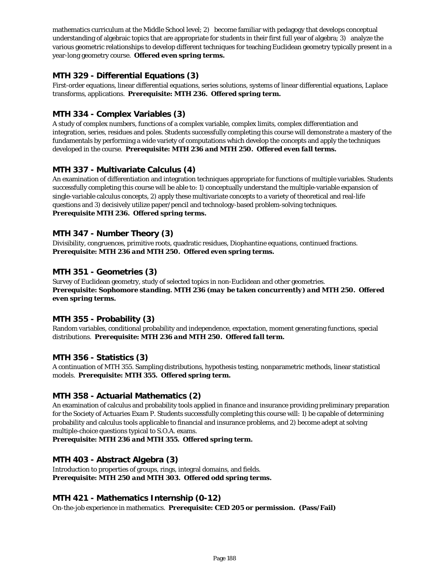mathematics curriculum at the Middle School level; 2) become familiar with pedagogy that develops conceptual understanding of algebraic topics that are appropriate for students in their first full year of algebra; 3) analyze the various geometric relationships to develop different techniques for teaching Euclidean geometry typically present in a year-long geometry course. *Offered even spring terms.*

## **MTH 329 - Differential Equations (3)**

First-order equations, linear differential equations, series solutions, systems of linear differential equations, Laplace transforms, applications. *Prerequisite: MTH 236. Offered spring term.*

## **MTH 334 - Complex Variables (3)**

A study of complex numbers, functions of a complex variable, complex limits, complex differentiation and integration, series, residues and poles. Students successfully completing this course will demonstrate a mastery of the fundamentals by performing a wide variety of computations which develop the concepts and apply the techniques developed in the course. *Prerequisite: MTH 236 and MTH 250. Offered even fall terms.*

### **MTH 337 - Multivariate Calculus (4)**

An examination of differentiation and integration techniques appropriate for functions of multiple variables. Students successfully completing this course will be able to: 1) conceptually understand the multiple-variable expansion of single-variable calculus concepts, 2) apply these multivariate concepts to a variety of theoretical and real-life questions and 3) decisively utilize paper/pencil and technology-based problem-solving techniques. *Prerequisite MTH 236. Offered spring terms.*

#### **MTH 347 - Number Theory (3)**

Divisibility, congruences, primitive roots, quadratic residues, Diophantine equations, continued fractions. *Prerequisite: MTH 236 and MTH 250. Offered even spring terms.*

### **MTH 351 - Geometries (3)**

Survey of Euclidean geometry, study of selected topics in non-Euclidean and other geometries. *Prerequisite: Sophomore standing. MTH 236 (may be taken concurrently) and MTH 250. Offered even spring terms.*

#### **MTH 355 - Probability (3)**

Random variables, conditional probability and independence, expectation, moment generating functions, special distributions. *Prerequisite: MTH 236 and MTH 250. Offered fall term.*

#### **MTH 356 - Statistics (3)**

A continuation of MTH 355. Sampling distributions, hypothesis testing, nonparametric methods, linear statistical models. *Prerequisite: MTH 355. Offered spring term.*

#### **MTH 358 - Actuarial Mathematics (2)**

An examination of calculus and probability tools applied in finance and insurance providing preliminary preparation for the Society of Actuaries Exam P. Students successfully completing this course will: 1) be capable of determining probability and calculus tools applicable to financial and insurance problems, and 2) become adept at solving multiple-choice questions typical to S.O.A. exams.

*Prerequisite: MTH 236 and MTH 355. Offered spring term.*

#### **MTH 403 - Abstract Algebra (3)**

Introduction to properties of groups, rings, integral domains, and fields. *Prerequisite: MTH 250 and MTH 303. Offered odd spring terms.*

**MTH 421 - Mathematics Internship (0-12)** 

On-the-job experience in mathematics. *Prerequisite: CED 205 or permission.* **(Pass/Fail)**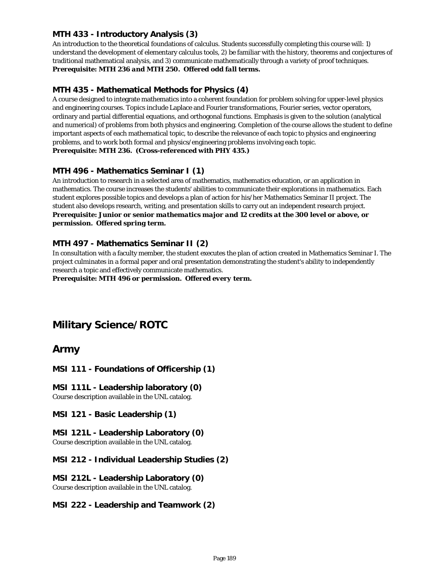## **MTH 433 - Introductory Analysis (3)**

An introduction to the theoretical foundations of calculus. Students successfully completing this course will: 1) understand the development of elementary calculus tools, 2) be familiar with the history, theorems and conjectures of traditional mathematical analysis, and 3) communicate mathematically through a variety of proof techniques. *Prerequisite: MTH 236 and MTH 250. Offered odd fall terms.*

## **MTH 435 - Mathematical Methods for Physics (4)**

A course designed to integrate mathematics into a coherent foundation for problem solving for upper-level physics and engineering courses. Topics include Laplace and Fourier transformations, Fourier series, vector operators, ordinary and partial differential equations, and orthogonal functions. Emphasis is given to the solution (analytical and numerical) of problems from both physics and engineering. Completion of the course allows the student to define important aspects of each mathematical topic, to describe the relevance of each topic to physics and engineering problems, and to work both formal and physics/engineering problems involving each topic. *Prerequisite: MTH 236***. (Cross-referenced with PHY 435.)**

### **MTH 496 - Mathematics Seminar I (1)**

An introduction to research in a selected area of mathematics, mathematics education, or an application in mathematics. The course increases the students' abilities to communicate their explorations in mathematics. Each student explores possible topics and develops a plan of action for his/her Mathematics Seminar II project. The student also develops research, writing, and presentation skills to carry out an independent research project. *Prerequisite: Junior or senior mathematics major and 12 credits at the 300 level or above, or permission. Offered spring term.*

### **MTH 497 - Mathematics Seminar II (2)**

In consultation with a faculty member, the student executes the plan of action created in Mathematics Seminar I. The project culminates in a formal paper and oral presentation demonstrating the student's ability to independently research a topic and effectively communicate mathematics.

*Prerequisite: MTH 496 or permission. Offered every term.*

## **Military Science/ROTC**

## **Army**

**MSI 111 - Foundations of Officership (1)** 

## **MSI 111L - Leadership laboratory (0)**

Course description available in the UNL catalog.

**MSI 121 - Basic Leadership (1)** 

## **MSI 121L - Leadership Laboratory (0)**

Course description available in the UNL catalog.

## **MSI 212 - Individual Leadership Studies (2)**

## **MSI 212L - Leadership Laboratory (0)**

Course description available in the UNL catalog.

#### **MSI 222 - Leadership and Teamwork (2)**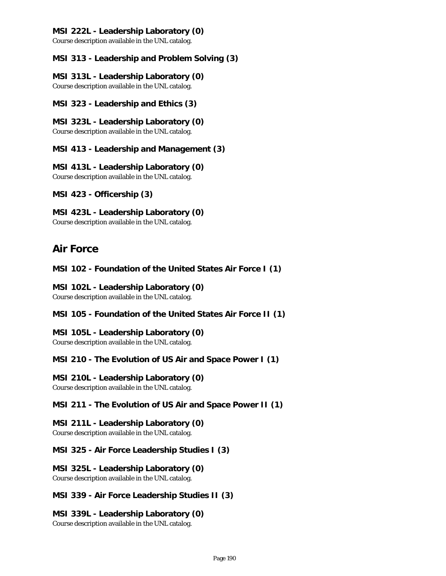### **MSI 222L - Leadership Laboratory (0)**

Course description available in the UNL catalog.

## **MSI 313 - Leadership and Problem Solving (3)**

**MSI 313L - Leadership Laboratory (0)**  Course description available in the UNL catalog.

**MSI 323 - Leadership and Ethics (3)** 

**MSI 323L - Leadership Laboratory (0)**  Course description available in the UNL catalog.

**MSI 413 - Leadership and Management (3)** 

**MSI 413L - Leadership Laboratory (0)**  Course description available in the UNL catalog.

**MSI 423 - Officership (3)** 

**MSI 423L - Leadership Laboratory (0)**  Course description available in the UNL catalog.

## **Air Force**

**MSI 102 - Foundation of the United States Air Force I (1)** 

**MSI 102L - Leadership Laboratory (0)**  Course description available in the UNL catalog.

**MSI 105 - Foundation of the United States Air Force II (1)** 

**MSI 105L - Leadership Laboratory (0)**  Course description available in the UNL catalog.

**MSI 210 - The Evolution of US Air and Space Power I (1)** 

**MSI 210L - Leadership Laboratory (0)**  Course description available in the UNL catalog.

**MSI 211 - The Evolution of US Air and Space Power II (1)** 

**MSI 211L - Leadership Laboratory (0)**  Course description available in the UNL catalog.

**MSI 325 - Air Force Leadership Studies I (3)** 

**MSI 325L - Leadership Laboratory (0)**  Course description available in the UNL catalog.

**MSI 339 - Air Force Leadership Studies II (3)** 

**MSI 339L - Leadership Laboratory (0)**  Course description available in the UNL catalog.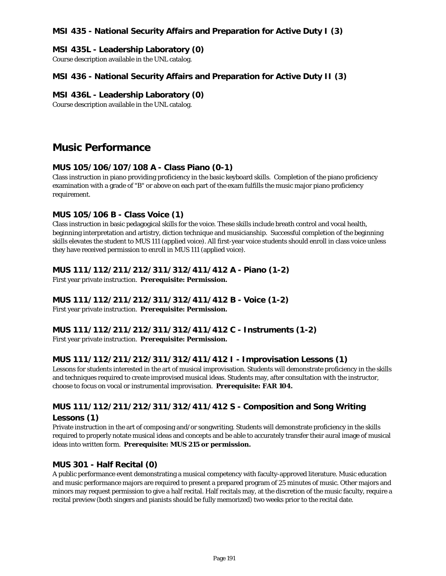## **MSI 435 - National Security Affairs and Preparation for Active Duty I (3)**

#### **MSI 435L - Leadership Laboratory (0)**

Course description available in the UNL catalog.

## **MSI 436 - National Security Affairs and Preparation for Active Duty II (3)**

#### **MSI 436L - Leadership Laboratory (0)**

Course description available in the UNL catalog.

## **Music Performance**

## **MUS 105/106/107/108 A - Class Piano (0-1)**

Class instruction in piano providing proficiency in the basic keyboard skills. Completion of the piano proficiency examination with a grade of "B" or above on each part of the exam fulfills the music major piano proficiency requirement.

### **MUS 105/106 B - Class Voice (1)**

Class instruction in basic pedagogical skills for the voice. These skills include breath control and vocal health, beginning interpretation and artistry, diction technique and musicianship. Successful completion of the beginning skills elevates the student to MUS 111 (applied voice). All first-year voice students should enroll in class voice unless they have received permission to enroll in MUS 111 (applied voice).

## **MUS 111/112/211/212/311/312/411/412 A - Piano (1-2)**

First year private instruction. *Prerequisite: Permission.*

**MUS 111/112/211/212/311/312/411/412 B - Voice (1-2)**  First year private instruction. *Prerequisite: Permission.*

**MUS 111/112/211/212/311/312/411/412 C - Instruments (1-2)**  First year private instruction. *Prerequisite: Permission.*

## **MUS 111/112/211/212/311/312/411/412 I - Improvisation Lessons (1)**

Lessons for students interested in the art of musical improvisation. Students will demonstrate proficiency in the skills and techniques required to create improvised musical ideas. Students may, after consultation with the instructor, choose to focus on vocal or instrumental improvisation. *Prerequisite: FAR 104.*

# **MUS 111/112/211/212/311/312/411/412 S - Composition and Song Writing**

### **Lessons (1)**

Private instruction in the art of composing and/or songwriting. Students will demonstrate proficiency in the skills required to properly notate musical ideas and concepts and be able to accurately transfer their aural image of musical ideas into written form. *Prerequisite: MUS 215 or permission.*

#### **MUS 301 - Half Recital (0)**

A public performance event demonstrating a musical competency with faculty-approved literature. Music education and music performance majors are required to present a prepared program of 25 minutes of music. Other majors and minors may request permission to give a half recital. Half recitals may, at the discretion of the music faculty, require a recital preview (both singers and pianists should be fully memorized) two weeks prior to the recital date.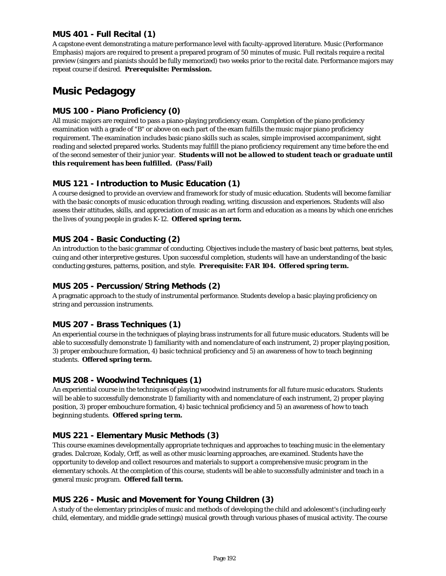## **MUS 401 - Full Recital (1)**

A capstone event demonstrating a mature performance level with faculty-approved literature. Music (Performance Emphasis) majors are required to present a prepared program of 50 minutes of music. Full recitals require a recital preview (singers and pianists should be fully memorized) two weeks prior to the recital date. Performance majors may repeat course if desired. *Prerequisite: Permission.*

## **Music Pedagogy**

## **MUS 100 - Piano Proficiency (0)**

All music majors are required to pass a piano-playing proficiency exam. Completion of the piano proficiency examination with a grade of "B" or above on each part of the exam fulfills the music major piano proficiency requirement. The examination includes basic piano skills such as scales, simple improvised accompaniment, sight reading and selected prepared works. Students may fulfill the piano proficiency requirement any time before the end of the second semester of their junior year. *Students will not be allowed to student teach or graduate until this requirement has been fulfilled.* **(Pass/Fail)**

## **MUS 121 - Introduction to Music Education (1)**

A course designed to provide an overview and framework for study of music education. Students will become familiar with the basic concepts of music education through reading, writing, discussion and experiences. Students will also assess their attitudes, skills, and appreciation of music as an art form and education as a means by which one enriches the lives of young people in grades K-12. *Offered spring term.*

### **MUS 204 - Basic Conducting (2)**

An introduction to the basic grammar of conducting. Objectives include the mastery of basic beat patterns, beat styles, cuing and other interpretive gestures. Upon successful completion, students will have an understanding of the basic conducting gestures, patterns, position, and style. *Prerequisite: FAR 104. Offered spring term.*

#### **MUS 205 - Percussion/String Methods (2)**

A pragmatic approach to the study of instrumental performance. Students develop a basic playing proficiency on string and percussion instruments.

## **MUS 207 - Brass Techniques (1)**

An experiential course in the techniques of playing brass instruments for all future music educators. Students will be able to successfully demonstrate 1) familiarity with and nomenclature of each instrument, 2) proper playing position, 3) proper embouchure formation, 4) basic technical proficiency and 5) an awareness of how to teach beginning students. *Offered spring term.*

#### **MUS 208 - Woodwind Techniques (1)**

An experiential course in the techniques of playing woodwind instruments for all future music educators. Students will be able to successfully demonstrate 1) familiarity with and nomenclature of each instrument, 2) proper playing position, 3) proper embouchure formation, 4) basic technical proficiency and 5) an awareness of how to teach beginning students. *Offered spring term.*

## **MUS 221 - Elementary Music Methods (3)**

This course examines developmentally appropriate techniques and approaches to teaching music in the elementary grades. Dalcroze, Kodaly, Orff, as well as other music learning approaches, are examined. Students have the opportunity to develop and collect resources and materials to support a comprehensive music program in the elementary schools. At the completion of this course, students will be able to successfully administer and teach in a general music program. *Offered fall term.*

## **MUS 226 - Music and Movement for Young Children (3)**

A study of the elementary principles of music and methods of developing the child and adolescent's (including early child, elementary, and middle grade settings) musical growth through various phases of musical activity. The course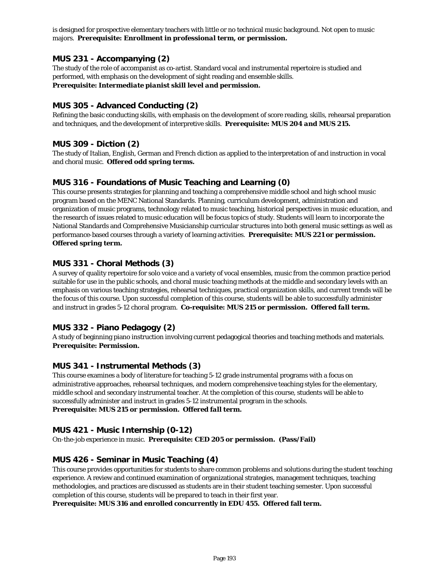is designed for prospective elementary teachers with little or no technical music background. Not open to music majors. *Prerequisite: Enrollment in professional term, or permission.*

### **MUS 231 - Accompanying (2)**

The study of the role of accompanist as co-artist. Standard vocal and instrumental repertoire is studied and performed, with emphasis on the development of sight reading and ensemble skills. *Prerequisite: Intermediate pianist skill level and permission.*

#### **MUS 305 - Advanced Conducting (2)**

Refining the basic conducting skills, with emphasis on the development of score reading, skills, rehearsal preparation and techniques, and the development of interpretive skills. *Prerequisite: MUS 204 and MUS 215.*

#### **MUS 309 - Diction (2)**

The study of Italian, English, German and French diction as applied to the interpretation of and instruction in vocal and choral music. *Offered odd spring terms.*

### **MUS 316 - Foundations of Music Teaching and Learning (0)**

This course presents strategies for planning and teaching a comprehensive middle school and high school music program based on the MENC National Standards. Planning, curriculum development, administration and organization of music programs, technology related to music teaching, historical perspectives in music education, and the research of issues related to music education will be focus topics of study. Students will learn to incorporate the National Standards and Comprehensive Musicianship curricular structures into both general music settings as well as performance-based courses through a variety of learning activities. *Prerequisite: MUS 221 or permission. Offered spring term.*

#### **MUS 331 - Choral Methods (3)**

A survey of quality repertoire for solo voice and a variety of vocal ensembles, music from the common practice period suitable for use in the public schools, and choral music teaching methods at the middle and secondary levels with an emphasis on various teaching strategies, rehearsal techniques, practical organization skills, and current trends will be the focus of this course. Upon successful completion of this course, students will be able to successfully administer and instruct in grades 5-12 choral program. *Co-requisite: MUS 215 or permission. Offered fall term.*

#### **MUS 332 - Piano Pedagogy (2)**

A study of beginning piano instruction involving current pedagogical theories and teaching methods and materials. *Prerequisite: Permission.* 

#### **MUS 341 - Instrumental Methods (3)**

This course examines a body of literature for teaching 5-12 grade instrumental programs with a focus on administrative approaches, rehearsal techniques, and modern comprehensive teaching styles for the elementary, middle school and secondary instrumental teacher. At the completion of this course, students will be able to successfully administer and instruct in grades 5-12 instrumental program in the schools. *Prerequisite: MUS 215 or permission. Offered fall term.*

#### **MUS 421 - Music Internship (0-12)**

On-the-job experience in music. *Prerequisite: CED 205 or permission.* **(Pass/Fail)**

## **MUS 426 - Seminar in Music Teaching (4)**

This course provides opportunities for students to share common problems and solutions during the student teaching experience. A review and continued examination of organizational strategies, management techniques, teaching methodologies, and practices are discussed as students are in their student teaching semester. Upon successful completion of this course, students will be prepared to teach in their first year.

#### **Prerequisite: MUS 316 and enrolled concurrently in EDU 455. Offered fall term.**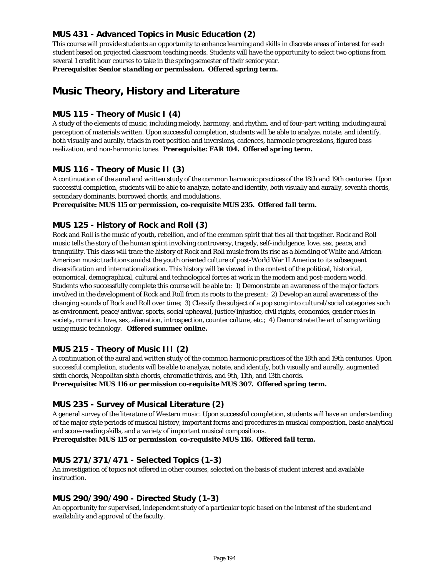## **MUS 431 - Advanced Topics in Music Education (2)**

This course will provide students an opportunity to enhance learning and skills in discrete areas of interest for each student based on projected classroom teaching needs. Students will have the opportunity to select two options from several 1 credit hour courses to take in the spring semester of their senior year.

*Prerequisite: Senior standing or permission. Offered spring term.*

## **Music Theory, History and Literature**

## **MUS 115 - Theory of Music I (4)**

A study of the elements of music, including melody, harmony, and rhythm, and of four-part writing, including aural perception of materials written. Upon successful completion, students will be able to analyze, notate, and identify, both visually and aurally, triads in root position and inversions, cadences, harmonic progressions, figured bass realization, and non-harmonic tones. *Prerequisite: FAR 104. Offered spring term.*

### **MUS 116 - Theory of Music II (3)**

A continuation of the aural and written study of the common harmonic practices of the 18th and 19th centuries. Upon successful completion, students will be able to analyze, notate and identify, both visually and aurally, seventh chords, secondary dominants, borrowed chords, and modulations.

*Prerequisite: MUS 115 or permission,* **co-requisite MUS 235.** *Offered fall term.*

### **MUS 125 - History of Rock and Roll (3)**

Rock and Roll is the music of youth, rebellion, and of the common spirit that ties all that together. Rock and Roll music tells the story of the human spirit involving controversy, tragedy, self-indulgence, love, sex, peace, and tranquility. This class will trace the history of Rock and Roll music from its rise as a blending of White and African-American music traditions amidst the youth oriented culture of post-World War II America to its subsequent diversification and internationalization. This history will be viewed in the context of the political, historical, economical, demographical, cultural and technological forces at work in the modern and post-modern world. Students who successfully complete this course will be able to: 1) Demonstrate an awareness of the major factors involved in the development of Rock and Roll from its roots to the present; 2) Develop an aural awareness of the changing sounds of Rock and Roll over time; 3) Classify the subject of a pop song into cultural/social categories such as environment, peace/antiwar, sports, social upheaval, justice/injustice, civil rights, economics, gender roles in society, romantic love, sex, alienation, introspection, counter culture, etc.; 4) Demonstrate the art of song writing using music technology. *Offered summer online.*

#### **MUS 215 - Theory of Music III (2)**

A continuation of the aural and written study of the common harmonic practices of the 18th and 19th centuries. Upon successful completion, students will be able to analyze, notate, and identify, both visually and aurally, augmented sixth chords, Neapolitan sixth chords, chromatic thirds, and 9th, 11th, and 13th chords. *Prerequisite: MUS 116 or permission co-requisite MUS 307. Offered spring term.*

#### **MUS 235 - Survey of Musical Literature (2)**

A general survey of the literature of Western music. Upon successful completion, students will have an understanding of the major style periods of musical history, important forms and procedures in musical composition, basic analytical and score-reading skills, and a variety of important musical compositions.

*Prerequisite: MUS 115 or permission co-requisite MUS 116. Offered fall term.*

## **MUS 271/371/471 - Selected Topics (1-3)**

An investigation of topics not offered in other courses, selected on the basis of student interest and available instruction.

#### **MUS 290/390/490 - Directed Study (1-3)**

An opportunity for supervised, independent study of a particular topic based on the interest of the student and availability and approval of the faculty.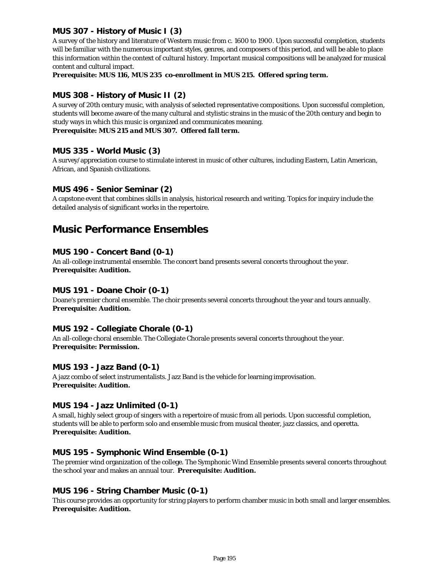## **MUS 307 - History of Music I (3)**

A survey of the history and literature of Western music from c. 1600 to 1900. Upon successful completion, students will be familiar with the numerous important styles, genres, and composers of this period, and will be able to place this information within the context of cultural history. Important musical compositions will be analyzed for musical content and cultural impact.

*Prerequisite: MUS 116, MUS 235 co-enrollment in MUS 215. Offered spring term.*

#### **MUS 308 - History of Music II (2)**

A survey of 20th century music, with analysis of selected representative compositions. Upon successful completion, students will become aware of the many cultural and stylistic strains in the music of the 20th century and begin to study ways in which this music is organized and communicates meaning.

#### *Prerequisite: MUS 215 and MUS 307. Offered fall term.*

#### **MUS 335 - World Music (3)**

A survey/appreciation course to stimulate interest in music of other cultures, including Eastern, Latin American, African, and Spanish civilizations.

#### **MUS 496 - Senior Seminar (2)**

A capstone event that combines skills in analysis, historical research and writing. Topics for inquiry include the detailed analysis of significant works in the repertoire.

## **Music Performance Ensembles**

#### **MUS 190 - Concert Band (0-1)**

An all-college instrumental ensemble. The concert band presents several concerts throughout the year. *Prerequisite: Audition.*

#### **MUS 191 - Doane Choir (0-1)**

Doane's premier choral ensemble. The choir presents several concerts throughout the year and tours annually. *Prerequisite: Audition.*

#### **MUS 192 - Collegiate Chorale (0-1)**

An all-college choral ensemble. The Collegiate Chorale presents several concerts throughout the year. *Prerequisite: Permission.*

#### **MUS 193 - Jazz Band (0-1)**

A jazz combo of select instrumentalists. Jazz Band is the vehicle for learning improvisation. **Prerequisite: Audition.**

#### **MUS 194 - Jazz Unlimited (0-1)**

A small, highly select group of singers with a repertoire of music from all periods. Upon successful completion, students will be able to perform solo and ensemble music from musical theater, jazz classics, and operetta. *Prerequisite: Audition.*

#### **MUS 195 - Symphonic Wind Ensemble (0-1)**

The premier wind organization of the college. The Symphonic Wind Ensemble presents several concerts throughout the school year and makes an annual tour. *Prerequisite: Audition.*

#### **MUS 196 - String Chamber Music (0-1)**

This course provides an opportunity for string players to perform chamber music in both small and larger ensembles. *Prerequisite: Audition.*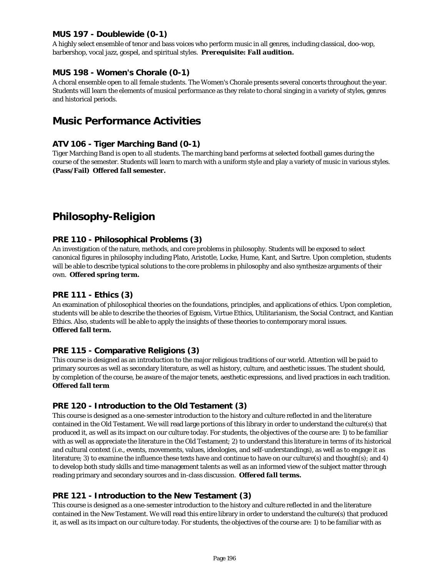### **MUS 197 - Doublewide (0-1)**

A highly select ensemble of tenor and bass voices who perform music in all genres, including classical, doo-wop, barbershop, vocal jazz, gospel, and spiritual styles. *Prerequisite: Fall audition.*

### **MUS 198 - Women's Chorale (0-1)**

A choral ensemble open to all female students. The Women's Chorale presents several concerts throughout the year. Students will learn the elements of musical performance as they relate to choral singing in a variety of styles, genres and historical periods.

## **Music Performance Activities**

### **ATV 106 - Tiger Marching Band (0-1)**

Tiger Marching Band is open to all students. The marching band performs at selected football games during the course of the semester. Students will learn to march with a uniform style and play a variety of music in various styles. **(Pass/Fail)** *Offered fall semester.*

## **Philosophy-Religion**

#### **PRE 110 - Philosophical Problems (3)**

An investigation of the nature, methods, and core problems in philosophy. Students will be exposed to select canonical figures in philosophy including Plato, Aristotle, Locke, Hume, Kant, and Sartre. Upon completion, students will be able to describe typical solutions to the core problems in philosophy and also synthesize arguments of their own. *Offered spring term.*

#### **PRE 111 - Ethics (3)**

An examination of philosophical theories on the foundations, principles, and applications of ethics. Upon completion, students will be able to describe the theories of Egoism, Virtue Ethics, Utilitarianism, the Social Contract, and Kantian Ethics. Also, students will be able to apply the insights of these theories to contemporary moral issues. *Offered fall term.*

#### **PRE 115 - Comparative Religions (3)**

This course is designed as an introduction to the major religious traditions of our world. Attention will be paid to primary sources as well as secondary literature, as well as history, culture, and aesthetic issues. The student should, by completion of the course, be aware of the major tenets, aesthetic expressions, and lived practices in each tradition. *Offered fall term*

#### **PRE 120 - Introduction to the Old Testament (3)**

This course is designed as a one-semester introduction to the history and culture reflected in and the literature contained in the Old Testament. We will read large portions of this library in order to understand the culture(s) that produced it, as well as its impact on our culture today. For students, the objectives of the course are: 1) to be familiar with as well as appreciate the literature in the Old Testament; 2) to understand this literature in terms of its historical and cultural context (i.e., events, movements, values, ideologies, and self-understandings), as well as to engage it as literature; 3) to examine the influence these texts have and continue to have on our culture(s) and thought(s); and 4) to develop both study skills and time-management talents as well as an informed view of the subject matter through reading primary and secondary sources and in-class discussion. *Offered fall terms.*

#### **PRE 121 - Introduction to the New Testament (3)**

This course is designed as a one-semester introduction to the history and culture reflected in and the literature contained in the New Testament. We will read this entire library in order to understand the culture(s) that produced it, as well as its impact on our culture today. For students, the objectives of the course are: 1) to be familiar with as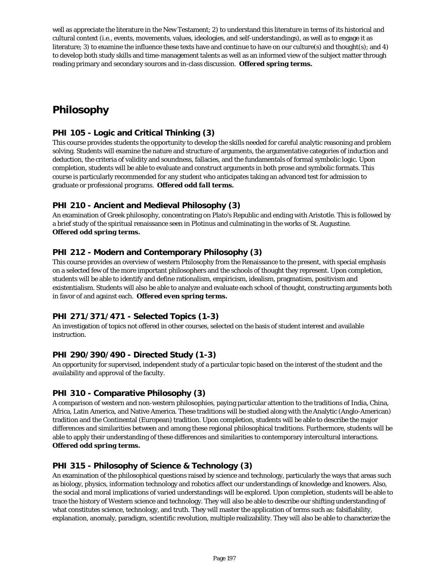well as appreciate the literature in the New Testament; 2) to understand this literature in terms of its historical and cultural context (i.e., events, movements, values, ideologies, and self-understandings), as well as to engage it as literature; 3) to examine the influence these texts have and continue to have on our culture(s) and thought(s); and 4) to develop both study skills and time-management talents as well as an informed view of the subject matter through reading primary and secondary sources and in-class discussion. *Offered spring terms.*

## **Philosophy**

## **PHI 105 - Logic and Critical Thinking (3)**

This course provides students the opportunity to develop the skills needed for careful analytic reasoning and problem solving. Students will examine the nature and structure of arguments, the argumentative categories of induction and deduction, the criteria of validity and soundness, fallacies, and the fundamentals of formal symbolic logic. Upon completion, students will be able to evaluate and construct arguments in both prose and symbolic formats. This course is particularly recommended for any student who anticipates taking an advanced test for admission to graduate or professional programs. *Offered odd fall terms.*

## **PHI 210 - Ancient and Medieval Philosophy (3)**

An examination of Greek philosophy, concentrating on Plato's Republic and ending with Aristotle. This is followed by a brief study of the spiritual renaissance seen in Plotinus and culminating in the works of St. Augustine. *Offered odd spring terms.*

## **PHI 212 - Modern and Contemporary Philosophy (3)**

This course provides an overview of western Philosophy from the Renaissance to the present, with special emphasis on a selected few of the more important philosophers and the schools of thought they represent. Upon completion, students will be able to identify and define rationalism, empiricism, idealism, pragmatism, positivism and existentialism. Students will also be able to analyze and evaluate each school of thought, constructing arguments both in favor of and against each. *Offered even spring terms.*

## **PHI 271/371/471 - Selected Topics (1-3)**

An investigation of topics not offered in other courses, selected on the basis of student interest and available instruction.

## **PHI 290/390/490 - Directed Study (1-3)**

An opportunity for supervised, independent study of a particular topic based on the interest of the student and the availability and approval of the faculty.

## **PHI 310 - Comparative Philosophy (3)**

A comparison of western and non-western philosophies, paying particular attention to the traditions of India, China, Africa, Latin America, and Native America. These traditions will be studied along with the Analytic (Anglo-American) tradition and the Continental (European) tradition. Upon completion, students will be able to describe the major differences and similarities between and among these regional philosophical traditions. Furthermore, students will be able to apply their understanding of these differences and similarities to contemporary intercultural interactions. *Offered odd spring terms.*

## **PHI 315 - Philosophy of Science & Technology (3)**

An examination of the philosophical questions raised by science and technology, particularly the ways that areas such as biology, physics, information technology and robotics affect our understandings of knowledge and knowers. Also, the social and moral implications of varied understandings will be explored. Upon completion, students will be able to trace the history of Western science and technology. They will also be able to describe our shifting understanding of what constitutes science, technology, and truth. They will master the application of terms such as: falsifiability, explanation, anomaly, paradigm, scientific revolution, multiple realizability. They will also be able to characterize the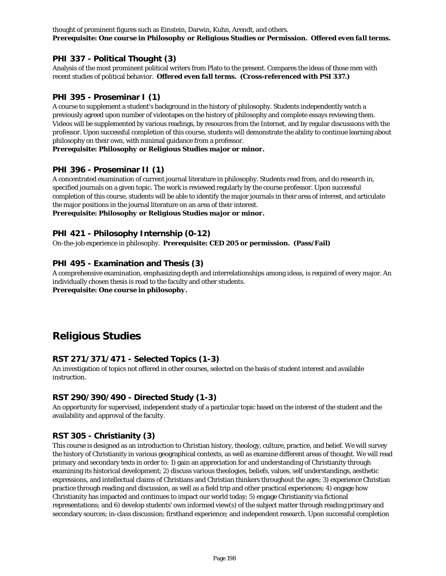thought of prominent figures such as Einstein, Darwin, Kuhn, Arendt, and others. *Prerequisite: One course in Philosophy or Religious Studies or Permission. Offered even fall terms.*

#### **PHI 337 - Political Thought (3)**

Analysis of the most prominent political writers from Plato to the present. Compares the ideas of those men with recent studies of political behavior. *Offered even fall terms.* **(Cross-referenced with PSI 337.)**

#### **PHI 395 - Proseminar I (1)**

A course to supplement a student's background in the history of philosophy. Students independently watch a previously agreed upon number of videotapes on the history of philosophy and complete essays reviewing them. Videos will be supplemented by various readings, by resources from the Internet, and by regular discussions with the professor. Upon successful completion of this course, students will demonstrate the ability to continue learning about philosophy on their own, with minimal guidance from a professor.

#### *Prerequisite: Philosophy or Religious Studies major or minor.*

#### **PHI 396 - Proseminar II (1)**

A concentrated examination of current journal literature in philosophy. Students read from, and do research in, specified journals on a given topic. The work is reviewed regularly by the course professor. Upon successful completion of this course, students will be able to identify the major journals in their area of interest, and articulate the major positions in the journal literature on an area of their interest.

*Prerequisite: Philosophy or Religious Studies major or minor.*

#### **PHI 421 - Philosophy Internship (0-12)**

On-the-job experience in philosophy. *Prerequisite: CED 205 or permission.* **(Pass/Fail)**

## **PHI 495 - Examination and Thesis (3)**

A comprehensive examination, emphasizing depth and interrelationships among ideas, is required of every major. An individually chosen thesis is read to the faculty and other students. *Prerequisite: One course in philosophy.*

## **Religious Studies**

#### **RST 271/371/471 - Selected Topics (1-3)**

An investigation of topics not offered in other courses, selected on the basis of student interest and available instruction.

#### **RST 290/390/490 - Directed Study (1-3)**

An opportunity for supervised, independent study of a particular topic based on the interest of the student and the availability and approval of the faculty.

#### **RST 305 - Christianity (3)**

This course is designed as an introduction to Christian history, theology, culture, practice, and belief. We will survey the history of Christianity in various geographical contexts, as well as examine different areas of thought. We will read primary and secondary texts in order to: 1) gain an appreciation for and understanding of Christianity through examining its historical development; 2) discuss various theologies, beliefs, values, self understandings, aesthetic expressions, and intellectual claims of Christians and Christian thinkers throughout the ages; 3) experience Christian practice through reading and discussion, as well as a field trip and other practical experiences; 4) engage how Christianity has impacted and continues to impact our world today; 5) engage Christianity via fictional representations; and 6) develop students' own informed view(s) of the subject matter through reading primary and secondary sources; in-class discussion; firsthand experience; and independent research. Upon successful completion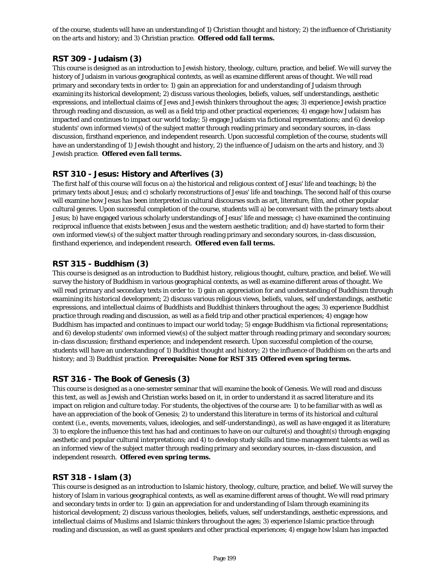of the course, students will have an understanding of 1) Christian thought and history; 2) the influence of Christianity on the arts and history; and 3) Christian practice. *Offered odd fall terms.*

## **RST 309 - Judaism (3)**

This course is designed as an introduction to Jewish history, theology, culture, practice, and belief. We will survey the history of Judaism in various geographical contexts, as well as examine different areas of thought. We will read primary and secondary texts in order to: 1) gain an appreciation for and understanding of Judaism through examining its historical development; 2) discuss various theologies, beliefs, values, self understandings, aesthetic expressions, and intellectual claims of Jews and Jewish thinkers throughout the ages; 3) experience Jewish practice through reading and discussion, as well as a field trip and other practical experiences; 4) engage how Judaism has impacted and continues to impact our world today; 5) engage Judaism via fictional representations; and 6) develop students' own informed view(s) of the subject matter through reading primary and secondary sources, in-class discussion, firsthand experience, and independent research. Upon successful completion of the course, students will have an understanding of 1) Jewish thought and history, 2) the influence of Judaism on the arts and history, and 3) Jewish practice. *Offered even fall terms.*

## **RST 310 - Jesus: History and Afterlives (3)**

The first half of this course will focus on a) the historical and religious context of Jesus' life and teachings; b) the primary texts about Jesus; and c) scholarly reconstructions of Jesus' life and teachings. The second half of this course will examine how Jesus has been interpreted in cultural discourses such as art, literature, film, and other popular cultural genres. Upon successful completion of the course, students will a) be conversant with the primary texts about Jesus; b) have engaged various scholarly understandings of Jesus' life and message; c) have examined the continuing reciprocal influence that exists between Jesus and the western aesthetic tradition; and d) have started to form their own informed view(s) of the subject matter through reading primary and secondary sources, in-class discussion, firsthand experience, and independent research. *Offered even fall terms.*

## **RST 315 - Buddhism (3)**

This course is designed as an introduction to Buddhist history, religious thought, culture, practice, and belief. We will survey the history of Buddhism in various geographical contexts, as well as examine different areas of thought. We will read primary and secondary texts in order to: 1) gain an appreciation for and understanding of Buddhism through examining its historical development; 2) discuss various religious views, beliefs, values, self understandings, aesthetic expressions, and intellectual claims of Buddhists and Buddhist thinkers throughout the ages; 3) experience Buddhist practice through reading and discussion, as well as a field trip and other practical experiences; 4) engage how Buddhism has impacted and continues to impact our world today; 5) engage Buddhism via fictional representations; and 6) develop students' own informed view(s) of the subject matter through reading primary and secondary sources; in-class discussion; firsthand experience; and independent research. Upon successful completion of the course, students will have an understanding of 1) Buddhist thought and history; 2) the influence of Buddhism on the arts and history; and 3) Buddhist practice. *Prerequisite: None for RST 315 Offered even spring terms.*

## **RST 316 - The Book of Genesis (3)**

This course is designed as a one-semester seminar that will examine the book of Genesis. We will read and discuss this text, as well as Jewish and Christian works based on it, in order to understand it as sacred literature and its impact on religion and culture today. For students, the objectives of the course are: 1) to be familiar with as well as have an appreciation of the book of Genesis; 2) to understand this literature in terms of its historical and cultural context (i.e., events, movements, values, ideologies, and self-understandings), as well as have engaged it as literature; 3) to explore the influence this text has had and continues to have on our culture(s) and thought(s) through engaging aesthetic and popular cultural interpretations; and 4) to develop study skills and time-management talents as well as an informed view of the subject matter through reading primary and secondary sources, in-class discussion, and independent research. *Offered even spring terms.*

## **RST 318 - Islam (3)**

This course is designed as an introduction to Islamic history, theology, culture, practice, and belief. We will survey the history of Islam in various geographical contexts, as well as examine different areas of thought. We will read primary and secondary texts in order to: 1) gain an appreciation for and understanding of Islam through examining its historical development; 2) discuss various theologies, beliefs, values, self understandings, aesthetic expressions, and intellectual claims of Muslims and Islamic thinkers throughout the ages; 3) experience Islamic practice through reading and discussion, as well as guest speakers and other practical experiences; 4) engage how Islam has impacted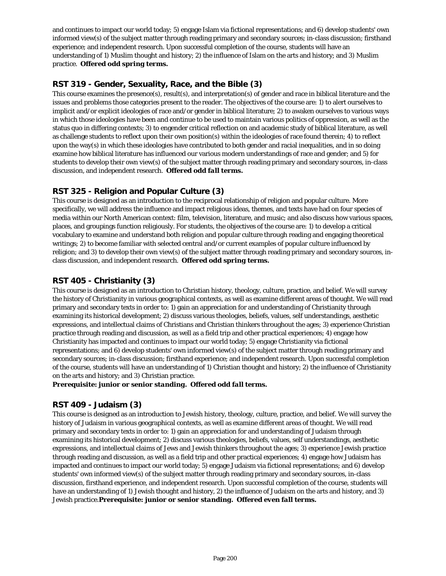and continues to impact our world today; 5) engage Islam via fictional representations; and 6) develop students' own informed view(s) of the subject matter through reading primary and secondary sources; in-class discussion; firsthand experience; and independent research. Upon successful completion of the course, students will have an understanding of 1) Muslim thought and history; 2) the influence of Islam on the arts and history; and 3) Muslim practice. *Offered odd spring terms.*

## **RST 319 - Gender, Sexuality, Race, and the Bible (3)**

This course examines the presence(s), result(s), and interpretation(s) of gender and race in biblical literature and the issues and problems those categories present to the reader. The objectives of the course are: 1) to alert ourselves to implicit and/or explicit ideologies of race and/or gender in biblical literature; 2) to awaken ourselves to various ways in which those ideologies have been and continue to be used to maintain various politics of oppression, as well as the status quo in differing contexts; 3) to engender critical reflection on and academic study of biblical literature, as well as challenge students to reflect upon their own position(s) within the ideologies of race found therein; 4) to reflect upon the way(s) in which these ideologies have contributed to both gender and racial inequalities, and in so doing examine how biblical literature has influenced our various modern understandings of race and gender; and 5) for students to develop their own view(s) of the subject matter through reading primary and secondary sources, in-class discussion, and independent research. *Offered odd fall terms.*

## **RST 325 - Religion and Popular Culture (3)**

This course is designed as an introduction to the reciprocal relationship of religion and popular culture. More specifically, we will address the influence and impact religious ideas, themes, and texts have had on four species of media within our North American context: film, television, literature, and music; and also discuss how various spaces, places, and groupings function religiously. For students, the objectives of the course are: 1) to develop a critical vocabulary to examine and understand both religion and popular culture through reading and engaging theoretical writings; 2) to become familiar with selected central and/or current examples of popular culture influenced by religion; and 3) to develop their own view(s) of the subject matter through reading primary and secondary sources, inclass discussion, and independent research. *Offered odd spring terms.*

## **RST 405 - Christianity (3)**

This course is designed as an introduction to Christian history, theology, culture, practice, and belief. We will survey the history of Christianity in various geographical contexts, as well as examine different areas of thought. We will read primary and secondary texts in order to: 1) gain an appreciation for and understanding of Christianity through examining its historical development; 2) discuss various theologies, beliefs, values, self understandings, aesthetic expressions, and intellectual claims of Christians and Christian thinkers throughout the ages; 3) experience Christian practice through reading and discussion, as well as a field trip and other practical experiences; 4) engage how Christianity has impacted and continues to impact our world today; 5) engage Christianity via fictional representations; and 6) develop students' own informed view(s) of the subject matter through reading primary and secondary sources; in-class discussion; firsthand experience; and independent research. Upon successful completion of the course, students will have an understanding of 1) Christian thought and history; 2) the influence of Christianity on the arts and history; and 3) Christian practice.

*Prerequisite: junior or senior standing. Offered odd fall terms.*

## **RST 409 - Judaism (3)**

This course is designed as an introduction to Jewish history, theology, culture, practice, and belief. We will survey the history of Judaism in various geographical contexts, as well as examine different areas of thought. We will read primary and secondary texts in order to: 1) gain an appreciation for and understanding of Judaism through examining its historical development; 2) discuss various theologies, beliefs, values, self understandings, aesthetic expressions, and intellectual claims of Jews and Jewish thinkers throughout the ages; 3) experience Jewish practice through reading and discussion, as well as a field trip and other practical experiences; 4) engage how Judaism has impacted and continues to impact our world today; 5) engage Judaism via fictional representations; and 6) develop students' own informed view(s) of the subject matter through reading primary and secondary sources, in-class discussion, firsthand experience, and independent research. Upon successful completion of the course, students will have an understanding of 1) Jewish thought and history, 2) the influence of Judaism on the arts and history, and 3) Jewish practice.*Prerequisite: junior or senior standing. Offered even fall terms.*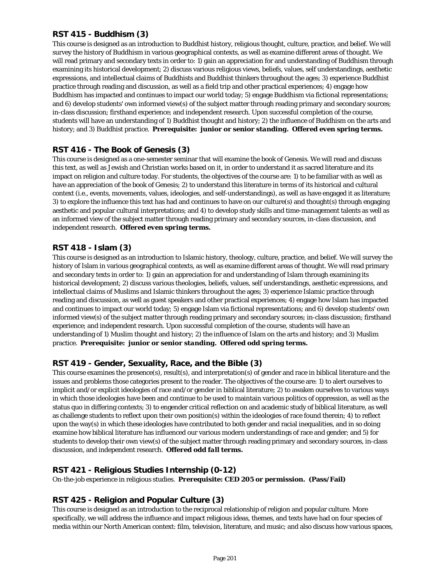## **RST 415 - Buddhism (3)**

This course is designed as an introduction to Buddhist history, religious thought, culture, practice, and belief. We will survey the history of Buddhism in various geographical contexts, as well as examine different areas of thought. We will read primary and secondary texts in order to: 1) gain an appreciation for and understanding of Buddhism through examining its historical development; 2) discuss various religious views, beliefs, values, self understandings, aesthetic expressions, and intellectual claims of Buddhists and Buddhist thinkers throughout the ages; 3) experience Buddhist practice through reading and discussion, as well as a field trip and other practical experiences; 4) engage how Buddhism has impacted and continues to impact our world today; 5) engage Buddhism via fictional representations; and 6) develop students' own informed view(s) of the subject matter through reading primary and secondary sources; in-class discussion; firsthand experience; and independent research. Upon successful completion of the course, students will have an understanding of 1) Buddhist thought and history; 2) the influence of Buddhism on the arts and history; and 3) Buddhist practice. *Prerequisite: junior or senior standing. Offered even spring terms.*

## **RST 416 - The Book of Genesis (3)**

This course is designed as a one-semester seminar that will examine the book of Genesis. We will read and discuss this text, as well as Jewish and Christian works based on it, in order to understand it as sacred literature and its impact on religion and culture today. For students, the objectives of the course are: 1) to be familiar with as well as have an appreciation of the book of Genesis; 2) to understand this literature in terms of its historical and cultural context (i.e., events, movements, values, ideologies, and self-understandings), as well as have engaged it as literature; 3) to explore the influence this text has had and continues to have on our culture(s) and thought(s) through engaging aesthetic and popular cultural interpretations; and 4) to develop study skills and time-management talents as well as an informed view of the subject matter through reading primary and secondary sources, in-class discussion, and independent research. *Offered even spring terms.*

### **RST 418 - Islam (3)**

This course is designed as an introduction to Islamic history, theology, culture, practice, and belief. We will survey the history of Islam in various geographical contexts, as well as examine different areas of thought. We will read primary and secondary texts in order to: 1) gain an appreciation for and understanding of Islam through examining its historical development; 2) discuss various theologies, beliefs, values, self understandings, aesthetic expressions, and intellectual claims of Muslims and Islamic thinkers throughout the ages; 3) experience Islamic practice through reading and discussion, as well as guest speakers and other practical experiences; 4) engage how Islam has impacted and continues to impact our world today; 5) engage Islam via fictional representations; and 6) develop students' own informed view(s) of the subject matter through reading primary and secondary sources; in-class discussion; firsthand experience; and independent research. Upon successful completion of the course, students will have an understanding of 1) Muslim thought and history; 2) the influence of Islam on the arts and history; and 3) Muslim practice. *Prerequisite: junior or senior standing. Offered odd spring terms.*

## **RST 419 - Gender, Sexuality, Race, and the Bible (3)**

This course examines the presence(s), result(s), and interpretation(s) of gender and race in biblical literature and the issues and problems those categories present to the reader. The objectives of the course are: 1) to alert ourselves to implicit and/or explicit ideologies of race and/or gender in biblical literature; 2) to awaken ourselves to various ways in which those ideologies have been and continue to be used to maintain various politics of oppression, as well as the status quo in differing contexts; 3) to engender critical reflection on and academic study of biblical literature, as well as challenge students to reflect upon their own position(s) within the ideologies of race found therein; 4) to reflect upon the way(s) in which these ideologies have contributed to both gender and racial inequalities, and in so doing examine how biblical literature has influenced our various modern understandings of race and gender; and 5) for students to develop their own view(s) of the subject matter through reading primary and secondary sources, in-class discussion, and independent research. *Offered odd fall terms.*

## **RST 421 - Religious Studies Internship (0-12)**

On-the-job experience in religious studies. *Prerequisite: CED 205 or permission.* **(Pass/Fail)**

## **RST 425 - Religion and Popular Culture (3)**

This course is designed as an introduction to the reciprocal relationship of religion and popular culture. More specifically, we will address the influence and impact religious ideas, themes, and texts have had on four species of media within our North American context: film, television, literature, and music; and also discuss how various spaces,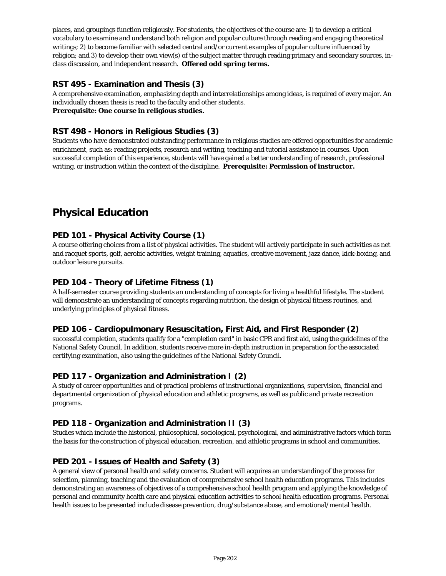places, and groupings function religiously. For students, the objectives of the course are: 1) to develop a critical vocabulary to examine and understand both religion and popular culture through reading and engaging theoretical writings; 2) to become familiar with selected central and/or current examples of popular culture influenced by religion; and 3) to develop their own view(s) of the subject matter through reading primary and secondary sources, inclass discussion, and independent research. *Offered odd spring terms.*

## **RST 495 - Examination and Thesis (3)**

A comprehensive examination, emphasizing depth and interrelationships among ideas, is required of every major. An individually chosen thesis is read to the faculty and other students. **Prerequisite: One course in religious studies.**

## **RST 498 - Honors in Religious Studies (3)**

Students who have demonstrated outstanding performance in religious studies are offered opportunities for academic enrichment, such as: reading projects, research and writing, teaching and tutorial assistance in courses. Upon successful completion of this experience, students will have gained a better understanding of research, professional writing, or instruction within the context of the discipline. *Prerequisite: Permission of instructor.*

## **Physical Education**

## **PED 101 - Physical Activity Course (1)**

A course offering choices from a list of physical activities. The student will actively participate in such activities as net and racquet sports, golf, aerobic activities, weight training, aquatics, creative movement, jazz dance, kick-boxing, and outdoor leisure pursuits.

## **PED 104 - Theory of Lifetime Fitness (1)**

A half-semester course providing students an understanding of concepts for living a healthful lifestyle. The student will demonstrate an understanding of concepts regarding nutrition, the design of physical fitness routines, and underlying principles of physical fitness.

## **PED 106 - Cardiopulmonary Resuscitation, First Aid, and First Responder (2)**

successful completion, students qualify for a "completion card" in basic CPR and first aid, using the guidelines of the National Safety Council. In addition, students receive more in-depth instruction in preparation for the associated certifying examination, also using the guidelines of the National Safety Council.

## **PED 117 - Organization and Administration I (2)**

A study of career opportunities and of practical problems of instructional organizations, supervision, financial and departmental organization of physical education and athletic programs, as well as public and private recreation programs.

## **PED 118 - Organization and Administration II (3)**

Studies which include the historical, philosophical, sociological, psychological, and administrative factors which form the basis for the construction of physical education, recreation, and athletic programs in school and communities.

## **PED 201 - Issues of Health and Safety (3)**

A general view of personal health and safety concerns. Student will acquires an understanding of the process for selection, planning, teaching and the evaluation of comprehensive school health education programs. This includes demonstrating an awareness of objectives of a comprehensive school health program and applying the knowledge of personal and community health care and physical education activities to school health education programs. Personal health issues to be presented include disease prevention, drug/substance abuse, and emotional/mental health.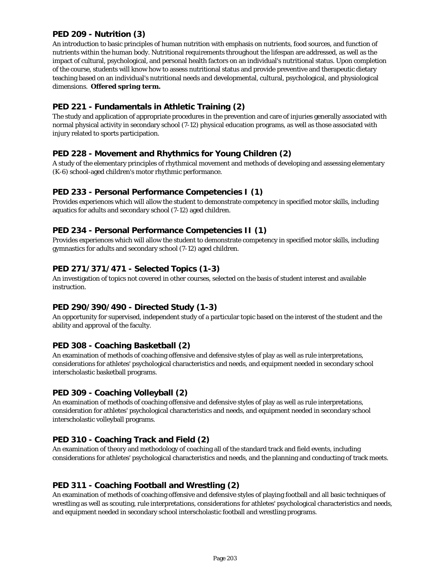## **PED 209 - Nutrition (3)**

An introduction to basic principles of human nutrition with emphasis on nutrients, food sources, and function of nutrients within the human body. Nutritional requirements throughout the lifespan are addressed, as well as the impact of cultural, psychological, and personal health factors on an individual's nutritional status. Upon completion of the course, students will know how to assess nutritional status and provide preventive and therapeutic dietary teaching based on an individual's nutritional needs and developmental, cultural, psychological, and physiological dimensions. *Offered spring term.*

## **PED 221 - Fundamentals in Athletic Training (2)**

The study and application of appropriate procedures in the prevention and care of injuries generally associated with normal physical activity in secondary school (7-12) physical education programs, as well as those associated with injury related to sports participation.

### **PED 228 - Movement and Rhythmics for Young Children (2)**

A study of the elementary principles of rhythmical movement and methods of developing and assessing elementary (K-6) school-aged children's motor rhythmic performance.

### **PED 233 - Personal Performance Competencies I (1)**

Provides experiences which will allow the student to demonstrate competency in specified motor skills, including aquatics for adults and secondary school (7-12) aged children.

### **PED 234 - Personal Performance Competencies II (1)**

Provides experiences which will allow the student to demonstrate competency in specified motor skills, including gymnastics for adults and secondary school (7-12) aged children.

## **PED 271/371/471 - Selected Topics (1-3)**

An investigation of topics not covered in other courses, selected on the basis of student interest and available instruction.

## **PED 290/390/490 - Directed Study (1-3)**

An opportunity for supervised, independent study of a particular topic based on the interest of the student and the ability and approval of the faculty.

#### **PED 308 - Coaching Basketball (2)**

An examination of methods of coaching offensive and defensive styles of play as well as rule interpretations, considerations for athletes' psychological characteristics and needs, and equipment needed in secondary school interscholastic basketball programs.

## **PED 309 - Coaching Volleyball (2)**

An examination of methods of coaching offensive and defensive styles of play as well as rule interpretations, consideration for athletes' psychological characteristics and needs, and equipment needed in secondary school interscholastic volleyball programs.

## **PED 310 - Coaching Track and Field (2)**

An examination of theory and methodology of coaching all of the standard track and field events, including considerations for athletes' psychological characteristics and needs, and the planning and conducting of track meets.

## **PED 311 - Coaching Football and Wrestling (2)**

An examination of methods of coaching offensive and defensive styles of playing football and all basic techniques of wrestling as well as scouting, rule interpretations, considerations for athletes' psychological characteristics and needs, and equipment needed in secondary school interscholastic football and wrestling programs.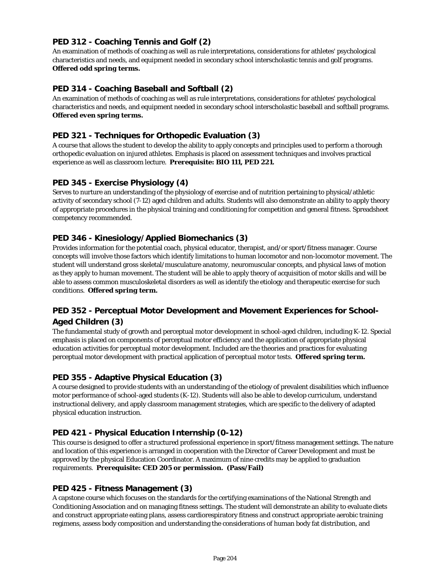## **PED 312 - Coaching Tennis and Golf (2)**

An examination of methods of coaching as well as rule interpretations, considerations for athletes' psychological characteristics and needs, and equipment needed in secondary school interscholastic tennis and golf programs. *Offered odd spring terms.*

### **PED 314 - Coaching Baseball and Softball (2)**

An examination of methods of coaching as well as rule interpretations, considerations for athletes' psychological characteristics and needs, and equipment needed in secondary school interscholastic baseball and softball programs. *Offered even spring terms.*

### **PED 321 - Techniques for Orthopedic Evaluation (3)**

A course that allows the student to develop the ability to apply concepts and principles used to perform a thorough orthopedic evaluation on injured athletes. Emphasis is placed on assessment techniques and involves practical experience as well as classroom lecture. *Prerequisite: BIO 111, PED 221.*

### **PED 345 - Exercise Physiology (4)**

Serves to nurture an understanding of the physiology of exercise and of nutrition pertaining to physical/athletic activity of secondary school (7-12) aged children and adults. Students will also demonstrate an ability to apply theory of appropriate procedures in the physical training and conditioning for competition and general fitness. Spreadsheet competency recommended.

### **PED 346 - Kinesiology/Applied Biomechanics (3)**

Provides information for the potential coach, physical educator, therapist, and/or sport/fitness manager. Course concepts will involve those factors which identify limitations to human locomotor and non-locomotor movement. The student will understand gross skeletal/musculature anatomy, neuromuscular concepts, and physical laws of motion as they apply to human movement. The student will be able to apply theory of acquisition of motor skills and will be able to assess common musculoskeletal disorders as well as identify the etiology and therapeutic exercise for such conditions. *Offered spring term.*

## **PED 352 - Perceptual Motor Development and Movement Experiences for School-Aged Children (3)**

The fundamental study of growth and perceptual motor development in school-aged children, including K-12. Special emphasis is placed on components of perceptual motor efficiency and the application of appropriate physical education activities for perceptual motor development. Included are the theories and practices for evaluating perceptual motor development with practical application of perceptual motor tests. *Offered spring term.*

#### **PED 355 - Adaptive Physical Education (3)**

A course designed to provide students with an understanding of the etiology of prevalent disabilities which influence motor performance of school-aged students (K-12). Students will also be able to develop curriculum, understand instructional delivery, and apply classroom management strategies, which are specific to the delivery of adapted physical education instruction.

#### **PED 421 - Physical Education Internship (0-12)**

This course is designed to offer a structured professional experience in sport/fitness management settings. The nature and location of this experience is arranged in cooperation with the Director of Career Development and must be approved by the physical Education Coordinator. A maximum of nine credits may be applied to graduation requirements. *Prerequisite: CED 205 or permission***. (Pass/Fail)**

#### **PED 425 - Fitness Management (3)**

A capstone course which focuses on the standards for the certifying examinations of the National Strength and Conditioning Association and on managing fitness settings. The student will demonstrate an ability to evaluate diets and construct appropriate eating plans, assess cardiorespiratory fitness and construct appropriate aerobic training regimens, assess body composition and understanding the considerations of human body fat distribution, and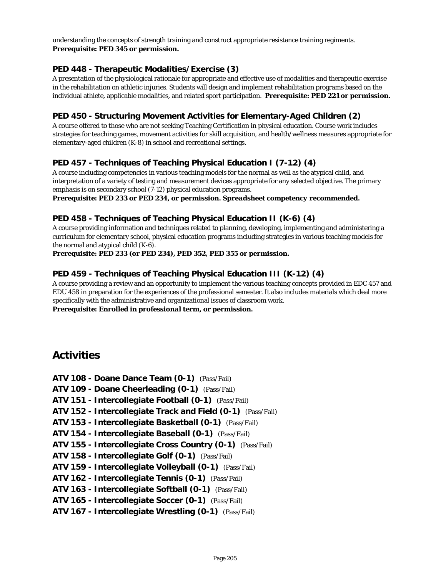understanding the concepts of strength training and construct appropriate resistance training regiments. *Prerequisite: PED 345 or permission.*

### **PED 448 - Therapeutic Modalities/Exercise (3)**

A presentation of the physiological rationale for appropriate and effective use of modalities and therapeutic exercise in the rehabilitation on athletic injuries. Students will design and implement rehabilitation programs based on the individual athlete, applicable modalities, and related sport participation. *Prerequisite: PED 221 or permission.*

### **PED 450 - Structuring Movement Activities for Elementary-Aged Children (2)**

A course offered to those who are not seeking Teaching Certification in physical education. Course work includes strategies for teaching games, movement activities for skill acquisition, and health/wellness measures appropriate for elementary-aged children (K-8) in school and recreational settings.

#### **PED 457 - Techniques of Teaching Physical Education I (7-12) (4)**

A course including competencies in various teaching models for the normal as well as the atypical child, and interpretation of a variety of testing and measurement devices appropriate for any selected objective. The primary emphasis is on secondary school (7-12) physical education programs.

*Prerequisite: PED 233 or PED 234, or permission. Spreadsheet competency recommended.*

#### **PED 458 - Techniques of Teaching Physical Education II (K-6) (4)**

A course providing information and techniques related to planning, developing, implementing and administering a curriculum for elementary school, physical education programs including strategies in various teaching models for the normal and atypical child (K-6).

*Prerequisite: PED 233 (or PED 234), PED 352, PED 355 or permission.*

#### **PED 459 - Techniques of Teaching Physical Education III (K-12) (4)**

A course providing a review and an opportunity to implement the various teaching concepts provided in EDC 457 and EDU 458 in preparation for the experiences of the professional semester. It also includes materials which deal more specifically with the administrative and organizational issues of classroom work.

*Prerequisite: Enrolled in professional term, or permission.*

## **Activities**

- **ATV 108 Doane Dance Team (0-1)** (Pass/Fail)
- **ATV 109 Doane Cheerleading (0-1)** (Pass/Fail)
- **ATV 151 Intercollegiate Football (0-1)** (Pass/Fail)
- **ATV 152 Intercollegiate Track and Field (0-1)** (Pass/Fail)
- **ATV 153 Intercollegiate Basketball (0-1)** (Pass/Fail)
- **ATV 154 Intercollegiate Baseball (0-1)** (Pass/Fail)
- **ATV 155 Intercollegiate Cross Country (0-1)** (Pass/Fail)
- **ATV 158 Intercollegiate Golf (0-1)** (Pass/Fail)
- **ATV 159 Intercollegiate Volleyball (0-1)** (Pass/Fail)
- **ATV 162 Intercollegiate Tennis (0-1)** (Pass/Fail)
- **ATV 163 Intercollegiate Softball (0-1)** (Pass/Fail)
- **ATV 165 Intercollegiate Soccer (0-1)** (Pass/Fail)
- **ATV 167 Intercollegiate Wrestling (0-1)** (Pass/Fail)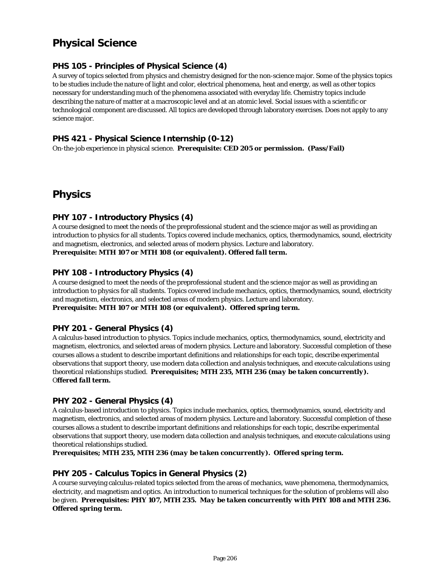## **Physical Science**

## **PHS 105 - Principles of Physical Science (4)**

A survey of topics selected from physics and chemistry designed for the non-science major. Some of the physics topics to be studies include the nature of light and color, electrical phenomena, heat and energy, as well as other topics necessary for understanding much of the phenomena associated with everyday life. Chemistry topics include describing the nature of matter at a macroscopic level and at an atomic level. Social issues with a scientific or technological component are discussed. All topics are developed through laboratory exercises. Does not apply to any science major.

#### **PHS 421 - Physical Science Internship (0-12)**

On-the-job experience in physical science. *Prerequisite: CED 205 or permission.* **(Pass/Fail)**

## **Physics**

#### **PHY 107 - Introductory Physics (4)**

A course designed to meet the needs of the preprofessional student and the science major as well as providing an introduction to physics for all students. Topics covered include mechanics, optics, thermodynamics, sound, electricity and magnetism, electronics, and selected areas of modern physics. Lecture and laboratory. *Prerequisite: MTH 107 or MTH 108 (or equivalent). Offered fall term.*

### **PHY 108 - Introductory Physics (4)**

A course designed to meet the needs of the preprofessional student and the science major as well as providing an introduction to physics for all students. Topics covered include mechanics, optics, thermodynamics, sound, electricity and magnetism, electronics, and selected areas of modern physics. Lecture and laboratory. *Prerequisite: MTH 107 or MTH 108 (or equivalent). Offered spring term.*

#### **PHY 201 - General Physics (4)**

A calculus-based introduction to physics. Topics include mechanics, optics, thermodynamics, sound, electricity and magnetism, electronics, and selected areas of modern physics. Lecture and laboratory. Successful completion of these courses allows a student to describe important definitions and relationships for each topic, describe experimental observations that support theory, use modern data collection and analysis techniques, and execute calculations using theoretical relationships studied. *Prerequisites; MTH 235, MTH 236 (may be taken concurrently). Offered fall term.*

#### **PHY 202 - General Physics (4)**

A calculus-based introduction to physics. Topics include mechanics, optics, thermodynamics, sound, electricity and magnetism, electronics, and selected areas of modern physics. Lecture and laboratory. Successful completion of these courses allows a student to describe important definitions and relationships for each topic, describe experimental observations that support theory, use modern data collection and analysis techniques, and execute calculations using theoretical relationships studied.

*Prerequisites; MTH 235, MTH 236 (may be taken concurrently). Offered spring term.*

## **PHY 205 - Calculus Topics in General Physics (2)**

A course surveying calculus-related topics selected from the areas of mechanics, wave phenomena, thermodynamics, electricity, and magnetism and optics. An introduction to numerical techniques for the solution of problems will also be given. *Prerequisites: PHY 107, MTH 235. May be taken concurrently with PHY 108 and MTH 236. Offered spring term.*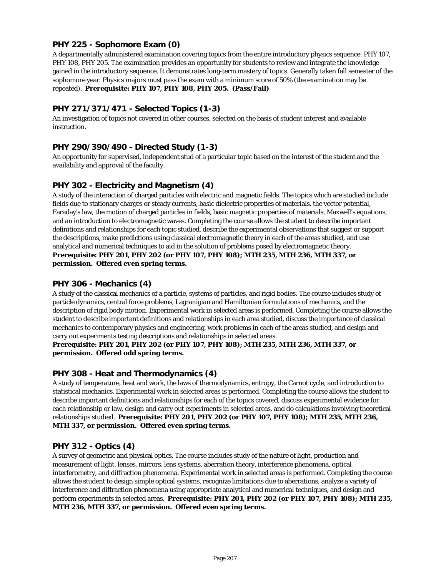## **PHY 225 - Sophomore Exam (0)**

A departmentally administered examination covering topics from the entire introductory physics sequence: PHY 107, PHY 108, PHY 205. The examination provides an opportunity for students to review and integrate the knowledge gained in the introductory sequence. It demonstrates long-term mastery of topics. Generally taken fall semester of the sophomore year. Physics majors must pass the exam with a minimum score of 50% (the examination may be repeated). *Prerequisite: PHY 107, PHY 108, PHY 205.* **(Pass/Fail)**

#### **PHY 271/371/471 - Selected Topics (1-3)**

An investigation of topics not covered in other courses, selected on the basis of student interest and available instruction.

#### **PHY 290/390/490 - Directed Study (1-3)**

An opportunity for supervised, independent stud of a particular topic based on the interest of the student and the availability and approval of the faculty.

#### **PHY 302 - Electricity and Magnetism (4)**

A study of the interaction of charged particles with electric and magnetic fields. The topics which are studied include fields due to stationary charges or steady currents, basic dielectric properties of materials, the vector potential, Faraday's law, the motion of charged particles in fields, basic magnetic properties of materials, Maxwell's equations, and an introduction to electromagnetic waves. Completing the course allows the student to describe important definitions and relationships for each topic studied, describe the experimental observations that suggest or support the descriptions, make predictions using classical electromagnetic theory in each of the areas studied, and use analytical and numerical techniques to aid in the solution of problems posed by electromagnetic theory. *Prerequisite: PHY 201, PHY 202 (or PHY 107, PHY 108); MTH 235, MTH 236, MTH 337, or permission. Offered even spring terms.*

#### **PHY 306 - Mechanics (4)**

A study of the classical mechanics of a particle, systems of particles, and rigid bodies. The course includes study of particle dynamics, central force problems, Lagranigian and Hamiltonian formulations of mechanics, and the description of rigid body motion. Experimental work in selected areas is performed. Completing the course allows the student to describe important definitions and relationships in each area studied, discuss the importance of classical mechanics to contemporary physics and engineering, work problems in each of the areas studied, and design and carry out experiments testing descriptions and relationships in selected areas.

#### *Prerequisite: PHY 201, PHY 202 (or PHY 107, PHY 108); MTH 235, MTH 236, MTH 337, or permission. Offered odd spring terms.*

#### **PHY 308 - Heat and Thermodynamics (4)**

A study of temperature, heat and work, the laws of thermodynamics, entropy, the Carnot cycle, and introduction to statistical mechanics. Experimental work in selected areas is performed. Completing the course allows the student to describe important definitions and relationships for each of the topics covered, discuss experimental evidence for each relationship or law, design and carry out experiments in selected areas, and do calculations involving theoretical relationships studied. *Prerequisite: PHY 201, PHY 202 (or PHY 107, PHY 108); MTH 235, MTH 236, MTH 337, or permission. Offered even spring terms.*

#### **PHY 312 - Optics (4)**

A survey of geometric and physical optics. The course includes study of the nature of light, production and measurement of light, lenses, mirrors, lens systems, aberration theory, interference phenomena, optical interferometry, and diffraction phenomena. Experimental work in selected areas is performed. Completing the course allows the student to design simple optical systems, recognize limitations due to aberrations, analyze a variety of interference and diffraction phenomena using appropriate analytical and numerical techniques, and design and perform experiments in selected areas. *Prerequisite: PHY 201, PHY 202 (or PHY 107, PHY 108); MTH 235, MTH 236, MTH 337, or permission. Offered even spring terms.*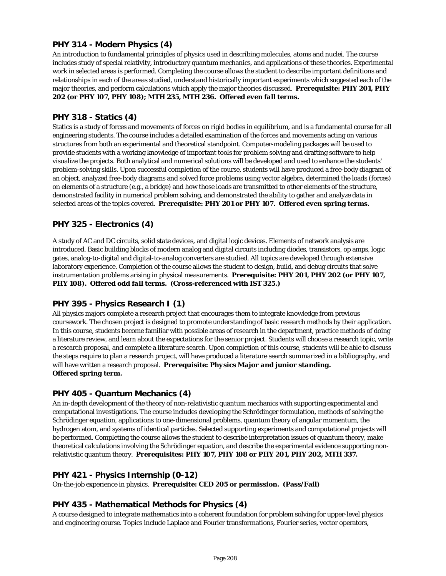## **PHY 314 - Modern Physics (4)**

An introduction to fundamental principles of physics used in describing molecules, atoms and nuclei. The course includes study of special relativity, introductory quantum mechanics, and applications of these theories. Experimental work in selected areas is performed. Completing the course allows the student to describe important definitions and relationships in each of the areas studied, understand historically important experiments which suggested each of the major theories, and perform calculations which apply the major theories discussed. *Prerequisite: PHY 201, PHY 202 (or PHY 107, PHY 108); MTH 235, MTH 236. Offered even fall terms.*

#### **PHY 318 - Statics (4)**

Statics is a study of forces and movements of forces on rigid bodies in equilibrium, and is a fundamental course for all engineering students. The course includes a detailed examination of the forces and movements acting on various structures from both an experimental and theoretical standpoint. Computer-modeling packages will be used to provide students with a working knowledge of important tools for problem solving and drafting software to help visualize the projects. Both analytical and numerical solutions will be developed and used to enhance the students' problem-solving skills. Upon successful completion of the course, students will have produced a free-body diagram of an object, analyzed free-body diagrams and solved force problems using vector algebra, determined the loads (forces) on elements of a structure (e.g., a bridge) and how those loads are transmitted to other elements of the structure, demonstrated facility in numerical problem solving, and demonstrated the ability to gather and analyze data in selected areas of the topics covered. *Prerequisite: PHY 201 or PHY 107. Offered even spring terms.*

## **PHY 325 - Electronics (4)**

A study of AC and DC circuits, solid state devices, and digital logic devices. Elements of network analysis are introduced. Basic building blocks of modern analog and digital circuits including diodes, transistors, op amps, logic gates, analog-to-digital and digital-to-analog converters are studied. All topics are developed through extensive laboratory experience. Completion of the course allows the student to design, build, and debug circuits that solve instrumentation problems arising in physical measurements. *Prerequisite: PHY 201, PHY 202 (or PHY 107, PHY 108). Offered odd fall terms***. (Cross-referenced with IST 325.)**

#### **PHY 395 - Physics Research I (1)**

All physics majors complete a research project that encourages them to integrate knowledge from previous coursework. The chosen project is designed to promote understanding of basic research methods by their application. In this course, students become familiar with possible areas of research in the department, practice methods of doing a literature review, and learn about the expectations for the senior project. Students will choose a research topic, write a research proposal, and complete a literature search. Upon completion of this course, students will be able to discuss the steps require to plan a research project, will have produced a literature search summarized in a bibliography, and will have written a research proposal. *Prerequisite: Physics Major and junior standing. Offered spring term.*

#### **PHY 405 - Quantum Mechanics (4)**

An in-depth development of the theory of non-relativistic quantum mechanics with supporting experimental and computational investigations. The course includes developing the Schrödinger formulation, methods of solving the Schrödinger equation, applications to one-dimensional problems, quantum theory of angular momentum, the hydrogen atom, and systems of identical particles. Selected supporting experiments and computational projects will be performed. Completing the course allows the student to describe interpretation issues of quantum theory, make theoretical calculations involving the Schrödinger equation, and describe the experimental evidence supporting nonrelativistic quantum theory. *Prerequisites: PHY 107, PHY 108 or PHY 201, PHY 202, MTH 337.*

#### **PHY 421 - Physics Internship (0-12)**

On-the-job experience in physics. *Prerequisite: CED 205 or permission***. (Pass/Fail)**

#### **PHY 435 - Mathematical Methods for Physics (4)**

A course designed to integrate mathematics into a coherent foundation for problem solving for upper-level physics and engineering course. Topics include Laplace and Fourier transformations, Fourier series, vector operators,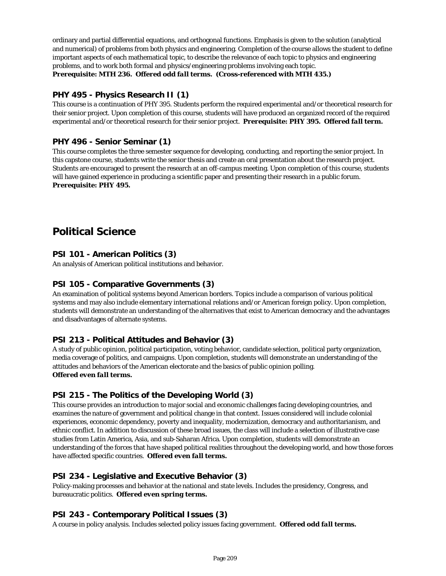ordinary and partial differential equations, and orthogonal functions. Emphasis is given to the solution (analytical and numerical) of problems from both physics and engineering. Completion of the course allows the student to define important aspects of each mathematical topic, to describe the relevance of each topic to physics and engineering problems, and to work both formal and physics/engineering problems involving each topic. *Prerequisite: MTH 236. Offered odd fall terms.* **(Cross-referenced with MTH 435.)**

#### **PHY 495 - Physics Research II (1)**

This course is a continuation of PHY 395. Students perform the required experimental and/or theoretical research for their senior project. Upon completion of this course, students will have produced an organized record of the required experimental and/or theoretical research for their senior project. *Prerequisite: PHY 395. Offered fall term.*

## **PHY 496 - Senior Seminar (1)**

This course completes the three semester sequence for developing, conducting, and reporting the senior project. In this capstone course, students write the senior thesis and create an oral presentation about the research project. Students are encouraged to present the research at an off-campus meeting. Upon completion of this course, students will have gained experience in producing a scientific paper and presenting their research in a public forum. *Prerequisite: PHY 495.*

## **Political Science**

### **PSI 101 - American Politics (3)**

An analysis of American political institutions and behavior.

### **PSI 105 - Comparative Governments (3)**

An examination of political systems beyond American borders. Topics include a comparison of various political systems and may also include elementary international relations and/or American foreign policy. Upon completion, students will demonstrate an understanding of the alternatives that exist to American democracy and the advantages and disadvantages of alternate systems.

#### **PSI 213 - Political Attitudes and Behavior (3)**

A study of public opinion, political participation, voting behavior, candidate selection, political party organization, media coverage of politics, and campaigns. Upon completion, students will demonstrate an understanding of the attitudes and behaviors of the American electorate and the basics of public opinion polling. *Offered even fall terms.*

## **PSI 215 - The Politics of the Developing World (3)**

This course provides an introduction to major social and economic challenges facing developing countries, and examines the nature of government and political change in that context. Issues considered will include colonial experiences, economic dependency, poverty and inequality, modernization, democracy and authoritarianism, and ethnic conflict. In addition to discussion of these broad issues, the class will include a selection of illustrative case studies from Latin America, Asia, and sub-Saharan Africa. Upon completion, students will demonstrate an understanding of the forces that have shaped political realities throughout the developing world, and how those forces have affected specific countries. *Offered even fall terms.*

## **PSI 234 - Legislative and Executive Behavior (3)**

Policy-making processes and behavior at the national and state levels. Includes the presidency, Congress, and bureaucratic politics. *Offered even spring terms.*

#### **PSI 243 - Contemporary Political Issues (3)**

A course in policy analysis. Includes selected policy issues facing government. *Offered odd fall terms.*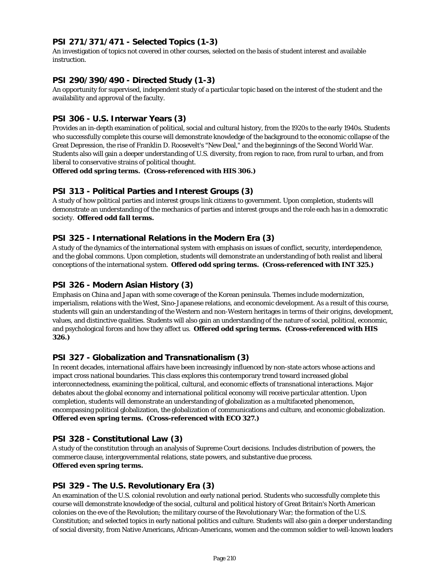## **PSI 271/371/471 - Selected Topics (1-3)**

An investigation of topics not covered in other courses, selected on the basis of student interest and available instruction.

### **PSI 290/390/490 - Directed Study (1-3)**

An opportunity for supervised, independent study of a particular topic based on the interest of the student and the availability and approval of the faculty.

#### **PSI 306 - U.S. Interwar Years (3)**

Provides an in-depth examination of political, social and cultural history, from the 1920s to the early 1940s. Students who successfully complete this course will demonstrate knowledge of the background to the economic collapse of the Great Depression, the rise of Franklin D. Roosevelt's "New Deal," and the beginnings of the Second World War. Students also will gain a deeper understanding of U.S. diversity, from region to race, from rural to urban, and from liberal to conservative strains of political thought.

*Offered odd spring terms.* **(Cross-referenced with HIS 306.)**

#### **PSI 313 - Political Parties and Interest Groups (3)**

A study of how political parties and interest groups link citizens to government. Upon completion, students will demonstrate an understanding of the mechanics of parties and interest groups and the role each has in a democratic society. *Offered odd fall terms.*

#### **PSI 325 - International Relations in the Modern Era (3)**

A study of the dynamics of the international system with emphasis on issues of conflict, security, interdependence, and the global commons. Upon completion, students will demonstrate an understanding of both realist and liberal conceptions of the international system. *Offered odd spring terms.* **(Cross-referenced with INT 325.)**

#### **PSI 326 - Modern Asian History (3)**

Emphasis on China and Japan with some coverage of the Korean peninsula. Themes include modernization, imperialism, relations with the West, Sino-Japanese relations, and economic development. As a result of this course, students will gain an understanding of the Western and non-Western heritages in terms of their origins, development, values, and distinctive qualities. Students will also gain an understanding of the nature of social, political, economic, and psychological forces and how they affect us. *Offered odd spring terms.* **(Cross-referenced with HIS 326.)**

#### **PSI 327 - Globalization and Transnationalism (3)**

In recent decades, international affairs have been increasingly influenced by non-state actors whose actions and impact cross national boundaries. This class explores this contemporary trend toward increased global interconnectedness, examining the political, cultural, and economic effects of transnational interactions. Major debates about the global economy and international political economy will receive particular attention. Upon completion, students will demonstrate an understanding of globalization as a multifaceted phenomenon, encompassing political globalization, the globalization of communications and culture, and economic globalization. *Offered even spring terms.* **(Cross-referenced with ECO 327.)**

#### **PSI 328 - Constitutional Law (3)**

A study of the constitution through an analysis of Supreme Court decisions. Includes distribution of powers, the commerce clause, intergovernmental relations, state powers, and substantive due process. *Offered even spring terms.*

#### **PSI 329 - The U.S. Revolutionary Era (3)**

An examination of the U.S. colonial revolution and early national period. Students who successfully complete this course will demonstrate knowledge of the social, cultural and political history of Great Britain's North American colonies on the eve of the Revolution; the military course of the Revolutionary War; the formation of the U.S. Constitution; and selected topics in early national politics and culture. Students will also gain a deeper understanding of social diversity, from Native Americans, African-Americans, women and the common soldier to well-known leaders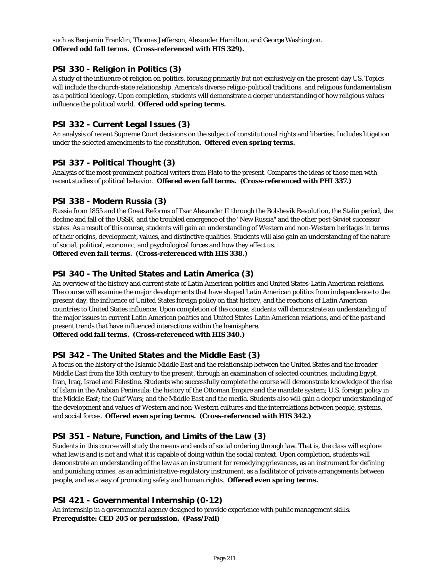such as Benjamin Franklin, Thomas Jefferson, Alexander Hamilton, and George Washington. *Offered odd fall terms.* **(Cross-referenced with HIS 329).**

#### **PSI 330 - Religion in Politics (3)**

A study of the influence of religion on politics, focusing primarily but not exclusively on the present-day US. Topics will include the church-state relationship, America's diverse religio-political traditions, and religious fundamentalism as a political ideology. Upon completion, students will demonstrate a deeper understanding of how religious values influence the political world. *Offered odd spring terms.*

#### **PSI 332 - Current Legal Issues (3)**

An analysis of recent Supreme Court decisions on the subject of constitutional rights and liberties. Includes litigation under the selected amendments to the constitution. *Offered even spring terms.*

#### **PSI 337 - Political Thought (3)**

Analysis of the most prominent political writers from Plato to the present. Compares the ideas of those men with recent studies of political behavior. *Offered even fall terms.* **(Cross-referenced with PHI 337.)**

#### **PSI 338 - Modern Russia (3)**

Russia from 1855 and the Great Reforms of Tsar Alexander II through the Bolshevik Revolution, the Stalin period, the decline and fall of the USSR, and the troubled emergence of the "New Russia" and the other post-Soviet successor states. As a result of this course, students will gain an understanding of Western and non-Western heritages in terms of their origins, development, values, and distinctive qualities. Students will also gain an understanding of the nature of social, political, economic, and psychological forces and how they affect us. *Offered even fall terms.* **(Cross-referenced with HIS 338.)**

#### **PSI 340 - The United States and Latin America (3)**

An overview of the history and current state of Latin American politics and United States-Latin American relations. The course will examine the major developments that have shaped Latin American politics from independence to the present day, the influence of United States foreign policy on that history, and the reactions of Latin American countries to United States influence. Upon completion of the course, students will demonstrate an understanding of the major issues in current Latin American politics and United States-Latin American relations, and of the past and present trends that have influenced interactions within the hemisphere.

*Offered odd fall terms.* **(Cross-referenced with HIS 340.)**

#### **PSI 342 - The United States and the Middle East (3)**

A focus on the history of the Islamic Middle East and the relationship between the United States and the broader Middle East from the 18th century to the present, through an examination of selected countries, including Egypt, Iran, Iraq, Israel and Palestine. Students who successfully complete the course will demonstrate knowledge of the rise of Islam in the Arabian Peninsula; the history of the Ottoman Empire and the mandate system; U.S. foreign policy in the Middle East; the Gulf Wars; and the Middle East and the media. Students also will gain a deeper understanding of the development and values of Western and non-Western cultures and the interrelations between people, systems, and social forces. *Offered even spring terms.* **(Cross-referenced with HIS 342.)**

#### **PSI 351 - Nature, Function, and Limits of the Law (3)**

Students in this course will study the means and ends of social ordering through law. That is, the class will explore what law is and is not and what it is capable of doing within the social context. Upon completion, students will demonstrate an understanding of the law as an instrument for remedying grievances, as an instrument for defining and punishing crimes, as an administrative-regulatory instrument, as a facilitator of private arrangements between people, and as a way of promoting safety and human rights. *Offered even spring terms.*

#### **PSI 421 - Governmental Internship (0-12)**

An internship in a governmental agency designed to provide experience with public management skills. *Prerequisite: CED 205 or permission.* **(Pass/Fail)**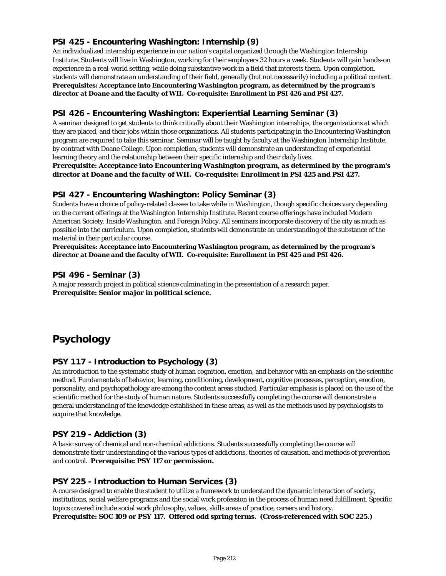## **PSI 425 - Encountering Washington: Internship (9)**

An individualized internship experience in our nation's capital organized through the Washington Internship Institute. Students will live in Washington, working for their employers 32 hours a week. Students will gain hands-on experience in a real-world setting, while doing substantive work in a field that interests them. Upon completion, students will demonstrate an understanding of their field, generally (but not necessarily) including a political context. *Prerequisites: Acceptance into Encountering Washington program, as determined by the program's director at Doane and the faculty of WII. Co-requisite: Enrollment in PSI 426 and PSI 427.*

## **PSI 426 - Encountering Washington: Experiential Learning Seminar (3)**

A seminar designed to get students to think critically about their Washington internships, the organizations at which they are placed, and their jobs within those organizations. All students participating in the Encountering Washington program are required to take this seminar. Seminar will be taught by faculty at the Washington Internship Institute, by contract with Doane College. Upon completion, students will demonstrate an understanding of experiential learning theory and the relationship between their specific internship and their daily lives.

#### *Prerequisite: Acceptance into Encountering Washington program, as determined by the program's director at Doane and the faculty of WII. Co-requisite: Enrollment in PSI 425 and PSI 427.*

## **PSI 427 - Encountering Washington: Policy Seminar (3)**

Students have a choice of policy-related classes to take while in Washington, though specific choices vary depending on the current offerings at the Washington Internship Institute. Recent course offerings have included Modern American Society, Inside Washington, and Foreign Policy. All seminars incorporate discovery of the city as much as possible into the curriculum. Upon completion, students will demonstrate an understanding of the substance of the material in their particular course.

*Prerequisites: Acceptance into Encountering Washington program, as determined by the program's director at Doane and the faculty of WII. Co-requisite: Enrollment in PSI 425 and PSI 426.*

## **PSI 496 - Seminar (3)**

A major research project in political science culminating in the presentation of a research paper. *Prerequisite: Senior major in political science.*

## **Psychology**

#### **PSY 117 - Introduction to Psychology (3)**

An introduction to the systematic study of human cognition, emotion, and behavior with an emphasis on the scientific method. Fundamentals of behavior, learning, conditioning, development, cognitive processes, perception, emotion, personality, and psychopathology are among the content areas studied. Particular emphasis is placed on the use of the scientific method for the study of human nature. Students successfully completing the course will demonstrate a general understanding of the knowledge established in these areas, as well as the methods used by psychologists to acquire that knowledge.

#### **PSY 219 - Addiction (3)**

A basic survey of chemical and non-chemical addictions. Students successfully completing the course will demonstrate their understanding of the various types of addictions, theories of causation, and methods of prevention and control. *Prerequisite: PSY 117 or permission.*

#### **PSY 225 - Introduction to Human Services (3)**

A course designed to enable the student to utilize a framework to understand the dynamic interaction of society, institutions, social welfare programs and the social work profession in the process of human need fulfillment. Specific topics covered include social work philosophy, values, skills areas of practice, careers and history. *Prerequisite: SOC 109 or PSY 117. Offered odd spring terms.* **(Cross-referenced with SOC 225.)**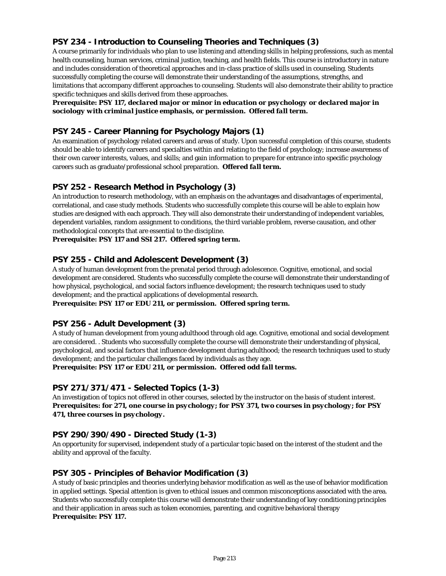## **PSY 234 - Introduction to Counseling Theories and Techniques (3)**

A course primarily for individuals who plan to use listening and attending skills in helping professions, such as mental health counseling, human services, criminal justice, teaching, and health fields. This course is introductory in nature and includes consideration of theoretical approaches and in-class practice of skills used in counseling. Students successfully completing the course will demonstrate their understanding of the assumptions, strengths, and limitations that accompany different approaches to counseling. Students will also demonstrate their ability to practice specific techniques and skills derived from these approaches.

*Prerequisite: PSY 117, declared major or minor in education or psychology or declared major in sociology with criminal justice emphasis, or permission. Offered fall term.*

## **PSY 245 - Career Planning for Psychology Majors (1)**

An examination of psychology related careers and areas of study. Upon successful completion of this course, students should be able to identify careers and specialties within and relating to the field of psychology; increase awareness of their own career interests, values, and skills; and gain information to prepare for entrance into specific psychology careers such as graduate/professional school preparation. *Offered fall term.*

### **PSY 252 - Research Method in Psychology (3)**

An introduction to research methodology, with an emphasis on the advantages and disadvantages of experimental, correlational, and case study methods. Students who successfully complete this course will be able to explain how studies are designed with each approach. They will also demonstrate their understanding of independent variables, dependent variables, random assignment to conditions, the third variable problem, reverse causation, and other methodological concepts that are essential to the discipline.

*Prerequisite: PSY 117 and SSI 217. Offered spring term.*

#### **PSY 255 - Child and Adolescent Development (3)**

A study of human development from the prenatal period through adolescence. Cognitive, emotional, and social development are considered. Students who successfully complete the course will demonstrate their understanding of how physical, psychological, and social factors influence development; the research techniques used to study development; and the practical applications of developmental research.

*Prerequisite: PSY 117 or EDU 211, or permission. Offered spring term.*

#### **PSY 256 - Adult Development (3)**

A study of human development from young adulthood through old age. Cognitive, emotional and social development are considered. . Students who successfully complete the course will demonstrate their understanding of physical, psychological, and social factors that influence development during adulthood; the research techniques used to study development; and the particular challenges faced by individuals as they age.

*Prerequisite: PSY 117 or EDU 211, or permission. Offered odd fall terms.*

#### **PSY 271/371/471 - Selected Topics (1-3)**

An investigation of topics not offered in other courses, selected by the instructor on the basis of student interest. *Prerequisites: for 271, one course in psychology; for PSY 371, two courses in psychology; for PSY 471, three courses in psychology.*

#### **PSY 290/390/490 - Directed Study (1-3)**

An opportunity for supervised, independent study of a particular topic based on the interest of the student and the ability and approval of the faculty.

#### **PSY 305 - Principles of Behavior Modification (3)**

A study of basic principles and theories underlying behavior modification as well as the use of behavior modification in applied settings. Special attention is given to ethical issues and common misconceptions associated with the area. Students who successfully complete this course will demonstrate their understanding of key conditioning principles and their application in areas such as token economies, parenting, and cognitive behavioral therapy *Prerequisite: PSY 117.*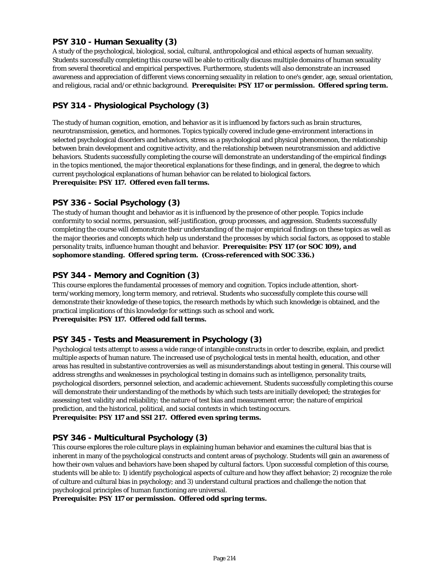### **PSY 310 - Human Sexuality (3)**

A study of the psychological, biological, social, cultural, anthropological and ethical aspects of human sexuality. Students successfully completing this course will be able to critically discuss multiple domains of human sexuality from several theoretical and empirical perspectives. Furthermore, students will also demonstrate an increased awareness and appreciation of different views concerning sexuality in relation to one's gender, age, sexual orientation, and religious, racial and/or ethnic background. *Prerequisite: PSY 117 or permission. Offered spring term.*

## **PSY 314 - Physiological Psychology (3)**

The study of human cognition, emotion, and behavior as it is influenced by factors such as brain structures, neurotransmission, genetics, and hormones. Topics typically covered include gene-environment interactions in selected psychological disorders and behaviors, stress as a psychological and physical phenomenon, the relationship between brain development and cognitive activity, and the relationship between neurotransmission and addictive behaviors. Students successfully completing the course will demonstrate an understanding of the empirical findings in the topics mentioned, the major theoretical explanations for these findings, and in general, the degree to which current psychological explanations of human behavior can be related to biological factors. *Prerequisite: PSY 117. Offered even fall terms.*

### **PSY 336 - Social Psychology (3)**

The study of human thought and behavior as it is influenced by the presence of other people. Topics include conformity to social norms, persuasion, self-justification, group processes, and aggression. Students successfully completing the course will demonstrate their understanding of the major empirical findings on these topics as well as the major theories and concepts which help us understand the processes by which social factors, as opposed to stable personality traits, influence human thought and behavior. *Prerequisite: PSY 117 (or SOC 109), and sophomore standing. Offered spring term.* **(Cross-referenced with SOC 336.)**

### **PSY 344 - Memory and Cognition (3)**

This course explores the fundamental processes of memory and cognition. Topics include attention, shortterm/working memory, long term memory, and retrieval. Students who successfully complete this course will demonstrate their knowledge of these topics, the research methods by which such knowledge is obtained, and the practical implications of this knowledge for settings such as school and work.

## *Prerequisite: PSY 117. Offered odd fall terms.*

#### **PSY 345 - Tests and Measurement in Psychology (3)**

Psychological tests attempt to assess a wide range of intangible constructs in order to describe, explain, and predict multiple aspects of human nature. The increased use of psychological tests in mental health, education, and other areas has resulted in substantive controversies as well as misunderstandings about testing in general. This course will address strengths and weaknesses in psychological testing in domains such as intelligence, personality traits, psychological disorders, personnel selection, and academic achievement. Students successfully completing this course will demonstrate their understanding of the methods by which such tests are initially developed; the strategies for assessing test validity and reliability; the nature of test bias and measurement error; the nature of empirical prediction, and the historical, political, and social contexts in which testing occurs.

*Prerequisite: PSY 117 and SSI 217. Offered even spring terms.*

#### **PSY 346 - Multicultural Psychology (3)**

This course explores the role culture plays in explaining human behavior and examines the cultural bias that is inherent in many of the psychological constructs and content areas of psychology. Students will gain an awareness of how their own values and behaviors have been shaped by cultural factors. Upon successful completion of this course, students will be able to: 1) identify psychological aspects of culture and how they affect behavior; 2) recognize the role of culture and cultural bias in psychology; and 3) understand cultural practices and challenge the notion that psychological principles of human functioning are universal.

*Prerequisite: PSY 117 or permission. Offered odd spring terms.*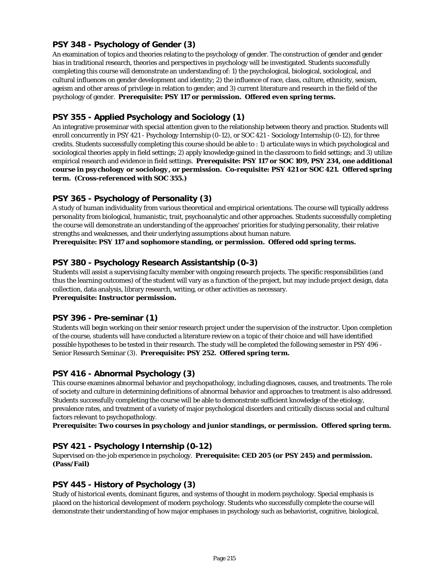## **PSY 348 - Psychology of Gender (3)**

An examination of topics and theories relating to the psychology of gender. The construction of gender and gender bias in traditional research, theories and perspectives in psychology will be investigated. Students successfully completing this course will demonstrate an understanding of: 1) the psychological, biological, sociological, and cultural influences on gender development and identity; 2) the influence of race, class, culture, ethnicity, sexism, ageism and other areas of privilege in relation to gender; and 3) current literature and research in the field of the psychology of gender. *Prerequisite: PSY 117 or permission. Offered even spring terms.*

## **PSY 355 - Applied Psychology and Sociology (1)**

An integrative proseminar with special attention given to the relationship between theory and practice. Students will enroll concurrently in PSY 421 - Psychology Internship (0-12), or SOC 421 - Sociology Internship (0-12), for three credits. Students successfully completing this course should be able to : 1) articulate ways in which psychological and sociological theories apply in field settings; 2) apply knowledge gained in the classroom to field settings; and 3) utilize empirical research and evidence in field settings. *Prerequisite: PSY 117 or SOC 109, PSY 234, one additional course in psychology or sociology, or permission. Co-requisite: PSY 421 or SOC 421. Offered spring term.* **(Cross-referenced with SOC 355.)**

## **PSY 365 - Psychology of Personality (3)**

A study of human individuality from various theoretical and empirical orientations. The course will typically address personality from biological, humanistic, trait, psychoanalytic and other approaches. Students successfully completing the course will demonstrate an understanding of the approaches' priorities for studying personality, their relative strengths and weaknesses, and their underlying assumptions about human nature.

#### *Prerequisite: PSY 117 and sophomore standing, or permission. Offered odd spring terms.*

## **PSY 380 - Psychology Research Assistantship (0-3)**

Students will assist a supervising faculty member with ongoing research projects. The specific responsibilities (and thus the learning outcomes) of the student will vary as a function of the project, but may include project design, data collection, data analysis, library research, writing, or other activities as necessary.

#### *Prerequisite: Instructor permission.*

#### **PSY 396 - Pre-seminar (1)**

Students will begin working on their senior research project under the supervision of the instructor. Upon completion of the course, students will have conducted a literature review on a topic of their choice and will have identified possible hypotheses to be tested in their research. The study will be completed the following semester in PSY 496 - Senior Research Seminar (3). *Prerequisite: PSY 252. Offered spring term.*

## **PSY 416 - Abnormal Psychology (3)**

This course examines abnormal behavior and psychopathology, including diagnoses, causes, and treatments. The role of society and culture in determining definitions of abnormal behavior and approaches to treatment is also addressed. Students successfully completing the course will be able to demonstrate sufficient knowledge of the etiology, prevalence rates, and treatment of a variety of major psychological disorders and critically discuss social and cultural factors relevant to psychopathology.

*Prerequisite: Two courses in psychology and junior standings, or permission. Offered spring term.*

## **PSY 421 - Psychology Internship (0-12)**

Supervised on-the-job experience in psychology. *Prerequisite: CED 205 (or PSY 245) and permission.*  **(Pass/Fail)**

## **PSY 445 - History of Psychology (3)**

Study of historical events, dominant figures, and systems of thought in modern psychology. Special emphasis is placed on the historical development of modern psychology. Students who successfully complete the course will demonstrate their understanding of how major emphases in psychology such as behaviorist, cognitive, biological,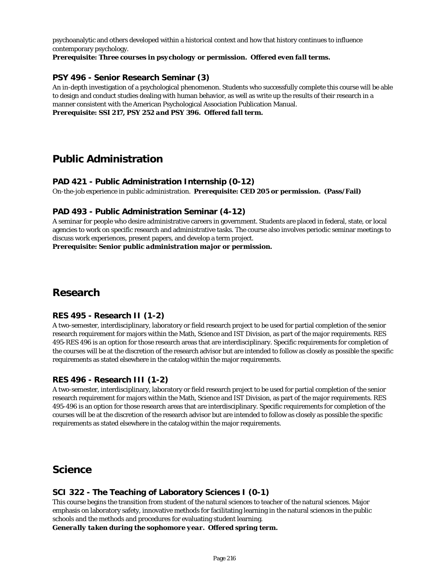psychoanalytic and others developed within a historical context and how that history continues to influence contemporary psychology.

*Prerequisite: Three courses in psychology or permission. Offered even fall terms.*

## **PSY 496 - Senior Research Seminar (3)**

An in-depth investigation of a psychological phenomenon. Students who successfully complete this course will be able to design and conduct studies dealing with human behavior, as well as write up the results of their research in a manner consistent with the American Psychological Association Publication Manual. *Prerequisite: SSI 217, PSY 252 and PSY 396. Offered fall term.*

## **Public Administration**

#### **PAD 421 - Public Administration Internship (0-12)**

On-the-job experience in public administration. *Prerequisite: CED 205 or permission.* **(Pass/Fail)**

### **PAD 493 - Public Administration Seminar (4-12)**

A seminar for people who desire administrative careers in government. Students are placed in federal, state, or local agencies to work on specific research and administrative tasks. The course also involves periodic seminar meetings to discuss work experiences, present papers, and develop a term project.

*Prerequisite: Senior public administration major or permission***.**

## **Research**

#### **RES 495 - Research II (1-2)**

A two-semester, interdisciplinary, laboratory or field research project to be used for partial completion of the senior research requirement for majors within the Math, Science and IST Division, as part of the major requirements. RES 495-RES 496 is an option for those research areas that are interdisciplinary. Specific requirements for completion of the courses will be at the discretion of the research advisor but are intended to follow as closely as possible the specific requirements as stated elsewhere in the catalog within the major requirements.

## **RES 496 - Research III (1-2)**

A two-semester, interdisciplinary, laboratory or field research project to be used for partial completion of the senior research requirement for majors within the Math, Science and IST Division, as part of the major requirements. RES 495-496 is an option for those research areas that are interdisciplinary. Specific requirements for completion of the courses will be at the discretion of the research advisor but are intended to follow as closely as possible the specific requirements as stated elsewhere in the catalog within the major requirements.

## **Science**

## **SCI 322 - The Teaching of Laboratory Sciences I (0-1)**

This course begins the transition from student of the natural sciences to teacher of the natural sciences. Major emphasis on laboratory safety, innovative methods for facilitating learning in the natural sciences in the public schools and the methods and procedures for evaluating student learning. *Generally taken during the sophomore year. Offered spring term.*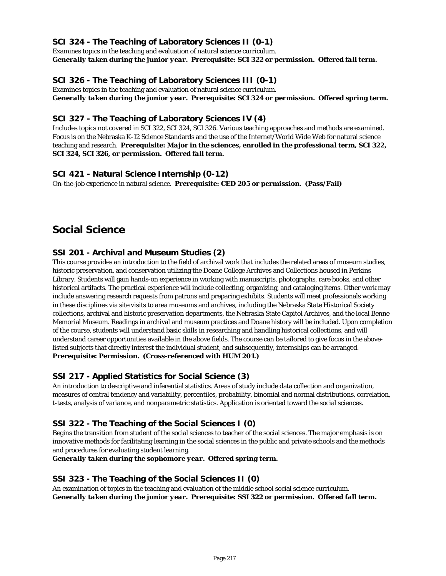#### **SCI 324 - The Teaching of Laboratory Sciences II (0-1)**

Examines topics in the teaching and evaluation of natural science curriculum. *Generally taken during the junior year. Prerequisite: SCI 322 or permission. Offered fall term.*

#### **SCI 326 - The Teaching of Laboratory Sciences III (0-1)**

Examines topics in the teaching and evaluation of natural science curriculum. *Generally taken during the junior year. Prerequisite: SCI 324 or permission. Offered spring term.*

#### **SCI 327 - The Teaching of Laboratory Sciences IV (4)**

Includes topics not covered in SCI 322, SCI 324, SCI 326. Various teaching approaches and methods are examined. Focus is on the Nebraska K-12 Science Standards and the use of the Internet/World Wide Web for natural science teaching and research. *Prerequisite: Major in the sciences, enrolled in the professional term, SCI 322, SCI 324, SCI 326, or permission. Offered fall term.*

#### **SCI 421 - Natural Science Internship (0-12)**

On-the-job experience in natural science. *Prerequisite: CED 205 or permission***. (Pass/Fail)**

### **Social Science**

#### **SSI 201 - Archival and Museum Studies (2)**

This course provides an introduction to the field of archival work that includes the related areas of museum studies, historic preservation, and conservation utilizing the Doane College Archives and Collections housed in Perkins Library. Students will gain hands-on experience in working with manuscripts, photographs, rare books, and other historical artifacts. The practical experience will include collecting, organizing, and cataloging items. Other work may include answering research requests from patrons and preparing exhibits. Students will meet professionals working in these disciplines via site visits to area museums and archives, including the Nebraska State Historical Society collections, archival and historic preservation departments, the Nebraska State Capitol Archives, and the local Benne Memorial Museum. Readings in archival and museum practices and Doane history will be included. Upon completion of the course, students will understand basic skills in researching and handling historical collections, and will understand career opportunities available in the above fields. The course can be tailored to give focus in the abovelisted subjects that directly interest the individual student, and subsequently, internships can be arranged. *Prerequisite: Permission.* **(Cross-referenced with HUM 201.)**

#### **SSI 217 - Applied Statistics for Social Science (3)**

An introduction to descriptive and inferential statistics. Areas of study include data collection and organization, measures of central tendency and variability, percentiles, probability, binomial and normal distributions, correlation, t-tests, analysis of variance, and nonparametric statistics. Application is oriented toward the social sciences.

#### **SSI 322 - The Teaching of the Social Sciences I (0)**

Begins the transition from student of the social sciences to teacher of the social sciences. The major emphasis is on innovative methods for facilitating learning in the social sciences in the public and private schools and the methods and procedures for evaluating student learning.

*Generally taken during the sophomore year. Offered spring term.*

#### **SSI 323 - The Teaching of the Social Sciences II (0)**

An examination of topics in the teaching and evaluation of the middle school social science curriculum. *Generally taken during the junior year. Prerequisite: SSI 322 or permission. Offered fall term.*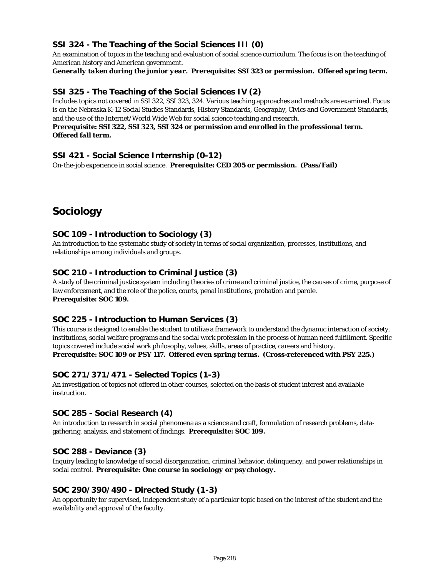#### **SSI 324 - The Teaching of the Social Sciences III (0)**

An examination of topics in the teaching and evaluation of social science curriculum. The focus is on the teaching of American history and American government.

*Generally taken during the junior year. Prerequisite: SSI 323 or permission. Offered spring term.*

#### **SSI 325 - The Teaching of the Social Sciences IV (2)**

Includes topics not covered in SSI 322, SSI 323, 324. Various teaching approaches and methods are examined. Focus is on the Nebraska K-12 Social Studies Standards, History Standards, Geography, Civics and Government Standards, and the use of the Internet/World Wide Web for social science teaching and research.

#### *Prerequisite: SSI 322, SSI 323, SSI 324 or permission and enrolled in the professional term. Offered fall term.*

#### **SSI 421 - Social Science Internship (0-12)**

On-the-job experience in social science. *Prerequisite: CED 205 or permission.* **(Pass/Fail)**

### **Sociology**

#### **SOC 109 - Introduction to Sociology (3)**

An introduction to the systematic study of society in terms of social organization, processes, institutions, and relationships among individuals and groups.

#### **SOC 210 - Introduction to Criminal Justice (3)**

A study of the criminal justice system including theories of crime and criminal justice, the causes of crime, purpose of law enforcement, and the role of the police, courts, penal institutions, probation and parole. *Prerequisite: SOC 109.*

#### **SOC 225 - Introduction to Human Services (3)**

This course is designed to enable the student to utilize a framework to understand the dynamic interaction of society, institutions, social welfare programs and the social work profession in the process of human need fulfillment. Specific topics covered include social work philosophy, values, skills, areas of practice, careers and history. *Prerequisite: SOC 109 or PSY 117.**Offered even spring terms.* **(Cross-referenced with PSY 225.)**

#### **SOC 271/371/471 - Selected Topics (1-3)**

An investigation of topics not offered in other courses, selected on the basis of student interest and available instruction.

#### **SOC 285 - Social Research (4)**

An introduction to research in social phenomena as a science and craft, formulation of research problems, datagathering, analysis, and statement of findings. *Prerequisite: SOC 109.*

#### **SOC 288 - Deviance (3)**

Inquiry leading to knowledge of social disorganization, criminal behavior, delinquency, and power relationships in social control. *Prerequisite: One course in sociology or psychology.*

#### **SOC 290/390/490 - Directed Study (1-3)**

An opportunity for supervised, independent study of a particular topic based on the interest of the student and the availability and approval of the faculty.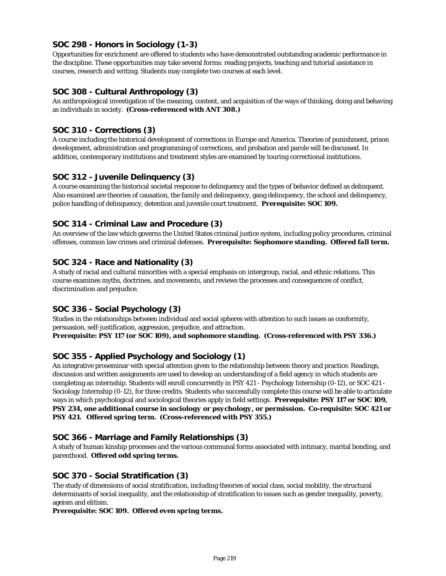#### **SOC 298 - Honors in Sociology (1-3)**

Opportunities for enrichment are offered to students who have demonstrated outstanding academic performance in the discipline. These opportunities may take several forms: reading projects, teaching and tutorial assistance in courses, research and writing. Students may complete two courses at each level.

#### **SOC 308 - Cultural Anthropology (3)**

An anthropological investigation of the meaning, content, and acquisition of the ways of thinking, doing and behaving as individuals in society. **(Cross-referenced with ANT 308.)**

#### **SOC 310 - Corrections (3)**

A course including the historical development of corrections in Europe and America. Theories of punishment, prison development, administration and programming of corrections, and probation and parole will be discussed. In addition, contemporary institutions and treatment styles are examined by touring correctional institutions.

#### **SOC 312 - Juvenile Delinquency (3)**

A course examining the historical societal response to delinquency and the types of behavior defined as delinquent. Also examined are theories of causation, the family and delinquency, gang delinquency, the school and delinquency, police handling of delinquency, detention and juvenile court treatment. *Prerequisite: SOC 109.*

#### **SOC 314 - Criminal Law and Procedure (3)**

An overview of the law which governs the United States criminal justice system, including policy procedures, criminal offenses, common law crimes and criminal defenses. *Prerequisite: Sophomore standing. Offered fall term.*

#### **SOC 324 - Race and Nationality (3)**

A study of racial and cultural minorities with a special emphasis on intergroup, racial, and ethnic relations. This course examines myths, doctrines, and movements, and reviews the processes and consequences of conflict, discrimination and prejudice.

#### **SOC 336 - Social Psychology (3)**

Studies in the relationships between individual and social spheres with attention to such issues as conformity, persuasion, self-justification, aggression, prejudice, and attraction.

*Prerequisite: PSY 117 (or SOC 109), and sophomore standing.* **(Cross-referenced with PSY 336.)**

#### **SOC 355 - Applied Psychology and Sociology (1)**

An integrative proseminar with special attention given to the relationship between theory and practice. Readings, discussion and written assignments are used to develop an understanding of a field agency in which students are completing an internship. Students will enroll concurrently in PSY 421 - Psychology Internship (0-12), or SOC 421 - Sociology Internship (0-12), for three credits. Students who successfully complete this course will be able to articulate ways in which psychological and sociological theories apply in field settings. *Prerequisite: PSY 117 or SOC 109, PSY 234, one additional course in sociology or psychology, or permission. Co-requisite: SOC 421 or PSY 421. Offered spring term.* **(Cross-referenced with PSY 355.)**

#### **SOC 366 - Marriage and Family Relationships (3)**

A study of human kinship processes and the various communal forms associated with intimacy, marital bonding, and parenthood. *Offered odd spring terms.*

#### **SOC 370 - Social Stratification (3)**

The study of dimensions of social stratification, including theories of social class, social mobility, the structural determinants of social inequality, and the relationship of stratification to issues such as gender inequality, poverty, ageism and elitism.

#### *Prerequisite: SOC 109. Offered even spring terms.*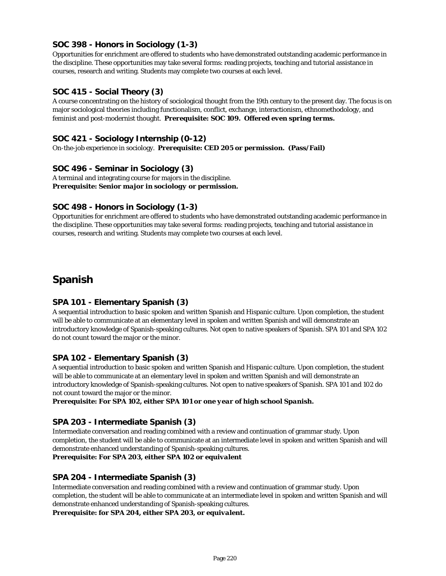#### **SOC 398 - Honors in Sociology (1-3)**

Opportunities for enrichment are offered to students who have demonstrated outstanding academic performance in the discipline. These opportunities may take several forms: reading projects, teaching and tutorial assistance in courses, research and writing. Students may complete two courses at each level.

#### **SOC 415 - Social Theory (3)**

A course concentrating on the history of sociological thought from the 19th century to the present day. The focus is on major sociological theories including functionalism, conflict, exchange, interactionism, ethnomethodology, and feminist and post-modernist thought. *Prerequisite: SOC 109. Offered even spring terms.*

#### **SOC 421 - Sociology Internship (0-12)**

On-the-job experience in sociology. *Prerequisite: CED 205 or permission.* **(Pass/Fail)**

#### **SOC 496 - Seminar in Sociology (3)**

A terminal and integrating course for majors in the discipline. *Prerequisite: Senior major in sociology or permission.*

#### **SOC 498 - Honors in Sociology (1-3)**

Opportunities for enrichment are offered to students who have demonstrated outstanding academic performance in the discipline. These opportunities may take several forms: reading projects, teaching and tutorial assistance in courses, research and writing. Students may complete two courses at each level.

### **Spanish**

#### **SPA 101 - Elementary Spanish (3)**

A sequential introduction to basic spoken and written Spanish and Hispanic culture. Upon completion, the student will be able to communicate at an elementary level in spoken and written Spanish and will demonstrate an introductory knowledge of Spanish-speaking cultures. Not open to native speakers of Spanish. SPA 101 and SPA 102 do not count toward the major or the minor.

#### **SPA 102 - Elementary Spanish (3)**

A sequential introduction to basic spoken and written Spanish and Hispanic culture. Upon completion, the student will be able to communicate at an elementary level in spoken and written Spanish and will demonstrate an introductory knowledge of Spanish-speaking cultures. Not open to native speakers of Spanish. SPA 101 and 102 do not count toward the major or the minor.

*Prerequisite: For SPA 102, either SPA 101 or one year of high school Spanish.*

#### **SPA 203 - Intermediate Spanish (3)**

Intermediate conversation and reading combined with a review and continuation of grammar study. Upon completion, the student will be able to communicate at an intermediate level in spoken and written Spanish and will demonstrate enhanced understanding of Spanish-speaking cultures.

*Prerequisite: For SPA 203, either SPA 102 or equivalent*

#### **SPA 204 - Intermediate Spanish (3)**

Intermediate conversation and reading combined with a review and continuation of grammar study. Upon completion, the student will be able to communicate at an intermediate level in spoken and written Spanish and will demonstrate enhanced understanding of Spanish-speaking cultures.

*Prerequisite: for SPA 204, either SPA 203, or equivalent.*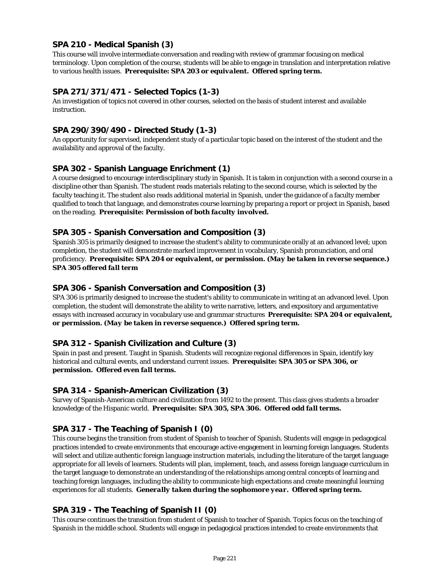#### **SPA 210 - Medical Spanish (3)**

This course will involve intermediate conversation and reading with review of grammar focusing on medical terminology. Upon completion of the course, students will be able to engage in translation and interpretation relative to various health issues. *Prerequisite: SPA 203 or equivalent. Offered spring term.*

#### **SPA 271/371/471 - Selected Topics (1-3)**

An investigation of topics not covered in other courses, selected on the basis of student interest and available instruction.

#### **SPA 290/390/490 - Directed Study (1-3)**

An opportunity for supervised, independent study of a particular topic based on the interest of the student and the availability and approval of the faculty.

#### **SPA 302 - Spanish Language Enrichment (1)**

A course designed to encourage interdisciplinary study in Spanish. It is taken in conjunction with a second course in a discipline other than Spanish. The student reads materials relating to the second course, which is selected by the faculty teaching it. The student also reads additional material in Spanish, under the guidance of a faculty member qualified to teach that language, and demonstrates course learning by preparing a report or project in Spanish, based on the reading. *Prerequisite: Permission of both faculty involved.*

#### **SPA 305 - Spanish Conversation and Composition (3)**

Spanish 305 is primarily designed to increase the student's ability to communicate orally at an advanced level; upon completion, the student will demonstrate marked improvement in vocabulary, Spanish pronunciation, and oral proficiency. *Prerequisite: SPA 204 or equivalent, or permission. (May be taken in reverse sequence.) SPA 305 offered fall term*

#### **SPA 306 - Spanish Conversation and Composition (3)**

SPA 306 is primarily designed to increase the student's ability to communicate in writing at an advanced level. Upon completion, the student will demonstrate the ability to write narrative, letters, and expository and argumentative essays with increased accuracy in vocabulary use and grammar structures *Prerequisite: SPA 204 or equivalent, or permission. (May be taken in reverse sequence.) Offered spring term.*

#### **SPA 312 - Spanish Civilization and Culture (3)**

Spain in past and present. Taught in Spanish. Students will recognize regional differences in Spain, identify key historical and cultural events, and understand current issues. *Prerequisite: SPA 305 or SPA 306, or permission. Offered even fall terms.*

#### **SPA 314 - Spanish-American Civilization (3)**

Survey of Spanish-American culture and civilization from 1492 to the present. This class gives students a broader knowledge of the Hispanic world. *Prerequisite: SPA 305, SPA 306. Offered odd fall terms.*

#### **SPA 317 - The Teaching of Spanish I (0)**

This course begins the transition from student of Spanish to teacher of Spanish. Students will engage in pedagogical practices intended to create environments that encourage active engagement in learning foreign languages. Students will select and utilize authentic foreign language instruction materials, including the literature of the target language appropriate for all levels of learners. Students will plan, implement, teach, and assess foreign language curriculum in the target language to demonstrate an understanding of the relationships among central concepts of learning and teaching foreign languages, including the ability to communicate high expectations and create meaningful learning experiences for all students. *Generally taken during the sophomore year. Offered spring term.*

#### **SPA 319 - The Teaching of Spanish II (0)**

This course continues the transition from student of Spanish to teacher of Spanish. Topics focus on the teaching of Spanish in the middle school. Students will engage in pedagogical practices intended to create environments that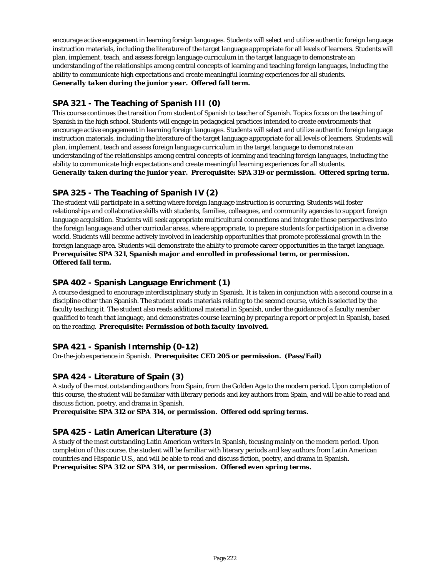encourage active engagement in learning foreign languages. Students will select and utilize authentic foreign language instruction materials, including the literature of the target language appropriate for all levels of learners. Students will plan, implement, teach, and assess foreign language curriculum in the target language to demonstrate an understanding of the relationships among central concepts of learning and teaching foreign languages, including the ability to communicate high expectations and create meaningful learning experiences for all students. *Generally taken during the junior year. Offered fall term.*

#### **SPA 321 - The Teaching of Spanish III (0)**

This course continues the transition from student of Spanish to teacher of Spanish. Topics focus on the teaching of Spanish in the high school. Students will engage in pedagogical practices intended to create environments that encourage active engagement in learning foreign languages. Students will select and utilize authentic foreign language instruction materials, including the literature of the target language appropriate for all levels of learners. Students will plan, implement, teach and assess foreign language curriculum in the target language to demonstrate an understanding of the relationships among central concepts of learning and teaching foreign languages, including the ability to communicate high expectations and create meaningful learning experiences for all students. *Generally taken during the junior year. Prerequisite: SPA 319 or permission. Offered spring term.*

#### **SPA 325 - The Teaching of Spanish IV (2)**

The student will participate in a setting where foreign language instruction is occurring. Students will foster relationships and collaborative skills with students, families, colleagues, and community agencies to support foreign language acquisition. Students will seek appropriate multicultural connections and integrate those perspectives into the foreign language and other curricular areas, where appropriate, to prepare students for participation in a diverse world. Students will become actively involved in leadership opportunities that promote professional growth in the foreign language area. Students will demonstrate the ability to promote career opportunities in the target language. *Prerequisite: SPA 321, Spanish major and enrolled in professional term, or permission. Offered fall term.*

#### **SPA 402 - Spanish Language Enrichment (1)**

A course designed to encourage interdisciplinary study in Spanish. It is taken in conjunction with a second course in a discipline other than Spanish. The student reads materials relating to the second course, which is selected by the faculty teaching it. The student also reads additional material in Spanish, under the guidance of a faculty member qualified to teach that language, and demonstrates course learning by preparing a report or project in Spanish, based on the reading. *Prerequisite: Permission of both faculty involved.*

#### **SPA 421 - Spanish Internship (0-12)**

On-the-job experience in Spanish. *Prerequisite: CED 205 or permission***. (Pass/Fail)**

#### **SPA 424 - Literature of Spain (3)**

A study of the most outstanding authors from Spain, from the Golden Age to the modern period. Upon completion of this course, the student will be familiar with literary periods and key authors from Spain, and will be able to read and discuss fiction, poetry, and drama in Spanish.

*Prerequisite: SPA 312 or SPA 314, or permission. Offered odd spring terms.*

#### **SPA 425 - Latin American Literature (3)**

A study of the most outstanding Latin American writers in Spanish, focusing mainly on the modern period. Upon completion of this course, the student will be familiar with literary periods and key authors from Latin American countries and Hispanic U.S., and will be able to read and discuss fiction, poetry, and drama in Spanish. *Prerequisite: SPA 312 or SPA 314, or permission. Offered even spring terms.*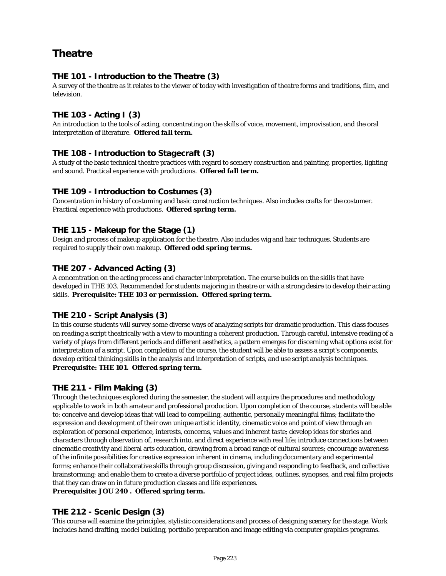### **Theatre**

#### **THE 101 - Introduction to the Theatre (3)**

A survey of the theatre as it relates to the viewer of today with investigation of theatre forms and traditions, film, and television.

#### **THE 103 - Acting I (3)**

An introduction to the tools of acting, concentrating on the skills of voice, movement, improvisation, and the oral interpretation of literature. *Offered fall term.*

#### **THE 108 - Introduction to Stagecraft (3)**

A study of the basic technical theatre practices with regard to scenery construction and painting, properties, lighting and sound. Practical experience with productions. *Offered fall term.*

#### **THE 109 - Introduction to Costumes (3)**

Concentration in history of costuming and basic construction techniques. Also includes crafts for the costumer. Practical experience with productions. *Offered spring term.*

#### **THE 115 - Makeup for the Stage (1)**

Design and process of makeup application for the theatre. Also includes wig and hair techniques. Students are required to supply their own makeup. *Offered odd spring terms.*

#### **THE 207 - Advanced Acting (3)**

A concentration on the acting process and character interpretation. The course builds on the skills that have developed in THE 103. Recommended for students majoring in theatre or with a strong desire to develop their acting skills. *Prerequisite: THE 103 or permission. Offered spring term.*

#### **THE 210 - Script Analysis (3)**

In this course students will survey some diverse ways of analyzing scripts for dramatic production. This class focuses on reading a script theatrically with a view to mounting a coherent production. Through careful, intensive reading of a variety of plays from different periods and different aesthetics, a pattern emerges for discerning what options exist for interpretation of a script. Upon completion of the course, the student will be able to assess a script's components, develop critical thinking skills in the analysis and interpretation of scripts, and use script analysis techniques. *Prerequisite: THE 101. Offered spring term.*

#### **THE 211 - Film Making (3)**

Through the techniques explored during the semester, the student will acquire the procedures and methodology applicable to work in both amateur and professional production. Upon completion of the course, students will be able to: conceive and develop ideas that will lead to compelling, authentic, personally meaningful films; facilitate the expression and development of their own unique artistic identity, cinematic voice and point of view through an exploration of personal experience, interests, concerns, values and inherent taste; develop ideas for stories and characters through observation of, research into, and direct experience with real life; introduce connections between cinematic creativity and liberal arts education, drawing from a broad range of cultural sources; encourage awareness of the infinite possibilities for creative expression inherent in cinema, including documentary and experimental forms; enhance their collaborative skills through group discussion, giving and responding to feedback, and collective brainstorming; and enable them to create a diverse portfolio of project ideas, outlines, synopses, and real film projects that they can draw on in future production classes and life experiences. *Prerequisite: JOU 240 . Offered spring term.*

#### **THE 212 - Scenic Design (3)**

This course will examine the principles, stylistic considerations and process of designing scenery for the stage. Work includes hand drafting, model building, portfolio preparation and image editing via computer graphics programs.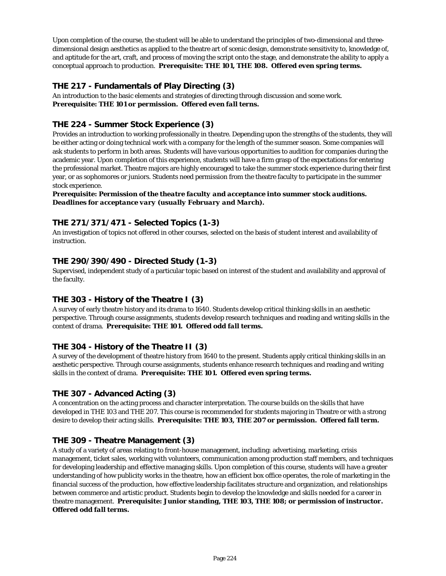Upon completion of the course, the student will be able to understand the principles of two-dimensional and threedimensional design aesthetics as applied to the theatre art of scenic design, demonstrate sensitivity to, knowledge of, and aptitude for the art, craft, and process of moving the script onto the stage, and demonstrate the ability to apply a conceptual approach to production. *Prerequisite: THE 101, THE 108. Offered even spring terms.*

#### **THE 217 - Fundamentals of Play Directing (3)**

An introduction to the basic elements and strategies of directing through discussion and scene work. *Prerequisite: THE 101 or permission. Offered even fall terns.*

#### **THE 224 - Summer Stock Experience (3)**

Provides an introduction to working professionally in theatre. Depending upon the strengths of the students, they will be either acting or doing technical work with a company for the length of the summer season. Some companies will ask students to perform in both areas. Students will have various opportunities to audition for companies during the academic year. Upon completion of this experience, students will have a firm grasp of the expectations for entering the professional market. Theatre majors are highly encouraged to take the summer stock experience during their first year, or as sophomores or juniors. Students need permission from the theatre faculty to participate in the summer stock experience.

#### *Prerequisite: Permission of the theatre faculty and acceptance into summer stock auditions. Deadlines for acceptance vary (usually February and March).*

#### **THE 271/371/471 - Selected Topics (1-3)**

An investigation of topics not offered in other courses, selected on the basis of student interest and availability of instruction.

#### **THE 290/390/490 - Directed Study (1-3)**

Supervised, independent study of a particular topic based on interest of the student and availability and approval of the faculty.

#### **THE 303 - History of the Theatre I (3)**

A survey of early theatre history and its drama to 1640. Students develop critical thinking skills in an aesthetic perspective. Through course assignments, students develop research techniques and reading and writing skills in the context of drama. *Prerequisite: THE 101. Offered odd fall terms.*

#### **THE 304 - History of the Theatre II (3)**

A survey of the development of theatre history from 1640 to the present. Students apply critical thinking skills in an aesthetic perspective. Through course assignments, students enhance research techniques and reading and writing skills in the context of drama. *Prerequisite: THE 101. Offered even spring terms.*

#### **THE 307 - Advanced Acting (3)**

A concentration on the acting process and character interpretation. The course builds on the skills that have developed in THE 103 and THE 207. This course is recommended for students majoring in Theatre or with a strong desire to develop their acting skills. *Prerequisite: THE 103, THE 207 or permission. Offered fall term.*

#### **THE 309 - Theatre Management (3)**

A study of a variety of areas relating to front-house management, including: advertising, marketing, crisis management, ticket sales, working with volunteers, communication among production staff members, and techniques for developing leadership and effective managing skills. Upon completion of this course, students will have a greater understanding of how publicity works in the theatre, how an efficient box office operates, the role of marketing in the financial success of the production, how effective leadership facilitates structure and organization, and relationships between commerce and artistic product. Students begin to develop the knowledge and skills needed for a career in theatre management. *Prerequisite: Junior standing, THE 103, THE 108; or permission of instructor. Offered odd fall terms.*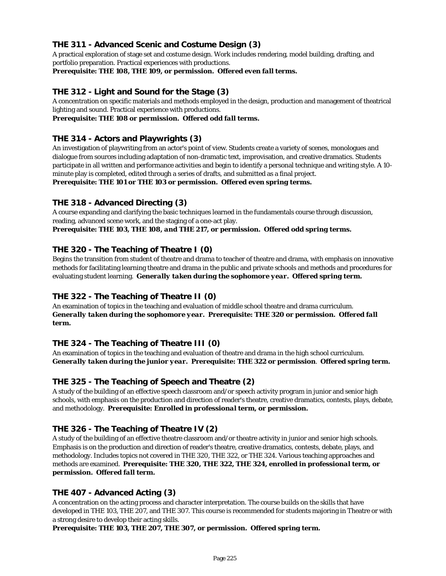#### **THE 311 - Advanced Scenic and Costume Design (3)**

A practical exploration of stage set and costume design. Work includes rendering, model building, drafting, and portfolio preparation. Practical experiences with productions. *Prerequisite: THE 108, THE 109, or permission. Offered even fall terms.*

#### **THE 312 - Light and Sound for the Stage (3)**

A concentration on specific materials and methods employed in the design, production and management of theatrical lighting and sound. Practical experience with productions.

*Prerequisite: THE 108 or permission. Offered odd fall terms.*

#### **THE 314 - Actors and Playwrights (3)**

An investigation of playwriting from an actor's point of view. Students create a variety of scenes, monologues and dialogue from sources including adaptation of non-dramatic text, improvisation, and creative dramatics. Students participate in all written and performance activities and begin to identify a personal technique and writing style. A 10 minute play is completed, edited through a series of drafts, and submitted as a final project. *Prerequisite: THE 101 or THE 103 or permission. Offered even spring terms.*

#### **THE 318 - Advanced Directing (3)**

A course expanding and clarifying the basic techniques learned in the fundamentals course through discussion, reading, advanced scene work, and the staging of a one-act play. *Prerequisite: THE 103, THE 108, and THE 217, or permission. Offered odd spring terms.*

#### **THE 320 - The Teaching of Theatre I (0)**

Begins the transition from student of theatre and drama to teacher of theatre and drama, with emphasis on innovative methods for facilitating learning theatre and drama in the public and private schools and methods and procedures for evaluating student learning. *Generally taken during the sophomore year. Offered spring term.*

#### **THE 322 - The Teaching of Theatre II (0)**

An examination of topics in the teaching and evaluation of middle school theatre and drama curriculum. *Generally taken during the sophomore year. Prerequisite: THE 320 or permission. Offered fall term.*

#### **THE 324 - The Teaching of Theatre III (0)**

An examination of topics in the teaching and evaluation of theatre and drama in the high school curriculum. *Generally taken during the junior year.* **Prerequisite: THE 322 or permission**. *Offered spring term.*

#### **THE 325 - The Teaching of Speech and Theatre (2)**

A study of the building of an effective speech classroom and/or speech activity program in junior and senior high schools, with emphasis on the production and direction of reader's theatre, creative dramatics, contests, plays, debate, and methodology. *Prerequisite: Enrolled in professional term, or permission.*

#### **THE 326 - The Teaching of Theatre IV (2)**

A study of the building of an effective theatre classroom and/or theatre activity in junior and senior high schools. Emphasis is on the production and direction of reader's theatre, creative dramatics, contests, debate, plays, and methodology. Includes topics not covered in THE 320, THE 322, or THE 324. Various teaching approaches and methods are examined. *Prerequisite: THE 320, THE 322, THE 324, enrolled in professional term, or permission. Offered fall term.*

#### **THE 407 - Advanced Acting (3)**

A concentration on the acting process and character interpretation. The course builds on the skills that have developed in THE 103, THE 207, and THE 307. This course is recommended for students majoring in Theatre or with a strong desire to develop their acting skills.

*Prerequisite: THE 103, THE 207, THE 307, or permission. Offered spring term.*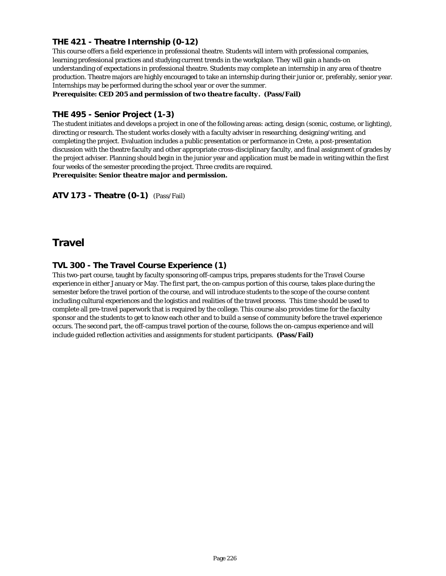#### **THE 421 - Theatre Internship (0-12)**

This course offers a field experience in professional theatre. Students will intern with professional companies, learning professional practices and studying current trends in the workplace. They will gain a hands-on understanding of expectations in professional theatre. Students may complete an internship in any area of theatre production. Theatre majors are highly encouraged to take an internship during their junior or, preferably, senior year. Internships may be performed during the school year or over the summer.

*Prerequisite: CED 205 and permission of two theatre faculty.* **(Pass/Fail)**

#### **THE 495 - Senior Project (1-3)**

The student initiates and develops a project in one of the following areas: acting, design (scenic, costume, or lighting), directing or research. The student works closely with a faculty adviser in researching, designing/writing, and completing the project. Evaluation includes a public presentation or performance in Crete, a post-presentation discussion with the theatre faculty and other appropriate cross-disciplinary faculty, and final assignment of grades by the project adviser. Planning should begin in the junior year and application must be made in writing within the first four weeks of the semester preceding the project. Three credits are required.

#### *Prerequisite: Senior theatre major and permission.*

**ATV 173 - Theatre (0-1)** (Pass/Fail)

### **Travel**

#### **TVL 300 - The Travel Course Experience (1)**

This two-part course, taught by faculty sponsoring off-campus trips, prepares students for the Travel Course experience in either January or May. The first part, the on-campus portion of this course, takes place during the semester before the travel portion of the course, and will introduce students to the scope of the course content including cultural experiences and the logistics and realities of the travel process. This time should be used to complete all pre-travel paperwork that is required by the college. This course also provides time for the faculty sponsor and the students to get to know each other and to build a sense of community before the travel experience occurs. The second part, the off-campus travel portion of the course, follows the on-campus experience and will include guided reflection activities and assignments for student participants. **(Pass/Fail)**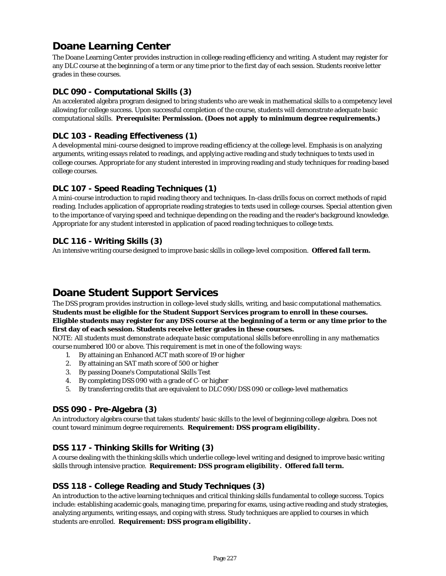### **Doane Learning Center**

The Doane Learning Center provides instruction in college reading efficiency and writing. A student may register for any DLC course at the beginning of a term or any time prior to the first day of each session. Students receive letter grades in these courses.

#### **DLC 090 - Computational Skills (3)**

An accelerated algebra program designed to bring students who are weak in mathematical skills to a competency level allowing for college success. Upon successful completion of the course, students will demonstrate adequate basic computational skills. *Prerequisite: Permission. (Does not apply to minimum degree requirements.)*

#### **DLC 103 - Reading Effectiveness (1)**

A developmental mini-course designed to improve reading efficiency at the college level. Emphasis is on analyzing arguments, writing essays related to readings, and applying active reading and study techniques to texts used in college courses. Appropriate for any student interested in improving reading and study techniques for reading-based college courses.

#### **DLC 107 - Speed Reading Techniques (1)**

A mini-course introduction to rapid reading theory and techniques. In-class drills focus on correct methods of rapid reading. Includes application of appropriate reading strategies to texts used in college courses. Special attention given to the importance of varying speed and technique depending on the reading and the reader's background knowledge. Appropriate for any student interested in application of paced reading techniques to college texts.

#### **DLC 116 - Writing Skills (3)**

An intensive writing course designed to improve basic skills in college-level composition. *Offered fall term.*

### **Doane Student Support Services**

The DSS program provides instruction in college-level study skills, writing, and basic computational mathematics. **Students must be eligible for the Student Support Services program to enroll in these courses. Eligible students may register for any DSS course at the beginning of a term or any time prior to the first day of each session. Students receive letter grades in these courses.**

*NOTE: All students must demonstrate adequate basic computational skills before enrolling in any mathematics course numbered 100 or above. This requirement is met in one of the following ways:*

- 1. By attaining an Enhanced ACT math score of 19 or higher
- 2. By attaining an SAT math score of 500 or higher
- 3. By passing Doane's Computational Skills Test
- 4. By completing DSS 090 with a grade of C- or higher
- 5. By transferring credits that are equivalent to DLC 090/DSS 090 or college-level mathematics

#### **DSS 090 - Pre-Algebra (3)**

An introductory algebra course that takes students' basic skills to the level of beginning college algebra. Does not count toward minimum degree requirements. *Requirement: DSS program eligibility.*

#### **DSS 117 - Thinking Skills for Writing (3)**

A course dealing with the thinking skills which underlie college-level writing and designed to improve basic writing skills through intensive practice. *Requirement: DSS program eligibility. Offered fall term.*

#### **DSS 118 - College Reading and Study Techniques (3)**

An introduction to the active learning techniques and critical thinking skills fundamental to college success. Topics include: establishing academic goals, managing time, preparing for exams, using active reading and study strategies, analyzing arguments, writing essays, and coping with stress. Study techniques are applied to courses in which students are enrolled. *Requirement: DSS program eligibility.*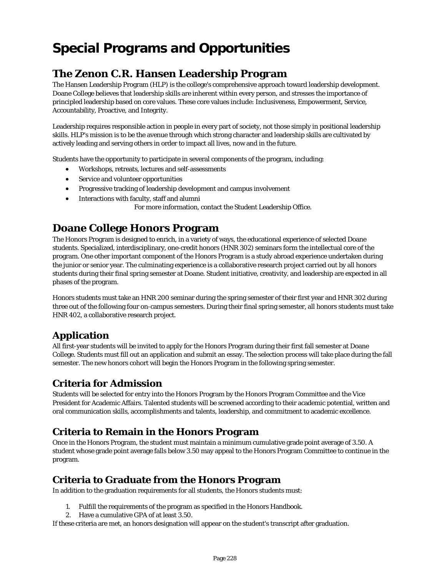# **Special Programs and Opportunities**

### **The Zenon C.R. Hansen Leadership Program**

The Hansen Leadership Program (HLP) is the college's comprehensive approach toward leadership development. Doane College believes that leadership skills are inherent within every person, and stresses the importance of principled leadership based on core values. These core values include: Inclusiveness, Empowerment, Service, Accountability, Proactive, and Integrity.

Leadership requires responsible action in people in every part of society, not those simply in positional leadership skills. HLP's mission is to be the avenue through which strong character and leadership skills are cultivated by actively leading and serving others in order to impact all lives, now and in the future.

Students have the opportunity to participate in several components of the program, including:

- Workshops, retreats, lectures and self-assessments
- Service and volunteer opportunities
- Progressive tracking of leadership development and campus involvement
- Interactions with faculty, staff and alumni

For more information, contact the Student Leadership Office.

### **Doane College Honors Program**

The Honors Program is designed to enrich, in a variety of ways, the educational experience of selected Doane students. Specialized, interdisciplinary, one-credit honors (HNR 302) seminars form the intellectual core of the program. One other important component of the Honors Program is a study abroad experience undertaken during the junior or senior year. The culminating experience is a collaborative research project carried out by all honors students during their final spring semester at Doane. Student initiative, creativity, and leadership are expected in all phases of the program.

Honors students must take an HNR 200 seminar during the spring semester of their first year and HNR 302 during three out of the following four on-campus semesters. During their final spring semester, all honors students must take HNR 402, a collaborative research project.

### **Application**

All first-year students will be invited to apply for the Honors Program during their first fall semester at Doane College. Students must fill out an application and submit an essay. The selection process will take place during the fall semester. The new honors cohort will begin the Honors Program in the following spring semester.

### **Criteria for Admission**

Students will be selected for entry into the Honors Program by the Honors Program Committee and the Vice President for Academic Affairs. Talented students will be screened according to their academic potential, written and oral communication skills, accomplishments and talents, leadership, and commitment to academic excellence.

### **Criteria to Remain in the Honors Program**

Once in the Honors Program, the student must maintain a minimum cumulative grade point average of 3.50. A student whose grade point average falls below 3.50 may appeal to the Honors Program Committee to continue in the program.

### **Criteria to Graduate from the Honors Program**

In addition to the graduation requirements for all students, the Honors students must:

- 1. Fulfill the requirements of the program as specified in the Honors Handbook.
- 2. Have a cumulative GPA of at least 3.50.

If these criteria are met, an honors designation will appear on the student's transcript after graduation.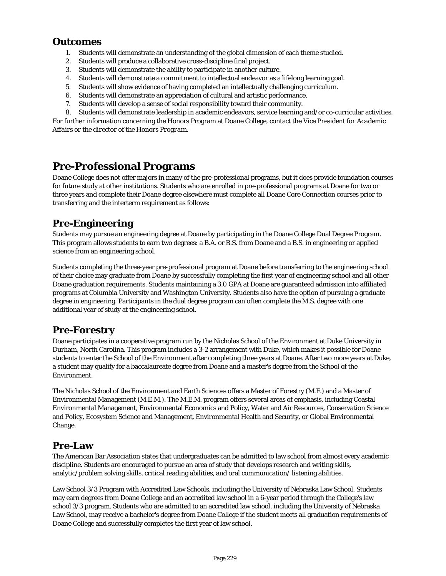### **Outcomes**

- 1. Students will demonstrate an understanding of the global dimension of each theme studied.
- 2. Students will produce a collaborative cross-discipline final project.
- 3. Students will demonstrate the ability to participate in another culture.
- 4. Students will demonstrate a commitment to intellectual endeavor as a lifelong learning goal.
- 5. Students will show evidence of having completed an intellectually challenging curriculum.
- 6. Students will demonstrate an appreciation of cultural and artistic performance.
- 7. Students will develop a sense of social responsibility toward their community.
- 8. Students will demonstrate leadership in academic endeavors, service learning and/or co-curricular activities.

For further information concerning the Honors Program at Doane College, contact the *Vice President for Academic Affairs or the director of the Honors Program.*

### **Pre-Professional Programs**

Doane College does not offer majors in many of the pre-professional programs, but it does provide foundation courses for future study at other institutions. Students who are enrolled in pre-professional programs at Doane for two or three years and complete their Doane degree elsewhere must complete all Doane Core Connection courses prior to transferring and the interterm requirement as follows:

### **Pre-Engineering**

Students may pursue an engineering degree at Doane by participating in the Doane College Dual Degree Program. This program allows students to earn two degrees: a B.A. or B.S. from Doane and a B.S. in engineering or applied science from an engineering school.

Students completing the three-year pre-professional program at Doane before transferring to the engineering school of their choice may graduate from Doane by successfully completing the first year of engineering school and all other Doane graduation requirements. Students maintaining a 3.0 GPA at Doane are guaranteed admission into affiliated programs at Columbia University and Washington University. Students also have the option of pursuing a graduate degree in engineering. Participants in the dual degree program can often complete the M.S. degree with one additional year of study at the engineering school.

### **Pre-Forestry**

Doane participates in a cooperative program run by the Nicholas School of the Environment at Duke University in Durham, North Carolina. This program includes a 3-2 arrangement with Duke, which makes it possible for Doane students to enter the School of the Environment after completing three years at Doane. After two more years at Duke, a student may qualify for a baccalaureate degree from Doane and a master's degree from the School of the Environment.

The Nicholas School of the Environment and Earth Sciences offers a Master of Forestry (M.F.) and a Master of Environmental Management (M.E.M.). The M.E.M. program offers several areas of emphasis, including Coastal Environmental Management, Environmental Economics and Policy, Water and Air Resources, Conservation Science and Policy, Ecosystem Science and Management, Environmental Health and Security, or Global Environmental Change.

### **Pre-Law**

The American Bar Association states that undergraduates can be admitted to law school from almost every academic discipline. Students are encouraged to pursue an area of study that develops research and writing skills, analytic/problem solving skills, critical reading abilities, and oral communication/ listening abilities.

Law School 3/3 Program with Accredited Law Schools, including the University of Nebraska Law School. Students may earn degrees from Doane College and an accredited law school in a 6-year period through the College's law school 3/3 program. Students who are admitted to an accredited law school, including the University of Nebraska Law School, may receive a bachelor's degree from Doane College if the student meets all graduation requirements of Doane College and successfully completes the first year of law school.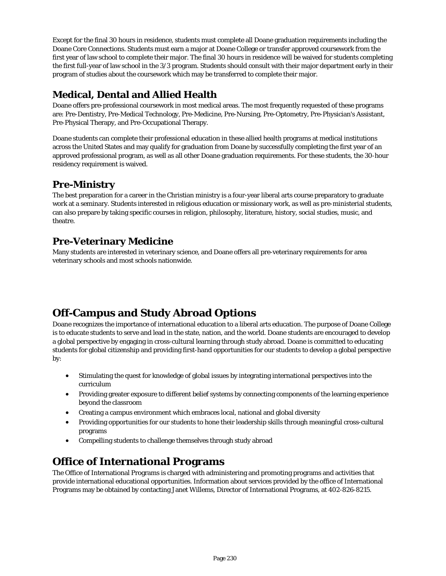Except for the final 30 hours in residence, students must complete all Doane graduation requirements including the Doane Core Connections. Students must earn a major at Doane College or transfer approved coursework from the first year of law school to complete their major. The final 30 hours in residence will be waived for students completing the first full-year of law school in the 3/3 program. Students should consult with their major department early in their program of studies about the coursework which may be transferred to complete their major.

### **Medical, Dental and Allied Health**

Doane offers pre-professional coursework in most medical areas. The most frequently requested of these programs are: Pre-Dentistry, Pre-Medical Technology, Pre-Medicine, Pre-Nursing, Pre-Optometry, Pre-Physician's Assistant, Pre-Physical Therapy, and Pre-Occupational Therapy.

Doane students can complete their professional education in these allied health programs at medical institutions across the United States and may qualify for graduation from Doane by successfully completing the first year of an approved professional program, as well as all other Doane graduation requirements. For these students, the 30-hour residency requirement is waived.

### **Pre-Ministry**

The best preparation for a career in the Christian ministry is a four-year liberal arts course preparatory to graduate work at a seminary. Students interested in religious education or missionary work, as well as pre-ministerial students, can also prepare by taking specific courses in religion, philosophy, literature, history, social studies, music, and theatre.

### **Pre-Veterinary Medicine**

Many students are interested in veterinary science, and Doane offers all pre-veterinary requirements for area veterinary schools and most schools nationwide.

### **Off-Campus and Study Abroad Options**

Doane recognizes the importance of international education to a liberal arts education. The purpose of Doane College is to educate students to serve and lead in the state, nation, and the world. Doane students are encouraged to develop a global perspective by engaging in cross-cultural learning through study abroad. Doane is committed to educating students for global citizenship and providing first-hand opportunities for our students to develop a global perspective by:

- Stimulating the quest for knowledge of global issues by integrating international perspectives into the curriculum
- Providing greater exposure to different belief systems by connecting components of the learning experience beyond the classroom
- Creating a campus environment which embraces local, national and global diversity
- Providing opportunities for our students to hone their leadership skills through meaningful cross-cultural programs
- Compelling students to challenge themselves through study abroad

### **Office of International Programs**

The Office of International Programs is charged with administering and promoting programs and activities that provide international educational opportunities. Information about services provided by the office of International Programs may be obtained by contacting Janet Willems, Director of International Programs, at 402-826-8215.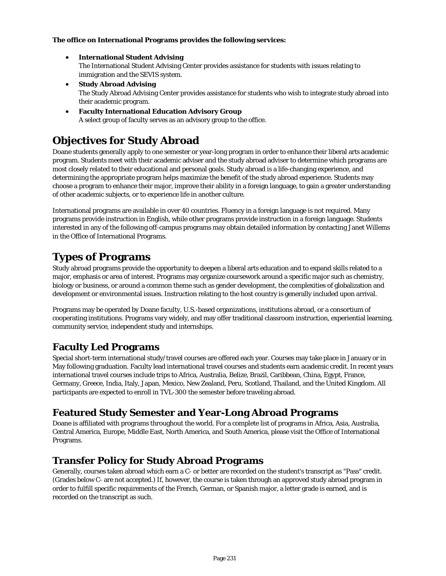#### **The office on International Programs provides the following services:**

**International Student Advising**

The International Student Advising Center provides assistance for students with issues relating to immigration and the SEVIS system.

- **Study Abroad Advising** The Study Abroad Advising Center provides assistance for students who wish to integrate study abroad into their academic program.
- **Faculty International Education Advisory Group** A select group of faculty serves as an advisory group to the office.

## **Objectives for Study Abroad**

Doane students generally apply to one semester or year-long program in order to enhance their liberal arts academic program. Students meet with their academic adviser and the study abroad adviser to determine which programs are most closely related to their educational and personal goals. Study abroad is a life-changing experience, and determining the appropriate program helps maximize the benefit of the study abroad experience. Students may choose a program to enhance their major, improve their ability in a foreign language, to gain a greater understanding of other academic subjects, or to experience life in another culture.

International programs are available in over 40 countries. Fluency in a foreign language is not required. Many programs provide instruction in English, while other programs provide instruction in a foreign language. Students interested in any of the following off-campus programs may obtain detailed information by contacting Janet Willems in the Office of International Programs.

### **Types of Programs**

Study abroad programs provide the opportunity to deepen a liberal arts education and to expand skills related to a major, emphasis or area of interest. Programs may organize coursework around a specific major such as chemistry, biology or business, or around a common theme such as gender development, the complexities of globalization and development or environmental issues. Instruction relating to the host country is generally included upon arrival.

Programs may be operated by Doane faculty, U.S.-based organizations, institutions abroad, or a consortium of cooperating institutions. Programs vary widely, and may offer traditional classroom instruction, experiential learning, community service, independent study and internships.

### **Faculty Led Programs**

Special short-term international study/travel courses are offered each year. Courses may take place in January or in May following graduation. Faculty lead international travel courses and students earn academic credit. In recent years international travel courses include trips to Africa, Australia, Belize, Brazil, Caribbean, China, Egypt, France, Germany, Greece, India, Italy, Japan, Mexico, New Zealand, Peru, Scotland, Thailand, and the United Kingdom. All participants are expected to enroll in TVL-300 the semester before traveling abroad.

### **Featured Study Semester and Year-Long Abroad Programs**

Doane is affiliated with programs throughout the world. For a complete list of programs in Africa, Asia, Australia, Central America, Europe, Middle East, North America, and South America, please visit the Office of International Programs.

### **Transfer Policy for Study Abroad Programs**

Generally, courses taken abroad which earn a C- or better are recorded on the student's transcript as "Pass" credit. (Grades below C- are not accepted.) If, however, the course is taken through an approved study abroad program in order to fulfill specific requirements of the French, German, or Spanish major, a letter grade is earned, and is recorded on the transcript as such.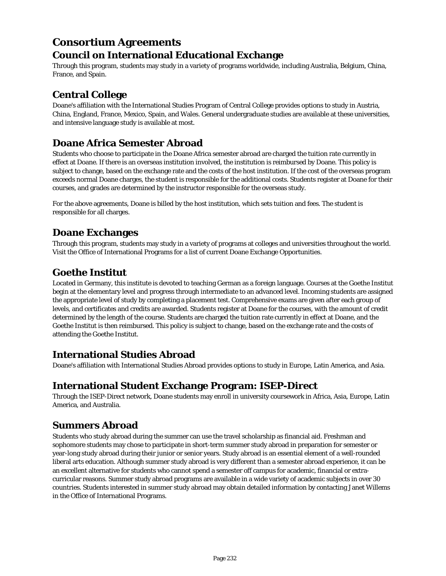### **Consortium Agreements**

### **Council on International Educational Exchange**

Through this program, students may study in a variety of programs worldwide, including Australia, Belgium, China, France, and Spain.

### **Central College**

Doane's affiliation with the International Studies Program of Central College provides options to study in Austria, China, England, France, Mexico, Spain, and Wales. General undergraduate studies are available at these universities, and intensive language study is available at most.

### **Doane Africa Semester Abroad**

Students who choose to participate in the Doane Africa semester abroad are charged the tuition rate currently in effect at Doane. If there is an overseas institution involved, the institution is reimbursed by Doane. This policy is subject to change, based on the exchange rate and the costs of the host institution. If the cost of the overseas program exceeds normal Doane charges, the student is responsible for the additional costs. Students register at Doane for their courses, and grades are determined by the instructor responsible for the overseas study.

For the above agreements, Doane is billed by the host institution, which sets tuition and fees. The student is responsible for all charges.

### **Doane Exchanges**

Through this program, students may study in a variety of programs at colleges and universities throughout the world. Visit the Office of International Programs for a list of current Doane Exchange Opportunities.

### **Goethe Institut**

Located in Germany, this institute is devoted to teaching German as a foreign language. Courses at the Goethe Institut begin at the elementary level and progress through intermediate to an advanced level. Incoming students are assigned the appropriate level of study by completing a placement test. Comprehensive exams are given after each group of levels, and certificates and credits are awarded. Students register at Doane for the courses, with the amount of credit determined by the length of the course. Students are charged the tuition rate currently in effect at Doane, and the Goethe Institut is then reimbursed. This policy is subject to change, based on the exchange rate and the costs of attending the Goethe Institut.

### **International Studies Abroad**

Doane's affiliation with International Studies Abroad provides options to study in Europe, Latin America, and Asia.

### **International Student Exchange Program: ISEP-Direct**

Through the ISEP-Direct network, Doane students may enroll in university coursework in Africa, Asia, Europe, Latin America, and Australia.

### **Summers Abroad**

Students who study abroad during the summer can use the travel scholarship as financial aid. Freshman and sophomore students may chose to participate in short-term summer study abroad in preparation for semester or year-long study abroad during their junior or senior years. Study abroad is an essential element of a well-rounded liberal arts education. Although summer study abroad is very different than a semester abroad experience, it can be an excellent alternative for students who cannot spend a semester off campus for academic, financial or extracurricular reasons. Summer study abroad programs are available in a wide variety of academic subjects in over 30 countries. Students interested in summer study abroad may obtain detailed information by contacting Janet Willems in the Office of International Programs.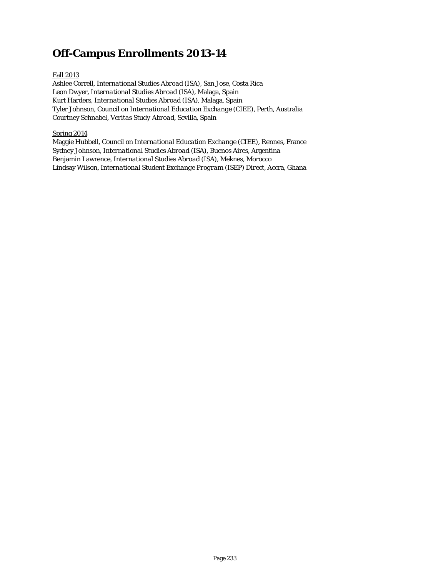### **Off-Campus Enrollments 2013-14**

#### Fall 2013

Ashlee Correll, *International Studies Abroad (ISA)*, San Jose, Costa Rica Leon Dwyer, *International Studies Abroad (ISA)*, Malaga, Spain Kurt Harders, *International Studies Abroad (ISA)*, Malaga, Spain Tyler Johnson, *Council on International Education Exchange (CIEE),* Perth, Australia Courtney Schnabel, *Veritas Study Abroad*, Sevilla, Spain

#### Spring 2014

Maggie Hubbell, *Council on International Education Exchange (CIEE),* Rennes, France Sydney Johnson, *International Studies Abroad (ISA)*, Buenos Aires, Argentina Benjamin Lawrence, *International Studies Abroad (ISA)*, Meknes, Morocco Lindsay Wilson, *International Student Exchange Program (ISEP) Direct*, Accra, Ghana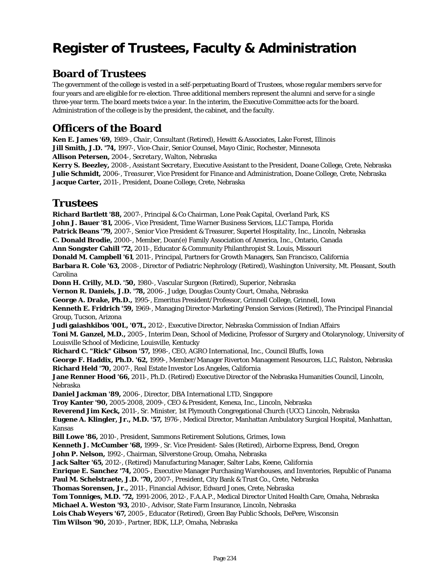# **Register of Trustees, Faculty & Administration**

### **Board of Trustees**

The government of the college is vested in a self-perpetuating Board of Trustees, whose regular members serve for four years and are eligible for re-election. Three additional members represent the alumni and serve for a single three-year term. The board meets twice a year. In the interim, the Executive Committee acts for the board. Administration of the college is by the president, the cabinet, and the faculty.

### **Officers of the Board**

**Ken E. James '69,** 1989-, *Chair,* Consultant (Retired), Hewitt & Associates, Lake Forest, Illinois **Jill Smith, J.D. '74,** 1997-, *Vice-Chair,* Senior Counsel, Mayo Clinic, Rochester, Minnesota **Allison Petersen,** 2004-, *Secretary,* Walton, Nebraska

**Kerry S. Beezley,** 2008-, *Assistant Secretary,* Executive Assistant to the President, Doane College, Crete, Nebraska **Julie Schmidt,** 2006-, *Treasurer,* Vice President for Finance and Administration, Doane College, Crete, Nebraska **Jacque Carter,** 2011-, President*,* Doane College, Crete, Nebraska

### **Trustees**

**Richard Bartlett '88,** 2007-, Principal & Co Chairman, Lone Peak Capital, Overland Park, KS **John J. Bauer '81,** 2006-, Vice President, Time Warner Business Services, LLC Tampa, Florida **Patrick Beans '79,** 2007-, Senior Vice President & Treasurer, Supertel Hospitality, Inc., Lincoln, Nebraska **C. Donald Brodie,** 2000-, Member, Doan(e) Family Association of America, Inc., Ontario, Canada **Ann Songster Cahill '72,** 2011-, Educator & Community Philanthropist St. Louis, Missouri **Donald M. Campbell '61***,* 2011-, Principal, Partners for Growth Managers, San Francisco, California **Barbara R. Cole '63,** 2008-, Director of Pediatric Nephrology (Retired), Washington University, Mt. Pleasant, South Carolina **Donn H. Crilly, M.D. '50,** 1980-, Vascular Surgeon (Retired), Superior, Nebraska **Vernon R. Daniels, J.D. '78,** 2006-, Judge, Douglas County Court, Omaha, Nebraska **George A. Drake, Ph.D.,** 1995-, Emeritus President/Professor, Grinnell College, Grinnell, Iowa **Kenneth E. Fridrich '59,** 1969-, Managing Director-Marketing/Pension Services (Retired), The Principal Financial Group, Tucson, Arizona **Judi gaiashkibos '00L, '07L,** 2012-, Executive Director, Nebraska Commission of Indian Affairs **Toni M. Ganzel, M.D.,** 2005-, Interim Dean, School of Medicine, Professor of Surgery and Otolarynology, University of Louisville School of Medicine, Louisville, Kentucky **Richard C. "Rick" Gibson '57,** 1998-, CEO, AGRO International, Inc., Council Bluffs, Iowa **George F. Haddix, Ph.D. '62,** 1999-, Member/Manager Riverton Management Resources, LLC, Ralston, Nebraska **Richard Held '70,** 2007-, Real Estate Investor Los Angeles, California **Jane Renner Hood '66,** 2011-, Ph.D. (Retired) Executive Director of the Nebraska Humanities Council, Lincoln, Nebraska **Daniel Jackman '89,** 2006-, Director, DBA International LTD, Singapore **Troy Kanter '90,** 2005-2008, 2009-, CEO & President, Kenexa, Inc., Lincoln, Nebraska **Reverend Jim Keck,** 2011-, Sr. Minister, 1st Plymouth Congregational Church (UCC) Lincoln, Nebraska **Eugene A. Klingler, Jr., M.D. '57,** 1976-, Medical Director, Manhattan Ambulatory Surgical Hospital, Manhattan, Kansas **Bill Lowe '86,** 2010-, President, Sammons Retirement Solutions, Grimes, Iowa **Kenneth J. McCumber '68,** 1999-, Sr. Vice President- Sales (Retired), Airborne Express, Bend, Oregon **John P. Nelson,** 1992-, Chairman, Silverstone Group, Omaha, Nebraska **Jack Salter '65,** 2012-, (Retired) Manufacturing Manager, Salter Labs, Keene, California **Enrique E. Sanchez '74,** 2005-, Executive Manager Purchasing Warehouses, and Inventories, Republic of Panama **Paul M. Schelstraete, J.D. '70,** 2007-, President, City Bank & Trust Co., Crete, Nebraska **Thomas Sorensen, Jr.,** 2011-, Financial Advisor, Edward Jones, Crete, Nebraska **Tom Tonniges, M.D. '72,** 1991-2006, 2012-, F.A.A.P., Medical Director United Health Care, Omaha, Nebraska **Michael A. Weston '93,** 2010-, Advisor, State Farm Insurance, Lincoln, Nebraska **Lois Chab Weyers '67,** 2005-, Educator (Retired), Green Bay Public Schools, DePere, Wisconsin **Tim Wilson '90,** 2010-, Partner, BDK, LLP, Omaha, Nebraska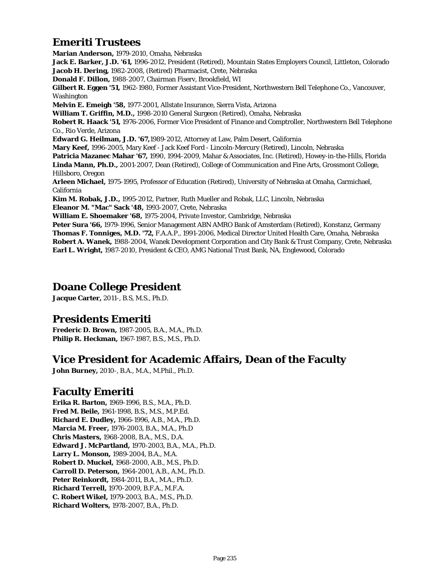### **Emeriti Trustees**

**Marian Anderson,** 1979-2010, Omaha, Nebraska **Jack E. Barker, J.D. '61,** 1996-2012, President (Retired), Mountain States Employers Council, Littleton, Colorado **Jacob H. Dering,** 1982-2008, (Retired) Pharmacist, Crete, Nebraska **Donald F. Dillon,** 1988-2007, Chairman Fiserv, Brookfield, WI **Gilbert R. Eggen '51,** 1962-1980, Former Assistant Vice-President, Northwestern Bell Telephone Co., Vancouver, Washington **Melvin E. Emeigh '58,** 1977-2001, Allstate Insurance, Sierra Vista, Arizona **William T. Griffin, M.D.,** 1998-2010 General Surgeon (Retired), Omaha, Nebraska **Robert R. Haack '51,** 1976-2006, Former Vice President of Finance and Comptroller, Northwestern Bell Telephone Co., Rio Verde, Arizona **Edward G. Heilman, J.D. '67,**1989-2012, Attorney at Law, Palm Desert, California **Mary Keef,** 1996-2005, Mary Keef - Jack Keef Ford - Lincoln-Mercury (Retired), Lincoln, Nebraska **Patricia Mazanec Mahar '67,** 1990, 1994-2009, Mahar & Associates, Inc. (Retired), Howey-in-the-Hills, Florida **Linda Mann, Ph.D.,** 2001-2007, Dean (Retired), College of Communication and Fine Arts, Grossmont College, Hillsboro, Oregon **Arleen Michael,** 1975-1995, Professor of Education (Retired), University of Nebraska at Omaha, Carmichael, California **Kim M. Robak, J.D.,** 1995-2012, Partner, Ruth Mueller and Robak, LLC, Lincoln, Nebraska **Eleanor M. "Mac" Sack '48,** 1993-2007, Crete, Nebraska **William E. Shoemaker '68,** 1975-2004, Private Investor, Cambridge, Nebraska **Peter Sura '66,** 1979-1996, Senior Management ABN AMRO Bank of Amsterdam (Retired), Konstanz, Germany **Thomas F. Tonniges, M.D. '72,** F.A.A.P., 1991-2006, Medical Director United Health Care, Omaha, Nebraska **Robert A. Wanek,** 1988-2004, Wanek Development Corporation and City Bank & Trust Company, Crete, Nebraska

### **Doane College President**

**Jacque Carter,** 2011-, B.S, M.S., Ph.D.

### **Presidents Emeriti**

**Frederic D. Brown,** 1987-2005, B.A., M.A., Ph.D. **Philip R. Heckman,** 1967-1987, B.S., M.S., Ph.D.

### **Vice President for Academic Affairs, Dean of the Faculty**

**Earl L. Wright,** 1987-2010, President & CEO, AMG National Trust Bank, NA, Englewood, Colorado

**John Burney,** 2010-, B.A., M.A., M.Phil., Ph.D.

### **Faculty Emeriti**

**Erika R. Barton,** 1969-1996, B.S., M.A., Ph.D. **Fred M. Beile,** 1961-1998, B.S., M.S., M.P.Ed. **Richard E. Dudley,** 1966-1996, A.B., M.A., Ph.D. **Marcia M. Freer,** 1976-2003, B.A., M.A., Ph.D **Chris Masters,** 1968-2008, B.A., M.S., D.A. **Edward J. McPartland,** 1970-2003, B.A., M.A., Ph.D. **Larry L. Monson,** 1989-2004, B.A., M.A. **Robert D. Muckel,** 1968-2000, A.B., M.S., Ph.D. **Carroll D. Peterson,** 1964-2001, A.B., A.M., Ph.D. **Peter Reinkordt,** 1984-2011, B.A., M.A., Ph.D. **Richard Terrell,** 1970-2009, B.F.A., M.F.A. **C. Robert Wikel,** 1979-2003, B.A., M.S., Ph.D. **Richard Wolters,** 1978-2007, B.A., Ph.D.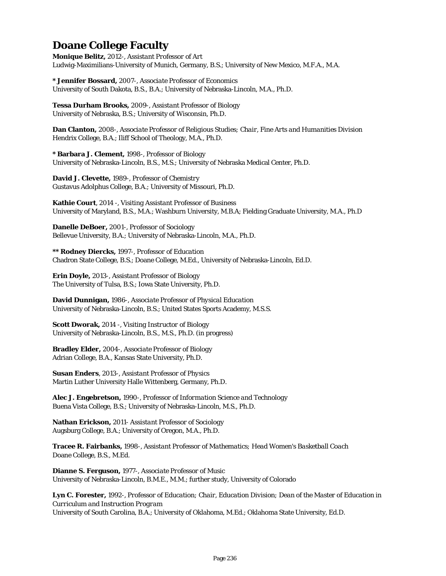### **Doane College Faculty**

**Monique Belitz,** 2012-, *Assistant Professor of Art* Ludwig-Maximilians-University of Munich, Germany, B.S.; University of New Mexico, M.F.A., M.A.

**\* Jennifer Bossard,** 2007-, *Associate Professor of Economics* University of South Dakota, B.S., B.A.; University of Nebraska-Lincoln, M.A., Ph.D.

**Tessa Durham Brooks,** 2009-, *Assistant Professor of Biology* University of Nebraska, B.S.; University of Wisconsin, Ph.D.

**Dan Clanton,** 2008-, *Associate Professor of Religious Studies; Chair, Fine Arts and Humanities Division* Hendrix College, B.A.; Iliff School of Theology, M.A., Ph.D.

**\* Barbara J. Clement,** 1998-, *Professor of Biology* University of Nebraska-Lincoln, B.S., M.S.; University of Nebraska Medical Center, Ph.D.

**David J. Clevette,** 1989-, *Professor of Chemistry* Gustavus Adolphus College, B.A.; University of Missouri, Ph.D.

**Kathie Court***,* 2014 -, *Visiting Assistant Professor of Business* University of Maryland, B.S., M.A.; Washburn University, M.B.A; Fielding Graduate University, M.A., Ph.D

**Danelle DeBoer,** 2001-, *Professor of Sociology* Bellevue University, B.A.; University of Nebraska-Lincoln, M.A., Ph.D.

**\*\* Rodney Diercks,** 1997-, *Professor of Education* Chadron State College, B.S.; Doane College, M.Ed., University of Nebraska-Lincoln, Ed.D.

**Erin Doyle,** 2013-, *Assistant Professor of Biology* The University of Tulsa, B.S.; Iowa State University, Ph.D.

**David Dunnigan,** 1986-, *Associate Professor of Physical Education* University of Nebraska-Lincoln, B.S.; United States Sports Academy, M.S.S.

**Scott Dworak,** 2014 -, *Visiting Instructor of Biology* University of Nebraska-Lincoln, B.S., M.S., Ph.D. (in progress)

**Bradley Elder,** 2004-, *Associate Professor of Biology* Adrian College, B.A., Kansas State University, Ph.D.

**Susan Enders***,* 2013-, *Assistant Professor of Physics* Martin Luther University Halle Wittenberg, Germany, Ph.D.

**Alec J. Engebretson,** 1990-, *Professor of Information Science and Technology* Buena Vista College, B.S.; University of Nebraska-Lincoln, M.S., Ph.D.

**Nathan Erickson,** 2011- *Assistant Professor of Sociology* Augsburg College, B.A.; University of Oregon, M.A., Ph.D.

**Tracee R. Fairbanks,** 1998-, *Assistant Professor of Mathematics; Head Women's Basketball Coach* Doane College, B.S., M.Ed.

**Dianne S. Ferguson,** 1977-, *Associate Professor of Music* University of Nebraska-Lincoln, B.M.E., M.M.; further study, University of Colorado

**Lyn C. Forester,** 1992-, *Professor of Education; Chair, Education Division; Dean of the Master of Education in Curriculum and Instruction Program* University of South Carolina, B.A.; University of Oklahoma, M.Ed.; Oklahoma State University, Ed.D.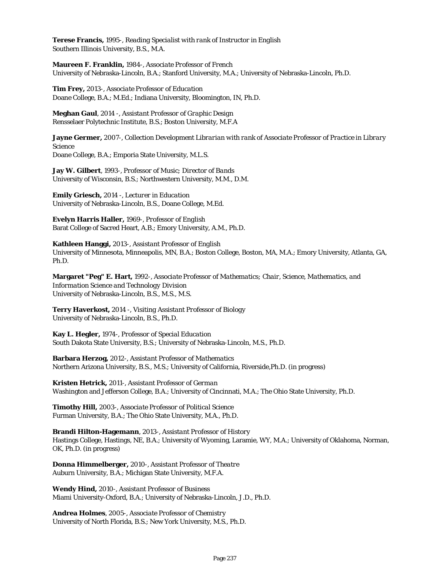**Terese Francis,** 1995-, *Reading Specialist with rank of Instructor in English* Southern Illinois University, B.S., M.A.

**Maureen F. Franklin,** 1984-, *Associate Professor of French* University of Nebraska-Lincoln, B.A.; Stanford University, M.A.; University of Nebraska-Lincoln, Ph.D.

**Tim Frey,** 2013-, *Associate Professor of Education* Doane College, B.A.; M.Ed.; Indiana University, Bloomington, IN, Ph.D.

**Meghan Gaul***,* 2014 -, *Assistant Professor of Graphic Design* Rensselaer Polytechnic Institute, B.S.; Boston University, M.F.A

**Jayne Germer,** 2007-, *Collection Development Librarian with rank of Associate Professor of Practice in Library Science* Doane College, B.A.; Emporia State University, M.L.S.

**Jay W. Gilbert***,* 1993-, *Professor of Music; Director of Bands* University of Wisconsin, B.S.; Northwestern University, M.M., D.M.

**Emily Griesch,** 2014 -, *Lecturer in Education* University of Nebraska-Lincoln, B.S., Doane College, M.Ed.

**Evelyn Harris Haller,** 1969-, *Professor of English* Barat College of Sacred Heart, A.B.; Emory University, A.M., Ph.D.

**Kathleen Hanggi,** 2013-, *Assistant Professor of English* University of Minnesota, Minneapolis, MN, B.A.; Boston College, Boston, MA, M.A.; Emory University, Atlanta, GA, Ph.D.

**Margaret "Peg" E. Hart,** 1992-, *Associate Professor of Mathematics; Chair, Science, Mathematics, and Information Science and Technology Division* University of Nebraska-Lincoln, B.S., M.S., M.S.

**Terry Haverkost,** 2014 -, *Visiting Assistant Professor of Biology* University of Nebraska-Lincoln, B.S., Ph.D.

**Kay L. Hegler,** 1974-, *Professor of Special Education* South Dakota State University, B.S.; University of Nebraska-Lincoln, M.S., Ph.D.

**Barbara Herzog,** 2012-, *Assistant Professor of Mathematics* Northern Arizona University, B.S., M.S.; University of California, Riverside,Ph.D. (in progress)

**Kristen Hetrick,** 2011-, *Assistant Professor of German* Washington and Jefferson College, B.A.; University of Cincinnati, M.A.; The Ohio State University, Ph.D.

**Timothy Hill,** 2003-, *Associate Professor of Political Science* Furman University, B.A.; The Ohio State University, M.A., Ph.D.

**Brandi Hilton-Hagemann***,* 2013-, *Assistant Professor of History* Hastings College, Hastings, NE, B.A.; University of Wyoming, Laramie, WY, M.A.; University of Oklahoma, Norman, OK, Ph.D. (in progress)

**Donna Himmelberger,** 2010-, *Assistant Professor of Theatre* Auburn University, B.A.; Michigan State University, M.F.A.

**Wendy Hind,** 2010-, *Assistant Professor of Business* Miami University-Oxford, B.A.; University of Nebraska-Lincoln, J.D., Ph.D.

**Andrea Holmes***,* 2005-, *Associate Professor of Chemistry* University of North Florida, B.S.; New York University, M.S., Ph.D.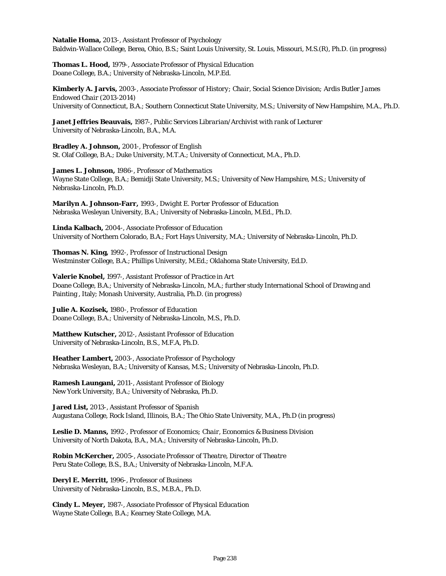**Natalie Homa,** 2013-, *Assistant Professor of Psychology* Baldwin-Wallace College, Berea, Ohio, B.S.; Saint Louis University, St. Louis, Missouri, M.S.(R), Ph.D. (in progress)

**Thomas L. Hood,** 1979-, *Associate Professor of Physical Education* Doane College, B.A.; University of Nebraska-Lincoln, M.P.Ed.

**Kimberly A. Jarvis,** 2003-, *Associate Professor of History; Chair, Social Science Division; Ardis Butler James Endowed Chair (2013-2014)* University of Connecticut, B.A.; Southern Connecticut State University, M.S.; University of New Hampshire, M.A., Ph.D.

**Janet Jeffries Beauvais,** 1987-, *Public Services Librarian/Archivist with rank of Lecturer* University of Nebraska-Lincoln, B.A., M.A.

**Bradley A. Johnson,** 2001-, *Professor of English* St. Olaf College, B.A.; Duke University, M.T.A.; University of Connecticut, M.A., Ph.D.

**James L. Johnson,** 1986-, *Professor of Mathematics* Wayne State College, B.A.; Bemidji State University, M.S.; University of New Hampshire, M.S.; University of Nebraska-Lincoln, Ph.D.

**Marilyn A. Johnson-Farr,** 1993-, *Dwight E. Porter Professor of Education* Nebraska Wesleyan University, B.A.; University of Nebraska-Lincoln, M.Ed., Ph.D.

**Linda Kalbach,** 2004-, *Associate Professor of Education* University of Northern Colorado, B.A.; Fort Hays University, M.A.; University of Nebraska-Lincoln, Ph.D.

**Thomas N. King,** 1992-, *Professor of Instructional Design* Westminster College, B.A.; Phillips University, M.Ed.; Oklahoma State University, Ed.D.

**Valerie Knobel,** 1997-, *Assistant Professor of Practice in Art* Doane College, B.A.; University of Nebraska-Lincoln, M.A.; further study International School of Drawing and Painting , Italy; Monash University, Australia, Ph.D. (in progress)

**Julie A. Kozisek,** 1980-, *Professor of Education* Doane College, B.A.; University of Nebraska-Lincoln, M.S., Ph.D.

**Matthew Kutscher,** 2012-, *Assistant Professor of Education* University of Nebraska-Lincoln, B.S., M.F.A, Ph.D.

**Heather Lambert,** 2003-, *Associate Professor of Psychology* Nebraska Wesleyan, B.A.; University of Kansas, M.S.; University of Nebraska-Lincoln, Ph.D.

**Ramesh Laungani,** 2011-, *Assistant Professor of Biology* New York University, B.A.; University of Nebraska, Ph.D.

**Jared List,** 2013-, *Assistant Professor of Spanish* Augustana College, Rock Island, Illinois, B.A.; The Ohio State University, M.A., Ph.D (in progress)

**Leslie D. Manns,** 1992-, *Professor of Economics; Chair, Economics & Business Division* University of North Dakota, B.A., M.A.; University of Nebraska-Lincoln, Ph.D.

**Robin McKercher,** 2005-, *Associate Professor of Theatre, Director of Theatre* Peru State College, B.S., B.A.; University of Nebraska-Lincoln, M.F.A.

**Deryl E. Merritt,** 1996-, *Professor of Business* University of Nebraska-Lincoln, B.S., M.B.A., Ph.D.

**Cindy L. Meyer,** 1987-, *Associate Professor of Physical Education* Wayne State College, B.A.; Kearney State College, M.A.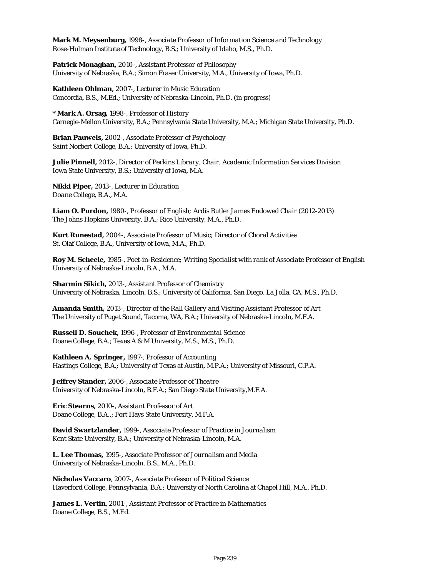**Mark M. Meysenburg,** 1998-, *Associate Professor of Information Science and Technology* Rose-Hulman Institute of Technology, B.S.; University of Idaho, M.S., Ph.D.

**Patrick Monaghan,** 2010-, *Assistant Professor of Philosophy* University of Nebraska, B.A.; Simon Fraser University, M.A., University of Iowa, Ph.D.

**Kathleen Ohlman,** 2007-, *Lecturer in Music Education* Concordia, B.S., M.Ed.; University of Nebraska-Lincoln, Ph.D. (in progress)

**\* Mark A. Orsag,** 1998-, *Professor of History* Carnegie-Mellon University, B.A.; Pennsylvania State University, M.A.; Michigan State University, Ph.D.

**Brian Pauwels,** 2002-, *Associate Professor of Psychology* Saint Norbert College, B.A.; University of Iowa, Ph.D.

**Julie Pinnell,** 2012-, *Director of Perkins Library, Chair, Academic Information Services Division* Iowa State University, B.S.; University of Iowa, M.A.

**Nikki Piper,** 2013-, *Lecturer in Education Doane College, B.A., M.A.*

**Liam O. Purdon,** 1980-, *Professor of English; Ardis Butler James Endowed Chair (2012-2013)* The Johns Hopkins University, B.A.; Rice University, M.A., Ph.D.

**Kurt Runestad,** 2004-, *Associate Professor of Music; Director of Choral Activities* St. Olaf College, B.A., University of Iowa, M.A., Ph.D.

**Roy M. Scheele,** 1985-, *Poet-in-Residence; Writing Specialist with rank of Associate Professor of English* University of Nebraska-Lincoln, B.A., M.A.

**Sharmin Sikich,** 2013-, *Assistant Professor of Chemistry* University of Nebraska, Lincoln, B.S.; University of California, San Diego. La Jolla, CA, M.S., Ph.D.

**Amanda Smith,** 2013-, *Director of the Rall Gallery and Visiting Assistant Professor of Art* The University of Puget Sound, Tacoma, WA, B.A.; University of Nebraska-Lincoln, M.F.A.

**Russell D. Souchek,** 1996-, *Professor of Environmental Science* Doane College, B.A.; Texas A & M University, M.S., M.S., Ph.D.

**Kathleen A. Springer,** 1997-, *Professor of Accounting* Hastings College, B.A.; University of Texas at Austin, M.P.A.; University of Missouri, C.P.A.

**Jeffrey Stander,** 2006-, *Associate Professor of Theatre* University of Nebraska-Lincoln, B.F.A.; San Diego State University,M.F.A.

**Eric Stearns,** 2010-, *Assistant Professor of Art* Doane College, B.A.,; Fort Hays State University, M.F.A.

**David Swartzlander,** 1999-, *Associate Professor of Practice in Journalism* Kent State University, B.A.; University of Nebraska-Lincoln, M.A.

**L. Lee Thomas,** 1995-, *Associate Professor of Journalism and Media* University of Nebraska-Lincoln, B.S., M.A., Ph.D.

**Nicholas Vaccaro***,* 2007-, *Associate Professor of Political Science* Haverford College, Pennsylvania, B.A.; University of North Carolina at Chapel Hill, M.A., Ph.D.

**James L. Vertin***,* 2001-, *Assistant Professor of Practice in Mathematics* Doane College, B.S., M.Ed.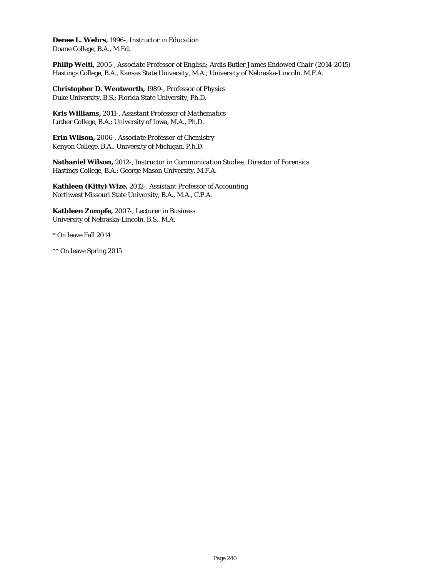**Denee L. Wehrs,** 1996-, *Instructor in Education* Doane College, B.A., M.Ed.

**Philip Weitl,** 2005-, *Associate Professor of English; Ardis Butler James Endowed Chair (2014-2015)* Hastings College, B.A., Kansas State University, M.A.; University of Nebraska-Lincoln, M.F.A.

**Christopher D. Wentworth,** 1989-, *Professor of Physics* Duke University, B.S.; Florida State University, Ph.D.

**Kris Williams,** 2011-, *Assistant Professor of Mathematics* Luther College, B.A.; University of Iowa, M.A., Ph.D.

**Erin Wilson,** 2006-, *Associate Professor of Chemistry* Kenyon College, B.A., University of Michigan, P.h.D.

**Nathaniel Wilson,** 2012-, *Instructor in Communication Studies, Director of Forensics* Hastings College, B.A.; George Mason University, M.F.A.

**Kathleen (Kitty) Wize,** 2012-, *Assistant Professor of Accounting* Northwest Missouri State University, B.A., M.A., C.P.A.

**Kathleen Zumpfe,** 2007-, *Lecturer in Business* University of Nebraska-Lincoln, B.S., M.A.

\* On leave Fall 2014

\*\* On leave Spring 2015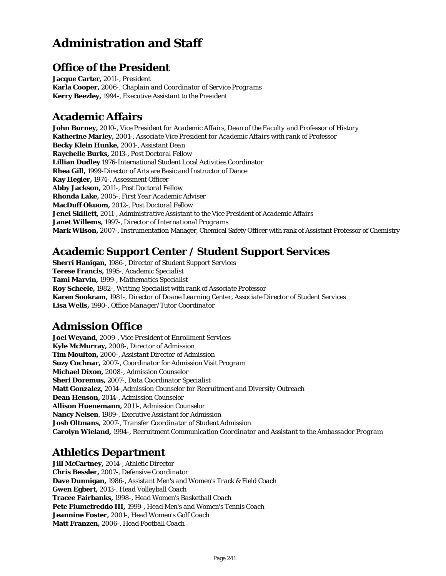# **Administration and Staff**

### **Office of the President**

**Jacque Carter,** 2011-, *President* **Karla Cooper,** 2006-, *Chaplain and Coordinator of Service Programs* **Kerry Beezley,** 1994-, *Executive Assistant to the President*

### **Academic Affairs**

**John Burney,** 2010-, *Vice President for Academic Affairs, Dean of the Faculty and Professor of History* **Katherine Marley,** 2001-, *Associate Vice President for Academic Affairs with rank of Professor* **Becky Klein Hunke,** 2001-, *Assistant Dean*  **Raychelle Burks,** 2013-, *Post Doctoral Fellow* **Lillian Dudley** 1976-International Student Local Activities Coordinator **Rhea Gill,** 1999-Director of Arts are Basic and Instructor of Dance **Kay Hegler,** 1974-, *Assessment Officer* **Abby Jackson,** 2011-, *Post Doctoral Fellow* **Rhonda Lake,** 2005-, *First Year Academic Adviser* **MacDuff Okuom,** 2012-, *Post Doctoral Fellow* **Jenei Skillett,** 2011-, *Administrative Assistant to the Vice President of Academic Affairs* **Janet Willems,** 1997-, *Director of International Programs* **Mark Wilson,** 2007-, Instrumentation Manager, Chemical Safety Officer with rank of Assistant Professor of Chemistry

### **Academic Support Center / Student Support Services**

**Sherri Hanigan,** 1986-, *Director of Student Support Services* **Terese Francis,** 1995-, *Academic Specialist* **Tami Marvin,** 1999-, *Mathematics Specialist* **Roy Scheele,** 1982-, *Writing Specialist with rank of Associate Professor* **Karen Sookram,** 1981-, *Director of Doane Learning Center, Associate Director of Student Services* **Lisa Wells,** 1990-, *Office Manager/Tutor Coordinator*

### **Admission Office**

**Joel Weyand,** 2009-, *Vice President of Enrollment Services* **Kyle McMurray,** 2008-, *Director of Admission* **Tim Moulton,** 2000-, *Assistant Director of Admission* **Suzy Cochnar,** 2007-, *Coordinator for Admission Visit Program* **Michael Dixon,** 2008-, *Admission Counselor*  **Sheri Doremus,** 2007-, *Data Coordinator Specialist* **Matt Gonzalez,** 2014-,*Admission Counselor for Recruitment and Diversity Outreach* **Dean Henson,** 2014-, *Admission Counselor* **Allison Huenemann,** 2011-, *Admission Counselor* **Nancy Nelsen***,* 1989-, *Executive Assistant for Admission* **Josh Oltmans,** 2007-, *Transfer Coordinator of Student Admission* **Carolyn Wieland,** 1994-, *Recruitment Communication Coordinator and Assistant to the Ambassador Program*

### **Athletics Department**

**Jill McCartney,** 2014-, *Athletic Director* **Chris Bessler,** 2007-, *Defensive Coordinator* **Dave Dunnigan,** 1986-, *Assistant Men's and Women's Track & Field Coach* **Gwen Egbert,** 2013-, *Head Volleyball Coach* **Tracee Fairbanks,** 1998-, *Head Women's Basketball Coach* **Pete Fiumefreddo III,** 1999-, *Head Men's and Women's Tennis Coach* **Jeannine Foster,** 2001-, *Head Women's Golf Coach* **Matt Franzen,** 2006-, *Head Football Coach*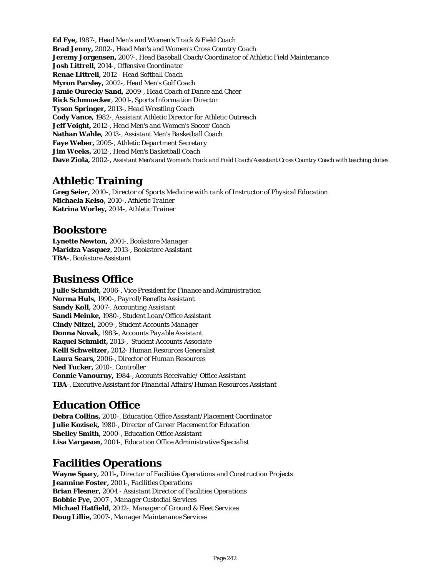**Ed Fye,** 1987-, *Head Men's and Women's Track & Field Coach* **Brad Jenny,** 2002-, *Head Men's and Women's Cross Country Coach* **Jeremy Jorgensen,** 2007-, *Head Baseball Coach/Coordinator of Athletic Field Maintenance* **Josh Littrell,** 2014-, *Offensive Coordinator*  **Renae Littrell,** 2012 - *Head Softball Coach* **Myron Parsley,** 2002-, *Head Men's Golf Coach* **Jamie Ourecky Sand,** 2009-, *Head Coach of Dance and Cheer* **Rick Schmuecker***,* 2001-, *Sports Information Director* **Tyson Springer,** 2013-, *Head Wrestling Coach* **Cody Vance,** 1982-, *Assistant Athletic Director for Athletic Outreach* **Jeff Voight,** 2012-, *Head Men's and Women's Soccer Coach* **Nathan Wahle,** 2013-, *Assistant Men's Basketball Coach*  **Faye Weber,** 2005-, *Athletic Department Secretary* **Jim Weeks,** 2012-, *Head Men's Basketball Coach* **Dave Ziola,** 2002-, *Assistant Men's and Women's Track and Field Coach/Assistant Cross Country Coach with teaching duties*

### **Athletic Training**

**Greg Seier,** 2010-, *Director of Sports Medicine with rank of Instructor of Physical Education* **Michaela Kelso,** 2010-, *Athletic Trainer* **Katrina Worley,** 2014-, *Athletic Trainer*

### **Bookstore**

**Lynette Newton,** 2001-, *Bookstore Manager* **Maridza Vasquez**, 2013-, *Bookstore Assistant* **TBA**-, *Bookstore Assistant*

### **Business Office**

**Julie Schmidt,** 2006-, *Vice President for Finance and Administration* **Norma Huls,** 1990-, *Payroll/Benefits Assistant* **Sandy Koll,** 2007-, *Accounting Assistant* **Sandi Meinke,** 1980-, *Student Loan/Office Assistant* **Cindy Nitzel,** 2009-, *Student Accounts Manager* **Donna Novak,** 1983-, *Accounts Payable Assistant* **Raquel Schmidt,** 2013-, *Student Accounts Associate* **Kelli Schweitzer,** 2012- *Human Resources Generalist* **Laura Sears,** 2006-, *Director of Human Resources* **Ned Tucker,** 2010-, *Controller* **Connie Vanourny,** 1984-, *Accounts Receivable/ Office Assistant* **TBA**-, *Executive Assistant for Financial Affairs/Human Resources Assistant*

### **Education Office**

**Debra Collins,** 2010-, *Education Office Assistant/Placement Coordinator* **Julie Kozisek,** 1980-, *Director of Career Placement for Education* **Shelley Smith,** 2000-, *Education Office Assistant* **Lisa Vargason,** 2001-, *Education Office Administrative Specialist*

### **Facilities Operations**

**Wayne Spary,** 2011-**,** *Director of Facilities Operations and Construction Projects* **Jeannine Foster,** 2001-, *Facilities Operations*  **Brian Flesner,** 2004 - *Assistant Director of Facilities Operations* **Bobbie Fye,** 2007-*, Manage*r *Custodial Services*  **Michael Hatfield,** 2012-*, Manager of Ground & Fleet Services*  **Doug Lillie,** 2007-, *Manager Maintenance Services*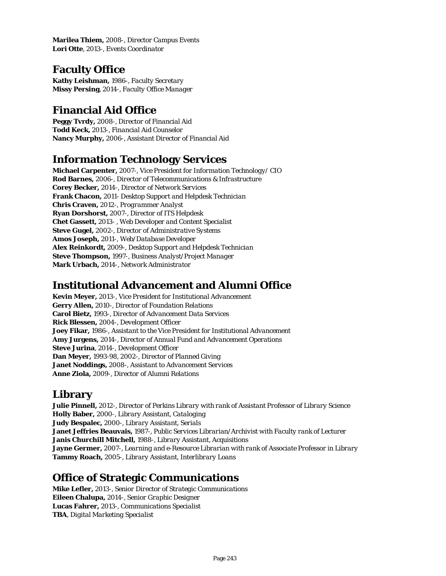**Marilea Thiem,** 2008-, *Director Campus Events*  **Lori Otte***,* 2013-, *Events Coordinator*

### **Faculty Office**

**Kathy Leishman,** 1986-, *Faculty Secretary* **Missy Persing***,* 2014-, *Faculty Office Manager*

### **Financial Aid Office**

**Peggy Tvrdy,** 2008-, *Director of Financial Aid* **Todd Keck,** 2013-, *Financial Aid Counselor* **Nancy Murphy,** 2006-, *Assistant Director of Financial Aid*

### **Information Technology Services**

**Michael Carpenter,** 2007-, *Vice President for Information Technology/ CIO* **Rod Barnes,** 2006-, *Director of Telecommunications & Infrastructure* **Corey Becker,** 2014-, *Director of Network Services* **Frank Chacon,** 2011- *Desktop Support and Helpdesk Technician* **Chris Craven,** 2012-, *Programmer Analyst* **Ryan Dorshorst,** 2007-, *Director of ITS Helpdesk*  **Chet Gassett,** 2013- , *Web Developer and Content Specialist*  **Steve Gugel,** 2002-, *Director of Administrative Systems* **Amos Joseph,** 2011-, *Web/Database Developer* **Alex Reinkordt,** 2009-, *Desktop Support and Helpdesk Technician* **Steve Thompson,** 1997-, *Business Analyst/Project Manager* **Mark Urbach,** 2014-, *Network Administrator*

### **Institutional Advancement and Alumni Office**

**Kevin Meyer,** 2013-*, Vice President for Institutional Advancement* **Gerry Allen,** 2010-, *Director of Foundation Relations* **Carol Bietz,** 1993-, *Director of Advancement Data Services* **Rick Blessen,** 2004-, *Development Officer* **Joey Fikar,** 1986-, *Assistant to the Vice President for Institutional Advancement* **Amy Jurgens,** 2014-, *Director of Annual Fund and Advancement Operations* **Steve Jurina**, 2014-*, Development Officer* **Dan Meyer,** 1993-98, 2002-, *Director of Planned Giving* **Janet Noddings,** 2008-, *Assistant to Advancement Services* **Anne Ziola,** 2009-, *Director of Alumni Relations*

### **Library**

**Julie Pinnell,** 2012-, *Director of Perkins Library with rank of Assistant Professor of Library Science* **Holly Baber,** 2000-, *Library Assistant, Cataloging* **Judy Bespalec,** 2000-, *Library Assistant, Serials* **Janet Jeffries Beauvais,** 1987-, *Public Services Librarian/Archivist with Faculty rank of Lecturer* **Janis Churchill Mitchell,** 1988-, *Library Assistant, Acquisitions* **Jayne Germer,** 2007-, *Learning and e-Resource Librarian with rank of Associate Professor in Library* **Tammy Roach,** 2005-, *Library Assistant, Interlibrary Loans*

### **Office of Strategic Communications**

**Mike Lefler,** 2013-, *Senior Director of Strategic Communications* **Eileen Chalupa,** 2014-, *Senior Graphic Designer*  **Lucas Fahrer,** 2013-, *Communications Specialist TBA, Digital Marketing Specialist*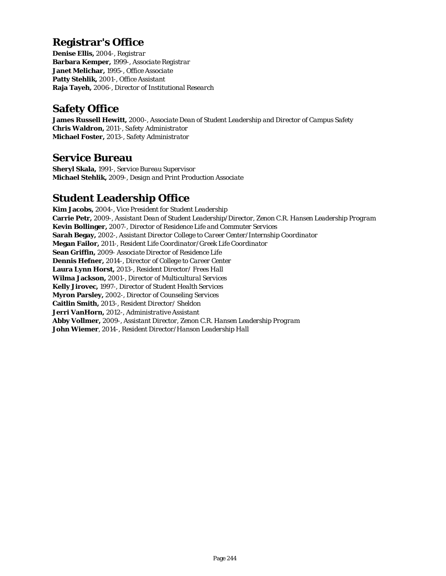### **Registrar's Office**

**Denise Ellis,** 2004-, *Registrar* **Barbara Kemper,** 1999-, *Associate Registrar* **Janet Melichar,** 1995-, *Office Associate* **Patty Stehlik,** 2001-, *Office Assistant* **Raja Tayeh,** 2006-, *Director of Institutional Research*

### **Safety Office**

**James Russell Hewitt,** 2000-, *Associate Dean of Student Leadership and Director of Campus Safety* **Chris Waldron,** 2011-, *Safety Administrator* **Michael Foster,** 2013-, *Safety Administrator*

### **Service Bureau**

**Sheryl Skala,** 1991-, *Service Bureau Supervisor* **Michael Stehlik,** 2009-, *Design and Print Production Associate*

### **Student Leadership Office**

**Kim Jacobs,** 2004-, *Vice President for Student Leadership*  **Carrie Petr,** 2009-, *Assistant Dean of Student Leadership/Director, Zenon C.R. Hansen Leadership Program* **Kevin Bollinger,** 2007-, *Director of Residence Life and Commuter Services* **Sarah Begay,** 2002-, *Assistant Director College to Career Center/Internship Coordinator*  **Megan Failor,** 2011-, *Resident Life Coordinator/Greek Life Coordinator* **Sean Griffin,** 2009- *Associate Director of Residence Life*  **Dennis Hefner,** 2014-, *Director of College to Career Center*  **Laura Lynn Horst,** 2013-, *Resident Director/ Frees Hall* **Wilma Jackson,** 2001-, *Director of Multicultural Services* **Kelly Jirovec,** 1997-, *Director of Student Health Services* **Myron Parsley,** 2002-, *Director of Counseling Services* **Caitlin Smith,** 2013-, *Resident Director/ Sheldon* **Jerri VanHorn,** 2012-, *Administrative Assistant* **Abby Vollmer,** 2009-, *Assistant Director, Zenon C.R. Hansen Leadership Program* **John Wiemer***,* 2014-, *Resident Director/Hanson Leadership Hall*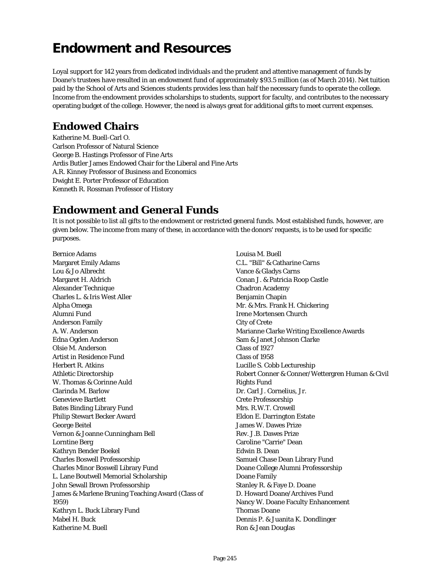# **Endowment and Resources**

Loyal support for 142 years from dedicated individuals and the prudent and attentive management of funds by Doane's trustees have resulted in an endowment fund of approximately \$93.5 million (as of March 2014). Net tuition paid by the School of Arts and Sciences students provides less than half the necessary funds to operate the college. Income from the endowment provides scholarships to students, support for faculty, and contributes to the necessary operating budget of the college. However, the need is always great for additional gifts to meet current expenses.

### **Endowed Chairs**

Katherine M. Buell-Carl O. Carlson Professor of Natural Science George B. Hastings Professor of Fine Arts Ardis Butler James Endowed Chair for the Liberal and Fine Arts A.R. Kinney Professor of Business and Economics Dwight E. Porter Professor of Education Kenneth R. Rossman Professor of History

### **Endowment and General Funds**

It is not possible to list all gifts to the endowment or restricted general funds. Most established funds, however, are given below. The income from many of these, in accordance with the donors' requests, is to be used for specific purposes.

Bernice Adams Margaret Emily Adams Lou & Jo Albrecht Margaret H. Aldrich Alexander Technique Charles L. & Iris West Aller Alpha Omega Alumni Fund Anderson Family A. W. Anderson Edna Ogden Anderson Olsie M. Anderson Artist in Residence Fund Herbert R. Atkins Athletic Directorship W. Thomas & Corinne Auld Clarinda M. Barlow Genevieve Bartlett Bates Binding Library Fund Philip Stewart Becker Award George Beitel Vernon & Joanne Cunningham Bell Lorntine Berg Kathryn Bender Boekel Charles Boswell Professorship Charles Minor Boswell Library Fund L. Lane Boutwell Memorial Scholarship John Sewall Brown Professorship James & Marlene Bruning Teaching Award (Class of 1959) Kathryn L. Buck Library Fund Mabel H. Buck Katherine M. Buell

Louisa M. Buell C.L. "Bill" & Catharine Carns Vance & Gladys Carns Conan J. & Patricia Roop Castle Chadron Academy Benjamin Chapin Mr. & Mrs. Frank H. Chickering Irene Mortensen Church City of Crete Marianne Clarke Writing Excellence Awards Sam & Janet Johnson Clarke Class of 1927 Class of 1958 Lucille S. Cobb Lectureship Robert Conner & Conner/Wettergren Human & Civil Rights Fund Dr. Carl J. Cornelius, Jr. Crete Professorship Mrs. R.W.T. Crowell Eldon E. Darrington Estate James W. Dawes Prize Rev. J.B. Dawes Prize Caroline "Carrie" Dean Edwin B. Dean Samuel Chase Dean Library Fund Doane College Alumni Professorship Doane Family Stanley R. & Faye D. Doane D. Howard Doane/Archives Fund Nancy W. Doane Faculty Enhancement Thomas Doane Dennis P. & Juanita K. Dondlinger Ron & Jean Douglas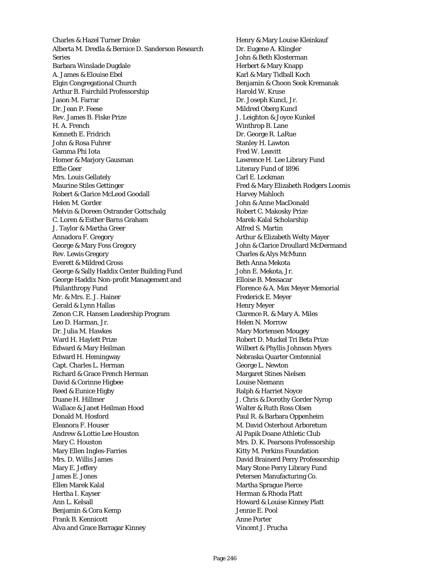Charles & Hazel Turner Drake Alberta M. Dredla & Bernice D. Sanderson Research Series Barbara Winslade Dugdale A. James & Elouise Ebel Elgin Congregational Church Arthur B. Fairchild Professorship Jason M. Farrar Dr. Jean P. Feese Rev. James B. Fiske Prize H. A. French Kenneth E. Fridrich John & Rosa Fuhrer Gamma Phi Iota Homer & Marjory Gausman Effie Geer Mrs. Louis Gellately Maurine Stiles Gettinger Robert & Clarice McLeod Goodall Helen M. Gorder Melvin & Doreen Ostrander Gottschalg C. Loren & Esther Barns Graham J. Taylor & Martha Greer Annadora F. Gregory George & Mary Foss Gregory Rev. Lewis Gregory Everett & Mildred Gross George & Sally Haddix Center Building Fund George Haddix Non-profit Management and Philanthropy Fund Mr. & Mrs. E. J. Hainer Gerald & Lynn Hallas Zenon C.R. Hansen Leadership Program Leo D. Harman, Jr. Dr. Julia M. Hawkes Ward H. Haylett Prize Edward & Mary Heilman Edward H. Hemingway Capt. Charles L. Herman Richard & Grace French Herman David & Corinne Higbee Reed & Eunice Higby Duane H. Hillmer Wallace & Janet Heilman Hood Donald M. Hosford Eleanora F. Houser Andrew & Lottie Lee Houston Mary C. Houston Mary Ellen Ingles-Farries Mrs. D. Willis James Mary E. Jeffery James E. Jones Ellen Marek Kalal Hertha I. Kayser Ann L. Kelsall Benjamin & Cora Kemp Frank B. Kennicott Alva and Grace Barragar Kinney

Henry & Mary Louise Kleinkauf Dr. Eugene A. Klingler John & Beth Klosterman Herbert & Mary Knapp Karl & Mary Tidball Koch Benjamin & Choon Sook Kremanak Harold W. Kruse Dr. Joseph Kuncl, Jr. Mildred Oberg Kuncl J. Leighton & Joyce Kunkel Winthrop B. Lane Dr. George R. LaRue Stanley H. Lawton Fred W. Leavitt Lawrence H. Lee Library Fund Literary Fund of 1896 Carl E. Lockman Fred & Mary Elizabeth Rodgers Loomis Harvey Mahloch John & Anne MacDonald Robert C. Makosky Prize Marek-Kalal Scholarship Alfred S. Martin Arthur & Elizabeth Welty Mayer John & Clarice Droullard McDermand Charles & Alys McMunn Beth Anna Mekota John E. Mekota, Jr. Elloise B. Messacar Florence & A. Max Meyer Memorial Frederick E. Meyer Henry Meyer Clarence R. & Mary A. Miles Helen N. Morrow Mary Mortensen Mougey Robert D. Muckel Tri Beta Prize Wilbert & Phyllis Johnson Myers Nebraska Quarter Centennial George L. Newton Margaret Stines Nielsen Louise Niemann Ralph & Harriet Noyce J. Chris & Dorothy Gorder Nyrop Walter & Ruth Ross Olsen Paul R. & Barbara Oppenheim M. David Osterhout Arboretum Al Papik Doane Athletic Club Mrs. D. K. Pearsons Professorship Kitty M. Perkins Foundation David Brainerd Perry Professorship Mary Stone Perry Library Fund Petersen Manufacturing Co. Martha Sprague Pierce Herman & Rhoda Platt Howard & Louise Kinney Platt Jennie E. Pool Anne Porter Vincent J. Prucha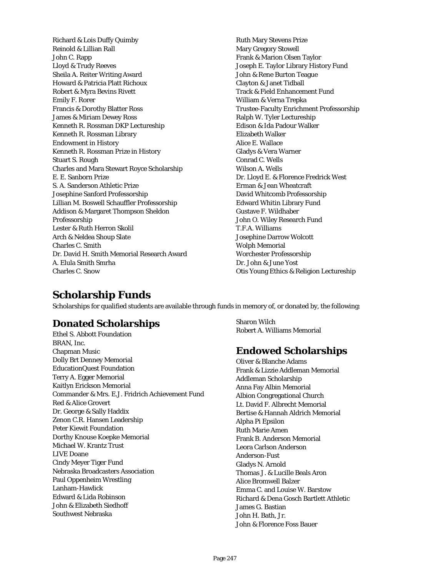Richard & Lois Duffy Quimby Reinold & Lillian Rall John C. Rapp Lloyd & Trudy Reeves Sheila A. Reiter Writing Award Howard & Patricia Platt Richoux Robert & Myra Bevins Rivett Emily F. Rorer Francis & Dorothy Blatter Ross James & Miriam Dewey Ross Kenneth R. Rossman DKP Lectureship Kenneth R. Rossman Library Endowment in History Kenneth R. Rossman Prize in History Stuart S. Rough Charles and Mara Stewart Royce Scholarship E. E. Sanborn Prize S. A. Sanderson Athletic Prize Josephine Sanford Professorship Lillian M. Boswell Schauffler Professorship Addison & Margaret Thompson Sheldon Professorship Lester & Ruth Herron Skolil Arch & Neldea Shoup Slate Charles C. Smith Dr. David H. Smith Memorial Research Award A. Elula Smith Smrha Charles C. Snow

Ruth Mary Stevens Prize Mary Gregory Stowell Frank & Marion Olsen Taylor Joseph E. Taylor Library History Fund John & Rene Burton Teague Clayton & Janet Tidball Track & Field Enhancement Fund William & Verna Trepka Trustee-Faculty Enrichment Professorship Ralph W. Tyler Lectureship Edison & Ida Padour Walker Elizabeth Walker Alice E. Wallace Gladys & Vera Warner Conrad C. Wells Wilson A. Wells Dr. Lloyd E. & Florence Fredrick West Erman & Jean Wheatcraft David Whitcomb Professorship Edward Whitin Library Fund Gustave F. Wildhaber John O. Wiley Research Fund T.F.A. Williams Josephine Darrow Wolcott Wolph Memorial Worchester Professorship Dr. John & June Yost Otis Young Ethics & Religion Lectureship

### **Scholarship Funds**

Scholarships for qualified students are available through funds in memory of, or donated by, the following:

### **Donated Scholarships**

Ethel S. Abbott Foundation BRAN, Inc. Chapman Music Dolly Brt Denney Memorial EducationQuest Foundation Terry A. Egger Memorial Kaitlyn Erickson Memorial Commander & Mrs. E.J. Fridrich Achievement Fund Red & Alice Grovert Dr. George & Sally Haddix Zenon C.R. Hansen Leadership Peter Kiewit Foundation Dorthy Knouse Koepke Memorial Michael W. Krantz Trust LIVE Doane Cindy Meyer Tiger Fund Nebraska Broadcasters Association Paul Oppenheim Wrestling Lanham-Hawlick Edward & Lida Robinson John & Elizabeth Siedhoff Southwest Nebraska

Sharon Wilch Robert A. Williams Memorial

### **Endowed Scholarships**

Oliver & Blanche Adams Frank & Lizzie Addleman Memorial Addleman Scholarship Anna Fay Albin Memorial Albion Congregational Church Lt. David F. Albrecht Memorial Bertise & Hannah Aldrich Memorial Alpha Pi Epsilon Ruth Marie Amen Frank B. Anderson Memorial Leora Carlson Anderson Anderson-Fust Gladys N. Arnold Thomas J. & Lucille Beals Aron Alice Bromwell Balzer Emma C. and Louise W. Barstow Richard & Dena Gosch Bartlett Athletic James G. Bastian John H. Bath, Jr. John & Florence Foss Bauer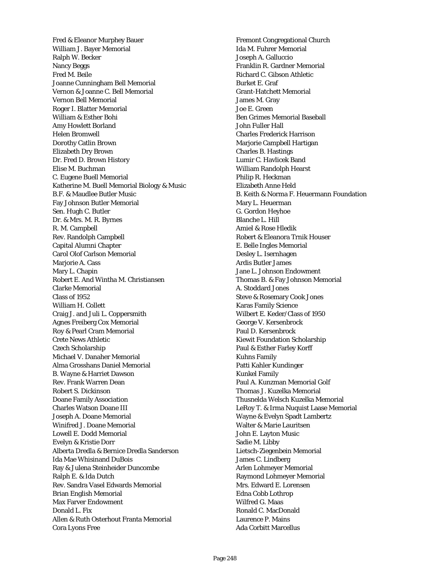Fred & Eleanor Murphey Bauer William J. Bayer Memorial Ralph W. Becker Nancy Beggs Fred M. Beile Joanne Cunningham Bell Memorial Vernon & Joanne C. Bell Memorial Vernon Bell Memorial Roger I. Blatter Memorial William & Esther Bohi Amy Howlett Borland Helen Bromwell Dorothy Catlin Brown Elizabeth Dry Brown Dr. Fred D. Brown History Elise M. Buchman C. Eugene Buell Memorial Katherine M. Buell Memorial Biology & Music B.F. & Maudlee Butler Music Fay Johnson Butler Memorial Sen. Hugh C. Butler Dr. & Mrs. M. R. Byrnes R. M. Campbell Rev. Randolph Campbell Capital Alumni Chapter Carol Olof Carlson Memorial Marjorie A. Cass Mary L. Chapin Robert E. And Wintha M. Christiansen Clarke Memorial Class of 1952 William H. Collett Craig J. and Juli L. Coppersmith Agnes Freiberg Cox Memorial Roy & Pearl Cram Memorial Crete News Athletic Czech Scholarship Michael V. Danaher Memorial Alma Grosshans Daniel Memorial B. Wayne & Harriet Dawson Rev. Frank Warren Dean Robert S. Dickinson Doane Family Association Charles Watson Doane III Joseph A. Doane Memorial Winifred J. Doane Memorial Lowell E. Dodd Memorial Evelyn & Kristie Dorr Alberta Dredla & Bernice Dredla Sanderson Ida Mae Whisinand DuBois Ray & Julena Steinheider Duncombe Ralph E. & Ida Dutch Rev. Sandra Vasel Edwards Memorial Brian English Memorial Max Farver Endowment Donald L. Fix Allen & Ruth Osterhout Franta Memorial Cora Lyons Free

Fremont Congregational Church Ida M. Fuhrer Memorial Joseph A. Galluccio Franklin R. Gardner Memorial Richard C. Gibson Athletic Burket E. Graf Grant-Hatchett Memorial James M. Gray Joe E. Green Ben Grimes Memorial Baseball John Fuller Hall Charles Frederick Harrison Marjorie Campbell Hartigan Charles B. Hastings Lumir C. Havlicek Band William Randolph Hearst Philip R. Heckman Elizabeth Anne Held B. Keith & Norma F. Heuermann Foundation Mary L. Heuerman G. Gordon Heyhoe Blanche L. Hill Amiel & Rose Hledik Robert & Eleanora Trnik Houser E. Belle Ingles Memorial Desley L. Isernhagen Ardis Butler James Jane L. Johnson Endowment Thomas B. & Fay Johnson Memorial A. Stoddard Jones Steve & Rosemary Cook Jones Karas Family Science Wilbert E. Keder/Class of 1950 George V. Kersenbrock Paul D. Kersenbrock Kiewit Foundation Scholarship Paul & Esther Farley Korff Kuhns Family Patti Kahler Kundinger Kunkel Family Paul A. Kunzman Memorial Golf Thomas J. Kuzelka Memorial Thusnelda Welsch Kuzelka Memorial LeRoy T. & Irma Nuquist Laase Memorial Wayne & Evelyn Spadt Lambertz Walter & Marie Lauritsen John E. Layton Music Sadie M. Libby Lietsch-Ziegenbein Memorial James C. Lindberg Arlen Lohmeyer Memorial Raymond Lohmeyer Memorial Mrs. Edward E. Lorensen Edna Cobb Lothrop Wilfred G. Maas Ronald C. MacDonald Laurence P. Mains Ada Corbitt Marcellus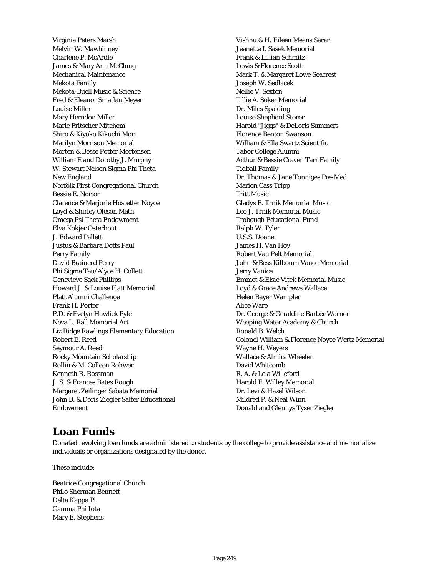Virginia Peters Marsh Melvin W. Mawhinney Charlene P. McArdle James & Mary Ann McClung Mechanical Maintenance Mekota Family Mekota-Buell Music & Science Fred & Eleanor Smatlan Meyer Louise Miller Mary Herndon Miller Marie Fritscher Mitchem Shiro & Kiyoko Kikuchi Mori Marilyn Morrison Memorial Morten & Besse Potter Mortensen William E and Dorothy J. Murphy W. Stewart Nelson Sigma Phi Theta New England Norfolk First Congregational Church Bessie E. Norton Clarence & Marjorie Hostetter Noyce Loyd & Shirley Oleson Math Omega Psi Theta Endowment Elva Kokjer Osterhout J. Edward Pallett Justus & Barbara Dotts Paul Perry Family David Brainerd Perry Phi Sigma Tau/Alyce H. Collett Genevieve Sack Phillips Howard J. & Louise Platt Memorial Platt Alumni Challenge Frank H. Porter P.D. & Evelyn Hawlick Pyle Neva L. Rall Memorial Art Liz Ridge Rawlings Elementary Education Robert E. Reed Seymour A. Reed Rocky Mountain Scholarship Rollin & M. Colleen Rohwer Kenneth R. Rossman J. S. & Frances Bates Rough Margaret Zeilinger Sabata Memorial John B. & Doris Ziegler Salter Educational Endowment

Vishnu & H. Eileen Means Saran Jeanette I. Sasek Memorial Frank & Lillian Schmitz Lewis & Florence Scott Mark T. & Margaret Lowe Seacrest Joseph W. Sedlacek Nellie V. Sexton Tillie A. Soker Memorial Dr. Miles Spalding Louise Shepherd Storer Harold "Jiggs" & DeLoris Summers Florence Benton Swanson William & Ella Swartz Scientific Tabor College Alumni Arthur & Bessie Craven Tarr Family Tidball Family Dr. Thomas & Jane Tonniges Pre-Med Marion Cass Tripp Tritt Music Gladys E. Trnik Memorial Music Leo J. Trnik Memorial Music Trobough Educational Fund Ralph W. Tyler U.S.S. Doane James H. Van Hoy Robert Van Pelt Memorial John & Bess Kilbourn Vance Memorial Jerry Vanice Emmet & Elsie Vitek Memorial Music Loyd & Grace Andrews Wallace Helen Bayer Wampler Alice Ware Dr. George & Geraldine Barber Warner Weeping Water Academy & Church Ronald B. Welch Colonel William & Florence Noyce Wertz Memorial Wayne H. Weyers Wallace & Almira Wheeler David Whitcomb R. A. & Lela Willeford Harold E. Willey Memorial Dr. Levi & Hazel Wilson Mildred P. & Neal Winn Donald and Glennys Tyser Ziegler

### **Loan Funds**

Donated revolving loan funds are administered to students by the college to provide assistance and memorialize individuals or organizations designated by the donor.

These include:

Beatrice Congregational Church Philo Sherman Bennett Delta Kappa Pi Gamma Phi Iota Mary E. Stephens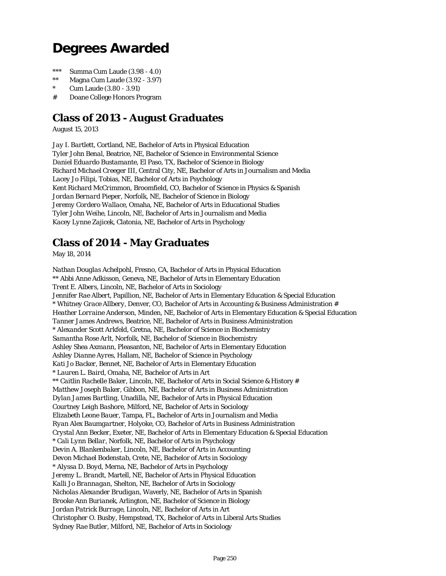# **Degrees Awarded**

- \*\*\* Summa Cum Laude (3.98 4.0)
- Magna Cum Laude (3.92 3.97)
- Cum Laude (3.80 3.91)
- # Doane College Honors Program

### **Class of 2013 - August Graduates**

August 15, 2013

*Jay I. Bartlett*, Cortland, NE, Bachelor of Arts in Physical Education *Tyler John Benal*, Beatrice, NE, Bachelor of Science in Environmental Science *Daniel Eduardo Bustamante*, El Paso, TX, Bachelor of Science in Biology *Richard Michael Creeger III*, Central City, NE, Bachelor of Arts in Journalism and Media *Lacey Jo Filipi*, Tobias, NE, Bachelor of Arts in Psychology *Kent Richard McCrimmon*, Broomfield, CO, Bachelor of Science in Physics & Spanish *Jordan Bernard Pieper*, Norfolk, NE, Bachelor of Science in Biology *Jeremy Cordero Wallace*, Omaha, NE, Bachelor of Arts in Educational Studies *Tyler John Weihe*, Lincoln, NE, Bachelor of Arts in Journalism and Media *Kacey Lynne Zajicek*, Clatonia, NE, Bachelor of Arts in Psychology

### **Class of 2014 - May Graduates**

May 18, 2014

*Nathan Douglas Achelpohl*, Fresno, CA, Bachelor of Arts in Physical Education *\*\* Abbi Anne Adkisson*, Geneva, NE, Bachelor of Arts in Elementary Education *Trent E. Albers*, Lincoln, NE, Bachelor of Arts in Sociology *Jennifer Rae Albert*, Papillion, NE, Bachelor of Arts in Elementary Education & Special Education *\* Whitney Grace Allbery*, Denver, CO, Bachelor of Arts in Accounting & Business Administration # *Heather Lorraine Anderson*, Minden, NE, Bachelor of Arts in Elementary Education & Special Education *Tanner James Andrews*, Beatrice, NE, Bachelor of Arts in Business Administration *\* Alexander Scott Arkfeld*, Gretna, NE, Bachelor of Science in Biochemistry *Samantha Rose Arlt*, Norfolk, NE, Bachelor of Science in Biochemistry *Ashley Shea Axmann*, Pleasanton, NE, Bachelor of Arts in Elementary Education *Ashley Dianne Ayres*, Hallam, NE, Bachelor of Science in Psychology *Kati Jo Backer*, Bennet, NE, Bachelor of Arts in Elementary Education *\* Lauren L. Baird*, Omaha, NE, Bachelor of Arts in Art *\*\* Caitlin Rachelle Baker*, Lincoln, NE, Bachelor of Arts in Social Science & History # *Matthew Joseph Baker*, Gibbon, NE, Bachelor of Arts in Business Administration *Dylan James Bartling*, Unadilla, NE, Bachelor of Arts in Physical Education *Courtney Leigh Bashore*, Milford, NE, Bachelor of Arts in Sociology *Elizabeth Leone Bauer*, Tampa, FL, Bachelor of Arts in Journalism and Media *Ryan Alex Baumgartner*, Holyoke, CO, Bachelor of Arts in Business Administration *Crystal Ann Becker*, Exeter, NE, Bachelor of Arts in Elementary Education & Special Education *\* Cali Lynn Bellar*, Norfolk, NE, Bachelor of Arts in Psychology *Devin A. Blankenbaker*, Lincoln, NE, Bachelor of Arts in Accounting *Devon Michael Bodenstab*, Crete, NE, Bachelor of Arts in Sociology *\* Alyssa D. Boyd*, Merna, NE, Bachelor of Arts in Psychology *Jeremy L. Brandt*, Martell, NE, Bachelor of Arts in Physical Education *Kalli Jo Brannagan*, Shelton, NE, Bachelor of Arts in Sociology *Nicholas Alexander Brudigan*, Waverly, NE, Bachelor of Arts in Spanish *Brooke Ann Burianek*, Arlington, NE, Bachelor of Science in Biology *Jordan Patrick Burrage*, Lincoln, NE, Bachelor of Arts in Art *Christopher O. Busby*, Hempstead, TX, Bachelor of Arts in Liberal Arts Studies *Sydney Rae Butler*, Milford, NE, Bachelor of Arts in Sociology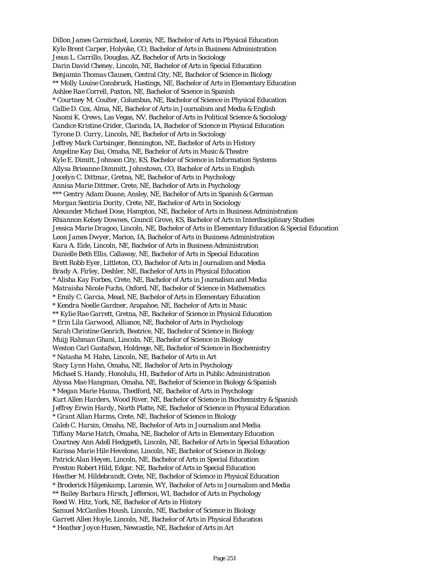*Dillon James Carmichael*, Loomis, NE, Bachelor of Arts in Physical Education *Kyle Brent Carper*, Holyoke, CO, Bachelor of Arts in Business Administration *Jesus L. Carrillo*, Douglas, AZ, Bachelor of Arts in Sociology *Darin David Cheney*, Lincoln, NE, Bachelor of Arts in Special Education *Benjamin Thomas Clausen*, Central City, NE, Bachelor of Science in Biology *\*\* Molly Louise Consbruck*, Hastings, NE, Bachelor of Arts in Elementary Education *Ashlee Rae Correll*, Paxton, NE, Bachelor of Science in Spanish *\* Courtney M. Coulter*, Columbus, NE, Bachelor of Science in Physical Education *Callie D. Cox*, Alma, NE, Bachelor of Arts in Journalism and Media & English *Naomi K. Crews*, Las Vegas, NV, Bachelor of Arts in Political Science & Sociology *Candice Kristine Crider*, Clarinda, IA, Bachelor of Science in Physical Education *Tyrone D. Curry*, Lincoln, NE, Bachelor of Arts in Sociology *Jeffrey Mark Curtsinger*, Bennington, NE, Bachelor of Arts in History *Angeline Kay Dai*, Omaha, NE, Bachelor of Arts in Music & Theatre *Kyle E. Dimitt*, Johnson City, KS, Bachelor of Science in Information Systems *Allysa Brieanne Dimmitt*, Johnstown, CO, Bachelor of Arts in English *Jocelyn C. Dittmar*, Gretna, NE, Bachelor of Arts in Psychology *Annisa Marie Dittmer*, Crete, NE, Bachelor of Arts in Psychology *\*\*\* Gentry Adam Doane*, Ansley, NE, Bachelor of Arts in Spanish & German *Morgan Sentiria Dority*, Crete, NE, Bachelor of Arts in Sociology *Alexander Michael Dose*, Hampton, NE, Bachelor of Arts in Business Administration *Rhiannon Kelsey Downes*, Council Grove, KS, Bachelor of Arts in Interdisciplinary Studies *Jessica Marie Dragoo*, Lincoln, NE, Bachelor of Arts in Elementary Education & Special Education *Leon James Dwyer*, Marion, IA, Bachelor of Arts in Business Administration *Kara A. Eide*, Lincoln, NE, Bachelor of Arts in Business Administration *Danielle Beth Ellis*, Callaway, NE, Bachelor of Arts in Special Education *Brett Robb Eyer*, Littleton, CO, Bachelor of Arts in Journalism and Media *Brady A. Firley*, Deshler, NE, Bachelor of Arts in Physical Education *\* Alisha Kay Forbes*, Crete, NE, Bachelor of Arts in Journalism and Media *Matraisha Nicole Fuchs*, Oxford, NE, Bachelor of Science in Mathematics *\* Emily C. Garcia*, Mead, NE, Bachelor of Arts in Elementary Education *\* Kendra Noelle Gardner*, Arapahoe, NE, Bachelor of Arts in Music *\*\* Kylie Rae Garrett*, Gretna, NE, Bachelor of Science in Physical Education *\* Erin Lila Garwood*, Alliance, NE, Bachelor of Arts in Psychology *Sarah Christine Genrich*, Beatrice, NE, Bachelor of Science in Biology *Muijj Rahman Ghani*, Lincoln, NE, Bachelor of Science in Biology *Weston Carl Gustafson*, Holdrege, NE, Bachelor of Science in Biochemistry *\* Natasha M. Hahn*, Lincoln, NE, Bachelor of Arts in Art *Stacy Lynn Hahn*, Omaha, NE, Bachelor of Arts in Psychology *Michael S. Handy*, Honolulu, HI, Bachelor of Arts in Public Administration *Alyssa Mae Hangman*, Omaha, NE, Bachelor of Science in Biology & Spanish *\* Megan Marie Hanna*, Thedford, NE, Bachelor of Arts in Psychology *Kurt Allen Harders*, Wood River, NE, Bachelor of Science in Biochemistry & Spanish *Jeffrey Erwin Hardy*, North Platte, NE, Bachelor of Science in Physical Education *\* Grant Allan Harms*, Crete, NE, Bachelor of Science in Biology *Caleb C. Harsin*, Omaha, NE, Bachelor of Arts in Journalism and Media *Tiffany Marie Hatch*, Omaha, NE, Bachelor of Arts in Elementary Education *Courtney Ann Adell Hedgpeth*, Lincoln, NE, Bachelor of Arts in Special Education *Karissa Marie Hile Hevelone*, Lincoln, NE, Bachelor of Science in Biology *Patrick Alan Heyen*, Lincoln, NE, Bachelor of Arts in Special Education *Preston Robert Hild*, Edgar, NE, Bachelor of Arts in Special Education *Heather M. Hildebrandt*, Crete, NE, Bachelor of Science in Physical Education *\* Broderick Hilgenkamp*, Laramie, WY, Bachelor of Arts in Journalism and Media *\*\* Bailey Barbara Hirsch*, Jefferson, WI, Bachelor of Arts in Psychology *Reed W. Hitz*, York, NE, Bachelor of Arts in History *Samuel McCanlies Housh*, Lincoln, NE, Bachelor of Science in Biology *Garrett Allen Hoyle*, Lincoln, NE, Bachelor of Arts in Physical Education *\* Heather Joyce Husen*, Newcastle, NE, Bachelor of Arts in Art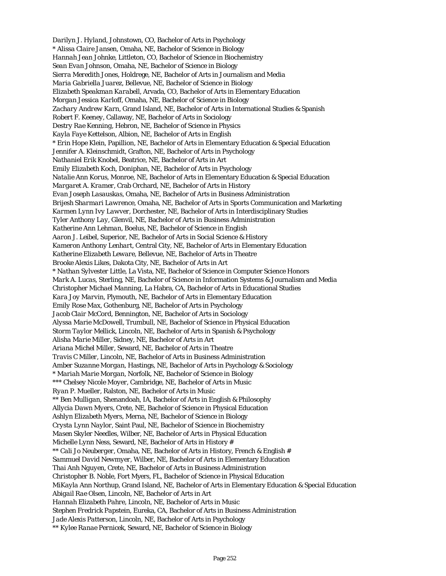*Darilyn J. Hyland*, Johnstown, CO, Bachelor of Arts in Psychology *\* Alissa Claire Jansen*, Omaha, NE, Bachelor of Science in Biology *Hannah Jean Johnke*, Littleton, CO, Bachelor of Science in Biochemistry *Sean Evan Johnson*, Omaha, NE, Bachelor of Science in Biology *Sierra Meredith Jones*, Holdrege, NE, Bachelor of Arts in Journalism and Media *Maria Gabriella Juarez*, Bellevue, NE, Bachelor of Science in Biology *Elizabeth Speakman Karabell*, Arvada, CO, Bachelor of Arts in Elementary Education *Morgan Jessica Karloff*, Omaha, NE, Bachelor of Science in Biology *Zachary Andrew Karn*, Grand Island, NE, Bachelor of Arts in International Studies & Spanish *Robert F. Keeney*, Callaway, NE, Bachelor of Arts in Sociology *Destry Rae Kenning*, Hebron, NE, Bachelor of Science in Physics *Kayla Faye Kettelson*, Albion, NE, Bachelor of Arts in English *\* Erin Hope Klein*, Papillion, NE, Bachelor of Arts in Elementary Education & Special Education *Jennifer A. Kleinschmidt*, Grafton, NE, Bachelor of Arts in Psychology *Nathaniel Erik Knobel*, Beatrice, NE, Bachelor of Arts in Art *Emily Elizabeth Koch*, Doniphan, NE, Bachelor of Arts in Psychology *Natalie Ann Korus*, Monroe, NE, Bachelor of Arts in Elementary Education & Special Education *Margaret A. Kramer*, Crab Orchard, NE, Bachelor of Arts in History *Evan Joseph Lasauskas*, Omaha, NE, Bachelor of Arts in Business Administration *Brijesh Sharmari Lawrence*, Omaha, NE, Bachelor of Arts in Sports Communication and Marketing *Karmen Lynn Ivy Lawver*, Dorchester, NE, Bachelor of Arts in Interdisciplinary Studies *Tyler Anthony Lay*, Glenvil, NE, Bachelor of Arts in Business Administration *Katherine Ann Lehman*, Boelus, NE, Bachelor of Science in English *Aaron J. Leibel*, Superior, NE, Bachelor of Arts in Social Science & History *Kameron Anthony Lenhart*, Central City, NE, Bachelor of Arts in Elementary Education *Katherine Elizabeth Leware*, Bellevue, NE, Bachelor of Arts in Theatre *Brooke Alexis Likes*, Dakota City, NE, Bachelor of Arts in Art *\* Nathan Sylvester Little*, La Vista, NE, Bachelor of Science in Computer Science Honors *Mark A. Lucas*, Sterling, NE, Bachelor of Science in Information Systems & Journalism and Media *Christopher Michael Manning*, La Habra, CA, Bachelor of Arts in Educational Studies *Kara Joy Marvin*, Plymouth, NE, Bachelor of Arts in Elementary Education *Emily Rose Max*, Gothenburg, NE, Bachelor of Arts in Psychology *Jacob Clair McCord*, Bennington, NE, Bachelor of Arts in Sociology *Alyssa Marie McDowell*, Trumbull, NE, Bachelor of Science in Physical Education *Storm Taylor Mellick*, Lincoln, NE, Bachelor of Arts in Spanish & Psychology *Alisha Marie Miller*, Sidney, NE, Bachelor of Arts in Art *Ariana Michel Miller*, Seward, NE, Bachelor of Arts in Theatre *Travis C Miller*, Lincoln, NE, Bachelor of Arts in Business Administration *Amber Suzanne Morgan*, Hastings, NE, Bachelor of Arts in Psychology & Sociology *\* Mariah Marie Morgan*, Norfolk, NE, Bachelor of Science in Biology *\*\*\* Chelsey Nicole Moyer*, Cambridge, NE, Bachelor of Arts in Music *Ryan P. Mueller*, Ralston, NE, Bachelor of Arts in Music *\*\* Ben Mulligan*, Shenandoah, IA, Bachelor of Arts in English & Philosophy *Allycia Dawn Myers*, Crete, NE, Bachelor of Science in Physical Education *Ashlyn Elizabeth Myers*, Merna, NE, Bachelor of Science in Biology *Crysta Lynn Naylor*, Saint Paul, NE, Bachelor of Science in Biochemistry *Masen Skyler Needles*, Wilber, NE, Bachelor of Arts in Physical Education *Michelle Lynn Ness*, Seward, NE, Bachelor of Arts in History # *\*\* Cali Jo Neuberger*, Omaha, NE, Bachelor of Arts in History, French & English # *Sammuel David Newmyer*, Wilber, NE, Bachelor of Arts in Elementary Education *Thai Anh Nguyen*, Crete, NE, Bachelor of Arts in Business Administration *Christopher B. Noble*, Fort Myers, FL, Bachelor of Science in Physical Education *MiKayla Ann Northup*, Grand Island, NE, Bachelor of Arts in Elementary Education & Special Education *Abigail Rae Olsen*, Lincoln, NE, Bachelor of Arts in Art *Hannah Elizabeth Pahre*, Lincoln, NE, Bachelor of Arts in Music *Stephen Fredrick Papstein*, Eureka, CA, Bachelor of Arts in Business Administration *Jade Alexis Patterson*, Lincoln, NE, Bachelor of Arts in Psychology *\*\* Kylee Ranae Pernicek*, Seward, NE, Bachelor of Science in Biology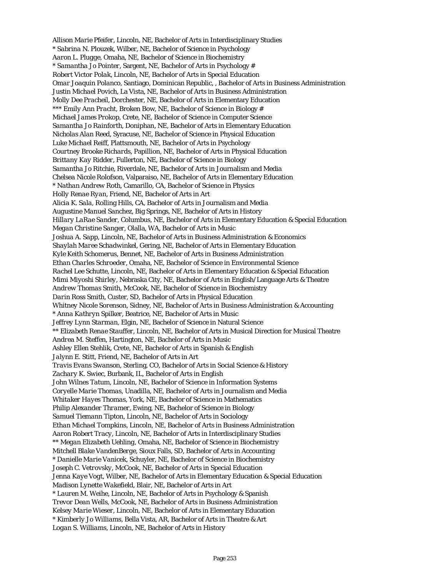*Allison Marie Pfeifer*, Lincoln, NE, Bachelor of Arts in Interdisciplinary Studies *\* Sabrina N. Plouzek*, Wilber, NE, Bachelor of Science in Psychology *Aaron L. Plugge*, Omaha, NE, Bachelor of Science in Biochemistry *\* Samantha Jo Pointer*, Sargent, NE, Bachelor of Arts in Psychology # *Robert Victor Polak*, Lincoln, NE, Bachelor of Arts in Special Education *Omar Joaquin Polanco*, Santiago, Dominican Republic, , Bachelor of Arts in Business Administration *Justin Michael Povich*, La Vista, NE, Bachelor of Arts in Business Administration *Molly Dee Pracheil*, Dorchester, NE, Bachelor of Arts in Elementary Education *\*\*\* Emily Ann Pracht*, Broken Bow, NE, Bachelor of Science in Biology # *Michael James Prokop*, Crete, NE, Bachelor of Science in Computer Science *Samantha Jo Rainforth*, Doniphan, NE, Bachelor of Arts in Elementary Education *Nicholas Alan Reed*, Syracuse, NE, Bachelor of Science in Physical Education *Luke Michael Reiff*, Plattsmouth, NE, Bachelor of Arts in Psychology *Courtney Brooke Richards*, Papillion, NE, Bachelor of Arts in Physical Education *Brittany Kay Ridder*, Fullerton, NE, Bachelor of Science in Biology *Samantha Jo Ritchie*, Riverdale, NE, Bachelor of Arts in Journalism and Media *Chelsea Nicole Rolofson*, Valparaiso, NE, Bachelor of Arts in Elementary Education *\* Nathan Andrew Roth*, Camarillo, CA, Bachelor of Science in Physics *Holly Renae Ryan*, Friend, NE, Bachelor of Arts in Art *Alicia K. Sala*, Rolling Hills, CA, Bachelor of Arts in Journalism and Media *Augustine Manuel Sanchez*, Big Springs, NE, Bachelor of Arts in History *Hillary LaRae Sander*, Columbus, NE, Bachelor of Arts in Elementary Education & Special Education *Megan Christine Sanger*, Olalla, WA, Bachelor of Arts in Music *Joshua A. Sapp*, Lincoln, NE, Bachelor of Arts in Business Administration & Economics *Shaylah Maree Schadwinkel*, Gering, NE, Bachelor of Arts in Elementary Education *Kyle Keith Schomerus*, Bennet, NE, Bachelor of Arts in Business Administration *Ethan Charles Schroeder*, Omaha, NE, Bachelor of Science in Environmental Science *Rachel Lee Schutte*, Lincoln, NE, Bachelor of Arts in Elementary Education & Special Education *Mimi Miyoshi Shirley*, Nebraska City, NE, Bachelor of Arts in English/Language Arts & Theatre *Andrew Thomas Smith*, McCook, NE, Bachelor of Science in Biochemistry *Darin Ross Smith*, Custer, SD, Bachelor of Arts in Physical Education *Whitney Nicole Sorenson*, Sidney, NE, Bachelor of Arts in Business Administration & Accounting *\* Anna Kathryn Spilker*, Beatrice, NE, Bachelor of Arts in Music *Jeffrey Lynn Starman*, Elgin, NE, Bachelor of Science in Natural Science *\*\* Elizabeth Renae Stauffer*, Lincoln, NE, Bachelor of Arts in Musical Direction for Musical Theatre *Andrea M. Steffen*, Hartington, NE, Bachelor of Arts in Music *Ashley Ellen Stehlik*, Crete, NE, Bachelor of Arts in Spanish & English *Jalynn E. Stitt*, Friend, NE, Bachelor of Arts in Art *Travis Evans Swanson*, Sterling, CO, Bachelor of Arts in Social Science & History *Zachary K. Swiec*, Burbank, IL, Bachelor of Arts in English *John Wilnes Tatum*, Lincoln, NE, Bachelor of Science in Information Systems *Coryelle Marie Thomas*, Unadilla, NE, Bachelor of Arts in Journalism and Media *Whitaker Hayes Thomas*, York, NE, Bachelor of Science in Mathematics *Philip Alexander Thramer*, Ewing, NE, Bachelor of Science in Biology *Samuel Tiemann Tipton*, Lincoln, NE, Bachelor of Arts in Sociology *Ethan Michael Tompkins*, Lincoln, NE, Bachelor of Arts in Business Administration *Aaron Robert Tracy*, Lincoln, NE, Bachelor of Arts in Interdisciplinary Studies *\*\* Megan Elizabeth Uehling*, Omaha, NE, Bachelor of Science in Biochemistry *Mitchell Blake VandenBerge*, Sioux Falls, SD, Bachelor of Arts in Accounting *\* Danielle Marie Vanicek*, Schuyler, NE, Bachelor of Science in Biochemistry *Joseph C. Vetrovsky*, McCook, NE, Bachelor of Arts in Special Education *Jenna Kaye Vogt*, Wilber, NE, Bachelor of Arts in Elementary Education & Special Education *Madison Lynette Wakefield*, Blair, NE, Bachelor of Arts in Art *\* Lauren M. Weihe*, Lincoln, NE, Bachelor of Arts in Psychology & Spanish *Trevor Dean Wells*, McCook, NE, Bachelor of Arts in Business Administration *Kelsey Marie Wieser*, Lincoln, NE, Bachelor of Arts in Elementary Education *\* Kimberly Jo Williams*, Bella Vista, AR, Bachelor of Arts in Theatre & Art *Logan S. Williams*, Lincoln, NE, Bachelor of Arts in History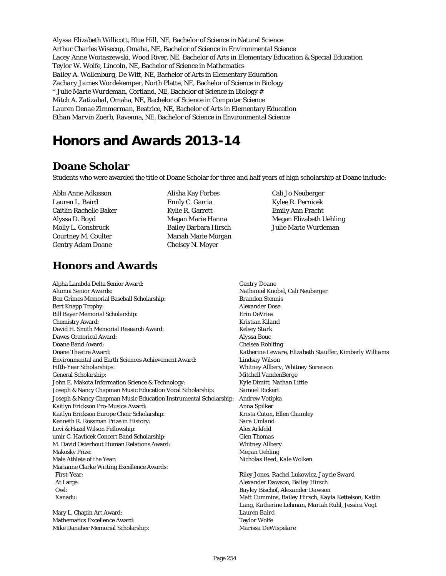*Alyssa Elizabeth Willicott*, Blue Hill, NE, Bachelor of Science in Natural Science *Arthur Charles Wisecup*, Omaha, NE, Bachelor of Science in Environmental Science *Lacey Anne Woitaszewski*, Wood River, NE, Bachelor of Arts in Elementary Education & Special Education *Teylor W. Wolfe*, Lincoln, NE, Bachelor of Science in Mathematics *Bailey A. Wollenburg*, De Witt, NE, Bachelor of Arts in Elementary Education *Zachary James Wordekemper*, North Platte, NE, Bachelor of Science in Biology *\* Julie Marie Wurdeman*, Cortland, NE, Bachelor of Science in Biology # *Mitch A. Zatizabal*, Omaha, NE, Bachelor of Science in Computer Science *Lauren Denae Zimmerman*, Beatrice, NE, Bachelor of Arts in Elementary Education *Ethan Marvin Zoerb*, Ravenna, NE, Bachelor of Science in Environmental Science

## **Honors and Awards 2013-14**

## **Doane Scholar**

Students who were awarded the title of Doane Scholar for three and half years of high scholarship at Doane include:

Gentry Adam Doane Chelsey N. Moyer

## **Honors and Awards**

- Abbi Anne Adkisson Alisha Kay Forbes Cali Jo Neuberger Lauren L. Baird Emily C. Garcia Kylee R. Pernicek Caitlin Rachelle Baker Kylie R. Garrett Emily Ann Pracht Molly L. Consbruck Bailey Barbara Hirsch Julie Marie Wurdeman Courtney M. Coulter Mariah Marie Morgan
- Alyssa D. Boyd Megan Marie Hanna Megan Elizabeth Uehling

Alpha Lambda Delta Senior Award: *Gentry Doane* Alumni Senior Awards: *Nathaniel Knobel, Cali Neuberger* Ben Grimes Memorial Baseball Scholarship: *Brandon Stennis* Bert Knapp Trophy: *Alexander Dose* Bill Bayer Memorial Scholarship: *Erin DeVries* Chemistry Award: *Kristian Kiland* David H. Smith Memorial Research Award: *Kelsey Stark* Dawes Oratorical Award: *Alyssa Bouc* Doane Band Award: *Chelsea Rohlfing* Doane Theatre Award: *Katherine Leware, Elizabeth Stauffer, Kimberly Williams* Environmental and Earth Sciences Achievement Award: *Lindsay Wilson* Fifth-Year Scholarships: *Whitney Allbery, Whitney Sorenson* General Scholarship: *Mitchell VandenBerge* John E. Makota Information Science & Technology: *Kyle Dimitt, Nathan Little* Joseph & Nancy Chapman Music Education Vocal Scholarship: *Samuel Rickert* Joseph & Nancy Chapman Music Education Instrumental Scholarship: *Andrew Votipka* Kaitlyn Erickson Pro-Musica Award: *Anna Spilker* Kaitlyn Erickson Europe Choir Scholarship: *Krista Cuton, Ellen Chamley* Kenneth R. Rossman Prize in History: *Sara Umland* Levi & Hazel Wilson Fellowship: *Alex Arkfeld* umir C. Havlicek Concert Band Scholarship: *Glen Thomas* M. David Osterhout Human Relations Award: *Whitney Allbery* Makosky Prize: *Megan Uehling* Male Athlete of the Year: *Nicholas Reed, Kale Wolken* Marianne Clarke Writing Excellence Awards: First-Year: At Large: Owl: Xanadu: Mary L. Chapin Art Award: *Lauren Baird*

Mathematics Excellence Award: *Teylor Wolfe* Mike Danaher Memorial Scholarship: *Marissa DeWispelare*

*Riley Jones. Rachel Lukowicz, Jaycie Sward*

*Alexander Dawson, Bailey Hirsch Bayley Bischof, Alexander Dawson Matt Cummins, Bailey Hirsch, Kayla Kettelson, Katlin Lang, Katherine Lehman, Mariah Ruhl, Jessica Vogt*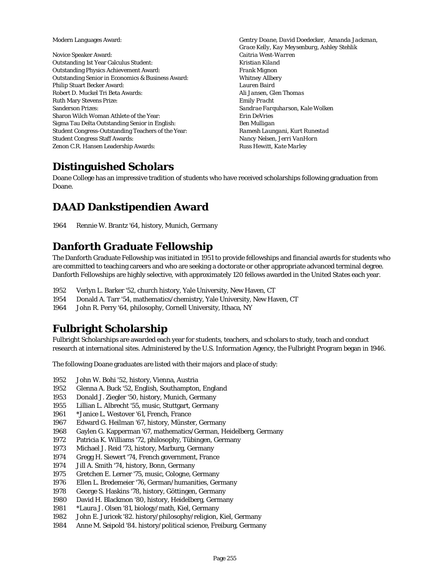Novice Speaker Award: *Caitria West-Warren* Outstanding 1st Year Calculus Student: *Kristian Kiland* Outstanding Physics Achievement Award: *Frank Mignon* Outstanding Senior in Economics & Business Award: *Whitney Allbery* Philip Stuart Becker Award: *Lauren Baird* Robert D. Muckel Tri Beta Awards: *Ali Jansen, Glen Thomas* Ruth Mary Stevens Prize: *Emily Pracht* Sanderson Prizes: *Sandrae Farquharson, Kale Wolken* Sharon Wilch Woman Athlete of the Year: *Erin DeVries* Sigma Tau Delta Outstanding Senior in English: *Ben Mulligan* Student Congress-Outstanding Teachers of the Year: Student Congress Staff Awards: *Nancy Nelsen, Jerri VanHorn* Zenon C.R. Hansen Leadership Awards: *Russ Hewitt, Kate Marley*

Modern Languages Award: *Gentry Doane, David Doedecker, Amanda Jackman, Grace Kelly*, *Kay Meysenburg, Ashley Stehlik*

#### **Distinguished Scholars**

Doane College has an impressive tradition of students who have received scholarships following graduation from Doane.

## **DAAD Dankstipendien Award**

1964 Rennie W. Brantz '64, history, Munich, Germany

#### **Danforth Graduate Fellowship**

The Danforth Graduate Fellowship was initiated in 1951 to provide fellowships and financial awards for students who are committed to teaching careers and who are seeking a doctorate or other appropriate advanced terminal degree. Danforth Fellowships are highly selective, with approximately 120 fellows awarded in the United States each year.

- 1952 Verlyn L. Barker '52, church history, Yale University, New Haven, CT
- 1954 Donald A. Tarr '54, mathematics/chemistry, Yale University, New Haven, CT
- 1964 John R. Perry '64, philosophy, Cornell University, Ithaca, NY

## **Fulbright Scholarship**

Fulbright Scholarships are awarded each year for students, teachers, and scholars to study, teach and conduct research at international sites. Administered by the U.S. Information Agency, the Fulbright Program began in 1946.

The following Doane graduates are listed with their majors and place of study:

- 1952 John W. Bohi '52, history, Vienna, Austria
- 1952 Glenna A. Buck '52, English, Southampton, England
- 1953 Donald J. Ziegler '50, history, Munich, Germany
- 1955 Lillian L. Albrecht '55, music, Stuttgart, Germany
- 1961 \*Janice L. Westover '61, French, France
- 1967 Edward G. Heilman '67, history, Münster, Germany
- 1968 Gaylen G. Kapperman '67, mathematics/German, Heidelberg, Germany
- 1972 Patricia K. Williams '72, philosophy, Tübingen, Germany
- 1973 Michael J. Reid '73, history, Marburg, Germany
- 1974 Gregg H. Siewert '74, French government, France
- 1974 Jill A. Smith '74, history, Bonn, Germany
- 1975 Gretchen E. Lerner '75, music, Cologne, Germany
- 1976 Ellen L. Bredemeier '76, German/humanities, Germany
- 1978 George S. Haskins '78, history, Göttingen, Germany
- 1980 David H. Blackmon '80, history, Heidelberg, Germany
- 1981 \*Laura J. Olsen '81, biology/math, Kiel, Germany
- 1982 John E. Juricek '82. history/philosophy/religion, Kiel, Germany
- 1984 Anne M. Seipold '84. history/political science, Freiburg, Germany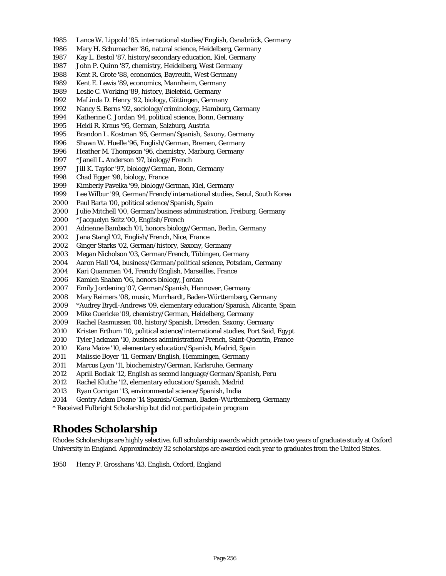- 1985 Lance W. Lippold '85. international studies/English, Osnabrück, Germany
- 1986 Mary H. Schumacher '86, natural science, Heidelberg, Germany
- 1987 Kay L. Bestol '87, history/secondary education, Kiel, Germany
- 1987 John P. Quinn '87, chemistry, Heidelberg, West Germany
- 1988 Kent R. Grote '88, economics, Bayreuth, West Germany
- 1989 Kent E. Lewis '89, economics, Mannheim, Germany
- 1989 Leslie C. Working '89, history, Bielefeld, Germany
- 1992 MaLinda D. Henry '92, biology, Göttingen, Germany
- 1992 Nancy S. Berns '92, sociology/criminology, Hamburg, Germany
- 1994 Katherine C. Jordan '94, political science, Bonn, Germany
- 1995 Heidi R. Kraus '95, German, Salzburg, Austria
- 1995 Brandon L. Kostman '95, German/Spanish, Saxony, Germany
- 1996 Shawn W. Huelle '96, English/German, Bremen, Germany
- 1996 Heather M. Thompson '96, chemistry, Marburg, Germany
- 1997 \*Janell L. Anderson '97, biology/French
- 1997 Jill K. Taylor '97, biology/German, Bonn, Germany
- 1998 Chad Egger '98, biology, France
- 1999 Kimberly Pavelka '99, biology/German, Kiel, Germany
- 1999 Lee Wilbur '99, German/French/international studies, Seoul, South Korea
- 2000 Paul Barta '00, political science/Spanish, Spain
- 2000 Julie Mitchell '00, German/business administration, Freiburg, Germany
- 2000 \*Jacquelyn Seitz '00, English/French
- 2001 Adrienne Bambach '01, honors biology/German, Berlin, Germany
- 2002 Jana Stangl '02, English/French, Nice, France
- 2002 Ginger Starks '02, German/history, Saxony, Germany
- 2003 Megan Nicholson '03, German/French, Tübingen, Germany
- 2004 Aaron Hall '04, business/German/political science, Potsdam, Germany
- 2004 Kari Quammen '04, French/English, Marseilles, France
- 2006 Kamleh Shaban '06, honors biology, Jordan
- 2007 Emily Jordening '07, German/Spanish, Hannover, Germany
- 2008 Mary Reimers '08, music, Murrhardt, Baden-Württemberg, Germany
- 2009 \*Audrey Brydl-Andrews '09, elementary education/Spanish, Alicante, Spain
- 2009 Mike Guericke '09, chemistry/German, Heidelberg, Germany
- 2009 Rachel Rasmussen '08, history/Spanish, Dresden, Saxony, Germany
- 2010 Kristen Erthum '10, political science/international studies, Port Said, Egypt
- 2010 Tyler Jackman '10, business administration/French, Saint-Quentin, France
- 2010 Kara Maize '10, elementary education/Spanish, Madrid, Spain
- 2011 Malissie Boyer '11, German/English, Hemmingen, Germany
- 2011 Marcus Lyon '11, biochemistry/German, Karlsruhe, Germany
- 2012 Aprill Bodlak '12, English as second language/German/Spanish, Peru
- 2012 Rachel Kluthe '12, elementary education/Spanish, Madrid
- 2013 Ryan Corrigan '13, environmental science/Spanish, India
- 2014 Gentry Adam Doane '14 Spanish/German, Baden-Württemberg, Germany

\* Received Fulbright Scholarship but did not participate in program

## **Rhodes Scholarship**

Rhodes Scholarships are highly selective, full scholarship awards which provide two years of graduate study at Oxford University in England. Approximately 32 scholarships are awarded each year to graduates from the United States.

1950 Henry P. Grosshans '43, English, Oxford, England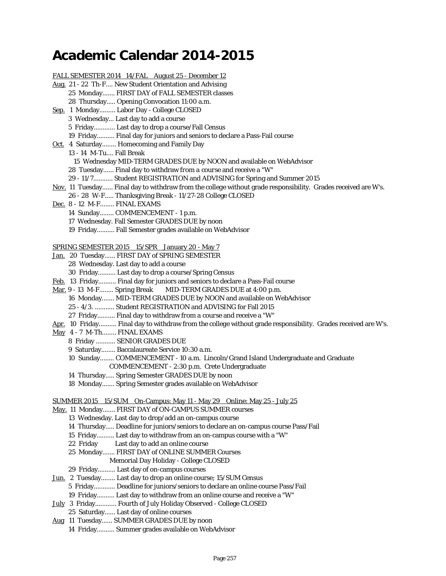# **Academic Calendar 2014-2015**

|                                                                               | FALL SEMESTER 2014 14/FAL August 25 - December 12                                                             |  |  |
|-------------------------------------------------------------------------------|---------------------------------------------------------------------------------------------------------------|--|--|
|                                                                               | Aug. 21 - 22 Th-F New Student Orientation and Advising                                                        |  |  |
|                                                                               | 25 Monday FIRST DAY of FALL SEMESTER classes                                                                  |  |  |
|                                                                               | 28 Thursday Opening Convocation 11:00 a.m.                                                                    |  |  |
|                                                                               | Sep. 1 Monday Labor Day - College CLOSED                                                                      |  |  |
|                                                                               | 3 Wednesday Last day to add a course                                                                          |  |  |
|                                                                               | 5 Friday Last day to drop a course/Fall Census                                                                |  |  |
|                                                                               | 19 Friday Final day for juniors and seniors to declare a Pass-Fail course                                     |  |  |
|                                                                               |                                                                                                               |  |  |
|                                                                               | Oct. 4 Saturday Homecoming and Family Day                                                                     |  |  |
|                                                                               | 13 - 14 M-Tu Fall Break                                                                                       |  |  |
|                                                                               | 15 Wednesday MID-TERM GRADES DUE by NOON and available on WebAdvisor                                          |  |  |
|                                                                               | 28 Tuesday Final day to withdraw from a course and receive a "W"                                              |  |  |
|                                                                               | 29 - 11/7 Student REGISTRATION and ADVISING for Spring and Summer 2015                                        |  |  |
|                                                                               | Nov. 11 Tuesday Final day to withdraw from the college without grade responsibility. Grades received are W's. |  |  |
|                                                                               | 26 - 28 W-F Thanksgiving Break - 11/27-28 College CLOSED                                                      |  |  |
|                                                                               | Dec. 8 - 12 M-F  FINAL EXAMS                                                                                  |  |  |
|                                                                               | 14 Sunday COMMENCEMENT - 1 p.m.                                                                               |  |  |
|                                                                               | 17 Wednesday. Fall Semester GRADES DUE by noon                                                                |  |  |
|                                                                               | 19 Friday Fall Semester grades available on WebAdvisor                                                        |  |  |
|                                                                               |                                                                                                               |  |  |
|                                                                               | SPRING SEMESTER 2015 15/SPR January 20 - May 7                                                                |  |  |
|                                                                               | Jan. 20 Tuesday  FIRST DAY of SPRING SEMESTER                                                                 |  |  |
|                                                                               | 28 Wednesday. Last day to add a course                                                                        |  |  |
|                                                                               |                                                                                                               |  |  |
|                                                                               | 30 Friday Last day to drop a course/Spring Census                                                             |  |  |
|                                                                               | Feb. 13 Friday Final day for juniors and seniors to declare a Pass-Fail course                                |  |  |
|                                                                               | Mar. 9 - 13 M-F Spring Break<br>MID-TERM GRADES DUE at 4:00 p.m.                                              |  |  |
|                                                                               | 16 Monday MID-TERM GRADES DUE by NOON and available on WebAdvisor                                             |  |  |
|                                                                               | 25 - 4/3.  Student REGISTRATION and ADVISING for Fall 2015                                                    |  |  |
|                                                                               | 27 Friday Final day to withdraw from a course and receive a "W"                                               |  |  |
|                                                                               | Apr. 10 Friday Final day to withdraw from the college without grade responsibility. Grades received are W's.  |  |  |
|                                                                               | May 4 - 7 M-Th FINAL EXAMS                                                                                    |  |  |
|                                                                               | 8 Friday  SENIOR GRADES DUE                                                                                   |  |  |
|                                                                               | 9 Saturday Baccalaureate Service 10:30 a.m.                                                                   |  |  |
|                                                                               | 10 Sunday COMMENCEMENT - 10 a.m. Lincoln/Grand Island Undergraduate and Graduate                              |  |  |
|                                                                               | COMMENCEMENT - 2:30 p.m. Crete Undergraduate                                                                  |  |  |
|                                                                               | 14 Thursday Spring Semester GRADES DUE by noon                                                                |  |  |
|                                                                               |                                                                                                               |  |  |
|                                                                               | 18 Monday Spring Semester grades available on WebAdvisor                                                      |  |  |
| <u>SUMMER 2015 15/SUM On-Campus: May 11 - May 29 Online: May 25 - July 25</u> |                                                                                                               |  |  |
|                                                                               | May. 11 Monday FIRST DAY of ON-CAMPUS SUMMER courses                                                          |  |  |
|                                                                               | 13 Wednesday. Last day to drop/add an on-campus course                                                        |  |  |
|                                                                               | 14 Thursday Deadline for juniors/seniors to declare an on-campus course Pass/Fail                             |  |  |
|                                                                               |                                                                                                               |  |  |
|                                                                               | 15 Friday Last day to withdraw from an on-campus course with a "W"                                            |  |  |
|                                                                               | Last day to add an online course<br>22 Friday                                                                 |  |  |
|                                                                               | 25 Monday FIRST DAY of ONLINE SUMMER Courses                                                                  |  |  |
|                                                                               | Memorial Day Holiday - College CLOSED                                                                         |  |  |
|                                                                               | 29 Friday Last day of on-campus courses                                                                       |  |  |
|                                                                               | Jun. 2 Tuesday Last day to drop an online course; 15/SUM Census                                               |  |  |
|                                                                               | 5 Friday Deadline for juniors/seniors to declare an online course Pass/Fail                                   |  |  |
|                                                                               | 19 Friday Last day to withdraw from an online course and receive a "W"                                        |  |  |
|                                                                               | July 3 Friday Fourth of July Holiday Observed - College CLOSED                                                |  |  |
|                                                                               | 25 Saturday Last day of online courses                                                                        |  |  |
|                                                                               | Aug 11 Tuesday SUMMER GRADES DUE by noon                                                                      |  |  |

14 Friday.......... Summer grades available on WebAdvisor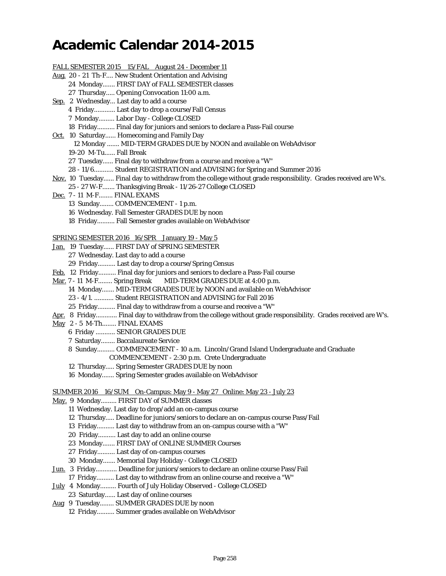# **Academic Calendar 2014-2015**

| FALL SEMESTER 2015 15/FAL August 24 - December 11 |                                                                                                               |  |
|---------------------------------------------------|---------------------------------------------------------------------------------------------------------------|--|
|                                                   | Aug. 20 - 21 Th-F New Student Orientation and Advising                                                        |  |
|                                                   | 24 Monday FIRST DAY of FALL SEMESTER classes                                                                  |  |
|                                                   | 27 Thursday Opening Convocation 11:00 a.m.                                                                    |  |
|                                                   | Sep. 2 Wednesday Last day to add a course                                                                     |  |
|                                                   | 4 Friday Last day to drop a course/Fall Census                                                                |  |
|                                                   | 7 Monday Labor Day - College CLOSED                                                                           |  |
|                                                   | 18 Friday Final day for juniors and seniors to declare a Pass-Fail course                                     |  |
|                                                   | Oct. 10 Saturday Homecoming and Family Day                                                                    |  |
|                                                   | 12 Monday  MID-TERM GRADES DUE by NOON and available on WebAdvisor                                            |  |
|                                                   | 19-20 M-Tu  Fall Break                                                                                        |  |
|                                                   | 27 Tuesday Final day to withdraw from a course and receive a "W"                                              |  |
|                                                   | 28 - 11/6 Student REGISTRATION and ADVISING for Spring and Summer 2016                                        |  |
|                                                   | Nov. 10 Tuesday Final day to withdraw from the college without grade responsibility. Grades received are W's. |  |
|                                                   | 25 - 27 W-F  Thanksgiving Break - 11/26-27 College CLOSED                                                     |  |
|                                                   | Dec. 7 - 11 M-F  FINAL EXAMS                                                                                  |  |
|                                                   | 13 Sunday COMMENCEMENT - 1 p.m.                                                                               |  |
|                                                   | 16 Wednesday. Fall Semester GRADES DUE by noon                                                                |  |
|                                                   | 18 Friday Fall Semester grades available on WebAdvisor                                                        |  |
|                                                   |                                                                                                               |  |
|                                                   | SPRING SEMESTER 2016 16/SPR January 19 - May 5<br>Jan. 19 Tuesday FIRST DAY of SPRING SEMESTER                |  |
|                                                   | 27 Wednesday. Last day to add a course                                                                        |  |
|                                                   | 29 Friday Last day to drop a course/Spring Census                                                             |  |
|                                                   | Feb. 12 Friday Final day for juniors and seniors to declare a Pass-Fail course                                |  |
|                                                   | Mar. 7 - 11 M-F Spring Break<br>MID-TERM GRADES DUE at 4:00 p.m.                                              |  |
|                                                   | 14 Monday MID-TERM GRADES DUE by NOON and available on WebAdvisor                                             |  |
|                                                   | 23 - 4/1.  Student REGISTRATION and ADVISING for Fall 2016                                                    |  |
|                                                   | 25 Friday Final day to withdraw from a course and receive a "W"                                               |  |
|                                                   | Apr. 8 Friday Final day to withdraw from the college without grade responsibility. Grades received are W's.   |  |
|                                                   | May 2 - 5 M-Th FINAL EXAMS                                                                                    |  |
|                                                   | 6 Friday  SENIOR GRADES DUE                                                                                   |  |
|                                                   | 7 Saturday Baccalaureate Service                                                                              |  |
|                                                   | 8 Sunday COMMENCEMENT - 10 a.m. Lincoln/Grand Island Undergraduate and Graduate                               |  |
|                                                   | COMMENCEMENT - 2:30 p.m. Crete Undergraduate                                                                  |  |
|                                                   | 12 Thursday Spring Semester GRADES DUE by noon                                                                |  |
|                                                   | 16 Monday Spring Semester grades available on WebAdvisor                                                      |  |
|                                                   |                                                                                                               |  |
|                                                   | SUMMER 2016 16/SUM On-Campus: May 9 - May 27 Online: May 23 - July 23                                         |  |
|                                                   | May. 9 Monday FIRST DAY of SUMMER classes                                                                     |  |
|                                                   | 11 Wednesday. Last day to drop/add an on-campus course                                                        |  |
|                                                   | 12 Thursday Deadline for juniors/seniors to declare an on-campus course Pass/Fail                             |  |
|                                                   | 13 Friday Last day to withdraw from an on-campus course with a "W"                                            |  |
|                                                   | 20 Friday Last day to add an online course                                                                    |  |
|                                                   | 23 Monday FIRST DAY of ONLINE SUMMER Courses                                                                  |  |
|                                                   | 27 Friday Last day of on-campus courses                                                                       |  |
|                                                   | 30 Monday Memorial Day Holiday - College CLOSED                                                               |  |
|                                                   | Jun. 3 Friday Deadline for juniors/seniors to declare an online course Pass/Fail                              |  |
|                                                   | 17 Friday Last day to withdraw from an online course and receive a "W"                                        |  |
|                                                   | July 4 Monday Fourth of July Holiday Observed - College CLOSED<br>23 Saturday Last day of online courses      |  |
|                                                   |                                                                                                               |  |

Aug 9 Tuesday........ SUMMER GRADES DUE by noon 12 Friday.......... Summer grades available on WebAdvisor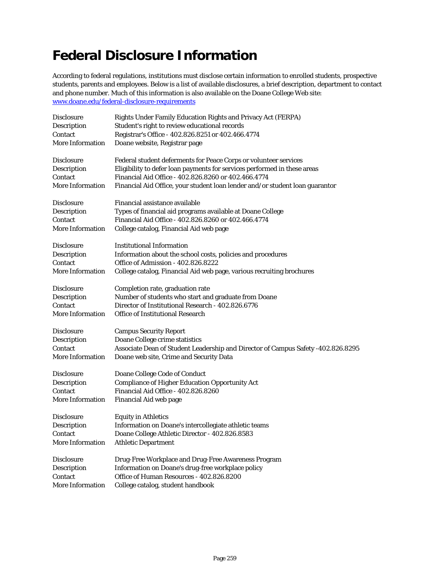# **Federal Disclosure Information**

According to federal regulations, institutions must disclose certain information to enrolled students, prospective students, parents and employees. Below is a list of available disclosures, a brief description, department to contact and phone number. Much of this information is also available on the Doane College Web site: www.doane.edu/federal-disclosure-requirements

| <b>Disclosure</b>       | Rights Under Family Education Rights and Privacy Act (FERPA)                     |
|-------------------------|----------------------------------------------------------------------------------|
| Description             | Student's right to review educational records                                    |
| Contact                 | Registrar's Office - 402.826.8251 or 402.466.4774                                |
| More Information        | Doane website, Registrar page                                                    |
| <b>Disclosure</b>       | Federal student deferments for Peace Corps or volunteer services                 |
| <b>Description</b>      | Eligibility to defer loan payments for services performed in these areas         |
| Contact                 | Financial Aid Office - 402.826.8260 or 402.466.4774                              |
| More Information        | Financial Aid Office, your student loan lender and/or student loan guarantor     |
| <b>Disclosure</b>       | Financial assistance available                                                   |
| Description             | Types of financial aid programs available at Doane College                       |
| Contact                 | Financial Aid Office - 402.826.8260 or 402.466.4774                              |
| More Information        | College catalog, Financial Aid web page                                          |
| <b>Disclosure</b>       | <b>Institutional Information</b>                                                 |
| Description             | Information about the school costs, policies and procedures                      |
| Contact                 | Office of Admission - 402.826.8222                                               |
| More Information        | College catalog, Financial Aid web page, various recruiting brochures            |
| Disclosure              | Completion rate, graduation rate                                                 |
| Description             | Number of students who start and graduate from Doane                             |
| Contact                 | Director of Institutional Research - 402.826.6776                                |
| More Information        | <b>Office of Institutional Research</b>                                          |
| <b>Disclosure</b>       | <b>Campus Security Report</b>                                                    |
| Description             | Doane College crime statistics                                                   |
| Contact                 | Associate Dean of Student Leadership and Director of Campus Safety -402.826.8295 |
| More Information        | Doane web site, Crime and Security Data                                          |
| <b>Disclosure</b>       | Doane College Code of Conduct                                                    |
| Description             | <b>Compliance of Higher Education Opportunity Act</b>                            |
| Contact                 | Financial Aid Office - 402.826.8260                                              |
| <b>More Information</b> | <b>Financial Aid web page</b>                                                    |
| <b>Disclosure</b>       | <b>Equity in Athletics</b>                                                       |
| <b>Description</b>      | Information on Doane's intercollegiate athletic teams                            |
| Contact                 | Doane College Athletic Director - 402.826.8583                                   |
| More Information        | <b>Athletic Department</b>                                                       |
| <b>Disclosure</b>       | Drug-Free Workplace and Drug-Free Awareness Program                              |
| <b>Description</b>      | Information on Doane's drug-free workplace policy                                |
| Contact                 | Office of Human Resources - 402.826.8200                                         |
| More Information        | College catalog, student handbook                                                |